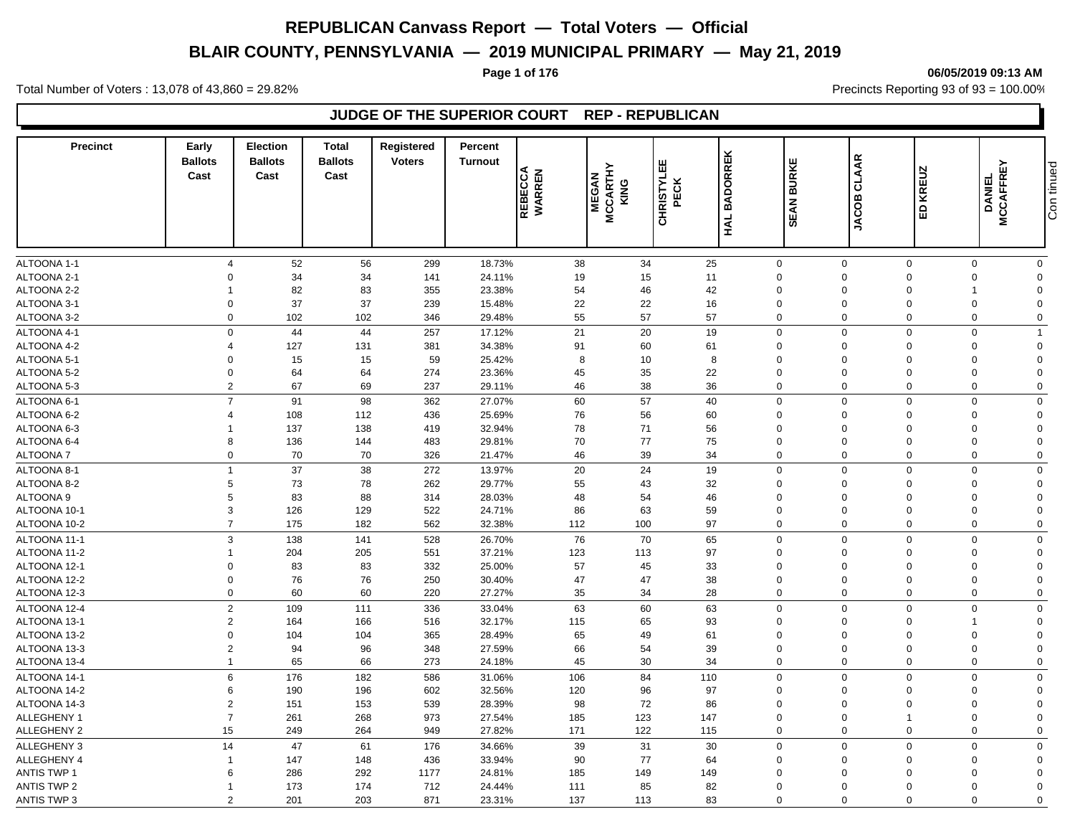# **BLAIR COUNTY, PENNSYLVANIA — 2019 MUNICIPAL PRIMARY — May 21, 2019**

**Page 1 of 176 06/05/2019 09:13 AM**

Total Number of Voters : 13,078 of 43,860 = 29.82% Precincts Reporting 93 of 93 = 100.00%

# **JUDGE OF THE SUPERIOR COURT REP - REPUBLICAN**

| <b>Precinct</b>              | Early<br><b>Ballots</b><br>Cast  | <b>Election</b><br><b>Ballots</b><br>Cast | <b>Total</b><br><b>Ballots</b><br>Cast | <b>Registered</b><br><b>Voters</b> | Percent<br><b>Turnout</b> | REBECCA<br>WARREN | <b>MCCARTHY</b><br>KING<br><b>MEGAN</b> | CHRISTYLEE<br>PECK | <b>BADORREK</b><br>$rac{4}{2}$ | ш<br><b>BURKE</b><br>EAN<br>ഗ | <b>CLAAR</b><br>JACOB   | <b>KREUZ</b><br>$\mathbf{B}$ | 모<br><b>MCCAFFRI</b><br><b>DANIEL</b>              | Con tinued |
|------------------------------|----------------------------------|-------------------------------------------|----------------------------------------|------------------------------------|---------------------------|-------------------|-----------------------------------------|--------------------|--------------------------------|-------------------------------|-------------------------|------------------------------|----------------------------------------------------|------------|
|                              |                                  |                                           |                                        |                                    |                           |                   |                                         |                    |                                |                               |                         |                              |                                                    |            |
| ALTOONA 1-1                  | $\overline{4}$                   | 52                                        | 56                                     | 299                                | 18.73%                    | 38                | 34                                      | 25                 |                                | $\mathbf 0$                   | $\mathbf 0$             | $\mathbf 0$                  | $\mathbf 0$<br>$\mathbf 0$                         |            |
| ALTOONA 2-1                  | $\Omega$                         | 34                                        | 34                                     | 141                                | 24.11%                    | 19                | 15                                      | 11                 |                                | $\Omega$                      | $\Omega$                | $\mathbf 0$                  | $\mathbf 0$<br>$\Omega$                            |            |
| ALTOONA 2-2                  |                                  | 82                                        | 83                                     | 355                                | 23.38%                    | 54                | 46                                      | 42                 |                                | $\mathbf 0$                   | $\mathbf 0$             | $\mathbf 0$                  | $\mathbf 0$                                        |            |
| ALTOONA 3-1                  | $\mathbf 0$                      | 37                                        | 37                                     | 239                                | 15.48%                    | 22                | 22                                      | 16                 |                                | $\mathbf 0$                   | $\Omega$                | $\mathbf 0$                  | $\Omega$<br>$\mathbf 0$                            |            |
| ALTOONA 3-2                  | $\mathbf 0$                      | 102                                       | 102                                    | 346                                | 29.48%                    | 55                | 57                                      | 57                 |                                | $\mathbf 0$                   | $\mathbf 0$             | $\mathbf 0$                  | $\mathbf 0$<br>$\mathbf 0$                         |            |
| ALTOONA 4-1                  |                                  | $\mathbf 0$<br>44                         | 44                                     | 257                                | 17.12%                    | 21                | 20                                      | 19                 |                                | $\mathbf 0$                   | $\mathbf 0$             | $\Omega$                     | $\mathbf 0$<br>$\overline{1}$                      |            |
| ALTOONA 4-2                  | $\Delta$                         | 127                                       | 131                                    | 381                                | 34.38%                    | 91                | 60                                      | 61                 |                                | $\mathbf 0$                   | $\mathbf 0$             | $\Omega$                     | $\mathbf 0$<br>$\Omega$                            |            |
| ALTOONA 5-1                  | $\Omega$                         | 15                                        | 15                                     | 59                                 | 25.42%                    | 8                 | 10                                      | 8                  |                                | $\Omega$                      | $\Omega$                | $\Omega$                     | $\Omega$<br>$\Omega$                               |            |
| ALTOONA 5-2                  | $\mathbf 0$                      | 64                                        | 64                                     | 274                                | 23.36%                    | 45                | 35                                      | 22                 |                                | $\mathbf 0$                   | $\mathbf 0$             | $\Omega$                     | $\mathbf 0$<br>$\Omega$                            |            |
| ALTOONA 5-3                  |                                  | $\overline{2}$<br>67                      | 69                                     | 237                                | 29.11%                    | 46                | 38                                      | 36                 |                                | $\mathbf 0$                   | $\Omega$                | $\Omega$                     | $\mathbf 0$<br>$\mathbf 0$                         |            |
| ALTOONA 6-1                  | $\overline{7}$                   | 91                                        | 98                                     | 362                                | 27.07%                    | 60                | 57                                      | 40                 |                                | $\mathbf{0}$                  | $\mathbf 0$             | $\mathbf 0$                  | $\pmb{0}$<br>$\Omega$                              |            |
| ALTOONA 6-2                  | $\overline{4}$                   | 108                                       | 112                                    | 436                                | 25.69%                    | 76                | 56                                      | 60                 |                                | $\mathbf 0$                   | $\Omega$                | $\Omega$                     | $\mathbf 0$<br>$\Omega$                            |            |
| ALTOONA 6-3                  | 1                                | 137                                       | 138                                    | 419                                | 32.94%                    | 78                | 71                                      | 56                 |                                | $\mathbf 0$                   | $\mathbf 0$             | $\mathbf 0$                  | $\mathbf 0$<br>$\Omega$                            |            |
| ALTOONA 6-4                  | 8                                | 136                                       | 144                                    | 483                                | 29.81%                    | 70                | 77                                      | 75                 |                                | $\mathbf 0$                   | $\mathbf 0$             | $\Omega$                     | $\Omega$<br>$\mathbf 0$                            |            |
| <b>ALTOONA7</b>              |                                  | $\mathbf 0$<br>70                         | 70                                     | 326                                | 21.47%                    | 46                | 39                                      | 34                 |                                | $\mathbf 0$                   | $\mathbf 0$             | $\mathbf 0$                  | $\mathbf 0$<br>$\mathbf 0$                         |            |
| ALTOONA 8-1                  | $\mathbf{1}$                     | 37                                        | 38                                     | 272                                | 13.97%                    | 20                | 24                                      | 19                 |                                | $\mathbf 0$                   | $\mathbf 0$             | $\Omega$                     | $\mathbf 0$<br>$\mathbf 0$                         |            |
| ALTOONA 8-2                  | 5                                | 73                                        | 78                                     | 262                                | 29.77%                    | 55                | 43                                      | 32                 |                                | $\mathbf 0$                   | $\Omega$                | $\Omega$                     | $\mathbf 0$<br>$\Omega$                            |            |
| ALTOONA 9                    | 5                                | 83                                        | 88                                     | 314                                | 28.03%                    | 48                | 54                                      | 46                 |                                | $\overline{0}$                | $\Omega$                | $\Omega$                     | $\mathbf 0$<br>$\Omega$                            |            |
| ALTOONA 10-1                 | 3                                | 126                                       | 129                                    | 522                                | 24.71%                    | 86                | 63                                      | 59                 |                                | $\mathbf 0$                   | $\mathbf 0$             | $\mathbf 0$                  | $\mathbf 0$<br>$\Omega$                            |            |
| ALTOONA 10-2                 | $\overline{7}$                   | 175                                       | 182                                    | 562                                | 32.38%                    | 112               | 100                                     | 97                 |                                | $\mathbf 0$                   | $\mathbf 0$             | $\Omega$                     | $\mathbf 0$<br>$\mathbf 0$                         |            |
| ALTOONA 11-1                 | 3                                | 138                                       | 141                                    | 528                                | 26.70%                    | 76                | 70                                      | 65                 |                                | $\mathbf 0$                   | $\Omega$                | $\Omega$                     | $\mathbf 0$<br>$\mathbf 0$                         |            |
| ALTOONA 11-2                 | 1                                | 204                                       | 205                                    | 551                                | 37.21%                    | 123               | 113                                     | 97                 |                                | 0                             | $\mathbf 0$             | $\Omega$                     | $\mathbf 0$<br>$\Omega$                            |            |
| ALTOONA 12-1                 | $\Omega$                         | 83                                        | 83                                     | 332                                | 25.00%                    | 57                | 45                                      | 33                 |                                | 0                             | $\Omega$                | $\Omega$                     | $\mathbf 0$<br>$\Omega$                            |            |
| ALTOONA 12-2                 | $\mathbf 0$                      | 76                                        | 76                                     | 250                                | 30.40%                    | 47                | 47                                      | 38                 |                                | $\mathbf 0$                   | $\mathbf 0$             | $\mathbf 0$                  | $\mathbf 0$<br>$\Omega$                            |            |
| ALTOONA 12-3                 | $\mathbf 0$                      | 60                                        | 60                                     | 220                                | 27.27%                    | 35                | 34                                      | 28                 |                                | 0                             | $\mathbf 0$             | $\Omega$                     | $\mathbf 0$<br>$\mathbf 0$                         |            |
| ALTOONA 12-4                 |                                  | $\mathbf 2$<br>109                        | 111                                    | 336                                |                           | 63                | 60                                      | 63                 |                                | $\mathbf 0$                   | $\mathbf 0$             | $\Omega$                     | $\mathbf 0$<br>$\mathbf 0$                         |            |
|                              | $\overline{2}$                   | 164                                       |                                        |                                    | 33.04%                    |                   | 65                                      |                    |                                | $\mathbf 0$                   | $\Omega$                | $\Omega$                     | $\Omega$                                           |            |
| ALTOONA 13-1<br>ALTOONA 13-2 | $\mathbf 0$                      | 104                                       | 166<br>104                             | 516<br>365                         | 32.17%<br>28.49%          | 115<br>65         | 49                                      | 93<br>61           |                                | $\mathbf 0$                   | $\Omega$                | $\Omega$                     | $\mathbf 0$<br>$\Omega$                            |            |
| ALTOONA 13-3                 | $\overline{2}$                   | 94                                        | 96                                     | 348                                | 27.59%                    | 66                | 54                                      | 39                 |                                | $\mathbf 0$                   | $\Omega$                | $\Omega$                     | $\Omega$<br>$\mathbf 0$                            |            |
| ALTOONA 13-4                 | $\overline{1}$                   | 65                                        | 66                                     | 273                                | 24.18%                    | 45                | 30                                      | 34                 |                                | $\mathbf 0$                   | $\Omega$                | $\mathbf 0$                  | $\mathbf 0$<br>$\mathbf 0$                         |            |
|                              | $6\phantom{1}6$                  |                                           |                                        |                                    |                           |                   |                                         |                    |                                | $\mathbf 0$                   | $\mathbf 0$             | $\Omega$                     | $\mathbf 0$                                        |            |
| ALTOONA 14-1                 |                                  | 176                                       | 182                                    | 586                                | 31.06%                    | 106               | 84                                      | 110                |                                |                               |                         | $\mathbf 0$                  | $\mathbf 0$<br>$\Omega$                            |            |
| ALTOONA 14-2<br>ALTOONA 14-3 | 6                                | 190                                       | 196                                    | 602                                | 32.56%                    | 120               | 96<br>72                                | 97                 |                                | $\mathbf 0$<br>$\mathbf 0$    | $\mathbf 0$<br>$\Omega$ | $\Omega$                     | $\mathbf 0$<br>$\Omega$                            |            |
| ALLEGHENY 1                  | $\overline{2}$<br>$\overline{7}$ | 151<br>261                                | 153<br>268                             | 539<br>973                         | 28.39%<br>27.54%          | 98<br>185         | 123                                     | 86<br>147          |                                | $\mathbf 0$                   | $\mathbf 0$             | $\mathbf{1}$                 | $\mathbf 0$<br>$\mathbf 0$<br>$\Omega$             |            |
| ALLEGHENY 2                  | 15                               | 249                                       | 264                                    | 949                                | 27.82%                    | 171               | 122                                     |                    |                                | $\mathbf 0$                   | $\mathbf 0$             | $\mathbf 0$                  | $\mathbf 0$<br>$\Omega$                            |            |
|                              |                                  |                                           |                                        |                                    |                           |                   |                                         | 115                |                                |                               |                         |                              |                                                    |            |
| ALLEGHENY 3                  | 14                               | 47                                        | 61                                     | 176                                | 34.66%                    | 39                | 31                                      | 30                 |                                | $\mathbf 0$                   | $\Omega$                | $\Omega$                     | $\mathbf 0$<br>$\Omega$                            |            |
| ALLEGHENY 4                  | $\overline{1}$                   | 147                                       | 148                                    | 436                                | 33.94%                    | 90                | 77                                      | 64                 |                                | $\mathbf 0$                   | $\Omega$                | $\Omega$                     | $\mathbf 0$<br>$\Omega$                            |            |
| <b>ANTIS TWP 1</b>           | 6                                | 286                                       | 292                                    | 1177                               | 24.81%                    | 185               | 149                                     | 149                |                                | $\mathbf 0$                   | $\Omega$                | $\Omega$                     | $\mathbf 0$<br>$\Omega$                            |            |
| <b>ANTIS TWP 2</b>           | -1<br>$\overline{2}$             | 173                                       | 174                                    | 712<br>871                         | 24.44%                    | 111<br>137        | 85<br>113                               | 82<br>83           |                                | $\Omega$<br>$\Omega$          | $\Omega$<br>$\mathbf 0$ | $\Omega$<br>$\mathbf 0$      | $\mathbf 0$<br>$\Omega$<br>$\mathbf 0$<br>$\Omega$ |            |
| <b>ANTIS TWP 3</b>           |                                  | 201                                       | 203                                    |                                    | 23.31%                    |                   |                                         |                    |                                |                               |                         |                              |                                                    |            |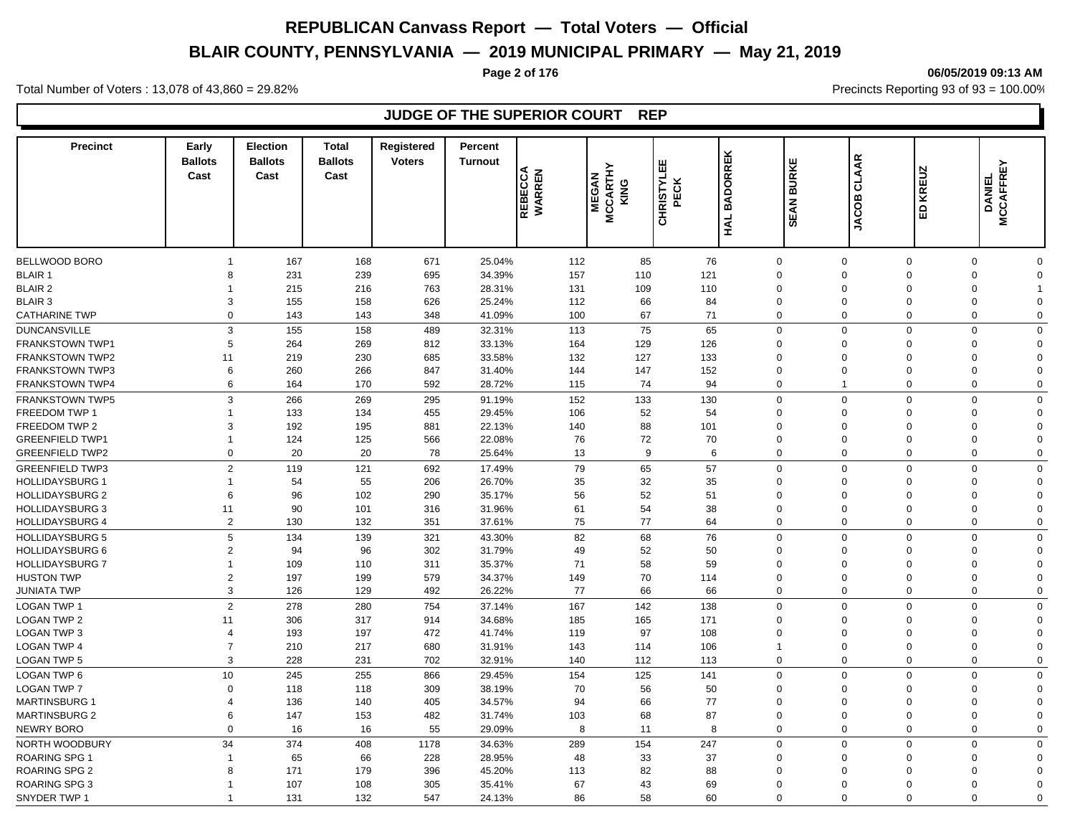# **BLAIR COUNTY, PENNSYLVANIA — 2019 MUNICIPAL PRIMARY — May 21, 2019**

#### **Page 2 of 176 06/05/2019 09:13 AM**

Total Number of Voters : 13,078 of 43,860 = 29.82% Precincts Reporting 93 of 93 = 100.00%

# **JUDGE OF THE SUPERIOR COURT REP**

| <b>Precinct</b>        | Early<br><b>Ballots</b><br>Cast | <b>Election</b><br><b>Ballots</b><br>Cast | <b>Total</b><br><b>Ballots</b><br>Cast | Registered<br><b>Voters</b> | <b>Percent</b><br><b>Turnout</b> | <b>REBECCA</b><br>WARREN | <b>MCCARTHY</b><br>KING<br><b>MEGAN</b> | 쁪<br><b>CHRISTYL</b><br><b>ECK</b> | <b>BADORREK</b> | <b>BURKE</b><br>EAN           | <b>CLAAR</b><br><b>JACOB</b> | <b>KREUZ</b><br>$\mathbf{B}$ | ΕY<br><b>DANIEL</b><br><b>MCCAFFR</b> |  |
|------------------------|---------------------------------|-------------------------------------------|----------------------------------------|-----------------------------|----------------------------------|--------------------------|-----------------------------------------|------------------------------------|-----------------|-------------------------------|------------------------------|------------------------------|---------------------------------------|--|
|                        |                                 |                                           |                                        |                             |                                  |                          |                                         |                                    | HAL             | w                             |                              |                              |                                       |  |
| BELLWOOD BORO          | $\overline{1}$                  | 167                                       | 168                                    | 671                         | 25.04%                           | 112                      | 85                                      | 76                                 |                 | $\mathbf 0$                   | $\mathbf 0$                  | $\mathbf 0$                  | $\Omega$<br>$\mathbf 0$               |  |
| <b>BLAIR 1</b>         | 8                               | 231                                       | 239                                    | 695                         | 34.39%                           | 157                      | 110                                     | 121                                |                 | $\mathbf 0$                   | $\Omega$                     | $\Omega$<br>$\Omega$         | $\mathbf 0$                           |  |
| <b>BLAIR 2</b>         | -1                              | 215                                       | 216                                    | 763                         | 28.31%                           | 131                      | 109                                     | 110                                |                 | $\mathbf 0$                   | $\Omega$                     | $\Omega$                     | $\Omega$<br>$\overline{1}$            |  |
| <b>BLAIR 3</b>         | 3                               | 155                                       | 158                                    | 626                         | 25.24%                           | 112                      | 66                                      | 84                                 |                 | $\mathbf 0$                   | $\mathbf 0$                  | $\mathbf 0$<br>$\Omega$      | $\mathbf 0$                           |  |
| <b>CATHARINE TWP</b>   | $\Omega$                        | 143                                       | 143                                    | 348                         | 41.09%                           | 100                      | 67                                      | 71                                 |                 | 0                             | $\Omega$                     | $\Omega$<br>$\Omega$         | $\mathbf 0$                           |  |
| <b>DUNCANSVILLE</b>    | 3                               | 155                                       | 158                                    | 489                         | 32.31%                           | 113                      | 75                                      | 65                                 |                 | $\mathbf 0$                   | $\Omega$                     | $\Omega$                     | $\Omega$<br>$\mathbf 0$               |  |
| <b>FRANKSTOWN TWP1</b> | 5                               | 264                                       | 269                                    | 812                         | 33.13%                           | 164                      | 129                                     | 126                                |                 | $\mathbf 0$                   | $\Omega$                     | $\Omega$<br>$\Omega$         | $\mathbf 0$                           |  |
| <b>FRANKSTOWN TWP2</b> | 11                              | 219                                       | 230                                    | 685                         | 33.58%                           | 132                      | 127                                     | 133                                |                 | $\mathbf 0$                   | $\Omega$                     | $\Omega$<br>$\Omega$         | $\mathbf 0$                           |  |
| <b>FRANKSTOWN TWP3</b> | 6                               | 260                                       | 266                                    | 847                         | 31.40%                           | 144                      | 147                                     | 152                                |                 | $\mathbf 0$                   | $\mathbf 0$                  | $\Omega$<br>$\Omega$         | $\mathbf 0$                           |  |
| <b>FRANKSTOWN TWP4</b> | 6                               | 164                                       | 170                                    | 592                         | 28.72%                           | 115                      | 74                                      | 94                                 |                 | $\mathbf 0$<br>$\overline{1}$ |                              | $\Omega$                     | $\Omega$<br>$\mathbf 0$               |  |
|                        |                                 |                                           |                                        |                             |                                  |                          |                                         |                                    |                 |                               |                              |                              |                                       |  |
| <b>FRANKSTOWN TWP5</b> | 3                               | 266                                       | 269                                    | 295                         | 91.19%                           | 152                      | 133                                     | 130                                |                 | $\mathbf 0$                   | $\mathbf 0$                  | $\Omega$                     | $\mathbf 0$<br>$\mathbf 0$            |  |
| FREEDOM TWP 1          | $\overline{1}$                  | 133                                       | 134                                    | 455                         | 29.45%                           | 106                      | 52                                      | 54                                 |                 | $\mathbf 0$                   | $\Omega$                     | $\Omega$<br>$\Omega$         | $\mathbf 0$                           |  |
| FREEDOM TWP 2          | 3                               | 192                                       | 195                                    | 881                         | 22.13%                           | 140                      | 88                                      | 101                                |                 | $\mathbf 0$                   | $\Omega$                     | $\Omega$<br>$\Omega$         | $\mathbf 0$                           |  |
| <b>GREENFIELD TWP1</b> | $\overline{1}$                  | 124                                       | 125                                    | 566                         | 22.08%                           | 76                       | 72                                      | 70                                 |                 | $\mathbf 0$                   | $\mathbf 0$                  | $\Omega$<br>$\Omega$         | $\mathbf 0$                           |  |
| <b>GREENFIELD TWP2</b> | $\mathbf 0$                     | 20                                        | 20                                     | 78                          | 25.64%                           | 13                       | 9                                       | 6                                  |                 | $\mathbf 0$                   | $\mathbf 0$                  | $\Omega$                     | $\Omega$<br>$\mathbf 0$               |  |
| <b>GREENFIELD TWP3</b> | $\overline{2}$                  | 119                                       | 121                                    | 692                         | 17.49%                           | 79                       | 65                                      | 57                                 |                 | $\mathbf 0$                   | $\Omega$                     | $\Omega$<br>$\Omega$         | $\mathbf 0$                           |  |
| <b>HOLLIDAYSBURG 1</b> | $\overline{1}$                  | 54                                        | 55                                     | 206                         | 26.70%                           | 35                       | 32                                      | 35                                 |                 | $\mathbf 0$                   | $\Omega$                     | $\mathbf 0$<br>$\Omega$      | $\mathbf 0$                           |  |
| <b>HOLLIDAYSBURG 2</b> | 6                               | 96                                        | 102                                    | 290                         | 35.17%                           | 56                       | 52                                      | 51                                 |                 | $\mathbf 0$                   | $\Omega$                     | $\Omega$<br>$\Omega$         | $\mathbf 0$                           |  |
| <b>HOLLIDAYSBURG 3</b> | 11                              | 90                                        | 101                                    | 316                         | 31.96%                           | 61                       | 54                                      | 38                                 |                 | $\mathbf 0$                   | $\Omega$                     | $\Omega$<br>$\Omega$         | $\mathbf 0$                           |  |
| <b>HOLLIDAYSBURG 4</b> | 2                               | 130                                       | 132                                    | 351                         | 37.61%                           | 75                       | 77                                      | 64                                 |                 | $\mathbf 0$                   | $\mathbf 0$                  | $\Omega$                     | $\pmb{0}$<br>$\mathbf 0$              |  |
| <b>HOLLIDAYSBURG 5</b> | 5                               | 134                                       | 139                                    | 321                         | 43.30%                           | 82                       | 68                                      | 76                                 |                 | $\mathbf 0$                   | $\Omega$                     | $\Omega$                     | $\Omega$<br>$\mathbf 0$               |  |
| <b>HOLLIDAYSBURG 6</b> | $\overline{2}$                  | 94                                        | 96                                     | 302                         | 31.79%                           | 49                       | 52                                      | 50                                 |                 | $\mathbf 0$                   | $\mathbf 0$                  | $\Omega$                     | $\mathbf 0$<br>$\Omega$               |  |
| <b>HOLLIDAYSBURG 7</b> | 1                               | 109                                       | 110                                    | 311                         | 35.37%                           | 71                       | 58                                      | 59                                 |                 | $\Omega$                      | $\Omega$                     | $\Omega$<br>$\Omega$         | $\mathbf 0$                           |  |
| <b>HUSTON TWP</b>      | $\overline{2}$                  | 197                                       | 199                                    | 579                         | 34.37%                           | 149                      | 70                                      | 114                                |                 | $\mathbf 0$                   | $\mathbf 0$                  | $\Omega$<br>$\Omega$         | $\mathbf 0$                           |  |
| <b>JUNIATA TWP</b>     | 3                               | 126                                       | 129                                    | 492                         | 26.22%                           | 77                       | 66                                      | 66                                 |                 | $\mathbf 0$                   | $\Omega$                     | $\Omega$                     | $\mathbf 0$<br>$\mathbf 0$            |  |
| <b>LOGAN TWP 1</b>     | $\overline{2}$                  | 278                                       | 280                                    | 754                         | 37.14%                           | 167                      | 142                                     | 138                                |                 | $\mathbf 0$                   | $\mathbf 0$                  | $\Omega$                     | $\mathbf 0$<br>$\Omega$               |  |
| <b>LOGAN TWP 2</b>     | 11                              | 306                                       | 317                                    | 914                         | 34.68%                           | 185                      | 165                                     | 171                                |                 | $\mathbf 0$                   | $\mathbf 0$                  | $\Omega$<br>$\Omega$         | $\mathbf 0$                           |  |
| LOGAN TWP 3            | $\overline{4}$                  | 193                                       | 197                                    | 472                         | 41.74%                           | 119                      | 97                                      | 108                                |                 | $\mathbf 0$                   | $\Omega$                     | $\Omega$                     | $\mathbf 0$<br>$\Omega$               |  |
| <b>LOGAN TWP 4</b>     | $\overline{7}$                  | 210                                       | 217                                    | 680                         | 31.91%                           | 143                      | 114                                     | 106                                |                 | $\mathbf{1}$                  | $\mathbf 0$                  | $\Omega$<br>$\Omega$         | $\mathbf 0$                           |  |
| LOGAN TWP 5            | 3                               | 228                                       | 231                                    | 702                         | 32.91%                           | 140                      | 112                                     | 113                                |                 | $\mathbf 0$                   | $\Omega$                     | $\Omega$                     | $\mathbf 0$<br>$\mathbf 0$            |  |
| LOGAN TWP 6            | 10                              | 245                                       | 255                                    | 866                         | 29.45%                           | 154                      | 125                                     | 141                                |                 | $\mathbf 0$                   | $\Omega$                     | $\Omega$                     | $\Omega$<br>$\mathbf 0$               |  |
| <b>LOGAN TWP 7</b>     | $\mathbf 0$                     | 118                                       | 118                                    | 309                         | 38.19%                           | 70                       | 56                                      | 50                                 |                 | 0                             | $\Omega$                     | $\Omega$<br>$\Omega$         | $\mathbf 0$                           |  |
| <b>MARTINSBURG 1</b>   | $\overline{4}$                  | 136                                       | 140                                    | 405                         | 34.57%                           | 94                       | 66                                      | 77                                 |                 | $\mathbf 0$                   | $\Omega$                     | $\Omega$<br>$\Omega$         | $\mathbf 0$                           |  |
| <b>MARTINSBURG 2</b>   | 6                               | 147                                       | 153                                    | 482                         | 31.74%                           |                          | 68                                      | 87                                 |                 | $\mathbf 0$                   | $\mathbf 0$                  | $\mathbf 0$<br>$\Omega$      | $\mathbf 0$                           |  |
| <b>NEWRY BORO</b>      | $\Omega$                        |                                           | 16                                     | 55                          |                                  | 103<br>8                 | 11                                      | 8                                  |                 | $\mathbf 0$                   | $\mathbf 0$                  | $\Omega$                     | $\Omega$                              |  |
|                        |                                 | 16                                        |                                        |                             | 29.09%                           |                          |                                         |                                    |                 |                               |                              |                              | $\mathbf 0$                           |  |
| NORTH WOODBURY         | 34                              | 374                                       | 408                                    | 1178                        | 34.63%                           | 289                      | 154                                     | 247                                |                 | $\mathbf 0$                   | $\Omega$                     | $\Omega$                     | $\mathbf 0$<br>$\mathbf 0$            |  |
| <b>ROARING SPG 1</b>   | $\overline{1}$                  | 65                                        | 66                                     | 228                         | 28.95%                           | 48                       | 33                                      | 37                                 |                 | $\Omega$                      | $\Omega$                     | $\Omega$<br>$\Omega$         | $\mathbf 0$                           |  |
| <b>ROARING SPG 2</b>   | 8                               | 171                                       | 179                                    | 396                         | 45.20%                           | 113                      | 82                                      | 88                                 |                 | $\Omega$                      | $\Omega$                     | $\Omega$<br>$\Omega$         | $\mathbf 0$                           |  |
| ROARING SPG 3          | 1                               | 107                                       | 108                                    | 305                         | 35.41%                           | 67                       | 43                                      | 69                                 |                 | $\mathbf 0$                   | $\mathbf 0$                  | $\mathbf 0$                  | $\mathbf 0$<br>$\Omega$               |  |
| SNYDER TWP 1           | $\overline{\mathbf{1}}$         | 131                                       | 132                                    | 547                         | 24.13%                           | 86                       | 58                                      | 60                                 |                 | $\Omega$                      | $\Omega$                     | $\Omega$<br>$\Omega$         | $\Omega$                              |  |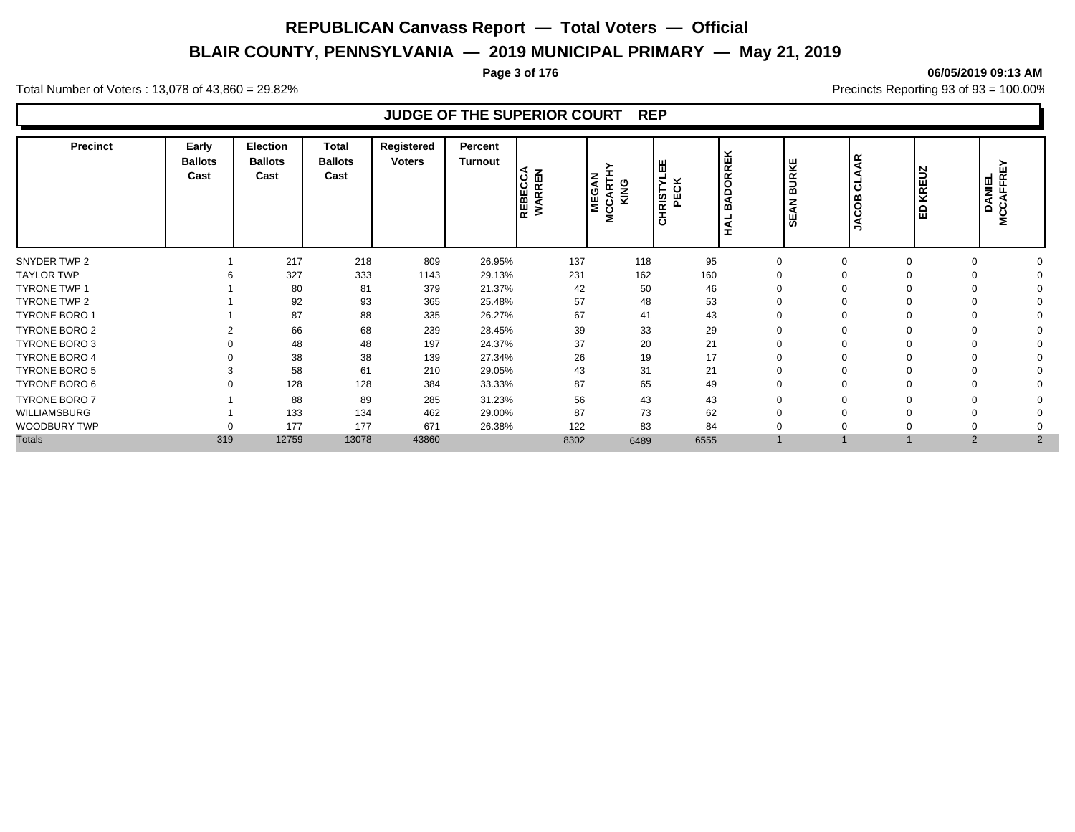# **BLAIR COUNTY, PENNSYLVANIA — 2019 MUNICIPAL PRIMARY — May 21, 2019**

#### **Page 3 of 176 06/05/2019 09:13 AM**

Total Number of Voters : 13,078 of 43,860 = 29.82% Precincts Reporting 93 of 93 = 100.00%

# **JUDGE OF THE SUPERIOR COURT REP**

| <b>Precinct</b>      | Early<br><b>Ballots</b><br>Cast | <b>Election</b><br><b>Ballots</b><br>Cast | Total<br><b>Ballots</b><br>Cast | Registered<br><b>Voters</b> | Percent<br>Turnout | REBECCA<br>WARREN | <b>MEGAN</b><br><b>MCCART</b><br>KING | 뿝<br><b>HRISTYLE</b><br>PECK<br>ပ | ORREK<br>Ō<br>◀<br>m<br>⋖ | ⋰<br>g<br>മ<br>z<br>◀<br>ш<br>ഗ | $\mathbf{R}$<br>ಕ<br>8<br>Š | <b>KREUZ</b><br>١ə | DANIEL<br>CCAFFRE`<br>$\circ$<br>Σ |  |
|----------------------|---------------------------------|-------------------------------------------|---------------------------------|-----------------------------|--------------------|-------------------|---------------------------------------|-----------------------------------|---------------------------|---------------------------------|-----------------------------|--------------------|------------------------------------|--|
| SNYDER TWP 2         |                                 | 217                                       | 218                             | 809                         | 26.95%             | 137               | 118                                   | 95                                |                           | $\Omega$                        | $\Omega$                    |                    | $\Omega$                           |  |
| <b>TAYLOR TWP</b>    |                                 | 327                                       | 333                             | 1143                        | 29.13%             | 231               | 162                                   | 160                               |                           |                                 |                             |                    |                                    |  |
| <b>TYRONE TWP 1</b>  |                                 | 80                                        | 81                              | 379                         | 21.37%             | 42                | 50                                    | 46                                |                           |                                 |                             |                    |                                    |  |
| TYRONE TWP 2         |                                 | 92                                        | 93                              | 365                         | 25.48%             | 57                | 48                                    | 53                                |                           |                                 |                             |                    |                                    |  |
| <b>TYRONE BORO 1</b> |                                 | 87                                        | 88                              | 335                         | 26.27%             | 67                | 41                                    | 43                                |                           |                                 | 0                           |                    |                                    |  |
| <b>TYRONE BORO 2</b> | $\mathfrak{p}$                  | 66                                        | 68                              | 239                         | 28.45%             | 39                | 33                                    | 29                                | $\Omega$                  | $\Omega$                        | $\Omega$                    | $\Omega$           | $\Omega$                           |  |
| <b>TYRONE BORO 3</b> |                                 | 48                                        | 48                              | 197                         | 24.37%             | 37                | 20                                    | 21                                |                           |                                 |                             |                    |                                    |  |
| <b>TYRONE BORO 4</b> |                                 | 38                                        | 38                              | 139                         | 27.34%             | 26                | 19                                    | 17                                |                           |                                 |                             |                    |                                    |  |
| <b>TYRONE BORO 5</b> |                                 | 58                                        | 61                              | 210                         | 29.05%             | 43                | 31                                    | 21                                |                           |                                 |                             |                    |                                    |  |
| TYRONE BORO 6        | 0                               | 128                                       | 128                             | 384                         | 33.33%             | 87                | 65                                    | 49                                |                           |                                 |                             |                    |                                    |  |
| <b>TYRONE BORO 7</b> |                                 | 88                                        | 89                              | 285                         | 31.23%             | 56                | 43                                    | 43                                | $\Omega$                  | $\Omega$                        | $\Omega$                    |                    | $\Omega$                           |  |
| WILLIAMSBURG         |                                 | 133                                       | 134                             | 462                         | 29.00%             | 87                | 73                                    | 62                                |                           |                                 |                             |                    |                                    |  |
| WOODBURY TWP         |                                 | 177                                       | 177                             | 671                         | 26.38%             | 122               | 83                                    | 84                                |                           |                                 |                             |                    |                                    |  |
| <b>Totals</b>        | 319                             | 12759                                     | 13078                           | 43860                       |                    | 8302              | 6489                                  | 6555                              |                           |                                 |                             | 2                  | $\overline{2}$                     |  |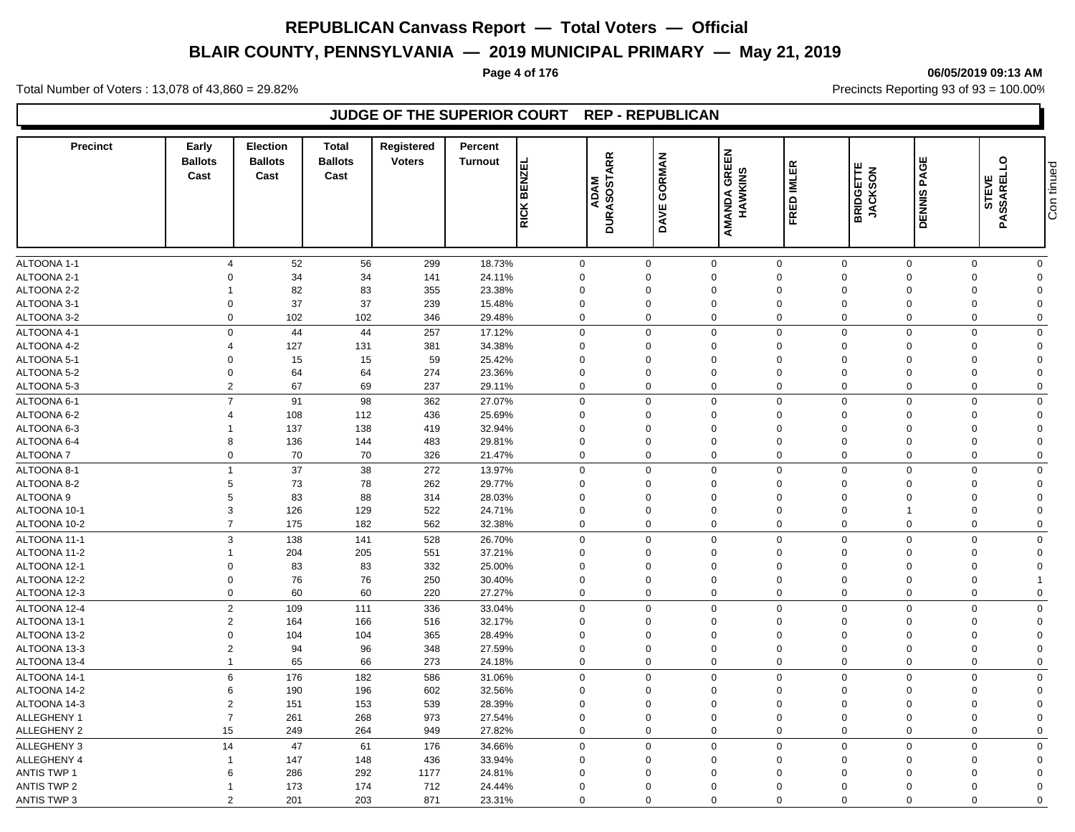# **BLAIR COUNTY, PENNSYLVANIA — 2019 MUNICIPAL PRIMARY — May 21, 2019**

**Page 4 of 176 06/05/2019 09:13 AM**

Total Number of Voters : 13,078 of 43,860 = 29.82% Precincts Reporting 93 of 93 = 100.00%

# **JUDGE OF THE SUPERIOR COURT REP - REPUBLICAN**

| <b>Precinct</b>    | Early<br><b>Ballots</b><br>Cast | Election<br><b>Ballots</b><br>Cast | <b>Total</b><br><b>Ballots</b><br>Cast | <b>Registered</b><br><b>Voters</b> | Percent<br><b>Turnout</b> | <b>BENZEL</b><br><b>RICK</b> | <b>DURASOSTARR</b><br><b>ADAM</b> | <b>GORMAN</b><br>DAVE | <b>AMANDA GREEN<br/>HAWKINS</b> | FRED IMLER  | <b>BRIDGETTE</b><br>JACKSON | PAGE<br><b>DENNIS</b> | $\overline{a}$<br>PASSAREL<br>STEVE | Con tinued   |
|--------------------|---------------------------------|------------------------------------|----------------------------------------|------------------------------------|---------------------------|------------------------------|-----------------------------------|-----------------------|---------------------------------|-------------|-----------------------------|-----------------------|-------------------------------------|--------------|
|                    |                                 |                                    |                                        |                                    |                           |                              |                                   |                       |                                 |             |                             |                       |                                     |              |
| ALTOONA 1-1        | 4                               | 52                                 | 56                                     | 299                                | 18.73%                    | $\mathbf 0$                  |                                   | $\mathbf 0$           | $\mathbf 0$                     | $\mathbf 0$ | $\mathbf 0$                 | $\mathbf 0$           | $\mathbf 0$                         | $\mathbf{0}$ |
| ALTOONA 2-1        | O                               | 34                                 | 34                                     | 141                                | 24.11%                    | $\mathbf 0$                  |                                   | $\Omega$              | $\Omega$                        | $\Omega$    | $\mathbf 0$                 | $\Omega$              | $\mathbf 0$                         | $\Omega$     |
| ALTOONA 2-2        |                                 | 82                                 | 83                                     | 355                                | 23.38%                    | $\mathbf 0$                  | $\Omega$                          |                       | $\Omega$                        | $\Omega$    | $\Omega$                    | $\Omega$              | $\mathbf 0$                         | $\Omega$     |
| ALTOONA 3-1        | $\Omega$                        | 37                                 | 37                                     | 239                                | 15.48%                    | $\mathbf 0$                  |                                   | $\Omega$              | $\Omega$                        | $\Omega$    | $\mathbf 0$                 | $\Omega$              | $\mathbf 0$                         | $\Omega$     |
| ALTOONA 3-2        | $\Omega$                        | 102                                | 102                                    | 346                                | 29.48%                    | $\mathbf 0$                  |                                   | $\Omega$              | $\Omega$                        | $\Omega$    | $\mathbf 0$                 | $\mathbf 0$           | $\mathbf 0$                         | $\Omega$     |
| ALTOONA 4-1        | $\mathbf 0$                     | 44                                 | 44                                     | 257                                | 17.12%                    | $\mathbf 0$                  |                                   | $\Omega$              | $\mathbf 0$                     | $\mathbf 0$ | $\mathbf 0$                 | $\Omega$              | $\mathbf 0$                         | $\mathbf 0$  |
| ALTOONA 4-2        |                                 | 127                                | 131                                    | 381                                | 34.38%                    | $\mathbf 0$                  |                                   | $\mathbf 0$           | $\mathbf 0$                     | $\mathbf 0$ | $\mathbf 0$                 | $\Omega$              | $\mathbf 0$                         | $\Omega$     |
| ALTOONA 5-1        | $\Omega$                        | 15                                 | 15                                     | 59                                 | 25.42%                    | $\mathbf 0$                  |                                   | $\Omega$              | $\Omega$                        | $\Omega$    | $\mathbf 0$                 | $\Omega$              | $\mathbf 0$                         | $\Omega$     |
| ALTOONA 5-2        | $\Omega$                        | 64                                 | 64                                     | 274                                | 23.36%                    | $\mathbf 0$                  |                                   | $\Omega$              | $\Omega$                        | $\Omega$    | $\mathbf 0$                 | $\Omega$              | $\mathbf 0$                         | $\Omega$     |
| ALTOONA 5-3        | $\overline{2}$                  | 67                                 | 69                                     | 237                                | 29.11%                    | $\mathbf 0$                  |                                   | $\Omega$              | $\mathbf 0$                     | $\Omega$    | $\mathbf 0$                 | $\Omega$              | $\mathbf 0$                         | $\mathbf 0$  |
|                    | $\overline{7}$                  |                                    |                                        |                                    |                           |                              |                                   |                       |                                 | $\Omega$    |                             |                       |                                     |              |
| ALTOONA 6-1        |                                 | 91                                 | 98                                     | 362                                | 27.07%                    | $\mathbf 0$                  |                                   | $\Omega$              | $\Omega$                        |             | $\mathbf 0$                 | $\Omega$              | $\mathbf 0$                         | $\mathbf 0$  |
| ALTOONA 6-2        | 4                               | 108                                | 112                                    | 436                                | 25.69%                    | $\mathbf 0$                  |                                   | $\Omega$              | $\mathbf 0$                     | $\Omega$    | $\mathbf 0$                 | $\Omega$              | $\mathbf 0$                         | $\Omega$     |
| ALTOONA 6-3        |                                 | 137                                | 138                                    | 419                                | 32.94%                    | $\mathbf 0$                  | $\Omega$                          |                       | $\mathbf 0$                     | 0           | $\mathbf 0$                 | $\Omega$              | $\mathbf 0$                         | $\mathbf 0$  |
| ALTOONA 6-4        | 8                               | 136                                | 144                                    | 483                                | 29.81%                    | $\mathbf 0$                  |                                   | $\Omega$              | $\Omega$                        | $\Omega$    | $\mathbf 0$                 | $\Omega$              | $\mathbf 0$                         | $\Omega$     |
| <b>ALTOONA7</b>    | $\mathbf 0$                     | 70                                 | 70                                     | 326                                | 21.47%                    | $\mathbf 0$                  |                                   | $\mathbf 0$           | $\mathbf 0$                     | $\mathbf 0$ | $\mathbf 0$                 | $\mathbf 0$           | $\mathbf 0$                         | $\mathbf 0$  |
| ALTOONA 8-1        | $\overline{1}$                  | 37                                 | 38                                     | 272                                | 13.97%                    | $\mathbf 0$                  |                                   | $\Omega$              | $\mathbf 0$                     | $\mathbf 0$ | $\mathbf 0$                 | $\mathbf 0$           | $\mathbf 0$                         | $\mathbf 0$  |
| ALTOONA 8-2        | 5                               | 73                                 | 78                                     | 262                                | 29.77%                    | $\mathbf 0$                  |                                   | $\Omega$              | $\Omega$                        | $\Omega$    | $\mathbf 0$                 | $\Omega$              | $\mathbf 0$                         | $\Omega$     |
| ALTOONA 9          | 5                               | 83                                 | 88                                     | 314                                | 28.03%                    | $\Omega$                     | $\Omega$                          |                       | $\Omega$                        | $\Omega$    | $\mathbf 0$                 | $\Omega$              | $\mathbf 0$                         | $\Omega$     |
| ALTOONA 10-1       | 3                               | 126                                | 129                                    | 522                                | 24.71%                    | $\mathbf 0$                  | $\mathbf 0$                       |                       | $\mathbf 0$                     | 0           | $\mathbf 0$                 |                       | $\mathbf 0$                         | $\Omega$     |
| ALTOONA 10-2       | $\overline{7}$                  | 175                                | 182                                    | 562                                | 32.38%                    | $\mathbf 0$                  |                                   | $\mathbf 0$           | $\Omega$                        | $\Omega$    | $\mathbf 0$                 | $\mathbf 0$           | $\mathbf 0$                         | $\Omega$     |
| ALTOONA 11-1       | 3                               | 138                                | 141                                    | 528                                | 26.70%                    | $\mathbf 0$                  |                                   | $\Omega$              | $\Omega$                        | $\Omega$    | $\mathbf 0$                 | $\Omega$              | $\mathbf 0$                         | $\mathbf 0$  |
| ALTOONA 11-2       |                                 | 204                                | 205                                    | 551                                | 37.21%                    | $\mathbf 0$                  | $\Omega$                          |                       | $\Omega$                        | $\Omega$    | $\mathbf 0$                 | $\Omega$              | $\mathbf 0$                         | $\Omega$     |
| ALTOONA 12-1       | $\Omega$                        | 83                                 | 83                                     | 332                                | 25.00%                    | $\mathbf 0$                  | $\Omega$                          |                       | 0                               | $\Omega$    | $\mathbf 0$                 | $\Omega$              | $\mathbf 0$                         | $\Omega$     |
| ALTOONA 12-2       | $\Omega$                        | 76                                 | 76                                     | 250                                | 30.40%                    | $\mathbf 0$                  |                                   | $\Omega$              | $\Omega$                        | $\Omega$    | $\mathbf 0$                 | $\Omega$              | $\mathbf 0$                         | 1            |
| ALTOONA 12-3       | $\mathbf 0$                     | 60                                 | 60                                     | 220                                | 27.27%                    | $\mathbf 0$                  |                                   | $\Omega$              | $\mathbf 0$                     | $\mathbf 0$ | $\mathbf 0$                 | $\mathbf 0$           | $\mathbf 0$                         | $\mathbf 0$  |
| ALTOONA 12-4       | $\overline{2}$                  | 109                                | 111                                    | 336                                | 33.04%                    | $\mathbf 0$                  |                                   | $\mathbf 0$           | $\mathbf 0$                     | $\mathbf 0$ | $\mathbf 0$                 | $\Omega$              | $\mathbf 0$                         | $\mathbf 0$  |
| ALTOONA 13-1       | $\overline{2}$                  | 164                                | 166                                    | 516                                | 32.17%                    | $\mathbf 0$                  |                                   | $\Omega$              | $\Omega$                        | $\Omega$    | $\mathbf 0$                 | $\Omega$              | $\mathbf 0$                         | $\Omega$     |
| ALTOONA 13-2       | $\Omega$                        | 104                                | 104                                    | 365                                | 28.49%                    | $\mathbf 0$                  | $\Omega$                          |                       | $\Omega$                        | 0           | $\mathbf 0$                 | $\Omega$              | $\mathbf 0$                         | $\Omega$     |
| ALTOONA 13-3       | $\overline{2}$                  | 94                                 | 96                                     | 348                                | 27.59%                    | $\Omega$                     |                                   | $\Omega$              | $\Omega$                        | $\Omega$    | $\mathbf 0$                 | $\Omega$              | $\mathbf 0$                         | $\Omega$     |
| ALTOONA 13-4       | $\mathbf{1}$                    | 65                                 | 66                                     | 273                                | 24.18%                    | $\mathbf 0$                  |                                   | $\Omega$              | 0                               | $\Omega$    | $\mathbf 0$                 | $\Omega$              | $\mathbf 0$                         | $\Omega$     |
| ALTOONA 14-1       | 6                               | 176                                | 182                                    | 586                                | 31.06%                    | $\mathbf 0$                  |                                   | $\Omega$              | $\Omega$                        | $\mathbf 0$ | $\mathbf 0$                 | $\Omega$              | $\mathbf 0$                         | $\mathbf 0$  |
| ALTOONA 14-2       | 6                               | 190                                | 196                                    | 602                                | 32.56%                    | $\mathbf 0$                  |                                   | $\Omega$              | $\mathbf 0$                     | 0           | $\mathbf 0$                 | $\Omega$              | $\mathbf 0$                         | $\Omega$     |
| ALTOONA 14-3       | $\overline{2}$                  | 151                                | 153                                    | 539                                | 28.39%                    | $\mathbf 0$                  |                                   | $\Omega$              | $\Omega$                        | $\Omega$    | $\mathbf 0$                 | $\Omega$              | $\mathbf 0$                         | $\Omega$     |
| ALLEGHENY 1        | $\overline{7}$                  | 261                                | 268                                    | 973                                | 27.54%                    | $\mathbf 0$                  |                                   | $\Omega$              | $\mathbf 0$                     | $\mathbf 0$ | $\mathbf 0$                 | $\Omega$              | $\mathbf 0$                         | $\mathbf 0$  |
| ALLEGHENY 2        | 15                              | 249                                | 264                                    | 949                                | 27.82%                    | $\mathbf 0$                  |                                   | 0                     | $\mathbf 0$                     | $\mathbf 0$ | $\mathbf 0$                 | $\mathbf 0$           | $\mathbf 0$                         | $\mathbf 0$  |
| ALLEGHENY 3        | 14                              | 47                                 | 61                                     | 176                                | 34.66%                    | $\mathbf 0$                  |                                   | $\mathbf 0$           | $\mathbf 0$                     | $\mathbf 0$ | $\mathbf 0$                 | $\Omega$              | $\mathbf 0$                         | $\mathbf 0$  |
| ALLEGHENY 4        |                                 | 147                                | 148                                    | 436                                | 33.94%                    | $\mathbf 0$                  |                                   | $\Omega$              | $\Omega$                        | 0           | $\mathbf{0}$                | $\Omega$              | $\mathbf 0$                         | $\Omega$     |
| <b>ANTIS TWP 1</b> | 6                               | 286                                | 292                                    | 1177                               | 24.81%                    | $\Omega$                     | $\Omega$                          |                       | $\Omega$                        | 0           | $\Omega$                    | $\Omega$              | $\mathbf 0$                         | $\Omega$     |
| <b>ANTIS TWP 2</b> |                                 | 173                                | 174                                    | 712                                | 24.44%                    | $\Omega$                     | $\Omega$                          |                       | $\Omega$                        | $\Omega$    | $\Omega$                    | $\Omega$              | $\Omega$                            | $\Omega$     |
| ANTIS TWP 3        | $\mathfrak{p}$                  | 201                                | 203                                    | 871                                | 23.31%                    | $\Omega$                     |                                   | $\Omega$              | $\Omega$                        | $\Omega$    | $\Omega$                    | $\Omega$              | $\Omega$                            | $\Omega$     |
|                    |                                 |                                    |                                        |                                    |                           |                              |                                   |                       |                                 |             |                             |                       |                                     |              |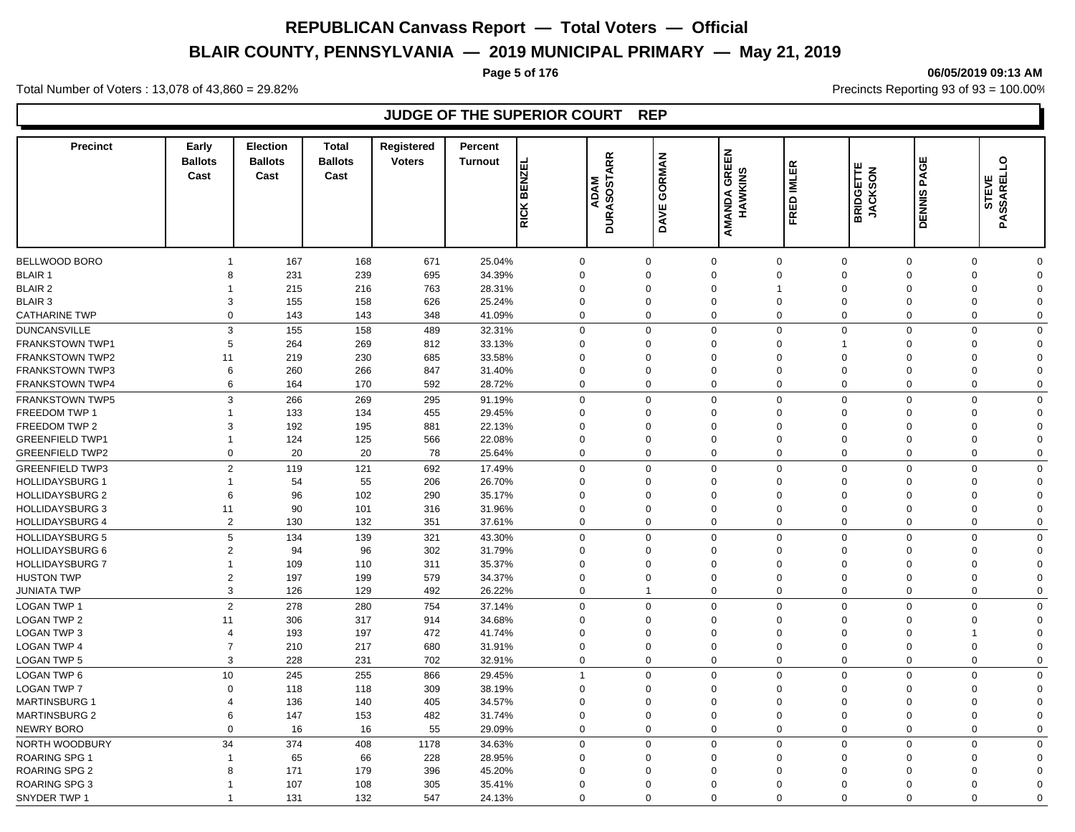# **BLAIR COUNTY, PENNSYLVANIA — 2019 MUNICIPAL PRIMARY — May 21, 2019**

#### **Page 5 of 176 06/05/2019 09:13 AM**

Total Number of Voters : 13,078 of 43,860 = 29.82% Precincts Reporting 93 of 93 = 100.00%

# **JUDGE OF THE SUPERIOR COURT REP**

| <b>Precinct</b>        | Early<br><b>Ballots</b><br>Cast | <b>Election</b><br><b>Ballots</b><br>Cast | <b>Total</b><br><b>Ballots</b><br>Cast | <b>Registered</b><br><b>Voters</b> | Percent<br><b>Turnout</b> | <b>BENZEL</b>  | <b>DURASOSTARR</b><br><b>ADAM</b> | GORMAN      | AMANDA GREEN<br>HAWKINS | FRED IMLER     | <b>BRIDGETTE</b><br><b>JACKSON</b> | PAGE          | $\overline{a}$<br>STEVE |             |
|------------------------|---------------------------------|-------------------------------------------|----------------------------------------|------------------------------------|---------------------------|----------------|-----------------------------------|-------------|-------------------------|----------------|------------------------------------|---------------|-------------------------|-------------|
|                        |                                 |                                           |                                        |                                    |                           | RICK           |                                   | DAVE        |                         |                |                                    | <b>DENNIS</b> | PASSAREL                |             |
| BELLWOOD BORO          |                                 | 167                                       | 168                                    | 671                                | 25.04%                    | $\mathbf 0$    | $\Omega$                          |             | $\mathbf{0}$            | $\mathsf 0$    | $\mathbf 0$                        | $\mathbf 0$   | $\mathbf 0$             | $\Omega$    |
| <b>BLAIR 1</b>         | 8                               | 231                                       | 239                                    | 695                                | 34.39%                    | $\mathbf 0$    | $\Omega$                          |             | $\Omega$                | $\Omega$       | $\mathbf 0$                        | $\Omega$      | $\mathbf 0$             | $\Omega$    |
| <b>BLAIR 2</b>         |                                 | 215                                       | 216                                    | 763                                | 28.31%                    | $\Omega$       | $\Omega$                          |             | $\Omega$                |                | $\mathbf{0}$                       | $\Omega$      | $\Omega$                | $\Omega$    |
| <b>BLAIR 3</b>         | 3                               | 155                                       | 158                                    | 626                                | 25.24%                    | $\mathbf 0$    | $\mathbf 0$                       |             | $\overline{0}$          | 0              | $\mathbf 0$                        | $\Omega$      | $\mathbf 0$             | $\Omega$    |
| <b>CATHARINE TWP</b>   | $\Omega$                        | 143                                       | 143                                    | 348                                | 41.09%                    | $\mathbf 0$    | $\Omega$                          |             | $\Omega$                | $\Omega$       | $\mathbf 0$                        | $\Omega$      | $\Omega$                | $\Omega$    |
| <b>DUNCANSVILLE</b>    | 3                               | 155                                       | 158                                    | 489                                | 32.31%                    | $\mathbf 0$    | $\Omega$                          |             | $\Omega$                | $\Omega$       | $\mathbf 0$                        | $\Omega$      | $\Omega$                | $\mathbf 0$ |
| FRANKSTOWN TWP1        | 5                               | 264                                       | 269                                    | 812                                | 33.13%                    | $\mathbf 0$    | $\Omega$                          |             | $\Omega$                | $\Omega$       | $\overline{1}$                     | $\Omega$      | $\mathbf 0$             | $\Omega$    |
| FRANKSTOWN TWP2        | 11                              | 219                                       | 230                                    | 685                                | 33.58%                    | $\mathbf 0$    | $\Omega$                          |             | $\Omega$                | $\Omega$       | $\Omega$                           | $\Omega$      | $\Omega$                | $\Omega$    |
| <b>FRANKSTOWN TWP3</b> | 6                               | 260                                       | 266                                    | 847                                | 31.40%                    | $\mathbf 0$    | $\Omega$                          |             | $\Omega$                | $\Omega$       | $\Omega$                           | $\Omega$      | $\mathbf 0$             | $\Omega$    |
| FRANKSTOWN TWP4        | 6                               | 164                                       | 170                                    | 592                                | 28.72%                    | $\mathbf 0$    |                                   | $\mathbf 0$ | $\mathbf 0$             | $\Omega$       | $\mathbf 0$                        | $\Omega$      | $\mathbf 0$             | $\mathbf 0$ |
| <b>FRANKSTOWN TWP5</b> | 3                               | 266                                       | 269                                    | 295                                | 91.19%                    | $\mathbf 0$    |                                   | $\mathbf 0$ | $\mathbf 0$             | $\Omega$       | $\mathbf 0$                        | $\Omega$      | $\mathbf 0$             | $\Omega$    |
| FREEDOM TWP 1          |                                 | 133                                       | 134                                    | 455                                | 29.45%                    | $\mathbf 0$    | $\Omega$                          |             | $\Omega$                | $\overline{0}$ | $\mathbf 0$                        | $\Omega$      | $\mathbf 0$             | $\Omega$    |
| FREEDOM TWP 2          | 3                               | 192                                       | 195                                    | 881                                | 22.13%                    | $\mathbf 0$    | $\Omega$                          |             | $\Omega$                | $\Omega$       | $\mathbf 0$                        | $\Omega$      | $\mathbf 0$             | $\Omega$    |
| <b>GREENFIELD TWP1</b> |                                 | 124                                       | 125                                    | 566                                | 22.08%                    | $\mathbf 0$    |                                   | 0           | $\Omega$                | $\Omega$       | $\mathbf 0$                        | $\Omega$      | $\mathbf 0$             | $\Omega$    |
| <b>GREENFIELD TWP2</b> | $\mathbf 0$                     | 20                                        | 20                                     | 78                                 | 25.64%                    | $\mathbf 0$    |                                   | $\mathbf 0$ | $\mathbf 0$             | $\Omega$       | $\mathbf 0$                        | $\Omega$      | $\mathbf 0$             | $\mathbf 0$ |
|                        |                                 |                                           |                                        |                                    |                           |                |                                   |             |                         |                |                                    |               |                         |             |
| <b>GREENFIELD TWP3</b> | 2                               | 119                                       | 121                                    | 692                                | 17.49%                    | $\mathbf 0$    | $\Omega$                          |             | $\Omega$                | $\Omega$       | $\mathbf 0$                        | $\Omega$      | $\Omega$                | $\mathbf 0$ |
| <b>HOLLIDAYSBURG 1</b> |                                 | 54                                        | 55                                     | 206                                | 26.70%                    | $\mathbf 0$    | $\mathbf 0$                       |             | $\Omega$                | 0              | $\mathbf 0$                        | $\Omega$      | $\mathbf 0$             | $\Omega$    |
| <b>HOLLIDAYSBURG 2</b> | 6                               | 96                                        | 102                                    | 290                                | 35.17%                    | $\Omega$       | $\Omega$                          |             | $\Omega$                | $\Omega$       | $\Omega$                           | $\Omega$      | $\mathbf 0$             | $\Omega$    |
| <b>HOLLIDAYSBURG 3</b> | 11                              | 90                                        | 101                                    | 316                                | 31.96%                    | $\mathbf 0$    | $\Omega$                          |             | $\mathbf 0$             | 0              | $\mathbf 0$                        | $\Omega$      | $\mathsf 0$             | $\Omega$    |
| <b>HOLLIDAYSBURG 4</b> | $\overline{2}$                  | 130                                       | 132                                    | 351                                | 37.61%                    | $\mathbf 0$    |                                   | $\mathbf 0$ | $\Omega$                | $\Omega$       | $\mathbf 0$                        | $\Omega$      | $\mathbf 0$             | $\mathbf 0$ |
| <b>HOLLIDAYSBURG 5</b> | 5                               | 134                                       | 139                                    | 321                                | 43.30%                    | $\mathbf 0$    | $\Omega$                          |             | $\Omega$                | $\Omega$       | $\mathbf 0$                        | $\Omega$      | $\mathbf 0$             | $\mathbf 0$ |
| <b>HOLLIDAYSBURG 6</b> | $\overline{2}$                  | 94                                        | 96                                     | 302                                | 31.79%                    | $\mathbf 0$    | $\Omega$                          |             | $\Omega$                | $\overline{0}$ | $\overline{0}$                     | $\Omega$      | $\mathbf 0$             | $\mathbf 0$ |
| <b>HOLLIDAYSBURG 7</b> |                                 | 109                                       | 110                                    | 311                                | 35.37%                    | $\mathbf 0$    | $\Omega$                          |             | $\Omega$                | $\Omega$       | $\Omega$                           | $\Omega$      | $\mathbf 0$             | $\Omega$    |
| <b>HUSTON TWP</b>      | $\overline{2}$                  | 197                                       | 199                                    | 579                                | 34.37%                    | $\mathbf 0$    | $\Omega$                          |             | $\Omega$                | $\overline{0}$ | $\overline{0}$                     | $\Omega$      | $\mathbf 0$             | $\Omega$    |
| <b>JUNIATA TWP</b>     | 3                               | 126                                       | 129                                    | 492                                | 26.22%                    | $\mathbf 0$    | 1                                 |             | $\Omega$                | $\Omega$       | $\Omega$                           | $\Omega$      | $\mathbf 0$             | $\Omega$    |
| <b>LOGAN TWP 1</b>     | $\overline{2}$                  | 278                                       | 280                                    | 754                                | 37.14%                    | $\mathbf 0$    |                                   | $\mathbf 0$ | $\Omega$                | $\Omega$       | $\mathbf 0$                        | $\Omega$      | $\mathbf 0$             | $\Omega$    |
| <b>LOGAN TWP 2</b>     | 11                              | 306                                       | 317                                    | 914                                | 34.68%                    | $\mathbf 0$    | $\Omega$                          |             | $\Omega$                | $\Omega$       | $\mathbf 0$                        | $\Omega$      | $\Omega$                | $\Omega$    |
| <b>LOGAN TWP 3</b>     | $\boldsymbol{\Delta}$           | 193                                       | 197                                    | 472                                | 41.74%                    | $\mathbf 0$    | $\Omega$                          |             | $\Omega$                | $\Omega$       | $\mathbf 0$                        | $\Omega$      | $\overline{1}$          | $\Omega$    |
| <b>LOGAN TWP 4</b>     |                                 | 210                                       | 217                                    | 680                                | 31.91%                    | $\mathbf 0$    | $\mathbf 0$                       |             | $\Omega$                | $\Omega$       | $\mathbf 0$                        | $\Omega$      | $\mathbf 0$             | $\Omega$    |
| <b>LOGAN TWP 5</b>     | 3                               | 228                                       | 231                                    | 702                                | 32.91%                    | $\mathbf 0$    | $\Omega$                          |             | $\Omega$                | $\Omega$       | $\mathbf 0$                        | $\Omega$      | $\mathbf 0$             | $\Omega$    |
| <b>LOGAN TWP 6</b>     | 10                              | 245                                       | 255                                    | 866                                | 29.45%                    | $\overline{1}$ | $\Omega$                          |             | $\Omega$                | $\Omega$       | $\mathbf 0$                        | $\Omega$      | $\mathbf 0$             | $\mathbf 0$ |
| <b>LOGAN TWP 7</b>     | $\Omega$                        | 118                                       | 118                                    | 309                                | 38.19%                    | $\mathbf 0$    | $\mathbf 0$                       |             | $\mathbf 0$             | 0              | $\mathbf 0$                        | $\Omega$      | $\mathbf 0$             | $\mathbf 0$ |
| <b>MARTINSBURG 1</b>   | $\overline{4}$                  | 136                                       | 140                                    | 405                                | 34.57%                    | $\mathbf 0$    | $\Omega$                          |             | $\Omega$                | $\Omega$       | $\mathbf 0$                        | $\Omega$      | $\mathbf 0$             | $\Omega$    |
| <b>MARTINSBURG 2</b>   | 6                               | 147                                       | 153                                    | 482                                | 31.74%                    | $\mathbf 0$    | $\mathbf 0$                       |             | $\mathbf 0$             | $\mathbf 0$    | $\mathbf 0$                        | $\Omega$      | $\mathbf 0$             | $\mathbf 0$ |
| <b>NEWRY BORO</b>      | $\mathbf 0$                     | 16                                        | 16                                     | 55                                 | 29.09%                    | $\mathbf 0$    |                                   | $\mathbf 0$ | $\mathbf 0$             | $\mathbf 0$    | $\mathbf 0$                        | $\Omega$      | $\mathbf 0$             | $\mathbf 0$ |
| NORTH WOODBURY         | 34                              | 374                                       | 408                                    | 1178                               | 34.63%                    | $\mathbf 0$    | $\Omega$                          |             | $\Omega$                | $\mathbf 0$    | $\mathbf 0$                        | $\Omega$      | $\mathbf 0$             | $\mathbf 0$ |
| ROARING SPG 1          |                                 | 65                                        | 66                                     | 228                                | 28.95%                    | $\mathbf 0$    | $\Omega$                          |             | $\Omega$                | $\Omega$       | $\Omega$                           | $\Omega$      | $\mathbf 0$             | $\Omega$    |
| ROARING SPG 2          | 8                               | 171                                       | 179                                    | 396                                | 45.20%                    | $\Omega$       | $\Omega$                          |             | $\Omega$                | $\Omega$       | $\Omega$                           | $\Omega$      | $\Omega$                | $\Omega$    |
| ROARING SPG 3          |                                 | 107                                       | 108                                    | 305                                | 35.41%                    | $\Omega$       | $\Omega$                          |             | $\Omega$                | $\Omega$       | $\Omega$                           | $\Omega$      | $\mathbf 0$             | $\Omega$    |
| SNYDER TWP 1           |                                 | 131                                       | 132                                    | 547                                | 24.13%                    | $\Omega$       |                                   | $\Omega$    | $\Omega$                | $\Omega$       | $\Omega$                           | $\Omega$      | $\Omega$                | $\Omega$    |
|                        |                                 |                                           |                                        |                                    |                           |                |                                   |             |                         |                |                                    |               |                         |             |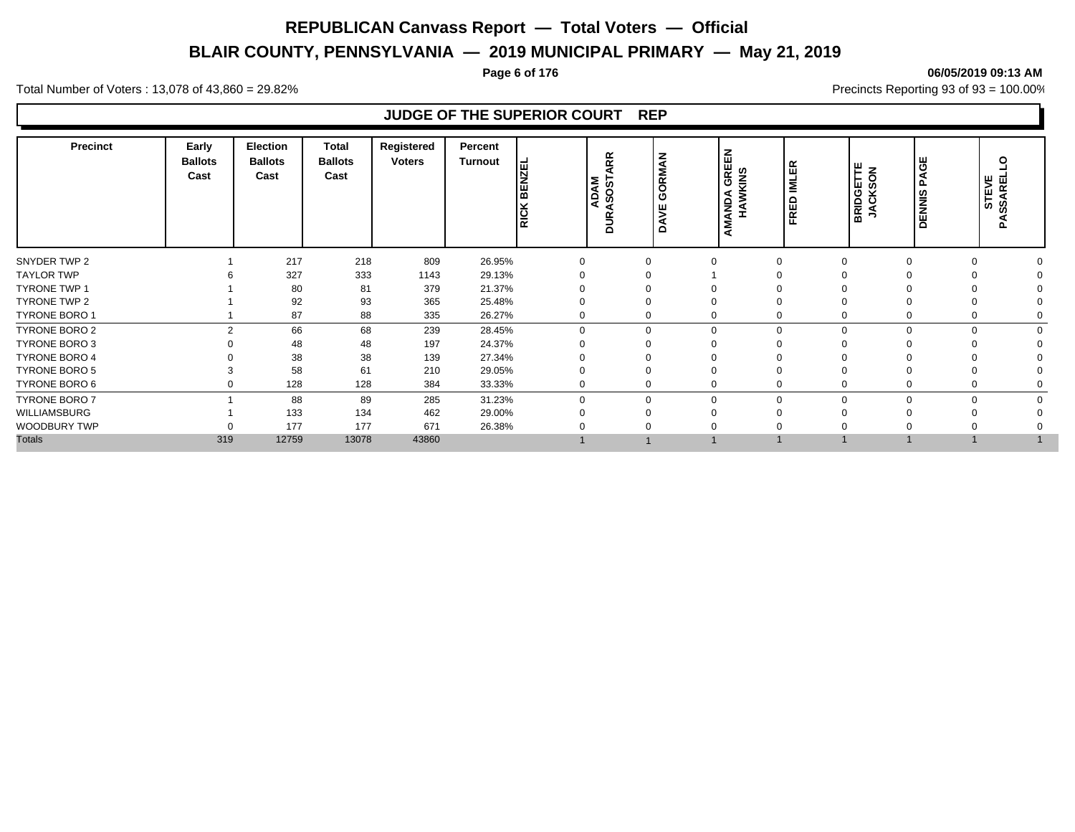# **BLAIR COUNTY, PENNSYLVANIA — 2019 MUNICIPAL PRIMARY — May 21, 2019**

#### **Page 6 of 176 06/05/2019 09:13 AM**

Total Number of Voters : 13,078 of 43,860 = 29.82% Precincts Reporting 93 of 93 = 100.00%

# **JUDGE OF THE SUPERIOR COURT REP**

| <b>Precinct</b>      | Early<br><b>Ballots</b><br>Cast | <b>Election</b><br><b>Ballots</b><br>Cast | <b>Total</b><br><b>Ballots</b><br>Cast | Registered<br><b>Voters</b> | Percent<br>Turnout | 뭅<br>z<br>ш<br>面<br><b>RICK</b> | RR<br>ADAM<br>ASOST<br><b>DUR</b> | GORMAN<br>뿡<br>ă | <b>GREEN</b><br>HAWKINS<br>AMANDA | <b>IMLER</b><br><b>RED</b><br>匝 | BRIDGETTE<br>JACKSON | AGE<br>௳<br><b>DENNIS</b> | Q<br>AREL<br>,<br>STE<br>အိ<br>⋖<br>Δ. |
|----------------------|---------------------------------|-------------------------------------------|----------------------------------------|-----------------------------|--------------------|---------------------------------|-----------------------------------|------------------|-----------------------------------|---------------------------------|----------------------|---------------------------|----------------------------------------|
| SNYDER TWP 2         |                                 | 217                                       | 218                                    | 809                         | 26.95%             |                                 |                                   |                  |                                   |                                 | $\Omega$             |                           | $\Omega$                               |
| <b>TAYLOR TWP</b>    |                                 | 327                                       | 333                                    | 1143                        | 29.13%             |                                 |                                   |                  |                                   |                                 |                      |                           |                                        |
| <b>TYRONE TWP 1</b>  |                                 | 80                                        | 81                                     | 379                         | 21.37%             |                                 |                                   |                  |                                   |                                 |                      |                           |                                        |
| <b>TYRONE TWP 2</b>  |                                 | 92                                        | 93                                     | 365                         | 25.48%             |                                 |                                   |                  |                                   |                                 |                      |                           |                                        |
| TYRONE BORO 1        |                                 | 87                                        | 88                                     | 335                         | 26.27%             |                                 |                                   |                  |                                   |                                 |                      |                           | $\Omega$                               |
| <b>TYRONE BORO 2</b> | $\mathfrak{p}$                  | 66                                        | 68                                     | 239                         | 28.45%             | O                               |                                   |                  | $\Omega$                          | $\Omega$                        |                      |                           | $\mathbf 0$<br>$\Omega$                |
| <b>TYRONE BORO 3</b> |                                 | 48                                        | 48                                     | 197                         | 24.37%             |                                 |                                   |                  |                                   |                                 |                      |                           |                                        |
| <b>TYRONE BORO 4</b> |                                 | 38                                        | 38                                     | 139                         | 27.34%             |                                 |                                   |                  |                                   |                                 |                      |                           |                                        |
| <b>TYRONE BORO 5</b> |                                 | 58                                        | 61                                     | 210                         | 29.05%             |                                 |                                   |                  |                                   |                                 |                      |                           |                                        |
| TYRONE BORO 6        |                                 | 128                                       | 128                                    | 384                         | 33.33%             |                                 |                                   |                  |                                   |                                 |                      |                           | $\Omega$                               |
| <b>TYRONE BORO 7</b> |                                 | 88                                        | 89                                     | 285                         | 31.23%             | $\Omega$                        |                                   | $\Omega$         | $\Omega$                          |                                 | $\Omega$             | U                         | 0<br>$\Omega$                          |
| WILLIAMSBURG         |                                 | 133                                       | 134                                    | 462                         | 29.00%             |                                 |                                   |                  |                                   |                                 |                      |                           | $\Omega$                               |
| WOODBURY TWP         |                                 | 177                                       | 177                                    | 671                         | 26.38%             |                                 |                                   |                  |                                   |                                 |                      |                           |                                        |
| <b>Totals</b>        | 319                             | 12759                                     | 13078                                  | 43860                       |                    |                                 |                                   |                  |                                   |                                 |                      |                           |                                        |
|                      |                                 |                                           |                                        |                             |                    |                                 |                                   |                  |                                   |                                 |                      |                           |                                        |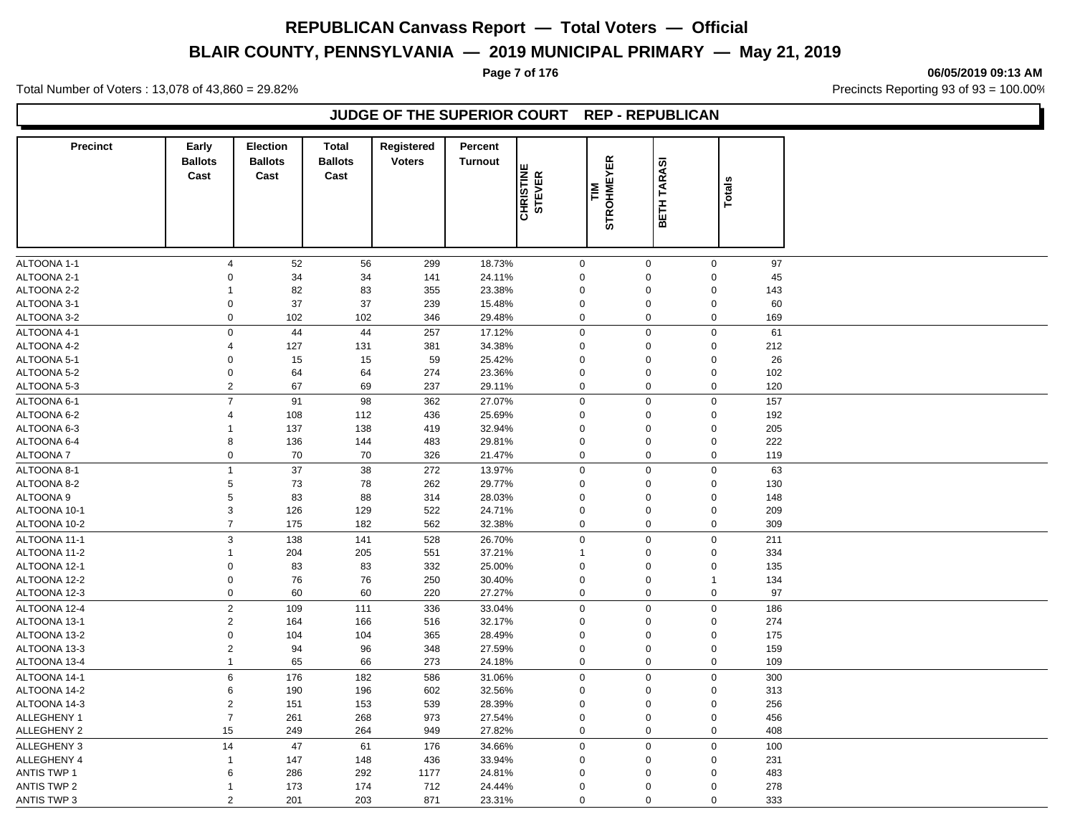# **BLAIR COUNTY, PENNSYLVANIA — 2019 MUNICIPAL PRIMARY — May 21, 2019**

**Page 7 of 176 06/05/2019 09:13 AM**

Total Number of Voters : 13,078 of 43,860 = 29.82% Precincts Reporting 93 of 93 = 100.00%

## **JUDGE OF THE SUPERIOR COURT REP - REPUBLICAN**

| <b>Precinct</b>    | Early<br><b>Ballots</b> | <b>Election</b><br><b>Ballots</b> | <b>Total</b><br><b>Ballots</b> | Registered<br><b>Voters</b> | Percent<br><b>Turnout</b> |                            |                         |                         |              |     |  |
|--------------------|-------------------------|-----------------------------------|--------------------------------|-----------------------------|---------------------------|----------------------------|-------------------------|-------------------------|--------------|-----|--|
|                    | Cast                    | Cast                              | Cast                           |                             |                           | <b>CHRISTINE</b><br>STEVER | <b>STROHMEYER</b><br>ΣĒ | <b>TARASI</b><br>Ě<br>ᄒ | Totals       |     |  |
|                    |                         |                                   |                                |                             |                           |                            |                         |                         |              |     |  |
| ALTOONA 1-1        | $\overline{4}$          | 52                                | 56                             | 299                         | 18.73%                    | $\mathbf 0$                |                         | $\mathbf 0$             | $\mathbf 0$  | 97  |  |
| ALTOONA 2-1        | $\Omega$                | 34                                | 34                             | 141                         | 24.11%                    | $\mathbf 0$                |                         | $\mathbf 0$             | $\mathbf 0$  | 45  |  |
| ALTOONA 2-2        | $\mathbf 1$             | 82                                | 83                             | 355                         | 23.38%                    | $\mathbf 0$                |                         | $\mathbf 0$             | $\mathbf 0$  | 143 |  |
| ALTOONA 3-1        | $\Omega$                | 37                                | 37                             | 239                         | 15.48%                    | $\mathbf 0$                |                         | $\mathbf 0$             | $\pmb{0}$    | 60  |  |
| ALTOONA 3-2        | $\mathbf 0$             | 102                               | 102                            | 346                         | 29.48%                    | $\mathbf 0$                |                         | $\mathbf 0$             | $\mathbf 0$  | 169 |  |
| ALTOONA 4-1        | $\mathbf 0$             | 44                                | 44                             | 257                         | 17.12%                    | $\mathbf 0$                |                         | $\mathbf 0$             | $\mathbf 0$  | 61  |  |
| ALTOONA 4-2        | $\overline{4}$          | 127                               | 131                            | 381                         | 34.38%                    | $\mathbf 0$                |                         | $\mathbf 0$             | $\mathbf 0$  | 212 |  |
| ALTOONA 5-1        | $\mathbf 0$             | 15                                | 15                             | 59                          | 25.42%                    | $\mathbf 0$                |                         | $\mathbf 0$             | $\pmb{0}$    | 26  |  |
| ALTOONA 5-2        | $\mathbf 0$             | 64                                | 64                             | 274                         | 23.36%                    | $\mathbf 0$                |                         | $\mathbf 0$             | $\mathbf 0$  | 102 |  |
| ALTOONA 5-3        | $\overline{2}$          | 67                                | 69                             | 237                         | 29.11%                    | $\mathbf 0$                |                         | $\mathbf 0$             | $\mathbf 0$  | 120 |  |
| ALTOONA 6-1        | $\overline{7}$          | 91                                | 98                             | 362                         | 27.07%                    | $\mathbf 0$                |                         | $\mathbf 0$             | $\mathbf 0$  | 157 |  |
| ALTOONA 6-2        | $\overline{4}$          | 108                               | 112                            | 436                         | 25.69%                    | $\mathbf 0$                |                         | $\mathbf 0$             | $\mathbf 0$  | 192 |  |
| ALTOONA 6-3        | $\mathbf{1}$            | 137                               | 138                            | 419                         | 32.94%                    | $\mathbf 0$                |                         | $\mathbf 0$             | $\mathbf 0$  | 205 |  |
| ALTOONA 6-4        | 8                       | 136                               | 144                            | 483                         | 29.81%                    | $\mathbf 0$                |                         | $\mathbf 0$             | $\pmb{0}$    | 222 |  |
| <b>ALTOONA7</b>    | $\mathsf 0$             | 70                                | 70                             | 326                         | 21.47%                    | $\boldsymbol{0}$           |                         | $\mathbf 0$             | $\mathbf 0$  | 119 |  |
| ALTOONA 8-1        | $\mathbf{1}$            | 37                                | 38                             | 272                         | 13.97%                    | $\mathbf 0$                |                         | $\mathbf 0$             | $\mathbf 0$  | 63  |  |
| ALTOONA 8-2        | $\,$ 5 $\,$             | 73                                | 78                             | 262                         | 29.77%                    | $\mathbf 0$                |                         | $\mathbf 0$             | $\pmb{0}$    | 130 |  |
| ALTOONA 9          | 5                       | 83                                | 88                             | 314                         | 28.03%                    | $\mathbf 0$                |                         | $\mathbf 0$             | $\pmb{0}$    | 148 |  |
| ALTOONA 10-1       | $\mathsf 3$             | 126                               | 129                            | 522                         | 24.71%                    | $\mathbf 0$                |                         | $\mathbf 0$             | $\pmb{0}$    | 209 |  |
| ALTOONA 10-2       | $\overline{7}$          | 175                               | 182                            | 562                         | 32.38%                    | $\mathbf 0$                |                         | $\mathbf 0$             | $\mathbf 0$  | 309 |  |
| ALTOONA 11-1       | 3                       | 138                               | 141                            | 528                         | 26.70%                    | $\mathbf 0$                |                         | $\mathbf 0$             | $\pmb{0}$    | 211 |  |
| ALTOONA 11-2       | $\mathbf{1}$            | 204                               | 205                            | 551                         | 37.21%                    | $\overline{1}$             |                         | $\mathbf 0$             | $\mathbf 0$  | 334 |  |
| ALTOONA 12-1       | $\mathbf 0$             | 83                                | 83                             | 332                         | 25.00%                    | $\mathbf 0$                |                         | $\mathbf 0$             | $\mathbf 0$  | 135 |  |
| ALTOONA 12-2       | $\mathbf 0$             | 76                                | 76                             | 250                         | 30.40%                    | $\mathbf 0$                |                         | $\mathbf 0$             | $\mathbf{1}$ | 134 |  |
| ALTOONA 12-3       | $\mathsf 0$             | 60                                | 60                             | 220                         | 27.27%                    | $\mathbf 0$                |                         | $\mathbf 0$             | $\mathbf 0$  | 97  |  |
| ALTOONA 12-4       | $\overline{2}$          | 109                               | 111                            | 336                         | 33.04%                    | $\mathbf 0$                |                         | $\mathbf 0$             | $\mathbf 0$  | 186 |  |
| ALTOONA 13-1       | $\sqrt{2}$              | 164                               | 166                            | 516                         | 32.17%                    | $\mathbf 0$                |                         | $\mathbf 0$             | $\mathbf 0$  | 274 |  |
| ALTOONA 13-2       | $\mathbf 0$             | 104                               | 104                            | 365                         | 28.49%                    | $\Omega$                   |                         | $\mathbf 0$             | $\pmb{0}$    | 175 |  |
| ALTOONA 13-3       | $\overline{2}$          | 94                                | 96                             | 348                         | 27.59%                    | $\mathbf 0$                |                         | $\mathbf 0$             | $\pmb{0}$    | 159 |  |
| ALTOONA 13-4       | $\mathbf{1}$            | 65                                | 66                             | 273                         | 24.18%                    | $\mathbf 0$                |                         | $\mathbf 0$             | $\pmb{0}$    | 109 |  |
| ALTOONA 14-1       | 6                       | 176                               | 182                            | 586                         | 31.06%                    | $\mathbf 0$                |                         | $\mathbf 0$             | $\mathbf 0$  | 300 |  |
| ALTOONA 14-2       | 6                       | 190                               | 196                            | 602                         | 32.56%                    | $\mathbf 0$                |                         | $\mathbf 0$             | $\mathbf 0$  | 313 |  |
| ALTOONA 14-3       | $\sqrt{2}$              | 151                               | 153                            | 539                         | 28.39%                    | $\mathbf 0$                |                         | $\mathbf 0$             | $\pmb{0}$    | 256 |  |
| <b>ALLEGHENY 1</b> | $\overline{7}$          | 261                               | 268                            | 973                         | 27.54%                    | $\mathbf 0$                |                         | $\mathbf 0$             | $\pmb{0}$    | 456 |  |
| <b>ALLEGHENY 2</b> | 15                      | 249                               | 264                            | 949                         | 27.82%                    | $\mathbf 0$                |                         | $\mathbf 0$             | $\mathbf 0$  | 408 |  |
| ALLEGHENY 3        | 14                      | 47                                | 61                             | 176                         | 34.66%                    | $\mathbf 0$                |                         | $\mathbf 0$             | $\mathbf 0$  | 100 |  |
| ALLEGHENY 4        | $\mathbf{1}$            | 147                               | 148                            | 436                         | 33.94%                    | $\mathbf 0$                |                         | $\mathbf 0$             | $\mathbf 0$  | 231 |  |
| <b>ANTIS TWP 1</b> | 6                       | 286                               | 292                            | 1177                        | 24.81%                    | $\Omega$                   |                         | $\mathbf 0$             | $\mathbf 0$  | 483 |  |
| <b>ANTIS TWP 2</b> | $\mathbf{1}$            | 173                               | 174                            | 712                         | 24.44%                    | $\mathbf 0$                |                         | $\mathbf 0$             | $\mathbf 0$  | 278 |  |
| ANTIS TWP 3        | 2                       | 201                               | 203                            | 871                         | 23.31%                    | $\mathbf 0$                |                         | $\mathbf 0$             | $\mathbf 0$  | 333 |  |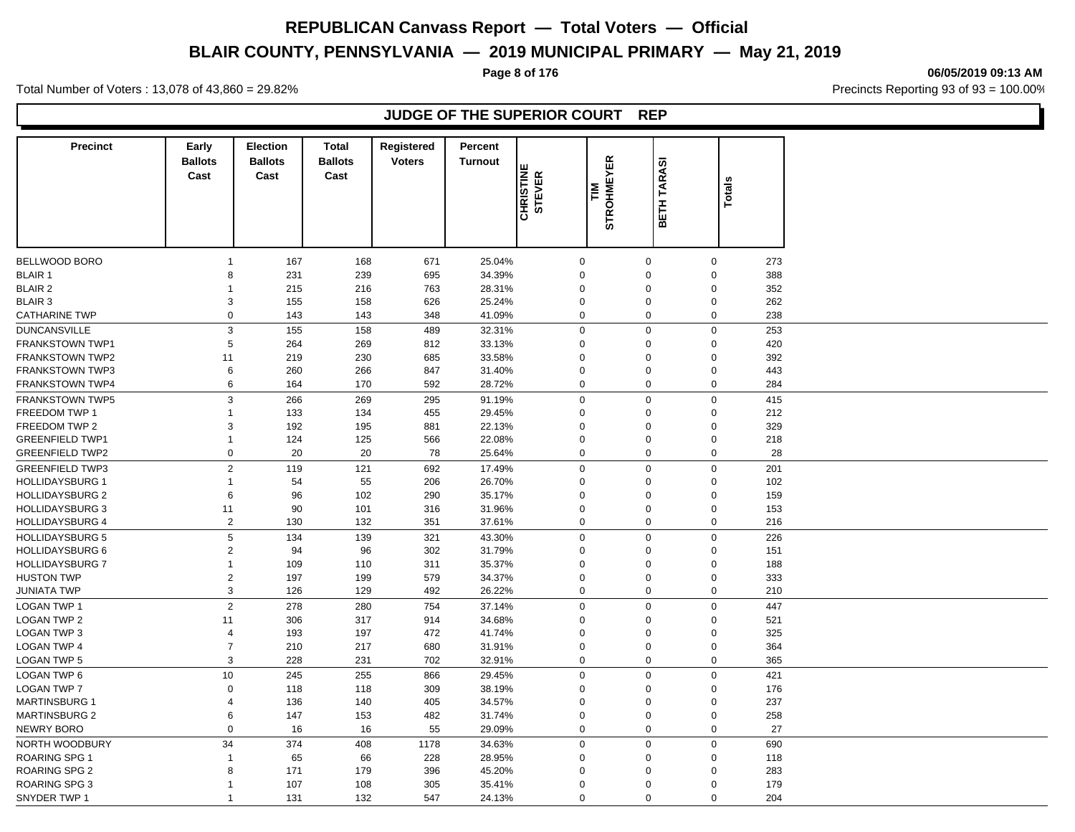# **BLAIR COUNTY, PENNSYLVANIA — 2019 MUNICIPAL PRIMARY — May 21, 2019**

**Page 8 of 176 06/05/2019 09:13 AM**

Total Number of Voters : 13,078 of 43,860 = 29.82% Precincts Reporting 93 of 93 = 100.00%

# **JUDGE OF THE SUPERIOR COURT REP**

| <b>Precinct</b>        | Early<br><b>Ballots</b>          | Election<br><b>Ballots</b> | <b>Total</b><br><b>Ballots</b> | Registered<br><b>Voters</b> | Percent<br><b>Turnout</b> |                            |                          |                      |                            |     |
|------------------------|----------------------------------|----------------------------|--------------------------------|-----------------------------|---------------------------|----------------------------|--------------------------|----------------------|----------------------------|-----|
|                        | Cast                             | Cast                       | Cast                           |                             |                           | <b>CHRISTINE</b><br>STEVER | <b>STROHMEYER</b><br>MLZ | <b>TARASI</b>        | <b>Totals</b>              |     |
|                        |                                  |                            |                                |                             |                           |                            |                          | Ě<br>⋒               |                            |     |
|                        |                                  |                            |                                |                             |                           |                            |                          |                      |                            |     |
| BELLWOOD BORO          | $\mathbf{1}$                     | 167                        | 168                            | 671                         | 25.04%                    | $\mathbf 0$                |                          | $\mathbf 0$          | $\mathbf 0$                | 273 |
| <b>BLAIR 1</b>         | 8                                | 231                        | 239                            | 695                         | 34.39%                    | $\mathbf 0$                |                          | $\Omega$             | $\mathbf 0$                | 388 |
| <b>BLAIR 2</b>         | $\mathbf{1}$                     | 215                        | 216                            | 763                         | 28.31%                    | $\Omega$                   |                          | $\Omega$             | $\Omega$                   | 352 |
| <b>BLAIR 3</b>         | 3                                | 155                        | 158                            | 626                         | 25.24%                    | $\mathbf 0$                |                          | $\Omega$             | $\mathbf 0$                | 262 |
| <b>CATHARINE TWP</b>   | $\Omega$                         | 143                        | 143                            | 348                         | 41.09%                    | $\mathbf 0$                |                          | $\Omega$             | $\mathbf 0$                | 238 |
| <b>DUNCANSVILLE</b>    | 3                                | 155                        | 158                            | 489                         | 32.31%                    | $\mathbf 0$                |                          | $\Omega$             | $\mathbf 0$                | 253 |
| FRANKSTOWN TWP1        | 5                                | 264                        | 269                            | 812                         | 33.13%                    | $\mathbf 0$                |                          | $\mathbf 0$          | $\mathbf 0$                | 420 |
| <b>FRANKSTOWN TWP2</b> | 11                               | 219                        | 230                            | 685                         | 33.58%                    | $\mathbf 0$                |                          | $\Omega$             | 0                          | 392 |
| <b>FRANKSTOWN TWP3</b> | 6                                | 260                        | 266                            | 847                         | 31.40%                    |                            | 0                        | $\Omega$             | $\mathbf 0$                | 443 |
| <b>FRANKSTOWN TWP4</b> | 6                                | 164                        | 170                            | 592                         | 28.72%                    | $\mathbf 0$                |                          | $\mathbf 0$          | $\mathbf 0$                | 284 |
| <b>FRANKSTOWN TWP5</b> | $\mathsf 3$                      | 266                        | 269                            | 295                         | 91.19%                    |                            | 0                        | $\Omega$             | $\mathsf 0$                | 415 |
| FREEDOM TWP 1          | $\mathbf{1}$                     | 133                        | 134                            | 455                         | 29.45%                    | $\mathbf 0$                |                          | $\mathbf 0$          | $\mathbf 0$                | 212 |
| FREEDOM TWP 2          | 3                                | 192                        | 195                            | 881                         | 22.13%                    | $\mathbf 0$                |                          | $\Omega$             | $\mathbf 0$                | 329 |
| <b>GREENFIELD TWP1</b> | $\mathbf{1}$                     | 124                        | 125                            | 566                         | 22.08%                    | $\mathbf 0$                |                          | $\Omega$             | $\mathbf 0$                | 218 |
| <b>GREENFIELD TWP2</b> | $\mathbf 0$                      | 20                         | 20                             | 78                          | 25.64%                    |                            | $\mathbf 0$              | $\mathbf 0$          | $\mathbf 0$                | 28  |
| <b>GREENFIELD TWP3</b> | $\overline{2}$                   | 119                        | 121                            | 692                         | 17.49%                    |                            | $\mathbf 0$              | $\Omega$             | $\mathbf 0$                | 201 |
| <b>HOLLIDAYSBURG 1</b> | $\mathbf{1}$                     | 54                         | 55                             | 206                         | 26.70%                    | $\mathbf 0$                |                          | $\Omega$             | $\mathbf 0$                | 102 |
| <b>HOLLIDAYSBURG 2</b> | 6                                | 96                         | 102                            | 290                         | 35.17%                    | $\mathbf 0$                |                          | $\Omega$             | $\Omega$                   | 159 |
| <b>HOLLIDAYSBURG 3</b> | 11                               | 90                         | 101                            | 316                         | 31.96%                    | $\mathbf 0$                |                          | $\Omega$             | $\mathbf 0$                | 153 |
| <b>HOLLIDAYSBURG 4</b> | $\overline{2}$                   | 130                        | 132                            | 351                         | 37.61%                    |                            | $\mathbf 0$              | $\mathbf 0$          | $\mathbf 0$                | 216 |
| <b>HOLLIDAYSBURG 5</b> | $\,$ 5 $\,$                      | 134                        | 139                            | 321                         | 43.30%                    | $\mathbf 0$                |                          | $\mathbf 0$          | $\mathbf 0$                | 226 |
| <b>HOLLIDAYSBURG 6</b> | 2                                | 94                         | 96                             | 302                         | 31.79%                    |                            | 0                        | $\Omega$             | $\mathbf 0$                | 151 |
| <b>HOLLIDAYSBURG 7</b> | $\mathbf{1}$                     | 109                        | 110                            | 311                         | 35.37%                    | $\mathbf 0$                |                          | $\Omega$             | $\mathbf 0$                | 188 |
| <b>HUSTON TWP</b>      | $\sqrt{2}$                       | 197                        | 199                            | 579                         | 34.37%                    | $\mathbf 0$                |                          | $\Omega$             | $\mathbf 0$                | 333 |
| <b>JUNIATA TWP</b>     | 3                                | 126                        | 129                            | 492                         | 26.22%                    | $\mathbf 0$                |                          | $\Omega$             | $\mathbf 0$                | 210 |
| <b>LOGAN TWP 1</b>     | $\overline{c}$                   | 278                        | 280                            | 754                         | 37.14%                    |                            | $\mathbf 0$              | $\Omega$             | $\mathbf 0$                | 447 |
|                        |                                  |                            |                                |                             |                           |                            |                          | $\Omega$             |                            |     |
| <b>LOGAN TWP 2</b>     | 11                               | 306                        | 317                            | 914                         | 34.68%                    | $\mathbf 0$                |                          |                      | $\mathbf 0$                | 521 |
| <b>LOGAN TWP 3</b>     | $\overline{4}$<br>$\overline{7}$ | 193                        | 197                            | 472                         | 41.74%                    | $\mathbf 0$                |                          | $\Omega$<br>$\Omega$ | 0                          | 325 |
| LOGAN TWP 4            | 3                                | 210                        | 217                            | 680                         | 31.91%                    |                            | 0<br>0                   |                      | $\mathbf 0$<br>$\mathsf 0$ | 364 |
| <b>LOGAN TWP 5</b>     |                                  | 228                        | 231                            | 702                         | 32.91%                    |                            |                          | $\mathbf 0$          |                            | 365 |
| <b>LOGAN TWP 6</b>     | 10                               | 245                        | 255                            | 866                         | 29.45%                    |                            | 0                        | $\mathbf 0$          | $\mathbf 0$                | 421 |
| <b>LOGAN TWP 7</b>     | $\mathbf 0$                      | 118                        | 118                            | 309                         | 38.19%                    | $\mathbf 0$                |                          | $\Omega$             | $\mathbf 0$                | 176 |
| <b>MARTINSBURG 1</b>   | $\overline{4}$                   | 136                        | 140                            | 405                         | 34.57%                    | $\Omega$                   |                          | $\Omega$             | $\mathbf 0$                | 237 |
| <b>MARTINSBURG 2</b>   | 6                                | 147                        | 153                            | 482                         | 31.74%                    | $\mathbf 0$                |                          | $\Omega$             | $\mathsf 0$                | 258 |
| NEWRY BORO             | $\Omega$                         | 16                         | 16                             | 55                          | 29.09%                    |                            | $\mathbf 0$              | $\mathbf 0$          | $\mathbf 0$                | 27  |
| NORTH WOODBURY         | 34                               | 374                        | 408                            | 1178                        | 34.63%                    | $\mathbf 0$                |                          | $\Omega$             | $\mathbf 0$                | 690 |
| <b>ROARING SPG 1</b>   | $\mathbf{1}$                     | 65                         | 66                             | 228                         | 28.95%                    | $\mathbf 0$                |                          | $\Omega$             | $\mathbf 0$                | 118 |
| ROARING SPG 2          | 8                                | 171                        | 179                            | 396                         | 45.20%                    | $\mathbf 0$                |                          | $\Omega$             | $\Omega$                   | 283 |
| <b>ROARING SPG 3</b>   | $\mathbf{1}$                     | 107                        | 108                            | 305                         | 35.41%                    | $\Omega$                   |                          | $\Omega$             | $\mathbf 0$                | 179 |
| SNYDER TWP 1           | $\mathbf{1}$                     | 131                        | 132                            | 547                         | 24.13%                    |                            | $\mathbf 0$              | $\Omega$             | $\mathbf 0$                | 204 |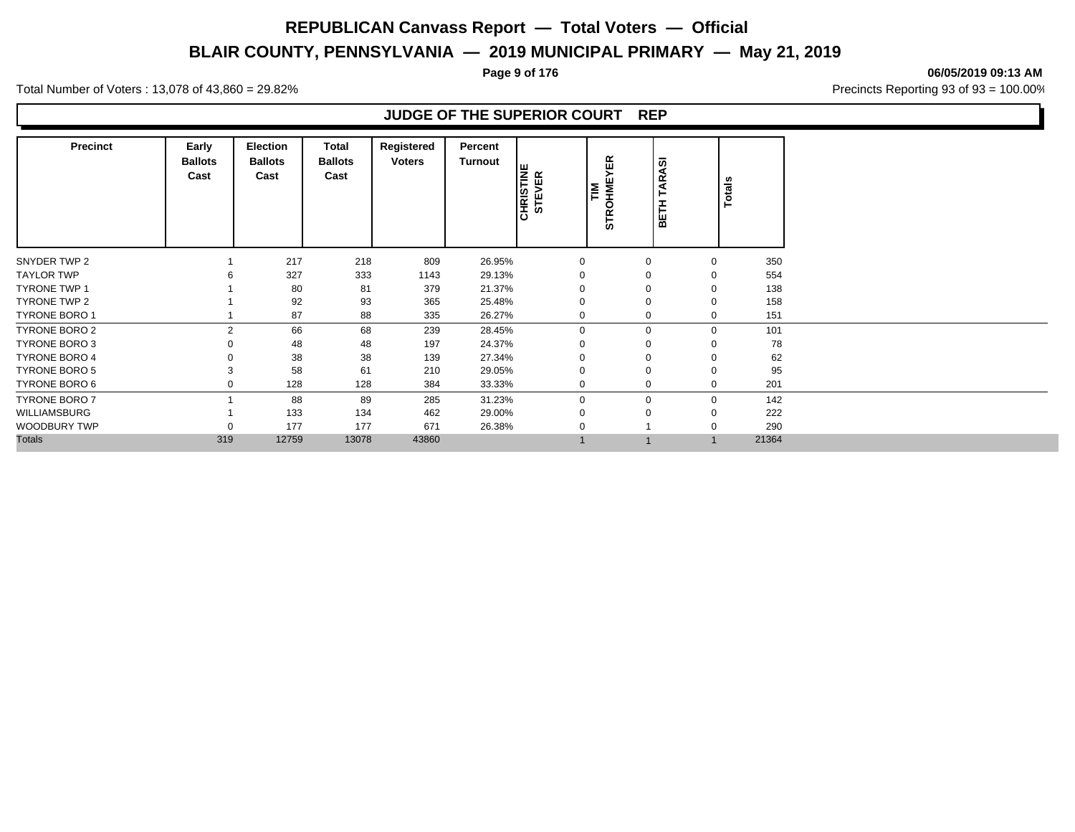# **BLAIR COUNTY, PENNSYLVANIA — 2019 MUNICIPAL PRIMARY — May 21, 2019**

**Page 9 of 176 06/05/2019 09:13 AM**

Total Number of Voters : 13,078 of 43,860 = 29.82% Precincts Reporting 93 of 93 = 100.00%

## **JUDGE OF THE SUPERIOR COURT REP**

| <b>Precinct</b>      | Early<br><b>Ballots</b><br>Cast | <b>Election</b><br><b>Ballots</b><br>Cast | <b>Total</b><br><b>Ballots</b><br>Cast | Registered<br><b>Voters</b> | Percent<br><b>Turnout</b> | <b>CHRISTINE</b><br>STEVER | 띥<br><b>STROHME</b><br>ᄐ | <b>TARASI</b><br>BETH | Totals      |       |
|----------------------|---------------------------------|-------------------------------------------|----------------------------------------|-----------------------------|---------------------------|----------------------------|--------------------------|-----------------------|-------------|-------|
| SNYDER TWP 2         |                                 | 217                                       | 218                                    | 809                         | 26.95%                    | 0                          | 0                        |                       | 0           | 350   |
| <b>TAYLOR TWP</b>    |                                 | 327                                       | 333                                    | 1143                        | 29.13%                    | 0                          | 0                        |                       | 0           | 554   |
| <b>TYRONE TWP 1</b>  |                                 | 80                                        | 81                                     | 379                         | 21.37%                    | $\Omega$                   | 0                        |                       | $\mathbf 0$ | 138   |
| TYRONE TWP 2         |                                 | 92                                        | 93                                     | 365                         | 25.48%                    | $\Omega$                   | $\Omega$                 |                       | $\mathbf 0$ | 158   |
| <b>TYRONE BORO 1</b> |                                 | 87                                        | 88                                     | 335                         | 26.27%                    | $\mathbf 0$                | $\mathbf 0$              |                       | $\mathbf 0$ | 151   |
| TYRONE BORO 2        | 2                               | 66                                        | 68                                     | 239                         | 28.45%                    | $\mathbf 0$                | $\mathbf 0$              |                       | $\mathbf 0$ | 101   |
| <b>TYRONE BORO 3</b> |                                 | 48                                        | 48                                     | 197                         | 24.37%                    | 0                          | 0                        |                       | $\mathbf 0$ | 78    |
| <b>TYRONE BORO 4</b> |                                 | 38                                        | 38                                     | 139                         | 27.34%                    | $\Omega$                   | $\Omega$                 |                       |             | 62    |
| TYRONE BORO 5        |                                 | 58                                        | 61                                     | 210                         | 29.05%                    | $\Omega$                   | $\Omega$                 |                       | 0           | 95    |
| TYRONE BORO 6        |                                 | 128                                       | 128                                    | 384                         | 33.33%                    | $\mathbf 0$                |                          | $\mathbf 0$           | $\mathbf 0$ | 201   |
| <b>TYRONE BORO 7</b> |                                 | 88                                        | 89                                     | 285                         | 31.23%                    | $\mathbf 0$                |                          | $\mathbf 0$           | 0           | 142   |
| <b>WILLIAMSBURG</b>  |                                 | 133                                       | 134                                    | 462                         | 29.00%                    | $\Omega$                   | $\Omega$                 |                       | 0           | 222   |
| <b>WOODBURY TWP</b>  |                                 | 177                                       | 177                                    | 671                         | 26.38%                    |                            |                          |                       | $\mathbf 0$ | 290   |
| <b>Totals</b>        | 319                             | 12759                                     | 13078                                  | 43860                       |                           |                            |                          |                       | $\mathbf 1$ | 21364 |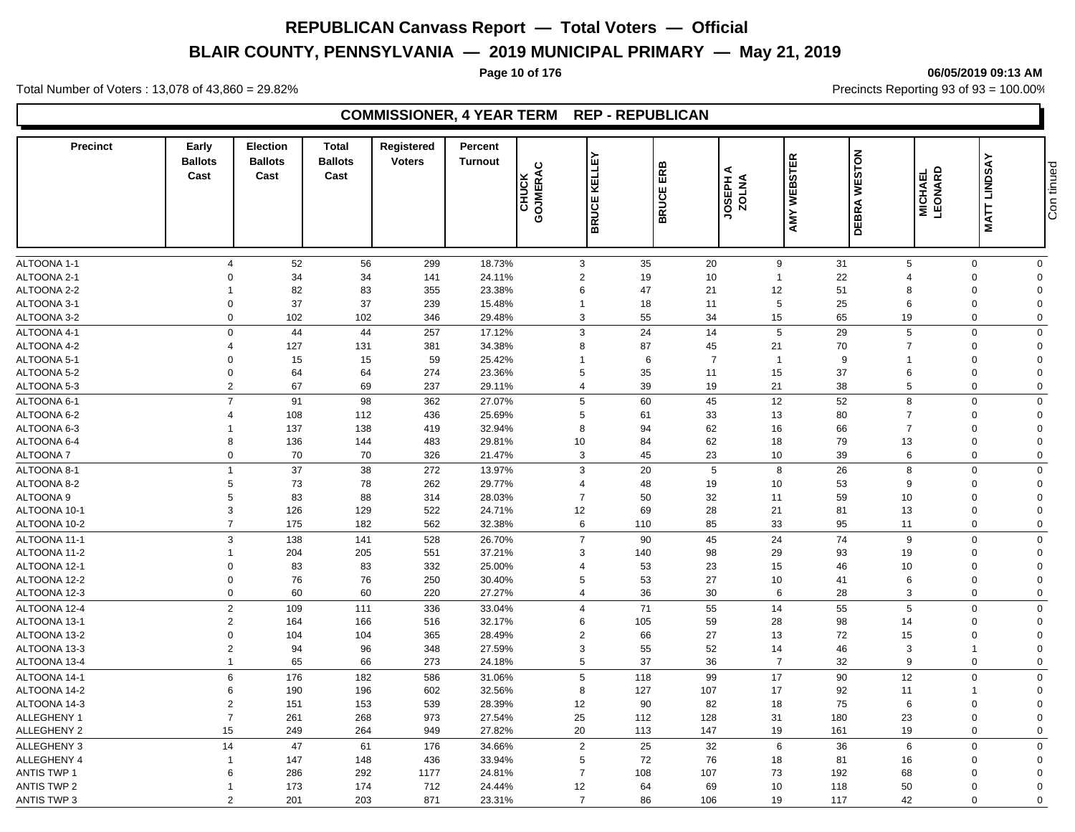# **BLAIR COUNTY, PENNSYLVANIA — 2019 MUNICIPAL PRIMARY — May 21, 2019**

**Page 10 of 176 06/05/2019 09:13 AM**

Total Number of Voters : 13,078 of 43,860 = 29.82% Precincts Reporting 93 of 93 = 100.00%

# **COMMISSIONER, 4 YEAR TERM REP - REPUBLICAN**

| <b>Precinct</b>    | Early<br><b>Ballots</b><br>Cast | <b>Election</b><br><b>Ballots</b><br>Cast | <b>Total</b><br><b>Ballots</b><br>Cast | Registered<br><b>Voters</b> | Percent<br><b>Turnout</b> | GOJMERAC<br>CHUCK                | 모<br>닖<br>¥<br>ш<br><b>BRUCI</b> | ERB<br>BRUCE   | ⋖<br><b>ANTOZ</b> | <b>WEBSTER</b><br>AMY | <b>DEBRA WESTON</b> | <b>MICHAEL</b><br>LEONARD | <b>MATT LINDSAY</b> | Con tinued |
|--------------------|---------------------------------|-------------------------------------------|----------------------------------------|-----------------------------|---------------------------|----------------------------------|----------------------------------|----------------|-------------------|-----------------------|---------------------|---------------------------|---------------------|------------|
|                    |                                 |                                           |                                        |                             |                           |                                  |                                  |                |                   |                       |                     |                           |                     |            |
| ALTOONA 1-1        |                                 | 52<br>$\overline{4}$                      | 56                                     | 299                         | 18.73%                    | $\mathbf{3}$                     | 35                               | 20             |                   | 31<br>9               | 5                   | $\mathbf 0$               | $\mathbf 0$         |            |
| ALTOONA 2-1        | $\Omega$                        | 34                                        | 34                                     | 141                         | 24.11%                    | $\sqrt{2}$                       | 19                               | 10             | $\overline{1}$    | 22                    | $\overline{4}$      | $\mathbf 0$               | $\Omega$            |            |
| ALTOONA 2-2        | -1                              | 82                                        | 83                                     | 355                         | 23.38%                    | 6                                | 47                               | 21             | 12                | 51                    | 8                   | $\mathbf 0$               | $\Omega$            |            |
| ALTOONA 3-1        |                                 | 37<br>$\mathbf 0$                         | 37                                     | 239                         | 15.48%                    | $\mathbf{1}$                     | 18                               | 11             |                   | $\sqrt{5}$<br>25      | 6                   | $\mathbf 0$               | $\Omega$            |            |
| ALTOONA 3-2        |                                 | 102<br>$\Omega$                           | 102                                    | 346                         | 29.48%                    | 3                                | 55                               | 34             | 15                | 65                    | 19                  | $\mathbf 0$               | $\Omega$            |            |
| ALTOONA 4-1        |                                 | $\mathbf 0$<br>44                         | 44                                     | 257                         | 17.12%                    | 3                                | 24                               | 14             |                   | $\sqrt{5}$<br>29      | 5                   | $\mathbf 0$               | $\Omega$            |            |
| ALTOONA 4-2        | $\overline{4}$                  | 127                                       | 131                                    | 381                         | 34.38%                    | 8                                | 87                               | 45             | 21                | 70                    | $\overline{7}$      | $\mathbf 0$               | $\Omega$            |            |
| ALTOONA 5-1        | $\mathbf 0$                     | 15                                        | 15                                     | 59                          | 25.42%                    | $\overline{1}$                   | 6                                | $\overline{7}$ |                   | $\mathbf{1}$          | 9<br>$\overline{1}$ | $\mathbf 0$               | $\Omega$            |            |
| ALTOONA 5-2        |                                 | 64<br>$\Omega$                            | 64                                     | 274                         | 23.36%                    | 5                                | 35                               | 11             | 15                | 37                    | 6                   | 0                         | $\Omega$            |            |
| ALTOONA 5-3        |                                 | $\overline{2}$<br>67                      | 69                                     | 237                         | 29.11%                    | 4                                | 39                               | 19             | 21                | 38                    | 5                   | $\mathbf 0$               | $\Omega$            |            |
| ALTOONA 6-1        |                                 | $\overline{7}$<br>91                      | 98                                     | 362                         | 27.07%                    | $\,$ 5 $\,$                      | 60                               | 45             | 12                | 52                    | 8                   | $\mathbf 0$               | $\Omega$            |            |
| ALTOONA 6-2        | $\overline{4}$                  | 108                                       | 112                                    | 436                         | 25.69%                    | 5                                | 61                               | 33             | 13                | 80                    | $\overline{7}$      | $\mathbf 0$               | $\Omega$            |            |
| ALTOONA 6-3        | -1                              | 137                                       | 138                                    | 419                         | 32.94%                    | 8                                | 94                               | 62             | 16                | 66                    | $\overline{7}$      | 0                         | $\Omega$            |            |
| ALTOONA 6-4        | 8                               | 136                                       | 144                                    | 483                         | 29.81%                    | 10                               | 84                               | 62             | 18                | 79                    | 13                  | $\mathbf 0$               | $\Omega$            |            |
| <b>ALTOONA7</b>    |                                 | 70<br>$\mathbf 0$                         | 70                                     | 326                         | 21.47%                    | 3                                | 45                               | 23             | 10                | 39                    | 6                   | $\mathbf 0$               | $\Omega$            |            |
|                    |                                 |                                           |                                        |                             |                           |                                  |                                  |                |                   |                       |                     |                           |                     |            |
| ALTOONA 8-1        | $\mathbf{1}$                    | 37                                        | 38                                     | 272                         | 13.97%                    | 3                                | 20                               | 5              |                   | 8<br>26               | 8                   | $\mathbf 0$               | $\mathbf 0$         |            |
| ALTOONA 8-2        | 5                               | 73                                        | 78                                     | 262                         | 29.77%                    | $\overline{4}$<br>$\overline{7}$ | 48                               | 19             | 10                | 53                    | 9                   | $\mathbf 0$               | $\Omega$            |            |
| ALTOONA 9          | 5                               | 83                                        | 88                                     | 314                         | 28.03%                    |                                  | 50                               | 32             | 11                | 59                    | 10                  | 0                         | $\Omega$            |            |
| ALTOONA 10-1       | 3                               | 126<br>$\overline{7}$                     | 129                                    | 522                         | 24.71%                    | 12                               | 69                               | 28             | 21                | 81                    | 13                  | 0                         | $\Omega$            |            |
| ALTOONA 10-2       |                                 | 175                                       | 182                                    | 562                         | 32.38%                    | 6                                | 110                              | 85             | 33                | 95                    | 11                  | $\mathbf 0$               | $\mathbf 0$         |            |
| ALTOONA 11-1       |                                 | 3<br>138                                  | 141                                    | 528                         | 26.70%                    | $\overline{7}$                   | 90                               | 45             | 24                | 74                    | 9                   | $\mathbf 0$               | $\Omega$            |            |
| ALTOONA 11-2       | $\mathbf{1}$                    | 204                                       | 205                                    | 551                         | 37.21%                    | 3                                | 140                              | 98             | 29                | 93                    | 19                  | $\mathbf 0$               | $\Omega$            |            |
| ALTOONA 12-1       | $\Omega$                        | 83                                        | 83                                     | 332                         | 25.00%                    | $\overline{4}$                   | 53                               | 23             | 15                | 46                    | 10                  | $\mathbf 0$               | $\Omega$            |            |
| ALTOONA 12-2       | $\mathbf 0$                     | 76                                        | 76                                     | 250                         | 30.40%                    | 5                                | 53                               | 27             | 10                | 41                    | 6                   | $\mathbf 0$               | $\Omega$            |            |
| ALTOONA 12-3       |                                 | 60<br>$\mathbf 0$                         | 60                                     | 220                         | 27.27%                    | $\overline{4}$                   | 36                               | 30             |                   | 28<br>6               | 3                   | $\mathbf 0$               | $\mathbf 0$         |            |
| ALTOONA 12-4       |                                 | $\overline{2}$<br>109                     | 111                                    | 336                         | 33.04%                    | $\overline{4}$                   | 71                               | 55             | 14                | 55                    | 5                   | $\mathbf 0$               | $\Omega$            |            |
| ALTOONA 13-1       |                                 | $\overline{2}$<br>164                     | 166                                    | 516                         | 32.17%                    | 6                                | 105                              | 59             | 28                | 98                    | 14                  | $\mathbf 0$               | $\Omega$            |            |
| ALTOONA 13-2       | $\mathbf 0$                     | 104                                       | 104                                    | 365                         | 28.49%                    | $\overline{2}$                   | 66                               | 27             | 13                | 72                    | 15                  | 0                         | $\Omega$            |            |
| ALTOONA 13-3       |                                 | $\overline{2}$<br>94                      | 96                                     | 348                         | 27.59%                    | 3                                | 55                               | 52             | 14                | 46                    | 3                   | $\overline{1}$            | $\Omega$            |            |
| ALTOONA 13-4       |                                 | 65<br>$\mathbf{1}$                        | 66                                     | 273                         | 24.18%                    | $\,$ 5 $\,$                      | 37                               | 36             |                   | $\overline{7}$<br>32  | 9                   | $\mathbf 0$               | $\Omega$            |            |
| ALTOONA 14-1       |                                 | 6<br>176                                  | 182                                    | 586                         | 31.06%                    | 5                                | 118                              | 99             | 17                | 90                    | 12                  | $\mathbf 0$               | $\Omega$            |            |
| ALTOONA 14-2       | 6                               | 190                                       | 196                                    | 602                         | 32.56%                    | 8                                | 127                              | 107            | 17                | 92                    | 11                  | $\overline{1}$            | $\Omega$            |            |
| ALTOONA 14-3       | $\overline{2}$                  | 151                                       | 153                                    | 539                         | 28.39%                    | 12                               | 90                               | 82             | 18                | 75                    | 6                   | 0                         | $\Omega$            |            |
| ALLEGHENY 1        | $\overline{7}$                  | 261                                       | 268                                    | 973                         | 27.54%                    | 25                               | 112                              | 128            | 31                | 180                   | 23                  | $\mathbf 0$               | $\Omega$            |            |
| ALLEGHENY 2        | 15                              | 249                                       | 264                                    | 949                         | 27.82%                    | 20                               | 113                              | 147            | 19                | 161                   | 19                  | $\mathbf 0$               | $\Omega$            |            |
| ALLEGHENY 3        | 14                              | 47                                        | 61                                     | 176                         | 34.66%                    | $\overline{2}$                   | 25                               | 32             |                   | $\,6\,$<br>36         | 6                   | $\mathbf 0$               | $\Omega$            |            |
| <b>ALLEGHENY 4</b> | 1                               | 147                                       | 148                                    | 436                         | 33.94%                    | $\,$ 5 $\,$                      | 72                               | 76             | 18                | 81                    | 16                  | $\mathbf 0$               | $\Omega$            |            |
| <b>ANTIS TWP 1</b> |                                 | 286<br>6                                  | 292                                    | 1177                        | 24.81%                    | $\overline{7}$                   | 108                              | 107            | 73                | 192                   | 68                  | 0                         | $\mathbf 0$         |            |
| <b>ANTIS TWP 2</b> | $\mathbf{1}$                    | 173                                       | 174                                    | 712                         | 24.44%                    | 12                               | 64                               | 69             | 10                | 118                   | 50                  | $\mathbf 0$               | $\Omega$            |            |
| <b>ANTIS TWP 3</b> |                                 | $\overline{2}$<br>201                     | 203                                    | 871                         | 23.31%                    | $\overline{7}$                   | 86                               | 106            | 19                | 117                   | 42                  | $\mathbf 0$               | $\mathbf 0$         |            |
|                    |                                 |                                           |                                        |                             |                           |                                  |                                  |                |                   |                       |                     |                           |                     |            |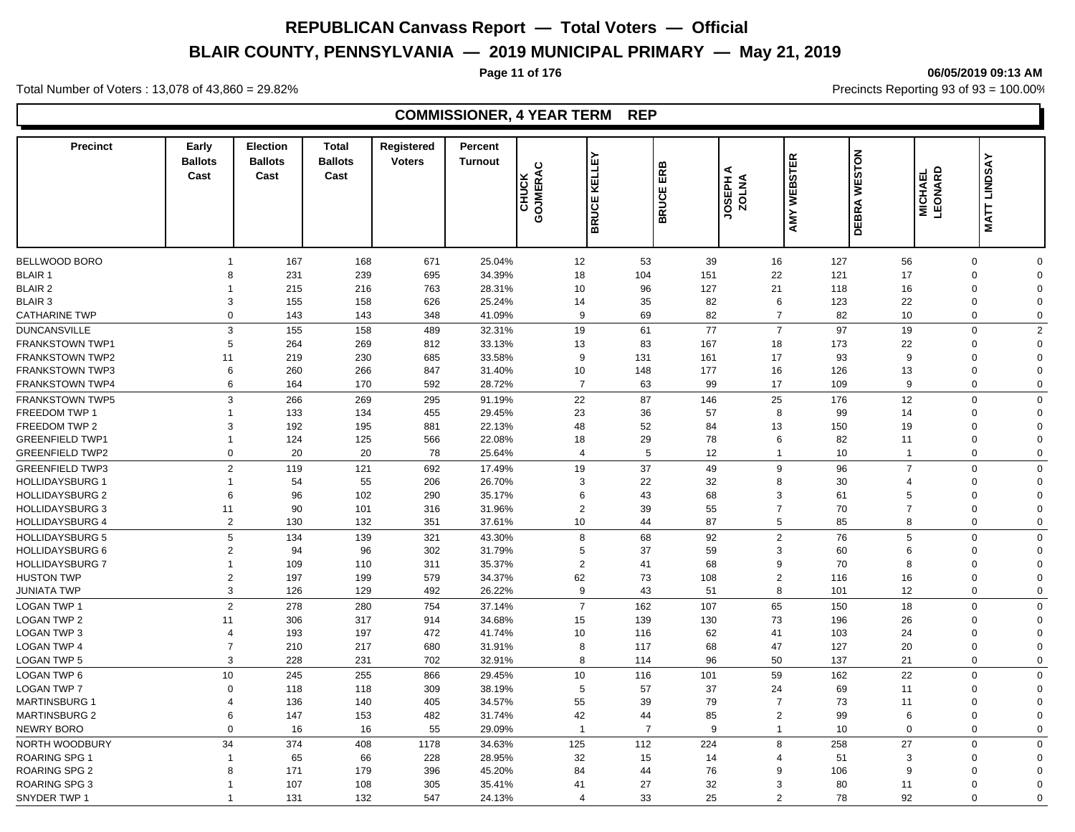# **BLAIR COUNTY, PENNSYLVANIA — 2019 MUNICIPAL PRIMARY — May 21, 2019**

#### **Page 11 of 176 06/05/2019 09:13 AM**

Total Number of Voters : 13,078 of 43,860 = 29.82% Precincts Reporting 93 of 93 = 100.00%

# **COMMISSIONER, 4 YEAR TERM REP**

| <b>Precinct</b>                  | Early<br><b>Ballots</b><br>Cast | <b>Election</b><br><b>Ballots</b><br>Cast | <b>Total</b><br><b>Ballots</b><br>Cast | Registered<br><b>Voters</b> | Percent<br><b>Turnout</b> | GOJMERAC<br>CHUCK | ١ũ<br>KELLI<br><b>BRUCE</b> | ERB<br>ш<br><b>BRUCE</b> | ⋖<br>ANTOZ<br>VOLNA | <b>WEBSTER</b><br>AMY | <b>WESTON</b><br><b>DEBRA</b> | LEONARD<br>긊<br><b>MICHAE</b> | <b>MATT LINDSAY</b>     |
|----------------------------------|---------------------------------|-------------------------------------------|----------------------------------------|-----------------------------|---------------------------|-------------------|-----------------------------|--------------------------|---------------------|-----------------------|-------------------------------|-------------------------------|-------------------------|
|                                  |                                 |                                           |                                        |                             |                           |                   |                             |                          |                     |                       |                               |                               |                         |
| <b>BELLWOOD BORO</b>             | $\overline{1}$                  | 167                                       | 168                                    | 671                         | 25.04%                    | 12                | 53                          | 39                       | 16                  | 127                   | 56                            | $\mathbf 0$                   | $\mathbf 0$<br>$\Omega$ |
| <b>BLAIR 1</b><br><b>BLAIR 2</b> | 8<br>-1                         | 231<br>215                                | 239<br>216                             | 695<br>763                  | 34.39%<br>28.31%          | 18<br>10          | 104<br>96                   | 151<br>127               | 22<br>21            | 121<br>118            | 17<br>16                      | $\mathbf 0$<br>$\mathbf 0$    | $\Omega$                |
| <b>BLAIR 3</b>                   | 3                               | 155                                       | 158                                    | 626                         | 25.24%                    | 14                | 35                          | 82                       | 6                   | 123                   | 22                            | $\mathbf 0$                   | $\Omega$                |
| <b>CATHARINE TWP</b>             | $\Omega$                        |                                           |                                        |                             |                           | 9                 | 69                          | 82                       | $\overline{7}$      |                       | 10                            | $\mathbf 0$                   | $\Omega$                |
|                                  |                                 | 143                                       | 143                                    | 348                         | 41.09%                    |                   |                             |                          |                     | 82                    |                               |                               |                         |
| <b>DUNCANSVILLE</b>              | 3                               | 155                                       | 158                                    | 489                         | 32.31%                    | 19                | 61                          | 77                       | $\overline{7}$      | 97                    | 19                            | $\mathbf 0$                   | $\overline{2}$          |
| <b>FRANKSTOWN TWP1</b>           | 5                               | 264                                       | 269                                    | 812                         | 33.13%                    | 13                | 83                          | 167                      | 18                  | 173                   | 22                            | $\mathbf 0$                   | $\Omega$                |
| <b>FRANKSTOWN TWP2</b>           | 11                              | 219                                       | 230                                    | 685                         | 33.58%                    | 9                 | 131                         | 161                      | 17                  | 93                    | 9                             | $\mathbf 0$                   | $\Omega$                |
| <b>FRANKSTOWN TWP3</b>           | 6                               | 260                                       | 266                                    | 847                         | 31.40%                    | 10                | 148                         | 177                      | 16                  | 126                   | 13                            | $\mathbf 0$                   | $\Omega$                |
| <b>FRANKSTOWN TWP4</b>           | 6                               | 164                                       | 170                                    | 592                         | 28.72%                    | $\overline{7}$    | 63                          | 99                       | 17                  | 109                   | 9                             | $\mathbf 0$                   | $\Omega$                |
| <b>FRANKSTOWN TWP5</b>           | 3                               | 266                                       | 269                                    | 295                         | 91.19%                    | 22                | 87                          | 146                      | 25                  | 176                   | 12                            | $\mathbf 0$                   | $\Omega$                |
| FREEDOM TWP 1                    | $\overline{1}$                  | 133                                       | 134                                    | 455                         | 29.45%                    | 23                | 36                          | 57                       | 8                   | 99                    | 14                            | $\mathbf 0$                   | $\Omega$                |
| FREEDOM TWP 2                    | 3                               | 192                                       | 195                                    | 881                         | 22.13%                    | 48                | 52                          | 84                       | 13                  | 150                   | 19                            | $\mathbf 0$                   | $\Omega$                |
| <b>GREENFIELD TWP1</b>           | $\overline{1}$                  | 124                                       | 125                                    | 566                         | 22.08%                    | 18                | 29                          | 78                       | 6                   | 82                    | 11                            | $\mathbf 0$                   | $\Omega$                |
| <b>GREENFIELD TWP2</b>           | $\mathbf 0$                     | 20                                        | 20                                     | 78                          | 25.64%                    | $\overline{4}$    | 5                           | 12 <sup>2</sup>          | $\overline{1}$      | 10                    | $\overline{1}$                | $\mathbf 0$                   | $\Omega$                |
| <b>GREENFIELD TWP3</b>           | $\overline{2}$                  | 119                                       | 121                                    | 692                         | 17.49%                    | 19                | 37                          | 49                       | 9                   | 96                    | $\overline{7}$                | $\mathbf 0$                   | $\Omega$                |
| <b>HOLLIDAYSBURG 1</b>           | $\mathbf 1$                     | 54                                        | 55                                     | 206                         | 26.70%                    | 3                 | 22                          | 32                       | 8                   | 30                    | $\overline{4}$                | $\mathbf 0$                   | $\Omega$                |
| HOLLIDAYSBURG 2                  | 6                               | 96                                        | 102                                    | 290                         | 35.17%                    | 6                 | 43                          | 68                       | 3                   | 61                    | 5                             | $\mathbf 0$                   | $\Omega$                |
| <b>HOLLIDAYSBURG 3</b>           | 11                              | 90                                        | 101                                    | 316                         | 31.96%                    | $\overline{2}$    | 39                          | 55                       | $\overline{7}$      | 70                    | $\overline{7}$                | $\mathbf 0$                   | $\Omega$                |
| <b>HOLLIDAYSBURG 4</b>           | $\overline{2}$                  | 130                                       | 132                                    | 351                         | 37.61%                    | 10                | 44                          | 87                       | 5                   | 85                    | 8                             | $\mathbf 0$                   | $\mathbf 0$             |
| <b>HOLLIDAYSBURG 5</b>           | 5                               | 134                                       | 139                                    | 321                         | 43.30%                    | 8                 | 68                          | 92                       | $\overline{2}$      | 76                    | 5                             | $\mathbf 0$                   | $\Omega$                |
| <b>HOLLIDAYSBURG 6</b>           | 2                               | 94                                        | 96                                     | 302                         | 31.79%                    | $\overline{5}$    | 37                          | 59                       | 3                   | 60                    | 6                             | $\mathbf 0$                   | $\Omega$                |
| <b>HOLLIDAYSBURG 7</b>           | $\overline{1}$                  | 109                                       | 110                                    | 311                         | 35.37%                    | $\overline{2}$    | 41                          | 68                       | 9                   | 70                    | 8                             | $\mathbf 0$                   | $\Omega$                |
| <b>HUSTON TWP</b>                | $\overline{2}$                  | 197                                       | 199                                    | 579                         | 34.37%                    | 62                | 73                          | 108                      | 2                   | 116                   | 16                            | $\mathbf 0$                   | $\Omega$                |
| <b>JUNIATA TWP</b>               | 3                               | 126                                       | 129                                    | 492                         | 26.22%                    | $\boldsymbol{9}$  | 43                          | 51                       | 8                   | 101                   | 12                            | $\mathbf 0$                   | $\mathbf 0$             |
| <b>LOGAN TWP 1</b>               | $\overline{2}$                  | 278                                       | 280                                    | 754                         | 37.14%                    | $\overline{7}$    | 162                         | 107                      | 65                  | 150                   | 18                            | $\mathbf 0$                   | $\Omega$                |
| <b>LOGAN TWP 2</b>               |                                 | 306                                       | 317                                    |                             | 34.68%                    | 15                | 139                         |                          | 73                  | 196                   | 26                            | $\mathbf 0$                   | $\Omega$                |
|                                  | 11<br>$\overline{4}$            |                                           |                                        | 914                         |                           |                   |                             | 130                      |                     |                       |                               |                               | $\Omega$                |
| <b>LOGAN TWP 3</b>               | $\overline{7}$                  | 193                                       | 197                                    | 472                         | 41.74%                    | 10                | 116                         | 62                       | 41                  | 103                   | 24                            | $\mathbf 0$                   | $\Omega$                |
| <b>LOGAN TWP 4</b>               |                                 | 210                                       | 217                                    | 680                         | 31.91%                    | 8                 | 117                         | 68                       | 47                  | 127                   | 20                            | $\mathbf 0$                   | $\Omega$                |
| LOGAN TWP 5                      | 3                               | 228                                       | 231                                    | 702                         | 32.91%                    | 8                 | 114                         | 96                       | 50                  | 137                   | 21                            | $\mathbf 0$                   |                         |
| LOGAN TWP 6                      | 10                              | 245                                       | 255                                    | 866                         | 29.45%                    | 10                | 116                         | 101                      | 59                  | 162                   | 22                            | $\mathbf 0$                   | $\mathbf 0$             |
| <b>LOGAN TWP 7</b>               | $\Omega$                        | 118                                       | 118                                    | 309                         | 38.19%                    | 5                 | 57                          | 37                       | 24                  | 69                    | 11                            | $\mathbf 0$                   | $\Omega$                |
| <b>MARTINSBURG 1</b>             | 4                               | 136                                       | 140                                    | 405                         | 34.57%                    | 55                | 39                          | 79                       | $\overline{7}$      | 73                    | 11                            | $\mathbf 0$                   | $\Omega$                |
| <b>MARTINSBURG 2</b>             | 6                               | 147                                       | 153                                    | 482                         | 31.74%                    | 42                | 44                          | 85                       | $\overline{2}$      | 99                    | 6                             | $\boldsymbol{0}$              | $\Omega$                |
| <b>NEWRY BORO</b>                | $\Omega$                        | 16                                        | 16                                     | 55                          | 29.09%                    | $\mathbf{1}$      | $\overline{7}$              | 9                        | $\overline{1}$      | 10                    | $\mathbf 0$                   | $\mathbf 0$                   | $\mathbf 0$             |
| NORTH WOODBURY                   | 34                              | 374                                       | 408                                    | 1178                        | 34.63%                    | 125               | 112                         | 224                      | 8                   | 258                   | 27                            | $\mathbf 0$                   | $\mathbf 0$             |
| <b>ROARING SPG 1</b>             | $\overline{1}$                  | 65                                        | 66                                     | 228                         | 28.95%                    | 32                | 15                          | 14                       | $\overline{4}$      | 51                    | 3                             | $\mathbf 0$                   | $\Omega$                |
| <b>ROARING SPG 2</b>             | 8                               | 171                                       | 179                                    | 396                         | 45.20%                    | 84                | 44                          | 76                       | 9                   | 106                   | 9                             | $\mathbf 0$                   | $\Omega$                |
| <b>ROARING SPG 3</b>             | $\overline{1}$                  | 107                                       | 108                                    | 305                         | 35.41%                    | 41                | 27                          | 32                       | 3                   | 80                    | 11                            | $\mathbf 0$                   | $\Omega$                |
| SNYDER TWP 1                     | $\overline{1}$                  | 131                                       | 132                                    | 547                         | 24.13%                    | $\overline{4}$    | 33                          | 25                       | $\mathcal{P}$       | 78                    | 92                            | $\Omega$                      | $\Omega$                |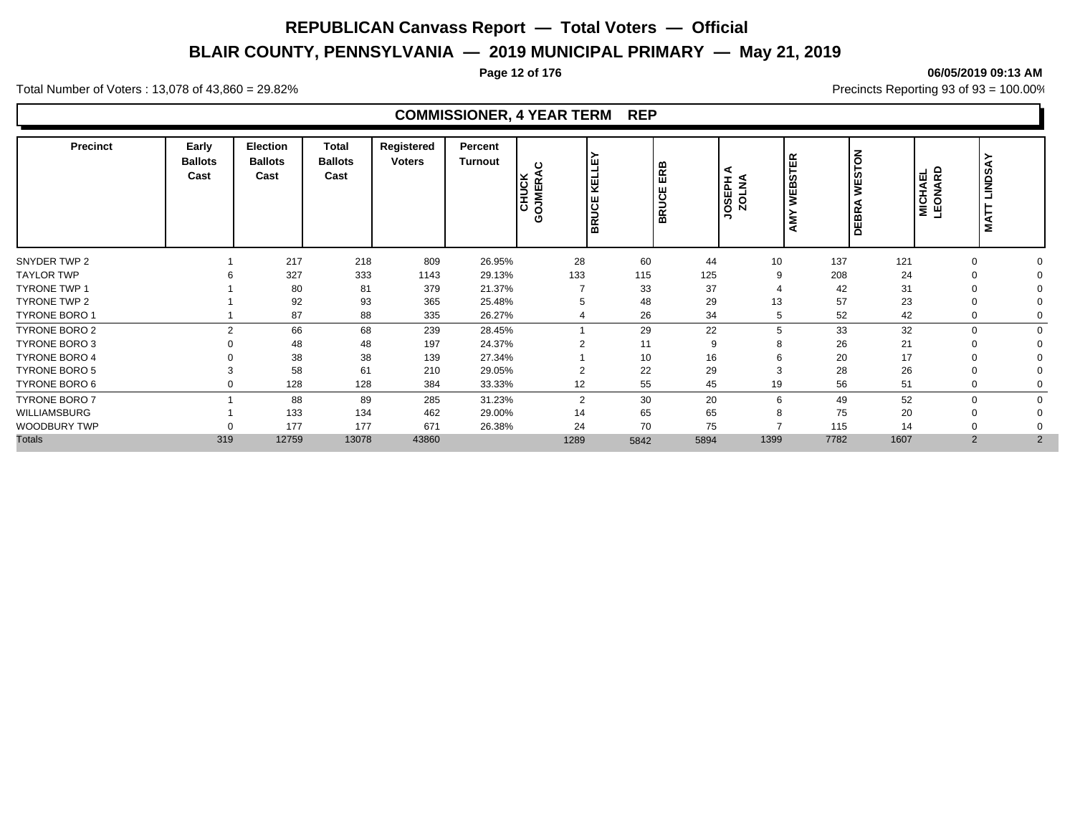# **BLAIR COUNTY, PENNSYLVANIA — 2019 MUNICIPAL PRIMARY — May 21, 2019**

#### **Page 12 of 176 06/05/2019 09:13 AM**

Total Number of Voters : 13,078 of 43,860 = 29.82% Precincts Reporting 93 of 93 = 100.00%

# **COMMISSIONER, 4 YEAR TERM REP**

| <b>Precinct</b>      | Early<br><b>Ballots</b><br>Cast | <b>Election</b><br><b>Ballots</b><br>Cast | <b>Total</b><br><b>Ballots</b><br>Cast | Registered<br><b>Voters</b> | Percent<br><b>Turnout</b> | ပ<br><b>OJMERA</b><br>CHUCK<br>Ο | Ë<br>I≞<br><b>BRUCE</b> | Æ<br>ш<br>$\overline{\mathbf{o}}$<br>∍<br>ΒŘ | ⋖<br>JOSEPH    | $\propto$<br>ш<br>້ ທ<br>∣ mó<br>l. | <b>STON</b><br>Ë<br><b>DEBRA</b> | <b>MICHAEL</b><br>LEONARD | ≻<br>LINDS <sub>1</sub><br>⊢<br>Š |
|----------------------|---------------------------------|-------------------------------------------|----------------------------------------|-----------------------------|---------------------------|----------------------------------|-------------------------|----------------------------------------------|----------------|-------------------------------------|----------------------------------|---------------------------|-----------------------------------|
| SNYDER TWP 2         |                                 | 217                                       | 218                                    | 809                         | 26.95%                    | 28                               | 60                      | 44                                           | 10             | 137                                 | 121                              | $\Omega$                  |                                   |
| <b>TAYLOR TWP</b>    |                                 | 327                                       | 333                                    | 1143                        | 29.13%                    | 133                              | 115                     | 125                                          | 9              | 208                                 | 24                               | $\Omega$                  |                                   |
| <b>TYRONE TWP 1</b>  |                                 | 80                                        | 81                                     | 379                         | 21.37%                    |                                  | 33                      | 37                                           |                | 42                                  | 31                               |                           |                                   |
| TYRONE TWP 2         |                                 | 92                                        | 93                                     | 365                         | 25.48%                    | 5                                | 48                      | 29                                           | 13             | 57                                  | 23                               | $\Omega$                  |                                   |
| TYRONE BORO 1        |                                 | 87                                        | 88                                     | 335                         | 26.27%                    |                                  | 26                      | 34                                           | 5              | 52                                  | 42                               | $\mathbf 0$               |                                   |
| <b>TYRONE BORO 2</b> | $\mathfrak{p}$                  | 66                                        | 68                                     | 239                         | 28.45%                    |                                  | 29                      | 22                                           | 5              | 33                                  | 32                               | $\Omega$                  | $\Omega$                          |
| <b>TYRONE BORO 3</b> |                                 | 48                                        | 48                                     | 197                         | 24.37%                    | ົ                                | 11                      | 9                                            |                | 26                                  | 21                               | $\Omega$                  |                                   |
| <b>TYRONE BORO 4</b> |                                 | 38                                        | 38                                     | 139                         | 27.34%                    |                                  | 10                      | 16                                           |                | 20                                  | 17                               |                           |                                   |
| <b>TYRONE BORO 5</b> |                                 | 58                                        | 61                                     | 210                         | 29.05%                    | $\overline{2}$                   | 22                      | 29                                           | 3              | 28                                  | 26                               | $\Omega$                  |                                   |
| TYRONE BORO 6        | $\Omega$                        | 128                                       | 128                                    | 384                         | 33.33%                    | 12                               | 55                      | 45                                           | 19             | 56                                  | 51                               | $\Omega$                  |                                   |
| <b>TYRONE BORO 7</b> |                                 | 88                                        | 89                                     | 285                         | 31.23%                    | $\overline{2}$                   | 30                      | 20                                           | 6              | 49                                  | 52                               | $\Omega$                  |                                   |
| WILLIAMSBURG         |                                 | 133                                       | 134                                    | 462                         | 29.00%                    | 14                               | 65                      | 65                                           | 8              | 75                                  | 20                               | $\Omega$                  |                                   |
| <b>WOODBURY TWP</b>  | ∩                               | 177                                       | 177                                    | 671                         | 26.38%                    | 24                               | 70                      | 75                                           | $\overline{ }$ | 115                                 | 14                               |                           |                                   |
| <b>Totals</b>        | 319                             | 12759                                     | 13078                                  | 43860                       |                           | 1289                             | 5842                    | 5894                                         | 1399           | 7782                                | 1607                             | 2                         | 2                                 |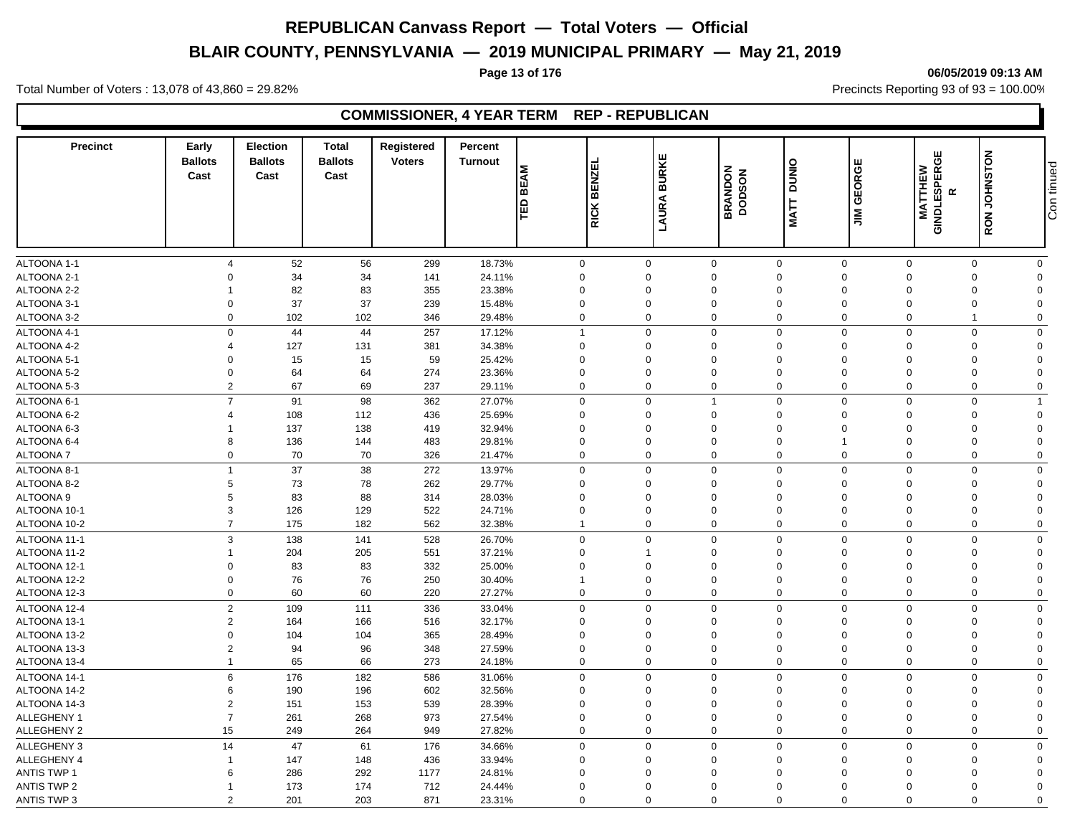# **BLAIR COUNTY, PENNSYLVANIA — 2019 MUNICIPAL PRIMARY — May 21, 2019**

# **Page 13 of 176 06/05/2019 09:13 AM**

Total Number of Voters : 13,078 of 43,860 = 29.82% Precincts Reporting 93 of 93 = 100.00%

# **COMMISSIONER, 4 YEAR TERM REP - REPUBLICAN**

| <b>BURKE</b><br><b>Ballots</b><br><b>Voters</b><br><b>Ballots</b><br><b>Ballots</b><br><b>Turnout</b><br>DUNIO<br>ᇳ<br><b>BEAM</b><br><b>BRANDON</b><br><b>DODSON</b><br><b>BENZI</b><br>Cast<br>Cast<br>Cast<br>LAURA<br>TED<br><b>MATT</b><br><b>RICK</b> | <b>GEORGE</b><br>$\sum_{i=1}^{n}$ | RON JOHNSTON<br>GINDLESPERGE<br>MATTHEW<br>$\alpha$ | Con tinued  |
|-------------------------------------------------------------------------------------------------------------------------------------------------------------------------------------------------------------------------------------------------------------|-----------------------------------|-----------------------------------------------------|-------------|
| ALTOONA 1-1<br>56<br>$\mathbf 0$<br>$\mathbf 0$<br>$\mathbf 0$<br>$\mathbf 0$<br>$\overline{4}$                                                                                                                                                             | $\mathbf 0$                       | $\mathbf 0$<br>$\mathbf 0$                          | $\mathbf 0$ |
| 52<br>299<br>18.73%<br>ALTOONA 2-1<br>34<br>24.11%<br>34<br>141<br>$\mathbf 0$<br>$\Omega$<br>$\mathbf 0$<br>$\mathbf 0$<br>$\Omega$                                                                                                                        | $\Omega$                          | $\mathbf 0$<br>0                                    | $\Omega$    |
| 82<br>ALTOONA 2-2<br>83<br>23.38%<br>$\mathbf 0$<br>355<br>$\mathbf 0$<br>$\mathbf 0$<br>$\mathbf 0$                                                                                                                                                        | $\mathbf 0$                       | $\mathbf 0$<br>$\mathbf 0$                          | $\Omega$    |
| 37<br>ALTOONA 3-1<br>$\mathbf 0$<br>37<br>239<br>15.48%<br>$\mathbf 0$<br>$\Omega$<br>$\mathbf 0$<br>0                                                                                                                                                      | $\Omega$                          | $\Omega$<br>0                                       | $\Omega$    |
| ALTOONA 3-2<br>$\overline{0}$<br>102<br>102<br>346<br>29.48%<br>$\mathbf 0$<br>$\mathbf 0$<br>$\mathbf 0$<br>$\mathbf 0$                                                                                                                                    | $\mathbf 0$                       | $\overline{0}$<br>$\overline{1}$                    | $\mathbf 0$ |
| $\overline{1}$<br>$\Omega$                                                                                                                                                                                                                                  | $\Omega$                          |                                                     | $\Omega$    |
| $\mathbf 0$<br>44<br>257<br>$\mathbf 0$<br>ALTOONA 4-1<br>44<br>17.12%<br>$\mathbf 0$<br>ALTOONA 4-2<br>34.38%<br>$\mathbf 0$<br>$\mathbf 0$<br>$\Omega$<br>$\overline{4}$<br>$\Omega$                                                                      | $\Omega$                          | $\mathbf 0$<br>$\mathbf 0$<br>$\Omega$              | $\Omega$    |
| 127<br>381<br>131                                                                                                                                                                                                                                           |                                   | 0                                                   |             |
| 59<br>ALTOONA 5-1<br>15<br>15<br>25.42%<br>$\mathbf 0$<br>$\mathbf 0$<br>$\Omega$<br>$\Omega$<br>$\mathbf 0$                                                                                                                                                | $\Omega$                          | $\Omega$<br>$\Omega$                                | $\Omega$    |
| ALTOONA 5-2<br>64<br>64<br>274<br>23.36%<br>$\mathbf 0$<br>$\Omega$<br>$\mathbf 0$<br>$\mathbf 0$<br>$\mathbf 0$<br>$\Omega$                                                                                                                                | $\Omega$                          | $\Omega$<br>$\mathbf 0$                             | $\Omega$    |
| ALTOONA 5-3<br>$\overline{2}$<br>67<br>69<br>237<br>29.11%<br>$\mathbf 0$<br>$\mathbf 0$<br>$\mathbf 0$                                                                                                                                                     | $\mathbf 0$                       | $\mathbf 0$<br>$\mathbf 0$                          | $\Omega$    |
| $\overline{7}$<br>91<br>98<br>362<br>$\mathbf 0$<br>$\mathbf 0$<br>ALTOONA 6-1<br>27.07%<br>$\Omega$<br>$\overline{1}$                                                                                                                                      | $\mathbf 0$                       | $\mathbf 0$<br>$\mathbf 0$                          | -1          |
| ALTOONA 6-2<br>108<br>112<br>436<br>25.69%<br>$\mathbf 0$<br>$\mathbf 0$<br>$\mathbf 0$<br>$\mathbf 0$<br>$\overline{4}$                                                                                                                                    | $\Omega$                          | $\overline{0}$<br>$\mathbf 0$                       | $\Omega$    |
| ALTOONA 6-3<br>137<br>138<br>419<br>32.94%<br>$\mathbf 0$<br>$\Omega$<br>$\Omega$<br>$\mathbf 0$                                                                                                                                                            | $\Omega$                          | $\Omega$<br>0                                       | $\Omega$    |
| ALTOONA 6-4<br>8<br>136<br>144<br>483<br>29.81%<br>$\mathbf 0$<br>$\Omega$<br>$\mathbf 0$<br>$\mathbf 0$                                                                                                                                                    |                                   | 0<br>$\Omega$                                       | $\Omega$    |
| $\mathbf 0$<br>70<br>70<br>21.47%<br>$\mathbf 0$<br>$\Omega$<br>$\mathbf 0$<br>ALTOONA 7<br>326<br>0                                                                                                                                                        | $\mathbf 0$                       | $\mathbf 0$<br>$\mathbf 0$                          | $\Omega$    |
| 37<br>38<br>ALTOONA 8-1<br>$\overline{1}$<br>272<br>13.97%<br>$\mathbf 0$<br>$\Omega$<br>$\mathbf 0$<br>$\mathbf 0$                                                                                                                                         | $\mathbf 0$                       | $\overline{0}$<br>$\mathbf 0$                       | $\Omega$    |
| 73<br>78<br>262<br>29.77%<br>$\mathbf 0$<br>ALTOONA 8-2<br>5<br>$\mathbf 0$<br>$\Omega$<br>$\mathbf 0$                                                                                                                                                      | $\Omega$                          | $\Omega$<br>0                                       | $\Omega$    |
| ALTOONA <sub>9</sub><br>83<br>5<br>88<br>314<br>28.03%<br>$\mathbf 0$<br>$\Omega$<br>$\Omega$<br>$\mathbf 0$                                                                                                                                                | $\Omega$                          | $\mathbf 0$<br>$\Omega$                             | $\Omega$    |
| ALTOONA 10-1<br>3<br>126<br>129<br>522<br>24.71%<br>$\mathbf 0$<br>$\Omega$<br>$\mathbf 0$<br>$\Omega$                                                                                                                                                      | $\Omega$                          | $\mathbf 0$<br>$\Omega$                             | $\Omega$    |
| ALTOONA 10-2<br>$\overline{7}$<br>175<br>182<br>562<br>32.38%<br>$\Omega$<br>$\mathbf 0$<br>$\mathbf 0$<br>$\overline{1}$                                                                                                                                   | $\mathbf 0$                       | $\mathbf 0$<br>$\mathbf 0$                          | $\Omega$    |
| 3<br>138<br>ALTOONA 11-1<br>141<br>528<br>26.70%<br>$\mathbf 0$<br>$\Omega$<br>0<br>$\mathbf 0$                                                                                                                                                             | $\Omega$                          | $\Omega$<br>0                                       | $\mathbf 0$ |
| ALTOONA 11-2<br>204<br>205<br>551<br>37.21%<br>$\mathbf 0$<br>$\mathbf 0$<br>$\mathbf 0$<br>1                                                                                                                                                               | $\Omega$                          | $\mathbf 0$<br>0                                    | $\Omega$    |
| 83<br>83<br>332<br>25.00%<br>ALTOONA 12-1<br>$\Omega$<br>$\mathbf 0$<br>$\Omega$<br>$\mathbf 0$<br>$\mathbf 0$                                                                                                                                              | $\Omega$                          | $\Omega$<br>0                                       | $\Omega$    |
| ALTOONA 12-2<br>76<br>76<br>250<br>30.40%<br>$\mathbf 0$<br>$\mathbf 0$<br>0<br>$\overline{1}$<br>0                                                                                                                                                         | $\Omega$                          | $\overline{0}$<br>$\mathbf 0$                       | $\Omega$    |
| $\mathbf 0$<br>60<br>60<br>27.27%<br>$\mathbf 0$<br>ALTOONA 12-3<br>220<br>$\mathbf 0$<br>$\Omega$<br>0                                                                                                                                                     | $\Omega$                          | $\Omega$<br>0                                       | $\Omega$    |
| $\overline{2}$<br>109<br>$\mathbf 0$<br>$\mathbf 0$<br>ALTOONA 12-4<br>111<br>336<br>33.04%<br>$\Omega$<br>$\Omega$                                                                                                                                         | $\Omega$                          | $\mathbf 0$<br>$\mathbf 0$                          | $\Omega$    |
| ALTOONA 13-1<br>$\overline{2}$<br>164<br>166<br>516<br>32.17%<br>$\mathbf 0$<br>$\mathbf 0$<br>$\Omega$<br>0                                                                                                                                                | $\Omega$                          | $\mathbf 0$<br>$\Omega$                             | $\Omega$    |
| ALTOONA 13-2<br>$\mathbf 0$<br>365<br>28.49%<br>$\mathbf 0$<br>$\Omega$<br>$\mathbf 0$<br>104<br>104<br>$\mathbf 0$                                                                                                                                         | $\Omega$                          | $\mathbf 0$<br>$\Omega$                             | $\Omega$    |
| ALTOONA 13-3<br>$\overline{2}$<br>94<br>27.59%<br>$\mathbf 0$<br>$\mathbf 0$<br>96<br>348<br>$\Omega$<br>$\Omega$                                                                                                                                           | $\Omega$                          | $\mathbf 0$<br>$\Omega$                             | $\Omega$    |
| ALTOONA 13-4<br>65<br>66<br>273<br>24.18%<br>$\mathbf 0$<br>$\Omega$<br>$\mathbf 0$<br>$\mathbf 0$<br>$\mathbf{1}$                                                                                                                                          | $\Omega$                          | $\mathbf 0$<br>$\mathbf 0$                          | $\Omega$    |
| ALTOONA 14-1<br>6<br>176<br>182<br>586<br>31.06%<br>$\mathbf 0$<br>$\mathbf 0$<br>$\mathbf 0$<br>$\mathbf 0$                                                                                                                                                | $\mathbf 0$                       | $\mathbf 0$<br>$\mathbf 0$                          | $\mathbf 0$ |
| ALTOONA 14-2<br>190<br>196<br>602<br>32.56%<br>6<br>$\mathbf 0$<br>$\Omega$<br>$\mathbf 0$<br>$\mathbf 0$                                                                                                                                                   | $\Omega$                          | $\mathbf 0$<br>0                                    | $\Omega$    |
| ALTOONA 14-3<br>$\overline{2}$<br>151<br>153<br>539<br>28.39%<br>$\mathbf 0$<br>$\Omega$<br>$\mathbf 0$<br>$\Omega$                                                                                                                                         | $\Omega$                          | 0<br>$\Omega$                                       | $\Omega$    |
| $\overline{7}$<br>ALLEGHENY 1<br>268<br>973<br>$\mathbf 0$<br>$\mathbf 0$<br>261<br>27.54%<br>$\Omega$<br>$\mathbf 0$                                                                                                                                       | $\Omega$                          | $\mathbf 0$<br>0                                    | $\Omega$    |
| ALLEGHENY 2<br>15<br>264<br>27.82%<br>$\mathbf 0$<br>$\mathbf 0$<br>249<br>949<br>$\Omega$<br>$\mathbf 0$                                                                                                                                                   | $\mathbf 0$                       | $\mathbf 0$<br>$\mathbf 0$                          | $\Omega$    |
| <b>ALLEGHENY 3</b><br>14<br>47<br>176<br>$\mathbf 0$<br>$\Omega$<br>$\mathbf 0$<br>61<br>34.66%<br>$\Omega$                                                                                                                                                 | $\Omega$                          | $\Omega$<br>$\mathbf 0$                             | $\Omega$    |
| <b>ALLEGHENY 4</b><br>147<br>148<br>436<br>33.94%<br>$\mathbf 0$<br>$\Omega$<br>$\mathbf 0$<br>$\overline{1}$<br>$\Omega$                                                                                                                                   | $\Omega$                          | $\Omega$<br>$\mathbf 0$                             | $\Omega$    |
| <b>ANTIS TWP 1</b><br>286<br>292<br>1177<br>6<br>24.81%<br>$\mathbf 0$<br>$\mathbf 0$<br>$\mathbf 0$<br>$\mathbf 0$                                                                                                                                         | $\Omega$                          | $\mathbf 0$<br>$\mathbf 0$                          | $\Omega$    |
| <b>ANTIS TWP 2</b><br>173<br>174<br>712<br>$\mathbf 0$<br>24.44%<br>$\Omega$<br>$\Omega$<br>$\Omega$                                                                                                                                                        | $\Omega$                          | $\Omega$<br>$\mathbf 0$                             | $\Omega$    |
| <b>ANTIS TWP 3</b><br>$\overline{2}$<br>201<br>203<br>871<br>23.31%<br>$\mathbf 0$<br>$\Omega$<br>$\mathbf 0$<br>$\mathbf 0$                                                                                                                                | $\Omega$                          | $\mathbf 0$<br>$\mathbf 0$                          | $\Omega$    |

# Con tinued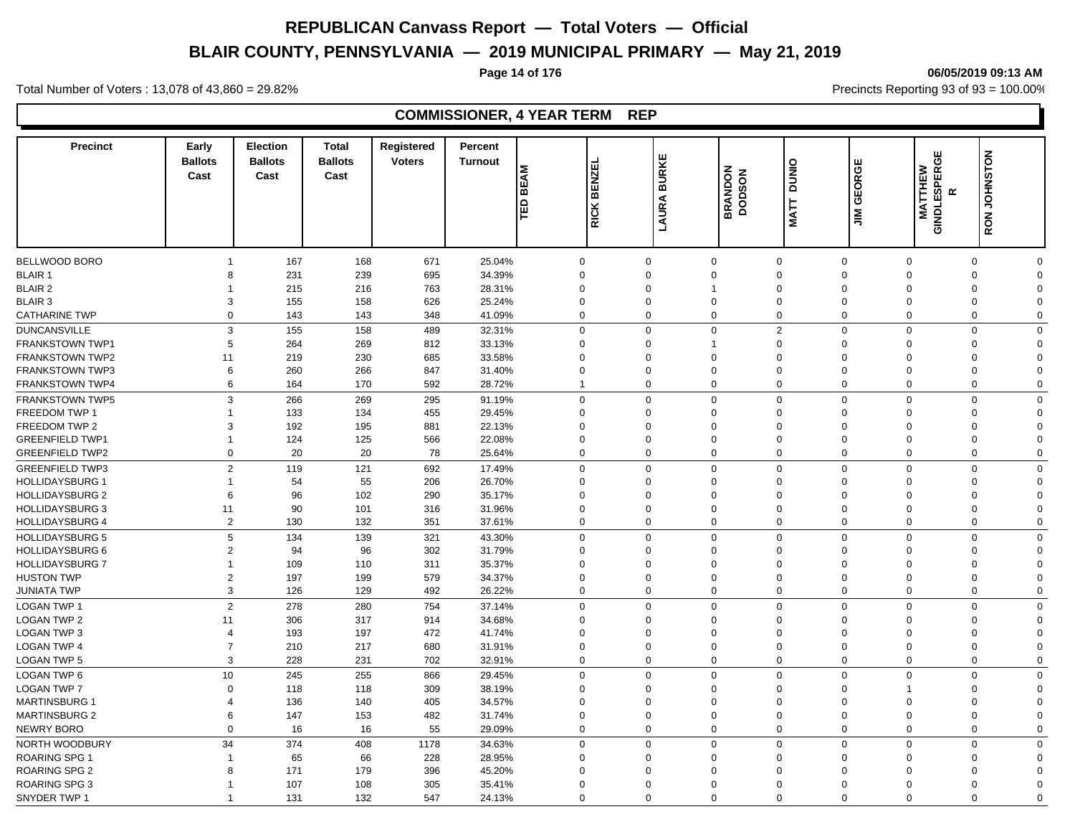# **BLAIR COUNTY, PENNSYLVANIA — 2019 MUNICIPAL PRIMARY — May 21, 2019**

#### **Page 14 of 176 06/05/2019 09:13 AM**

Total Number of Voters : 13,078 of 43,860 = 29.82% Precincts Reporting 93 of 93 = 100.00%

# **COMMISSIONER, 4 YEAR TERM REP**

| <b>Precinct</b>        | Early<br><b>Ballots</b><br>Cast  | <b>Election</b><br><b>Ballots</b><br>Cast | <b>Total</b><br><b>Ballots</b><br>Cast | Registered<br><b>Voters</b> | Percent<br><b>Turnout</b> | <b>BEAM</b><br>TED | 靣<br><b>BENZI</b><br><b>RICK</b> | <b>BURKE</b><br><b>LAURA</b> | <b>BRANDON</b><br><b>DODSON</b> | DUNIO<br><b>MATT</b> | <b>GEORGE</b><br>$\overline{M}$ | GINDLESPERGE<br>MATTHEW | RON JOHNSTON<br>$\propto$ |                      |
|------------------------|----------------------------------|-------------------------------------------|----------------------------------------|-----------------------------|---------------------------|--------------------|----------------------------------|------------------------------|---------------------------------|----------------------|---------------------------------|-------------------------|---------------------------|----------------------|
|                        |                                  |                                           |                                        |                             |                           |                    |                                  |                              |                                 |                      |                                 |                         |                           |                      |
| BELLWOOD BORO          |                                  | 167                                       | 168                                    | 671                         | 25.04%                    |                    | $\mathbf 0$                      | $\Omega$                     | 0                               | $\mathbf 0$          | $\mathbf 0$                     | $\mathbf 0$             | $\mathbf 0$               | $\Omega$             |
| <b>BLAIR 1</b>         | 8                                | 231                                       | 239                                    | 695                         | 34.39%                    |                    | $\mathbf 0$                      | $\Omega$                     | $\Omega$                        | $\mathbf 0$          | $\Omega$                        | $\Omega$                | $\mathbf 0$               | $\Omega$             |
| <b>BLAIR 2</b>         |                                  | 215                                       | 216                                    | 763                         | 28.31%                    |                    | $\mathbf 0$                      | $\Omega$                     | 1                               | $\mathbf 0$          | $\Omega$                        | $\Omega$                | $\mathbf 0$               | $\Omega$             |
| <b>BLAIR 3</b>         | 3                                | 155                                       | 158                                    | 626                         | 25.24%                    |                    | $\mathbf 0$                      | $\Omega$                     | $\Omega$                        | $\mathbf 0$          | $\Omega$                        | $\Omega$                | $\mathbf 0$               | $\Omega$             |
| <b>CATHARINE TWP</b>   | $\Omega$                         | 143                                       | 143                                    | 348                         | 41.09%                    |                    | $\mathbf 0$                      | $\Omega$                     | $\Omega$                        | $\mathbf 0$          | $\Omega$                        | $\mathbf 0$             | $\mathbf 0$               | $\Omega$             |
| <b>DUNCANSVILLE</b>    | 3                                | 155                                       | 158                                    | 489                         | 32.31%                    |                    | $\mathbf 0$                      | $\Omega$                     | $\mathbf 0$                     | 2                    | $\mathbf 0$                     | $\mathbf 0$             | $\mathbf 0$               | $\Omega$             |
| <b>FRANKSTOWN TWP1</b> | 5                                | 264                                       | 269                                    | 812                         | 33.13%                    |                    | $\mathbf 0$                      | $\Omega$                     | $\mathbf{1}$                    | $\mathbf 0$          | $\Omega$                        | $\mathbf 0$             | 0                         | $\Omega$             |
| <b>FRANKSTOWN TWP2</b> | 11                               | 219                                       | 230                                    | 685                         | 33.58%                    |                    | $\mathbf 0$                      | $\Omega$                     | $\Omega$                        | $\mathbf 0$          | $\Omega$                        | $\Omega$                | $\mathbf 0$               | $\Omega$             |
| <b>FRANKSTOWN TWP3</b> | 6                                | 260                                       | 266                                    | 847                         | 31.40%                    |                    | $\mathbf 0$                      | $\Omega$                     | $\mathbf 0$                     | $\mathbf 0$          | $\Omega$                        | $\Omega$                | $\mathbf 0$               | $\Omega$             |
| FRANKSTOWN TWP4        | 6                                | 164                                       | 170                                    | 592                         | 28.72%                    |                    | $\mathbf{1}$                     | $\Omega$                     | 0                               | $\mathbf 0$          | $\mathbf 0$                     | $\mathbf 0$             | 0                         | $\Omega$             |
| <b>FRANKSTOWN TWP5</b> | 3                                | 266                                       | 269                                    | 295                         | 91.19%                    |                    | $\mathbf 0$                      | $\Omega$                     | 0                               | $\mathbf 0$          | $\Omega$                        | $\mathbf 0$             | $\mathbf 0$               | $\Omega$             |
| FREEDOM TWP 1          | $\overline{1}$                   | 133                                       | 134                                    | 455                         | 29.45%                    |                    | $\mathbf 0$                      | $\Omega$                     | $\Omega$                        | $\mathbf 0$          | $\Omega$                        | $\Omega$                | 0                         | $\Omega$             |
| FREEDOM TWP 2          | 3                                | 192                                       | 195                                    | 881                         | 22.13%                    |                    | $\mathbf 0$                      | $\Omega$                     | $\mathbf 0$                     | $\mathbf 0$          | $\Omega$                        | $\mathbf 0$             | 0                         | $\Omega$             |
| <b>GREENFIELD TWP1</b> | $\overline{1}$                   | 124                                       | 125                                    | 566                         | 22.08%                    |                    | $\mathbf 0$                      | $\Omega$                     | $\Omega$                        | $\mathbf 0$          | $\mathbf 0$                     | $\Omega$                | $\mathbf 0$               | $\Omega$             |
| <b>GREENFIELD TWP2</b> | $\Omega$                         | 20                                        | 20                                     | 78                          | 25.64%                    |                    | $\mathbf 0$                      | $\Omega$                     | $\mathbf 0$                     | $\mathbf 0$          | $\mathbf 0$                     | $\mathbf 0$             | $\mathbf 0$               | $\Omega$             |
| <b>GREENFIELD TWP3</b> | $\overline{2}$                   | 119                                       | 121                                    | 692                         | 17.49%                    |                    | $\mathbf 0$                      | $\Omega$                     | $\mathbf 0$                     | $\mathbf 0$          | $\mathbf 0$                     | $\mathbf 0$             | $\mathbf 0$               | $\mathbf 0$          |
| <b>HOLLIDAYSBURG 1</b> | $\mathbf{1}$                     | 54                                        | 55                                     | 206                         | 26.70%                    |                    | $\mathbf 0$                      | $\Omega$                     | $\Omega$                        | $\mathbf 0$          | $\Omega$                        | $\Omega$                | 0                         | $\Omega$             |
| <b>HOLLIDAYSBURG 2</b> | 6                                | 96                                        | 102                                    | 290                         | 35.17%                    |                    | $\mathbf 0$                      | $\Omega$                     | $\Omega$                        | $\mathbf 0$          | $\Omega$                        | $\Omega$                | 0                         | $\Omega$             |
| <b>HOLLIDAYSBURG 3</b> | 11                               | 90                                        | 101                                    | 316                         | 31.96%                    |                    | $\mathbf 0$                      | $\Omega$                     | $\mathbf 0$                     | $\mathbf 0$          | $\Omega$                        | $\mathbf 0$             | 0                         | $\Omega$             |
| <b>HOLLIDAYSBURG 4</b> | $\overline{2}$                   | 130                                       | 132                                    | 351                         | 37.61%                    |                    | $\mathbf 0$                      | $\Omega$                     | 0                               | $\mathbf 0$          | $\mathbf 0$                     | $\Omega$                | $\mathbf 0$               | $\Omega$             |
| <b>HOLLIDAYSBURG 5</b> | 5                                | 134                                       | 139                                    | 321                         | 43.30%                    |                    | $\mathbf 0$                      | $\Omega$                     | $\Omega$                        | $\mathbf 0$          | $\Omega$                        | $\mathbf 0$             | $\mathbf 0$               | $\Omega$             |
| <b>HOLLIDAYSBURG 6</b> | $\overline{2}$                   | 94                                        | 96                                     | 302                         | 31.79%                    |                    | $\mathbf 0$                      | $\Omega$                     | $\Omega$                        | $\mathbf 0$          | $\Omega$                        | $\Omega$                | $\mathbf 0$               | $\Omega$             |
| <b>HOLLIDAYSBURG 7</b> | 1                                | 109                                       | 110                                    | 311                         | 35.37%                    |                    | $\mathbf 0$                      | $\Omega$                     | $\mathbf 0$                     | $\mathbf 0$          | $\Omega$                        | $\Omega$                | $\mathbf 0$               | $\Omega$             |
| <b>HUSTON TWP</b>      | $\overline{2}$                   | 197                                       | 199                                    | 579                         | 34.37%                    |                    | $\mathbf 0$                      | $\Omega$                     | $\Omega$                        | $\mathbf 0$          | $\Omega$                        | $\Omega$                | $\mathbf 0$               | $\Omega$             |
| <b>JUNIATA TWP</b>     | 3                                | 126                                       | 129                                    | 492                         | 26.22%                    |                    | $\mathbf 0$                      | $\Omega$                     | $\mathbf 0$                     | $\mathbf 0$          | $\Omega$                        | $\mathbf 0$             | $\mathbf 0$               | $\Omega$             |
| <b>LOGAN TWP 1</b>     | 2                                |                                           | 280                                    | 754                         |                           |                    | $\mathbf 0$                      | $\Omega$                     | $\mathbf 0$                     | $\mathbf 0$          | $\mathbf 0$                     | $\mathbf 0$             | $\mathbf 0$               | $\Omega$             |
|                        |                                  | 278                                       |                                        |                             | 37.14%                    |                    |                                  |                              |                                 |                      |                                 |                         |                           |                      |
| LOGAN TWP 2            | 11                               | 306                                       | 317                                    | 914                         | 34.68%                    |                    | $\mathbf 0$                      | $\Omega$<br>$\Omega$         | $\Omega$                        | $\mathbf 0$          | $\Omega$<br>$\Omega$            | $\Omega$                | $\mathbf 0$               | $\Omega$             |
| <b>LOGAN TWP 3</b>     | $\overline{4}$<br>$\overline{7}$ | 193                                       | 197                                    | 472                         | 41.74%                    |                    | $\mathbf 0$                      | $\Omega$                     | 0                               | $\mathbf 0$          |                                 | $\Omega$                | $\mathbf 0$               | $\Omega$<br>$\Omega$ |
| <b>LOGAN TWP 4</b>     | 3                                | 210                                       | 217                                    | 680                         | 31.91%                    |                    | $\mathbf 0$<br>$\mathbf 0$       | $\Omega$                     | $\Omega$                        | $\mathbf 0$          | $\Omega$<br>$\Omega$            | $\Omega$                | 0                         |                      |
| <b>LOGAN TWP 5</b>     |                                  | 228                                       | 231                                    | 702                         | 32.91%                    |                    |                                  |                              | 0                               | $\mathbf 0$          |                                 | $\mathbf 0$             | $\mathbf 0$               | $\Omega$             |
| LOGAN TWP 6            | 10                               | 245                                       | 255                                    | 866                         | 29.45%                    |                    | $\mathbf 0$                      | $\Omega$                     | $\mathbf 0$                     | $\mathbf 0$          | $\mathbf 0$                     | $\Omega$                | $\mathbf 0$               | $\Omega$             |
| <b>LOGAN TWP 7</b>     | $\mathbf 0$                      | 118                                       | 118                                    | 309                         | 38.19%                    |                    | $\mathbf 0$                      | $\Omega$                     | $\mathbf 0$                     | $\mathbf 0$          | $\Omega$                        | $\overline{1}$          | 0                         | $\Omega$             |
| <b>MARTINSBURG 1</b>   | $\overline{4}$                   | 136                                       | 140                                    | 405                         | 34.57%                    |                    | $\mathbf 0$                      | $\Omega$                     | $\Omega$                        | $\mathbf 0$          | $\mathbf 0$                     | $\Omega$                | $\mathbf 0$               | $\Omega$             |
| <b>MARTINSBURG 2</b>   | 6                                | 147                                       | 153                                    | 482                         | 31.74%                    |                    | $\mathbf 0$                      | $\mathbf 0$                  | $\mathbf 0$                     | $\mathbf 0$          | $\mathbf 0$                     | $\overline{0}$          | $\mathbf 0$               | $\Omega$             |
| <b>NEWRY BORO</b>      | $\Omega$                         | 16                                        | 16                                     | 55                          | 29.09%                    |                    | $\mathbf 0$                      | $\Omega$                     | $\mathbf 0$                     | $\mathbf 0$          | $\mathbf 0$                     | $\mathbf 0$             | $\mathbf 0$               | $\Omega$             |
| NORTH WOODBURY         | 34                               | 374                                       | 408                                    | 1178                        | 34.63%                    |                    | $\mathbf 0$                      | $\mathbf 0$                  | $\mathbf 0$                     | $\mathbf 0$          | $\mathbf 0$                     | $\mathbf 0$             | $\mathbf 0$               | $\mathbf 0$          |
| <b>ROARING SPG 1</b>   | -1                               | 65                                        | 66                                     | 228                         | 28.95%                    |                    | $\mathbf 0$                      | $\Omega$                     | $\Omega$                        | $\mathbf 0$          | $\Omega$                        | $\Omega$                | 0                         | $\Omega$             |
| <b>ROARING SPG 2</b>   | 8                                | 171                                       | 179                                    | 396                         | 45.20%                    |                    | $\mathbf 0$                      | $\Omega$                     | $\mathbf 0$                     | $\mathbf 0$          | $\Omega$                        | $\Omega$                | 0                         | $\Omega$             |
| ROARING SPG 3          |                                  | 107                                       | 108                                    | 305                         | 35.41%                    |                    | $\mathbf 0$                      | $\Omega$                     | $\Omega$                        | $\Omega$             | $\Omega$                        | $\Omega$                | $\mathbf 0$               | $\Omega$             |
| SNYDER TWP 1           |                                  | 131                                       | 132                                    | 547                         | 24.13%                    |                    | $\Omega$                         | $\Omega$                     | $\Omega$                        | $\Omega$             | $\Omega$                        | $\Omega$                | $\Omega$                  | $\Omega$             |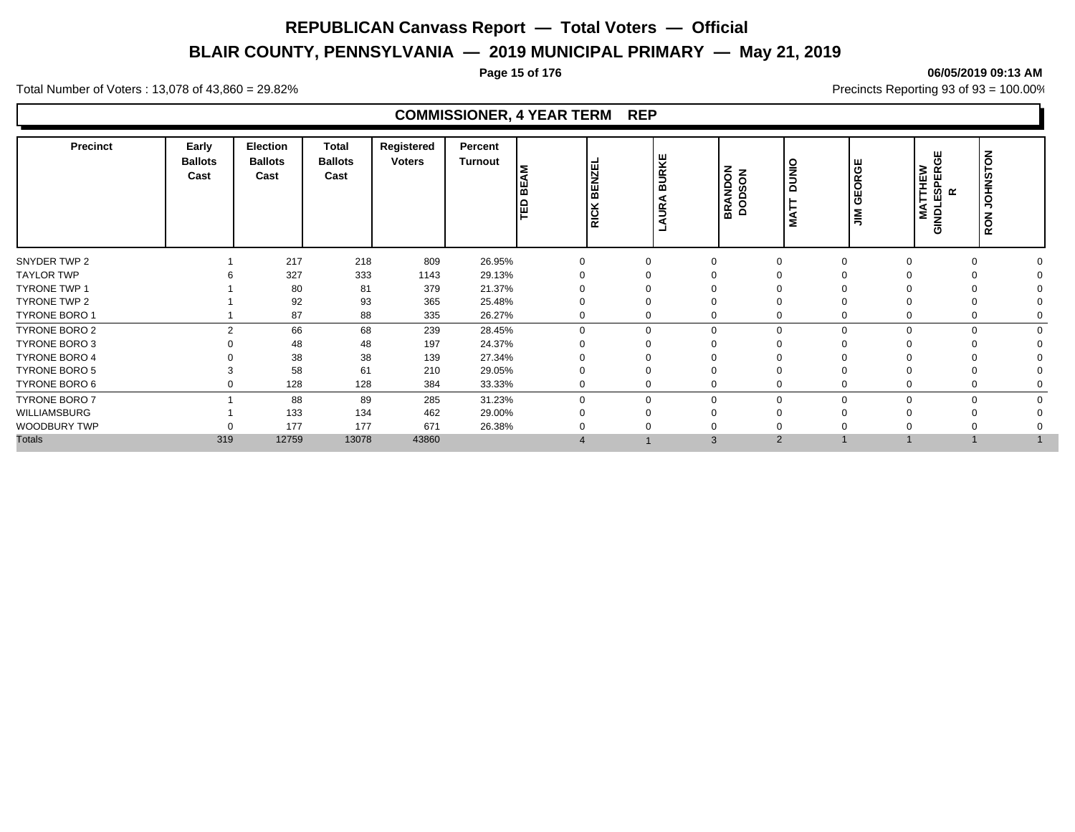# **BLAIR COUNTY, PENNSYLVANIA — 2019 MUNICIPAL PRIMARY — May 21, 2019**

#### **Page 15 of 176 06/05/2019 09:13 AM**

Total Number of Voters : 13,078 of 43,860 = 29.82% Precincts Reporting 93 of 93 = 100.00%

# **COMMISSIONER, 4 YEAR TERM REP**

| <b>Precinct</b>      | Early<br><b>Ballots</b><br>Cast | <b>Election</b><br><b>Ballots</b><br>Cast | <b>Total</b><br><b>Ballots</b><br>Cast | Registered<br><b>Voters</b> | Percent<br><b>Turnout</b> | lΣ<br>മ<br>回   | <b>BENZEL</b><br><b>RICK</b> | <b>URKE</b><br>≃<br>œ<br>∍<br>۰ | <b>BRANDON</b><br>DODSON | OIND<br>$\Omega$<br>5 | <b>GEORGE</b><br>$\leq$ | ෪<br><b>THEW</b><br><b>SPER</b><br>$\propto$<br>ш<br>⊢<br><b>NOL</b><br>ŇΜ<br>ပ | $\overline{6}$<br><b>JOHNST</b><br>RON |  |
|----------------------|---------------------------------|-------------------------------------------|----------------------------------------|-----------------------------|---------------------------|----------------|------------------------------|---------------------------------|--------------------------|-----------------------|-------------------------|---------------------------------------------------------------------------------|----------------------------------------|--|
| SNYDER TWP 2         |                                 | 217                                       | 218                                    | 809                         | 26.95%                    | $\Omega$       |                              | $\Omega$                        |                          |                       |                         | $\Omega$                                                                        |                                        |  |
| <b>TAYLOR TWP</b>    |                                 | 327                                       | 333                                    | 1143                        | 29.13%                    |                |                              |                                 |                          |                       |                         |                                                                                 |                                        |  |
| <b>TYRONE TWP 1</b>  |                                 | 80                                        | 81                                     | 379                         | 21.37%                    |                |                              |                                 |                          |                       |                         |                                                                                 |                                        |  |
| TYRONE TWP 2         |                                 | 92                                        | 93                                     | 365                         | 25.48%                    |                |                              |                                 |                          |                       |                         |                                                                                 |                                        |  |
| TYRONE BORO 1        |                                 | 87                                        | 88                                     | 335                         | 26.27%                    | $\Omega$       |                              | 0                               |                          |                       |                         | $\Omega$                                                                        |                                        |  |
| TYRONE BORO 2        | $\mathcal{P}$                   | 66                                        | 68                                     | 239                         | 28.45%                    | $\Omega$       | $\Omega$                     | $\mathbf 0$                     | $\Omega$                 |                       | O                       |                                                                                 | $\Omega$                               |  |
| <b>TYRONE BORO 3</b> |                                 | 48                                        | 48                                     | 197                         | 24.37%                    | $\Omega$       |                              | ∩                               |                          |                       |                         |                                                                                 |                                        |  |
| <b>TYRONE BORO 4</b> |                                 | 38                                        | 38                                     | 139                         | 27.34%                    | $\Omega$       |                              |                                 |                          |                       |                         |                                                                                 |                                        |  |
| <b>TYRONE BORO 5</b> |                                 | 58                                        | 61                                     | 210                         | 29.05%                    | $\Omega$       |                              | $\Omega$                        |                          |                       |                         |                                                                                 |                                        |  |
| TYRONE BORO 6        | 0                               | 128                                       | 128                                    | 384                         | 33.33%                    | $\mathbf 0$    | 0                            | 0                               |                          |                       |                         | 0                                                                               |                                        |  |
| <b>TYRONE BORO 7</b> |                                 | 88                                        | 89                                     | 285                         | 31.23%                    | $\mathbf 0$    | $\Omega$                     | $\mathbf 0$                     | $\Omega$                 |                       |                         |                                                                                 | $\Omega$                               |  |
| WILLIAMSBURG         |                                 | 133                                       | 134                                    | 462                         | 29.00%                    | $\Omega$       |                              |                                 |                          |                       |                         |                                                                                 |                                        |  |
| WOODBURY TWP         |                                 | 177                                       | 177                                    | 671                         | 26.38%                    |                |                              |                                 |                          |                       |                         |                                                                                 |                                        |  |
| <b>Totals</b>        | 319                             | 12759                                     | 13078                                  | 43860                       |                           | $\overline{4}$ |                              | 3                               | $\overline{2}$           |                       |                         |                                                                                 |                                        |  |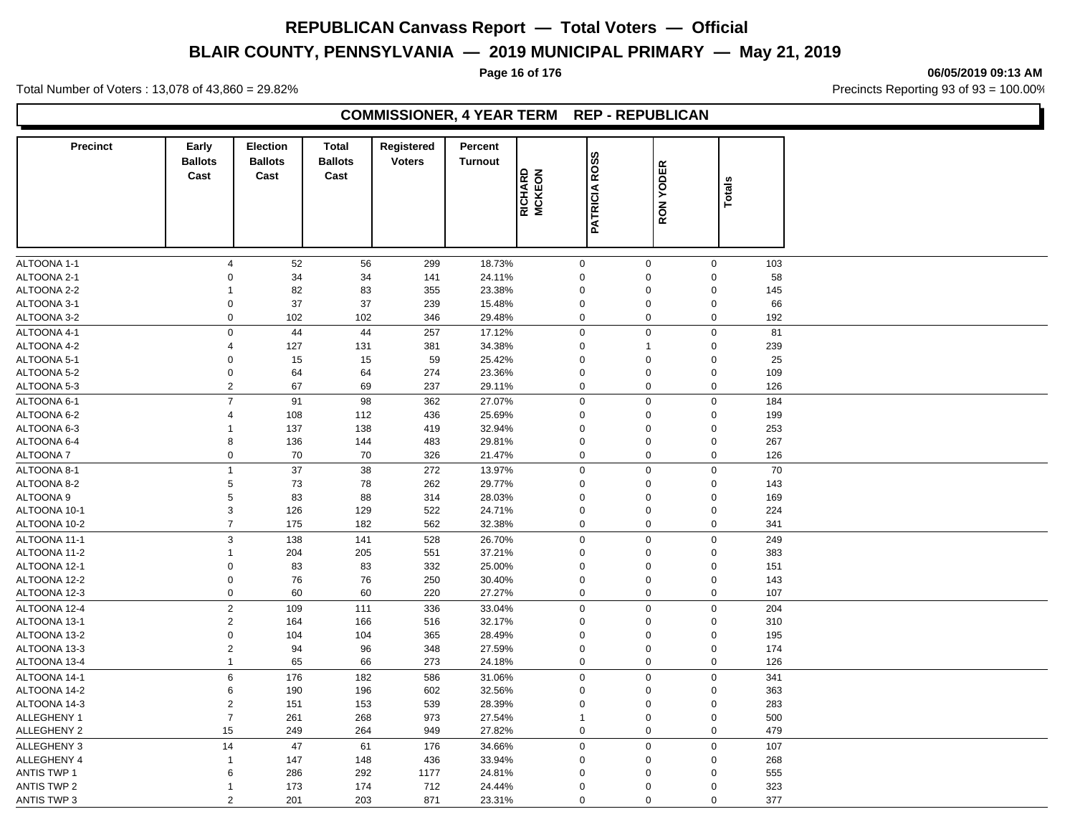# **BLAIR COUNTY, PENNSYLVANIA — 2019 MUNICIPAL PRIMARY — May 21, 2019**

**Page 16 of 176 06/05/2019 09:13 AM**

Total Number of Voters : 13,078 of 43,860 = 29.82% Precincts Reporting 93 of 93 = 100.00%

# **COMMISSIONER, 4 YEAR TERM REP - REPUBLICAN**

| <b>Precinct</b>    | Early<br><b>Ballots</b> | <b>Election</b><br><b>Ballots</b> | <b>Total</b><br><b>Ballots</b> | Registered<br><b>Voters</b> | Percent<br><b>Turnout</b> |                   |                      |                  |             |     |  |
|--------------------|-------------------------|-----------------------------------|--------------------------------|-----------------------------|---------------------------|-------------------|----------------------|------------------|-------------|-----|--|
|                    | Cast                    | Cast                              | Cast                           |                             |                           | RICHARD<br>MCKEON | <b>PATRICIA ROSS</b> | <b>RON YODER</b> |             |     |  |
|                    |                         |                                   |                                |                             |                           |                   |                      |                  | Totals      |     |  |
|                    |                         |                                   |                                |                             |                           |                   |                      |                  |             |     |  |
|                    |                         |                                   |                                |                             |                           |                   |                      |                  |             |     |  |
|                    |                         |                                   |                                |                             |                           |                   |                      |                  |             |     |  |
| ALTOONA 1-1        | $\overline{4}$          | 52                                | 56                             | 299                         | 18.73%                    | $\mathbf 0$       |                      | $\mathbf 0$      | $\mathsf 0$ | 103 |  |
| ALTOONA 2-1        | $\mathbf 0$             | 34                                | 34                             | 141                         | 24.11%                    | $\mathbf 0$       |                      | $\Omega$         | $\mathsf 0$ | 58  |  |
| ALTOONA 2-2        | $\mathbf{1}$            | 82                                | 83                             | 355                         | 23.38%                    | $\mathbf 0$       |                      | $\Omega$         | $\mathsf 0$ | 145 |  |
| ALTOONA 3-1        | $\mathbf 0$             | 37                                | 37                             | 239                         | 15.48%                    | $\mathbf 0$       |                      | $\mathbf 0$      | $\mathsf 0$ | 66  |  |
| ALTOONA 3-2        | $\mathbf 0$             | 102                               | 102                            | 346                         | 29.48%                    | $\mathbf 0$       |                      | $\mathbf 0$      | $\mathsf 0$ | 192 |  |
| ALTOONA 4-1        | $\mathbf 0$             | 44                                | 44                             | 257                         | 17.12%                    | $\mathsf 0$       |                      | $\mathbf 0$      | $\mathbf 0$ | 81  |  |
| ALTOONA 4-2        | $\overline{4}$          | 127                               | 131                            | 381                         | 34.38%                    | 0                 |                      | $\mathbf{1}$     | $\mathbf 0$ | 239 |  |
| ALTOONA 5-1        | $\mathbf 0$             | 15                                | 15                             | 59                          | 25.42%                    | $\mathsf 0$       |                      | $\mathbf 0$      | $\mathsf 0$ | 25  |  |
| ALTOONA 5-2        | 0                       | 64                                | 64                             | 274                         | 23.36%                    | $\mathsf 0$       |                      | $\mathbf 0$      | $\mathbf 0$ | 109 |  |
| ALTOONA 5-3        | $\mathbf 2$             | 67                                | 69                             | 237                         | 29.11%                    | $\mathsf 0$       |                      | $\mathbf 0$      | $\mathsf 0$ | 126 |  |
| ALTOONA 6-1        | $\overline{7}$          | 91                                | 98                             | 362                         | 27.07%                    | $\mathbf 0$       |                      | $\mathbf 0$      | $\mathbf 0$ | 184 |  |
| ALTOONA 6-2        | $\overline{4}$          | 108                               | 112                            | 436                         | 25.69%                    | $\mathbf 0$       |                      | $\mathbf 0$      | $\pmb{0}$   | 199 |  |
| ALTOONA 6-3        | $\mathbf{1}$            | 137                               | 138                            | 419                         | 32.94%                    | $\mathbf 0$       |                      | $\mathbf 0$      | $\mathbf 0$ | 253 |  |
| ALTOONA 6-4        | 8                       | 136                               | 144                            | 483                         | 29.81%                    | $\mathbf 0$       |                      | $\mathbf 0$      | $\mathbf 0$ | 267 |  |
| ALTOONA 7          | $\mathbf 0$             | 70                                | 70                             | 326                         | 21.47%                    | $\mathbf 0$       |                      | $\mathbf 0$      | $\mathsf 0$ | 126 |  |
| ALTOONA 8-1        | $\mathbf{1}$            | 37                                | 38                             | 272                         | 13.97%                    | $\pmb{0}$         |                      | $\mathbf 0$      | $\mathsf 0$ | 70  |  |
| ALTOONA 8-2        | 5                       | 73                                | 78                             | 262                         | 29.77%                    | $\pmb{0}$         |                      | $\mathbf 0$      | $\mathbf 0$ | 143 |  |
| ALTOONA 9          | $\,$ 5 $\,$             | 83                                | 88                             | 314                         | 28.03%                    | $\mathbf 0$       |                      | $\mathbf 0$      | $\mathsf 0$ | 169 |  |
| ALTOONA 10-1       | $\mathsf 3$             | 126                               | 129                            | 522                         | 24.71%                    | $\mathbf 0$       |                      | $\mathbf 0$      | $\mathbf 0$ | 224 |  |
| ALTOONA 10-2       | $\overline{7}$          | 175                               | 182                            | 562                         | 32.38%                    | $\pmb{0}$         |                      | $\pmb{0}$        | $\pmb{0}$   | 341 |  |
| ALTOONA 11-1       | 3                       | 138                               | 141                            | 528                         | 26.70%                    | $\mathbf 0$       |                      | $\mathbf 0$      | $\pmb{0}$   | 249 |  |
| ALTOONA 11-2       | $\mathbf{1}$            | 204                               | 205                            | 551                         | 37.21%                    | $\mathbf 0$       |                      | $\mathbf 0$      | $\mathsf 0$ | 383 |  |
| ALTOONA 12-1       | $\mathsf 0$             | 83                                | 83                             | 332                         | 25.00%                    | $\mathbf 0$       |                      | $\mathbf 0$      | $\mathbf 0$ | 151 |  |
| ALTOONA 12-2       | $\mathbf 0$             | 76                                | 76                             | 250                         | 30.40%                    | $\mathbf 0$       |                      | $\Omega$         | $\mathbf 0$ | 143 |  |
| ALTOONA 12-3       | $\pmb{0}$               | 60                                | 60                             | 220                         | 27.27%                    | $\mathsf 0$       |                      | $\mathbf 0$      | $\mathsf 0$ | 107 |  |
| ALTOONA 12-4       | $\sqrt{2}$              | 109                               | 111                            | 336                         | 33.04%                    | $\pmb{0}$         |                      | $\mathbf 0$      | $\mathbf 0$ | 204 |  |
| ALTOONA 13-1       | $\overline{c}$          | 164                               | 166                            | 516                         | 32.17%                    | $\mathbf 0$       |                      | $\mathbf 0$      | $\mathsf 0$ | 310 |  |
| ALTOONA 13-2       | $\pmb{0}$               | 104                               | 104                            | 365                         | 28.49%                    | $\mathbf 0$       |                      | $\mathbf 0$      | $\mathsf 0$ | 195 |  |
| ALTOONA 13-3       | $\overline{2}$          | 94                                | 96                             | 348                         | 27.59%                    | $\mathbf 0$       |                      | $\mathbf 0$      | $\mathsf 0$ | 174 |  |
| ALTOONA 13-4       | $\mathbf{1}$            | 65                                | 66                             | 273                         | 24.18%                    | $\mathbf 0$       |                      | $\mathbf 0$      | $\mathsf 0$ | 126 |  |
| ALTOONA 14-1       | $\,6$                   | 176                               | 182                            | 586                         | 31.06%                    | $\mathbf 0$       |                      | $\mathbf 0$      | $\mathsf 0$ | 341 |  |
| ALTOONA 14-2       | $\,6$                   | 190                               | 196                            | 602                         | 32.56%                    | 0                 |                      | $\mathbf 0$      | $\mathbf 0$ | 363 |  |
| ALTOONA 14-3       | $\overline{2}$          | 151                               | 153                            | 539                         | 28.39%                    | $\mathsf 0$       |                      | $\mathbf 0$      | $\mathsf 0$ | 283 |  |
| ALLEGHENY 1        | $\overline{7}$          | 261                               | 268                            | 973                         | 27.54%                    | $\mathbf{1}$      |                      | $\mathbf 0$      | $\mathbf 0$ | 500 |  |
| <b>ALLEGHENY 2</b> | 15                      | 249                               | 264                            | 949                         | 27.82%                    | $\mathbf 0$       |                      | $\mathbf 0$      | $\mathbf 0$ | 479 |  |
| <b>ALLEGHENY 3</b> | 14                      | 47                                | 61                             | 176                         | 34.66%                    | $\mathbf 0$       |                      | $\mathbf 0$      | $\mathbf 0$ | 107 |  |
| ALLEGHENY 4        | $\mathbf{1}$            | 147                               | 148                            | 436                         | 33.94%                    | $\mathbf 0$       |                      | $\mathbf 0$      | $\mathbf 0$ | 268 |  |
| <b>ANTIS TWP 1</b> | 6                       | 286                               | 292                            | 1177                        | 24.81%                    | $\mathbf 0$       |                      | $\Omega$         | $\mathbf 0$ | 555 |  |
| <b>ANTIS TWP 2</b> | $\mathbf{1}$            | 173                               | 174                            | 712                         | 24.44%                    | $\Omega$          |                      | $\mathbf 0$      | $\mathbf 0$ | 323 |  |
| <b>ANTIS TWP 3</b> | 2                       | 201                               | 203                            | 871                         | 23.31%                    | $\mathbf 0$       |                      | $\mathbf 0$      | $\mathbf 0$ | 377 |  |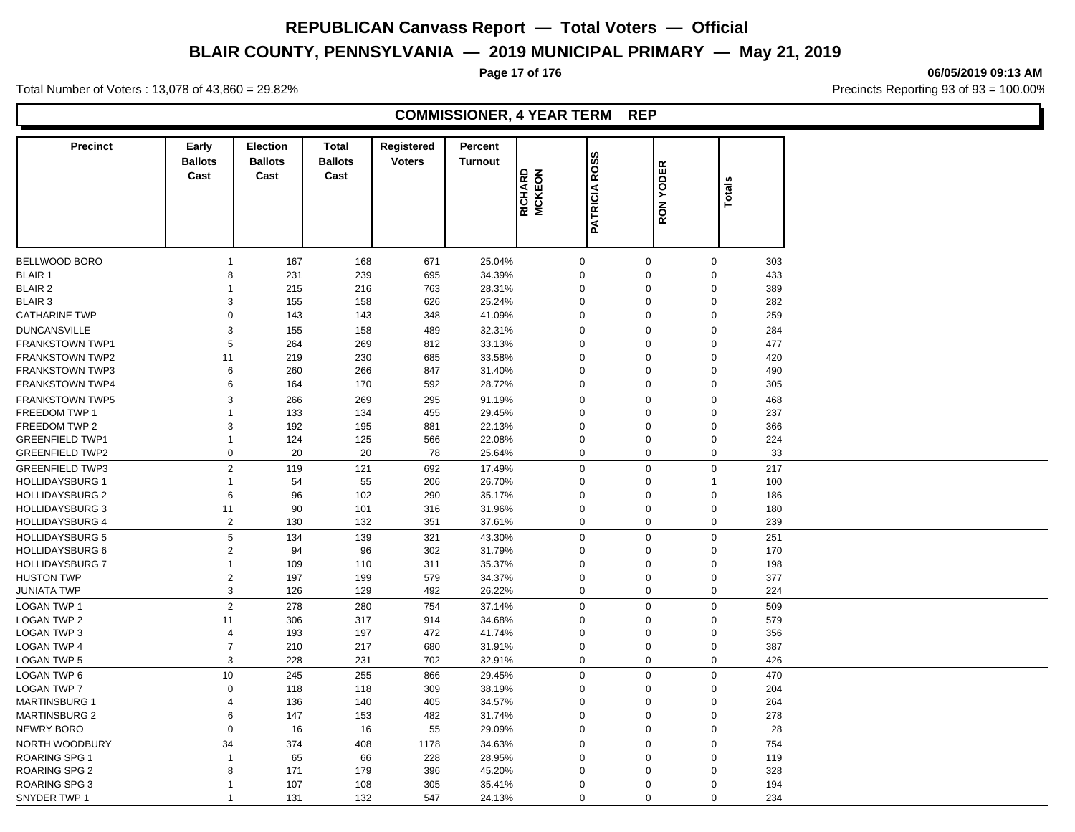# **BLAIR COUNTY, PENNSYLVANIA — 2019 MUNICIPAL PRIMARY — May 21, 2019**

**Page 17 of 176 06/05/2019 09:13 AM**

Total Number of Voters : 13,078 of 43,860 = 29.82% Precincts Reporting 93 of 93 = 100.00%

# **COMMISSIONER, 4 YEAR TERM REP**

| <b>Precinct</b>        | Early<br><b>Ballots</b><br>Cast | <b>Election</b><br><b>Ballots</b><br>Cast | <b>Total</b><br><b>Ballots</b><br>Cast | Registered<br><b>Voters</b> | Percent<br><b>Turnout</b> | RICHARD<br>MCKEON | <b>PATRICIA ROSS</b> | <b>RON YODER</b> | <b>Totals</b>    |     |
|------------------------|---------------------------------|-------------------------------------------|----------------------------------------|-----------------------------|---------------------------|-------------------|----------------------|------------------|------------------|-----|
|                        |                                 |                                           |                                        |                             |                           |                   |                      |                  |                  |     |
| BELLWOOD BORO          | $\mathbf 1$                     | 167                                       | 168                                    | 671                         | 25.04%                    |                   | $\mathbf 0$          | $\mathbf 0$      | $\mathbf 0$      | 303 |
| <b>BLAIR 1</b>         | 8                               | 231                                       | 239                                    | 695                         | 34.39%                    |                   | $\mathbf 0$          | $\Omega$         | $\mathbf 0$      | 433 |
| <b>BLAIR 2</b>         | $\mathbf{1}$                    | 215                                       | 216                                    | 763                         | 28.31%                    |                   | $\mathbf 0$          | $\Omega$         | $\mathbf 0$      | 389 |
| <b>BLAIR 3</b>         | 3                               | 155                                       | 158                                    | 626                         | 25.24%                    |                   | $\mathbf 0$          | $\Omega$         | $\mathbf 0$      | 282 |
| <b>CATHARINE TWP</b>   | $\mathbf 0$                     | 143                                       | 143                                    | 348                         | 41.09%                    |                   | $\mathbf 0$          | $\mathbf 0$      | $\mathbf 0$      | 259 |
| <b>DUNCANSVILLE</b>    | $\mathfrak{Z}$                  | 155                                       | 158                                    | 489                         | 32.31%                    |                   | $\pmb{0}$            | $\Omega$         | $\mathbf 0$      | 284 |
| <b>FRANKSTOWN TWP1</b> | $\,$ 5 $\,$                     | 264                                       | 269                                    | 812                         | 33.13%                    |                   | $\mathbf 0$          | $\Omega$         | $\boldsymbol{0}$ | 477 |
| <b>FRANKSTOWN TWP2</b> | 11                              | 219                                       | 230                                    | 685                         | 33.58%                    |                   | $\mathbf 0$          | $\Omega$         | $\mathbf 0$      | 420 |
| <b>FRANKSTOWN TWP3</b> | 6                               | 260                                       | 266                                    | 847                         | 31.40%                    |                   | $\boldsymbol{0}$     | $\Omega$         | $\boldsymbol{0}$ | 490 |
| <b>FRANKSTOWN TWP4</b> | 6                               | 164                                       | 170                                    | 592                         | 28.72%                    |                   | $\mathbf 0$          | $\Omega$         | $\mathbf 0$      | 305 |
| FRANKSTOWN TWP5        | 3                               | 266                                       | 269                                    | 295                         | 91.19%                    |                   | $\mathbf 0$          | $\Omega$         | $\mathbf 0$      | 468 |
| <b>FREEDOM TWP 1</b>   | $\mathbf{1}$                    | 133                                       | 134                                    | 455                         | 29.45%                    |                   | $\mathbf 0$          | $\Omega$         | $\mathbf 0$      | 237 |
| FREEDOM TWP 2          | 3                               | 192                                       | 195                                    | 881                         | 22.13%                    |                   | $\mathbf 0$          | $\Omega$         | $\mathsf 0$      | 366 |
| <b>GREENFIELD TWP1</b> | $\mathbf{1}$                    | 124                                       | 125                                    | 566                         | 22.08%                    |                   | $\mathbf 0$          | $\Omega$         | $\mathsf 0$      | 224 |
| <b>GREENFIELD TWP2</b> | $\mathbf 0$                     | 20                                        | 20                                     | 78                          | 25.64%                    |                   | $\mathbf 0$          | $\Omega$         | $\mathbf 0$      | 33  |
| <b>GREENFIELD TWP3</b> | $\overline{2}$                  | 119                                       | 121                                    | 692                         | 17.49%                    |                   | $\mathbf 0$          | $\Omega$         | $\mathbf 0$      | 217 |
| <b>HOLLIDAYSBURG 1</b> | $\mathbf{1}$                    | 54                                        | 55                                     | 206                         | 26.70%                    |                   | $\mathbf 0$          | $\Omega$         | $\mathbf{1}$     | 100 |
| <b>HOLLIDAYSBURG 2</b> | 6                               | 96                                        | 102                                    | 290                         | 35.17%                    |                   | $\mathbf 0$          | $\Omega$         | $\mathbf 0$      | 186 |
| <b>HOLLIDAYSBURG 3</b> | 11                              | 90                                        | 101                                    | 316                         | 31.96%                    |                   | $\mathbf 0$          | $\Omega$         | $\mathbf 0$      | 180 |
| <b>HOLLIDAYSBURG 4</b> | $\overline{2}$                  | 130                                       | 132                                    | 351                         | 37.61%                    |                   | $\mathbf 0$          | $\mathbf 0$      | $\mathbf 0$      | 239 |
| <b>HOLLIDAYSBURG 5</b> | $\sqrt{5}$                      | 134                                       | 139                                    | 321                         | 43.30%                    |                   | $\pmb{0}$            | $\Omega$         | $\mathbf 0$      | 251 |
| <b>HOLLIDAYSBURG 6</b> | $\overline{c}$                  | 94                                        | 96                                     | 302                         | 31.79%                    |                   | $\mathbf 0$          | $\Omega$         | $\boldsymbol{0}$ | 170 |
| <b>HOLLIDAYSBURG 7</b> | $\mathbf{1}$                    | 109                                       | 110                                    | 311                         | 35.37%                    |                   | $\mathbf 0$          | $\Omega$         | $\mathbf 0$      | 198 |
| <b>HUSTON TWP</b>      | $\sqrt{2}$                      | 197                                       | 199                                    | 579                         | 34.37%                    |                   | $\mathbf 0$          | $\Omega$         | $\boldsymbol{0}$ | 377 |
| <b>JUNIATA TWP</b>     | $\mathfrak{Z}$                  | 126                                       | 129                                    | 492                         | 26.22%                    |                   | $\mathbf 0$          | $\Omega$         | $\mathbf 0$      | 224 |
| <b>LOGAN TWP 1</b>     | 2                               | 278                                       | 280                                    | 754                         | 37.14%                    |                   | $\mathbf 0$          | $\Omega$         | $\mathbf 0$      | 509 |
| <b>LOGAN TWP 2</b>     | 11                              | 306                                       | 317                                    | 914                         | 34.68%                    |                   | $\mathbf 0$          | $\Omega$         | $\mathsf 0$      | 579 |
| <b>LOGAN TWP 3</b>     | $\overline{4}$                  | 193                                       | 197                                    | 472                         | 41.74%                    |                   | $\boldsymbol{0}$     | $\Omega$         | $\mathsf 0$      | 356 |
| <b>LOGAN TWP 4</b>     | $\overline{7}$                  | 210                                       | 217                                    | 680                         | 31.91%                    |                   | $\mathbf 0$          | $\Omega$         | $\mathbf 0$      | 387 |
| <b>LOGAN TWP 5</b>     | 3                               | 228                                       | 231                                    | 702                         | 32.91%                    |                   | $\mathbf 0$          | $\Omega$         | $\mathbf 0$      | 426 |
| <b>LOGAN TWP 6</b>     | 10                              | 245                                       | 255                                    | 866                         | 29.45%                    |                   | $\mathbf 0$          | $\Omega$         | $\mathbf 0$      | 470 |
| <b>LOGAN TWP 7</b>     | $\mathbf 0$                     | 118                                       | 118                                    | 309                         | 38.19%                    |                   | $\mathbf 0$          | $\Omega$         | $\mathbf 0$      | 204 |
| <b>MARTINSBURG 1</b>   | $\overline{4}$                  | 136                                       | 140                                    | 405                         | 34.57%                    |                   | $\mathbf 0$          | $\Omega$         | $\mathbf 0$      | 264 |
| <b>MARTINSBURG 2</b>   | 6                               | 147                                       | 153                                    | 482                         | 31.74%                    |                   | $\mathbf 0$          | $\Omega$         | $\mathbf 0$      | 278 |
| NEWRY BORO             | $\mathbf 0$                     | 16                                        | 16                                     | 55                          | 29.09%                    |                   | $\mathbf 0$          | $\mathbf 0$      | $\mathbf 0$      | 28  |
| NORTH WOODBURY         | 34                              | 374                                       | 408                                    | 1178                        | 34.63%                    |                   | $\boldsymbol{0}$     | $\Omega$         | $\mathbf 0$      | 754 |
| ROARING SPG 1          | $\mathbf{1}$                    | 65                                        | 66                                     | 228                         | 28.95%                    |                   | $\mathbf 0$          | $\Omega$         | $\boldsymbol{0}$ | 119 |
| <b>ROARING SPG 2</b>   | 8                               | 171                                       | 179                                    | 396                         | 45.20%                    |                   | $\mathbf 0$          | $\Omega$         | $\mathbf 0$      | 328 |
| ROARING SPG 3          | $\mathbf 1$                     | 107                                       | 108                                    | 305                         | 35.41%                    |                   | $\mathbf 0$          | $\Omega$         | $\mathbf 0$      | 194 |
| SNYDER TWP 1           | $\mathbf 1$                     | 131                                       | 132                                    | 547                         | 24.13%                    |                   | $\Omega$             | $\Omega$         | $\Omega$         | 234 |
|                        |                                 |                                           |                                        |                             |                           |                   |                      |                  |                  |     |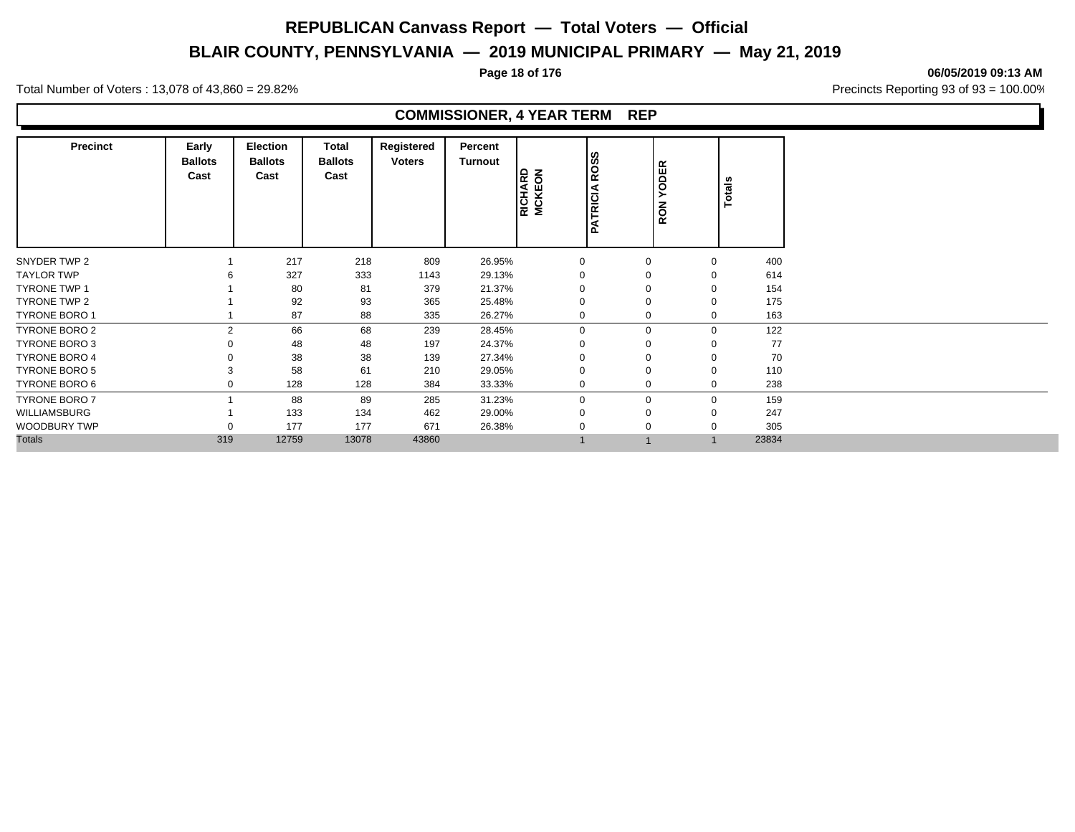# **BLAIR COUNTY, PENNSYLVANIA — 2019 MUNICIPAL PRIMARY — May 21, 2019**

**Page 18 of 176 06/05/2019 09:13 AM**

Total Number of Voters : 13,078 of 43,860 = 29.82% Precincts Reporting 93 of 93 = 100.00%

# **COMMISSIONER, 4 YEAR TERM REP**

| <b>Precinct</b>      | Early<br><b>Ballots</b><br>Cast | <b>Election</b><br><b>Ballots</b><br>Cast | <b>Total</b><br><b>Ballots</b><br>Cast | Registered<br><b>Voters</b> | Percent<br><b>Turnout</b> | <b>RICHARD</b><br>MCKEON | ROSS<br><b>PATRICIA</b> | <b>YODER</b><br>RON | Totals |       |
|----------------------|---------------------------------|-------------------------------------------|----------------------------------------|-----------------------------|---------------------------|--------------------------|-------------------------|---------------------|--------|-------|
| SNYDER TWP 2         |                                 | 217                                       | 218                                    | 809                         | 26.95%                    | $\mathbf 0$              | $\mathbf 0$             | $\mathbf 0$         |        | 400   |
| <b>TAYLOR TWP</b>    |                                 | 327                                       | 333                                    | 1143                        | 29.13%                    | 0                        | $\Omega$                | 0                   |        | 614   |
| <b>TYRONE TWP 1</b>  |                                 | 80                                        | 81                                     | 379                         | 21.37%                    |                          | $\Omega$                | $\mathbf 0$         |        | 154   |
| TYRONE TWP 2         |                                 | 92                                        | 93                                     | 365                         | 25.48%                    | $\Omega$                 | $\Omega$                | $\mathbf 0$         |        | 175   |
| <b>TYRONE BORO 1</b> |                                 | 87                                        | 88                                     | 335                         | 26.27%                    | $\mathbf 0$              | $\mathbf 0$             | 0                   |        | 163   |
| TYRONE BORO 2        | $\overline{2}$                  | 66                                        | 68                                     | 239                         | 28.45%                    | $\mathbf 0$              | $\mathbf 0$             | 0                   |        | 122   |
| TYRONE BORO 3        |                                 | 48                                        | 48                                     | 197                         | 24.37%                    | $\Omega$                 | $\Omega$                | $\mathbf 0$         |        | 77    |
| <b>TYRONE BORO 4</b> |                                 | 38                                        | 38                                     | 139                         | 27.34%                    | $\Omega$                 | $\Omega$                | $\mathbf 0$         |        | 70    |
| TYRONE BORO 5        |                                 | 58                                        | 61                                     | 210                         | 29.05%                    | $\Omega$                 | $\Omega$                | $\mathbf 0$         |        | 110   |
| TYRONE BORO 6        |                                 | 128                                       | 128                                    | 384                         | 33.33%                    | $\mathbf 0$              | $\mathbf 0$             | $\mathbf 0$         |        | 238   |
| <b>TYRONE BORO 7</b> |                                 | 88                                        | 89                                     | 285                         | 31.23%                    | $\mathbf 0$              | $\mathbf 0$             | $\mathbf 0$         |        | 159   |
| WILLIAMSBURG         |                                 | 133                                       | 134                                    | 462                         | 29.00%                    | $\Omega$                 | $\Omega$                | 0                   |        | 247   |
| <b>WOODBURY TWP</b>  |                                 | 177                                       | 177                                    | 671                         | 26.38%                    | 0                        | $\Omega$                | 0                   |        | 305   |
| <b>Totals</b>        | 319                             | 12759                                     | 13078                                  | 43860                       |                           |                          |                         | $\mathbf 1$         |        | 23834 |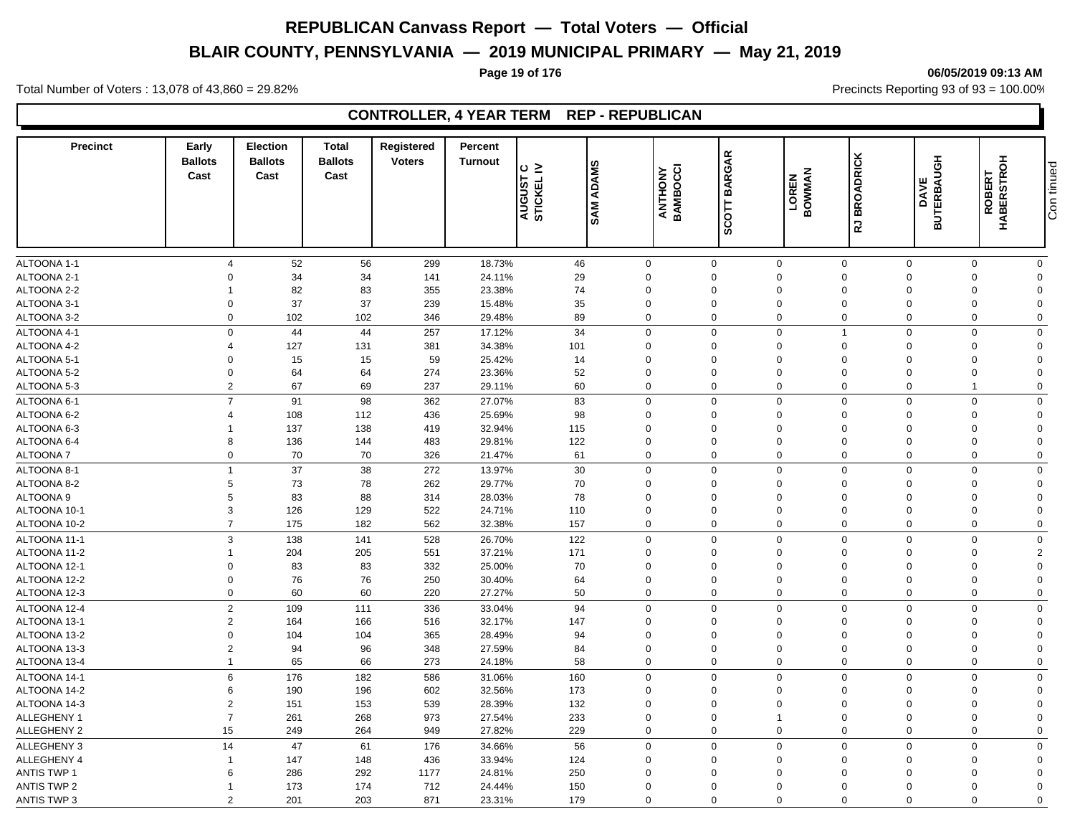# **BLAIR COUNTY, PENNSYLVANIA — 2019 MUNICIPAL PRIMARY — May 21, 2019**

# **Page 19 of 176 06/05/2019 09:13 AM**

Total Number of Voters : 13,078 of 43,860 = 29.82% Precincts Reporting 93 of 93 = 100.00%

# **CONTROLLER, 4 YEAR TERM REP - REPUBLICAN**

| <b>Precinct</b>    | Early<br><b>Ballots</b><br>Cast | <b>Election</b><br><b>Ballots</b><br>Cast | <b>Total</b><br><b>Ballots</b><br>Cast | Registered<br><b>Voters</b> | Percent<br><b>Turnout</b> | $\circ$ $\ge$<br>AUGUST<br>STICKEL I | <b>SAM ADAMS</b> | ANTHONY<br>BAMBOCCI | <b>BARGAR</b><br>SCOTT | LOREN<br>BOWMAN | <b>RJ BROADRICK</b>        | <b>BUTERBAUGH</b><br>DAVE | ROBERT<br>HABERSTROH | Con tinued              |
|--------------------|---------------------------------|-------------------------------------------|----------------------------------------|-----------------------------|---------------------------|--------------------------------------|------------------|---------------------|------------------------|-----------------|----------------------------|---------------------------|----------------------|-------------------------|
|                    |                                 |                                           |                                        |                             |                           |                                      |                  |                     |                        |                 |                            |                           |                      |                         |
| ALTOONA 1-1        | $\overline{4}$                  | 52                                        | 56                                     | 299                         | 18.73%                    | 46                                   |                  | 0                   | $\mathsf 0$            | $\mathbf 0$     | $\mathbf 0$                | $\mathbf 0$               | $\mathbf 0$          | $\mathbf 0$             |
| ALTOONA 2-1        | $\mathbf 0$                     | 34                                        | 34                                     | 141                         | 24.11%                    | 29                                   | $\mathbf 0$      |                     | $\mathbf 0$            | $\pmb{0}$       | $\overline{0}$<br>$\Omega$ |                           | $\Omega$             | $\mathbf 0$             |
| ALTOONA 2-2        | $\overline{1}$                  | 82                                        | 83                                     | 355                         | 23.38%                    | 74                                   | $\Omega$         |                     | $\mathbf 0$            | $\mathbf 0$     | $\mathbf 0$<br>$\Omega$    |                           | $\Omega$             | $\Omega$                |
| ALTOONA 3-1        | $\mathbf 0$                     | 37                                        | 37                                     | 239                         | 15.48%                    | 35                                   | $\mathbf 0$      |                     | $\mathbf 0$            | $\mathbf 0$     | $\overline{0}$<br>$\Omega$ |                           | $\Omega$             | $\mathbf 0$             |
| ALTOONA 3-2        | $\mathbf 0$                     | 102                                       | 102                                    | 346                         | 29.48%                    | 89                                   |                  | $\mathbf 0$         | $\mathbf 0$            | $\mathbf 0$     | $\mathbf 0$                | $\Omega$                  | $\mathbf 0$          | $\mathbf 0$             |
| ALTOONA 4-1        | $\mathbf 0$                     | 44                                        | 44                                     | 257                         | 17.12%                    | 34                                   |                  | 0                   | $\mathbf 0$            | $\mathbf 0$     | $\overline{1}$<br>$\Omega$ |                           | $\Omega$             | $\mathbf 0$             |
| ALTOONA 4-2        | $\overline{4}$                  | 127                                       | 131                                    | 381                         | 34.38%                    | 101                                  | $\mathbf 0$      |                     | $\mathbf 0$            | $\mathbf 0$     | $\overline{0}$<br>$\Omega$ |                           | $\Omega$             | $\mathbf 0$             |
| ALTOONA 5-1        | $\Omega$                        | 15                                        | 15                                     | 59                          | 25.42%                    | 14                                   | $\Omega$         |                     | $\mathbf 0$            | $\mathbf 0$     | $\Omega$<br>$\Omega$       |                           | $\Omega$             | $\Omega$                |
| ALTOONA 5-2        | $\mathbf 0$                     | 64                                        | 64                                     | 274                         | 23.36%                    | 52                                   | $\mathbf 0$      |                     | $\mathbf 0$            | $\mathbf 0$     | $\mathbf 0$<br>$\Omega$    |                           | $\mathbf 0$          | $\Omega$                |
| ALTOONA 5-3        | $\overline{2}$                  | 67                                        | 69                                     | 237                         | 29.11%                    | 60                                   | $\mathbf 0$      |                     | $\mathbf 0$            | $\mathbf 0$     | $\mathbf 0$                | $\mathbf 0$               | $\overline{1}$       | $\mathbf 0$             |
| ALTOONA 6-1        | $\overline{7}$                  | 91                                        | 98                                     | 362                         | 27.07%                    | 83                                   | $\mathbf 0$      |                     | $\mathbf 0$            | $\mathsf 0$     | $\mathbf 0$<br>$\Omega$    |                           | $\Omega$             | $\mathbf 0$             |
| ALTOONA 6-2        | $\overline{4}$                  | 108                                       | 112                                    | 436                         | 25.69%                    | 98                                   | $\mathbf 0$      |                     | $\Omega$               | $\mathbf 0$     | $\mathbf 0$<br>$\Omega$    |                           | $\Omega$             | $\Omega$                |
| ALTOONA 6-3        |                                 | 137                                       | 138                                    | 419                         | 32.94%                    | 115                                  | $\mathbf 0$      |                     | $\mathbf 0$            | $\mathbf 0$     | $\mathbf 0$<br>$\Omega$    |                           | $\Omega$             | $\Omega$                |
| ALTOONA 6-4        | 8                               | 136                                       | 144                                    | 483                         | 29.81%                    | 122                                  | $\mathbf 0$      |                     | $\mathbf 0$            | $\mathbf 0$     | $\Omega$<br>$\Omega$       |                           | $\Omega$             | $\Omega$                |
| <b>ALTOONA7</b>    | $\mathbf 0$                     | 70                                        | 70                                     | 326                         | 21.47%                    | 61                                   |                  | 0                   | $\mathbf 0$            | $\mathbf 0$     | $\mathbf 0$                | $\mathbf 0$               | $\mathbf 0$          | $\mathbf 0$             |
| ALTOONA 8-1        | $\overline{1}$                  | 37                                        | 38                                     | 272                         | 13.97%                    | 30                                   |                  | $\mathbf 0$         | $\mathbf 0$            | $\mathsf 0$     | $\mathbf 0$                | $\Omega$                  | $\mathbf 0$          | $\mathbf 0$             |
| ALTOONA 8-2        | $\sqrt{5}$                      | 73                                        | 78                                     | 262                         | 29.77%                    | 70                                   | $\Omega$         |                     | $\Omega$               | $\mathbf 0$     | $\Omega$<br>$\Omega$       |                           | $\Omega$             | $\mathbf 0$             |
| ALTOONA 9          | $5\phantom{.0}$                 | 83                                        | 88                                     | 314                         | 28.03%                    | 78                                   | $\Omega$         |                     | $\Omega$               | $\mathbf 0$     | $\Omega$<br>$\Omega$       |                           | $\Omega$             | $\mathbf 0$             |
| ALTOONA 10-1       | $\mathbf{3}$                    | 126                                       | 129                                    | 522                         | 24.71%                    | 110                                  | $\mathbf 0$      |                     | $\mathbf 0$            | $\mathbf 0$     | $\mathbf 0$<br>$\Omega$    |                           | $\Omega$             | $\mathbf 0$             |
| ALTOONA 10-2       | $\overline{7}$                  | 175                                       | 182                                    | 562                         | 32.38%                    | 157                                  |                  | 0                   | $\mathbf 0$            | $\mathbf 0$     | $\mathbf 0$<br>$\Omega$    |                           | $\Omega$             | $\mathbf 0$             |
| ALTOONA 11-1       | $\mathbf{3}$                    | 138                                       | 141                                    | 528                         | 26.70%                    | 122                                  |                  | $\mathbf 0$         | $\mathbf 0$            | $\mathsf 0$     | $\mathbf 0$                | $\Omega$                  | $\Omega$             | $\mathbf 0$             |
| ALTOONA 11-2       | $\overline{1}$                  | 204                                       | 205                                    | 551                         | 37.21%                    | 171                                  | $\mathbf 0$      |                     | $\mathbf 0$            | $\mathbf 0$     | $\mathbf 0$<br>$\Omega$    |                           | $\Omega$             | $\overline{2}$          |
| ALTOONA 12-1       | $\boldsymbol{0}$                | 83                                        | 83                                     | 332                         | 25.00%                    | 70                                   | $\mathbf 0$      |                     | 0                      | $\pmb{0}$       | $\mathbf 0$<br>$\Omega$    |                           | $\Omega$             | $\mathbf 0$             |
| ALTOONA 12-2       | $\mathbf 0$                     | 76                                        | 76                                     | 250                         | 30.40%                    | 64                                   | $\Omega$         |                     | $\mathbf 0$            | $\mathsf 0$     | $\mathbf 0$<br>$\Omega$    |                           | $\Omega$             | $\mathbf 0$             |
| ALTOONA 12-3       | $\mathbf 0$                     | 60                                        | 60                                     | 220                         | 27.27%                    | 50                                   |                  | 0                   | $\mathbf 0$            | $\mathbf 0$     | $\mathbf 0$                | $\mathbf 0$               | $\mathbf 0$          | $\mathbf 0$             |
| ALTOONA 12-4       | $\overline{2}$                  | 109                                       | 111                                    | 336                         | 33.04%                    | 94                                   |                  | 0                   | $\mathbf 0$            | $\mathbf 0$     | $\mathbf 0$                | $\mathbf 0$               | $\Omega$             | $\mathbf 0$             |
| ALTOONA 13-1       | $\overline{2}$                  | 164                                       | 166                                    | 516                         | 32.17%                    | 147                                  | $\mathbf 0$      |                     | $\mathbf 0$            | $\mathbf 0$     | $\mathbf 0$<br>$\Omega$    |                           | $\Omega$             | $\Omega$                |
| ALTOONA 13-2       | $\mathbf 0$                     | 104                                       | 104                                    | 365                         | 28.49%                    | 94                                   | $\mathbf 0$      |                     | $\mathbf 0$            | $\mathbf 0$     | $\mathbf 0$<br>$\Omega$    |                           | $\Omega$             | $\mathbf 0$             |
| ALTOONA 13-3       | $\overline{2}$                  | 94                                        | 96                                     | 348                         | 27.59%                    | 84                                   | $\mathbf 0$      |                     | $\mathbf 0$            | $\mathbf 0$     | $\overline{0}$<br>$\Omega$ |                           | $\Omega$             | $\mathbf{0}$            |
| ALTOONA 13-4       | $\overline{1}$                  | 65                                        | 66                                     | 273                         | 24.18%                    | 58                                   | $\mathbf 0$      |                     | $\mathbf 0$            | $\mathbf 0$     | $\mathbf 0$<br>$\Omega$    |                           | $\Omega$             | $\mathbf 0$             |
|                    |                                 |                                           |                                        |                             |                           |                                      |                  |                     |                        |                 |                            |                           |                      |                         |
| ALTOONA 14-1       | $6\phantom{1}6$                 | 176                                       | 182                                    | 586                         | 31.06%                    | 160                                  |                  | 0                   | $\mathbf 0$            | $\mathbf 0$     | $\mathbf 0$<br>$\Omega$    |                           | $\Omega$             | $\mathbf 0$             |
| ALTOONA 14-2       | $\,6$                           | 190                                       | 196                                    | 602                         | 32.56%                    | 173                                  | $\Omega$         |                     | $\Omega$               | $\mathbf 0$     | $\Omega$<br>$\Omega$       |                           | $\Omega$             | $\mathbf 0$<br>$\Omega$ |
| ALTOONA 14-3       | $\overline{2}$                  | 151                                       | 153                                    | 539                         | 28.39%                    | 132                                  | $\mathbf 0$      |                     | $\mathbf 0$            | $\mathbf 0$     | $\mathbf 0$<br>$\Omega$    |                           | $\Omega$             |                         |
| ALLEGHENY 1        | $\overline{7}$                  | 261                                       | 268                                    | 973                         | 27.54%                    | 233                                  | $\mathbf 0$      |                     | $\mathbf 0$            | $\mathbf{1}$    | $\mathbf 0$<br>$\Omega$    |                           | $\overline{0}$       | $\overline{0}$          |
| <b>ALLEGHENY 2</b> | 15                              | 249                                       | 264                                    | 949                         | 27.82%                    | 229                                  |                  | $\mathbf 0$         | $\mathbf 0$            | $\mathbf 0$     | $\mathbf 0$<br>$\Omega$    |                           | $\Omega$             | $\mathbf 0$             |
| ALLEGHENY 3        | 14                              | 47                                        | 61                                     | 176                         | 34.66%                    | 56                                   |                  | 0                   | $\mathbf 0$            | $\mathbf 0$     | $\mathbf 0$<br>$\Omega$    |                           | $\Omega$             | $\mathbf 0$             |
| ALLEGHENY 4        | $\overline{1}$                  | 147                                       | 148                                    | 436                         | 33.94%                    | 124                                  | $\mathbf 0$      |                     | $\mathbf 0$            | $\mathbf 0$     | $\Omega$<br>$\Omega$       |                           | $\Omega$             | $\mathbf 0$             |
| ANTIS TWP 1        | 6                               | 286                                       | 292                                    | 1177                        | 24.81%                    | 250                                  | $\Omega$         |                     | $\Omega$               | $\mathbf 0$     | $\Omega$<br>$\Omega$       |                           | $\Omega$             | $\mathbf{0}$            |
| <b>ANTIS TWP 2</b> | $\overline{1}$                  | 173                                       | 174                                    | 712                         | 24.44%                    | 150                                  | $\Omega$         |                     | $\Omega$               | $\mathbf 0$     | $\Omega$<br>$\Omega$       |                           | $\Omega$             | $\Omega$                |
| <b>ANTIS TWP 3</b> | $\overline{2}$                  | 201                                       | 203                                    | 871                         | 23.31%                    | 179                                  | $\mathbf 0$      |                     | $\Omega$               | $\Omega$        | $\mathbf 0$<br>$\Omega$    |                           | $\Omega$             | $\mathbf 0$             |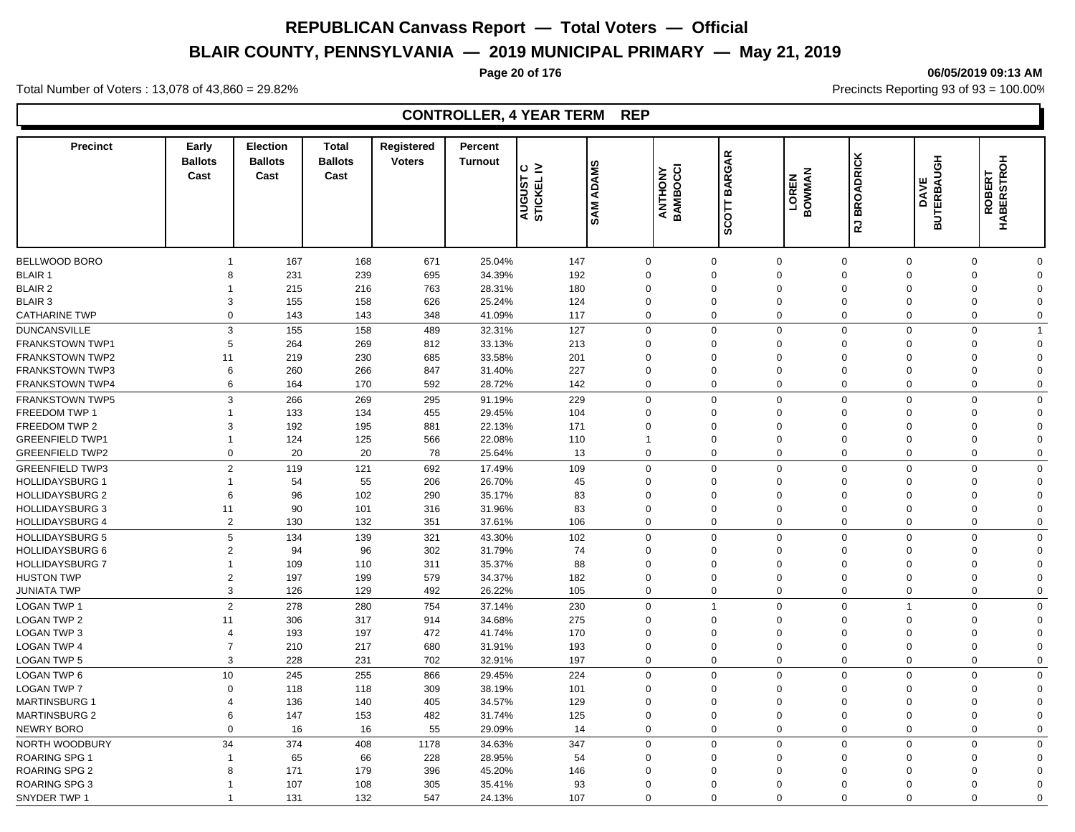# **BLAIR COUNTY, PENNSYLVANIA — 2019 MUNICIPAL PRIMARY — May 21, 2019**

#### **Page 20 of 176 06/05/2019 09:13 AM**

Total Number of Voters : 13,078 of 43,860 = 29.82% Precincts Reporting 93 of 93 = 100.00%

| <b>Precinct</b>        | Early<br><b>Ballots</b><br>Cast | <b>Election</b><br><b>Ballots</b><br>Cast | <b>Total</b><br><b>Ballots</b><br>Cast | Registered<br><b>Voters</b> | Percent<br><b>Turnout</b> | ⊙ ≥<br><b>AUGUST</b><br>STICKEL | <b>SAM ADAMS</b> |             | ANTHONY<br>BAMBOCCI | <b>BARGAR</b><br><b>SCOTT</b> | LOREN<br>BOWMAN | <b>BROADRICK</b><br>굲 | <b>DAVE<br/>BUTERBAUGH</b> | <b>ROBERT<br/>HABERSTROH</b> |                |
|------------------------|---------------------------------|-------------------------------------------|----------------------------------------|-----------------------------|---------------------------|---------------------------------|------------------|-------------|---------------------|-------------------------------|-----------------|-----------------------|----------------------------|------------------------------|----------------|
|                        |                                 |                                           |                                        |                             |                           |                                 |                  |             |                     |                               |                 |                       |                            |                              |                |
| BELLWOOD BORO          | $\overline{1}$                  | 167                                       | 168                                    | 671                         | 25.04%                    |                                 | 147              | $\mathbf 0$ |                     | $\mathbf 0$                   | $\Omega$        | $\mathbf 0$           | 0                          | $\mathbf 0$                  | $\mathbf 0$    |
| <b>BLAIR 1</b>         | 8                               | 231                                       | 239                                    | 695                         | 34.39%                    |                                 | 192              | $\mathbf 0$ |                     | $\overline{0}$                | $\Omega$        | $\Omega$              | $\mathbf 0$                | $\Omega$                     | $\mathbf 0$    |
| <b>BLAIR 2</b>         |                                 | 215                                       | 216                                    | 763                         | 28.31%                    |                                 | 180              | $\Omega$    |                     | $\Omega$                      | $\Omega$        | $\Omega$              | $\Omega$                   | $\Omega$                     | $\mathbf 0$    |
| <b>BLAIR 3</b>         | 3                               | 155                                       | 158                                    | 626                         | 25.24%                    |                                 | 124              | $\mathbf 0$ |                     | $\overline{0}$                | $\mathbf 0$     | $\mathbf 0$           | $\mathbf 0$                | $\Omega$                     | $\mathbf 0$    |
| <b>CATHARINE TWP</b>   | $\Omega$                        | 143                                       | 143                                    | 348                         | 41.09%                    |                                 | 117              | $\mathbf 0$ |                     | $\mathbf 0$                   | $\mathbf 0$     | $\mathbf 0$           | $\mathbf 0$                | $\mathbf 0$                  | 0              |
| <b>DUNCANSVILLE</b>    | 3                               | 155                                       | 158                                    | 489                         | 32.31%                    |                                 | 127              | $\Omega$    |                     | $\Omega$                      | $\Omega$        | $\Omega$              | $\Omega$                   | $\Omega$                     | $\overline{1}$ |
| <b>FRANKSTOWN TWP1</b> | 5                               | 264                                       | 269                                    | 812                         | 33.13%                    |                                 | 213              | $\Omega$    |                     | $\Omega$                      | $\Omega$        | $\Omega$              | $\Omega$                   | $\Omega$                     | $\mathbf 0$    |
| <b>FRANKSTOWN TWP2</b> | 11                              | 219                                       | 230                                    | 685                         | 33.58%                    |                                 | 201              | 0           |                     | $\mathbf 0$                   | $\Omega$        | $\Omega$              | $\Omega$                   | $\Omega$                     | $\Omega$       |
| <b>FRANKSTOWN TWP3</b> | 6                               | 260                                       | 266                                    | 847                         | 31.40%                    |                                 | 227              | $\Omega$    |                     | $\Omega$                      | $\Omega$        | $\Omega$              | $\Omega$                   | $\Omega$                     | $\Omega$       |
| <b>FRANKSTOWN TWP4</b> | 6                               | 164                                       | 170                                    | 592                         | 28.72%                    |                                 | 142              | $\mathbf 0$ |                     | $\Omega$                      | $\Omega$        | $\mathbf 0$           | 0                          | $\Omega$                     | $\mathbf 0$    |
| <b>FRANKSTOWN TWP5</b> | 3                               | 266                                       | 269                                    | 295                         | 91.19%                    |                                 | 229              | $\mathbf 0$ |                     | $\mathbf 0$                   | $\Omega$        | $\mathbf 0$           | 0                          | $\mathbf 0$                  | $\mathbf 0$    |
| FREEDOM TWP 1          | -1                              | 133                                       | 134                                    | 455                         | 29.45%                    |                                 | 104              | $\Omega$    |                     | $\Omega$                      | $\Omega$        | $\Omega$              | $\Omega$                   | $\Omega$                     | $\Omega$       |
| FREEDOM TWP 2          | 3                               | 192                                       | 195                                    | 881                         | 22.13%                    |                                 | 171              | $\Omega$    |                     | $\Omega$                      | $\Omega$        | $\Omega$              | $\Omega$                   | $\Omega$                     | $\mathbf 0$    |
| <b>GREENFIELD TWP1</b> | $\overline{1}$                  | 124                                       | 125                                    | 566                         | 22.08%                    |                                 | 110              | -1          |                     | $\mathbf 0$                   | $\mathbf 0$     | $\mathbf 0$           | $\mathbf 0$                | $\mathbf 0$                  | $\Omega$       |
| <b>GREENFIELD TWP2</b> | $\mathbf 0$                     | 20                                        | 20                                     | 78                          | 25.64%                    |                                 | 13               | $\mathbf 0$ |                     | $\mathbf 0$                   | $\Omega$        | $\Omega$              | 0                          | $\mathbf 0$                  | $\mathbf 0$    |
| <b>GREENFIELD TWP3</b> | 2                               | 119                                       | 121                                    | 692                         | 17.49%                    |                                 | 109              | $\mathbf 0$ |                     | $\mathbf 0$                   | $\Omega$        | $\Omega$              | $\Omega$                   | $\Omega$                     | $\mathbf 0$    |
| <b>HOLLIDAYSBURG 1</b> | $\overline{1}$                  | 54                                        | 55                                     | 206                         | 26.70%                    |                                 | 45               | $\mathbf 0$ |                     | $\overline{0}$                | $\Omega$        | $\Omega$              | $\mathbf 0$                | $\Omega$                     | $\mathbf 0$    |
| <b>HOLLIDAYSBURG 2</b> | 6                               | 96                                        | 102                                    | 290                         | 35.17%                    |                                 | 83               | $\Omega$    |                     | $\Omega$                      | $\Omega$        | $\Omega$              | $\Omega$                   | $\Omega$                     | $\Omega$       |
| <b>HOLLIDAYSBURG 3</b> | 11                              | 90                                        | 101                                    | 316                         | 31.96%                    |                                 | 83               | $\mathbf 0$ |                     | $\overline{0}$                | $\Omega$        | $\mathbf 0$           | $\mathbf 0$                | $\Omega$                     | $\mathbf 0$    |
| <b>HOLLIDAYSBURG 4</b> | 2                               | 130                                       | 132                                    | 351                         | 37.61%                    |                                 | 106              | $\mathbf 0$ |                     | $\mathbf 0$                   | $\Omega$        | $\Omega$              | 0                          | $\Omega$                     | $\mathbf 0$    |
|                        | 5                               |                                           |                                        |                             |                           |                                 |                  |             |                     |                               | $\Omega$        | $\Omega$              | $\Omega$                   | $\Omega$                     |                |
| <b>HOLLIDAYSBURG 5</b> |                                 | 134                                       | 139                                    | 321                         | 43.30%                    |                                 | 102              | $\mathbf 0$ |                     | $\mathbf 0$                   |                 |                       |                            |                              | $\mathbf 0$    |
| <b>HOLLIDAYSBURG 6</b> | $\overline{2}$                  | 94                                        | 96                                     | 302                         | 31.79%                    |                                 | 74               | $\Omega$    |                     | $\mathbf 0$                   | $\mathbf 0$     | $\Omega$              | 0                          | $\Omega$                     | 0              |
| HOLLIDAYSBURG 7        | $\overline{1}$                  | 109                                       | 110                                    | 311                         | 35.37%                    |                                 | 88               | 0           |                     | $\overline{0}$                | $\mathbf 0$     | $\mathbf 0$           | $\mathbf 0$                | $\Omega$                     | $\mathbf 0$    |
| <b>HUSTON TWP</b>      | $\overline{2}$                  | 197                                       | 199                                    | 579                         | 34.37%                    |                                 | 182              | $\Omega$    |                     | $\Omega$                      | $\Omega$        | $\Omega$              | $\mathbf 0$                | $\Omega$<br>$\Omega$         | $\mathbf 0$    |
| <b>JUNIATA TWP</b>     | 3                               | 126                                       | 129                                    | 492                         | 26.22%                    |                                 | 105              | $\mathbf 0$ |                     | $\overline{0}$                | $\mathbf 0$     | $\mathbf 0$           | $\mathbf 0$                |                              | $\mathbf 0$    |
| <b>LOGAN TWP 1</b>     | 2                               | 278                                       | 280                                    | 754                         | 37.14%                    |                                 | 230              | $\mathbf 0$ |                     | $\overline{1}$                | $\Omega$        | $\Omega$              | $\mathbf{1}$               | $\mathbf 0$                  | $\mathbf 0$    |
| <b>LOGAN TWP 2</b>     | 11                              | 306                                       | 317                                    | 914                         | 34.68%                    |                                 | 275              | $\Omega$    |                     | $\Omega$                      | $\Omega$        | $\Omega$              | $\Omega$                   | $\Omega$                     | $\Omega$       |
| <b>LOGAN TWP 3</b>     | $\overline{4}$                  | 193                                       | 197                                    | 472                         | 41.74%                    |                                 | 170              | $\Omega$    |                     | $\Omega$                      | $\Omega$        | $\Omega$              | $\Omega$                   | $\Omega$                     | $\Omega$       |
| <b>LOGAN TWP 4</b>     | $\overline{7}$                  | 210                                       | 217                                    | 680                         | 31.91%                    |                                 | 193              | $\Omega$    |                     | $\mathbf 0$                   | $\Omega$        | $\Omega$              | $\Omega$                   | $\Omega$                     | $\Omega$       |
| <b>LOGAN TWP 5</b>     | 3                               | 228                                       | 231                                    | 702                         | 32.91%                    |                                 | 197              | $\mathbf 0$ |                     | $\Omega$                      | $\Omega$        | $\Omega$              | $\mathbf{0}$               | $\Omega$                     | $\mathbf 0$    |
| LOGAN TWP 6            | 10                              | 245                                       | 255                                    | 866                         | 29.45%                    |                                 | 224              | $\Omega$    |                     | $\Omega$                      | $\Omega$        | $\mathbf 0$           | $\mathbf{0}$               | $\Omega$                     | $\mathbf 0$    |
| <b>LOGAN TWP 7</b>     | $\Omega$                        | 118                                       | 118                                    | 309                         | 38.19%                    |                                 | 101              | $\mathbf 0$ |                     | $\mathbf 0$                   | $\Omega$        | $\mathbf 0$           | $\mathbf 0$                | $\Omega$                     | $\mathbf 0$    |
| <b>MARTINSBURG 1</b>   | $\overline{4}$                  | 136                                       | 140                                    | 405                         | 34.57%                    |                                 | 129              | $\Omega$    |                     | $\Omega$                      | $\Omega$        | $\Omega$              | $\Omega$                   | $\Omega$                     | $\Omega$       |
| <b>MARTINSBURG 2</b>   | 6                               | 147                                       | 153                                    | 482                         | 31.74%                    |                                 | 125              | $\Omega$    |                     | $\overline{0}$                | $\Omega$        | $\mathbf 0$           | $\mathbf 0$                | $\Omega$                     | $\Omega$       |
| <b>NEWRY BORO</b>      | $\Omega$                        | 16                                        | 16                                     | 55                          | 29.09%                    |                                 | 14               | $\Omega$    |                     | $\Omega$                      | $\Omega$        | $\Omega$              | $\Omega$                   | $\Omega$                     | $\Omega$       |
| NORTH WOODBURY         | 34                              | 374                                       | 408                                    | 1178                        | 34.63%                    |                                 | 347              | $\Omega$    |                     | $\Omega$                      | $\Omega$        | $\Omega$              | $\mathbf{0}$               | $\Omega$                     | $\mathbf 0$    |
| ROARING SPG 1          | -1                              | 65                                        | 66                                     | 228                         | 28.95%                    |                                 | 54               | $\Omega$    |                     | $\Omega$                      | $\Omega$        | $\Omega$              | $\Omega$                   | $\Omega$                     | $\Omega$       |
| <b>ROARING SPG 2</b>   | 8                               | 171                                       | 179                                    | 396                         | 45.20%                    |                                 | 146              | 0           |                     | $\mathbf 0$                   | $\Omega$        | $\Omega$              | $\Omega$                   | $\Omega$                     | $\mathbf 0$    |
| <b>ROARING SPG 3</b>   | -1                              | 107                                       | 108                                    | 305                         | 35.41%                    |                                 | 93               | $\Omega$    |                     | $\Omega$                      | $\Omega$        | $\Omega$              | $\Omega$                   | $\Omega$                     | $\Omega$       |
| SNYDER TWP 1           | $\overline{1}$                  | 131                                       | 132                                    | 547                         | 24.13%                    |                                 | 107              | $\Omega$    |                     | $\Omega$                      | $\Omega$        | $\Omega$              | $\mathbf{0}$               | $\Omega$                     | $\mathbf 0$    |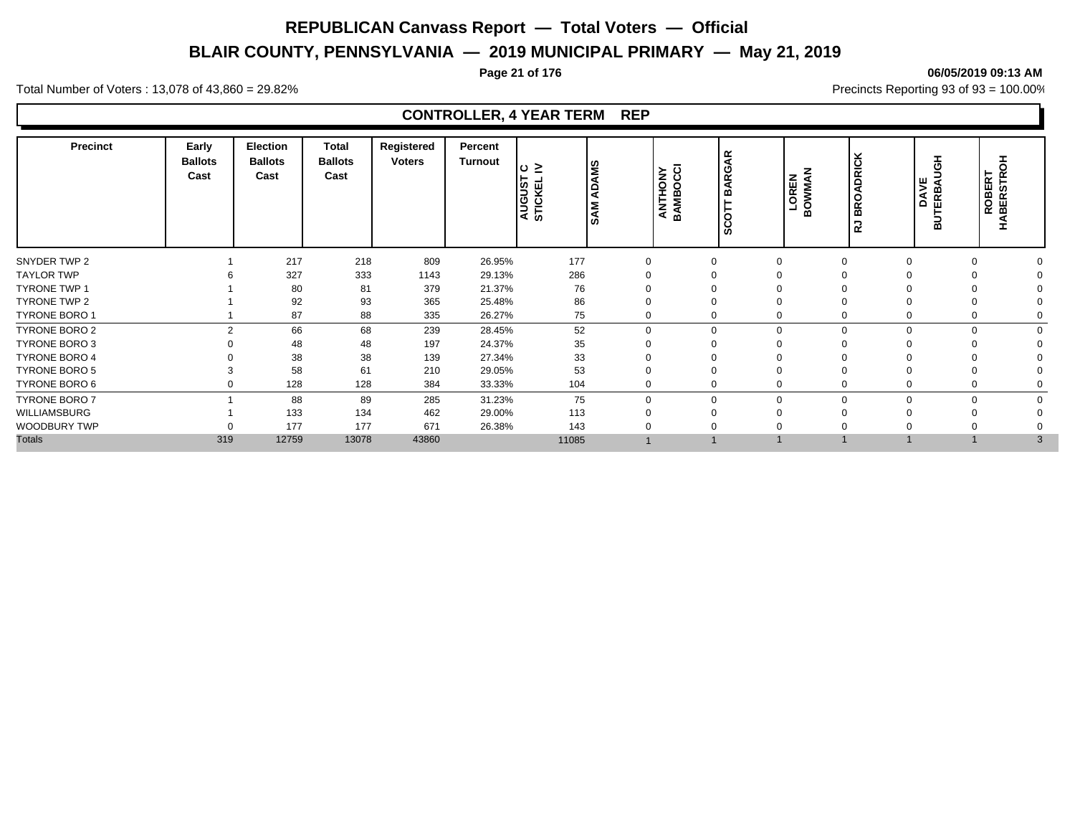# **BLAIR COUNTY, PENNSYLVANIA — 2019 MUNICIPAL PRIMARY — May 21, 2019**

#### **Page 21 of 176 06/05/2019 09:13 AM**

Total Number of Voters : 13,078 of 43,860 = 29.82% Precincts Reporting 93 of 93 = 100.00%

| <b>Precinct</b>      | Early<br><b>Ballots</b><br>Cast | Election<br><b>Ballots</b><br>Cast | <b>Total</b><br><b>Ballots</b><br>Cast | Registered<br><b>Voters</b> | Percent<br>Turnout | $\circ$ $\ge$<br><b>AUGUST</b><br>STICKEL | <b>ADAMS</b><br><b>SAM</b> | ANTHONY<br>BAMBOCCI | <b>BARGAR</b><br>COTT<br>ø, | OREN<br>⋖<br><b>NNNO</b><br>≃ | DRICK<br>◀<br>$\circ$<br>ء ا<br>∣≃<br>∍<br>≃ | ᆂ<br>ō<br>쁏<br>DAV<br>ERBJ<br>⋒ | ᆂ<br>$\circ$<br><b>ROBERT<br/>HABERSTRO</b> |  |
|----------------------|---------------------------------|------------------------------------|----------------------------------------|-----------------------------|--------------------|-------------------------------------------|----------------------------|---------------------|-----------------------------|-------------------------------|----------------------------------------------|---------------------------------|---------------------------------------------|--|
| SNYDER TWP 2         |                                 | 217                                | 218                                    | 809                         | 26.95%             | 177                                       |                            |                     |                             | 0                             | $\Omega$                                     |                                 |                                             |  |
| <b>TAYLOR TWP</b>    |                                 | 327                                | 333                                    | 1143                        | 29.13%             | 286                                       |                            |                     |                             |                               |                                              |                                 |                                             |  |
| <b>TYRONE TWP 1</b>  |                                 | 80                                 | 81                                     | 379                         | 21.37%             | 76                                        |                            |                     |                             |                               |                                              |                                 |                                             |  |
| TYRONE TWP 2         |                                 | 92                                 | 93                                     | 365                         | 25.48%             | 86                                        |                            |                     |                             |                               |                                              |                                 |                                             |  |
| TYRONE BORO 1        |                                 | 87                                 | 88                                     | 335                         | 26.27%             | 75                                        |                            |                     |                             | 0                             |                                              |                                 |                                             |  |
| <b>TYRONE BORO 2</b> | $\mathcal{D}$                   | 66                                 | 68                                     | 239                         | 28.45%             | 52                                        | $\Omega$                   |                     | $\Omega$                    |                               | $\Omega$<br>0                                |                                 |                                             |  |
| <b>TYRONE BORO 3</b> |                                 | 48                                 | 48                                     | 197                         | 24.37%             | 35                                        |                            |                     |                             |                               |                                              |                                 |                                             |  |
| <b>TYRONE BORO 4</b> |                                 | 38                                 | 38                                     | 139                         | 27.34%             | 33                                        |                            |                     |                             |                               |                                              |                                 |                                             |  |
| <b>TYRONE BORO 5</b> |                                 | 58                                 | 61                                     | 210                         | 29.05%             | 53                                        |                            |                     |                             |                               |                                              |                                 |                                             |  |
| TYRONE BORO 6        |                                 | 128                                | 128                                    | 384                         | 33.33%             | 104                                       |                            |                     |                             | 0                             |                                              |                                 |                                             |  |
| <b>TYRONE BORO 7</b> |                                 | 88                                 | 89                                     | 285                         | 31.23%             | 75                                        | U                          |                     | $\Omega$                    |                               | $\mathbf{0}$<br>$\Omega$                     |                                 |                                             |  |
| WILLIAMSBURG         |                                 | 133                                | 134                                    | 462                         | 29.00%             | 113                                       |                            |                     |                             |                               |                                              |                                 |                                             |  |
| WOODBURY TWP         |                                 | 177                                | 177                                    | 671                         | 26.38%             | 143                                       |                            |                     |                             |                               |                                              |                                 |                                             |  |
| <b>Totals</b>        | 319                             | 12759                              | 13078                                  | 43860                       |                    | 11085                                     |                            |                     |                             |                               |                                              |                                 | 3                                           |  |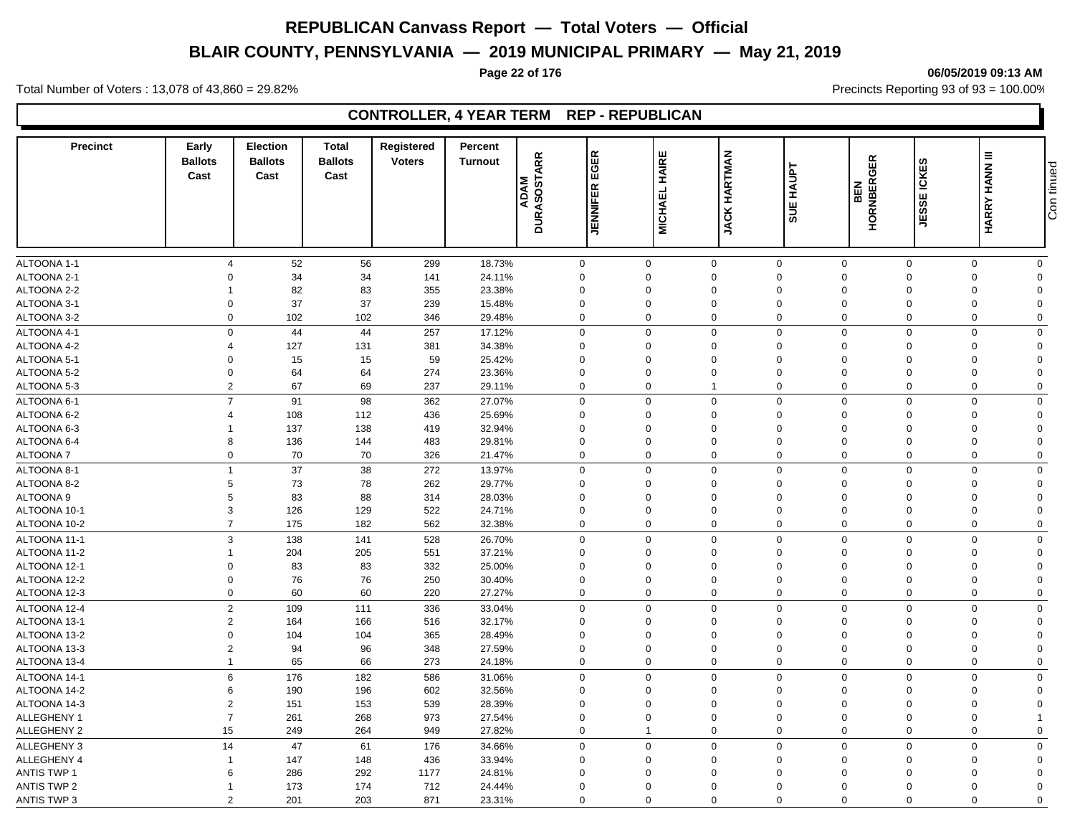# **BLAIR COUNTY, PENNSYLVANIA — 2019 MUNICIPAL PRIMARY — May 21, 2019**

#### **Page 22 of 176 06/05/2019 09:13 AM**

Total Number of Voters : 13,078 of 43,860 = 29.82% Precincts Reporting 93 of 93 = 100.00%

# **CONTROLLER, 4 YEAR TERM REP - REPUBLICAN**

| <b>Precinct</b>    | Early<br><b>Ballots</b><br>Cast | <b>Election</b><br><b>Ballots</b><br>Cast | <b>Total</b><br><b>Ballots</b><br>Cast | Registered<br><b>Voters</b> | Percent<br><b>Turnout</b> | <b>DURASOSTARR</b><br><b>ADAM</b> | 띥<br>Ō<br>шī.<br>$\propto$<br>JENNIFE | HAIRE<br><b>MICHAEL</b> | <b>JACK HARTMAN</b> | <b>HAUPT</b><br>5UE | <b>HORNBERGER</b><br>BEN | E ICKES<br>JESSI | <b>HARRY HANN III</b> | Con tinued  |
|--------------------|---------------------------------|-------------------------------------------|----------------------------------------|-----------------------------|---------------------------|-----------------------------------|---------------------------------------|-------------------------|---------------------|---------------------|--------------------------|------------------|-----------------------|-------------|
|                    |                                 |                                           |                                        |                             |                           |                                   |                                       |                         |                     |                     |                          |                  |                       |             |
| ALTOONA 1-1        | $\overline{\mathbf{A}}$         | 52                                        | 56                                     | 299                         | 18.73%                    |                                   | $\mathbf 0$                           | $\mathbf 0$             | $\mathbf 0$         | $\mathbf 0$         | $\mathbf 0$              | $\mathbf 0$      | $\mathbf 0$           | $\mathbf 0$ |
| ALTOONA 2-1        | $\Omega$                        | 34                                        | 34                                     | 141                         | 24.11%                    |                                   | $\mathbf 0$                           | $\Omega$                | $\mathbf 0$         | $\mathbf 0$         | $\mathbf 0$              | $\mathbf 0$      | $\mathbf 0$           | $\Omega$    |
| ALTOONA 2-2        | 1                               | 82                                        | 83                                     | 355                         | 23.38%                    |                                   | $\mathbf 0$                           | $\Omega$                | $\Omega$            | $\Omega$            | $\Omega$                 | $\Omega$         | 0                     | $\Omega$    |
| ALTOONA 3-1        | $\mathbf 0$                     | 37                                        | 37                                     | 239                         | 15.48%                    |                                   | $\mathbf 0$                           | 0                       | $\mathbf 0$         | $\mathbf 0$         | $\mathbf 0$              | $\mathbf 0$      | $\mathbf 0$           | $\Omega$    |
| ALTOONA 3-2        | $\Omega$                        | 102                                       | 102                                    | 346                         | 29.48%                    |                                   | $\mathbf 0$                           | $\Omega$                | 0                   | $\mathbf 0$         | $\Omega$                 | $\Omega$         | $\mathbf 0$           | $\Omega$    |
| ALTOONA 4-1        | $\mathbf 0$                     | 44                                        | 44                                     | 257                         | 17.12%                    |                                   | $\mathbf 0$                           | $\Omega$                | $\mathbf 0$         | $\mathbf 0$         | $\Omega$                 | $\Omega$         | $\mathbf 0$           | $\Omega$    |
| ALTOONA 4-2        | 4                               | 127                                       | 131                                    | 381                         | 34.38%                    |                                   | $\mathbf 0$                           | $\Omega$                | $\mathbf 0$         | $\Omega$            | $\Omega$                 | $\Omega$         | $\mathbf 0$           | $\Omega$    |
| ALTOONA 5-1        | $\Omega$                        | 15                                        | 15                                     | 59                          | 25.42%                    |                                   | $\mathbf 0$                           | $\Omega$                | $\Omega$            | $\Omega$            | $\Omega$                 | $\Omega$         | 0                     | $\Omega$    |
| ALTOONA 5-2        | $\Omega$                        | 64                                        | 64                                     | 274                         | 23.36%                    |                                   | $\mathbf 0$                           | $\Omega$                | $\Omega$            | $\Omega$            | $\Omega$                 | $\Omega$         | $\Omega$              | $\Omega$    |
| ALTOONA 5-3        | $\overline{2}$                  | 67                                        | 69                                     | 237                         | 29.11%                    |                                   | $\mathbf 0$                           | $\mathbf 0$             | $\overline{1}$      | $\mathbf 0$         | $\mathbf 0$              | $\mathbf 0$      | $\mathbf 0$           | $\mathbf 0$ |
| ALTOONA 6-1        | $\overline{7}$                  | 91                                        | 98                                     | 362                         | 27.07%                    |                                   | $\mathbf 0$                           | $\Omega$                | $\mathbf 0$         | $\mathsf 0$         | $\mathbf 0$              | $\Omega$         | $\mathbf 0$           | $\Omega$    |
| ALTOONA 6-2        | $\overline{4}$                  | 108                                       | 112                                    | 436                         | 25.69%                    |                                   | $\mathbf 0$                           | $\Omega$                | $\Omega$            | $\Omega$            | $\Omega$                 | $\Omega$         | $\mathbf 0$           | $\Omega$    |
| ALTOONA 6-3        | 1                               | 137                                       | 138                                    | 419                         | 32.94%                    |                                   | $\mathbf 0$                           | $\overline{0}$          | $\mathbf 0$         | $\mathbf 0$         | $\mathbf 0$              | $\mathbf 0$      | $\mathbf 0$           | $\Omega$    |
| ALTOONA 6-4        | 8                               | 136                                       | 144                                    | 483                         | 29.81%                    |                                   | $\mathbf 0$                           | $\Omega$                | $\Omega$            | $\Omega$            | $\Omega$                 | $\Omega$         | 0                     | $\Omega$    |
| <b>ALTOONA7</b>    | 0                               | 70                                        | 70                                     | 326                         | 21.47%                    |                                   | $\mathbf 0$                           | $\mathbf 0$             | $\mathbf 0$         | $\mathbf 0$         | $\mathbf 0$              | $\mathbf 0$      | $\mathbf 0$           | $\Omega$    |
| ALTOONA 8-1        | $\mathbf{1}$                    | 37                                        | 38                                     | 272                         | 13.97%                    |                                   | $\mathbf 0$                           | $\mathbf 0$             | $\mathbf 0$         | $\mathbf 0$         | $\mathbf 0$              | $\mathbf 0$      | $\mathbf 0$           | $\mathbf 0$ |
| ALTOONA 8-2        | 5                               | 73                                        | 78                                     | 262                         | 29.77%                    |                                   | $\mathbf 0$                           | $\Omega$                | $\mathbf 0$         | $\mathbf 0$         | $\Omega$                 | $\Omega$         | 0                     | $\Omega$    |
| ALTOONA 9          | 5                               | 83                                        | 88                                     | 314                         | 28.03%                    |                                   | $\mathbf 0$                           | $\overline{0}$          | $\mathbf 0$         | $\Omega$            | $\Omega$                 | $\mathbf 0$      | $\mathbf 0$           | $\Omega$    |
| ALTOONA 10-1       | 3                               | 126                                       | 129                                    | 522                         | 24.71%                    |                                   | $\mathsf 0$                           | $\Omega$                | $\Omega$            | $\Omega$            | $\Omega$                 | $\Omega$         | $\mathbf 0$           | $\Omega$    |
| ALTOONA 10-2       | $\overline{7}$                  | 175                                       | 182                                    | 562                         | 32.38%                    |                                   | $\mathbf 0$                           | $\mathbf 0$             | 0                   | $\mathbf 0$         | $\mathbf 0$              | $\mathbf 0$      | 0                     | $\mathbf 0$ |
| ALTOONA 11-1       | 3                               | 138                                       | 141                                    | 528                         | 26.70%                    |                                   | $\mathbf 0$                           | $\Omega$                | $\mathbf 0$         | $\mathbf 0$         | $\Omega$                 | $\Omega$         | $\mathbf 0$           | $\mathbf 0$ |
| ALTOONA 11-2       | $\mathbf{1}$                    | 204                                       | 205                                    | 551                         | 37.21%                    |                                   | $\mathbf 0$                           | $\overline{0}$          | $\mathbf 0$         | $\mathbf 0$         | $\mathbf 0$              | $\Omega$         | $\mathbf 0$           | $\mathbf 0$ |
| ALTOONA 12-1       | $\Omega$                        | 83                                        | 83                                     | 332                         | 25.00%                    |                                   | $\mathbf 0$                           | $\Omega$                | $\Omega$            | $\Omega$            | $\Omega$                 | $\Omega$         | $\mathbf 0$           | $\Omega$    |
| ALTOONA 12-2       | $\mathbf 0$                     | 76                                        | 76                                     | 250                         | 30.40%                    |                                   | $\mathbf 0$                           | $\Omega$                | $\mathbf 0$         | $\Omega$            | $\Omega$                 | $\Omega$         | $\mathbf 0$           | $\Omega$    |
| ALTOONA 12-3       | $\mathbf 0$                     | 60                                        | 60                                     | 220                         | 27.27%                    |                                   | $\mathbf 0$                           | $\Omega$                | 0                   | $\mathbf 0$         | $\Omega$                 | $\Omega$         | $\mathbf 0$           | $\mathbf 0$ |
|                    |                                 |                                           |                                        |                             |                           |                                   |                                       |                         |                     |                     |                          |                  |                       |             |
| ALTOONA 12-4       | $\overline{2}$                  | 109                                       | 111                                    | 336                         | 33.04%                    |                                   | $\mathbf 0$                           | $\Omega$                | $\mathbf 0$         | $\mathbf 0$         | $\Omega$                 | $\Omega$         | $\mathbf 0$           | $\Omega$    |
| ALTOONA 13-1       | $\overline{2}$                  | 164                                       | 166                                    | 516                         | 32.17%                    |                                   | $\mathbf 0$                           | $\Omega$                | $\mathbf 0$         | $\mathbf 0$         | $\Omega$                 | $\Omega$         | $\mathbf 0$           | $\Omega$    |
| ALTOONA 13-2       | $\Omega$                        | 104                                       | 104                                    | 365                         | 28.49%                    |                                   | $\mathbf 0$                           | $\Omega$                | $\Omega$            | $\Omega$            | $\Omega$                 | $\Omega$         | $\mathbf 0$           | $\Omega$    |
| ALTOONA 13-3       | $\overline{2}$                  | 94                                        | 96                                     | 348                         | 27.59%                    |                                   | $\mathbf 0$                           | $\Omega$                | 0                   | $\mathbf 0$         | $\Omega$                 | $\mathbf 0$      | $\mathbf 0$           | $\Omega$    |
| ALTOONA 13-4       | $\mathbf{1}$                    | 65                                        | 66                                     | 273                         | 24.18%                    |                                   | $\mathbf 0$                           | $\Omega$                | 0                   | $\mathbf 0$         | $\Omega$                 | $\Omega$         | $\mathbf 0$           | $\Omega$    |
| ALTOONA 14-1       | 6                               | 176                                       | 182                                    | 586                         | 31.06%                    |                                   | $\mathbf 0$                           | $\Omega$                | $\mathbf 0$         | $\mathsf 0$         | $\mathbf 0$              | $\Omega$         | $\mathbf 0$           | $\Omega$    |
| ALTOONA 14-2       | 6                               | 190                                       | 196                                    | 602                         | 32.56%                    |                                   | $\mathbf 0$                           | $\Omega$                | 0                   | $\mathbf 0$         | $\Omega$                 | $\Omega$         | 0                     | $\Omega$    |
| ALTOONA 14-3       | $\overline{2}$                  | 151                                       | 153                                    | 539                         | 28.39%                    |                                   | $\mathbf 0$                           | $\mathbf 0$             | $\mathbf 0$         | $\mathbf 0$         | $\mathbf 0$              | $\mathbf 0$      | $\mathbf 0$           | $\Omega$    |
| ALLEGHENY 1        | $\overline{7}$                  | 261                                       | 268                                    | 973                         | 27.54%                    |                                   | $\mathbf 0$                           | $\mathbf 0$             | 0                   | $\mathbf 0$         | $\Omega$                 | $\mathbf 0$      | 0                     |             |
| ALLEGHENY 2        | 15                              | 249                                       | 264                                    | 949                         | 27.82%                    |                                   | $\mathbf 0$                           | $\overline{1}$          | $\mathbf 0$         | $\mathbf 0$         | $\mathbf 0$              | $\mathbf 0$      | $\mathbf 0$           | $\mathbf 0$ |
| ALLEGHENY 3        | 14                              | 47                                        | 61                                     | 176                         | 34.66%                    |                                   | $\mathbf 0$                           | $\mathbf 0$             | $\mathbf 0$         | $\mathbf 0$         | $\mathbf 0$              | $\overline{0}$   | $\mathbf 0$           | $\mathbf 0$ |
| ALLEGHENY 4        | $\mathbf{1}$                    | 147                                       | 148                                    | 436                         | 33.94%                    |                                   | $\mathbf 0$                           | $\Omega$                | 0                   | $\Omega$            | $\Omega$                 | $\Omega$         | 0                     | $\Omega$    |
| <b>ANTIS TWP 1</b> | 6                               | 286                                       | 292                                    | 1177                        | 24.81%                    |                                   | $\mathbf 0$                           | $\Omega$                | $\mathbf 0$         | $\Omega$            | $\Omega$                 | $\Omega$         | $\mathbf 0$           | $\Omega$    |
| <b>ANTIS TWP 2</b> | -1                              | 173                                       | 174                                    | 712                         | 24.44%                    |                                   | $\Omega$                              | $\Omega$                | $\Omega$            | $\Omega$            | $\Omega$                 | $\Omega$         | $\mathbf 0$           | $\Omega$    |
| <b>ANTIS TWP 3</b> | $\mathfrak{p}$                  | 201                                       | 203                                    | 871                         | 23.31%                    |                                   | $\Omega$                              | $\Omega$                | $\Omega$            | $\Omega$            | $\Omega$                 | $\Omega$         | $\Omega$              | $\Omega$    |

Con tinued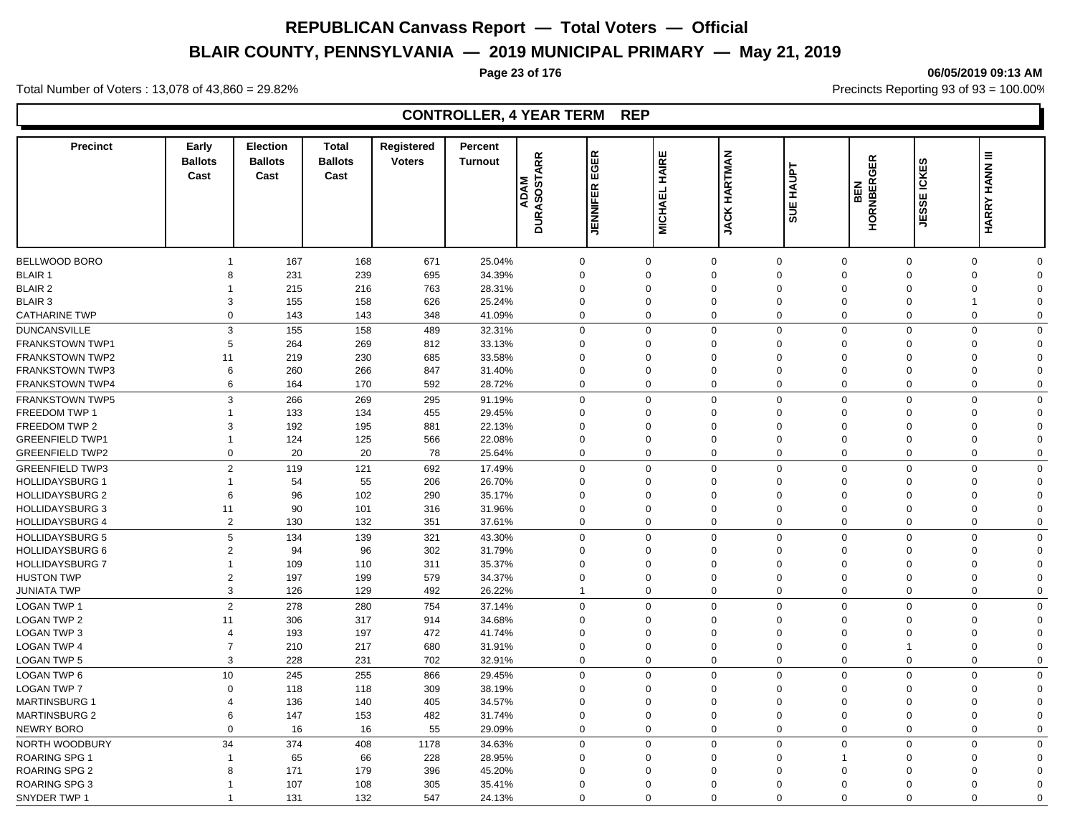# **BLAIR COUNTY, PENNSYLVANIA — 2019 MUNICIPAL PRIMARY — May 21, 2019**

#### **Page 23 of 176 06/05/2019 09:13 AM**

Total Number of Voters : 13,078 of 43,860 = 29.82% Precincts Reporting 93 of 93 = 100.00%

| <b>Precinct</b>        | Early<br><b>Ballots</b><br>Cast | <b>Election</b><br><b>Ballots</b><br>Cast | <b>Total</b><br><b>Ballots</b><br>Cast | Registered<br><b>Voters</b> | Percent<br><b>Turnout</b> | <b>DURASOSTARR</b><br><b>ADAM</b> | $\alpha$<br>l w<br>¦⊡<br><b>JENNIFER</b> | <b>HAIRE</b><br><b>MICHAEL</b> | <b>HARTMAN</b><br><b>JACKI</b> | <b>HAUPT</b><br><b>SUE</b> | <b>HORNBERGER</b><br><b>BEN</b> | <b>EICKES</b><br>JESSI | <b>HARRY HANN III</b>      |  |
|------------------------|---------------------------------|-------------------------------------------|----------------------------------------|-----------------------------|---------------------------|-----------------------------------|------------------------------------------|--------------------------------|--------------------------------|----------------------------|---------------------------------|------------------------|----------------------------|--|
|                        |                                 |                                           |                                        |                             |                           |                                   |                                          |                                |                                |                            |                                 |                        |                            |  |
| <b>BELLWOOD BORO</b>   | 1                               | 167                                       | 168                                    | 671                         | 25.04%                    |                                   | $\mathbf 0$                              | $\Omega$                       | $\mathbf 0$                    | $\mathbf 0$                | $\mathbf 0$                     | $\mathbf 0$            | $\mathbf 0$<br>$\Omega$    |  |
| <b>BLAIR 1</b>         | 8                               | 231                                       | 239                                    | 695                         | 34.39%                    |                                   | $\mathbf 0$                              | $\Omega$                       | $\Omega$                       | $\mathbf 0$                | $\Omega$                        | $\Omega$               | $\mathbf 0$<br>$\Omega$    |  |
| <b>BLAIR 2</b>         |                                 | 215                                       | 216                                    | 763                         | 28.31%                    |                                   | $\mathbf 0$                              | $\Omega$                       | $\Omega$                       | $\mathbf 0$                | $\Omega$                        | $\Omega$               | $\mathbf 0$<br>$\Omega$    |  |
| <b>BLAIR 3</b>         | 3                               | 155                                       | 158                                    | 626                         | 25.24%                    |                                   | $\mathbf 0$                              | $\Omega$                       | $\Omega$                       | $\mathbf 0$                | $\Omega$                        | $\Omega$               | $\overline{1}$<br>$\Omega$ |  |
| <b>CATHARINE TWP</b>   | $\Omega$                        | 143                                       | 143                                    | 348                         | 41.09%                    |                                   | $\mathbf 0$                              | $\Omega$                       | $\mathbf 0$                    | $\mathbf 0$                | $\Omega$                        | $\mathbf 0$            | $\mathbf 0$<br>$\Omega$    |  |
| <b>DUNCANSVILLE</b>    | 3                               | 155                                       | 158                                    | 489                         | 32.31%                    |                                   | $\mathbf 0$                              | $\Omega$                       | $\mathbf 0$                    | $\mathbf 0$                | $\mathbf 0$                     | $\mathbf 0$            | $\mathbf 0$<br>$\Omega$    |  |
| <b>FRANKSTOWN TWP1</b> | 5                               | 264                                       | 269                                    | 812                         | 33.13%                    |                                   | $\mathbf 0$                              | $\Omega$                       | $\mathbf 0$                    | $\mathbf 0$                | $\Omega$                        | $\Omega$               | $\mathbf 0$<br>$\Omega$    |  |
| <b>FRANKSTOWN TWP2</b> | 11                              | 219                                       | 230                                    | 685                         | 33.58%                    |                                   | $\mathbf 0$                              | $\Omega$                       | $\mathbf 0$                    | $\mathbf 0$                | $\Omega$                        | $\Omega$               | $\mathbf 0$<br>$\Omega$    |  |
| <b>FRANKSTOWN TWP3</b> | 6                               | 260                                       | 266                                    | 847                         | 31.40%                    |                                   | $\mathbf 0$                              | $\Omega$                       | $\Omega$                       | $\mathbf 0$                | $\Omega$                        | $\Omega$               | $\mathbf 0$<br>$\Omega$    |  |
| <b>FRANKSTOWN TWP4</b> | 6                               | 164                                       | 170                                    | 592                         | 28.72%                    |                                   | $\mathbf 0$                              | $\Omega$                       | 0                              | $\mathbf 0$                | $\Omega$                        | 0                      | $\mathbf 0$<br>$\Omega$    |  |
| <b>FRANKSTOWN TWP5</b> | 3                               | 266                                       | 269                                    | 295                         | 91.19%                    |                                   | $\mathbf 0$                              | $\Omega$                       | $\mathbf 0$                    | $\mathbf 0$                | $\mathbf 0$                     | $\mathbf 0$            | $\mathbf 0$<br>$\Omega$    |  |
| <b>FREEDOM TWP 1</b>   | $\overline{1}$                  | 133                                       | 134                                    | 455                         | 29.45%                    |                                   | $\mathbf 0$                              | $\Omega$                       | $\Omega$                       | $\mathbf 0$                | $\Omega$                        | $\Omega$               | $\mathbf 0$<br>$\Omega$    |  |
| FREEDOM TWP 2          | 3                               | 192                                       | 195                                    | 881                         | 22.13%                    |                                   | $\mathbf 0$                              | $\Omega$                       | 0                              | $\mathbf 0$                | $\Omega$                        | $\overline{0}$         | $\mathbf 0$<br>$\Omega$    |  |
| <b>GREENFIELD TWP1</b> | $\overline{1}$                  | 124                                       | 125                                    | 566                         | 22.08%                    |                                   | $\mathbf 0$                              | $\Omega$                       | $\Omega$                       | $\mathbf 0$                | $\mathbf 0$                     | $\Omega$               | $\mathbf 0$<br>$\Omega$    |  |
| <b>GREENFIELD TWP2</b> | $\Omega$                        | 20                                        | 20                                     | 78                          | 25.64%                    |                                   | $\mathbf 0$                              | $\Omega$                       | $\mathbf 0$                    | $\mathbf 0$                | $\mathbf 0$                     | $\mathbf 0$            | $\mathbf 0$<br>$\Omega$    |  |
|                        | $\overline{2}$                  |                                           |                                        |                             |                           |                                   |                                          | $\Omega$                       | $\mathbf 0$                    |                            | $\mathbf 0$                     | $\mathbf 0$            | $\mathbf 0$                |  |
| <b>GREENFIELD TWP3</b> | $\mathbf{1}$                    | 119                                       | 121                                    | 692                         | 17.49%                    |                                   | $\mathbf 0$                              | $\Omega$                       | $\Omega$                       | $\mathbf 0$                | $\Omega$                        | $\Omega$               | $\mathbf 0$<br>$\Omega$    |  |
| <b>HOLLIDAYSBURG 1</b> |                                 | 54                                        | 55                                     | 206                         | 26.70%                    |                                   | $\mathbf 0$                              |                                |                                | $\mathbf 0$                |                                 |                        | 0                          |  |
| <b>HOLLIDAYSBURG 2</b> | 6                               | 96                                        | 102                                    | 290                         | 35.17%                    |                                   | $\mathbf 0$                              | $\Omega$<br>$\Omega$           | 0<br>$\Omega$                  | $\mathbf 0$                | $\Omega$<br>$\Omega$            | $\Omega$<br>$\Omega$   | 0<br>$\Omega$<br>$\Omega$  |  |
| <b>HOLLIDAYSBURG 3</b> | 11                              | 90                                        | 101                                    | 316                         | 31.96%                    |                                   | $\mathbf 0$                              |                                |                                | $\mathbf 0$                |                                 |                        | 0                          |  |
| <b>HOLLIDAYSBURG 4</b> | $\overline{2}$                  | 130                                       | 132                                    | 351                         | 37.61%                    |                                   | $\mathbf 0$                              | $\mathbf 0$                    | 0                              | $\mathbf 0$                | $\mathbf 0$                     | $\mathbf{0}$           | 0<br>$\mathbf 0$           |  |
| <b>HOLLIDAYSBURG 5</b> | 5                               | 134                                       | 139                                    | 321                         | 43.30%                    |                                   | $\mathbf 0$                              | $\Omega$                       | $\mathbf 0$                    | $\mathbf 0$                | $\Omega$                        | $\mathbf 0$            | $\mathbf 0$<br>$\Omega$    |  |
| HOLLIDAYSBURG 6        | $\overline{2}$                  | 94                                        | 96                                     | 302                         | 31.79%                    |                                   | $\mathbf 0$                              | $\Omega$                       | $\Omega$                       | $\mathbf 0$                | $\Omega$                        | $\Omega$               | $\Omega$<br>$\Omega$       |  |
| <b>HOLLIDAYSBURG 7</b> |                                 | 109                                       | 110                                    | 311                         | 35.37%                    |                                   | $\mathbf 0$                              | $\Omega$                       | $\Omega$                       | $\mathbf 0$                | $\Omega$                        | $\Omega$               | $\mathbf 0$<br>$\Omega$    |  |
| <b>HUSTON TWP</b>      | $\overline{2}$                  | 197                                       | 199                                    | 579                         | 34.37%                    |                                   | $\mathbf 0$                              | $\Omega$                       | $\Omega$                       | $\mathbf 0$                | $\Omega$                        | $\Omega$               | $\mathbf 0$<br>$\Omega$    |  |
| JUNIATA TWP            | 3                               | 126                                       | 129                                    | 492                         | 26.22%                    |                                   | $\overline{1}$                           | $\Omega$                       | $\mathbf{0}$                   | $\mathbf 0$                | $\Omega$                        | $\mathbf 0$            | $\mathbf 0$<br>$\Omega$    |  |
| <b>LOGAN TWP 1</b>     | $\overline{2}$                  | 278                                       | 280                                    | 754                         | 37.14%                    |                                   | $\mathbf 0$                              | $\mathbf 0$                    | $\mathbf{0}$                   | $\mathbf 0$                | $\mathbf 0$                     | $\mathbf 0$            | $\mathbf 0$<br>$\Omega$    |  |
| <b>LOGAN TWP 2</b>     | 11                              | 306                                       | 317                                    | 914                         | 34.68%                    |                                   | $\mathbf 0$                              | $\Omega$                       | $\Omega$                       | $\mathbf 0$                | $\Omega$                        | $\Omega$               | $\mathbf 0$<br>$\Omega$    |  |
| <b>LOGAN TWP 3</b>     | $\overline{4}$                  | 193                                       | 197                                    | 472                         | 41.74%                    |                                   | $\mathbf 0$                              | $\Omega$                       | $\mathbf 0$                    | $\mathbf 0$                | $\Omega$                        | $\Omega$               | 0<br>$\Omega$              |  |
| LOGAN TWP 4            | $\overline{7}$                  | 210                                       | 217                                    | 680                         | 31.91%                    |                                   | $\mathbf 0$                              | $\Omega$                       | $\Omega$                       | $\mathbf 0$                | $\mathbf 0$                     | $\overline{1}$         | $\mathbf 0$<br>$\Omega$    |  |
| <b>LOGAN TWP 5</b>     | 3                               | 228                                       | 231                                    | 702                         | 32.91%                    |                                   | $\mathbf 0$                              | $\Omega$                       | 0                              | $\mathbf 0$                | $\mathbf 0$                     | $\mathbf 0$            | 0<br>$\Omega$              |  |
| LOGAN TWP 6            | 10                              | 245                                       | 255                                    | 866                         | 29.45%                    |                                   | $\mathbf 0$                              | $\Omega$                       | $\mathbf 0$                    | $\mathbf 0$                | $\mathbf 0$                     | $\Omega$               | 0<br>$\mathbf 0$           |  |
| <b>LOGAN TWP 7</b>     | $\Omega$                        | 118                                       | 118                                    | 309                         | 38.19%                    |                                   | $\mathbf 0$                              | $\Omega$                       | $\Omega$                       | $\mathbf 0$                | $\Omega$                        | $\Omega$               | 0<br>$\Omega$              |  |
| <b>MARTINSBURG 1</b>   | 4                               | 136                                       | 140                                    | 405                         | 34.57%                    |                                   | $\mathbf 0$                              | $\Omega$                       | $\Omega$                       | $\mathbf 0$                | $\Omega$                        | $\Omega$               | 0<br>$\Omega$              |  |
| <b>MARTINSBURG 2</b>   | 6                               | 147                                       | 153                                    | 482                         | 31.74%                    |                                   | $\mathbf 0$                              | $\mathbf 0$                    | $\mathbf 0$                    | $\mathbf 0$                | $\Omega$                        | $\mathbf 0$            | 0<br>$\Omega$              |  |
| NEWRY BORO             | $\Omega$                        | 16                                        | 16                                     | 55                          | 29.09%                    |                                   | $\mathbf 0$                              | $\Omega$                       | $\mathbf 0$                    | $\mathbf 0$                | $\mathbf 0$                     | $\overline{0}$         | $\mathbf 0$<br>$\mathbf 0$ |  |
| NORTH WOODBURY         | 34                              | 374                                       | 408                                    | 1178                        | 34.63%                    |                                   | $\mathbf 0$                              | $\Omega$                       | $\mathbf 0$                    | $\mathbf 0$                | $\mathbf 0$                     | $\mathbf 0$            | $\mathbf 0$<br>$\mathbf 0$ |  |
| <b>ROARING SPG 1</b>   | $\overline{\mathbf{1}}$         | 65                                        | 66                                     | 228                         | 28.95%                    |                                   | $\mathbf 0$                              | $\Omega$                       | $\mathbf 0$                    | $\mathbf 0$                |                                 | $\mathbf 0$            | 0<br>$\Omega$              |  |
| <b>ROARING SPG 2</b>   | 8                               | 171                                       | 179                                    | 396                         | 45.20%                    |                                   | $\mathbf 0$                              | $\Omega$                       | $\Omega$                       | $\Omega$                   | $\Omega$                        | $\Omega$               | $\mathbf 0$<br>$\Omega$    |  |
| <b>ROARING SPG 3</b>   |                                 | 107                                       | 108                                    | 305                         | 35.41%                    |                                   | $\mathbf 0$                              | $\Omega$                       | $\Omega$                       | $\Omega$                   | $\Omega$                        | $\Omega$               | $\mathbf 0$<br>$\Omega$    |  |
| SNYDER TWP 1           |                                 | 131                                       | 132                                    | 547                         | 24.13%                    |                                   | $\Omega$                                 | $\Omega$                       | $\Omega$                       | $\Omega$                   | $\Omega$                        | $\Omega$               | $\Omega$<br>$\Omega$       |  |
|                        |                                 |                                           |                                        |                             |                           |                                   |                                          |                                |                                |                            |                                 |                        |                            |  |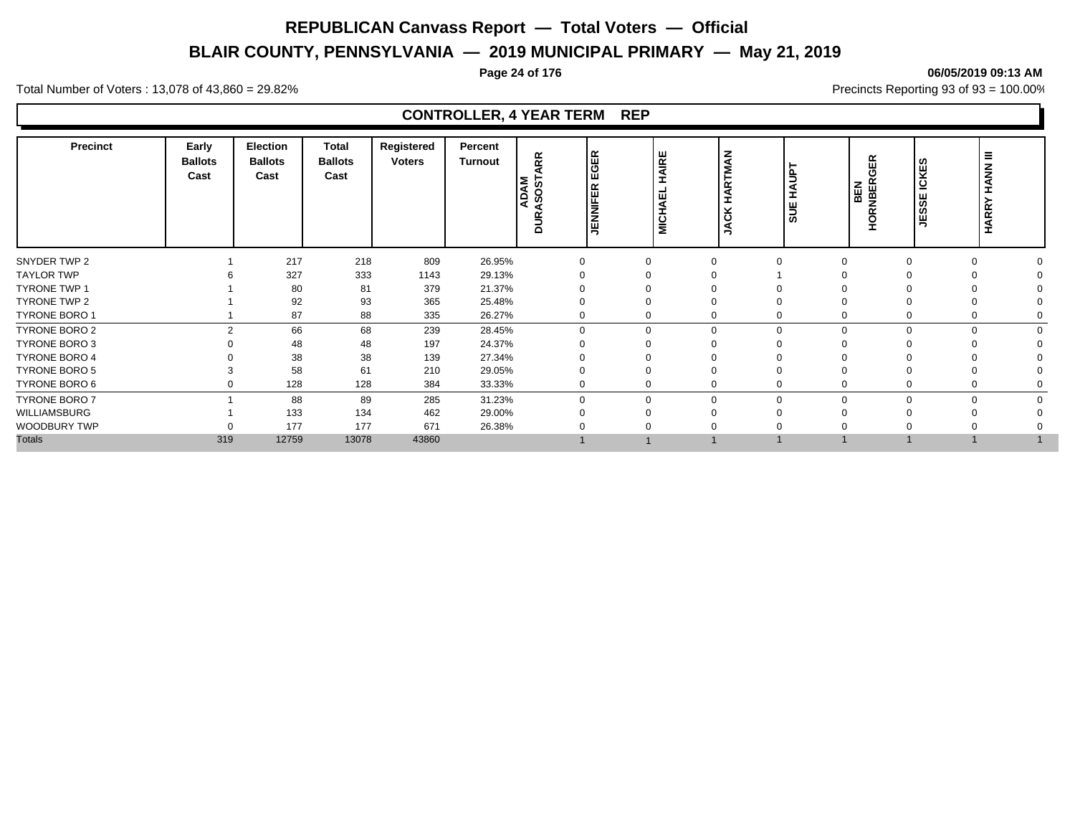# **BLAIR COUNTY, PENNSYLVANIA — 2019 MUNICIPAL PRIMARY — May 21, 2019**

#### **Page 24 of 176 06/05/2019 09:13 AM**

Total Number of Voters : 13,078 of 43,860 = 29.82% Precincts Reporting 93 of 93 = 100.00%

| Precinct             | Early<br><b>Ballots</b><br>Cast | Election<br><b>Ballots</b><br>Cast | Total<br><b>Ballots</b><br>Cast | Registered<br><b>Voters</b> | Percent<br><b>Turnout</b> | RR<br>◀<br><b>ADAM</b><br><b>in</b><br>Ğ,<br><b>DUR</b> | EGER<br><b>JENNIFER</b> | HAIRE<br>ш<br>ЯÄ<br>$\frac{1}{2}$ | $\tilde{\mathbf{z}}$<br>톱<br>œ<br>◀<br>I<br>⊻<br>ပ<br>◀ | $\overline{5}$<br>ш<br>శ్లె | ≃<br>₩<br>ORNBER<br><b>BEN</b> | <b>SC</b><br>ICKE<br>ш<br>တ္တ<br>Ψj | Ξ<br><b>HANN</b><br><b>HARRY</b> |  |
|----------------------|---------------------------------|------------------------------------|---------------------------------|-----------------------------|---------------------------|---------------------------------------------------------|-------------------------|-----------------------------------|---------------------------------------------------------|-----------------------------|--------------------------------|-------------------------------------|----------------------------------|--|
| SNYDER TWP 2         |                                 | 217                                | 218                             | 809                         | 26.95%                    |                                                         |                         | $\Omega$                          |                                                         |                             |                                | $\Omega$                            |                                  |  |
| <b>TAYLOR TWP</b>    |                                 | 327                                | 333                             | 1143                        | 29.13%                    |                                                         |                         |                                   |                                                         |                             |                                |                                     |                                  |  |
| <b>TYRONE TWP 1</b>  |                                 | 80                                 | 81                              | 379                         | 21.37%                    |                                                         |                         |                                   |                                                         |                             |                                |                                     |                                  |  |
| TYRONE TWP 2         |                                 | 92                                 | 93                              | 365                         | 25.48%                    |                                                         |                         |                                   |                                                         |                             |                                |                                     |                                  |  |
| <b>TYRONE BORO 1</b> |                                 | 87                                 | 88                              | 335                         | 26.27%                    |                                                         |                         | 0                                 |                                                         |                             |                                | $\Omega$                            |                                  |  |
| TYRONE BORO 2        | 2                               | 66                                 | 68                              | 239                         | 28.45%                    | $\Omega$                                                |                         | $\mathbf 0$                       | $\Omega$                                                | $\Omega$                    | 0                              | $\Omega$                            |                                  |  |
| TYRONE BORO 3        |                                 | 48                                 | 48                              | 197                         | 24.37%                    |                                                         |                         |                                   |                                                         |                             |                                |                                     |                                  |  |
| <b>TYRONE BORO 4</b> |                                 | 38                                 | 38                              | 139                         | 27.34%                    |                                                         |                         |                                   |                                                         |                             |                                |                                     |                                  |  |
| <b>TYRONE BORO 5</b> |                                 | 58                                 | 61                              | 210                         | 29.05%                    |                                                         |                         |                                   |                                                         |                             |                                | $\Omega$                            |                                  |  |
| TYRONE BORO 6        |                                 | 128                                | 128                             | 384                         | 33.33%                    |                                                         |                         | 0                                 |                                                         |                             |                                | $\Omega$                            |                                  |  |
| <b>TYRONE BORO 7</b> |                                 | 88                                 | 89                              | 285                         | 31.23%                    | $\Omega$                                                |                         | $\mathbf 0$                       | $\Omega$                                                | $\Omega$                    | 0                              | $\Omega$                            |                                  |  |
| WILLIAMSBURG         |                                 | 133                                | 134                             | 462                         | 29.00%                    |                                                         |                         | $\Omega$                          |                                                         |                             |                                |                                     |                                  |  |
| WOODBURY TWP         |                                 | 177                                | 177                             | 671                         | 26.38%                    |                                                         |                         |                                   |                                                         |                             |                                |                                     |                                  |  |
| <b>Totals</b>        | 319                             | 12759                              | 13078                           | 43860                       |                           |                                                         |                         |                                   |                                                         |                             |                                |                                     |                                  |  |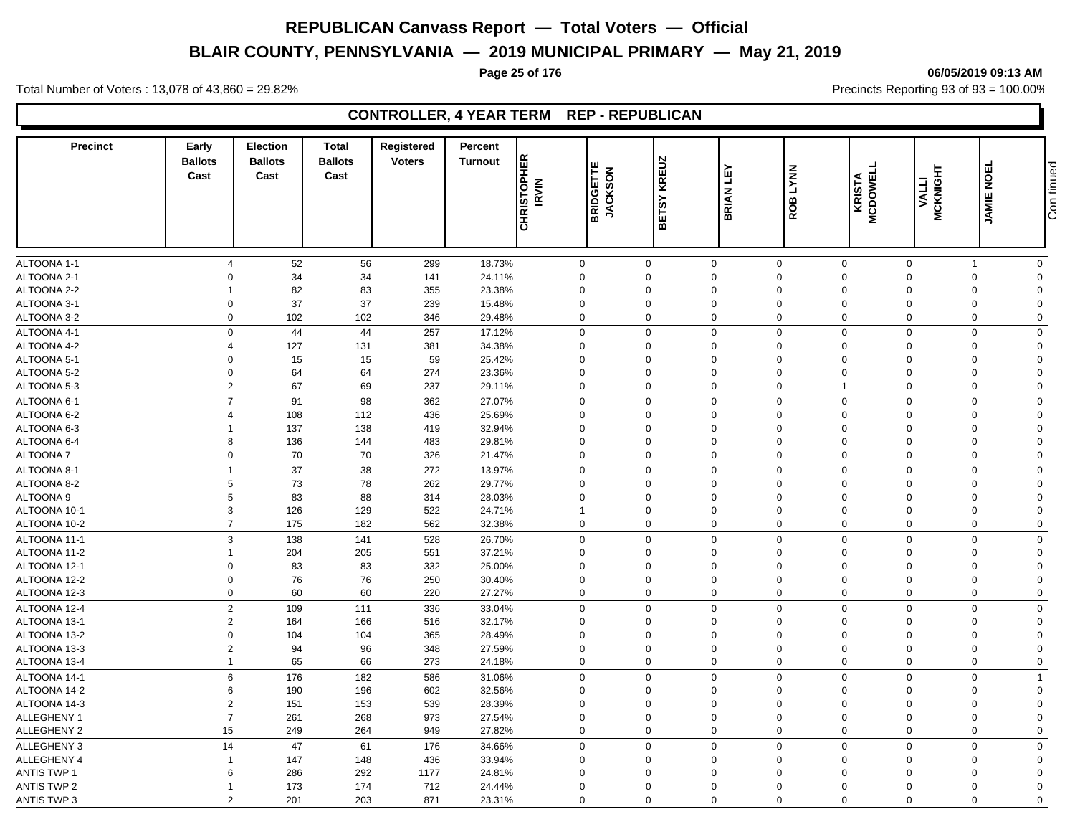# **BLAIR COUNTY, PENNSYLVANIA — 2019 MUNICIPAL PRIMARY — May 21, 2019**

# **Page 25 of 176 06/05/2019 09:13 AM**

Total Number of Voters : 13,078 of 43,860 = 29.82% Precincts Reporting 93 of 93 = 100.00%

# **CONTROLLER, 4 YEAR TERM REP - REPUBLICAN**

| <b>Precinct</b>            | Early<br><b>Ballots</b><br>Cast | <b>Election</b><br><b>Ballots</b><br>Cast | <b>Total</b><br><b>Ballots</b><br>Cast | Registered<br><b>Voters</b> | Percent<br><b>Turnout</b> | <b>CHRISTOPHER</b><br><b>IRVIN</b> | ш<br><b>BRIDGETTE</b><br>JACKSON | <b>KREUZ</b><br><b>BETSY</b> | 진<br><b>BRIAN</b> | <b>LYNN</b><br>ROB  | <b>MCDOWELL</b><br><b>KRISTA</b> | <b>MCKNIGHT</b><br><b>VALLI</b> | <b>NOEL</b><br><b>JAMIE</b> | Con tinued  |
|----------------------------|---------------------------------|-------------------------------------------|----------------------------------------|-----------------------------|---------------------------|------------------------------------|----------------------------------|------------------------------|-------------------|---------------------|----------------------------------|---------------------------------|-----------------------------|-------------|
| ALTOONA 1-1                | $\overline{4}$                  | 52                                        | 56                                     | 299                         | 18.73%                    |                                    | $\mathbf 0$                      | $\mathbf 0$                  | 0                 | $\mathbf 0$         | $\mathbf 0$                      | $\mathsf 0$                     | $\mathbf{1}$                | $\mathbf 0$ |
| ALTOONA 2-1                | $\Omega$                        | 34                                        | 34                                     | 141                         | 24.11%                    |                                    | $\mathbf 0$                      | $\Omega$                     | $\mathbf 0$       | $\mathbf 0$         | $\mathbf 0$                      | $\mathbf 0$                     | $\mathbf 0$                 | $\Omega$    |
| ALTOONA 2-2                |                                 | 82                                        | 83                                     | 355                         | 23.38%                    |                                    | $\mathbf 0$                      | $\Omega$                     | $\Omega$          | $\mathbf 0$         | $\Omega$                         | $\mathbf 0$                     | 0                           | $\Omega$    |
| ALTOONA 3-1                | $\mathbf 0$                     | 37                                        | 37                                     | 239                         | 15.48%                    |                                    | $\mathbf 0$                      | $\mathbf 0$                  | $\mathbf 0$       | $\mathbf 0$         | $\Omega$                         | $\overline{0}$                  | $\mathbf 0$                 | $\Omega$    |
| ALTOONA 3-2                | $\Omega$                        | 102                                       | 102                                    | 346                         | 29.48%                    |                                    | $\mathbf 0$                      | $\Omega$                     | $\Omega$          | $\mathbf 0$         | $\mathbf 0$                      | $\Omega$                        | $\mathbf 0$                 | $\mathbf 0$ |
| ALTOONA 4-1                | $\Omega$                        | 44                                        | 44                                     | 257                         | 17.12%                    |                                    | $\mathbf 0$                      | $\Omega$                     | $\mathbf 0$       | $\mathbf 0$         | $\mathbf 0$                      | $\mathbf 0$                     | $\mathbf 0$                 | $\mathbf 0$ |
| ALTOONA 4-2                | $\overline{4}$                  | 127                                       | 131                                    | 381                         | 34.38%                    |                                    | $\mathbf 0$                      | $\mathbf 0$                  | $\mathbf 0$       | $\mathbf 0$         | $\Omega$                         | $\Omega$                        | $\mathbf 0$                 | $\Omega$    |
|                            | $\mathbf 0$                     |                                           |                                        |                             |                           |                                    | $\mathbf 0$                      | $\mathbf 0$                  | $\mathbf 0$       | $\mathbf 0$         | $\mathbf 0$                      | $\mathbf 0$                     |                             | $\Omega$    |
| ALTOONA 5-1                | $\Omega$                        | 15                                        | 15                                     | 59<br>274                   | 25.42%                    |                                    |                                  | $\Omega$                     | $\Omega$          | $\mathbf 0$         | $\Omega$                         | $\Omega$                        | 0                           | $\Omega$    |
| ALTOONA 5-2<br>ALTOONA 5-3 | $\overline{2}$                  | 64<br>67                                  | 64<br>69                               | 237                         | 23.36%<br>29.11%          |                                    | $\mathbf 0$<br>$\mathbf 0$       | $\mathbf 0$                  | 0                 | $\mathbf 0$         |                                  | $\mathbf 0$                     | 0<br>$\mathbf 0$            | $\mathbf 0$ |
|                            | $\overline{7}$                  |                                           |                                        |                             |                           |                                    |                                  |                              |                   |                     |                                  |                                 |                             |             |
| ALTOONA 6-1                |                                 | 91                                        | 98                                     | 362                         | 27.07%                    |                                    | $\mathbf 0$                      | $\Omega$                     | $\mathbf 0$       | $\mathbf 0$         | $\Omega$                         | $\Omega$                        | $\mathbf 0$                 | $\Omega$    |
| ALTOONA 6-2                | 4                               | 108                                       | 112                                    | 436                         | 25.69%                    |                                    | $\mathbf 0$                      | $\Omega$                     | $\Omega$          | $\mathbf 0$         | $\Omega$                         | $\Omega$                        | $\mathbf 0$                 | $\Omega$    |
| ALTOONA 6-3                |                                 | 137                                       | 138                                    | 419                         | 32.94%                    |                                    | $\mathbf 0$                      | $\Omega$                     | $\mathbf 0$       | $\mathbf 0$         | $\Omega$                         | $\Omega$                        | $\mathbf 0$                 | $\Omega$    |
| ALTOONA 6-4                | 8                               | 136                                       | 144                                    | 483                         | 29.81%                    |                                    | $\mathbf 0$                      | $\Omega$                     | $\Omega$          | $\mathbf 0$         | $\Omega$                         | $\Omega$                        | $\Omega$                    | $\Omega$    |
| <b>ALTOONA7</b>            | $\mathbf 0$                     | 70                                        | 70                                     | 326                         | 21.47%                    |                                    | $\mathbf 0$                      | $\Omega$                     | $\Omega$          | $\mathbf 0$         | $\mathbf 0$                      | $\mathbf 0$                     | 0                           | $\Omega$    |
| ALTOONA 8-1                | $\overline{1}$                  | 37                                        | 38                                     | 272                         | 13.97%                    |                                    | $\mathbf 0$                      | $\Omega$                     | $\mathbf 0$       | $\mathbf 0$         | $\mathbf 0$                      | $\Omega$                        | $\mathbf 0$                 | $\Omega$    |
| ALTOONA 8-2                | 5                               | 73                                        | 78                                     | 262                         | 29.77%                    |                                    | $\mathbf 0$                      | $\mathbf 0$                  | $\mathbf 0$       | $\mathbf 0$         | $\mathbf 0$                      | $\mathbf 0$                     | $\mathbf 0$                 | $\Omega$    |
| ALTOONA <sub>9</sub>       | 5                               | 83                                        | 88                                     | 314                         | 28.03%                    |                                    | $\mathbf 0$                      | $\Omega$                     | $\Omega$          | $\mathbf 0$         | $\Omega$                         | $\Omega$                        | 0                           | $\Omega$    |
| ALTOONA 10-1               | 3                               | 126                                       | 129                                    | 522                         | 24.71%                    | $\overline{1}$                     |                                  | $\Omega$                     | $\mathbf 0$       | $\mathbf 0$         | $\Omega$                         | $\mathbf 0$                     | $\mathbf 0$                 | $\Omega$    |
| ALTOONA 10-2               | $\overline{7}$                  | 175                                       | 182                                    | 562                         | 32.38%                    |                                    | $\mathbf 0$                      | $\Omega$                     | $\mathbf 0$       | $\mathbf 0$         | $\mathbf 0$                      | $\mathbf 0$                     | $\mathbf 0$                 | $\Omega$    |
| ALTOONA 11-1               | 3                               | 138                                       | 141                                    | 528                         | 26.70%                    |                                    | $\mathsf{O}\xspace$              | $\Omega$                     | $\mathbf 0$       | $\mathsf{O}\xspace$ | $\mathbf 0$                      | $\Omega$                        | $\mathbf 0$                 | $\mathbf 0$ |
| ALTOONA 11-2               |                                 | 204                                       | 205                                    | 551                         | 37.21%                    |                                    | $\mathbf 0$                      | $\mathbf 0$                  | $\mathbf 0$       | $\mathbf 0$         | $\Omega$                         | $\mathbf 0$                     | 0                           | $\Omega$    |
| ALTOONA 12-1               | 0                               | 83                                        | 83                                     | 332                         | 25.00%                    |                                    | $\mathbf 0$                      | $\mathbf 0$                  | $\mathbf 0$       | $\mathbf 0$         | $\Omega$                         | $\mathbf 0$                     | 0                           | $\mathbf 0$ |
| ALTOONA 12-2               | $\mathbf 0$                     | 76                                        | 76                                     | 250                         | 30.40%                    |                                    | $\mathbf 0$                      | $\Omega$                     | $\Omega$          | $\mathbf 0$         | $\Omega$                         | $\mathbf 0$                     | 0                           | $\Omega$    |
| ALTOONA 12-3               | $\mathbf 0$                     | 60                                        | 60                                     | 220                         | 27.27%                    |                                    | $\mathbf 0$                      | $\Omega$                     | $\mathbf 0$       | $\mathbf 0$         | $\Omega$                         | $\overline{0}$                  | $\mathbf 0$                 | $\mathbf 0$ |
| ALTOONA 12-4               | $\overline{2}$                  | 109                                       | 111                                    | 336                         | 33.04%                    |                                    | $\mathbf 0$                      | $\mathbf 0$                  | $\mathbf 0$       | $\mathbf 0$         | $\mathbf 0$                      | $\Omega$                        | $\mathbf 0$                 | $\mathbf 0$ |
| ALTOONA 13-1               | $\overline{2}$                  | 164                                       | 166                                    | 516                         | 32.17%                    |                                    | $\mathbf 0$                      | $\Omega$                     | $\Omega$          | $\mathbf 0$         | $\Omega$                         | $\Omega$                        | $\mathbf 0$                 | $\Omega$    |
| ALTOONA 13-2               | $\overline{0}$                  | 104                                       | 104                                    | 365                         | 28.49%                    |                                    | $\mathbf 0$                      | $\mathbf 0$                  | $\mathbf 0$       | $\mathbf 0$         | $\Omega$                         | $\Omega$                        | $\mathbf 0$                 | $\Omega$    |
| ALTOONA 13-3               | $\overline{2}$                  | 94                                        | 96                                     | 348                         | 27.59%                    |                                    | $\mathbf 0$                      | $\Omega$                     | $\Omega$          | $\mathbf 0$         | $\Omega$                         | $\Omega$                        | 0                           | $\Omega$    |
| ALTOONA 13-4               | $\overline{1}$                  | 65                                        | 66                                     | 273                         | 24.18%                    |                                    | $\mathbf 0$                      | $\mathbf 0$                  | $\mathbf 0$       | $\mathbf 0$         | $\mathbf 0$                      | $\mathbf 0$                     | $\mathbf 0$                 | 0           |
| ALTOONA 14-1               | 6                               | 176                                       | 182                                    | 586                         | 31.06%                    |                                    | $\mathbf 0$                      | $\Omega$                     | 0                 | $\mathbf 0$         | $\Omega$                         | $\Omega$                        | $\mathbf 0$                 |             |
| ALTOONA 14-2               | 6                               | 190                                       | 196                                    | 602                         | 32.56%                    |                                    | $\mathbf 0$                      | $\Omega$                     | 0                 | $\mathbf 0$         | $\Omega$                         | $\mathbf 0$                     | 0                           | $\Omega$    |
| ALTOONA 14-3               | $\overline{2}$                  | 151                                       | 153                                    | 539                         | 28.39%                    |                                    | $\mathbf 0$                      | $\Omega$                     | $\Omega$          | $\mathbf 0$         | $\Omega$                         | $\Omega$                        | $\mathbf 0$                 | $\Omega$    |
| ALLEGHENY 1                | $\overline{7}$                  | 261                                       | 268                                    | 973                         | 27.54%                    |                                    | $\mathbf 0$                      | $\Omega$                     | $\Omega$          | $\mathbf 0$         | $\Omega$                         | $\Omega$                        | $\mathbf 0$                 | $\Omega$    |
| ALLEGHENY 2                | 15                              | 249                                       | 264                                    | 949                         | 27.82%                    |                                    | $\mathbf 0$                      | $\Omega$                     | $\Omega$          | $\mathbf 0$         | $\Omega$                         | $\mathbf{0}$                    | $\mathbf 0$                 | $\Omega$    |
| <b>ALLEGHENY 3</b>         | 14                              | 47                                        | 61                                     | 176                         | 34.66%                    |                                    | $\mathbf 0$                      | $\Omega$                     | $\mathbf 0$       | $\mathbf 0$         | $\mathbf 0$                      | $\mathbf 0$                     | $\mathbf 0$                 | $\Omega$    |
| ALLEGHENY 4                | -1                              | 147                                       | 148                                    | 436                         | 33.94%                    |                                    | $\mathbf 0$                      | $\mathbf 0$                  | $\mathbf 0$       | $\mathbf 0$         | $\Omega$                         | $\overline{0}$                  | $\mathbf 0$                 | $\Omega$    |
| <b>ANTIS TWP 1</b>         | 6                               | 286                                       | 292                                    | 1177                        | 24.81%                    |                                    | $\mathbf 0$                      | $\Omega$                     | $\Omega$          | $\mathbf 0$         | $\Omega$                         | $\Omega$                        | 0                           | $\Omega$    |
| <b>ANTIS TWP 2</b>         | -1                              | 173                                       | 174                                    | 712                         | 24.44%                    |                                    | $\mathbf 0$                      | $\Omega$                     | $\Omega$          | $\Omega$            | $\Omega$                         | $\Omega$                        | 0                           | $\Omega$    |
| <b>ANTIS TWP 3</b>         | $\overline{2}$                  | 201                                       | 203                                    | 871                         | 23.31%                    |                                    | $\mathbf 0$                      | $\Omega$                     | $\mathbf 0$       | $\mathbf 0$         | $\mathbf 0$                      | $\mathbf{0}$                    | 0                           | $\mathbf 0$ |
|                            |                                 |                                           |                                        |                             |                           |                                    |                                  |                              |                   |                     |                                  |                                 |                             |             |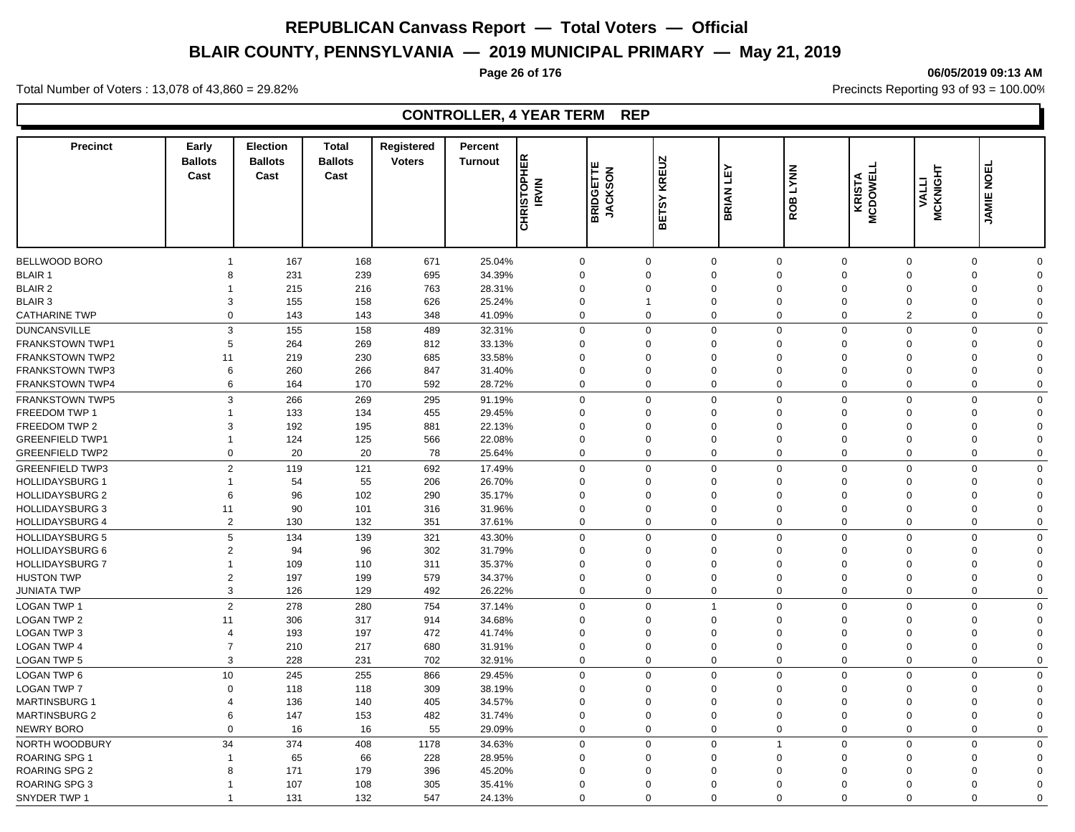# **BLAIR COUNTY, PENNSYLVANIA — 2019 MUNICIPAL PRIMARY — May 21, 2019**

#### **Page 26 of 176 06/05/2019 09:13 AM**

Total Number of Voters : 13,078 of 43,860 = 29.82% Precincts Reporting 93 of 93 = 100.00%

| <b>Precinct</b>                              | Early<br><b>Ballots</b><br>Cast | <b>Election</b><br><b>Ballots</b><br>Cast | <b>Total</b><br><b>Ballots</b><br>Cast | <b>Registered</b><br><b>Voters</b> | <b>Percent</b><br><b>Turnout</b> | <b>CHRISTOPHER</b><br><b>IRVIN</b> | BRIDGETTE<br>JACKSON | KREUZ<br>ETSY<br>മ         | Ê<br><b>BRIAN</b>       | <b>LYNN</b><br>ROB                              | <b>KRISTA</b><br>MCDOWELL | <b>MCKNIGHT</b><br><b>VALLI</b> | 面<br>$\overline{9}$<br><b>JAMIE</b>    |  |
|----------------------------------------------|---------------------------------|-------------------------------------------|----------------------------------------|------------------------------------|----------------------------------|------------------------------------|----------------------|----------------------------|-------------------------|-------------------------------------------------|---------------------------|---------------------------------|----------------------------------------|--|
|                                              |                                 |                                           |                                        |                                    |                                  |                                    |                      |                            |                         |                                                 |                           |                                 |                                        |  |
| <b>BELLWOOD BORO</b>                         | $\overline{1}$                  | 167                                       | 168                                    | 671                                | 25.04%                           |                                    | $\mathbf 0$          | $\Omega$                   | $\mathbf 0$             | $\mathbf 0$<br>$\Omega$                         | $\Omega$                  |                                 | $\mathbf 0$<br>$\mathbf 0$             |  |
| <b>BLAIR 1</b>                               | 8                               | 231                                       | 239                                    | 695                                | 34.39%                           | $\mathbf 0$                        |                      | $\Omega$                   | $\Omega$                | $\Omega$<br>$\Omega$                            | $\Omega$                  |                                 | $\mathbf 0$<br>$\Omega$                |  |
| <b>BLAIR 2</b>                               | 1                               | 215                                       | 216                                    | 763                                | 28.31%                           | $\mathbf 0$                        |                      | $\Omega$                   | $\Omega$                | $\Omega$<br>$\Omega$                            | $\Omega$                  |                                 | $\mathbf 0$<br>$\Omega$                |  |
| <b>BLAIR 3</b>                               | 3                               | 155                                       | 158                                    | 626                                | 25.24%                           | $\mathbf 0$                        | 1                    |                            | 0                       | $\mathbf 0$<br>$\Omega$                         | $\mathbf 0$               |                                 | $\mathbf 0$<br>$\Omega$                |  |
| <b>CATHARINE TWP</b>                         | 0                               | 143                                       | 143                                    | 348                                | 41.09%                           | $\mathbf 0$                        | $\mathbf 0$          |                            | $\mathbf 0$             | $\mathbf 0$<br>$\mathbf 0$                      | $\overline{2}$            |                                 | $\mathbf 0$<br>$\mathbf 0$             |  |
| <b>DUNCANSVILLE</b>                          | $\mathsf 3$                     | 155                                       | 158                                    | 489                                | 32.31%                           | $\mathbf 0$                        |                      | $\Omega$                   | $\mathbf 0$             | $\mathbf 0$<br>$\Omega$                         | $\mathbf 0$               |                                 | $\mathbf 0$<br>$\mathbf 0$             |  |
| <b>FRANKSTOWN TWP1</b>                       | 5                               | 264                                       | 269                                    | 812                                | 33.13%                           | $\Omega$                           |                      | $\Omega$                   | $\Omega$                | $\Omega$<br>$\Omega$                            | $\Omega$                  |                                 | $\mathbf 0$<br>$\Omega$                |  |
| <b>FRANKSTOWN TWP2</b>                       | 11                              | 219                                       | 230                                    | 685                                | 33.58%                           | $\mathbf 0$                        |                      | $\Omega$                   | $\Omega$                | $\Omega$<br>$\Omega$                            | $\Omega$                  |                                 | $\mathbf 0$<br>$\Omega$                |  |
| <b>FRANKSTOWN TWP3</b>                       | 6                               | 260                                       | 266                                    | 847                                | 31.40%                           | $\mathbf 0$                        | $\Omega$             |                            | $\Omega$                | $\Omega$<br>$\Omega$                            | $\Omega$                  |                                 | $\mathbf 0$<br>$\Omega$                |  |
| <b>FRANKSTOWN TWP4</b>                       | 6                               | 164                                       | 170                                    | 592                                | 28.72%                           | $\mathbf 0$                        | $\Omega$             |                            | $\mathbf 0$             | $\mathbf 0$<br>$\Omega$                         | $\Omega$                  |                                 | $\mathbf 0$<br>$\mathbf 0$             |  |
| <b>FRANKSTOWN TWP5</b>                       | 3                               | 266                                       | 269                                    | 295                                | 91.19%                           | $\mathbf 0$                        |                      | $\Omega$                   | $\mathbf 0$             | $\mathbf 0$<br>$\Omega$                         | $\Omega$                  |                                 | $\mathbf 0$<br>$\mathbf 0$             |  |
| FREEDOM TWP 1                                | $\overline{1}$                  | 133                                       | 134                                    | 455                                | 29.45%                           | $\mathbf 0$                        | $\mathbf 0$          |                            | $\mathbf 0$             | $\Omega$<br>$\mathbf 0$                         | $\Omega$                  |                                 | $\mathbf 0$<br>$\Omega$                |  |
| FREEDOM TWP 2                                | 3                               | 192                                       | 195                                    | 881                                | 22.13%                           | $\mathbf 0$                        | $\Omega$             |                            | $\Omega$                | $\Omega$<br>$\Omega$                            | $\Omega$                  |                                 | $\mathbf 0$<br>$\Omega$                |  |
| <b>GREENFIELD TWP1</b>                       | $\overline{1}$                  | 124                                       | 125                                    | 566                                | 22.08%                           | $\mathbf 0$                        | $\Omega$             |                            | $\mathbf 0$             | $\mathbf 0$<br>$\Omega$                         | $\Omega$                  |                                 | $\mathbf 0$<br>$\Omega$                |  |
| <b>GREENFIELD TWP2</b>                       | $\mathbf 0$                     | 20                                        | 20                                     | 78                                 | 25.64%                           | $\mathbf 0$                        | $\Omega$             |                            | $\mathbf 0$             | $\Omega$<br>$\mathbf 0$                         | $\Omega$                  |                                 | $\mathbf 0$<br>$\Omega$                |  |
| <b>GREENFIELD TWP3</b>                       | $\overline{2}$                  | 119                                       | 121                                    | 692                                | 17.49%                           | $\mathbf 0$                        | $\Omega$             |                            | $\mathbf 0$             | $\Omega$<br>$\Omega$                            | $\Omega$                  |                                 | $\mathbf 0$<br>$\mathbf 0$             |  |
| <b>HOLLIDAYSBURG 1</b>                       | $\overline{1}$                  | 54                                        | 55                                     | 206                                | 26.70%                           | $\mathbf 0$                        |                      | $\mathbf 0$                | $\mathbf 0$             | $\Omega$<br>$\Omega$                            | $\mathbf 0$               |                                 | $\mathbf 0$<br>$\Omega$                |  |
| <b>HOLLIDAYSBURG 2</b>                       | 6                               | 96                                        | 102                                    | 290                                | 35.17%                           | $\mathbf 0$                        |                      | $\Omega$                   | $\Omega$                | $\Omega$<br>$\Omega$                            | $\Omega$                  |                                 | $\mathbf 0$<br>$\Omega$                |  |
| <b>HOLLIDAYSBURG 3</b>                       | 11                              | 90                                        | 101                                    | 316                                | 31.96%                           | $\mathbf 0$                        |                      | $\Omega$                   | $\Omega$                | $\Omega$<br>$\Omega$                            | $\Omega$                  |                                 | $\mathbf 0$<br>$\Omega$                |  |
| <b>HOLLIDAYSBURG 4</b>                       | $\overline{2}$                  | 130                                       | 132                                    | 351                                | 37.61%                           | $\mathbf 0$                        |                      | $\mathbf 0$                | $\mathbf 0$             | $\mathbf 0$<br>$\mathbf 0$                      | $\mathbf 0$               |                                 | $\mathbf 0$<br>$\Omega$                |  |
| <b>HOLLIDAYSBURG 5</b>                       | 5                               | 134                                       | 139                                    | 321                                | 43.30%                           | $\mathbf 0$                        | $\mathbf 0$          |                            | $\mathbf 0$             | $\mathbf 0$<br>$\mathbf 0$                      | $\Omega$                  |                                 | $\mathbf 0$<br>$\mathbf 0$             |  |
| <b>HOLLIDAYSBURG 6</b>                       | $\overline{2}$                  | 94                                        | 96                                     | 302                                | 31.79%                           | $\mathbf 0$                        |                      | $\Omega$                   | $\Omega$                | $\Omega$<br>$\Omega$                            | $\Omega$                  |                                 | $\mathbf 0$<br>$\Omega$                |  |
| <b>HOLLIDAYSBURG 7</b>                       | $\overline{1}$                  | 109                                       | 110                                    | 311                                | 35.37%                           | $\mathbf 0$                        |                      | $\mathbf 0$                | $\mathbf 0$             | $\Omega$<br>$\Omega$                            | $\Omega$                  |                                 | $\mathbf 0$<br>$\Omega$                |  |
| <b>HUSTON TWP</b>                            | $\overline{2}$                  | 197                                       | 199                                    | 579                                | 34.37%                           | $\mathbf 0$                        | $\Omega$             |                            | $\Omega$                | $\Omega$<br>$\Omega$                            | $\Omega$                  |                                 | $\mathbf 0$<br>$\Omega$                |  |
| <b>JUNIATA TWP</b>                           | 3                               | 126                                       | 129                                    | 492                                | 26.22%                           | $\mathbf 0$                        |                      | $\Omega$                   | $\mathbf 0$             | $\mathbf 0$<br>$\mathbf 0$                      | $\mathbf 0$               |                                 | $\mathbf 0$<br>$\mathbf 0$             |  |
| <b>LOGAN TWP 1</b>                           | $\mathbf 2$                     | 278                                       | 280                                    | 754                                | 37.14%                           | $\mathbf 0$                        |                      | $\Omega$<br>$\overline{1}$ |                         | $\mathbf 0$<br>$\Omega$                         | $\Omega$                  |                                 | $\mathbf 0$<br>$\mathbf 0$             |  |
|                                              |                                 |                                           |                                        |                                    |                                  |                                    |                      | $\Omega$                   | $\Omega$                | $\Omega$<br>$\Omega$                            | $\Omega$                  |                                 | $\Omega$                               |  |
| <b>LOGAN TWP 2</b><br>LOGAN TWP 3            | 11<br>$\overline{4}$            | 306<br>193                                | 317<br>197                             | 914<br>472                         | 34.68%<br>41.74%                 | $\mathbf 0$<br>$\Omega$            |                      | $\Omega$                   | $\Omega$                | $\Omega$<br>$\Omega$                            | $\Omega$                  |                                 | $\mathbf 0$<br>$\mathbf 0$<br>$\Omega$ |  |
| <b>LOGAN TWP 4</b>                           | $\overline{7}$                  | 210                                       | 217                                    | 680                                | 31.91%                           | $\mathbf 0$                        | $\Omega$             |                            | $\mathbf 0$             | $\Omega$<br>$\Omega$                            | $\Omega$                  |                                 | $\mathbf 0$<br>$\Omega$                |  |
| <b>LOGAN TWP 5</b>                           | 3                               | 228                                       | 231                                    | 702                                | 32.91%                           | $\mathbf 0$                        |                      | $\Omega$                   | $\mathbf 0$             | $\mathbf 0$<br>$\Omega$                         | $\Omega$                  |                                 | $\mathbf 0$<br>$\mathbf 0$             |  |
|                                              |                                 |                                           |                                        |                                    |                                  |                                    |                      |                            |                         |                                                 |                           |                                 |                                        |  |
| <b>LOGAN TWP 6</b>                           | 10                              | 245                                       | 255                                    | 866                                | 29.45%                           | $\mathbf 0$                        |                      | $\Omega$<br>$\Omega$       | $\mathbf 0$             | $\mathbf 0$<br>$\Omega$<br>$\Omega$<br>$\Omega$ | $\Omega$                  |                                 | $\mathbf 0$<br>$\Omega$                |  |
| <b>LOGAN TWP 7</b>                           | $\mathbf 0$                     | 118                                       | 118                                    | 309<br>405                         | 38.19%                           | $\mathbf 0$<br>$\mathbf 0$         | $\Omega$             |                            | $\mathbf 0$<br>$\Omega$ | $\Omega$<br>$\Omega$                            | $\Omega$<br>$\Omega$      |                                 | $\mathbf 0$<br>$\Omega$<br>$\Omega$    |  |
| <b>MARTINSBURG 1</b><br><b>MARTINSBURG 2</b> | 4<br>6                          | 136<br>147                                | 140<br>153                             | 482                                | 34.57%<br>31.74%                 | $\mathbf 0$                        | $\Omega$             |                            | $\mathbf 0$             | $\mathbf 0$<br>$\Omega$                         | $\Omega$                  |                                 | $\mathbf 0$<br>$\mathbf 0$<br>$\Omega$ |  |
| NEWRY BORO                                   | $\mathbf 0$                     |                                           |                                        | 55                                 |                                  | $\mathbf 0$                        |                      | $\mathbf 0$                | $\mathbf 0$             | $\mathbf 0$<br>$\mathbf 0$                      | $\mathbf 0$               |                                 | $\mathbf 0$<br>$\Omega$                |  |
|                                              |                                 | 16                                        | 16                                     |                                    | 29.09%                           |                                    |                      |                            |                         |                                                 |                           |                                 |                                        |  |
| NORTH WOODBURY                               | 34                              | 374                                       | 408                                    | 1178                               | 34.63%                           | $\mathsf 0$                        | $\Omega$             |                            | $\mathbf 0$             | $\Omega$<br>$\overline{1}$                      | $\Omega$                  |                                 | $\mathbf 0$<br>$\mathbf 0$             |  |
| <b>ROARING SPG 1</b>                         | $\overline{1}$                  | 65                                        | 66                                     | 228                                | 28.95%                           | $\mathbf 0$                        |                      | 0                          | $\Omega$                | $\Omega$<br>$\Omega$                            | $\Omega$                  |                                 | $\mathbf 0$<br>$\Omega$                |  |
| ROARING SPG 2                                | 8                               | 171                                       | 179                                    | 396                                | 45.20%                           | $\mathbf 0$                        |                      | $\mathbf 0$                | $\Omega$                | $\Omega$<br>$\Omega$                            | $\Omega$                  |                                 | $\mathbf 0$<br>$\Omega$                |  |
| <b>ROARING SPG 3</b>                         | -1                              | 107                                       | 108                                    | 305                                | 35.41%                           | $\Omega$                           |                      | $\Omega$                   | $\Omega$                | $\Omega$<br>$\Omega$                            | $\Omega$                  |                                 | $\mathbf 0$<br>$\Omega$                |  |
| SNYDER TWP 1                                 | $\overline{1}$                  | 131                                       | 132                                    | 547                                | 24.13%                           | $\Omega$                           |                      | $\Omega$                   | $\Omega$                | $\Omega$<br>$\Omega$                            | $\Omega$                  |                                 | $\mathbf 0$<br>$\Omega$                |  |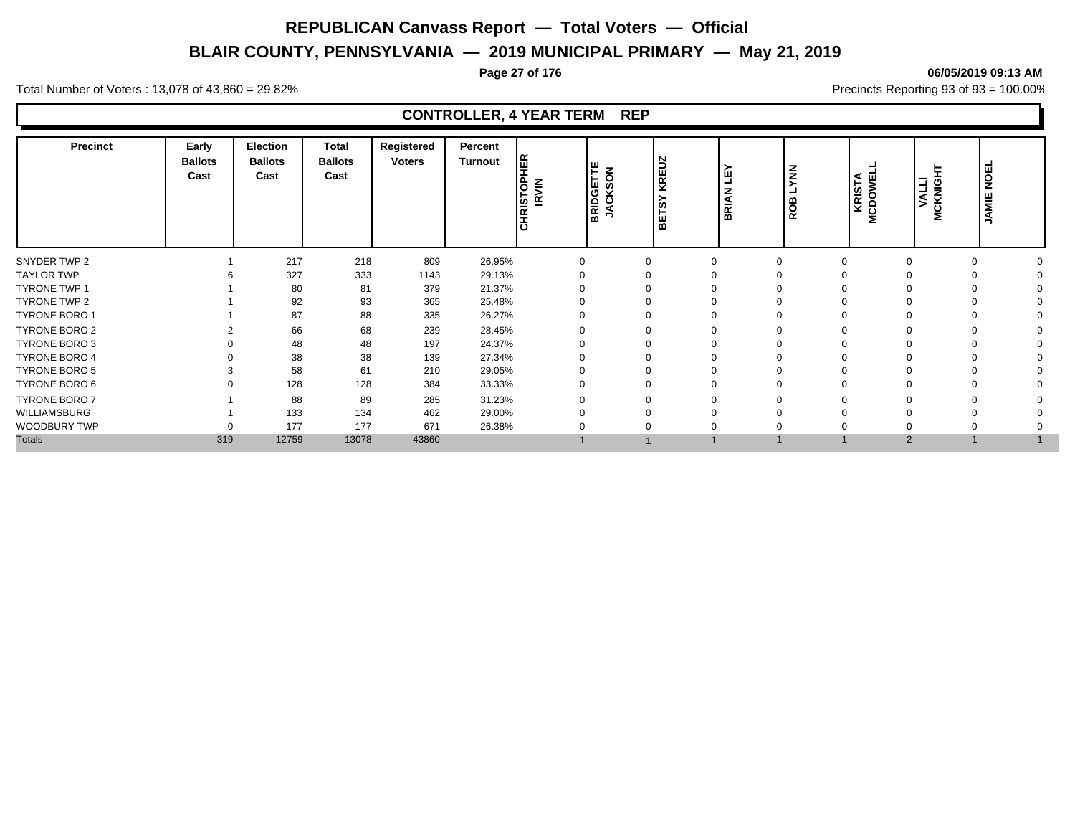# **BLAIR COUNTY, PENNSYLVANIA — 2019 MUNICIPAL PRIMARY — May 21, 2019**

#### **Page 27 of 176 06/05/2019 09:13 AM**

Total Number of Voters : 13,078 of 43,860 = 29.82% Precincts Reporting 93 of 93 = 100.00%

| <b>Precinct</b>      | Early<br><b>Ballots</b><br>Cast | <b>Election</b><br><b>Ballots</b><br>Cast | <b>Total</b><br><b>Ballots</b><br>Cast | Registered<br><b>Voters</b> | Percent<br><b>Turnout</b> | <b>HER</b><br>CHRISTOP<br><b>IRVIN</b> | BRIDGETTE<br>JACKSON | N<br>∍<br>KREI<br>ဖာ<br>щ<br>ᅙ | ≻<br>ш<br>ᆜ<br><b>BRIAN</b> | $\overline{z}$<br>മ<br>RO | <b>KRISTA</b><br>MCDOWEL | VALLI<br>CKNIGI<br>ž | <b>NOEL</b><br>JAMIE |  |
|----------------------|---------------------------------|-------------------------------------------|----------------------------------------|-----------------------------|---------------------------|----------------------------------------|----------------------|--------------------------------|-----------------------------|---------------------------|--------------------------|----------------------|----------------------|--|
| SNYDER TWP 2         |                                 | 217                                       | 218                                    | 809                         | 26.95%                    | $\Omega$                               |                      | $\Omega$                       |                             |                           |                          |                      | $\Omega$             |  |
| <b>TAYLOR TWP</b>    |                                 | 327                                       | 333                                    | 1143                        | 29.13%                    |                                        |                      |                                |                             |                           |                          |                      |                      |  |
| <b>TYRONE TWP 1</b>  |                                 | 80                                        | 81                                     | 379                         | 21.37%                    |                                        |                      |                                |                             |                           |                          |                      |                      |  |
| TYRONE TWP 2         |                                 | 92                                        | 93                                     | 365                         | 25.48%                    |                                        |                      |                                |                             |                           |                          |                      |                      |  |
| <b>TYRONE BORO 1</b> |                                 | 87                                        | 88                                     | 335                         | 26.27%                    |                                        |                      | 0                              |                             |                           |                          |                      | $\Omega$             |  |
| TYRONE BORO 2        | $\mathcal{P}$                   | 66                                        | 68                                     | 239                         | 28.45%                    | $\Omega$                               |                      | $\mathbf 0$                    | $\Omega$                    |                           |                          |                      | $\Omega$             |  |
| TYRONE BORO 3        |                                 | 48                                        | 48                                     | 197                         | 24.37%                    |                                        |                      |                                |                             |                           |                          |                      |                      |  |
| <b>TYRONE BORO 4</b> |                                 | 38                                        | 38                                     | 139                         | 27.34%                    |                                        |                      |                                |                             |                           |                          |                      |                      |  |
| <b>TYRONE BORO 5</b> |                                 | 58                                        | 61                                     | 210                         | 29.05%                    |                                        |                      |                                |                             |                           |                          |                      |                      |  |
| TYRONE BORO 6        | 0                               | 128                                       | 128                                    | 384                         | 33.33%                    |                                        |                      | 0                              |                             |                           |                          | $\Omega$             |                      |  |
| TYRONE BORO 7        |                                 | 88                                        | 89                                     | 285                         | 31.23%                    | $\Omega$                               |                      | $\Omega$                       | $\Omega$                    |                           |                          |                      | $\Omega$             |  |
| WILLIAMSBURG         |                                 | 133                                       | 134                                    | 462                         | 29.00%                    |                                        |                      |                                |                             |                           |                          |                      |                      |  |
| WOODBURY TWP         |                                 | 177                                       | 177                                    | 671                         | 26.38%                    |                                        |                      |                                |                             |                           |                          |                      |                      |  |
| <b>Totals</b>        | 319                             | 12759                                     | 13078                                  | 43860                       |                           |                                        |                      |                                |                             |                           | $\overline{2}$           |                      |                      |  |
|                      |                                 |                                           |                                        |                             |                           |                                        |                      |                                |                             |                           |                          |                      |                      |  |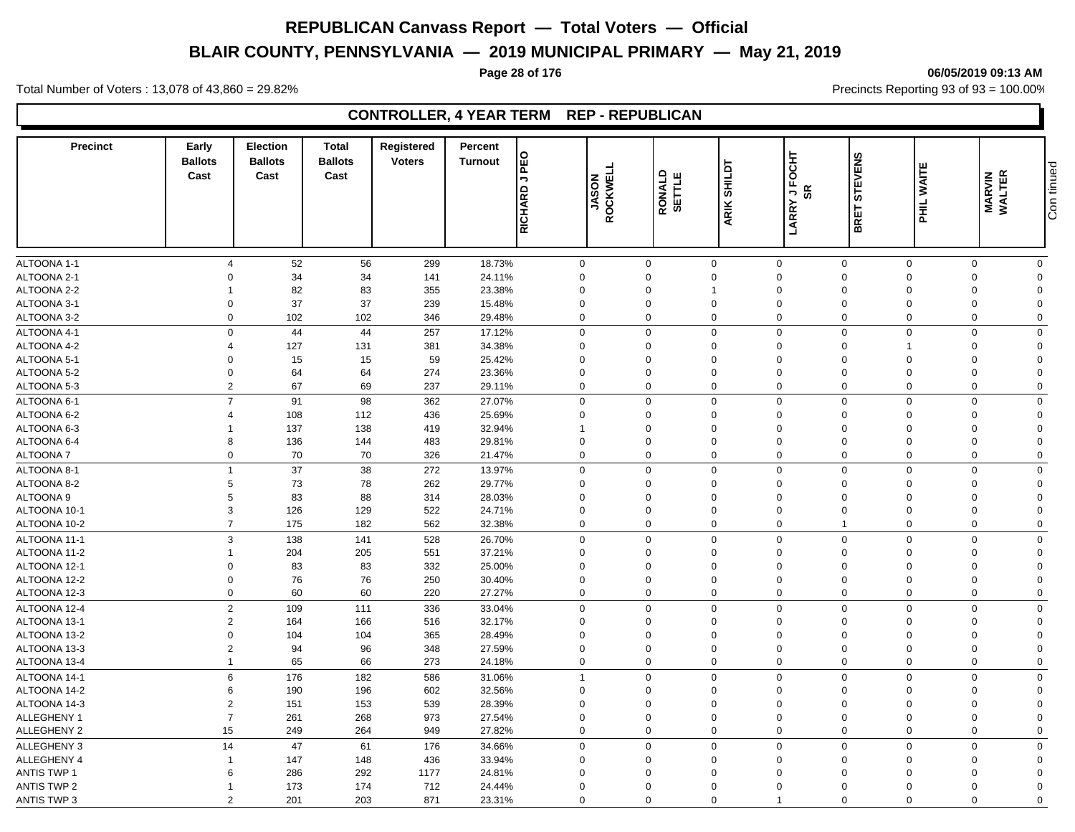# **BLAIR COUNTY, PENNSYLVANIA — 2019 MUNICIPAL PRIMARY — May 21, 2019**

# **Page 28 of 176 06/05/2019 09:13 AM**

Total Number of Voters : 13,078 of 43,860 = 29.82% Precincts Reporting 93 of 93 = 100.00%

# **CONTROLLER, 4 YEAR TERM REP - REPUBLICAN**

| <b>Precinct</b>    | Early<br><b>Ballots</b><br>Cast | <b>Election</b><br><b>Ballots</b><br>Cast | <b>Total</b><br><b>Ballots</b><br>Cast | <b>Registered</b><br><b>Voters</b> | Percent<br><b>Turnout</b> | <b>PEO</b><br>$\overline{\phantom{a}}$<br>RICHARD | <b>ROCKWEL</b><br><b>NOSAL</b> | RONALD<br>SETTLE | ARIK SHILDT    | OCHT<br>正<br><b>SR</b><br><b>D</b><br>LARRY | <b>STEVENS</b><br>BRET | ш<br>WAITI<br><b>HHL</b>   | <b>MARVIN<br/>WALTER</b>   | Con tinued |
|--------------------|---------------------------------|-------------------------------------------|----------------------------------------|------------------------------------|---------------------------|---------------------------------------------------|--------------------------------|------------------|----------------|---------------------------------------------|------------------------|----------------------------|----------------------------|------------|
|                    |                                 |                                           |                                        |                                    |                           |                                                   |                                |                  |                |                                             |                        |                            |                            |            |
| ALTOONA 1-1        | $\overline{4}$                  | 52                                        | 56                                     | 299                                | 18.73%                    | $\mathbf 0$                                       | $\mathbf 0$                    |                  | $\mathbf{0}$   | $\mathbf 0$                                 | $\mathbf 0$            | $\mathbf{0}$               | $\mathbf 0$<br>$\mathbf 0$ |            |
| ALTOONA 2-1        | $\Omega$                        | 34                                        | 34                                     | 141                                | 24.11%                    | $\mathbf 0$                                       |                                | $\mathbf 0$      | $\mathbf 0$    | $\Omega$                                    | $\Omega$               | $\Omega$<br>$\Omega$       | $\mathbf 0$                |            |
| ALTOONA 2-2        | -1                              | 82                                        | 83                                     | 355                                | 23.38%                    | $\mathbf{0}$                                      |                                | $\Omega$         | $\overline{1}$ | $\Omega$                                    | $\Omega$               | $\Omega$<br>$\Omega$       | $\Omega$                   |            |
| ALTOONA 3-1        | $\mathbf 0$                     | 37                                        | 37                                     | 239                                | 15.48%                    | $\mathbf 0$                                       | $\mathbf 0$                    |                  | $\mathbf 0$    | 0                                           | $\mathbf 0$            | $\mathbf 0$<br>$\Omega$    | $\mathbf 0$                |            |
| ALTOONA 3-2        | $\mathbf 0$                     | 102                                       | 102                                    | 346                                | 29.48%                    | $\mathbf 0$                                       | $\mathbf 0$                    |                  | $\overline{0}$ | $\mathbf 0$                                 | $\mathbf 0$            | $\mathbf 0$<br>$\mathbf 0$ | $\mathbf 0$                |            |
| ALTOONA 4-1        | $\Omega$                        | 44                                        | 44                                     | 257                                | 17.12%                    | $\mathbf 0$                                       | $\mathbf 0$                    |                  | $\overline{0}$ | $\mathbf 0$                                 | $\mathbf 0$            | $\mathbf 0$<br>$\mathbf 0$ | $\mathbf 0$                |            |
| ALTOONA 4-2        | $\overline{4}$                  | 127                                       | 131                                    | 381                                | 34.38%                    | $\Omega$                                          |                                | $\Omega$         | $\Omega$       | $\Omega$                                    | $\mathbf 0$            | $\Omega$                   | $\Omega$                   |            |
| ALTOONA 5-1        | $\Omega$                        | 15                                        | 15                                     | 59                                 | 25.42%                    | $\mathbf 0$                                       |                                | $\Omega$         | $\Omega$       | $\mathbf 0$                                 | $\mathbf 0$            | $\mathbf 0$<br>$\Omega$    | $\Omega$                   |            |
| ALTOONA 5-2        | $\Omega$                        | 64                                        | 64                                     | 274                                | 23.36%                    | $\mathbf 0$                                       |                                | $\Omega$         | $\Omega$       | $\Omega$                                    | $\Omega$               | $\Omega$<br>$\Omega$       | $\Omega$                   |            |
| ALTOONA 5-3        | $\overline{2}$                  | 67                                        | 69                                     | 237                                | 29.11%                    | $\mathbf 0$                                       | $\mathbf 0$                    |                  | $\overline{0}$ | $\Omega$                                    | $\Omega$               | $\mathbf 0$<br>$\Omega$    | $\Omega$                   |            |
| ALTOONA 6-1        | $\overline{7}$                  | 91                                        | 98                                     | 362                                | 27.07%                    | $\mathbf 0$                                       | $\mathbf 0$                    |                  | $\mathbf 0$    | $\Omega$                                    | $\mathbf 0$            | $\mathbf 0$                | $\Omega$<br>$\mathbf 0$    |            |
| ALTOONA 6-2        | $\overline{\mathbf{4}}$         | 108                                       | 112                                    | 436                                | 25.69%                    | $\mathbf 0$                                       | $\mathbf 0$                    |                  | $\mathbf 0$    | 0                                           | $\mathbf 0$            | $\mathbf 0$<br>$\Omega$    | $\mathbf 0$                |            |
| ALTOONA 6-3        | -1                              | 137                                       | 138                                    | 419                                | 32.94%                    | $\mathbf{1}$                                      |                                | $\Omega$         | $\mathbf 0$    | $\Omega$                                    | $\Omega$               | $\Omega$<br>$\Omega$       | $\mathbf 0$                |            |
| ALTOONA 6-4        | 8                               | 136                                       | 144                                    | 483                                | 29.81%                    | $\mathbf 0$                                       |                                | 0                | $\mathbf 0$    | 0                                           | $\mathbf 0$            | $\mathbf 0$<br>$\mathbf 0$ | $\mathbf 0$                |            |
| <b>ALTOONA7</b>    | $\mathbf 0$                     | 70                                        | 70                                     | 326                                | 21.47%                    | $\mathbf 0$                                       | $\mathbf 0$                    |                  | $\Omega$       | $\mathbf 0$                                 | $\mathbf 0$            | $\mathbf 0$                | $\Omega$<br>$\Omega$       |            |
| ALTOONA 8-1        | $\mathbf{1}$                    | 37                                        | 38                                     | 272                                | 13.97%                    | $\mathbf 0$                                       | $\Omega$                       |                  | $\Omega$       | $\Omega$                                    | $\Omega$               | $\mathbf 0$<br>$\Omega$    | $\mathbf 0$                |            |
| ALTOONA 8-2        | $\sqrt{5}$                      | 73                                        | 78                                     | 262                                | 29.77%                    | $\mathbf 0$                                       | $\mathbf 0$                    |                  | $\overline{0}$ | $\mathbf 0$                                 | $\mathbf 0$            | $\mathbf 0$<br>$\Omega$    | $\mathbf 0$                |            |
| <b>ALTOONA 9</b>   | $\sqrt{5}$                      | 83                                        | 88                                     | 314                                | 28.03%                    | $\Omega$                                          |                                | $\Omega$         | $\Omega$       | $\Omega$                                    | $\Omega$               | $\Omega$<br>$\Omega$       | $\Omega$                   |            |
| ALTOONA 10-1       | $\mathbf{3}$                    | 126                                       | 129                                    | 522                                | 24.71%                    | $\mathbf 0$                                       | $\mathbf 0$                    |                  | $\overline{0}$ | $\Omega$                                    | $\Omega$               | $\Omega$<br>$\Omega$       | $\Omega$                   |            |
| ALTOONA 10-2       | $\overline{7}$                  | 175                                       | 182                                    | 562                                | 32.38%                    | $\mathbf 0$                                       | $\mathbf 0$                    |                  | $\overline{0}$ | 0                                           | $\mathbf{1}$           | $\mathbf 0$                | $\mathbf 0$<br>$\mathbf 0$ |            |
| ALTOONA 11-1       | 3                               | 138                                       | 141                                    | 528                                | 26.70%                    | $\mathbf 0$                                       | $\mathbf 0$                    |                  | $\mathbf 0$    | $\mathbf 0$                                 | $\mathbf 0$            | $\mathbf 0$                | $\mathbf 0$<br>$\mathbf 0$ |            |
| ALTOONA 11-2       | $\mathbf{1}$                    | 204                                       | 205                                    | 551                                | 37.21%                    | $\mathbf 0$                                       |                                | $\Omega$         | $\mathbf 0$    | $\Omega$                                    | $\Omega$               | $\Omega$<br>$\Omega$       | $\Omega$                   |            |
| ALTOONA 12-1       | $\mathbf 0$                     | 83                                        | 83                                     | 332                                | 25.00%                    | $\mathbf 0$                                       |                                | $\mathbf 0$      | $\mathbf 0$    | $\overline{0}$                              | $\mathbf 0$            | $\mathbf 0$<br>$\Omega$    | $\mathbf 0$                |            |
| ALTOONA 12-2       | $\mathbf 0$                     | 76                                        | 76                                     | 250                                | 30.40%                    | $\mathbf 0$                                       |                                | $\Omega$         | $\Omega$       | $\Omega$                                    | $\Omega$               | $\Omega$<br>$\Omega$       | $\Omega$                   |            |
| ALTOONA 12-3       | $\mathbf 0$                     | 60                                        | 60                                     | 220                                | 27.27%                    | $\mathbf 0$                                       | $\mathbf 0$                    |                  | $\overline{0}$ | $\mathbf 0$                                 | $\mathbf 0$            | $\mathbf 0$<br>$\mathbf 0$ | $\mathbf 0$                |            |
| ALTOONA 12-4       | $\overline{2}$                  | 109                                       | 111                                    | 336                                | 33.04%                    | $\mathsf 0$                                       | $\Omega$                       |                  | $\mathbf 0$    | $\Omega$                                    | $\overline{0}$         | $\mathbf 0$<br>$\Omega$    | $\mathbf 0$                |            |
| ALTOONA 13-1       | $\overline{2}$                  | 164                                       | 166                                    | 516                                | 32.17%                    | $\Omega$                                          |                                | $\Omega$         | $\Omega$       | $\Omega$                                    | $\Omega$               | $\Omega$<br>$\Omega$       | $\Omega$                   |            |
| ALTOONA 13-2       | $\Omega$                        | 104                                       | 104                                    | 365                                | 28.49%                    | $\Omega$                                          |                                | $\Omega$         | $\Omega$       | $\Omega$                                    | $\Omega$               | $\Omega$<br>$\Omega$       | $\Omega$                   |            |
| ALTOONA 13-3       | $\overline{2}$                  | 94                                        | 96                                     | 348                                | 27.59%                    | $\mathbf 0$                                       |                                | $\Omega$         | $\mathbf 0$    | $\mathbf 0$                                 | $\mathbf 0$            | $\mathbf 0$<br>$\Omega$    | $\Omega$                   |            |
| ALTOONA 13-4       | $\mathbf{1}$                    | 65                                        | 66                                     | 273                                | 24.18%                    | $\mathbf 0$                                       | $\mathbf 0$                    |                  | $\mathbf 0$    | $\Omega$                                    | $\Omega$               | $\Omega$<br>$\Omega$       | $\Omega$                   |            |
| ALTOONA 14-1       | 6                               | 176                                       | 182                                    | 586                                | 31.06%                    | $\mathbf{1}$                                      | $\mathbf 0$                    |                  | $\mathbf 0$    | $\Omega$                                    | $\Omega$               | $\Omega$                   | $\Omega$<br>$\mathbf 0$    |            |
| ALTOONA 14-2       | 6                               | 190                                       | 196                                    | 602                                | 32.56%                    | $\mathbf 0$                                       | $\mathbf 0$                    |                  | $\mathbf 0$    | $\Omega$                                    | $\mathbf 0$            | $\mathbf 0$<br>$\Omega$    | $\mathbf 0$                |            |
| ALTOONA 14-3       | $\overline{2}$                  | 151                                       | 153                                    | 539                                | 28.39%                    | $\mathbf 0$                                       |                                | $\Omega$         | $\overline{0}$ | $\Omega$                                    | $\Omega$               | $\Omega$<br>$\Omega$       | $\Omega$                   |            |
| ALLEGHENY 1        | $\overline{7}$                  | 261                                       | 268                                    | 973                                | 27.54%                    | $\mathbf 0$                                       | $\Omega$                       |                  | $\mathbf 0$    | $\Omega$                                    | $\mathbf 0$            | $\mathbf 0$<br>$\Omega$    | $\Omega$                   |            |
| ALLEGHENY 2        | 15                              | 249                                       | 264                                    | 949                                | 27.82%                    | $\mathbf 0$                                       | $\mathbf 0$                    |                  | $\overline{0}$ | 0                                           | $\mathbf 0$            | 0                          | $\mathbf 0$<br>$\mathbf 0$ |            |
| <b>ALLEGHENY 3</b> | 14                              | 47                                        | 61                                     | 176                                | 34.66%                    | $\mathbf 0$                                       | $\Omega$                       |                  | $\Omega$       | $\Omega$                                    | $\Omega$               | $\mathsf 0$<br>$\Omega$    | $\mathbf 0$                |            |
| ALLEGHENY 4        | -1                              | 147                                       | 148                                    | 436                                | 33.94%                    | $\mathbf 0$                                       |                                | $\Omega$         | $\Omega$       | 0                                           | $\Omega$               | $\Omega$<br>$\Omega$       | $\mathbf 0$                |            |
| <b>ANTIS TWP 1</b> | 6                               | 286                                       | 292                                    | 1177                               | 24.81%                    | $\mathbf 0$                                       |                                | 0                | $\overline{0}$ | $\mathbf 0$                                 | $\mathbf 0$            | $\Omega$<br>$\Omega$       | $\mathbf 0$                |            |
| <b>ANTIS TWP 2</b> | $\overline{1}$                  | 173                                       | 174                                    | 712                                | 24.44%                    | $\Omega$                                          | $\Omega$                       |                  | $\Omega$       | $\Omega$                                    | $\Omega$               | 0<br>$\Omega$              | $\Omega$                   |            |
| <b>ANTIS TWP 3</b> | $\overline{2}$                  | 201                                       | 203                                    | 871                                | 23.31%                    | $\mathbf 0$                                       | $\Omega$                       |                  | $\Omega$       | 1                                           | $\Omega$               | $\Omega$                   | $\Omega$<br>$\mathbf 0$    |            |
|                    |                                 |                                           |                                        |                                    |                           |                                                   |                                |                  |                |                                             |                        |                            |                            |            |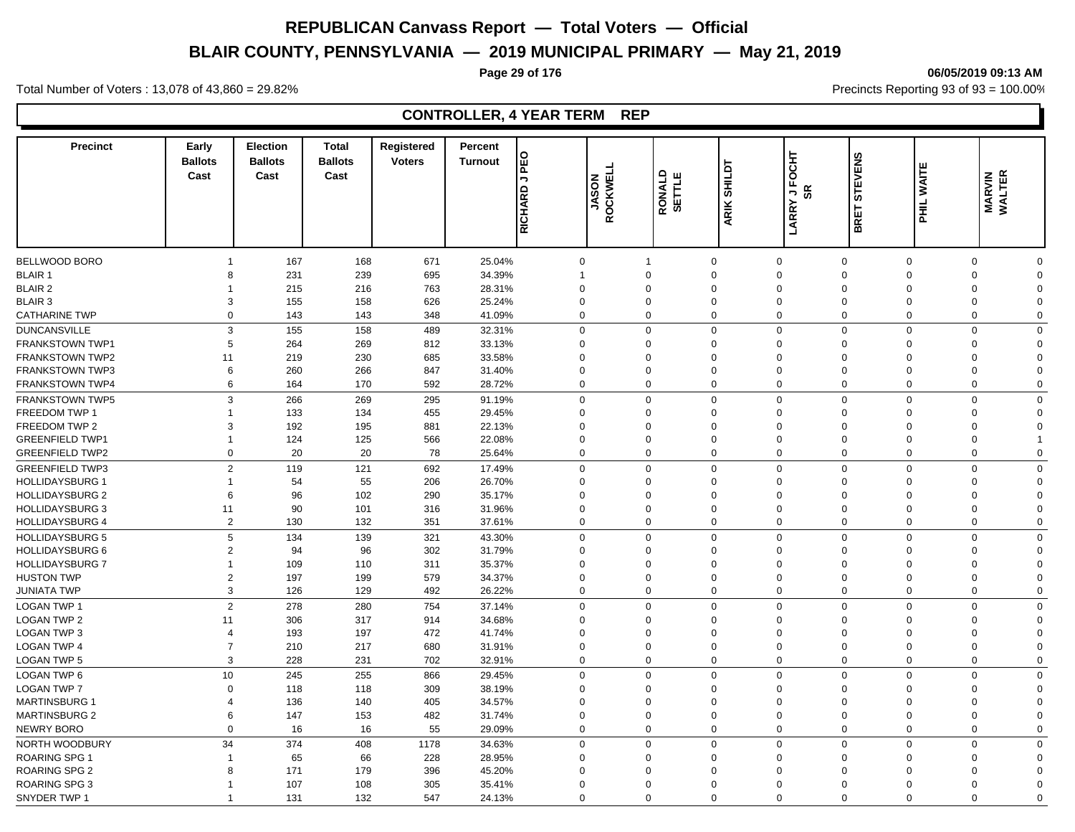# **BLAIR COUNTY, PENNSYLVANIA — 2019 MUNICIPAL PRIMARY — May 21, 2019**

#### **Page 29 of 176 06/05/2019 09:13 AM**

Total Number of Voters : 13,078 of 43,860 = 29.82% Precincts Reporting 93 of 93 = 100.00%

| <b>Precinct</b>        | Early<br><b>Ballots</b><br>Cast | Election<br><b>Ballots</b><br>Cast | <b>Total</b><br><b>Ballots</b><br>Cast | Registered<br><b>Voters</b> | Percent<br>PEO<br><b>Turnout</b><br>$\mathbin{\mathbb{Z}}$<br><b>RICHARD</b> | <b>JASON<br/>ROCKWEL</b> | RONALD<br>SETTLE | <b>SHILDT</b><br>ARIK : | <b>JFOCHT</b><br>œ<br><b>LARRY</b> | <b>STEVENS</b><br>BRET | ш<br>WAITI<br>$\bar{t}$ | <b>MARVIN<br/>WALTER</b> |              |
|------------------------|---------------------------------|------------------------------------|----------------------------------------|-----------------------------|------------------------------------------------------------------------------|--------------------------|------------------|-------------------------|------------------------------------|------------------------|-------------------------|--------------------------|--------------|
|                        |                                 |                                    |                                        |                             |                                                                              |                          |                  |                         |                                    |                        |                         |                          |              |
| <b>BELLWOOD BORO</b>   | $\overline{1}$                  | 167                                | 168                                    | 671                         | 25.04%                                                                       | $\mathbf 0$              | $\mathbf{1}$     | $\mathbf 0$             | $\mathbf 0$                        | $\mathbf 0$            | $\mathbf 0$             | $\Omega$                 | $\Omega$     |
| <b>BLAIR 1</b>         | 8                               | 231                                | 239                                    | 695                         | 34.39%                                                                       | $\mathbf{1}$             | $\Omega$         | $\mathbf 0$             | $\Omega$                           | $\Omega$               | $\Omega$                | $\Omega$                 | $\Omega$     |
| <b>BLAIR 2</b>         | 1                               | 215                                | 216                                    | 763                         | 28.31%                                                                       | $\mathbf 0$              | $\Omega$         | $\mathbf 0$             | $\Omega$                           | $\Omega$               | $\Omega$                | $\Omega$                 | $\Omega$     |
| <b>BLAIR 3</b>         | 3                               | 155                                | 158                                    | 626                         | 25.24%                                                                       | $\mathbf 0$              | $\Omega$         | $\mathbf 0$             | $\Omega$                           | $\mathbf 0$            | 0                       | $\Omega$                 | $\Omega$     |
| CATHARINE TWP          | $\mathbf 0$                     | 143                                | 143                                    | 348                         | 41.09%                                                                       | $\mathbf 0$              | $\Omega$         | $\mathbf 0$             | $\Omega$                           | $\Omega$               | $\Omega$                | $\Omega$                 | $\Omega$     |
| <b>DUNCANSVILLE</b>    | 3                               | 155                                | 158                                    | 489                         | 32.31%                                                                       | $\Omega$                 | $\Omega$         | $\mathbf 0$             | $\Omega$                           | $\Omega$               | $\mathbf 0$             | $\Omega$                 | $\mathbf{0}$ |
| <b>FRANKSTOWN TWP1</b> | 5                               | 264                                | 269                                    | 812                         | 33.13%                                                                       | $\Omega$                 | $\Omega$         | $\mathbf 0$             | $\Omega$                           | $\mathbf 0$            | $\Omega$                | $\Omega$                 | $\Omega$     |
| <b>FRANKSTOWN TWP2</b> | 11                              | 219                                | 230                                    | 685                         | 33.58%                                                                       | $\Omega$                 | $\Omega$         | $\Omega$                | $\Omega$                           | $\Omega$               | $\Omega$                | $\Omega$                 | $\Omega$     |
| <b>FRANKSTOWN TWP3</b> | 6                               | 260                                | 266                                    | 847                         | 31.40%                                                                       | $\Omega$                 | $\Omega$         | $\mathbf 0$             | $\Omega$                           | $\mathbf 0$            | 0                       | $\Omega$                 | $\Omega$     |
| FRANKSTOWN TWP4        | 6                               | 164                                | 170                                    | 592                         | 28.72%                                                                       | $\Omega$                 | $\Omega$         | $\mathbf 0$             | $\Omega$                           | $\mathbf 0$            | $\mathbf 0$             | $\Omega$                 | $\Omega$     |
| FRANKSTOWN TWP5        | 3                               | 266                                | 269                                    | 295                         | 91.19%                                                                       | $\mathbf 0$              | $\mathbf 0$      | $\mathbf 0$             | $\mathbf 0$                        | $\mathbf 0$            | $\mathbf 0$             | $\Omega$                 | $\mathbf 0$  |
| FREEDOM TWP 1          | 1                               | 133                                | 134                                    | 455                         | 29.45%                                                                       | $\mathbf 0$              | $\Omega$         | $\mathbf 0$             | $\Omega$                           | $\mathbf 0$            | $\Omega$                | $\Omega$                 | $\Omega$     |
| FREEDOM TWP 2          | 3                               | 192                                | 195                                    | 881                         | 22.13%                                                                       | $\mathbf 0$              | $\Omega$         | $\mathbf 0$             | $\Omega$                           | $\Omega$               | $\Omega$                | $\Omega$                 | $\Omega$     |
| <b>GREENFIELD TWP1</b> | $\overline{1}$                  | 124                                | 125                                    | 566                         | 22.08%                                                                       | $\mathbf 0$              | $\Omega$         | $\mathbf 0$             | $\mathbf 0$                        | $\overline{0}$         | 0                       | $\Omega$                 | 1            |
| <b>GREENFIELD TWP2</b> | $\mathbf 0$                     | 20                                 | 20                                     | 78                          | 25.64%                                                                       | $\mathbf 0$              | $\mathbf 0$      | $\mathbf 0$             | $\Omega$                           | $\mathbf 0$            | $\mathbf 0$             | $\mathbf 0$              | $\Omega$     |
| <b>GREENFIELD TWP3</b> | $\overline{2}$                  | 119                                | 121                                    | 692                         | 17.49%                                                                       | $\mathbf 0$              | $\Omega$         | $\mathbf 0$             | $\Omega$                           | $\mathbf 0$            | $\mathbf 0$             | $\Omega$                 | $\Omega$     |
| <b>HOLLIDAYSBURG 1</b> | 1                               | 54                                 | 55                                     | 206                         | 26.70%                                                                       | $\mathbf 0$              | $\Omega$         | $\mathbf 0$             | $\Omega$                           | $\mathbf 0$            | 0                       | $\mathbf 0$              | $\mathbf 0$  |
| <b>HOLLIDAYSBURG 2</b> | 6                               | 96                                 | 102                                    | 290                         | 35.17%                                                                       | $\mathbf 0$              | $\Omega$         | $\Omega$                | $\Omega$                           | $\Omega$               | $\Omega$                | $\Omega$                 | $\Omega$     |
| <b>HOLLIDAYSBURG 3</b> | 11                              | 90                                 | 101                                    | 316                         | 31.96%                                                                       | $\mathbf 0$              | $\Omega$         | $\mathbf 0$             | $\Omega$                           | $\mathbf 0$            | 0                       | $\Omega$                 | $\Omega$     |
| <b>HOLLIDAYSBURG 4</b> | $\overline{2}$                  | 130                                | 132                                    | 351                         | 37.61%                                                                       | $\mathbf 0$              | $\mathbf 0$      | $\mathbf 0$             | $\Omega$                           | $\mathbf 0$            | 0                       | $\mathbf 0$              | $\Omega$     |
| <b>HOLLIDAYSBURG 5</b> | 5                               | 134                                | 139                                    | 321                         | 43.30%                                                                       | $\mathbf 0$              | $\mathbf 0$      | $\mathbf 0$             | $\Omega$                           | $\mathbf 0$            | $\mathbf 0$             | $\Omega$                 | $\Omega$     |
| <b>HOLLIDAYSBURG 6</b> | $\overline{2}$                  | 94                                 | 96                                     | 302                         | 31.79%                                                                       | $\Omega$                 | $\Omega$         | $\Omega$                | $\Omega$                           | $\mathbf 0$            | $\Omega$                | $\Omega$                 | $\Omega$     |
| <b>HOLLIDAYSBURG 7</b> | 1                               | 109                                | 110                                    | 311                         | 35.37%                                                                       | $\Omega$                 | $\Omega$         | $\Omega$                | $\Omega$                           | $\Omega$               | $\Omega$                | $\Omega$                 | $\Omega$     |
| <b>HUSTON TWP</b>      | $\overline{2}$                  | 197                                | 199                                    | 579                         | 34.37%                                                                       | $\mathbf 0$              | $\Omega$         | $\mathbf 0$             | $\Omega$                           | $\Omega$               | $\Omega$                | $\Omega$                 | $\Omega$     |
| <b>JUNIATA TWP</b>     | 3                               | 126                                | 129                                    | 492                         | 26.22%                                                                       | $\Omega$                 | $\mathbf 0$      | $\mathbf 0$             | $\Omega$                           | $\mathbf 0$            | $\Omega$                | $\Omega$                 | $\Omega$     |
| <b>LOGAN TWP 1</b>     | 2                               | 278                                | 280                                    | 754                         | 37.14%                                                                       | $\mathbf 0$              | $\mathbf 0$      | $\mathbf 0$             | $\mathbf 0$                        | $\mathbf 0$            | $\mathbf 0$             | $\Omega$                 | $\mathbf 0$  |
| <b>LOGAN TWP 2</b>     | 11                              | 306                                | 317                                    | 914                         | 34.68%                                                                       | $\mathbf 0$              | $\Omega$         | $\mathbf 0$             | $\Omega$                           | $\overline{0}$         | $\mathbf 0$             | $\Omega$                 | $\Omega$     |
| <b>LOGAN TWP 3</b>     | $\overline{4}$                  | 193                                | 197                                    | 472                         | 41.74%                                                                       | $\mathbf 0$              | $\Omega$         | $\mathbf{0}$            | $\Omega$                           | $\Omega$               | $\Omega$                | $\Omega$                 | $\Omega$     |
| <b>LOGAN TWP 4</b>     | $\overline{7}$                  | 210                                | 217                                    | 680                         | 31.91%                                                                       | $\mathbf 0$              | $\Omega$         | $\mathbf 0$             | $\mathbf 0$                        | $\mathbf 0$            | 0                       | $\mathbf 0$              | $\Omega$     |
| <b>LOGAN TWP 5</b>     | 3                               | 228                                | 231                                    | 702                         | 32.91%                                                                       | $\mathbf 0$              | $\mathbf 0$      | $\mathbf 0$             | $\Omega$                           | $\mathbf 0$            | 0                       | $\Omega$                 | $\Omega$     |
|                        |                                 |                                    |                                        |                             |                                                                              |                          |                  |                         |                                    |                        |                         |                          |              |
| LOGAN TWP 6            | 10                              | 245                                | 255                                    | 866                         | 29.45%                                                                       | $\Omega$                 | $\Omega$         | $\mathbf 0$             | $\Omega$                           | $\Omega$               | $\mathbf 0$             | $\Omega$                 | $\mathbf 0$  |
| <b>LOGAN TWP 7</b>     | $\mathbf 0$                     | 118                                | 118                                    | 309                         | 38.19%                                                                       | $\mathbf 0$              | $\Omega$         | $\mathbf 0$             | $\Omega$                           | $\overline{0}$         | 0                       | $\Omega$                 | $\Omega$     |
| <b>MARTINSBURG 1</b>   | $\overline{4}$                  | 136                                | 140                                    | 405                         | 34.57%                                                                       | $\Omega$                 | $\Omega$         | $\Omega$                | $\Omega$                           | $\mathbf 0$            | $\Omega$                | $\Omega$                 | $\Omega$     |
| <b>MARTINSBURG 2</b>   | 6                               | 147                                | 153                                    | 482                         | 31.74%                                                                       | $\mathbf 0$              | $\mathbf 0$      | $\mathbf 0$             | $\mathbf 0$                        | $\mathbf 0$            | $\mathbf 0$             | $\Omega$                 | $\mathbf 0$  |
| <b>NEWRY BORO</b>      | $\mathbf 0$                     | 16                                 | 16                                     | 55                          | 29.09%                                                                       | $\mathbf 0$              | $\mathbf 0$      | $\mathbf 0$             | $\mathbf 0$                        | $\mathbf 0$            | $\mathbf 0$             | $\Omega$                 | $\Omega$     |
| NORTH WOODBURY         | 34                              | 374                                | 408                                    | 1178                        | 34.63%                                                                       | $\mathbf 0$              | $\mathbf 0$      | $\mathbf 0$             | $\Omega$                           | $\mathbf 0$            | $\mathbf 0$             | $\Omega$                 | $\Omega$     |
| ROARING SPG 1          | 1                               | 65                                 | 66                                     | 228                         | 28.95%                                                                       | $\mathbf 0$              | $\Omega$         | $\mathbf 0$             | $\Omega$                           | $\overline{0}$         | 0                       | $\Omega$                 | $\Omega$     |
| ROARING SPG 2          | 8                               | 171                                | 179                                    | 396                         | 45.20%                                                                       | $\Omega$                 | $\Omega$         | $\Omega$                | $\Omega$                           | $\Omega$               | $\Omega$                | $\Omega$                 | $\Omega$     |
| ROARING SPG 3          | 1                               | 107                                | 108                                    | 305                         | 35.41%                                                                       | $\mathbf 0$              | $\Omega$         | $\Omega$                | $\Omega$                           | $\Omega$               | $\Omega$                | $\Omega$                 | $\Omega$     |
| SNYDER TWP 1           | 1                               | 131                                | 132                                    | 547                         | 24.13%                                                                       | $\Omega$                 | $\Omega$         | $\Omega$                | $\Omega$                           | $\Omega$               | $\Omega$                | $\Omega$                 | $\Omega$     |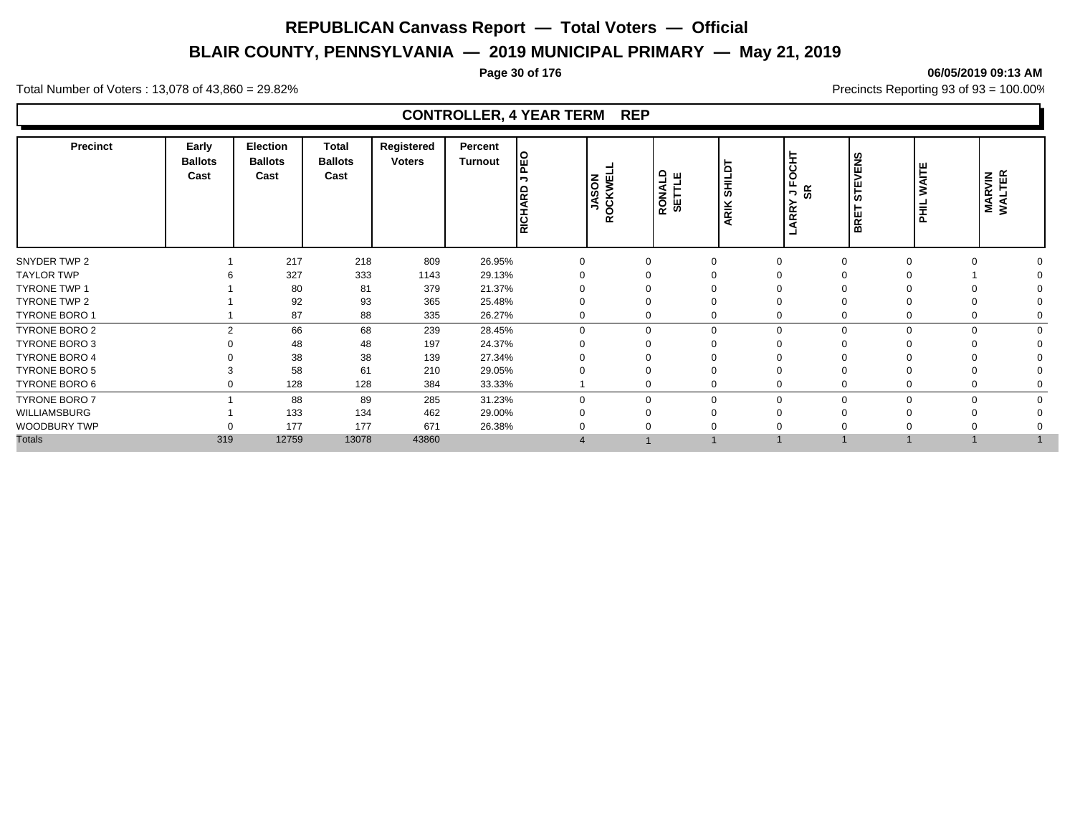# **BLAIR COUNTY, PENNSYLVANIA — 2019 MUNICIPAL PRIMARY — May 21, 2019**

#### **Page 30 of 176 06/05/2019 09:13 AM**

Total Number of Voters : 13,078 of 43,860 = 29.82% Precincts Reporting 93 of 93 = 100.00%

| <b>Precinct</b>      | Early<br><b>Ballots</b><br>Cast | <b>Election</b><br><b>Ballots</b><br>Cast | <b>Total</b><br><b>Ballots</b><br>Cast | Registered<br><b>Voters</b> | Percent<br><b>Turnout</b> | ய        | <b>JASON</b><br>ROCKWEL | RONALD<br>SETTLE | <b>SHILDT</b><br>ARIK | IЕ<br>ட<br>SR<br>¬<br><b>RR</b> | ဗ္ဘ<br>lш<br>ഗ<br>ш<br>ء ا<br>l m | Ξ<br>$\overline{a}$ | <b>MARVIN</b><br>WALTER |
|----------------------|---------------------------------|-------------------------------------------|----------------------------------------|-----------------------------|---------------------------|----------|-------------------------|------------------|-----------------------|---------------------------------|-----------------------------------|---------------------|-------------------------|
| SNYDER TWP 2         |                                 | 217                                       | 218                                    | 809                         | 26.95%                    |          |                         |                  |                       | 0                               |                                   |                     |                         |
| <b>TAYLOR TWP</b>    |                                 | 327                                       | 333                                    | 1143                        | 29.13%                    |          |                         |                  |                       |                                 |                                   |                     |                         |
| <b>TYRONE TWP 1</b>  |                                 | 80                                        | 81                                     | 379                         | 21.37%                    |          |                         |                  |                       |                                 |                                   |                     |                         |
| TYRONE TWP 2         |                                 | 92                                        | 93                                     | 365                         | 25.48%                    |          |                         |                  |                       |                                 |                                   |                     |                         |
| TYRONE BORO 1        |                                 | 87                                        | 88                                     | 335                         | 26.27%                    |          |                         |                  |                       | 0                               |                                   |                     |                         |
| TYRONE BORO 2        | ົ                               | 66                                        | 68                                     | 239                         | 28.45%                    | $\Omega$ |                         | $\Omega$         |                       | $\Omega$                        | $\mathbf 0$<br>$\Omega$           | $\Omega$            |                         |
| <b>TYRONE BORO 3</b> |                                 | 48                                        | 48                                     | 197                         | 24.37%                    |          |                         |                  |                       |                                 |                                   |                     |                         |
| <b>TYRONE BORO 4</b> |                                 | 38                                        | 38                                     | 139                         | 27.34%                    |          |                         |                  |                       |                                 |                                   |                     |                         |
| <b>TYRONE BORO 5</b> |                                 | 58                                        | 61                                     | 210                         | 29.05%                    |          |                         |                  |                       |                                 |                                   |                     |                         |
| TYRONE BORO 6        |                                 | 128                                       | 128                                    | 384                         | 33.33%                    |          |                         |                  |                       | 0                               | 0<br>0                            |                     |                         |
| <b>TYRONE BORO 7</b> |                                 | 88                                        | 89                                     | 285                         | 31.23%                    |          | $\Omega$                | $\Omega$         |                       | $\Omega$                        | $\Omega$<br>$\Omega$              |                     |                         |
| WILLIAMSBURG         |                                 | 133                                       | 134                                    | 462                         | 29.00%                    |          |                         |                  |                       |                                 |                                   |                     |                         |
| WOODBURY TWP         |                                 | 177                                       | 177                                    | 671                         | 26.38%                    |          |                         |                  |                       |                                 |                                   |                     |                         |
| <b>Totals</b>        | 319                             | 12759                                     | 13078                                  | 43860                       |                           |          |                         |                  |                       |                                 |                                   |                     |                         |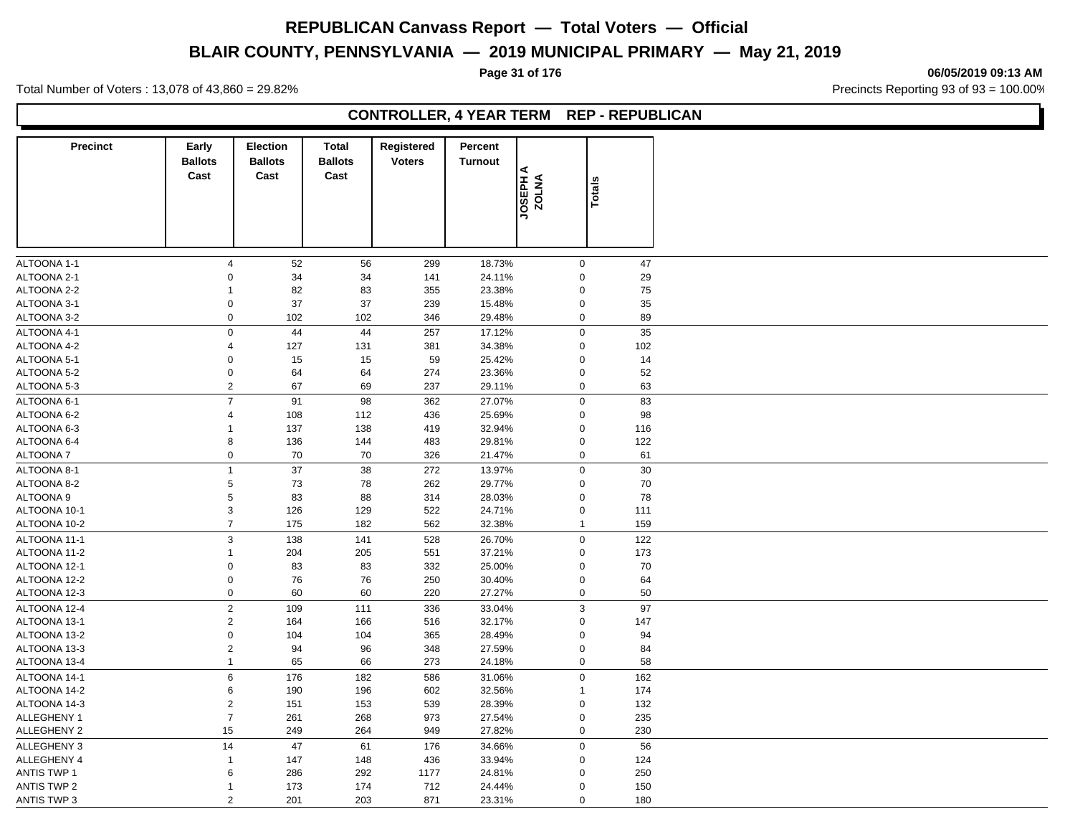# **BLAIR COUNTY, PENNSYLVANIA — 2019 MUNICIPAL PRIMARY — May 21, 2019**

**Page 31 of 176 06/05/2019 09:13 AM**

Total Number of Voters : 13,078 of 43,860 = 29.82% Precincts Reporting 93 of 93 = 100.00%

# **CONTROLLER, 4 YEAR TERM REP - REPUBLICAN**

| <b>Precinct</b>    | Early<br><b>Ballots</b><br>Cast | Election<br><b>Ballots</b><br>Cast | <b>Total</b><br><b>Ballots</b><br>Cast | Registered<br><b>Voters</b> | Percent<br><b>Turnout</b> |                   |               |     |  |
|--------------------|---------------------------------|------------------------------------|----------------------------------------|-----------------------------|---------------------------|-------------------|---------------|-----|--|
|                    |                                 |                                    |                                        |                             |                           | JOSEPH A<br>ZOLNA | <b>Totals</b> |     |  |
|                    |                                 |                                    |                                        |                             |                           |                   |               |     |  |
| ALTOONA 1-1        | $\overline{4}$                  | 52                                 | 56                                     | 299                         | 18.73%                    | $\mathbf 0$       |               | 47  |  |
| ALTOONA 2-1        | 0                               | 34                                 | 34                                     | 141                         | 24.11%                    | $\mathbf 0$       |               | 29  |  |
| ALTOONA 2-2        | $\mathbf{1}$                    | 82                                 | 83                                     | 355                         | 23.38%                    | $\mathbf 0$       |               | 75  |  |
| ALTOONA 3-1        | $\mathbf 0$                     | 37                                 | 37                                     | 239                         | 15.48%                    | $\mathbf 0$       |               | 35  |  |
| ALTOONA 3-2        | $\mathsf 0$                     | 102                                | 102                                    | 346                         | 29.48%                    | $\mathbf 0$       |               | 89  |  |
| ALTOONA 4-1        | $\mathsf 0$                     | 44                                 | 44                                     | 257                         | 17.12%                    | $\mathsf 0$       |               | 35  |  |
| ALTOONA 4-2        | $\overline{4}$                  | 127                                | 131                                    | 381                         | 34.38%                    | $\mathbf 0$       |               | 102 |  |
| ALTOONA 5-1        | $\mathbf 0$                     | 15                                 | 15                                     | 59                          | 25.42%                    | $\mathbf 0$       |               | 14  |  |
| ALTOONA 5-2        | $\mathbf 0$                     | 64                                 | 64                                     | 274                         | 23.36%                    | $\mathbf 0$       |               | 52  |  |
| ALTOONA 5-3        | $\overline{2}$                  | 67                                 | 69                                     | 237                         | 29.11%                    | $\mathbf 0$       |               | 63  |  |
| ALTOONA 6-1        | $\overline{7}$                  | 91                                 | 98                                     | 362                         | 27.07%                    | $\mathbf 0$       |               | 83  |  |
| ALTOONA 6-2        | $\overline{4}$                  | 108                                | 112                                    | 436                         | 25.69%                    | $\mathbf 0$       |               | 98  |  |
| ALTOONA 6-3        | $\mathbf{1}$                    | 137                                | 138                                    | 419                         | 32.94%                    | $\mathbf 0$       |               | 116 |  |
| ALTOONA 6-4        | 8                               | 136                                | 144                                    | 483                         | 29.81%                    | $\mathbf 0$       |               | 122 |  |
| ALTOONA 7          | $\mathsf 0$                     | 70                                 | 70                                     | 326                         | 21.47%                    | $\mathbf 0$       |               | 61  |  |
| ALTOONA 8-1        | $\mathbf{1}$                    | 37                                 | 38                                     | 272                         | 13.97%                    | $\mathbf 0$       |               | 30  |  |
| ALTOONA 8-2        | $\,$ 5 $\,$                     | 73                                 | 78                                     | 262                         | 29.77%                    | $\mathbf 0$       |               | 70  |  |
| <b>ALTOONA 9</b>   | $\,$ 5 $\,$                     | 83                                 | 88                                     | 314                         | 28.03%                    | $\mathbf 0$       |               | 78  |  |
| ALTOONA 10-1       | 3                               | 126                                | 129                                    | 522                         | 24.71%                    | $\mathbf 0$       |               | 111 |  |
| ALTOONA 10-2       | $\overline{7}$                  | 175                                | 182                                    | 562                         | 32.38%                    | $\mathbf{1}$      |               | 159 |  |
| ALTOONA 11-1       | $\mathbf{3}$                    | 138                                | 141                                    | 528                         | 26.70%                    | $\mathbf 0$       |               | 122 |  |
| ALTOONA 11-2       | $\mathbf{1}$                    | 204                                | 205                                    | 551                         | 37.21%                    | $\mathsf 0$       |               | 173 |  |
| ALTOONA 12-1       | $\mathbf 0$                     | 83                                 | 83                                     | 332                         | 25.00%                    | $\mathbf 0$       |               | 70  |  |
| ALTOONA 12-2       | $\mathbf 0$                     | 76                                 | 76                                     | 250                         | 30.40%                    | $\mathbf 0$       |               | 64  |  |
| ALTOONA 12-3       | $\mathbf 0$                     | 60                                 | 60                                     | 220                         | 27.27%                    | $\mathbf 0$       |               | 50  |  |
| ALTOONA 12-4       | $\overline{2}$                  | 109                                | 111                                    | 336                         | 33.04%                    | $\mathbf{3}$      |               | 97  |  |
| ALTOONA 13-1       | $\overline{2}$                  | 164                                | 166                                    | 516                         | 32.17%                    | $\mathbf 0$       |               | 147 |  |
| ALTOONA 13-2       | $\mathbf 0$                     | 104                                | 104                                    | 365                         | 28.49%                    | $\mathbf 0$       |               | 94  |  |
| ALTOONA 13-3       | $\overline{c}$                  | 94                                 | 96                                     | 348                         | 27.59%                    | $\mathbf 0$       |               | 84  |  |
| ALTOONA 13-4       | $\mathbf{1}$                    | 65                                 | 66                                     | 273                         | 24.18%                    | $\mathbf 0$       |               | 58  |  |
| ALTOONA 14-1       | $\,6$                           | 176                                | 182                                    | 586                         | 31.06%                    | $\mathsf 0$       |               | 162 |  |
| ALTOONA 14-2       | $\,6$                           | 190                                | 196                                    | 602                         | 32.56%                    | $\mathbf{1}$      |               | 174 |  |
| ALTOONA 14-3       | $\overline{2}$                  | 151                                | 153                                    | 539                         | 28.39%                    | $\mathbf 0$       |               | 132 |  |
| ALLEGHENY 1        | $\overline{7}$                  | 261                                | 268                                    | 973                         | 27.54%                    | $\mathbf 0$       |               | 235 |  |
| <b>ALLEGHENY 2</b> | 15                              | 249                                | 264                                    | 949                         | 27.82%                    | $\mathbf 0$       |               | 230 |  |
| <b>ALLEGHENY 3</b> | 14                              | 47                                 | 61                                     | 176                         | 34.66%                    | $\mathbf 0$       |               | 56  |  |
| ALLEGHENY 4        | $\mathbf{1}$                    | 147                                | 148                                    | 436                         | 33.94%                    | $\mathbf 0$       |               | 124 |  |
| <b>ANTIS TWP 1</b> | 6                               | 286                                | 292                                    | 1177                        | 24.81%                    | 0                 |               | 250 |  |
| <b>ANTIS TWP 2</b> | $\mathbf{1}$                    | 173                                | 174                                    | 712                         | 24.44%                    | $\mathbf 0$       |               | 150 |  |
| ANTIS TWP 3        | $\mathbf{2}$                    | 201                                | 203                                    | 871                         | 23.31%                    | $\mathbf 0$       |               | 180 |  |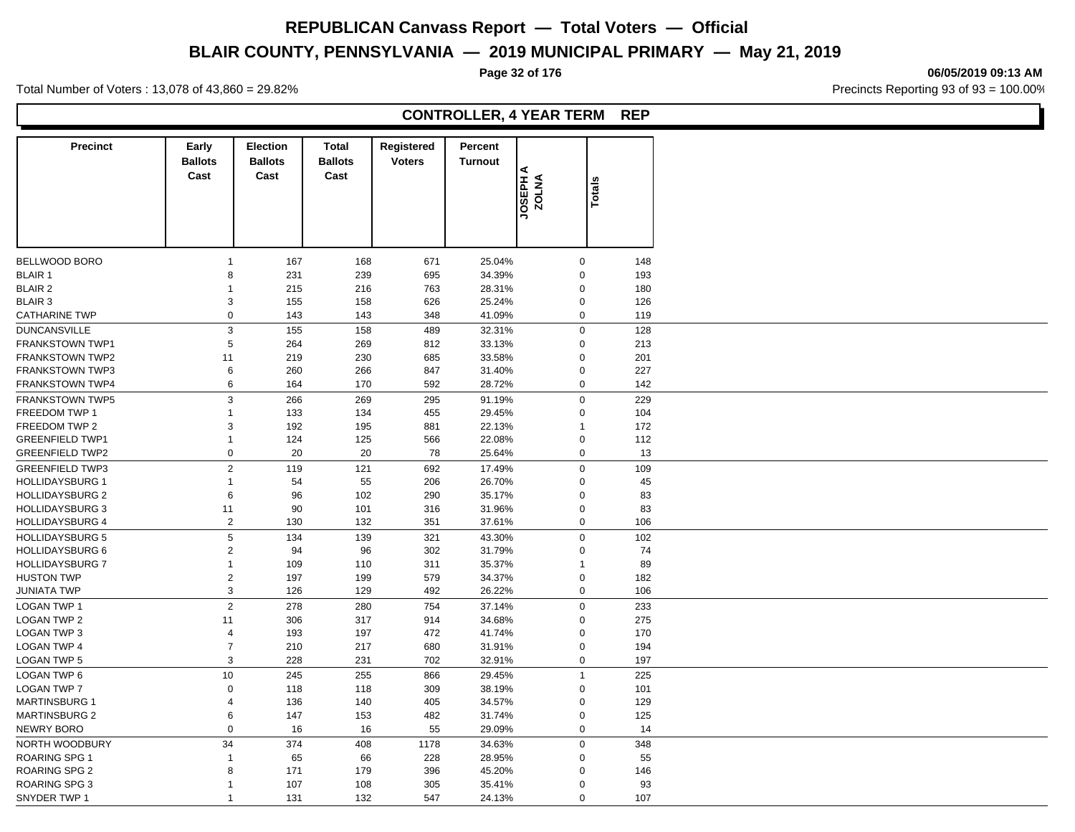# **BLAIR COUNTY, PENNSYLVANIA — 2019 MUNICIPAL PRIMARY — May 21, 2019**

Total Number of Voters : 13,078 of 43,860 = 29.82% Precincts Reporting 93 of 93 = 100.00%

# **CONTROLLER, 4 YEAR TERM REP**

| <b>Precinct</b>        | Early<br><b>Ballots</b><br>Cast | <b>Election</b><br><b>Ballots</b><br>Cast | <b>Total</b><br><b>Ballots</b><br>Cast | Registered<br><b>Voters</b> | Percent<br><b>Turnout</b> |                     |               |
|------------------------|---------------------------------|-------------------------------------------|----------------------------------------|-----------------------------|---------------------------|---------------------|---------------|
|                        |                                 |                                           |                                        |                             |                           | JOSEPH A<br>ZOLNA   | <b>Totals</b> |
| BELLWOOD BORO          | 1                               | 167                                       | 168                                    | 671                         | 25.04%                    | $\mathbf 0$         | 148           |
| <b>BLAIR 1</b>         | 8                               | 231                                       | 239                                    | 695                         | 34.39%                    | $\mathbf 0$         | 193           |
| <b>BLAIR 2</b>         | 1                               | 215                                       | 216                                    | 763                         | 28.31%                    | $\mathbf 0$         | 180           |
| <b>BLAIR 3</b>         | 3                               | 155                                       | 158                                    | 626                         | 25.24%                    | $\mathbf 0$         | 126           |
| <b>CATHARINE TWP</b>   | $\pmb{0}$                       | 143                                       | 143                                    | 348                         | 41.09%                    | $\mathbf 0$         | 119           |
| <b>DUNCANSVILLE</b>    | 3                               | 155                                       | 158                                    | 489                         | 32.31%                    | $\mathsf{O}\xspace$ | 128           |
| <b>FRANKSTOWN TWP1</b> | 5                               | 264                                       | 269                                    | 812                         | 33.13%                    | $\mathbf 0$         | 213           |
| <b>FRANKSTOWN TWP2</b> | 11                              | 219                                       | 230                                    | 685                         | 33.58%                    | $\mathbf 0$         | 201           |
| <b>FRANKSTOWN TWP3</b> | 6                               | 260                                       | 266                                    | 847                         | 31.40%                    | $\pmb{0}$           | 227           |
|                        | 6                               | 164                                       | 170                                    | 592                         | 28.72%                    | $\mathbf 0$         | 142           |
| <b>FRANKSTOWN TWP4</b> |                                 |                                           |                                        |                             |                           |                     |               |
| <b>FRANKSTOWN TWP5</b> | 3                               | 266                                       | 269                                    | 295                         | 91.19%                    | $\mathbf 0$         | 229           |
| FREEDOM TWP 1          | 1                               | 133                                       | 134                                    | 455                         | 29.45%                    | $\mathbf 0$         | 104           |
| FREEDOM TWP 2          | 3                               | 192                                       | 195                                    | 881                         | 22.13%                    | $\mathbf{1}$        | 172           |
| <b>GREENFIELD TWP1</b> | 1                               | 124                                       | 125                                    | 566                         | 22.08%                    | $\mathbf 0$         | 112           |
| <b>GREENFIELD TWP2</b> | 0                               | 20                                        | 20                                     | 78                          | 25.64%                    | $\mathbf 0$         | 13            |
| <b>GREENFIELD TWP3</b> | $\overline{2}$                  | 119                                       | 121                                    | 692                         | 17.49%                    | $\mathbf 0$         | 109           |
| <b>HOLLIDAYSBURG 1</b> | $\mathbf{1}$                    | 54                                        | 55                                     | 206                         | 26.70%                    | $\mathbf 0$         | 45            |
| <b>HOLLIDAYSBURG 2</b> | 6                               | 96                                        | 102                                    | 290                         | 35.17%                    | $\mathbf 0$         | 83            |
| <b>HOLLIDAYSBURG 3</b> | 11                              | 90                                        | 101                                    | 316                         | 31.96%                    | $\mathbf 0$         | 83            |
| <b>HOLLIDAYSBURG 4</b> | $\overline{c}$                  | 130                                       | 132                                    | 351                         | 37.61%                    | $\mathbf 0$         | 106           |
|                        |                                 |                                           |                                        |                             |                           |                     |               |
| <b>HOLLIDAYSBURG 5</b> | 5                               | 134                                       | 139                                    | 321                         | 43.30%                    | $\mathbf 0$         | 102           |
| <b>HOLLIDAYSBURG 6</b> | $\overline{c}$                  | 94                                        | 96                                     | 302                         | 31.79%                    | $\pmb{0}$           | 74            |
| <b>HOLLIDAYSBURG 7</b> | $\mathbf 1$                     | 109                                       | 110                                    | 311                         | 35.37%                    | $\mathbf{1}$        | 89            |
| <b>HUSTON TWP</b>      | $\overline{2}$                  | 197                                       | 199                                    | 579                         | 34.37%                    | $\mathbf 0$         | 182           |
| <b>JUNIATA TWP</b>     | 3                               | 126                                       | 129                                    | 492                         | 26.22%                    |                     | 0<br>106      |
| <b>LOGAN TWP 1</b>     | $\overline{2}$                  | 278                                       | 280                                    | 754                         | 37.14%                    | $\mathbf 0$         | 233           |
| <b>LOGAN TWP 2</b>     | 11                              | 306                                       | 317                                    | 914                         | 34.68%                    | $\mathbf 0$         | 275           |
| <b>LOGAN TWP 3</b>     | 4                               | 193                                       | 197                                    | 472                         | 41.74%                    | $\mathbf 0$         | 170           |
| <b>LOGAN TWP 4</b>     | $\overline{7}$                  | 210                                       | 217                                    | 680                         | 31.91%                    | $\pmb{0}$           | 194           |
| <b>LOGAN TWP 5</b>     | 3                               | 228                                       | 231                                    | 702                         | 32.91%                    | $\mathbf 0$         | 197           |
| LOGAN TWP 6            | 10                              | 245                                       | 255                                    | 866                         | 29.45%                    | $\mathbf{1}$        | 225           |
| <b>LOGAN TWP 7</b>     | 0                               | 118                                       | 118                                    | 309                         | 38.19%                    | $\pmb{0}$           | 101           |
| <b>MARTINSBURG 1</b>   | $\overline{4}$                  | 136                                       | 140                                    | 405                         | 34.57%                    | $\mathbf 0$         | 129           |
| <b>MARTINSBURG 2</b>   | 6                               | 147                                       | 153                                    | 482                         | 31.74%                    | $\mathbf 0$         | 125           |
| <b>NEWRY BORO</b>      | $\mathbf 0$                     | 16                                        | 16                                     | 55                          | 29.09%                    | $\mathbf 0$         | 14            |
| NORTH WOODBURY         | 34                              | 374                                       | 408                                    | 1178                        | 34.63%                    | $\mathbf 0$         | 348           |
|                        |                                 |                                           |                                        |                             |                           |                     |               |
| <b>ROARING SPG 1</b>   | $\mathbf 1$                     | 65                                        | 66                                     | 228                         | 28.95%                    | $\mathbf 0$         | 55            |
| <b>ROARING SPG 2</b>   | 8                               | 171                                       | 179                                    | 396                         | 45.20%                    | $\Omega$            | 146           |
| <b>ROARING SPG 3</b>   | $\mathbf{1}$                    | 107                                       | 108                                    | 305                         | 35.41%                    | $\mathbf 0$         | 93            |
| SNYDER TWP 1           | $\mathbf 1$                     | 131                                       | 132                                    | 547                         | 24.13%                    | $\Omega$            | 107           |

#### **Page 32 of 176 06/05/2019 09:13 AM**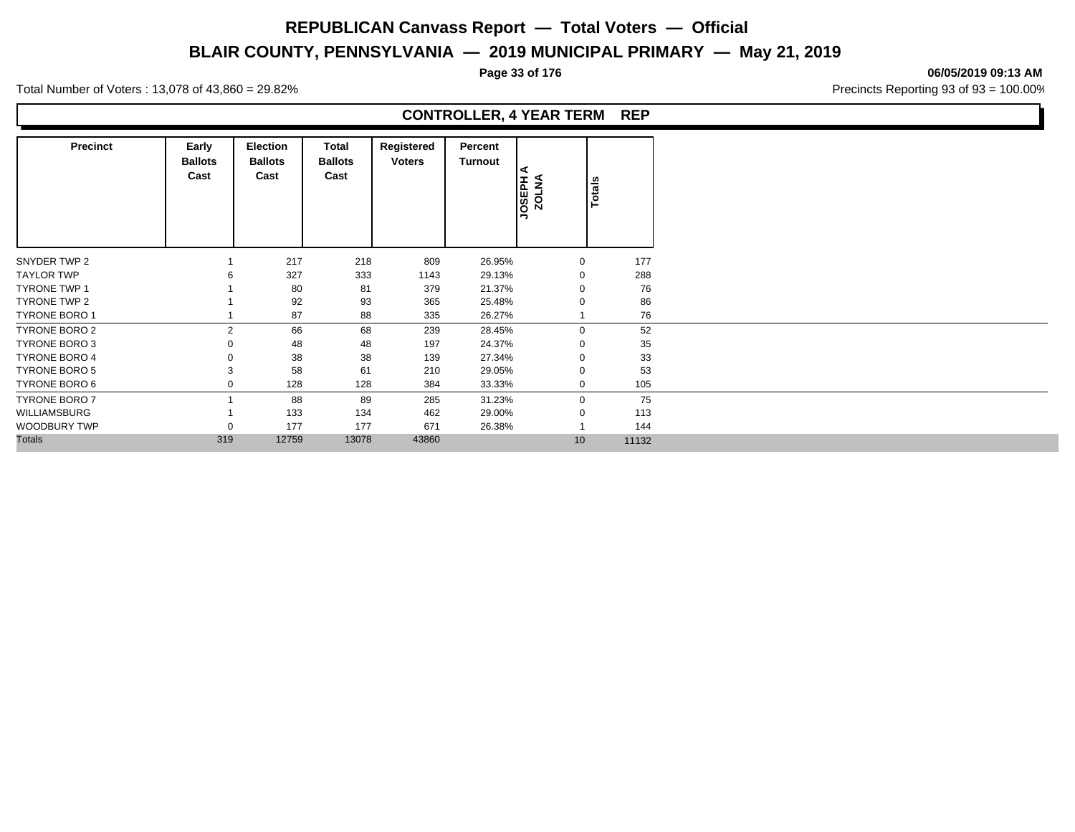# **BLAIR COUNTY, PENNSYLVANIA — 2019 MUNICIPAL PRIMARY — May 21, 2019**

#### **Page 33 of 176 06/05/2019 09:13 AM**

Total Number of Voters : 13,078 of 43,860 = 29.82% Precincts Reporting 93 of 93 = 100.00%

| <b>Precinct</b>      | Early<br><b>Ballots</b><br>Cast | <b>Election</b><br><b>Ballots</b><br>Cast | Total<br><b>Ballots</b><br>Cast | Registered<br><b>Voters</b> | Percent<br><b>Turnout</b> | ⋖<br><b>HUSSOL</b><br>NOTAV | Totals |
|----------------------|---------------------------------|-------------------------------------------|---------------------------------|-----------------------------|---------------------------|-----------------------------|--------|
| SNYDER TWP 2         |                                 | 217                                       | 218                             | 809                         | 26.95%                    | $\mathbf{0}$                | 177    |
| <b>TAYLOR TWP</b>    |                                 | 327                                       | 333                             | 1143                        | 29.13%                    | 0                           | 288    |
| <b>TYRONE TWP 1</b>  |                                 | 80                                        | 81                              | 379                         | 21.37%                    |                             | 76     |
| TYRONE TWP 2         |                                 | 92                                        | 93                              | 365                         | 25.48%                    | O                           | 86     |
| TYRONE BORO 1        |                                 | 87                                        | 88                              | 335                         | 26.27%                    |                             | 76     |
| TYRONE BORO 2        | $\overline{2}$                  | 66                                        | 68                              | 239                         | 28.45%                    | 0                           | 52     |
| TYRONE BORO 3        |                                 | 48                                        | 48                              | 197                         | 24.37%                    | 0                           | 35     |
| <b>TYRONE BORO 4</b> |                                 | 38                                        | 38                              | 139                         | 27.34%                    | $\Omega$                    | 33     |
| <b>TYRONE BORO 5</b> |                                 | 58                                        | 61                              | 210                         | 29.05%                    | $\Omega$                    | 53     |
| TYRONE BORO 6        |                                 | 128                                       | 128                             | 384                         | 33.33%                    | 0                           | 105    |
| <b>TYRONE BORO 7</b> |                                 | 88                                        | 89                              | 285                         | 31.23%                    | $\mathbf 0$                 | 75     |
| WILLIAMSBURG         |                                 | 133                                       | 134                             | 462                         | 29.00%                    | $\mathbf 0$                 | 113    |
| WOODBURY TWP         |                                 | 177                                       | 177                             | 671                         | 26.38%                    |                             | 144    |
| <b>Totals</b>        | 319                             | 12759                                     | 13078                           | 43860                       |                           | 10                          | 11132  |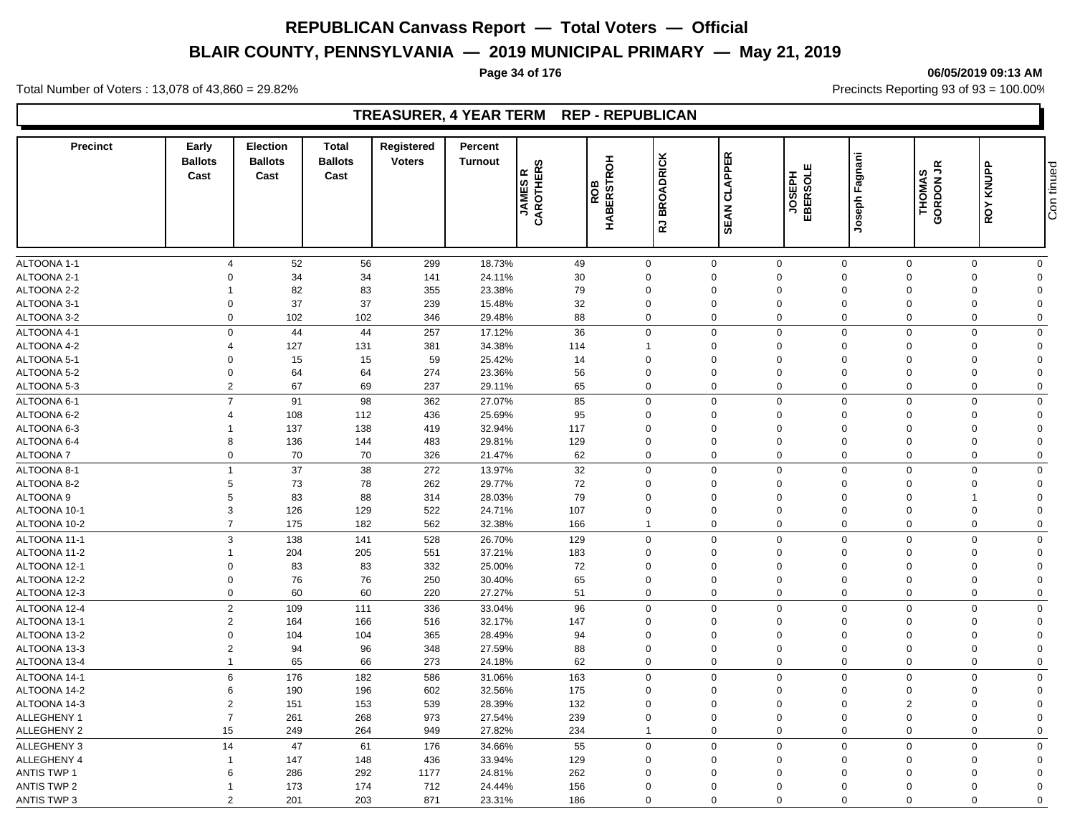# **BLAIR COUNTY, PENNSYLVANIA — 2019 MUNICIPAL PRIMARY — May 21, 2019**

#### **Page 34 of 176 06/05/2019 09:13 AM**

Total Number of Voters : 13,078 of 43,860 = 29.82% Precincts Reporting 93 of 93 = 100.00%

# **TREASURER, 4 YEAR TERM REP - REPUBLICAN**

| <b>Precinct</b>    | Early<br><b>Ballots</b><br>Cast | <b>Election</b><br><b>Ballots</b><br>Cast | <b>Total</b><br><b>Ballots</b><br>Cast | Registered<br><b>Voters</b> | Percent<br><b>Turnout</b> | ဖာ<br><b>JAMES R<br/>CAROTHERS</b> | 공<br><b>BERSTRO</b><br>පී<br>œ | <b>BROADRICK</b>        | <b>CLAPPER</b><br><b>SEAN</b> | <b>SOSSIBE</b><br>EBERSOLE | Joseph Fagnani | u<br>w<br><b>THOMAS</b><br>GORDON | KNUPP<br>ROY   | Con tinued  |
|--------------------|---------------------------------|-------------------------------------------|----------------------------------------|-----------------------------|---------------------------|------------------------------------|--------------------------------|-------------------------|-------------------------------|----------------------------|----------------|-----------------------------------|----------------|-------------|
|                    |                                 |                                           |                                        |                             |                           |                                    | 혼                              | $\overline{\mathbf{r}}$ |                               |                            |                |                                   |                |             |
| ALTOONA 1-1        | $\overline{4}$                  | 52                                        | 56                                     | 299                         | 18.73%                    | 49                                 |                                | $\mathbf 0$             | $\mathbf 0$                   | $\mathbf 0$                | $\mathbf 0$    | $\mathbf 0$                       | 0              | $\mathbf 0$ |
| ALTOONA 2-1        | $\Omega$                        | 34                                        | 34                                     | 141                         | 24.11%                    | 30                                 |                                | $\Omega$                | 0                             | $\mathbf 0$                | $\Omega$       | $\mathbf 0$                       | 0              | $\Omega$    |
| ALTOONA 2-2        | $\mathbf 1$                     | 82                                        | 83                                     | 355                         | 23.38%                    | 79                                 |                                | 0                       | $\mathbf 0$                   | $\mathbf 0$                | $\Omega$       | $\mathbf 0$                       | 0              | $\Omega$    |
| ALTOONA 3-1        | $\Omega$                        | 37                                        | 37                                     | 239                         | 15.48%                    | 32                                 |                                | $\mathbf 0$             | 0                             | $\mathbf 0$                | $\Omega$       | $\mathbf 0$                       | 0              | $\Omega$    |
| ALTOONA 3-2        | $\Omega$                        | 102                                       | 102                                    | 346                         | 29.48%                    | 88                                 |                                | $\overline{0}$          | 0                             | $\mathbf 0$                | $\Omega$       | $\mathbf 0$                       | $\mathbf 0$    | $\mathbf 0$ |
| ALTOONA 4-1        | $\mathbf 0$                     | 44                                        | 44                                     | 257                         | 17.12%                    | 36                                 |                                | $\Omega$                | $\mathbf 0$                   | $\mathbf 0$                | $\Omega$       | $\Omega$                          | $\mathbf 0$    | $\mathbf 0$ |
| ALTOONA 4-2        | $\overline{4}$                  | 127                                       | 131                                    | 381                         | 34.38%                    | 114                                |                                | 1                       | $\mathbf 0$                   | $\Omega$                   | $\mathbf 0$    | $\Omega$                          | $\mathbf 0$    | $\Omega$    |
| ALTOONA 5-1        | $\Omega$                        | 15                                        | 15                                     | 59                          | 25.42%                    | 14                                 |                                | $\Omega$                | $\Omega$                      | $\Omega$                   | $\Omega$       | $\Omega$                          | $\mathbf 0$    | $\Omega$    |
| ALTOONA 5-2        | $\mathbf 0$                     | 64                                        | 64                                     | 274                         | 23.36%                    | 56                                 |                                | $\mathbf 0$             | $\mathbf 0$                   | $\Omega$                   | $\mathbf 0$    | $\Omega$                          | $\mathbf 0$    | $\Omega$    |
| ALTOONA 5-3        | $\overline{2}$                  | 67                                        | 69                                     | 237                         | 29.11%                    | 65                                 |                                | $\Omega$                | $\mathbf 0$                   | $\mathbf 0$                | $\Omega$       | $\Omega$                          | $\mathbf 0$    | $\mathbf 0$ |
| ALTOONA 6-1        | $\overline{7}$                  | 91                                        | 98                                     | 362                         | 27.07%                    | 85                                 |                                | $\Omega$                | $\mathbf 0$                   | $\mathsf 0$                | $\Omega$       | $\Omega$                          | $\mathbf 0$    | $\Omega$    |
| ALTOONA 6-2        | $\overline{4}$                  | 108                                       | 112                                    | 436                         | 25.69%                    | 95                                 |                                | $\Omega$                | 0                             | $\Omega$                   | $\Omega$       | $\Omega$                          | 0              | $\Omega$    |
| ALTOONA 6-3        | 1                               | 137                                       | 138                                    | 419                         | 32.94%                    | 117                                |                                | $\Omega$                | $\mathbf 0$                   | $\Omega$                   | $\Omega$       | $\Omega$                          | 0              | $\Omega$    |
| ALTOONA 6-4        | 8                               | 136                                       | 144                                    | 483                         | 29.81%                    | 129                                |                                | $\Omega$                | $\Omega$                      | $\Omega$                   | $\Omega$       | $\Omega$                          | $\mathbf 0$    | $\Omega$    |
| <b>ALTOONA7</b>    | 0                               | 70                                        | 70                                     | 326                         | 21.47%                    | 62                                 |                                | $\Omega$                | $\mathbf 0$                   | $\mathsf 0$                | $\mathbf 0$    | $\mathbf 0$                       | $\mathbf 0$    | $\Omega$    |
| ALTOONA 8-1        | $\mathbf{1}$                    | 37                                        | 38                                     | 272                         | 13.97%                    | 32                                 |                                | $\Omega$                | $\mathbf 0$                   | $\mathbf 0$                | $\mathbf 0$    | $\Omega$                          | $\mathbf 0$    | $\Omega$    |
| ALTOONA 8-2        | 5                               | 73                                        | 78                                     | 262                         | 29.77%                    | 72                                 |                                | $\overline{0}$          | 0                             | $\mathbf 0$                | $\mathbf 0$    | $\mathbf 0$                       | $\mathbf 0$    | $\Omega$    |
| <b>ALTOONA 9</b>   | 5                               | 83                                        | 88                                     | 314                         | 28.03%                    | 79                                 |                                | $\mathbf 0$             | $\Omega$                      | $\Omega$                   | $\Omega$       | $\Omega$                          | $\overline{1}$ | $\Omega$    |
| ALTOONA 10-1       | 3                               | 126                                       | 129                                    | 522                         | 24.71%                    | 107                                |                                | $\mathbf 0$             | 0                             | $\mathbf 0$                | $\Omega$       | $\mathbf 0$                       | $\mathbf 0$    | $\Omega$    |
|                    |                                 |                                           |                                        |                             |                           |                                    |                                | $\overline{1}$          |                               |                            |                |                                   |                | $\Omega$    |
| ALTOONA 10-2       | $\overline{7}$                  | 175                                       | 182                                    | 562                         | 32.38%                    | 166                                |                                |                         | $\mathbf 0$                   | $\mathbf 0$                | $\mathbf 0$    | $\mathbf 0$                       | $\mathbf 0$    |             |
| ALTOONA 11-1       | 3                               | 138                                       | 141                                    | 528                         | 26.70%                    | 129                                |                                | $\overline{0}$          | $\mathbf 0$                   | $\mathsf 0$                | $\Omega$       | $\overline{0}$                    | $\mathbf 0$    | $\mathbf 0$ |
| ALTOONA 11-2       | $\mathbf 1$                     | 204                                       | 205                                    | 551                         | 37.21%                    | 183                                |                                | 0                       | $\Omega$                      | $\Omega$                   | $\Omega$       | $\Omega$                          | 0              | $\Omega$    |
| ALTOONA 12-1       | $\Omega$                        | 83                                        | 83                                     | 332                         | 25.00%                    | 72                                 |                                | $\overline{0}$          | $\mathbf 0$                   | $\mathbf 0$                | $\Omega$       | $\mathbf 0$                       | 0              | $\mathbf 0$ |
| ALTOONA 12-2       | $\Omega$                        | 76                                        | 76                                     | 250                         | 30.40%                    | 65                                 |                                | $\mathbf 0$             | $\Omega$                      | $\Omega$                   | $\Omega$       | $\Omega$                          | $\mathbf 0$    | $\Omega$    |
| ALTOONA 12-3       | $\Omega$                        | 60                                        | 60                                     | 220                         | 27.27%                    | 51                                 |                                | $\Omega$                | $\mathbf 0$                   | $\mathbf 0$                | $\Omega$       | $\Omega$                          | $\mathbf 0$    | $\Omega$    |
| ALTOONA 12-4       | $\overline{2}$                  | 109                                       | 111                                    | 336                         | 33.04%                    | 96                                 |                                | $\Omega$                | $\mathbf 0$                   | $\mathbf 0$                | $\Omega$       | $\Omega$                          | $\mathbf 0$    | $\mathbf 0$ |
| ALTOONA 13-1       | $\overline{2}$                  | 164                                       | 166                                    | 516                         | 32.17%                    | 147                                |                                | $\overline{0}$          | $\mathbf 0$                   | $\mathbf 0$                | $\mathbf 0$    | $\mathbf 0$                       | $\mathbf 0$    | $\Omega$    |
| ALTOONA 13-2       | $\Omega$                        | 104                                       | 104                                    | 365                         | 28.49%                    | 94                                 |                                | $\Omega$                | $\Omega$                      | $\Omega$                   | $\Omega$       | $\Omega$                          | 0              | $\Omega$    |
| ALTOONA 13-3       | $\overline{2}$                  | 94                                        | 96                                     | 348                         | 27.59%                    | 88                                 |                                | $\mathbf 0$             | 0                             | $\mathbf 0$                | $\mathbf 0$    | $\mathbf 0$                       | $\mathbf 0$    | $\mathbf 0$ |
| ALTOONA 13-4       | $\mathbf{1}$                    | 65                                        | 66                                     | 273                         | 24.18%                    | 62                                 |                                | $\Omega$                | 0                             | $\mathbf 0$                | $\Omega$       | $\Omega$                          | 0              | $\mathbf 0$ |
| ALTOONA 14-1       | 6                               | 176                                       | 182                                    | 586                         | 31.06%                    | 163                                |                                | $\Omega$                | $\mathbf 0$                   | $\mathbf 0$                | $\Omega$       | $\mathbf 0$                       | $\mathbf 0$    | $\mathbf 0$ |
| ALTOONA 14-2       | 6                               | 190                                       | 196                                    | 602                         | 32.56%                    | 175                                |                                | $\Omega$                | $\Omega$                      | $\Omega$                   | $\Omega$       | $\Omega$                          | $\mathbf 0$    | $\Omega$    |
| ALTOONA 14-3       | $\overline{2}$                  | 151                                       | 153                                    | 539                         | 28.39%                    | 132                                |                                | $\Omega$                | $\mathbf 0$                   | $\Omega$                   | $\Omega$       | $\overline{2}$                    | $\mathbf 0$    | $\Omega$    |
| ALLEGHENY 1        | $\overline{7}$                  | 261                                       | 268                                    | 973                         | 27.54%                    | 239                                |                                | $\Omega$                | $\Omega$                      | $\Omega$                   | $\Omega$       | $\Omega$                          | $\mathbf 0$    | $\Omega$    |
| <b>ALLEGHENY 2</b> | 15                              | 249                                       | 264                                    | 949                         | 27.82%                    | 234                                |                                |                         | $\mathbf 0$                   | $\mathbf 0$                | $\Omega$       | $\Omega$                          | $\mathbf 0$    | $\Omega$    |
| ALLEGHENY 3        | 14                              | 47                                        | 61                                     | 176                         | 34.66%                    | 55                                 |                                | $\Omega$                | 0                             | $\mathbf 0$                | $\mathbf 0$    | $\Omega$                          | 0              | $\mathbf 0$ |
| ALLEGHENY 4        | $\mathbf{1}$                    | 147                                       | 148                                    | 436                         | 33.94%                    | 129                                |                                | $\mathbf 0$             | $\mathbf 0$                   | $\mathbf 0$                | $\Omega$       | $\Omega$                          | 0              | $\Omega$    |
| <b>ANTIS TWP 1</b> | 6                               | 286                                       | 292                                    | 1177                        | 24.81%                    | 262                                |                                | $\Omega$                | $\Omega$                      | $\Omega$                   | $\Omega$       | $\Omega$                          | $\mathbf 0$    | $\Omega$    |
| <b>ANTIS TWP 2</b> | -1                              | 173                                       | 174                                    | 712                         | 24.44%                    | 156                                |                                | 0                       | 0                             | $\Omega$                   | $\Omega$       | $\Omega$                          | $\mathbf 0$    | $\Omega$    |
| <b>ANTIS TWP 3</b> | $\overline{2}$                  | 201                                       | 203                                    | 871                         | 23.31%                    | 186                                |                                | $\Omega$                | $\mathbf 0$                   | $\Omega$                   | $\Omega$       | $\Omega$                          | $\mathbf 0$    | $\mathbf 0$ |

# Con tinued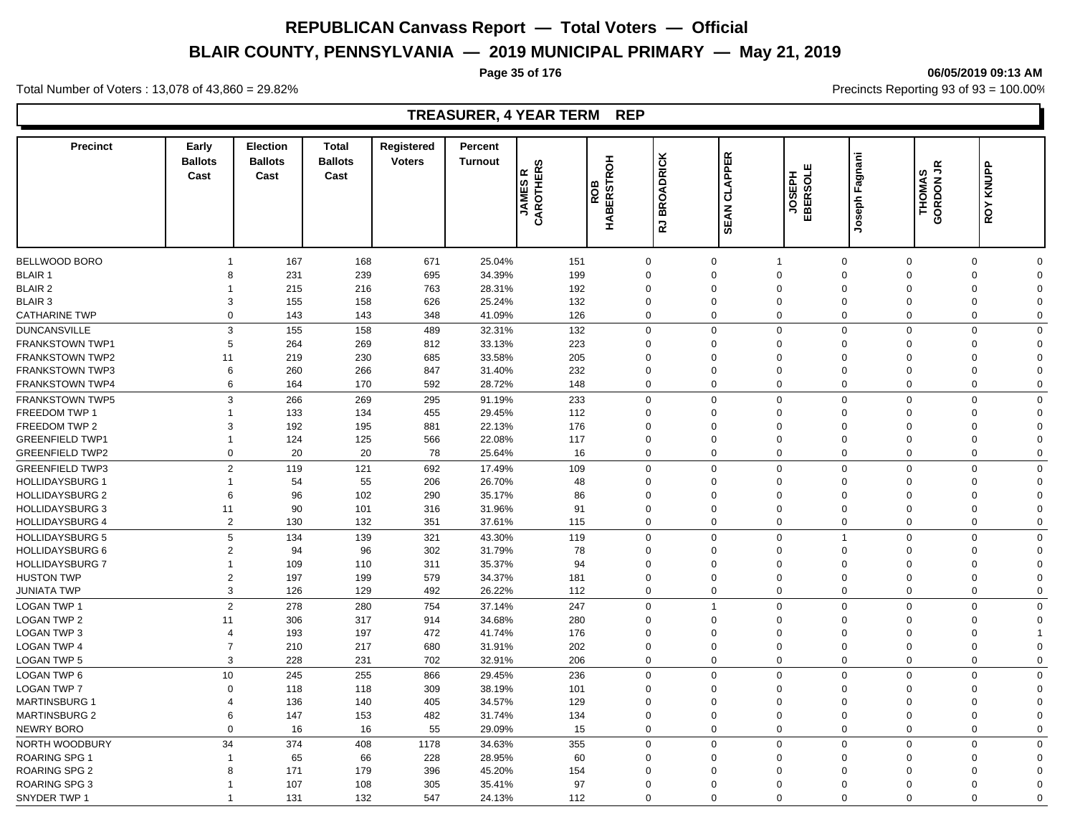# **BLAIR COUNTY, PENNSYLVANIA — 2019 MUNICIPAL PRIMARY — May 21, 2019**

#### **Page 35 of 176 06/05/2019 09:13 AM**

Total Number of Voters : 13,078 of 43,860 = 29.82% Precincts Reporting 93 of 93 = 100.00%

# **TREASURER, 4 YEAR TERM REP**

| <b>Precinct</b>        | Early<br><b>Ballots</b><br>Cast | Election<br><b>Ballots</b><br>Cast | <b>Total</b><br><b>Ballots</b><br>Cast | Registered<br><b>Voters</b> | Percent<br><b>Turnout</b> | ဖ<br>CAROTHER<br>$\boldsymbol{\alpha}$<br><b>JAMES</b> | 공<br><b>ERSTRO</b><br>ROB<br>ЩÄ | <b>BROADRICK</b><br>15 | <b>CLAPPER</b><br><b>SEAN</b> | ш<br><b>TOSEPH</b><br>HaBSOL | Joseph Fagnani                   | THOMAS<br><b>GRDON</b> JR<br>Ō | KNUPP<br>ROY               |  |
|------------------------|---------------------------------|------------------------------------|----------------------------------------|-----------------------------|---------------------------|--------------------------------------------------------|---------------------------------|------------------------|-------------------------------|------------------------------|----------------------------------|--------------------------------|----------------------------|--|
|                        |                                 |                                    |                                        |                             |                           |                                                        |                                 |                        |                               |                              |                                  |                                |                            |  |
| BELLWOOD BORO          | $\mathbf{1}$                    | 167                                | 168                                    | 671                         | 25.04%                    | 151                                                    | $\mathbf 0$                     |                        | $\mathbf 0$                   | $\mathbf{1}$                 | $\mathbf 0$<br>$\mathbf 0$       |                                | $\mathbf 0$<br>$\mathbf 0$ |  |
| <b>BLAIR 1</b>         | 8                               | 231                                | 239                                    | 695                         | 34.39%                    | 199                                                    | $\Omega$                        |                        | $\Omega$                      | $\mathbf 0$                  | $\Omega$<br>$\Omega$             |                                | 0<br>$\Omega$              |  |
| <b>BLAIR 2</b>         | 1                               | 215                                | 216                                    | 763                         | 28.31%                    | 192                                                    | 0                               |                        | $\mathbf 0$                   | $\mathbf 0$                  | $\Omega$<br>$\Omega$             |                                | 0<br>$\Omega$              |  |
| <b>BLAIR 3</b>         | 3                               | 155                                | 158                                    | 626                         | 25.24%                    | 132                                                    | 0                               |                        | 0                             | $\mathbf 0$                  | $\Omega$<br>$\mathbf 0$          |                                | 0<br>$\Omega$              |  |
| <b>CATHARINE TWP</b>   | $\mathbf 0$                     | 143                                | 143                                    | 348                         | 41.09%                    | 126                                                    | $\mathbf 0$                     |                        | $\mathbf 0$                   | $\mathbf 0$                  | $\mathbf 0$<br>$\mathbf 0$       |                                | $\mathbf 0$<br>$\mathbf 0$ |  |
| <b>DUNCANSVILLE</b>    | 3                               | 155                                | 158                                    | 489                         | 32.31%                    | 132                                                    | $\Omega$                        |                        | $\mathbf 0$                   | $\mathsf 0$                  | $\Omega$<br>$\Omega$             |                                | $\mathbf 0$<br>$\Omega$    |  |
| <b>FRANKSTOWN TWP1</b> | 5                               | 264                                | 269                                    | 812                         | 33.13%                    | 223                                                    | $\Omega$                        |                        | $\Omega$                      | $\Omega$                     | $\Omega$<br>$\Omega$             |                                | $\mathbf 0$<br>$\Omega$    |  |
| <b>FRANKSTOWN TWP2</b> | 11                              | 219                                | 230                                    | 685                         | 33.58%                    | 205                                                    | $\Omega$                        |                        | $\Omega$                      | $\Omega$                     | $\Omega$<br>$\Omega$             |                                | 0<br>$\Omega$              |  |
| <b>FRANKSTOWN TWP3</b> | 6                               | 260                                | 266                                    | 847                         | 31.40%                    | 232                                                    | $\Omega$                        |                        | $\Omega$                      | $\Omega$                     | $\Omega$<br>$\Omega$             |                                | $\Omega$<br>$\Omega$       |  |
| <b>FRANKSTOWN TWP4</b> | 6                               | 164                                | 170                                    | 592                         | 28.72%                    | 148                                                    | $\Omega$                        |                        | $\mathbf 0$                   | $\mathbf 0$                  | $\Omega$<br>$\Omega$             |                                | $\mathbf 0$<br>$\Omega$    |  |
| <b>FRANKSTOWN TWP5</b> | 3                               | 266                                | 269                                    | 295                         | 91.19%                    | 233                                                    | $\mathbf 0$                     |                        | $\mathbf 0$                   | $\mathsf 0$                  | $\mathbf 0$<br>$\mathbf 0$       |                                | $\mathbf 0$<br>$\Omega$    |  |
| <b>FREEDOM TWP 1</b>   | $\mathbf{1}$                    | 133                                | 134                                    | 455                         | 29.45%                    | 112                                                    | $\Omega$                        |                        | $\Omega$                      | $\Omega$                     | $\Omega$<br>$\Omega$             |                                | $\mathbf 0$<br>$\Omega$    |  |
| FREEDOM TWP 2          | 3                               | 192                                | 195                                    | 881                         | 22.13%                    | 176                                                    | $\overline{0}$                  |                        | $\mathbf 0$                   | $\mathbf 0$                  | $\Omega$<br>$\mathbf 0$          |                                | $\mathbf 0$<br>$\Omega$    |  |
| <b>GREENFIELD TWP1</b> | $\overline{1}$                  | 124                                | 125                                    | 566                         | 22.08%                    | 117                                                    | $\Omega$                        |                        | $\Omega$                      | $\mathbf 0$                  | $\Omega$<br>$\Omega$             |                                | $\mathbf 0$<br>$\Omega$    |  |
| <b>GREENFIELD TWP2</b> | $\mathbf 0$                     | 20                                 | 20                                     | 78                          | 25.64%                    | 16                                                     | $\Omega$                        |                        | $\mathbf 0$                   | $\mathbf 0$                  | $\mathbf 0$<br>0                 |                                | $\mathbf 0$<br>$\Omega$    |  |
|                        |                                 |                                    |                                        |                             |                           |                                                        |                                 |                        |                               |                              |                                  |                                |                            |  |
| <b>GREENFIELD TWP3</b> | $\overline{2}$                  | 119                                | 121                                    | 692                         | 17.49%                    | 109                                                    | $\Omega$                        |                        | $\mathbf 0$                   | $\mathbf 0$                  | $\mathbf 0$<br>$\mathbf 0$       |                                | $\mathbf 0$<br>$\mathbf 0$ |  |
| <b>HOLLIDAYSBURG 1</b> | $\mathbf{1}$                    | 54                                 | 55                                     | 206                         | 26.70%                    | 48                                                     | $\Omega$                        |                        | 0                             | $\Omega$                     | $\Omega$<br>$\Omega$             |                                | 0<br>$\Omega$              |  |
| <b>HOLLIDAYSBURG 2</b> | 6                               | 96                                 | 102                                    | 290                         | 35.17%                    | 86                                                     | 0                               |                        | $\Omega$                      | $\Omega$<br>$\Omega$         | $\Omega$<br>$\Omega$<br>$\Omega$ |                                | 0<br>$\Omega$              |  |
| <b>HOLLIDAYSBURG 3</b> | 11                              | 90                                 | 101                                    | 316                         | 31.96%                    | 91                                                     | $\Omega$                        |                        | $\Omega$                      |                              | $\Omega$                         |                                | 0<br>$\Omega$              |  |
| <b>HOLLIDAYSBURG 4</b> | $\overline{2}$                  | 130                                | 132                                    | 351                         | 37.61%                    | 115                                                    | $\mathbf 0$                     |                        | $\mathbf 0$                   | $\mathbf 0$                  | $\mathbf 0$<br>$\mathbf 0$       |                                | $\mathbf 0$<br>$\mathbf 0$ |  |
| <b>HOLLIDAYSBURG 5</b> | 5                               | 134                                | 139                                    | 321                         | 43.30%                    | 119                                                    | $\Omega$                        |                        | $\mathbf 0$                   | $\mathbf 0$                  | $\Omega$                         |                                | $\mathbf 0$<br>$\Omega$    |  |
| <b>HOLLIDAYSBURG 6</b> | $\overline{2}$                  | 94                                 | 96                                     | 302                         | 31.79%                    | 78                                                     | $\Omega$                        |                        | $\Omega$                      | $\Omega$                     | $\Omega$<br>$\Omega$             |                                | $\mathbf 0$<br>$\Omega$    |  |
| <b>HOLLIDAYSBURG 7</b> | $\mathbf{1}$                    | 109                                | 110                                    | 311                         | 35.37%                    | 94                                                     | $\Omega$                        |                        | $\Omega$                      | $\Omega$                     | $\Omega$<br>$\Omega$             |                                | $\mathbf 0$<br>$\Omega$    |  |
| <b>HUSTON TWP</b>      | $\overline{2}$                  | 197                                | 199                                    | 579                         | 34.37%                    | 181                                                    | $\Omega$                        |                        | $\Omega$                      | $\Omega$                     | $\Omega$<br>$\Omega$             |                                | $\mathbf 0$<br>$\Omega$    |  |
| <b>JUNIATA TWP</b>     | 3                               | 126                                | 129                                    | 492                         | 26.22%                    | 112                                                    | $\Omega$                        |                        | $\mathbf 0$                   | $\mathbf 0$                  | $\Omega$<br>$\Omega$             |                                | $\mathbf 0$<br>$\Omega$    |  |
| <b>LOGAN TWP 1</b>     | $\overline{2}$                  | 278                                | 280                                    | 754                         | 37.14%                    | 247                                                    | $\Omega$                        |                        | $\overline{1}$                | $\mathbf 0$                  | $\Omega$<br>$\Omega$             |                                | $\mathbf 0$<br>$\Omega$    |  |
| <b>LOGAN TWP 2</b>     | 11                              | 306                                | 317                                    | 914                         | 34.68%                    | 280                                                    | $\Omega$                        |                        | $\Omega$                      | $\Omega$                     | $\Omega$<br>$\Omega$             |                                | $\mathbf 0$<br>$\Omega$    |  |
| <b>LOGAN TWP 3</b>     | $\overline{4}$                  | 193                                | 197                                    | 472                         | 41.74%                    | 176                                                    | $\Omega$                        |                        | 0                             | $\Omega$                     | $\Omega$<br>$\Omega$             |                                | $\mathbf 0$                |  |
| <b>LOGAN TWP 4</b>     | $\overline{7}$                  | 210                                | 217                                    | 680                         | 31.91%                    | 202                                                    | $\Omega$                        |                        | $\mathbf 0$                   | $\mathbf 0$                  | $\Omega$<br>$\Omega$             |                                | $\mathbf 0$<br>$\Omega$    |  |
| <b>LOGAN TWP 5</b>     | 3                               | 228                                | 231                                    | 702                         | 32.91%                    | 206                                                    | $\Omega$                        |                        | $\mathbf 0$                   | $\mathbf 0$                  | $\Omega$<br>$\mathbf 0$          |                                | $\mathbf 0$<br>$\Omega$    |  |
| LOGAN TWP 6            | 10                              | 245                                | 255                                    | 866                         | 29.45%                    | 236                                                    | $\Omega$                        |                        | $\mathbf 0$                   | $\Omega$                     | $\Omega$<br>$\Omega$             |                                | $\mathbf 0$<br>$\Omega$    |  |
| <b>LOGAN TWP 7</b>     | $\Omega$                        | 118                                | 118                                    | 309                         | 38.19%                    | 101                                                    | $\Omega$                        |                        | $\Omega$                      | $\Omega$                     | $\Omega$<br>$\Omega$             |                                | $\mathbf 0$<br>$\Omega$    |  |
| <b>MARTINSBURG 1</b>   | $\overline{4}$                  | 136                                | 140                                    | 405                         | 34.57%                    | 129                                                    | $\Omega$                        |                        | $\Omega$                      | $\Omega$                     | $\Omega$<br>$\Omega$             |                                | $\mathbf 0$<br>$\Omega$    |  |
| <b>MARTINSBURG 2</b>   | 6                               | 147                                | 153                                    | 482                         | 31.74%                    | 134                                                    | $\Omega$                        |                        | 0                             | $\mathbf 0$                  | $\Omega$<br>$\Omega$             |                                | $\mathbf 0$<br>$\Omega$    |  |
| <b>NEWRY BORO</b>      | $\Omega$                        | 16                                 | 16                                     | 55                          | 29.09%                    | 15                                                     | $\Omega$                        |                        | $\mathbf 0$                   | $\mathbf 0$                  | $\mathbf 0$<br>$\Omega$          |                                | $\mathbf 0$<br>$\Omega$    |  |
| NORTH WOODBURY         | 34                              | 374                                | 408                                    | 1178                        | 34.63%                    | 355                                                    | $\Omega$                        |                        | $\mathbf 0$                   | $\mathbf 0$                  | $\Omega$<br>$\Omega$             |                                | $\mathbf 0$<br>$\mathbf 0$ |  |
| ROARING SPG 1          | $\overline{1}$                  | 65                                 | 66                                     | 228                         | 28.95%                    | 60                                                     | $\Omega$                        |                        | $\Omega$                      | $\Omega$                     | $\Omega$<br>$\Omega$             |                                | 0<br>$\Omega$              |  |
| <b>ROARING SPG 2</b>   | 8                               | 171                                | 179                                    | 396                         | 45.20%                    | 154                                                    | $\Omega$                        |                        | $\Omega$                      | $\Omega$                     | $\Omega$<br>$\Omega$             |                                | 0<br>$\Omega$              |  |
| ROARING SPG 3          | -1                              | 107                                | 108                                    | 305                         | 35.41%                    | 97                                                     | 0                               |                        | $\mathbf 0$                   | $\Omega$                     | $\mathbf 0$<br>$\mathbf 0$       |                                | 0<br>$\Omega$              |  |
| SNYDER TWP 1           | $\mathbf 1$                     | 131                                | 132                                    | 547                         | 24.13%                    | 112                                                    | $\Omega$                        |                        | $\Omega$                      | $\Omega$                     | $\Omega$<br>$\Omega$             |                                | $\Omega$<br>$\Omega$       |  |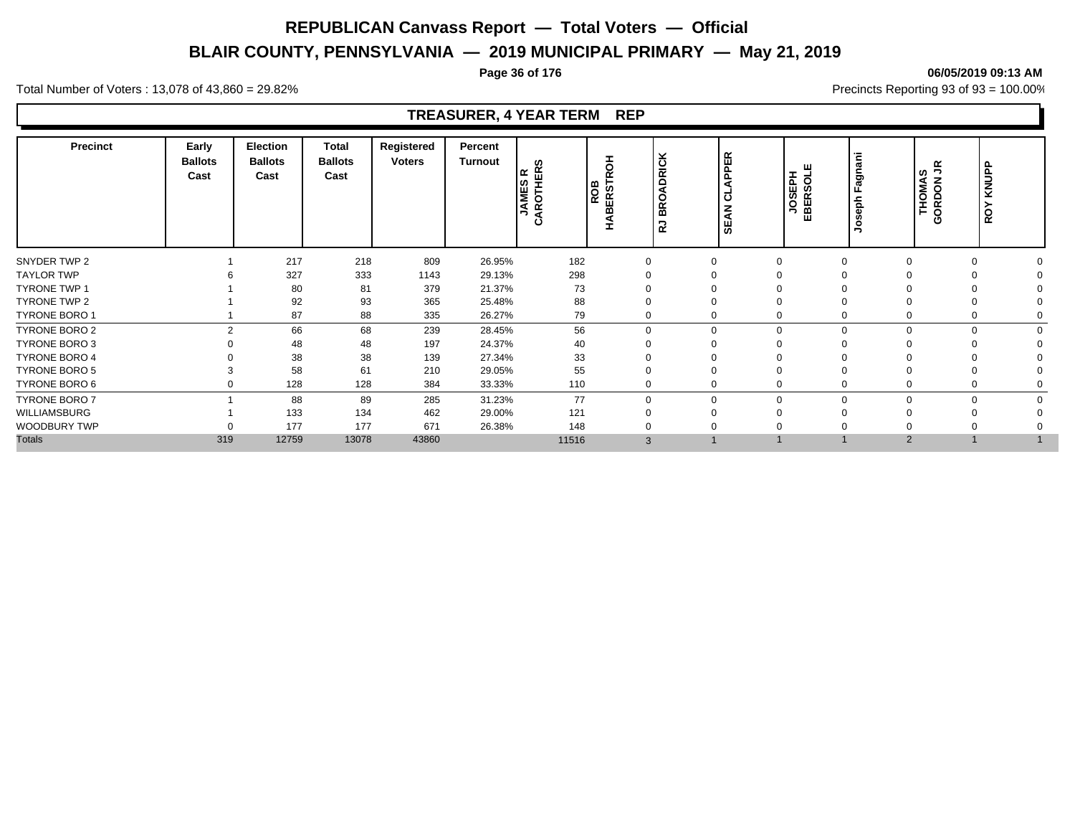# **BLAIR COUNTY, PENNSYLVANIA — 2019 MUNICIPAL PRIMARY — May 21, 2019**

#### **Page 36 of 176 06/05/2019 09:13 AM**

Total Number of Voters : 13,078 of 43,860 = 29.82% Precincts Reporting 93 of 93 = 100.00%

# **TREASURER, 4 YEAR TERM REP**

| Precinct             | Early<br><b>Ballots</b><br>Cast | Election<br><b>Ballots</b><br>Cast | <b>Total</b><br><b>Ballots</b><br>Cast | Registered<br><b>Voters</b> | Percent<br>Turnout | ທ<br><b>AROTHER</b><br>$\simeq$<br>JAMES<br>ن | I<br>O<br>ERST<br>ROB<br>m | <b>DRICK</b><br>$\circ$<br>$\alpha$<br>≃<br>∍<br>œ | PPER<br>◀<br>$\overline{\phantom{0}}$<br>$\overline{\mathbf{o}}$<br>z<br>⋖<br>မ္တ | JOSEPH<br>EBERSOLE | Fagnani<br>eph<br>$\circ$ | š<br>ဖာ<br>THOMAS<br>ORDON<br>Φ | KNUPP<br>ROY |  |
|----------------------|---------------------------------|------------------------------------|----------------------------------------|-----------------------------|--------------------|-----------------------------------------------|----------------------------|----------------------------------------------------|-----------------------------------------------------------------------------------|--------------------|---------------------------|---------------------------------|--------------|--|
| SNYDER TWP 2         |                                 | 217                                | 218                                    | 809                         | 26.95%             | 182                                           |                            | $\Omega$                                           |                                                                                   |                    |                           |                                 | $\Omega$     |  |
| <b>TAYLOR TWP</b>    |                                 | 327                                | 333                                    | 1143                        | 29.13%             | 298                                           |                            |                                                    |                                                                                   |                    |                           |                                 |              |  |
| TYRONE TWP 1         |                                 | 80                                 | 81                                     | 379                         | 21.37%             | 73                                            |                            |                                                    |                                                                                   |                    |                           |                                 |              |  |
| TYRONE TWP 2         |                                 | 92                                 | 93                                     | 365                         | 25.48%             | 88                                            |                            |                                                    |                                                                                   |                    |                           |                                 |              |  |
| <b>TYRONE BORO 1</b> |                                 | 87                                 | 88                                     | 335                         | 26.27%             | 79                                            |                            | $\Omega$                                           |                                                                                   |                    |                           |                                 | $\Omega$     |  |
| TYRONE BORO 2        | $\overline{2}$                  | 66                                 | 68                                     | 239                         | 28.45%             | 56                                            |                            | $\Omega$                                           | $\Omega$                                                                          |                    |                           | 0                               | $\Omega$     |  |
| TYRONE BORO 3        |                                 | 48                                 | 48                                     | 197                         | 24.37%             | 40                                            |                            |                                                    |                                                                                   |                    |                           |                                 |              |  |
| <b>TYRONE BORO 4</b> |                                 | 38                                 | 38                                     | 139                         | 27.34%             | 33                                            |                            |                                                    |                                                                                   |                    |                           |                                 |              |  |
| <b>TYRONE BORO 5</b> |                                 | 58                                 | 61                                     | 210                         | 29.05%             | 55                                            |                            | $\Omega$                                           |                                                                                   |                    |                           |                                 | $\Omega$     |  |
| TYRONE BORO 6        |                                 | 128                                | 128                                    | 384                         | 33.33%             | 110                                           |                            | 0                                                  |                                                                                   |                    |                           |                                 | $\Omega$     |  |
| <b>TYRONE BORO 7</b> |                                 | 88                                 | 89                                     | 285                         | 31.23%             | 77                                            |                            | 0                                                  | $\Omega$                                                                          |                    | ŋ                         |                                 | $\Omega$     |  |
| WILLIAMSBURG         |                                 | 133                                | 134                                    | 462                         | 29.00%             | 121                                           |                            | $\Omega$                                           |                                                                                   |                    |                           |                                 |              |  |
| <b>WOODBURY TWP</b>  |                                 | 177                                | 177                                    | 671                         | 26.38%             | 148                                           |                            |                                                    |                                                                                   |                    |                           |                                 |              |  |
| <b>Totals</b>        | 319                             | 12759                              | 13078                                  | 43860                       |                    | 11516                                         | 3                          |                                                    |                                                                                   |                    | $\overline{2}$            |                                 |              |  |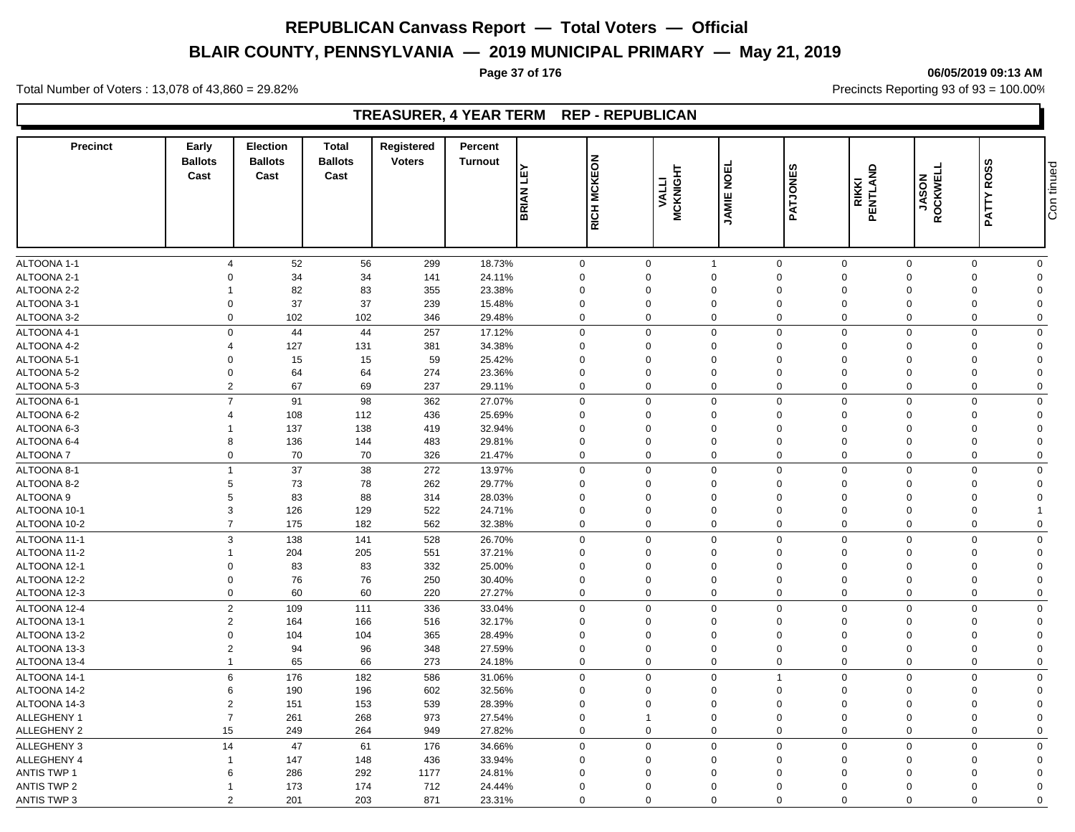# **BLAIR COUNTY, PENNSYLVANIA — 2019 MUNICIPAL PRIMARY — May 21, 2019**

#### **Page 37 of 176 06/05/2019 09:13 AM**

Total Number of Voters : 13,078 of 43,860 = 29.82% Precincts Reporting 93 of 93 = 100.00%

### **TREASURER, 4 YEAR TERM REP - REPUBLICAN**

| <b>Precinct</b>              | Early<br><b>Ballots</b><br>Cast  | <b>Election</b><br><b>Ballots</b><br>Cast | <b>Total</b><br><b>Ballots</b><br>Cast | Registered<br><b>Voters</b> | Percent<br><b>Turnout</b> |                  |                                        |                          |                         |                                              |                         |                            | <b>ROSS</b>          |            |
|------------------------------|----------------------------------|-------------------------------------------|----------------------------------------|-----------------------------|---------------------------|------------------|----------------------------------------|--------------------------|-------------------------|----------------------------------------------|-------------------------|----------------------------|----------------------|------------|
|                              |                                  |                                           |                                        |                             |                           | <b>BRIAN LEY</b> | RICH MCKEON                            | <b>MCKNIGHT</b><br>VALLI | <b>JAMIE NOEL</b>       | PATJONES                                     | RIKKI<br>PENTLAND       | <b>JASON<br/>ROCKWELL</b>  | PATTY                | Con tinued |
| ALTOONA 1-1                  | $\overline{4}$                   | 52                                        | 56                                     | 299                         | 18.73%                    |                  | $\mathbf 0$<br>$\mathbf 0$             |                          | $\overline{1}$          | $\mathbf 0$<br>$\mathbf 0$                   | $\mathsf 0$             | $\mathbf 0$                | $\mathbf 0$          |            |
| ALTOONA 2-1                  | $\Omega$                         | 34                                        | 34                                     | 141                         | 24.11%                    |                  | $\mathbf 0$<br>$\mathbf 0$             |                          | $\mathbf 0$             | $\mathbf 0$<br>$\mathbf 0$                   | $\mathbf 0$             | $\mathbf 0$                | $\Omega$             |            |
| ALTOONA 2-2                  | 1                                | 82                                        | 83                                     | 355                         | 23.38%                    |                  | $\mathbf 0$<br>$\Omega$                |                          | $\Omega$                | $\Omega$<br>$\Omega$                         | $\Omega$                | 0                          | $\Omega$             |            |
| ALTOONA 3-1                  | $\mathbf 0$                      | 37                                        | 37                                     | 239                         | 15.48%                    |                  | $\mathbf 0$<br>$\mathbf 0$             |                          | $\mathbf 0$             | $\mathbf 0$<br>$\mathbf 0$                   | $\mathbf 0$             | 0                          | $\Omega$             |            |
| ALTOONA 3-2                  | $\Omega$                         | 102                                       | 102                                    | 346                         | 29.48%                    |                  | $\mathbf 0$<br>$\Omega$                |                          | $\mathbf 0$             | $\mathbf 0$<br>$\Omega$                      | $\Omega$                | $\mathbf 0$                | $\mathbf 0$          |            |
| ALTOONA 4-1                  |                                  | $\mathsf{O}$<br>44                        | 44                                     | 257                         | 17.12%                    |                  | $\mathbf 0$<br>$\Omega$                |                          | $\mathbf 0$             | $\mathbf 0$<br>$\Omega$                      | $\Omega$                | $\mathbf 0$                | $\Omega$             |            |
| ALTOONA 4-2                  | $\overline{4}$                   | 127                                       | 131                                    | 381                         | 34.38%                    |                  | $\mathbf 0$<br>$\Omega$                |                          | $\Omega$                | $\Omega$<br>$\Omega$                         | $\Omega$                | $\mathbf 0$                | $\Omega$             |            |
| ALTOONA 5-1                  | $\Omega$                         | 15                                        | 15                                     | 59                          | 25.42%                    |                  | $\mathbf 0$<br>$\Omega$                |                          | $\mathbf 0$             | $\Omega$<br>$\Omega$                         | $\Omega$                | $\mathbf 0$                | $\Omega$             |            |
| ALTOONA 5-2                  | $\Omega$                         | 64                                        | 64                                     | 274                         | 23.36%                    |                  | $\mathbf 0$<br>$\Omega$                |                          | $\Omega$                | $\Omega$<br>$\Omega$                         | $\Omega$                | $\Omega$                   | $\Omega$             |            |
| ALTOONA 5-3                  | $\overline{2}$                   | 67                                        | 69                                     | 237                         | 29.11%                    |                  | $\mathbf 0$<br>$\Omega$                |                          | $\mathbf 0$             | $\mathbf 0$<br>$\Omega$                      | $\Omega$                | $\mathbf 0$                | $\Omega$             |            |
| ALTOONA 6-1                  | $\overline{7}$                   | 91                                        | 98                                     | 362                         | 27.07%                    |                  | $\mathbf 0$<br>$\Omega$                |                          | $\mathbf 0$             | $\mathbf 0$<br>$\mathbf 0$                   | $\Omega$                | $\mathbf 0$                | $\Omega$             |            |
| ALTOONA 6-2                  | $\overline{4}$                   | 108                                       | 112                                    | 436                         | 25.69%                    |                  | $\mathbf 0$<br>$\mathbf 0$             |                          | $\mathbf 0$             | $\mathbf 0$<br>$\mathbf 0$                   | $\mathbf 0$             | $\mathbf 0$                | $\Omega$             |            |
| ALTOONA 6-3                  | 1                                | 137                                       | 138                                    | 419                         | 32.94%                    |                  | $\mathbf 0$<br>$\Omega$                |                          | $\mathbf 0$             | $\Omega$<br>$\Omega$                         | $\Omega$                | 0                          | $\Omega$             |            |
| ALTOONA 6-4                  | 8                                | 136                                       | 144                                    | 483                         | 29.81%                    |                  | $\mathbf 0$<br>$\Omega$                |                          | $\mathbf 0$             | $\mathbf 0$<br>$\Omega$                      | $\mathbf 0$             | $\mathbf 0$                | $\Omega$             |            |
| <b>ALTOONA7</b>              |                                  | 70<br>0                                   | 70                                     | 326                         | 21.47%                    |                  | $\mathbf 0$<br>$\Omega$                |                          | 0                       | $\mathbf 0$<br>$\mathbf 0$                   | $\mathbf 0$             | $\mathbf 0$                | $\Omega$             |            |
| ALTOONA 8-1                  | $\mathbf{1}$                     | 37                                        | 38                                     | 272                         | 13.97%                    |                  | $\mathbf 0$<br>$\mathbf 0$             |                          | $\mathbf 0$             | $\mathbf 0$<br>$\Omega$                      | $\mathbf 0$             | $\mathbf 0$                | $\Omega$             |            |
| ALTOONA 8-2                  | 5                                | $73\,$                                    | 78                                     | 262                         | 29.77%                    |                  | $\mathsf 0$<br>$\Omega$                |                          | $\Omega$                | $\mathbf 0$<br>$\Omega$                      | $\Omega$                | 0                          | $\Omega$             |            |
| ALTOONA 9                    | 5                                | 83                                        | 88                                     | 314                         | 28.03%                    |                  | $\mathbf 0$<br>$\Omega$                |                          | $\Omega$                | $\Omega$<br>$\Omega$                         | $\Omega$                | $\mathbf 0$                | $\Omega$             |            |
| ALTOONA 10-1                 | 3                                | 126                                       | 129                                    | 522                         | 24.71%                    |                  | $\mathbf 0$<br>$\mathbf 0$             |                          | $\mathbf 0$             | $\mathbf 0$<br>$\mathbf 0$                   | $\mathbf 0$             | $\mathbf 0$                |                      |            |
| ALTOONA 10-2                 | $\overline{7}$                   | 175                                       | 182                                    | 562                         | 32.38%                    |                  | $\mathbf 0$<br>$\Omega$                |                          | $\mathbf 0$             | $\mathbf 0$<br>$\mathbf 0$                   | $\Omega$                | $\mathbf 0$                | $\Omega$             |            |
| ALTOONA 11-1                 |                                  | 3<br>138                                  | 141                                    | 528                         | 26.70%                    |                  | $\mathbf 0$<br>$\Omega$                |                          | 0                       | $\mathbf 0$<br>$\Omega$                      | $\Omega$                | $\mathbf 0$                | $\mathbf 0$          |            |
| ALTOONA 11-2                 | $\mathbf{1}$                     | 204                                       | 205                                    | 551                         | 37.21%                    |                  | $\mathbf 0$<br>0                       |                          | $\mathbf 0$             | $\mathbf 0$<br>$\Omega$                      | $\mathbf 0$             | $\mathbf 0$                | $\Omega$             |            |
| ALTOONA 12-1                 | $\mathbf 0$                      | 83                                        | 83                                     | 332                         | 25.00%                    |                  | $\mathsf 0$<br>$\mathbf 0$             |                          | $\mathbf 0$             | $\mathbf 0$<br>$\mathbf 0$                   | $\mathbf 0$             | 0                          | $\Omega$             |            |
| ALTOONA 12-2                 | $\Omega$                         | 76                                        | 76                                     | 250                         | 30.40%                    |                  | $\mathbf 0$<br>$\Omega$                |                          | $\mathbf 0$             | $\Omega$<br>$\Omega$                         | $\mathbf 0$             | 0                          | $\Omega$             |            |
| ALTOONA 12-3                 | $\mathbf 0$                      | 60                                        | 60                                     | 220                         | 27.27%                    |                  | $\mathbf 0$<br>$\overline{0}$          |                          | $\mathbf 0$             | $\mathbf 0$<br>$\mathbf 0$                   | $\mathbf 0$             | $\mathbf 0$                | $\mathbf 0$          |            |
| ALTOONA 12-4                 |                                  | 109                                       |                                        | 336                         | 33.04%                    |                  | $\mathbf 0$<br>$\Omega$                |                          | $\mathbf 0$             | $\mathbf 0$<br>$\Omega$                      | $\Omega$                | $\mathbf 0$                | $\mathbf 0$          |            |
|                              |                                  | $\overline{2}$                            | 111                                    |                             |                           |                  | $\Omega$                               |                          |                         | $\mathbf 0$<br>$\Omega$                      |                         |                            | $\Omega$             |            |
| ALTOONA 13-1<br>ALTOONA 13-2 | $\overline{2}$<br>$\Omega$       | 164                                       | 166<br>104                             | 516                         | 32.17%<br>28.49%          |                  | $\mathbf 0$<br>$\mathbf 0$<br>$\Omega$ |                          | $\mathbf 0$<br>$\Omega$ | $\Omega$<br>$\Omega$                         | $\mathbf 0$<br>$\Omega$ | $\mathbf 0$<br>$\mathbf 0$ | $\Omega$             |            |
| ALTOONA 13-3                 | $\overline{2}$                   | 104<br>94                                 | 96                                     | 365<br>348                  | 27.59%                    |                  | $\mathbf 0$<br>$\mathbf 0$             |                          | 0                       | $\mathbf 0$<br>$\mathbf 0$                   | $\mathbf 0$             | $\mathbf 0$                | $\Omega$             |            |
| ALTOONA 13-4                 | $\mathbf{1}$                     | 65                                        | 66                                     | 273                         | 24.18%                    |                  | $\mathbf 0$<br>$\Omega$                |                          | $\mathbf 0$             | $\mathbf 0$<br>$\Omega$                      | $\Omega$                | $\mathbf 0$                | $\mathbf 0$          |            |
|                              |                                  |                                           |                                        |                             |                           |                  |                                        |                          |                         |                                              |                         |                            |                      |            |
| ALTOONA 14-1                 |                                  | 6<br>176                                  | 182                                    | 586                         | 31.06%                    |                  | $\mathbf 0$<br>$\Omega$                |                          | $\mathbf 0$             | $\Omega$<br>$\overline{1}$                   | $\Omega$                | $\mathbf 0$                | $\Omega$             |            |
| ALTOONA 14-2                 | 6                                | 190                                       | 196                                    | 602                         | 32.56%                    |                  | $\mathbf 0$<br>$\Omega$<br>$\Omega$    |                          | $\Omega$                | $\Omega$<br>$\Omega$<br>$\Omega$<br>$\Omega$ | $\Omega$<br>$\Omega$    | 0                          | $\Omega$<br>$\Omega$ |            |
| ALTOONA 14-3                 | $\overline{2}$<br>$\overline{7}$ | 151                                       | 153                                    | 539                         | 28.39%                    |                  | $\mathbf 0$<br>$\mathbf 0$<br>1        |                          | $\mathbf 0$             | $\Omega$<br>$\Omega$                         | $\Omega$                | $\mathbf 0$<br>$\mathbf 0$ | $\Omega$             |            |
| ALLEGHENY 1                  |                                  | 261                                       | 268                                    | 973                         | 27.54%                    |                  | $\mathbf 0$                            |                          | $\Omega$                | $\mathbf 0$                                  |                         |                            |                      |            |
| ALLEGHENY 2                  | 15                               | 249                                       | 264                                    | 949                         | 27.82%                    |                  | $\Omega$                               |                          | $\mathbf 0$             | $\Omega$                                     | $\mathbf 0$             | $\mathbf 0$                | $\Omega$             |            |
| <b>ALLEGHENY 3</b>           | 14                               | 47                                        | 61                                     | 176                         | 34.66%                    |                  | $\mathbf 0$<br>$\Omega$                |                          | $\mathbf 0$             | $\mathbf 0$<br>$\mathbf 0$                   | $\Omega$                | $\mathbf 0$                | $\Omega$             |            |
| ALLEGHENY 4                  | $\mathbf{1}$                     | 147                                       | 148                                    | 436                         | 33.94%                    |                  | $\mathbf 0$<br>$\mathbf 0$             |                          | $\mathbf 0$             | $\mathbf 0$<br>$\mathbf 0$                   | $\mathbf 0$             | $\mathbf 0$                | $\Omega$             |            |
| <b>ANTIS TWP 1</b>           | 6                                | 286                                       | 292                                    | 1177                        | 24.81%                    |                  | $\mathbf 0$<br>$\Omega$                |                          | $\Omega$                | $\Omega$<br>$\Omega$                         | $\Omega$                | $\mathbf 0$                | $\Omega$             |            |
| <b>ANTIS TWP 2</b>           | $\mathbf{1}$                     | 173                                       | 174                                    | 712                         | 24.44%                    |                  | $\mathbf 0$<br>$\mathbf 0$             |                          | $\Omega$                | $\Omega$<br>$\Omega$                         | $\Omega$                | $\mathbf 0$                | $\Omega$             |            |
| <b>ANTIS TWP 3</b>           |                                  | $\overline{2}$<br>201                     | 203                                    | 871                         | 23.31%                    |                  | $\mathbf 0$<br>$\Omega$                |                          | $\mathbf 0$             | $\mathbf 0$<br>$\Omega$                      | $\Omega$                | $\mathbf 0$                | $\mathbf 0$          |            |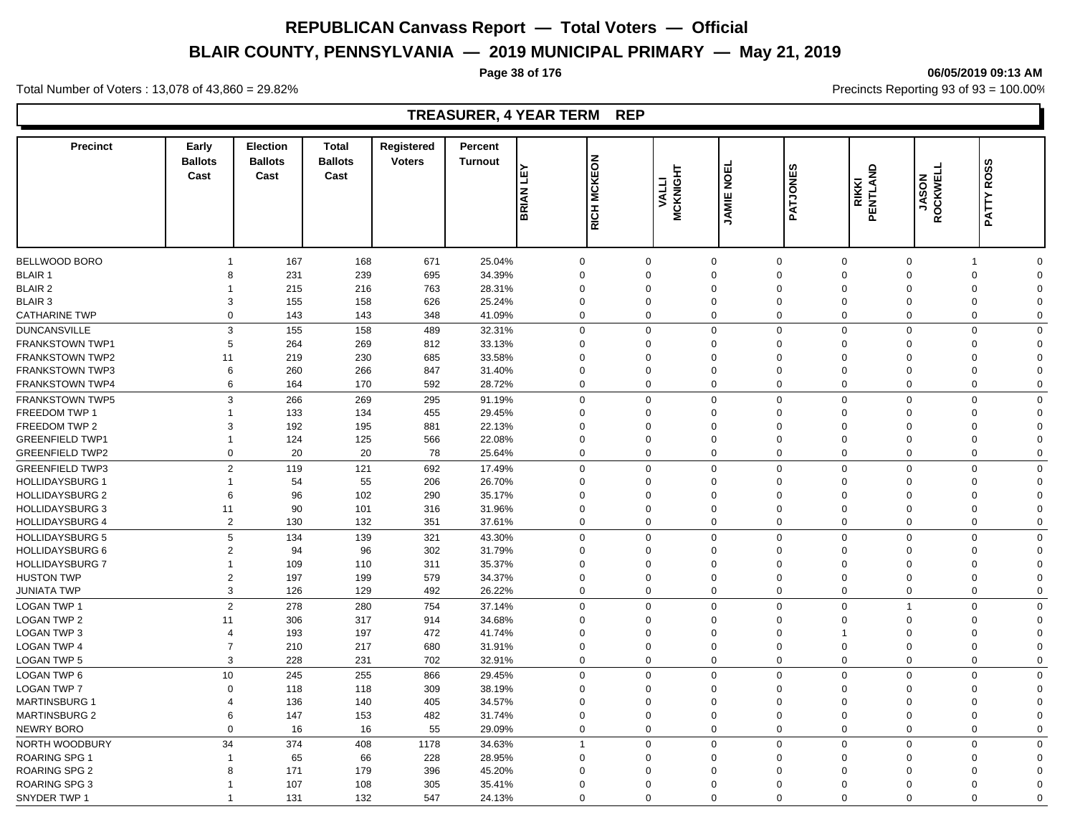# **BLAIR COUNTY, PENNSYLVANIA — 2019 MUNICIPAL PRIMARY — May 21, 2019**

#### **Page 38 of 176 06/05/2019 09:13 AM**

Total Number of Voters : 13,078 of 43,860 = 29.82% Precincts Reporting 93 of 93 = 100.00%

### **TREASURER, 4 YEAR TERM REP**

| <b>Precinct</b>        | Early<br><b>Ballots</b><br>Cast | <b>Election</b><br><b>Ballots</b><br>Cast | <b>Total</b><br><b>Ballots</b><br>Cast | <b>Registered</b><br><b>Voters</b> | Percent<br><b>Turnout</b> | Ê<br>BRIAN     | <b>EON</b><br><b>MCKI</b><br><b>RICH</b> | <b>MCKNIGHT</b><br><b>VALLI</b> | <b>NOEL</b><br><b>JAMIE</b> | w<br>PATJONE               | PENTLAND<br><b>RIKKI</b> | <b>JASON<br/>ROCKWELL</b> | ဖာ<br><b>ROS</b><br>PATTY     |  |
|------------------------|---------------------------------|-------------------------------------------|----------------------------------------|------------------------------------|---------------------------|----------------|------------------------------------------|---------------------------------|-----------------------------|----------------------------|--------------------------|---------------------------|-------------------------------|--|
|                        |                                 |                                           |                                        |                                    |                           |                |                                          |                                 |                             |                            |                          |                           |                               |  |
| <b>BELLWOOD BORO</b>   | $\mathbf{1}$                    | 167                                       | 168                                    | 671                                | 25.04%                    | $\mathbf 0$    | $\Omega$                                 |                                 | $\mathbf 0$                 | $\mathbf 0$<br>$\Omega$    | $\Omega$                 |                           | $\mathbf 0$<br>$\overline{1}$ |  |
| <b>BLAIR 1</b>         | 8                               | 231                                       | 239                                    | 695                                | 34.39%                    | $\mathbf 0$    | $\Omega$                                 |                                 | $\Omega$                    | $\Omega$<br>$\Omega$       | $\Omega$                 |                           | $\mathbf 0$<br>$\Omega$       |  |
| <b>BLAIR 2</b>         | 1                               | 215                                       | 216                                    | 763                                | 28.31%                    | $\mathbf 0$    | $\Omega$                                 |                                 | $\Omega$                    | $\Omega$<br>$\Omega$       | $\Omega$                 |                           | 0<br>$\Omega$                 |  |
| <b>BLAIR 3</b>         | 3                               | 155                                       | 158                                    | 626                                | 25.24%                    | $\mathbf 0$    | 0                                        |                                 | $\mathbf 0$                 | $\mathbf 0$<br>$\mathbf 0$ | $\mathbf 0$              |                           | $\mathbf 0$<br>$\Omega$       |  |
| <b>CATHARINE TWP</b>   | $\Omega$                        | 143                                       | 143                                    | 348                                | 41.09%                    | $\mathbf 0$    | $\Omega$                                 |                                 | $\mathbf 0$                 | $\mathbf 0$<br>$\Omega$    | $\Omega$                 |                           | $\mathbf 0$<br>$\Omega$       |  |
| <b>DUNCANSVILLE</b>    | 3                               | 155                                       | 158                                    | 489                                | 32.31%                    | $\mathbf 0$    | $\Omega$                                 |                                 | $\mathbf 0$                 | $\mathbf 0$<br>$\Omega$    | $\Omega$                 |                           | $\mathbf 0$<br>$\Omega$       |  |
| <b>FRANKSTOWN TWP1</b> | 5                               | 264                                       | 269                                    | 812                                | 33.13%                    | $\mathbf 0$    | $\Omega$                                 |                                 | $\Omega$                    | $\Omega$<br>$\Omega$       | $\Omega$                 |                           | $\mathbf 0$<br>$\Omega$       |  |
| <b>FRANKSTOWN TWP2</b> | 11                              | 219                                       | 230                                    | 685                                | 33.58%                    | $\Omega$       | $\Omega$                                 |                                 | $\Omega$                    | $\Omega$<br>$\Omega$       | $\Omega$                 |                           | 0<br>$\Omega$                 |  |
| <b>FRANKSTOWN TWP3</b> | 6                               | 260                                       | 266                                    | 847                                | 31.40%                    | $\mathbf 0$    | $\Omega$                                 |                                 | $\Omega$                    | $\Omega$<br>$\Omega$       | $\Omega$                 |                           | $\mathbf 0$<br>$\Omega$       |  |
| <b>FRANKSTOWN TWP4</b> | 6                               | 164                                       | 170                                    | 592                                | 28.72%                    | $\mathbf 0$    | $\Omega$                                 |                                 | 0                           | $\mathbf 0$<br>$\mathbf 0$ | $\mathbf 0$              |                           | $\mathbf 0$<br>$\mathbf 0$    |  |
| <b>FRANKSTOWN TWP5</b> | 3                               | 266                                       | 269                                    | 295                                | 91.19%                    | $\mathbf 0$    | $\Omega$                                 |                                 | $\mathbf 0$                 | $\mathsf 0$<br>$\mathbf 0$ | $\Omega$                 |                           | $\mathbf 0$<br>$\Omega$       |  |
| FREEDOM TWP 1          | $\mathbf{1}$                    | 133                                       | 134                                    | 455                                | 29.45%                    | $\mathbf 0$    | $\Omega$                                 |                                 | $\Omega$                    | $\Omega$<br>$\Omega$       | $\Omega$                 |                           | $\mathbf 0$<br>$\Omega$       |  |
| FREEDOM TWP 2          | 3                               | 192                                       | 195                                    | 881                                | 22.13%                    | $\mathbf 0$    | $\Omega$                                 |                                 | $\mathbf 0$                 | $\mathbf 0$<br>$\Omega$    | $\Omega$                 |                           | $\mathbf 0$<br>$\Omega$       |  |
| <b>GREENFIELD TWP1</b> | $\overline{1}$                  | 124                                       | 125                                    | 566                                | 22.08%                    | $\mathbf 0$    | $\Omega$                                 |                                 | $\Omega$                    | $\Omega$<br>$\Omega$       | $\Omega$                 |                           | $\mathbf 0$<br>$\Omega$       |  |
| <b>GREENFIELD TWP2</b> | 0                               | 20                                        | 20                                     | 78                                 | 25.64%                    | $\mathbf 0$    | $\Omega$                                 |                                 | $\mathbf 0$                 | $\mathbf 0$<br>$\mathbf 0$ | $\mathbf 0$              |                           | $\mathbf 0$<br>$\Omega$       |  |
| <b>GREENFIELD TWP3</b> | $\overline{2}$                  | 119                                       | 121                                    | 692                                | 17.49%                    | $\mathbf 0$    | $\Omega$                                 |                                 | $\mathbf 0$                 | $\mathbf 0$<br>$\mathbf 0$ | $\Omega$                 |                           | $\mathbf 0$<br>$\Omega$       |  |
| <b>HOLLIDAYSBURG 1</b> | $\mathbf{1}$                    | 54                                        | 55                                     | 206                                | 26.70%                    | $\mathbf 0$    | $\Omega$                                 |                                 | $\mathbf 0$                 | $\mathbf 0$<br>$\Omega$    | $\Omega$                 |                           | 0<br>$\Omega$                 |  |
| <b>HOLLIDAYSBURG 2</b> | 6                               | 96                                        | 102                                    | 290                                | 35.17%                    | $\mathbf 0$    | $\Omega$                                 |                                 | $\Omega$                    | $\Omega$<br>$\Omega$       | $\Omega$                 |                           | $\mathbf 0$<br>$\Omega$       |  |
| <b>HOLLIDAYSBURG 3</b> | 11                              | 90                                        | 101                                    | 316                                | 31.96%                    | $\mathsf 0$    | $\Omega$                                 |                                 | $\Omega$                    | $\Omega$<br>$\Omega$       | $\Omega$                 |                           | $\mathbf 0$<br>$\Omega$       |  |
| <b>HOLLIDAYSBURG 4</b> | 2                               | 130                                       | 132                                    | 351                                | 37.61%                    | $\mathbf 0$    | $\mathbf 0$                              |                                 | 0                           | $\mathbf 0$<br>$\mathbf 0$ | $\mathbf 0$              |                           | $\mathbf 0$<br>$\mathbf 0$    |  |
|                        |                                 |                                           |                                        |                                    |                           |                |                                          |                                 |                             |                            |                          |                           |                               |  |
| <b>HOLLIDAYSBURG 5</b> | 5                               | 134                                       | 139                                    | 321                                | 43.30%                    | $\mathbf 0$    | $\Omega$                                 |                                 | $\mathbf 0$                 | $\mathbf 0$<br>$\Omega$    | $\Omega$                 |                           | $\mathbf 0$<br>$\mathbf 0$    |  |
| <b>HOLLIDAYSBURG 6</b> | $\overline{2}$                  | 94                                        | 96                                     | 302                                | 31.79%                    | $\mathbf 0$    | $\Omega$                                 |                                 | $\mathbf 0$                 | $\Omega$<br>$\mathbf 0$    | $\Omega$                 |                           | 0<br>$\Omega$                 |  |
| <b>HOLLIDAYSBURG 7</b> | $\mathbf{1}$                    | 109                                       | 110                                    | 311                                | 35.37%                    | $\mathbf 0$    | $\Omega$                                 |                                 | $\Omega$                    | $\Omega$<br>$\Omega$       | $\Omega$                 |                           | $\mathbf 0$<br>$\Omega$       |  |
| <b>HUSTON TWP</b>      | $\overline{2}$                  | 197                                       | 199                                    | 579                                | 34.37%                    | $\mathbf 0$    | $\Omega$                                 |                                 | $\mathbf 0$                 | $\Omega$<br>$\Omega$       | $\Omega$                 |                           | $\mathbf 0$<br>$\Omega$       |  |
| <b>JUNIATA TWP</b>     | 3                               | 126                                       | 129                                    | 492                                | 26.22%                    | $\mathbf 0$    | $\Omega$                                 |                                 | $\mathbf 0$                 | $\mathbf 0$<br>$\Omega$    | $\Omega$                 |                           | $\mathbf 0$<br>$\mathbf 0$    |  |
| <b>LOGAN TWP 1</b>     | $\overline{2}$                  | 278                                       | 280                                    | 754                                | 37.14%                    | $\mathbf 0$    | $\Omega$                                 |                                 | $\mathbf 0$                 | $\mathbf 0$<br>$\Omega$    | $\overline{1}$           |                           | $\mathbf 0$<br>$\Omega$       |  |
| <b>LOGAN TWP 2</b>     | 11                              | 306                                       | 317                                    | 914                                | 34.68%                    | $\mathbf 0$    | $\Omega$                                 |                                 | $\mathbf 0$                 | $\mathbf 0$<br>$\Omega$    | $\Omega$                 |                           | $\mathbf 0$<br>$\Omega$       |  |
| LOGAN TWP 3            | $\overline{4}$                  | 193                                       | 197                                    | 472                                | 41.74%                    | $\mathbf 0$    | $\Omega$                                 |                                 | $\Omega$                    | $\Omega$                   | $\Omega$                 |                           | $\mathbf 0$<br>$\Omega$       |  |
| <b>LOGAN TWP 4</b>     | $\overline{7}$                  | 210                                       | 217                                    | 680                                | 31.91%                    | $\mathbf 0$    | $\Omega$                                 |                                 | 0                           | $\Omega$<br>$\Omega$       | $\Omega$                 |                           | $\mathbf 0$<br>$\Omega$       |  |
| LOGAN TWP 5            | 3                               | 228                                       | 231                                    | 702                                | 32.91%                    | $\mathbf 0$    | $\Omega$                                 |                                 | 0                           | $\mathbf 0$<br>$\Omega$    | $\Omega$                 |                           | $\mathbf 0$<br>$\Omega$       |  |
| LOGAN TWP 6            | 10                              | 245                                       | 255                                    | 866                                | 29.45%                    | $\mathbf 0$    | $\Omega$                                 |                                 | $\mathbf 0$                 | $\mathsf 0$<br>$\mathbf 0$ | $\Omega$                 |                           | $\mathbf 0$<br>$\Omega$       |  |
| <b>LOGAN TWP 7</b>     | $\Omega$                        | 118                                       | 118                                    | 309                                | 38.19%                    | $\mathbf 0$    | $\Omega$                                 |                                 | $\mathbf 0$                 | $\Omega$<br>$\Omega$       | $\Omega$                 |                           | 0<br>$\Omega$                 |  |
| <b>MARTINSBURG 1</b>   | $\overline{4}$                  | 136                                       | 140                                    | 405                                | 34.57%                    | $\mathbf 0$    | $\mathbf 0$                              |                                 | $\mathbf 0$                 | $\mathbf 0$<br>$\mathbf 0$ | $\Omega$                 |                           | $\mathbf 0$<br>$\Omega$       |  |
| <b>MARTINSBURG 2</b>   | 6                               | 147                                       | 153                                    | 482                                | 31.74%                    | $\mathbf 0$    | $\Omega$                                 |                                 | 0                           | $\mathbf 0$<br>$\Omega$    | $\Omega$                 |                           | 0<br>$\Omega$                 |  |
| <b>NEWRY BORO</b>      | $\mathbf 0$                     | 16                                        | 16                                     | 55                                 | 29.09%                    | $\mathbf 0$    | $\Omega$                                 |                                 | $\mathbf 0$                 | $\mathbf 0$<br>$\mathbf 0$ | $\mathbf 0$              |                           | $\mathbf 0$<br>$\Omega$       |  |
| NORTH WOODBURY         | 34                              | 374                                       | 408                                    | 1178                               | 34.63%                    | $\overline{1}$ | $\Omega$                                 |                                 | $\mathbf 0$                 | $\mathbf 0$<br>$\mathbf 0$ | $\mathbf 0$              |                           | $\mathbf 0$<br>$\mathbf 0$    |  |
| <b>ROARING SPG 1</b>   | $\mathbf{1}$                    | 65                                        | 66                                     | 228                                | 28.95%                    | $\mathbf 0$    | $\Omega$                                 |                                 | $\Omega$                    | $\Omega$<br>$\Omega$       | $\Omega$                 |                           | 0<br>$\Omega$                 |  |
| <b>ROARING SPG 2</b>   | 8                               | 171                                       | 179                                    | 396                                | 45.20%                    | $\mathbf 0$    | $\Omega$                                 |                                 | $\mathbf 0$                 | $\Omega$<br>$\Omega$       | $\Omega$                 |                           | 0<br>$\Omega$                 |  |
| ROARING SPG 3          | -1                              | 107                                       | 108                                    | 305                                | 35.41%                    | $\Omega$       | $\Omega$                                 |                                 | $\Omega$                    | $\Omega$<br>$\Omega$       | $\Omega$                 |                           | $\mathbf 0$<br>$\Omega$       |  |
| SNYDER TWP 1           | $\mathbf 1$                     | 131                                       | 132                                    | 547                                | 24.13%                    | $\Omega$       | $\Omega$                                 |                                 | $\Omega$                    | $\Omega$<br>$\Omega$       | $\Omega$                 |                           | $\Omega$<br>$\Omega$          |  |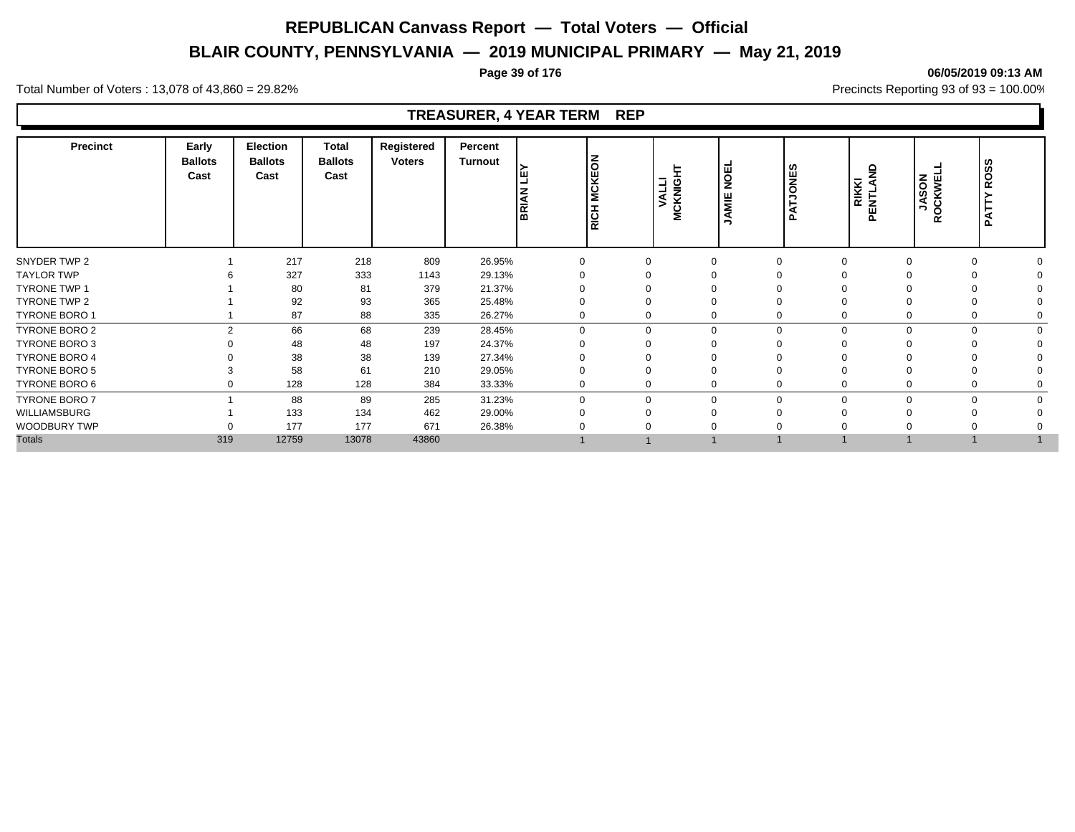# **BLAIR COUNTY, PENNSYLVANIA — 2019 MUNICIPAL PRIMARY — May 21, 2019**

#### **Page 39 of 176 06/05/2019 09:13 AM**

Total Number of Voters : 13,078 of 43,860 = 29.82% Precincts Reporting 93 of 93 = 100.00%

### **TREASURER, 4 YEAR TERM REP**

| <b>Precinct</b>      | Early<br><b>Ballots</b><br>Cast | Election<br><b>Ballots</b><br>Cast | <b>Total</b><br><b>Ballots</b><br>Cast | Registered<br><b>Voters</b> | Percent<br><b>Turnout</b> | ш<br>BRIAI | <b>MCKEON</b><br>RICH | -<br><b>MCKNIG</b><br>VALL | <b>NOEL</b><br>JAMIE | <b>Sand</b><br>' ല | g<br><b>RIKKI</b><br>PENTLAN | <b>JASON</b><br>ROCKWEL | ທ<br>ROS:<br>Ę<br>Ã |  |
|----------------------|---------------------------------|------------------------------------|----------------------------------------|-----------------------------|---------------------------|------------|-----------------------|----------------------------|----------------------|--------------------|------------------------------|-------------------------|---------------------|--|
| SNYDER TWP 2         |                                 | 217                                | 218                                    | 809                         | 26.95%                    | $\Omega$   |                       | $\Omega$                   |                      |                    |                              | $\Omega$                |                     |  |
| <b>TAYLOR TWP</b>    |                                 | 327                                | 333                                    | 1143                        | 29.13%                    |            |                       |                            |                      |                    |                              |                         |                     |  |
| <b>TYRONE TWP 1</b>  |                                 | 80                                 | 81                                     | 379                         | 21.37%                    |            |                       |                            |                      |                    |                              |                         |                     |  |
| TYRONE TWP 2         |                                 | 92                                 | 93                                     | 365                         | 25.48%                    |            |                       |                            |                      |                    |                              |                         |                     |  |
| <b>TYRONE BORO 1</b> |                                 | 87                                 | 88                                     | 335                         | 26.27%                    |            |                       | 0                          |                      |                    |                              | $\Omega$                |                     |  |
| TYRONE BORO 2        | $\mathcal{P}$                   | 66                                 | 68                                     | 239                         | 28.45%                    | $\Omega$   |                       | $\mathbf 0$                | $\Omega$             |                    |                              |                         | $\Omega$            |  |
| <b>TYRONE BORO 3</b> |                                 | 48                                 | 48                                     | 197                         | 24.37%                    |            |                       |                            |                      |                    |                              |                         |                     |  |
| <b>TYRONE BORO 4</b> |                                 | 38                                 | 38                                     | 139                         | 27.34%                    |            |                       |                            |                      |                    |                              |                         |                     |  |
| <b>TYRONE BORO 5</b> |                                 | 58                                 | 61                                     | 210                         | 29.05%                    |            |                       |                            |                      |                    |                              | $\Omega$                |                     |  |
| TYRONE BORO 6        | 0                               | 128                                | 128                                    | 384                         | 33.33%                    |            |                       | 0                          |                      |                    |                              | $\mathbf 0$             |                     |  |
| <b>TYRONE BORO 7</b> |                                 | 88                                 | 89                                     | 285                         | 31.23%                    | $\Omega$   |                       | $\mathbf 0$                | $\Omega$             |                    |                              |                         | $\Omega$            |  |
| WILLIAMSBURG         |                                 | 133                                | 134                                    | 462                         | 29.00%                    |            |                       |                            |                      |                    |                              |                         |                     |  |
| WOODBURY TWP         |                                 | 177                                | 177                                    | 671                         | 26.38%                    |            |                       |                            |                      |                    |                              |                         |                     |  |
| <b>Totals</b>        | 319                             | 12759                              | 13078                                  | 43860                       |                           |            |                       |                            |                      |                    |                              |                         |                     |  |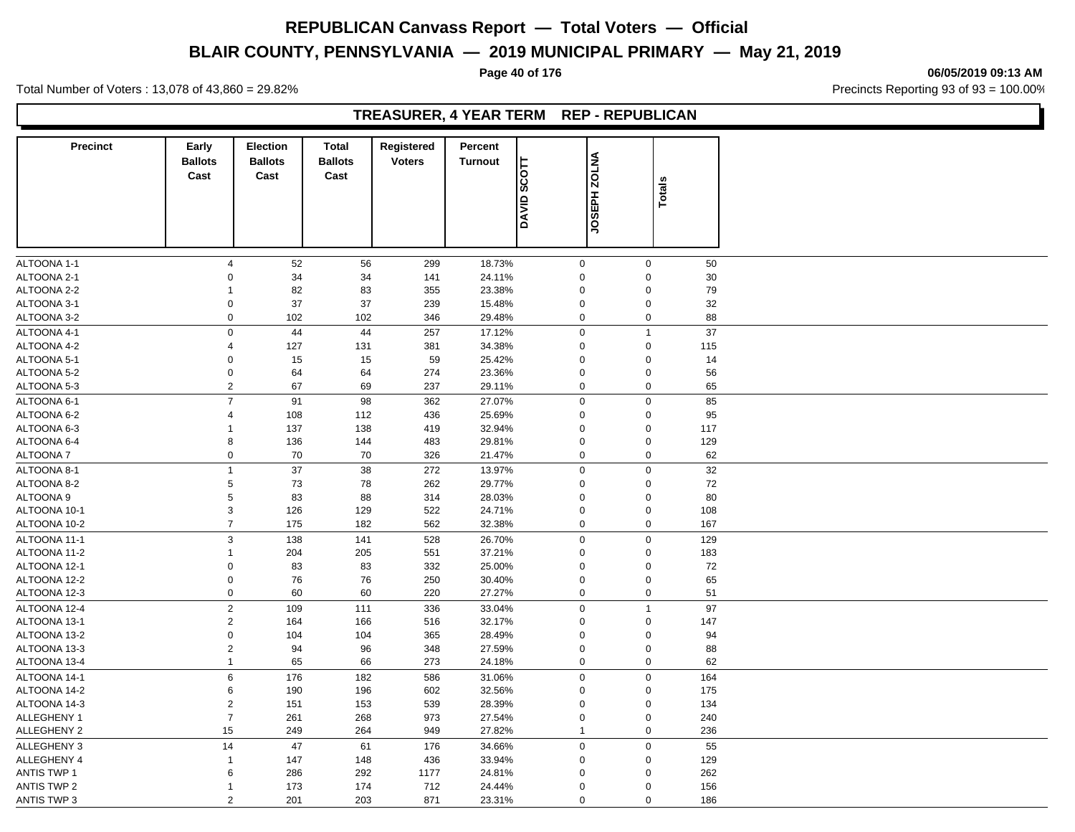# **BLAIR COUNTY, PENNSYLVANIA — 2019 MUNICIPAL PRIMARY — May 21, 2019**

**Page 40 of 176 06/05/2019 09:13 AM**

Total Number of Voters : 13,078 of 43,860 = 29.82% Precincts Reporting 93 of 93 = 100.00%

### **TREASURER, 4 YEAR TERM REP - REPUBLICAN**

| <b>Precinct</b>            | Early<br><b>Ballots</b>    | <b>Election</b><br><b>Ballots</b> | <b>Total</b><br><b>Ballots</b> | Registered<br><b>Voters</b> | Percent<br>Turnout |                            |                         |        |          |  |
|----------------------------|----------------------------|-----------------------------------|--------------------------------|-----------------------------|--------------------|----------------------------|-------------------------|--------|----------|--|
|                            | Cast                       | Cast                              | Cast                           |                             |                    | $\frac{1}{2}$              | <b>JOSEPH ZOLNA</b>     |        |          |  |
|                            |                            |                                   |                                |                             |                    |                            |                         | Totals |          |  |
|                            |                            |                                   |                                |                             |                    | OAVID 3                    |                         |        |          |  |
|                            |                            |                                   |                                |                             |                    |                            |                         |        |          |  |
|                            |                            |                                   |                                |                             |                    |                            |                         |        |          |  |
| ALTOONA 1-1<br>ALTOONA 2-1 | $\overline{4}$<br>$\Omega$ | 52<br>34                          | 56<br>34                       | 299<br>141                  | 18.73%<br>24.11%   | $\mathbf 0$<br>$\mathbf 0$ | $\mathbf 0$<br>$\Omega$ |        | 50<br>30 |  |
| ALTOONA 2-2                | -1                         | 82                                | 83                             | 355                         | 23.38%             | $\mathbf 0$                | $\Omega$                |        | 79       |  |
| ALTOONA 3-1                | $\mathbf 0$                | 37                                | 37                             | 239                         | 15.48%             | $\mathsf 0$                | $\mathbf 0$             |        | 32       |  |
| ALTOONA 3-2                | $\mathbf 0$                | 102                               | 102                            | 346                         | 29.48%             | $\mathbf 0$                | $\mathbf 0$             |        | 88       |  |
| ALTOONA 4-1                | $\mathbf 0$                | 44                                | 44                             | 257                         | 17.12%             | $\mathbf 0$                | $\overline{1}$          |        | 37       |  |
| ALTOONA 4-2                | $\overline{4}$             | 127                               | 131                            | 381                         | 34.38%             | $\mathbf 0$                | $\mathbf 0$             |        | 115      |  |
| ALTOONA 5-1                | $\mathbf 0$                | 15                                | 15                             | 59                          | 25.42%             | $\mathbf 0$                | $\mathbf 0$             |        | 14       |  |
| ALTOONA 5-2                | $\mathbf 0$                | 64                                | 64                             | 274                         | 23.36%             | $\mathbf 0$                | $\mathbf 0$             |        | 56       |  |
| ALTOONA 5-3                | $\overline{2}$             | 67                                | 69                             | 237                         | 29.11%             | $\mathbf 0$                | $\mathbf 0$             |        | 65       |  |
| ALTOONA 6-1                | $\overline{7}$             | 91                                | 98                             | 362                         | 27.07%             | $\mathbf 0$                | $\mathbf 0$             |        | 85       |  |
| ALTOONA 6-2                | $\overline{4}$             | 108                               | 112                            | 436                         | 25.69%             | $\mathbf 0$                | $\mathbf 0$             |        | 95       |  |
| ALTOONA 6-3                | 1                          | 137                               | 138                            | 419                         | 32.94%             | $\mathbf 0$                | $\mathbf 0$             |        | 117      |  |
| ALTOONA 6-4                | 8                          | 136                               | 144                            | 483                         | 29.81%             | $\mathbf 0$                | $\mathbf 0$             |        | 129      |  |
| ALTOONA 7                  | $\mathbf 0$                | 70                                | 70                             | 326                         | 21.47%             | $\mathbf 0$                | $\mathbf 0$             |        | 62       |  |
| ALTOONA 8-1                | $\mathbf{1}$               | 37                                | 38                             | 272                         | 13.97%             | $\pmb{0}$                  | $\mathbf 0$             |        | 32       |  |
| ALTOONA 8-2                | $\,$ 5 $\,$                | 73                                | 78                             | 262                         | 29.77%             | $\mathbf 0$                | 0                       |        | 72       |  |
| <b>ALTOONA 9</b>           | $\,$ 5 $\,$                | 83                                | 88                             | 314                         | 28.03%             | $\mathbf 0$                | $\mathbf 0$             |        | 80       |  |
| ALTOONA 10-1               | $\mathsf 3$                | 126                               | 129                            | 522                         | 24.71%             | $\mathbf 0$                | $\mathbf 0$             |        | 108      |  |
| ALTOONA 10-2               | $\overline{7}$             | 175                               | 182                            | 562                         | 32.38%             | $\mathbf 0$                | $\mathbf 0$             |        | 167      |  |
| ALTOONA 11-1               | 3                          | 138                               | 141                            | 528                         | 26.70%             | $\mathbf 0$                | $\mathbf 0$             |        | 129      |  |
| ALTOONA 11-2               | $\mathbf{1}$               | 204                               | 205                            | 551                         | 37.21%             | $\mathbf 0$                | 0                       |        | 183      |  |
| ALTOONA 12-1               | $\mathbf 0$                | 83                                | 83                             | 332                         | 25.00%             | $\mathbf 0$                | $\mathbf 0$             |        | 72       |  |
| ALTOONA 12-2               | $\mathsf 0$                | 76                                | 76                             | 250                         | 30.40%             | $\mathsf{O}\xspace$        | $\mathbf 0$             |        | 65       |  |
| ALTOONA 12-3               | $\mathbf 0$                | 60                                | 60                             | 220                         | 27.27%             | $\mathsf 0$                | $\mathbf 0$             |        | 51       |  |
| ALTOONA 12-4               | $\overline{2}$             | 109                               | 111                            | 336                         | 33.04%             | $\mathbf 0$                | $\overline{1}$          |        | 97       |  |
| ALTOONA 13-1               | $\overline{2}$             | 164                               | 166                            | 516                         | 32.17%             | $\mathbf 0$                | $\mathbf 0$             |        | 147      |  |
| ALTOONA 13-2               | $\mathbf 0$                | 104                               | 104                            | 365                         | 28.49%             | $\mathbf 0$                | $\mathbf 0$             |        | 94       |  |
| ALTOONA 13-3               | $\overline{2}$             | 94                                | 96                             | 348                         | 27.59%             | $\mathbf 0$                | 0                       |        | 88       |  |
| ALTOONA 13-4               | $\mathbf{1}$               | 65                                | 66                             | 273                         | 24.18%             | $\mathbf 0$                | $\pmb{0}$               |        | 62       |  |
| ALTOONA 14-1               | $\,6\,$                    | 176                               | 182                            | 586                         | 31.06%             | $\pmb{0}$                  | $\mathbf 0$             |        | 164      |  |
| ALTOONA 14-2               | $\,6$                      | 190                               | 196                            | 602                         | 32.56%             | $\mathbf 0$                | $\mathbf 0$             |        | 175      |  |
| ALTOONA 14-3               | $\overline{2}$             | 151                               | 153                            | 539                         | 28.39%             | $\mathbf 0$                | $\mathbf 0$             |        | 134      |  |
| ALLEGHENY 1                | $\overline{7}$             | 261                               | 268                            | 973                         | 27.54%             | $\mathbf 0$                | $\mathbf 0$             |        | 240      |  |
| <b>ALLEGHENY 2</b>         | 15                         | 249                               | 264                            | 949                         | 27.82%             | $\mathbf{1}$               | $\mathbf 0$             |        | 236      |  |
| <b>ALLEGHENY 3</b>         | 14                         | 47                                | 61                             | 176                         | 34.66%             | $\mathsf 0$                | $\mathbf 0$             |        | 55       |  |
| ALLEGHENY 4                | $\overline{1}$             | 147                               | 148                            | 436                         | 33.94%             | $\mathbf 0$                | $\mathbf 0$             |        | 129      |  |
| <b>ANTIS TWP 1</b>         | 6                          | 286                               | 292                            | 1177                        | 24.81%             | $\mathbf 0$                | $\Omega$                |        | 262      |  |
| <b>ANTIS TWP 2</b>         | $\mathbf{1}$               | 173                               | 174                            | 712                         | 24.44%             | $\mathbf 0$                | $\mathbf 0$             |        | 156      |  |
| ANTIS TWP 3                | 2                          | 201                               | 203                            | 871                         | 23.31%             | $\mathbf 0$                | $\mathbf 0$             |        | 186      |  |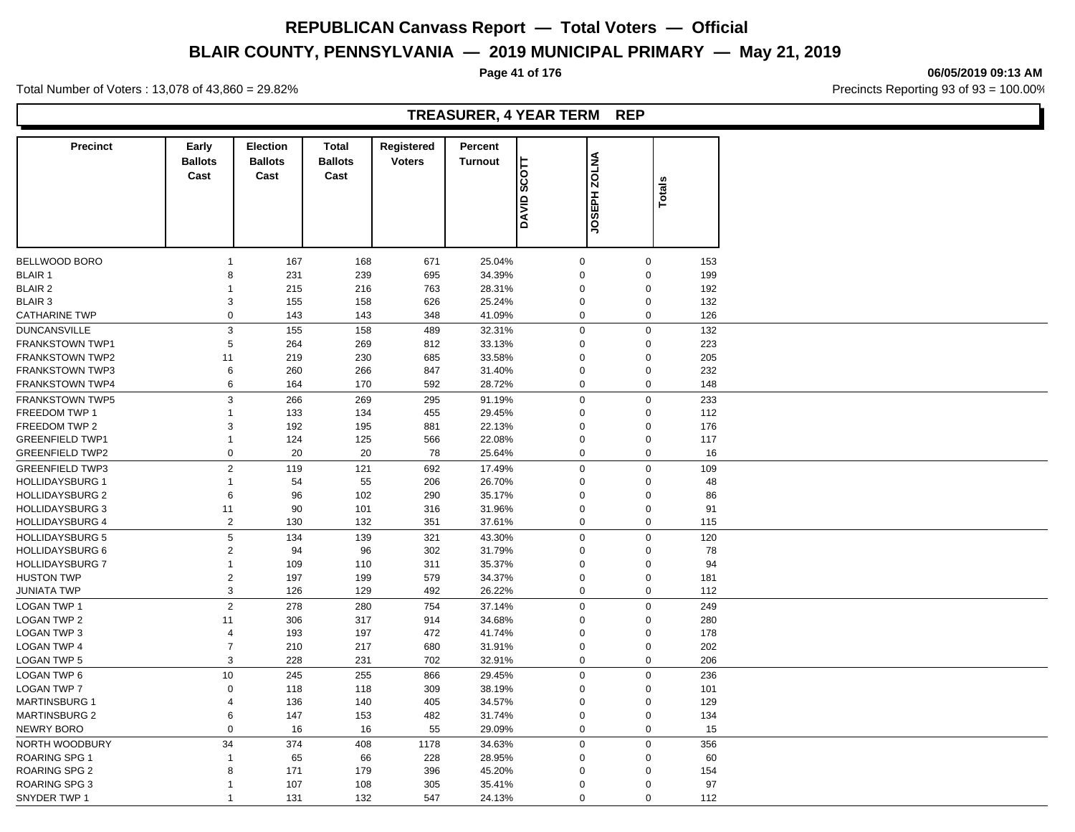# **BLAIR COUNTY, PENNSYLVANIA — 2019 MUNICIPAL PRIMARY — May 21, 2019**

**Page 41 of 176 06/05/2019 09:13 AM**

Total Number of Voters : 13,078 of 43,860 = 29.82% Precincts Reporting 93 of 93 = 100.00%

### **TREASURER, 4 YEAR TERM REP**

| <b>Precinct</b>        | Early                     | <b>Election</b> | <b>Total</b>   | Registered    | Percent        |                           |                     |               |     |
|------------------------|---------------------------|-----------------|----------------|---------------|----------------|---------------------------|---------------------|---------------|-----|
|                        | <b>Ballots</b>            | <b>Ballots</b>  | <b>Ballots</b> | <b>Voters</b> | <b>Turnout</b> |                           | <b>JOSEPH ZOLNA</b> |               |     |
|                        | Cast                      | Cast            | Cast           |               |                | $\overline{\text{scort}}$ |                     |               |     |
|                        |                           |                 |                |               |                |                           |                     | <b>Totals</b> |     |
|                        |                           |                 |                |               |                | <b>ONAD</b>               |                     |               |     |
|                        |                           |                 |                |               |                |                           |                     |               |     |
|                        |                           |                 |                |               |                |                           |                     |               |     |
|                        |                           |                 |                |               |                |                           |                     |               |     |
| <b>BELLWOOD BORO</b>   | $\mathbf{1}$              | 167             | 168            | 671           | 25.04%         | $\mathbf 0$               | $\mathbf 0$         |               | 153 |
| <b>BLAIR 1</b>         | 8                         | 231             | 239            | 695           | 34.39%         | $\mathbf 0$               | $\Omega$            |               | 199 |
| <b>BLAIR 2</b>         | $\mathbf{1}$              | 215             | 216            | 763           | 28.31%         | $\mathbf 0$               | $\Omega$            |               | 192 |
| <b>BLAIR 3</b>         | 3                         | 155             | 158            | 626           | 25.24%         | $\mathbf 0$               | $\Omega$            |               | 132 |
| <b>CATHARINE TWP</b>   | $\mathbf 0$               | 143             | 143            | 348           | 41.09%         | $\mathbf 0$               | $\mathbf 0$         |               | 126 |
| <b>DUNCANSVILLE</b>    | 3                         | 155             | 158            | 489           | 32.31%         | $\mathbf 0$               | $\mathbf 0$         |               | 132 |
| <b>FRANKSTOWN TWP1</b> | 5                         | 264             | 269            | 812           | 33.13%         | $\mathbf 0$               | $\Omega$            |               | 223 |
| <b>FRANKSTOWN TWP2</b> | 11                        | 219             | 230            | 685           | 33.58%         | $\mathbf 0$               | $\Omega$            |               | 205 |
| <b>FRANKSTOWN TWP3</b> | 6                         | 260             | 266            | 847           | 31.40%         | $\mathbf 0$               | $\Omega$            |               | 232 |
| <b>FRANKSTOWN TWP4</b> | 6                         | 164             | 170            | 592           | 28.72%         | $\mathbf 0$               | $\mathbf 0$         |               | 148 |
| <b>FRANKSTOWN TWP5</b> | $\ensuremath{\mathsf{3}}$ | 266             | 269            | 295           | 91.19%         | $\mathbf 0$               | $\Omega$            |               | 233 |
| FREEDOM TWP 1          | $\mathbf{1}$              | 133             | 134            | 455           | 29.45%         | $\Omega$                  | $\Omega$            |               | 112 |
| FREEDOM TWP 2          | 3                         | 192             | 195            | 881           | 22.13%         | $\mathbf 0$               | $\mathbf 0$         |               | 176 |
| <b>GREENFIELD TWP1</b> | $\mathbf{1}$              | 124             | 125            | 566           | 22.08%         | $\mathbf 0$               | $\Omega$            |               | 117 |
| <b>GREENFIELD TWP2</b> | $\pmb{0}$                 | 20              | 20             | 78            | 25.64%         | $\mathbf 0$               | $\mathbf 0$         |               | 16  |
| <b>GREENFIELD TWP3</b> | $\sqrt{2}$                | 119             | 121            | 692           | 17.49%         | $\pmb{0}$                 | $\mathbf 0$         |               | 109 |
| <b>HOLLIDAYSBURG 1</b> | $\mathbf{1}$              | 54              | 55             | 206           | 26.70%         | $\mathbf 0$               | $\Omega$            |               | 48  |
| <b>HOLLIDAYSBURG 2</b> | $\,6$                     | 96              | 102            | 290           | 35.17%         | $\mathbf 0$               | $\Omega$            |               | 86  |
| <b>HOLLIDAYSBURG 3</b> | 11                        | 90              | 101            | 316           | 31.96%         | $\mathbf 0$               | $\mathbf 0$         |               | 91  |
| <b>HOLLIDAYSBURG 4</b> | $\overline{2}$            | 130             | 132            | 351           | 37.61%         | $\mathbf 0$               | $\mathbf 0$         |               | 115 |
| <b>HOLLIDAYSBURG 5</b> | $\,$ 5 $\,$               | 134             | 139            | 321           | 43.30%         | $\mathbf 0$               | $\Omega$            |               | 120 |
| <b>HOLLIDAYSBURG 6</b> | $\overline{2}$            | 94              | 96             | 302           | 31.79%         | $\mathbf 0$               | $\mathbf 0$         |               | 78  |
| <b>HOLLIDAYSBURG 7</b> | $\mathbf{1}$              | 109             | 110            | 311           | 35.37%         | $\mathbf 0$               | $\Omega$            |               | 94  |
| <b>HUSTON TWP</b>      | $\overline{2}$            | 197             | 199            | 579           | 34.37%         | $\mathbf 0$               | $\mathbf 0$         |               | 181 |
| <b>JUNIATA TWP</b>     | $\mathsf 3$               | 126             | 129            | 492           | 26.22%         | $\mathbf 0$               | $\mathbf 0$         |               | 112 |
|                        |                           |                 |                |               |                |                           |                     |               |     |
| <b>LOGAN TWP 1</b>     | $\mathbf 2$               | 278             | 280            | 754           | 37.14%         | $\mathbf 0$               | $\Omega$            |               | 249 |
| <b>LOGAN TWP 2</b>     | 11                        | 306             | 317            | 914           | 34.68%         | $\mathbf 0$               | $\Omega$            |               | 280 |
| <b>LOGAN TWP 3</b>     | $\overline{4}$            | 193             | 197            | 472           | 41.74%         | $\mathbf 0$               | $\Omega$            |               | 178 |
| <b>LOGAN TWP 4</b>     | $\overline{7}$            | 210             | 217            | 680           | 31.91%         | $\mathbf 0$               | $\mathbf 0$         |               | 202 |
| <b>LOGAN TWP 5</b>     | 3                         | 228             | 231            | 702           | 32.91%         | $\mathbf 0$               | $\mathbf 0$         |               | 206 |
| <b>LOGAN TWP 6</b>     | 10                        | 245             | 255            | 866           | 29.45%         | $\mathbf 0$               | $\Omega$            |               | 236 |
| <b>LOGAN TWP 7</b>     | $\mathbf 0$               | 118             | 118            | 309           | 38.19%         | 0                         | $\Omega$            |               | 101 |
| <b>MARTINSBURG 1</b>   | $\overline{4}$            | 136             | 140            | 405           | 34.57%         | $\mathbf 0$               | $\mathbf 0$         |               | 129 |
| <b>MARTINSBURG 2</b>   | 6                         | 147             | 153            | 482           | 31.74%         | $\mathbf 0$               | $\mathbf 0$         |               | 134 |
| NEWRY BORO             | $\mathbf 0$               | 16              | 16             | 55            | 29.09%         | $\mathbf 0$               | $\mathbf 0$         |               | 15  |
| NORTH WOODBURY         | 34                        | 374             | 408            | 1178          | 34.63%         | $\mathbf 0$               | $\mathbf 0$         |               | 356 |
| ROARING SPG 1          | $\mathbf{1}$              | 65              | 66             | 228           | 28.95%         | $\mathbf 0$               | $\Omega$            |               | 60  |
| <b>ROARING SPG 2</b>   | 8                         | 171             | 179            | 396           | 45.20%         | $\mathbf 0$               | $\Omega$            |               | 154 |
| ROARING SPG 3          | $\mathbf{1}$              | 107             | 108            | 305           | 35.41%         | $\Omega$                  | $\Omega$            |               | 97  |
| SNYDER TWP 1           | $\overline{1}$            | 131             | 132            | 547           | 24.13%         | $\Omega$                  | $\Omega$            |               | 112 |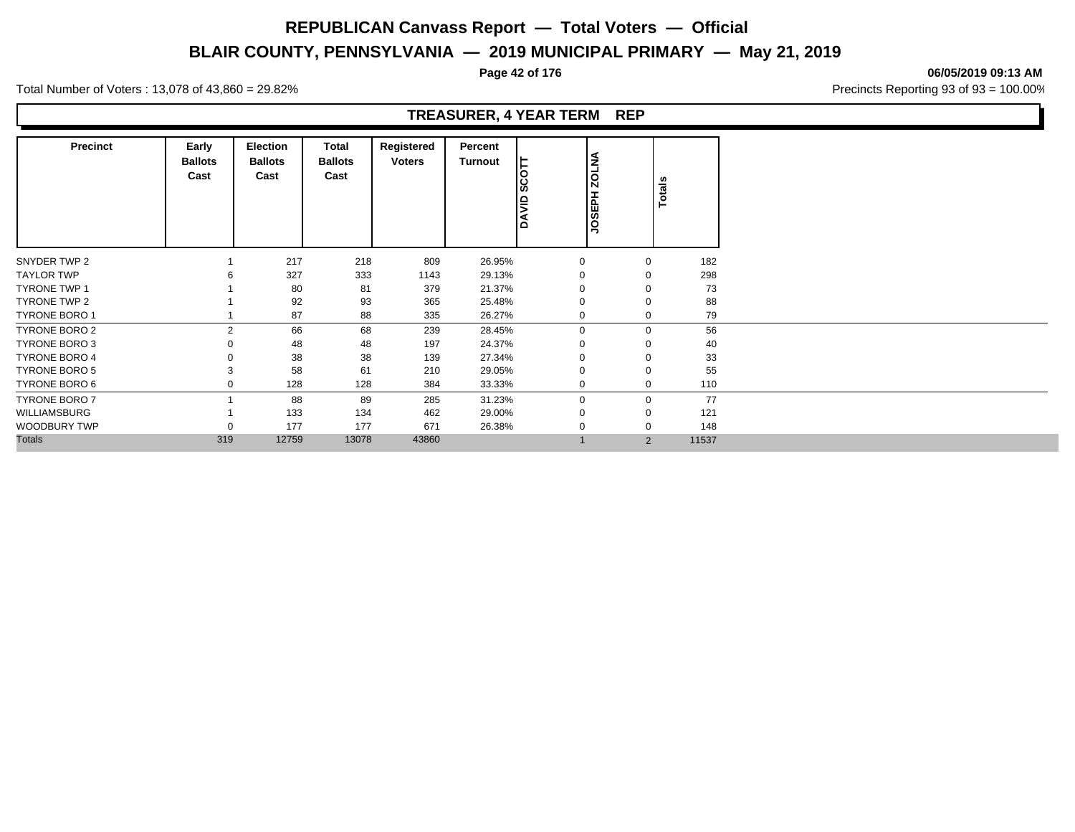# **BLAIR COUNTY, PENNSYLVANIA — 2019 MUNICIPAL PRIMARY — May 21, 2019**

**Page 42 of 176 06/05/2019 09:13 AM**

Total Number of Voters : 13,078 of 43,860 = 29.82% Precincts Reporting 93 of 93 = 100.00%

#### **TREASURER, 4 YEAR TERM REP**

| <b>Precinct</b>      | Early<br><b>Ballots</b><br>Cast | <b>Election</b><br><b>Ballots</b><br>Cast | <b>Total</b><br><b>Ballots</b><br>Cast | Registered<br><b>Voters</b> | Percent<br>Turnout | $\circ$<br>$\mathbf c$<br>Ø<br><b>QIAYD</b> | <b>ZOLNA</b><br><b>H</b> EDPH | <b>Totals</b>  |       |
|----------------------|---------------------------------|-------------------------------------------|----------------------------------------|-----------------------------|--------------------|---------------------------------------------|-------------------------------|----------------|-------|
| SNYDER TWP 2         |                                 | 217                                       | 218                                    | 809                         | 26.95%             | $\mathbf 0$                                 |                               | $\mathbf 0$    | 182   |
| <b>TAYLOR TWP</b>    |                                 | 327                                       | 333                                    | 1143                        | 29.13%             | 0                                           |                               | $\Omega$       | 298   |
| <b>TYRONE TWP 1</b>  |                                 | 80                                        | 81                                     | 379                         | 21.37%             |                                             |                               | $\mathbf 0$    | 73    |
| TYRONE TWP 2         |                                 | 92                                        | 93                                     | 365                         | 25.48%             | $\Omega$                                    |                               | $\Omega$       | 88    |
| <b>TYRONE BORO 1</b> |                                 | 87                                        | 88                                     | 335                         | 26.27%             | $\mathbf 0$                                 |                               | $\mathbf 0$    | 79    |
| TYRONE BORO 2        | 2                               | 66                                        | 68                                     | 239                         | 28.45%             | $\mathbf 0$                                 |                               | $\mathbf 0$    | 56    |
| <b>TYRONE BORO 3</b> |                                 | 48                                        | 48                                     | 197                         | 24.37%             | 0                                           |                               | $\Omega$       | 40    |
| <b>TYRONE BORO 4</b> |                                 | 38                                        | 38                                     | 139                         | 27.34%             |                                             |                               | $\Omega$       | 33    |
| <b>TYRONE BORO 5</b> |                                 | 58                                        | 61                                     | 210                         | 29.05%             | $\Omega$                                    |                               | $\mathbf 0$    | 55    |
| TYRONE BORO 6        |                                 | 128                                       | 128                                    | 384                         | 33.33%             | $\mathbf 0$                                 |                               | $\mathbf 0$    | 110   |
| <b>TYRONE BORO 7</b> |                                 | 88                                        | 89                                     | 285                         | 31.23%             | $\mathbf 0$                                 |                               | $\mathbf 0$    | 77    |
| WILLIAMSBURG         |                                 | 133                                       | 134                                    | 462                         | 29.00%             | 0                                           |                               | $\Omega$       | 121   |
| <b>WOODBURY TWP</b>  |                                 | 177                                       | 177                                    | 671                         | 26.38%             |                                             |                               | $\Omega$       | 148   |
| <b>Totals</b>        | 319                             | 12759                                     | 13078                                  | 43860                       |                    |                                             |                               | $\overline{2}$ | 11537 |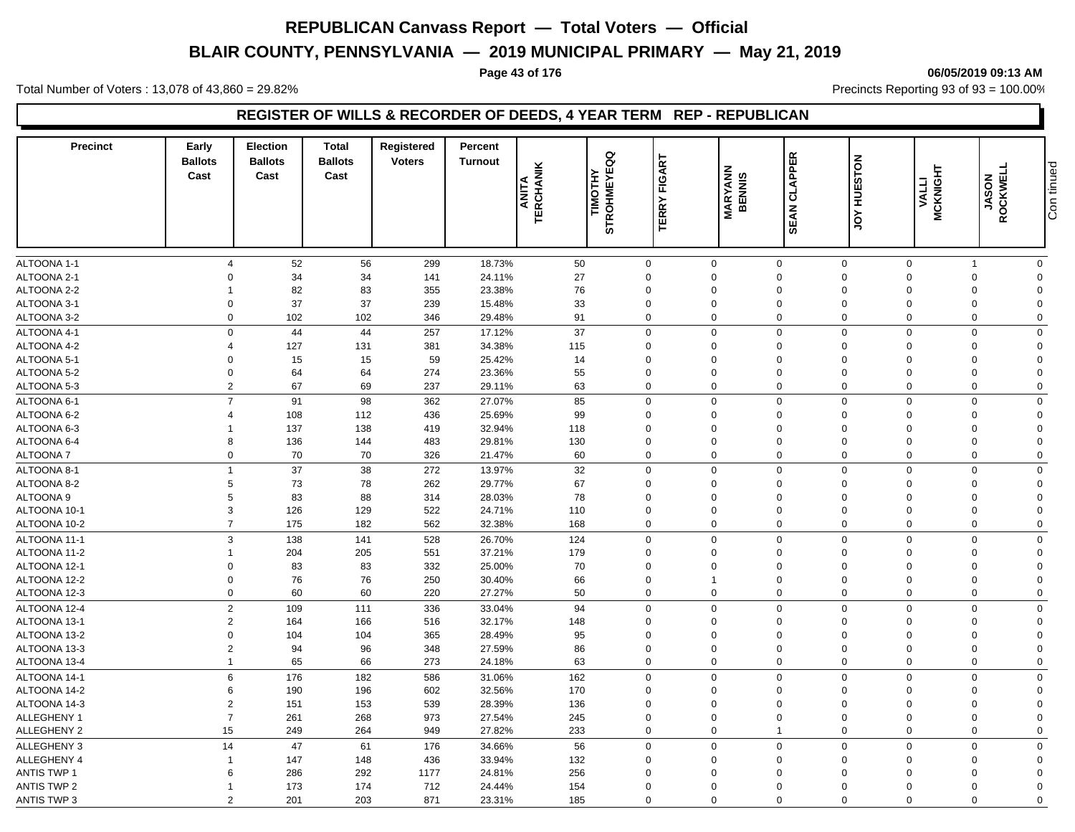# **BLAIR COUNTY, PENNSYLVANIA — 2019 MUNICIPAL PRIMARY — May 21, 2019**

#### **Page 43 of 176 06/05/2019 09:13 AM**

Total Number of Voters : 13,078 of 43,860 = 29.82% Precincts Reporting 93 of 93 = 100.00%

### **REGISTER OF WILLS & RECORDER OF DEEDS, 4 YEAR TERM REP - REPUBLICAN**

| <b>Precinct</b>              | Early<br><b>Ballots</b><br>Cast  | <b>Election</b><br><b>Ballots</b><br>Cast | <b>Total</b><br><b>Ballots</b><br>Cast | Registered<br><b>Voters</b> | Percent<br><b>Turnout</b> | <b>TERCHANIK</b><br>ANITA | g<br>ш<br>TIMOTHY<br><b>STROHMEY</b> | FIGART<br>TERRY            | <b>MARYANN</b><br>BENNIS   | <b>CLAPPER</b><br><b>SEAN</b> | <b>HUESTON</b><br>$\frac{1}{2}$ | <b>MCKNIGHT</b><br><b>VALLI</b> | ROCKWELL<br><b>JASON</b>        | Con tinued              |
|------------------------------|----------------------------------|-------------------------------------------|----------------------------------------|-----------------------------|---------------------------|---------------------------|--------------------------------------|----------------------------|----------------------------|-------------------------------|---------------------------------|---------------------------------|---------------------------------|-------------------------|
| ALTOONA 1-1                  | $\overline{4}$                   | 52                                        | 56                                     | 299                         | 18.73%                    | 50                        |                                      | $\mathbf 0$                | $\mathbf 0$                | $\mathbf 0$                   | $\mathbf 0$                     | $\mathbf 0$                     | $\overline{1}$                  | $\mathbf 0$             |
| ALTOONA 2-1                  | $\Omega$                         | 34                                        | 34                                     | 141                         | 24.11%                    | 27                        |                                      | $\Omega$                   | $\Omega$                   | $\mathbf 0$                   | $\Omega$                        | $\Omega$                        | $\boldsymbol{0}$                | $\Omega$                |
| ALTOONA 2-2                  |                                  | 82                                        | 83                                     | 355                         | 23.38%                    | 76                        |                                      | $\Omega$                   | $\Omega$                   | $\Omega$                      | $\Omega$                        | $\Omega$                        | $\mathbf 0$                     | $\Omega$                |
| ALTOONA 3-1                  | $\mathbf 0$                      | 37                                        | 37                                     | 239                         | 15.48%                    | 33                        |                                      | $\mathbf 0$                | $\mathbf 0$                | $\mathbf 0$                   | $\Omega$                        | $\mathbf 0$                     | $\mathbf 0$                     | $\mathbf 0$             |
| ALTOONA 3-2                  | $\Omega$                         | 102                                       | 102                                    | 346                         | 29.48%                    | 91                        |                                      | $\mathbf 0$                | $\mathbf 0$                | $\Omega$                      | $\Omega$                        | $\Omega$                        | $\mathbf 0$                     | $\mathbf 0$             |
| ALTOONA 4-1                  |                                  | $\mathbf 0$<br>44                         | 44                                     | 257                         | 17.12%                    | 37                        |                                      | $\Omega$                   | $\mathbf 0$                | $\Omega$                      | $\Omega$                        | $\Omega$                        | $\mathbf 0$                     | $\Omega$                |
| ALTOONA 4-2                  | 4                                | 127                                       | 131                                    | 381                         | 34.38%                    | 115                       |                                      | $\Omega$                   | $\Omega$                   | $\Omega$                      | $\Omega$                        | $\Omega$                        | $\mathbf 0$                     | $\Omega$                |
| ALTOONA 5-1                  | $\Omega$                         | 15                                        | 15                                     | 59                          | 25.42%                    | 14                        |                                      | $\Omega$                   | $\Omega$                   | $\Omega$                      | $\Omega$                        | $\Omega$                        | $\mathbf 0$                     | $\Omega$                |
| ALTOONA 5-2                  | $\Omega$                         | 64                                        | 64                                     | 274                         | 23.36%                    | 55                        |                                      | $\Omega$                   | $\Omega$                   | $\Omega$                      | $\Omega$                        | $\Omega$                        | $\mathbf 0$                     | $\Omega$                |
| ALTOONA 5-3                  |                                  | 67<br>$\overline{2}$                      | 69                                     | 237                         | 29.11%                    | 63                        |                                      | $\mathbf 0$                | $\mathbf 0$                | $\mathbf 0$                   | $\Omega$                        | $\Omega$                        | $\mathbf 0$                     | $\mathbf 0$             |
| ALTOONA 6-1                  | $\overline{7}$                   | 91                                        | 98                                     | 362                         | 27.07%                    | 85                        |                                      | $\Omega$                   | $\mathbf 0$                | $\mathbf 0$                   | $\Omega$                        | $\Omega$                        | $\mathbf 0$                     | $\Omega$                |
| ALTOONA 6-2                  | $\overline{4}$                   | 108                                       | 112                                    | 436                         | 25.69%                    | 99                        |                                      | $\mathbf 0$                | $\mathbf 0$                | $\mathbf 0$                   | $\Omega$                        | $\Omega$                        | $\mathbf 0$                     | $\Omega$                |
| ALTOONA 6-3                  |                                  | 137                                       | 138                                    | 419                         | 32.94%                    | 118                       |                                      | $\Omega$                   | $\Omega$                   | $\Omega$                      | $\Omega$                        | $\Omega$                        | $\mathbf 0$                     | $\Omega$                |
| ALTOONA 6-4                  | 8                                | 136                                       | 144                                    | 483                         | 29.81%                    | 130                       |                                      | $\mathbf 0$                | $\mathbf 0$                | $\Omega$                      | $\Omega$                        | $\Omega$                        | $\mathbf 0$                     | $\Omega$                |
| <b>ALTOONA7</b>              |                                  | 70<br>$\mathbf 0$                         | 70                                     | 326                         | 21.47%                    | 60                        |                                      | $\mathbf 0$                | $\mathbf 0$                | $\mathbf 0$                   | $\Omega$                        | $\Omega$                        | $\mathbf 0$                     | $\mathbf 0$             |
| ALTOONA 8-1                  | $\overline{1}$                   | 37                                        | 38                                     | 272                         | 13.97%                    | 32                        |                                      | $\mathbf 0$                | $\mathbf 0$                | $\mathbf 0$                   | $\mathbf 0$                     | $\Omega$                        | $\mathbf 0$                     | $\Omega$                |
| ALTOONA 8-2                  | 5                                | 73                                        | 78                                     | 262                         | 29.77%                    | 67                        |                                      | $\Omega$                   | $\mathbf 0$                | $\Omega$                      | $\Omega$                        | $\Omega$                        | $\mathbf 0$                     | $\Omega$                |
| ALTOONA 9                    |                                  | 83<br>5                                   | 88                                     | 314                         | 28.03%                    | 78                        |                                      | $\mathbf 0$                | $\mathbf 0$                | $\Omega$                      | $\mathbf 0$                     | $\Omega$                        | $\mathbf 0$                     | $\Omega$                |
| ALTOONA 10-1                 | 3                                | 126                                       | 129                                    | 522                         | 24.71%                    | 110                       |                                      | $\Omega$                   | $\mathbf 0$                | $\mathbf 0$                   | $\Omega$                        | $\Omega$                        | $\mathbf 0$                     | $\Omega$                |
| ALTOONA 10-2                 |                                  | $\overline{7}$<br>175                     | 182                                    | 562                         | 32.38%                    | 168                       |                                      | $\mathbf 0$                | $\mathbf 0$                | $\mathbf 0$                   | $\mathbf 0$                     | $\mathbf 0$                     | $\mathbf 0$                     | $\Omega$                |
|                              |                                  | 3                                         |                                        |                             |                           |                           |                                      | $\mathbf 0$                |                            | $\mathbf 0$                   | $\Omega$                        | $\mathbf 0$                     |                                 |                         |
| ALTOONA 11-1                 | $\overline{1}$                   | 138                                       | 141<br>205                             | 528                         | 26.70%<br>37.21%          | 124<br>179                |                                      | $\mathbf 0$                | $\mathbf 0$<br>$\mathbf 0$ | $\Omega$                      | $\Omega$                        | 0                               | $\mathbf 0$<br>$\mathbf 0$      | $\mathbf 0$<br>$\Omega$ |
| ALTOONA 11-2                 | $\Omega$                         | 204                                       |                                        | 551                         |                           |                           |                                      | $\Omega$                   | $\Omega$                   | $\Omega$                      | $\Omega$                        | $\Omega$                        |                                 | $\Omega$                |
| ALTOONA 12-1<br>ALTOONA 12-2 | $\Omega$                         | 83<br>76                                  | 83<br>76                               | 332<br>250                  | 25.00%<br>30.40%          | 70<br>66                  |                                      | $\mathbf 0$                | $\overline{\mathbf{1}}$    | $\Omega$                      | $\Omega$                        | $\Omega$                        | $\mathbf 0$<br>$\mathbf 0$      | $\Omega$                |
| ALTOONA 12-3                 |                                  | 60<br>$\mathbf 0$                         | 60                                     | 220                         | 27.27%                    | 50                        |                                      | $\mathbf 0$                | $\mathbf 0$                | $\mathbf 0$                   | $\Omega$                        | $\Omega$                        | $\mathbf 0$                     | $\Omega$                |
|                              |                                  |                                           |                                        |                             |                           |                           |                                      |                            | $\mathbf 0$                | $\mathbf 0$                   | $\mathbf 0$                     | $\Omega$                        |                                 |                         |
| ALTOONA 12-4                 |                                  | $\overline{2}$<br>109                     | 111                                    | 336                         | 33.04%                    | 94                        |                                      | $\mathbf 0$                |                            |                               |                                 |                                 | $\mathbf 0$                     | $\mathbf 0$             |
| ALTOONA 13-1                 |                                  | $\overline{c}$<br>164                     | 166                                    | 516                         | 32.17%                    | 148                       |                                      | $\Omega$                   | $\Omega$                   | $\Omega$                      | $\Omega$                        | $\Omega$                        | $\mathbf 0$                     | $\Omega$                |
| ALTOONA 13-2                 | $\Omega$                         | 104<br>$\overline{2}$                     | 104                                    | 365                         | 28.49%                    | 95                        |                                      | $\mathbf 0$<br>$\mathbf 0$ | $\Omega$                   | $\Omega$<br>$\mathbf 0$       | $\Omega$<br>$\mathbf 0$         | $\Omega$<br>$\mathbf 0$         | $\mathbf 0$                     | $\Omega$<br>$\Omega$    |
| ALTOONA 13-3<br>ALTOONA 13-4 | $\overline{1}$                   | 94<br>65                                  | 96<br>66                               | 348<br>273                  | 27.59%<br>24.18%          | 86<br>63                  |                                      | $\mathbf 0$                | $\mathbf 0$<br>$\mathbf 0$ | $\mathbf 0$                   | $\Omega$                        | $\mathbf 0$                     | $\boldsymbol{0}$<br>$\mathbf 0$ | $\Omega$                |
|                              |                                  |                                           |                                        |                             |                           |                           |                                      |                            |                            |                               |                                 |                                 |                                 |                         |
| ALTOONA 14-1                 |                                  | 6<br>176                                  | 182                                    | 586                         | 31.06%                    | 162                       |                                      | $\Omega$<br>$\Omega$       | $\mathbf 0$                | $\Omega$                      | $\Omega$                        | $\Omega$                        | $\mathbf 0$                     | $\mathbf 0$             |
| ALTOONA 14-2                 | 6                                | 190                                       | 196                                    | 602                         | 32.56%                    | 170<br>136                |                                      | $\mathbf 0$                | $\Omega$<br>$\Omega$       | $\Omega$<br>$\Omega$          | $\Omega$<br>$\Omega$            | $\Omega$<br>$\Omega$            | $\mathbf 0$<br>$\mathbf 0$      | $\Omega$<br>$\Omega$    |
| ALTOONA 14-3<br>ALLEGHENY 1  | $\overline{2}$<br>$\overline{7}$ | 151<br>261                                | 153<br>268                             | 539<br>973                  | 28.39%<br>27.54%          | 245                       |                                      | $\Omega$                   | $\Omega$                   | $\Omega$                      | $\Omega$                        | $\Omega$                        | $\mathbf 0$                     | $\Omega$                |
| <b>ALLEGHENY 2</b>           | 15                               | 249                                       | 264                                    | 949                         | 27.82%                    | 233                       |                                      | $\Omega$                   | $\mathbf 0$                | $\overline{1}$                | $\Omega$                        | $\Omega$                        | $\mathbf 0$                     |                         |
|                              |                                  |                                           |                                        |                             |                           |                           |                                      |                            |                            |                               |                                 |                                 |                                 | $\mathbf 0$             |
| ALLEGHENY 3                  | 14                               | 47                                        | 61                                     | 176                         | 34.66%                    | 56                        |                                      | $\mathbf 0$                | $\mathbf 0$                | $\mathbf 0$                   | $\Omega$                        | $\Omega$                        | $\mathbf 0$                     | $\Omega$                |
| ALLEGHENY 4                  | $\overline{1}$                   | 147                                       | 148                                    | 436                         | 33.94%                    | 132                       |                                      | $\mathbf 0$                | $\mathbf 0$                | $\mathbf 0$                   | $\Omega$                        | $\Omega$                        | $\mathbf 0$                     | $\Omega$                |
| <b>ANTIS TWP 1</b>           | 6                                | 286                                       | 292                                    | 1177                        | 24.81%                    | 256                       |                                      | $\Omega$                   | $\Omega$                   | $\Omega$                      | $\Omega$                        | $\Omega$                        | $\mathbf 0$                     | $\Omega$                |
| <b>ANTIS TWP 2</b>           | -1                               | 173                                       | 174                                    | 712                         | 24.44%                    | 154                       |                                      | $\Omega$<br>$\Omega$       | $\Omega$                   | $\Omega$<br>$\Omega$          | $\Omega$                        | $\Omega$                        | $\mathbf 0$                     | $\Omega$                |
| <b>ANTIS TWP 3</b>           |                                  | $\overline{2}$<br>201                     | 203                                    | 871                         | 23.31%                    | 185                       |                                      |                            | $\Omega$                   |                               | $\Omega$                        | $\Omega$                        | $\Omega$                        | $\Omega$                |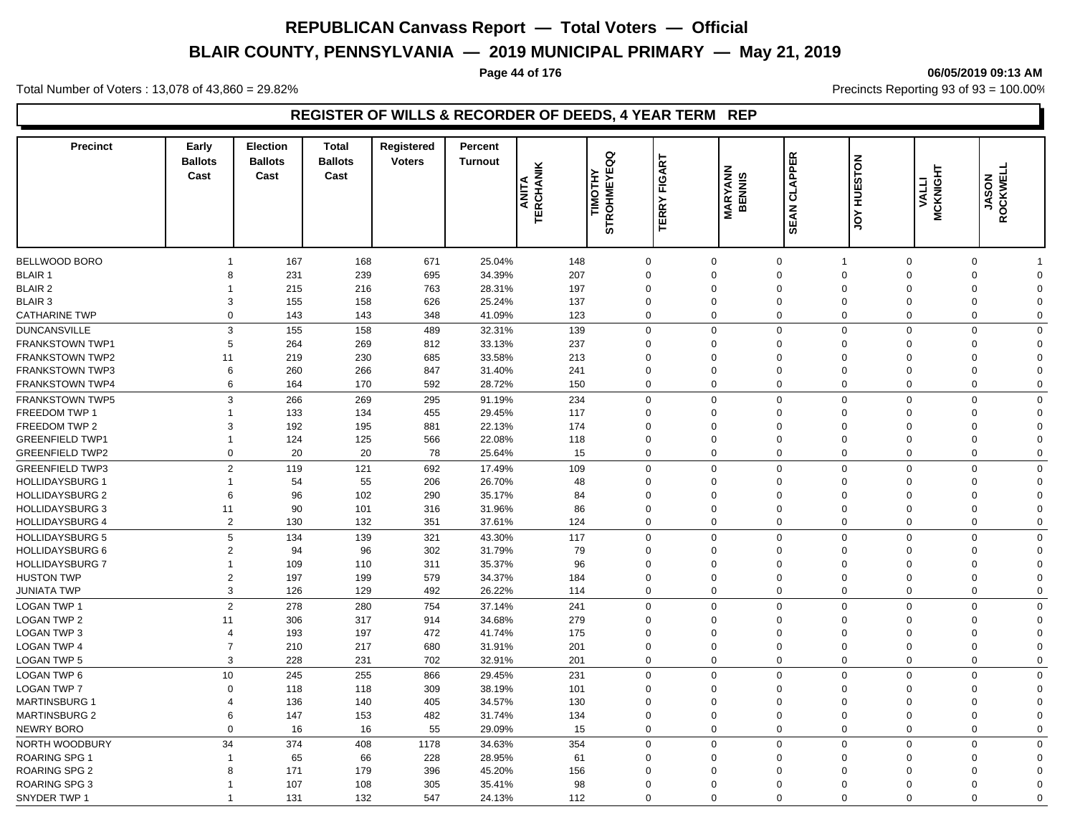# **BLAIR COUNTY, PENNSYLVANIA — 2019 MUNICIPAL PRIMARY — May 21, 2019**

#### **Page 44 of 176 06/05/2019 09:13 AM**

Total Number of Voters : 13,078 of 43,860 = 29.82% Precincts Reporting 93 of 93 = 100.00%

### **REGISTER OF WILLS & RECORDER OF DEEDS, 4 YEAR TERM REP**

| <b>Precinct</b>        | Early<br><b>Ballots</b><br>Cast | <b>Election</b><br><b>Ballots</b><br>Cast | <b>Total</b><br><b>Ballots</b><br>Cast | Registered<br><b>Voters</b> | Percent<br><b>Turnout</b> | <b>TERCHANIK</b><br>ANITA | g<br>Ŵ<br><b>TIMOTHY</b><br>STROHMEYEO | FIGART<br><b>TERRY</b> | <b>MARYANN</b><br>BENNIS | <b>CLAPPER</b><br><b>SEAN</b> | <b>HUESTON</b><br>$\zeta$ | <b>MCKNIGHT</b><br><b>VALLI</b> | ROCKWELL<br><b>JASON</b> |             |
|------------------------|---------------------------------|-------------------------------------------|----------------------------------------|-----------------------------|---------------------------|---------------------------|----------------------------------------|------------------------|--------------------------|-------------------------------|---------------------------|---------------------------------|--------------------------|-------------|
|                        |                                 |                                           |                                        |                             |                           |                           |                                        |                        |                          |                               |                           |                                 |                          |             |
| <b>BELLWOOD BORO</b>   | $\mathbf{1}$                    | 167                                       | 168                                    | 671                         | 25.04%                    | 148                       | $\overline{0}$                         |                        | $\mathbf 0$              | $\mathbf 0$                   | $\overline{1}$            | $\mathbf 0$                     | $\mathbf 0$              |             |
| <b>BLAIR 1</b>         | 8                               | 231                                       | 239                                    | 695                         | 34.39%                    | 207                       | $\Omega$                               |                        | $\Omega$                 | $\mathbf 0$                   | $\mathbf{0}$              | $\Omega$                        | $\mathbf 0$              | $\Omega$    |
| <b>BLAIR 2</b>         | $\overline{1}$                  | 215                                       | 216                                    | 763                         | 28.31%                    | 197                       | $\mathbf 0$                            |                        | $\Omega$                 | $\mathbf 0$                   | $\Omega$                  | $\Omega$                        | $\mathbf 0$              | $\Omega$    |
| <b>BLAIR 3</b>         | 3                               | 155                                       | 158                                    | 626                         | 25.24%                    | 137                       | $\Omega$                               |                        | $\Omega$                 | $\mathbf 0$                   | $\Omega$                  | $\Omega$                        | $\mathbf 0$              | $\Omega$    |
| <b>CATHARINE TWP</b>   | $\Omega$                        | 143                                       | 143                                    | 348                         | 41.09%                    | 123                       | $\Omega$                               |                        | $\mathbf 0$              | $\mathbf 0$                   | $\mathbf 0$               | $\mathbf 0$                     | $\mathbf 0$              | $\Omega$    |
| <b>DUNCANSVILLE</b>    | 3                               | 155                                       | 158                                    | 489                         | 32.31%                    | 139                       | $\mathbf 0$                            |                        | $\mathbf 0$              | $\mathbf 0$                   | $\mathbf 0$               | $\overline{0}$                  | $\mathbf 0$              | $\Omega$    |
| <b>FRANKSTOWN TWP1</b> | 5                               | 264                                       | 269                                    | 812                         | 33.13%                    | 237                       | $\Omega$                               |                        | $\Omega$                 | $\mathbf 0$                   | $\Omega$                  | $\Omega$                        | 0                        | $\Omega$    |
| <b>FRANKSTOWN TWP2</b> | 11                              | 219                                       | 230                                    | 685                         | 33.58%                    | 213                       | $\mathbf 0$                            |                        | $\mathbf 0$              | $\mathbf 0$                   | $\Omega$                  | $\mathbf 0$                     | 0                        | $\Omega$    |
| <b>FRANKSTOWN TWP3</b> | 6                               | 260                                       | 266                                    | 847                         | 31.40%                    | 241                       | $\Omega$                               |                        | $\mathbf 0$              | $\mathbf 0$                   | $\Omega$                  | $\mathbf 0$                     | 0                        | $\Omega$    |
| <b>FRANKSTOWN TWP4</b> | 6                               | 164                                       | 170                                    | 592                         | 28.72%                    | 150                       | $\mathbf 0$                            |                        | $\mathbf 0$              | $\mathbf 0$                   | $\mathbf 0$               | $\overline{0}$                  | $\mathbf 0$              | $\mathbf 0$ |
| <b>FRANKSTOWN TWP5</b> | 3                               | 266                                       | 269                                    | 295                         | 91.19%                    | 234                       | $\Omega$                               |                        | $\mathbf 0$              | $\mathbf 0$                   | $\Omega$                  | $\overline{0}$                  | $\mathbf 0$              | $\Omega$    |
| <b>FREEDOM TWP 1</b>   |                                 | 133                                       | 134                                    | 455                         | 29.45%                    | 117                       | $\Omega$                               |                        | 0                        | $\mathbf 0$                   | $\Omega$                  | $\Omega$                        | $\Omega$                 | $\Omega$    |
| FREEDOM TWP 2          | 3                               | 192                                       | 195                                    | 881                         | 22.13%                    | 174                       | $\Omega$                               |                        | $\mathbf 0$              | $\mathbf 0$                   | $\Omega$                  | $\Omega$                        | $\Omega$                 | $\Omega$    |
| <b>GREENFIELD TWP1</b> | $\mathbf{1}$                    | 124                                       | 125                                    | 566                         | 22.08%                    | 118                       | $\Omega$                               |                        | $\Omega$                 | $\mathbf{0}$                  | $\Omega$                  | $\Omega$                        | $\mathbf 0$              | $\Omega$    |
| <b>GREENFIELD TWP2</b> | $\mathbf 0$                     | 20                                        | 20                                     | 78                          | 25.64%                    | 15                        | $\mathbf 0$                            |                        | $\mathbf 0$              | $\mathbf 0$                   | $\mathbf 0$               | $\mathbf 0$                     | $\mathbf 0$              | $\Omega$    |
| <b>GREENFIELD TWP3</b> | $\overline{2}$                  | 119                                       | 121                                    | 692                         | 17.49%                    | 109                       | $\Omega$                               |                        | $\mathbf 0$              | $\mathbf 0$                   | $\mathbf 0$               | $\mathbf 0$                     | $\mathbf 0$              | $\Omega$    |
| <b>HOLLIDAYSBURG 1</b> | $\overline{1}$                  | 54                                        | 55                                     | 206                         | 26.70%                    | 48                        | $\Omega$                               |                        | $\mathbf 0$              | $\mathbf 0$                   | $\Omega$                  | $\Omega$                        | $\mathbf 0$              | $\Omega$    |
| <b>HOLLIDAYSBURG 2</b> | 6                               | 96                                        | 102                                    | 290                         | 35.17%                    | 84                        | $\Omega$                               |                        | $\Omega$                 | $\mathbf 0$                   | $\Omega$                  | $\Omega$                        | $\mathbf 0$              | $\Omega$    |
| <b>HOLLIDAYSBURG 3</b> | 11                              | 90                                        | 101                                    | 316                         | 31.96%                    | 86                        | $\Omega$                               |                        | 0                        | $\mathbf 0$                   | $\Omega$                  | $\Omega$                        | $\mathbf 0$              | $\Omega$    |
| <b>HOLLIDAYSBURG 4</b> | $\overline{2}$                  | 130                                       | 132                                    | 351                         | 37.61%                    | 124                       | $\Omega$                               |                        | 0                        | $\mathbf 0$                   | $\mathbf 0$               | $\mathbf 0$                     | $\mathbf 0$              | $\Omega$    |
| <b>HOLLIDAYSBURG 5</b> | 5                               | 134                                       | 139                                    | 321                         | 43.30%                    | 117                       | $\Omega$                               |                        | $\Omega$                 | $\mathbf 0$                   | $\mathbf 0$               | $\Omega$                        | $\mathbf 0$              | $\Omega$    |
| <b>HOLLIDAYSBURG 6</b> | $\overline{2}$                  | 94                                        | 96                                     | 302                         | 31.79%                    | 79                        | $\mathbf 0$                            |                        | $\Omega$                 | $\mathbf 0$                   | $\Omega$                  | $\mathbf 0$                     | 0                        | $\Omega$    |
| <b>HOLLIDAYSBURG 7</b> | $\mathbf{1}$                    | 109                                       | 110                                    | 311                         | 35.37%                    | 96                        | $\Omega$                               |                        | $\Omega$                 | $\mathbf 0$                   | $\Omega$                  | $\Omega$                        | 0                        | $\Omega$    |
| <b>HUSTON TWP</b>      | $\overline{2}$                  | 197                                       | 199                                    | 579                         | 34.37%                    | 184                       | $\mathbf 0$                            |                        | $\mathbf 0$              | $\mathbf 0$                   | $\Omega$                  | $\overline{0}$                  | $\mathbf 0$              | $\Omega$    |
| JUNIATA TWP            | 3                               | 126                                       | 129                                    | 492                         | 26.22%                    | 114                       | $\Omega$                               |                        | $\Omega$                 | $\mathbf 0$                   | $\Omega$                  | $\Omega$                        | $\mathbf 0$              | $\mathbf 0$ |
| <b>LOGAN TWP 1</b>     | $\overline{2}$                  | 278                                       | 280                                    | 754                         | 37.14%                    | 241                       | $\Omega$                               |                        | $\mathbf 0$              | $\mathbf 0$                   | $\mathbf 0$               | $\mathbf 0$                     | $\mathbf 0$              | $\mathbf 0$ |
| <b>LOGAN TWP 2</b>     | 11                              | 306                                       | 317                                    | 914                         | 34.68%                    | 279                       | $\Omega$                               |                        | $\mathbf 0$              | $\mathbf 0$                   | $\Omega$                  | $\Omega$                        | $\mathbf 0$              | $\Omega$    |
| <b>LOGAN TWP 3</b>     | $\overline{4}$                  | 193                                       | 197                                    | 472                         | 41.74%                    | 175                       | $\Omega$                               |                        | $\Omega$                 | $\mathbf 0$                   | $\Omega$                  | $\Omega$                        | $\mathbf 0$              | $\Omega$    |
| <b>LOGAN TWP 4</b>     | $\overline{7}$                  | 210                                       | 217                                    | 680                         | 31.91%                    | 201                       | $\mathbf 0$                            |                        | $\mathbf 0$              | $\mathbf 0$                   | $\mathbf 0$               | $\overline{0}$                  | $\mathbf 0$              | $\Omega$    |
| <b>LOGAN TWP 5</b>     | 3                               | 228                                       | 231                                    | 702                         | 32.91%                    | 201                       | $\Omega$                               |                        | $\mathbf 0$              | $\mathbf 0$                   | $\Omega$                  | $\mathbf 0$                     | $\mathbf 0$              | $\Omega$    |
| LOGAN TWP 6            | 10                              | 245                                       | 255                                    | 866                         | 29.45%                    | 231                       | $\Omega$                               |                        | $\mathbf 0$              | $\mathbf 0$                   | $\mathbf 0$               | $\mathbf 0$                     | $\mathbf 0$              | $\Omega$    |
| <b>LOGAN TWP 7</b>     | $\mathbf 0$                     | 118                                       | 118                                    | 309                         | 38.19%                    | 101                       | $\Omega$                               |                        | $\mathbf 0$              | $\mathbf 0$                   | $\Omega$                  | $\mathbf 0$                     | 0                        | $\Omega$    |
| <b>MARTINSBURG 1</b>   | 4                               | 136                                       | 140                                    | 405                         | 34.57%                    | 130                       | $\Omega$                               |                        | $\Omega$                 | $\mathbf 0$                   | $\Omega$                  | $\Omega$                        | 0                        | $\Omega$    |
| <b>MARTINSBURG 2</b>   | 6                               | 147                                       | 153                                    | 482                         | 31.74%                    | 134                       | $\Omega$                               |                        | $\Omega$                 | $\mathbf 0$                   | $\Omega$                  | $\Omega$                        | 0                        | $\Omega$    |
| <b>NEWRY BORO</b>      | $\Omega$                        | 16                                        | 16                                     | 55                          | 29.09%                    | 15                        | $\Omega$                               |                        | 0                        | $\mathbf 0$                   | $\Omega$                  | $\mathbf 0$                     | 0                        | $\Omega$    |
| NORTH WOODBURY         | 34                              | 374                                       | 408                                    | 1178                        | 34.63%                    | 354                       | $\Omega$                               |                        | $\mathbf 0$              | $\mathbf 0$                   | $\mathbf 0$               | $\overline{0}$                  | $\mathbf 0$              | $\Omega$    |
| <b>ROARING SPG 1</b>   | $\overline{\mathbf{1}}$         | 65                                        | 66                                     | 228                         | 28.95%                    | 61                        | $\Omega$                               |                        | $\Omega$                 | $\Omega$                      | $\Omega$                  | $\Omega$                        | $\mathbf 0$              | $\Omega$    |
| <b>ROARING SPG 2</b>   | 8                               | 171                                       | 179                                    | 396                         | 45.20%                    | 156                       | $\Omega$                               |                        | $\Omega$                 | 0                             | $\Omega$                  | $\Omega$                        | 0                        | $\Omega$    |
| <b>ROARING SPG 3</b>   |                                 | 107                                       | 108                                    | 305                         | 35.41%                    | 98                        | $\Omega$                               |                        | $\Omega$                 | $\Omega$                      | $\Omega$                  | $\Omega$                        | $\Omega$                 | $\Omega$    |
| SNYDER TWP 1           | $\overline{1}$                  | 131                                       | 132                                    | 547                         | 24.13%                    | 112                       | $\Omega$                               |                        | $\mathbf 0$              | $\Omega$                      | $\mathbf 0$               | $\mathbf 0$                     | $\mathbf 0$              | $\Omega$    |
|                        |                                 |                                           |                                        |                             |                           |                           |                                        |                        |                          |                               |                           |                                 |                          |             |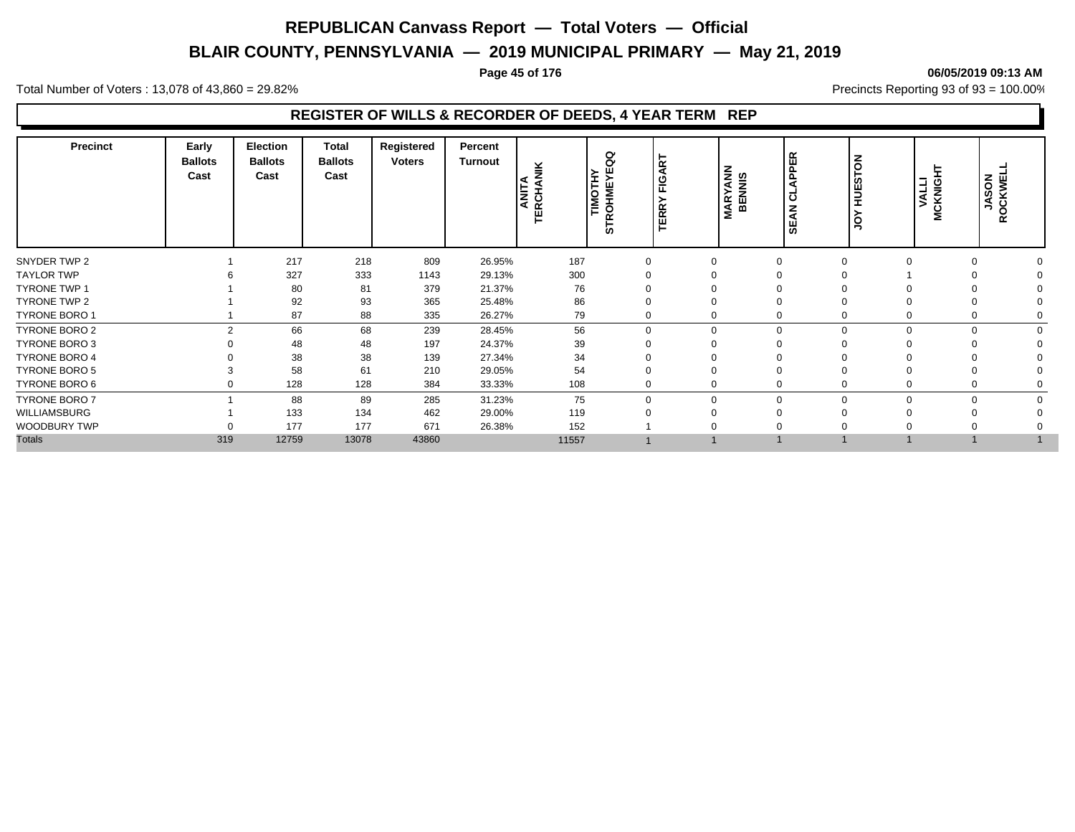# **BLAIR COUNTY, PENNSYLVANIA — 2019 MUNICIPAL PRIMARY — May 21, 2019**

Total Number of Voters : 13,078 of 43,860 = 29.82% Precincts Reporting 93 of 93 = 100.00%

### **REGISTER OF WILLS & RECORDER OF DEEDS, 4 YEAR TERM REP**

| <b>Precinct</b>      | Early<br><b>Ballots</b><br>Cast | <b>Election</b><br><b>Ballots</b><br>Cast | <b>Total</b><br><b>Ballots</b><br>Cast | Registered<br><b>Voters</b> | Percent<br>Turnout | <b>ANITA<br/>TERCHANIK</b> | σ<br>$\mathbf{\Omega}$<br>TIMOTHY<br>COHMEYE<br>$\alpha$<br><b>in</b> | FIGART<br>$\alpha$<br>$\propto$<br>ш | <b>MARYANN</b><br>BENNIS | ER<br>ပ<br>z<br>ш<br>ိ ဟ | STON<br>E<br>၂၀ | ı<br>VALLI<br><b>MCKNIG</b> | <b>JASON</b><br>ROCKWEL |  |
|----------------------|---------------------------------|-------------------------------------------|----------------------------------------|-----------------------------|--------------------|----------------------------|-----------------------------------------------------------------------|--------------------------------------|--------------------------|--------------------------|-----------------|-----------------------------|-------------------------|--|
| SNYDER TWP 2         |                                 | 217                                       | 218                                    | 809                         | 26.95%             | 187                        | 0                                                                     |                                      | $\mathbf 0$              |                          |                 | $\Omega$                    |                         |  |
| <b>TAYLOR TWP</b>    |                                 | 327                                       | 333                                    | 1143                        | 29.13%             | 300                        |                                                                       | $\Omega$                             |                          |                          |                 |                             |                         |  |
| <b>TYRONE TWP 1</b>  |                                 | 80                                        | 81                                     | 379                         | 21.37%             | 76                         |                                                                       |                                      | $\Omega$                 |                          |                 |                             |                         |  |
| TYRONE TWP 2         |                                 | 92                                        | 93                                     | 365                         | 25.48%             | 86                         | 0                                                                     |                                      | $\Omega$                 |                          |                 |                             |                         |  |
| TYRONE BORO 1        |                                 | 87                                        | 88                                     | 335                         | 26.27%             | 79                         |                                                                       | 0                                    | 0                        |                          |                 | $\Omega$                    |                         |  |
| <b>TYRONE BORO 2</b> | $\mathfrak{p}$                  | 66                                        | 68                                     | 239                         | 28.45%             | 56                         | $\Omega$                                                              |                                      | 0                        | $\Omega$                 |                 | $\Omega$                    |                         |  |
| <b>TYRONE BORO 3</b> |                                 | 48                                        | 48                                     | 197                         | 24.37%             | 39                         |                                                                       | ∩                                    |                          |                          |                 |                             |                         |  |
| <b>TYRONE BORO 4</b> |                                 | 38                                        | 38                                     | 139                         | 27.34%             | 34                         |                                                                       |                                      | $\Omega$                 |                          |                 |                             |                         |  |
| <b>TYRONE BORO 5</b> |                                 | 58                                        | 61                                     | 210                         | 29.05%             | 54                         |                                                                       | $\Omega$                             |                          |                          |                 |                             |                         |  |
| TYRONE BORO 6        | $\Omega$                        | 128                                       | 128                                    | 384                         | 33.33%             | 108                        |                                                                       | $\mathbf 0$                          | 0                        |                          |                 | $\Omega$                    |                         |  |
| <b>TYRONE BORO 7</b> |                                 | 88                                        | 89                                     | 285                         | 31.23%             | 75                         |                                                                       | $\Omega$                             | 0                        |                          |                 | $\Omega$                    |                         |  |
| WILLIAMSBURG         |                                 | 133                                       | 134                                    | 462                         | 29.00%             | 119                        |                                                                       |                                      | $\Omega$                 |                          |                 |                             |                         |  |
| WOODBURY TWP         | $\Omega$                        | 177                                       | 177                                    | 671                         | 26.38%             | 152                        |                                                                       | $\Omega$                             |                          |                          |                 |                             |                         |  |
| <b>Totals</b>        | 319                             | 12759                                     | 13078                                  | 43860                       |                    | 11557                      |                                                                       |                                      |                          |                          |                 |                             |                         |  |

#### **Page 45 of 176 06/05/2019 09:13 AM**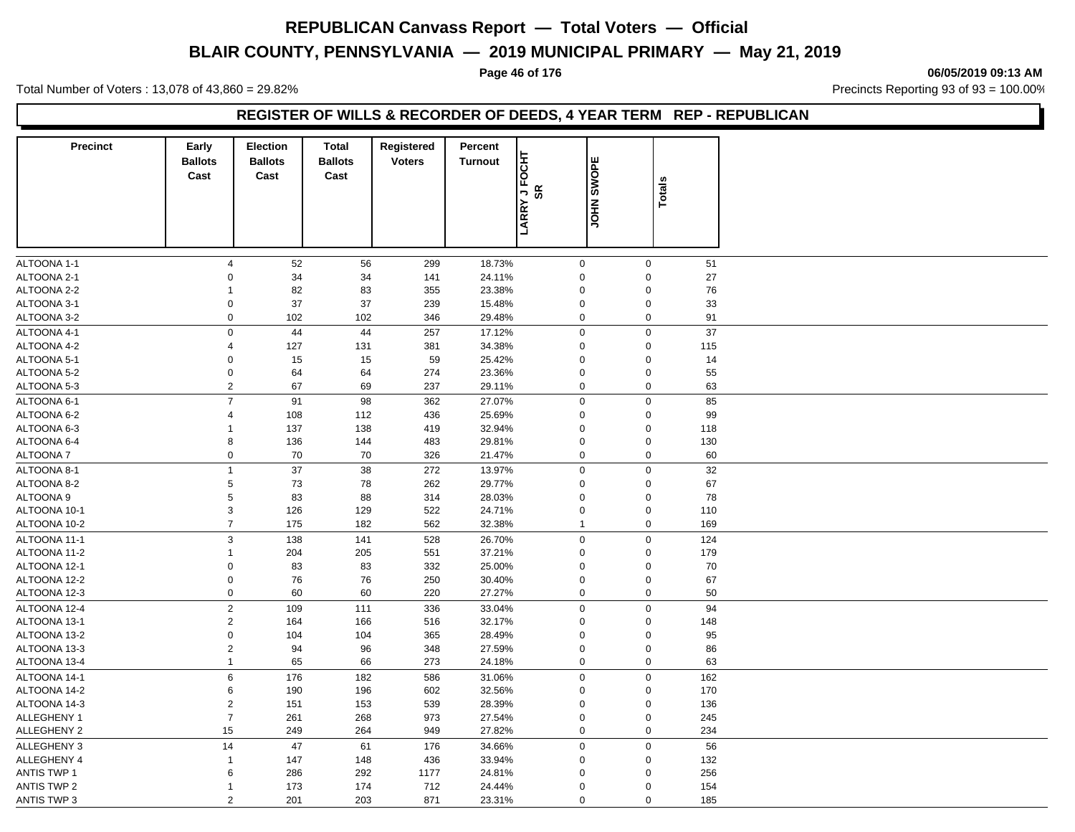# **BLAIR COUNTY, PENNSYLVANIA — 2019 MUNICIPAL PRIMARY — May 21, 2019**

#### **Page 46 of 176 06/05/2019 09:13 AM**

Total Number of Voters : 13,078 of 43,860 = 29.82% Precincts Reporting 93 of 93 = 100.00%

### **REGISTER OF WILLS & RECORDER OF DEEDS, 4 YEAR TERM REP - REPUBLICAN**

| <b>Precinct</b>          | Early<br><b>Ballots</b><br>Cast | <b>Election</b><br><b>Ballots</b><br>Cast | <b>Total</b><br><b>Ballots</b><br>Cast | Registered<br><b>Voters</b> | Percent<br><b>Turnout</b> | 동<br>ě<br><b>SR</b><br>٦,<br><b>LARRY</b> | <b>JOHN SWOPE</b>          | <b>Totals</b>              |          |
|--------------------------|---------------------------------|-------------------------------------------|----------------------------------------|-----------------------------|---------------------------|-------------------------------------------|----------------------------|----------------------------|----------|
| ALTOONA 1-1              | $\overline{4}$                  | 52                                        | 56                                     | 299                         | 18.73%                    |                                           | $\mathbf 0$                | $\mathbf 0$                | 51       |
| ALTOONA 2-1              | $\Omega$                        | 34                                        | 34                                     | 141                         | 24.11%                    |                                           | $\mathbf 0$                | $\Omega$                   | 27       |
| ALTOONA 2-2              | $\overline{1}$                  | 82                                        | 83                                     | 355                         | 23.38%                    |                                           | $\mathbf 0$                | $\mathbf 0$                | 76       |
| ALTOONA 3-1              | $\mathbf 0$                     | 37                                        | 37                                     | 239                         | 15.48%                    |                                           | $\pmb{0}$                  | $\pmb{0}$                  | 33       |
| ALTOONA 3-2              | $\mathbf 0$                     | 102                                       | 102                                    | 346                         | 29.48%                    |                                           | $\mathbf 0$                | $\mathbf 0$                | 91       |
| ALTOONA 4-1              | $\mathbf 0$                     | 44                                        | 44                                     | 257                         | 17.12%                    |                                           | $\mathbf 0$                | $\mathbf 0$                | 37       |
| ALTOONA 4-2              | $\overline{4}$                  | 127                                       | 131                                    | 381                         | 34.38%                    |                                           | $\mathbf 0$                | $\mathbf 0$                | 115      |
| ALTOONA 5-1              | $\mathbf 0$                     | 15                                        | 15                                     | 59                          | 25.42%                    |                                           | $\mathbf 0$                | $\mathbf 0$                | 14       |
| ALTOONA 5-2              | $\mathbf 0$                     | 64                                        | 64                                     | 274                         | 23.36%                    |                                           | $\mathbf 0$                | $\mathbf 0$                | 55       |
| ALTOONA 5-3              | $\sqrt{2}$                      | 67                                        | 69                                     | 237                         | 29.11%                    |                                           | $\mathbf 0$                | $\mathbf 0$                | 63       |
| ALTOONA 6-1              | $\overline{7}$                  | 91                                        | 98                                     | 362                         | 27.07%                    |                                           | $\mathbf 0$                | $\mathbf 0$                | 85       |
| ALTOONA 6-2              | $\overline{4}$                  | 108                                       | 112                                    | 436                         | 25.69%                    |                                           | $\mathbf 0$                | $\Omega$                   | 99       |
| ALTOONA 6-3              | $\mathbf{1}$                    | 137                                       | 138                                    | 419                         | 32.94%                    |                                           | $\Omega$                   | $\mathbf 0$                | 118      |
| ALTOONA 6-4              | 8                               | 136                                       | 144                                    | 483                         | 29.81%                    |                                           | $\mathbf 0$                | $\mathbf 0$                | 130      |
| <b>ALTOONA7</b>          | $\mathbf 0$                     | 70                                        | 70                                     | 326                         | 21.47%                    |                                           | $\mathbf 0$                | $\mathbf 0$                | 60       |
|                          | $\overline{1}$                  |                                           |                                        |                             |                           |                                           |                            |                            |          |
| ALTOONA 8-1              | $\,$ 5                          | 37                                        | 38                                     | 272                         | 13.97%<br>29.77%          |                                           | $\mathbf 0$<br>$\mathbf 0$ | $\mathbf 0$<br>$\mathbf 0$ | 32       |
| ALTOONA 8-2<br>ALTOONA 9 | $\,$ 5                          | 73<br>83                                  | 78<br>88                               | 262                         | 28.03%                    |                                           | $\mathbf 0$                | $\mathbf 0$                | 67<br>78 |
| ALTOONA 10-1             | $\sqrt{3}$                      | 126                                       | 129                                    | 314<br>522                  | 24.71%                    |                                           | $\mathbf 0$                | $\Omega$                   | 110      |
|                          | $\overline{7}$                  |                                           | 182                                    | 562                         |                           |                                           |                            | $\mathbf 0$                |          |
| ALTOONA 10-2             |                                 | 175                                       |                                        |                             | 32.38%                    |                                           | $\mathbf{1}$               |                            | 169      |
| ALTOONA 11-1             | $\mathbf{3}$                    | 138                                       | 141                                    | 528                         | 26.70%                    |                                           | $\mathbf 0$                | $\mathbf 0$                | 124      |
| ALTOONA 11-2             | $\overline{1}$                  | 204                                       | 205                                    | 551                         | 37.21%                    |                                           | $\mathbf 0$                | $\mathbf 0$                | 179      |
| ALTOONA 12-1             | $\mathsf 0$                     | 83                                        | 83                                     | 332                         | 25.00%                    |                                           | $\mathbf 0$                | $\mathbf 0$                | 70       |
| ALTOONA 12-2             | $\mathsf 0$                     | 76                                        | 76                                     | 250                         | 30.40%                    |                                           | $\mathbf 0$                | $\mathbf 0$                | 67       |
| ALTOONA 12-3             | $\mathsf 0$                     | 60                                        | 60                                     | 220                         | 27.27%                    |                                           | $\mathbf 0$                | $\mathbf 0$                | 50       |
| ALTOONA 12-4             | $\sqrt{2}$                      | 109                                       | 111                                    | 336                         | 33.04%                    |                                           | $\mathbf 0$                | $\mathbf 0$                | 94       |
| ALTOONA 13-1             | $\overline{2}$                  | 164                                       | 166                                    | 516                         | 32.17%                    |                                           | $\mathbf 0$                | $\mathbf 0$                | 148      |
| ALTOONA 13-2             | $\mathsf 0$                     | 104                                       | 104                                    | 365                         | 28.49%                    |                                           | $\mathbf 0$                | $\mathbf 0$                | 95       |
| ALTOONA 13-3             | $\sqrt{2}$                      | 94                                        | 96                                     | 348                         | 27.59%                    |                                           | $\pmb{0}$                  | $\pmb{0}$                  | 86       |
| ALTOONA 13-4             | $\mathbf{1}$                    | 65                                        | 66                                     | 273                         | 24.18%                    |                                           | $\mathbf 0$                | $\mathbf 0$                | 63       |
| ALTOONA 14-1             | $6\phantom{a}$                  | 176                                       | 182                                    | 586                         | 31.06%                    |                                           | $\mathbf 0$                | $\mathbf 0$                | 162      |
| ALTOONA 14-2             | $\,6\,$                         | 190                                       | 196                                    | 602                         | 32.56%                    |                                           | $\mathbf 0$                | $\mathbf 0$                | 170      |
| ALTOONA 14-3             | $\overline{2}$                  | 151                                       | 153                                    | 539                         | 28.39%                    |                                           | $\mathbf 0$                | $\mathbf 0$                | 136      |
| ALLEGHENY 1              | $\overline{7}$                  | 261                                       | 268                                    | 973                         | 27.54%                    |                                           | $\mathbf 0$                | $\mathbf 0$                | 245      |
| ALLEGHENY 2              | 15                              | 249                                       | 264                                    | 949                         | 27.82%                    |                                           | $\mathbf 0$                | $\mathbf 0$                | 234      |
| ALLEGHENY 3              | 14                              | 47                                        | 61                                     | 176                         | 34.66%                    |                                           | $\mathbf 0$                | $\Omega$                   | 56       |
| <b>ALLEGHENY 4</b>       | $\mathbf{1}$                    | 147                                       | 148                                    | 436                         | 33.94%                    |                                           | $\mathbf 0$                | $\Omega$                   | 132      |
| <b>ANTIS TWP 1</b>       | 6                               | 286                                       | 292                                    | 1177                        | 24.81%                    |                                           | $\Omega$                   | $\Omega$                   | 256      |
| <b>ANTIS TWP 2</b>       | $\mathbf{1}$                    | 173                                       | 174                                    | 712                         | 24.44%                    |                                           | $\Omega$                   | $\mathbf 0$                | 154      |
| <b>ANTIS TWP 3</b>       | 2                               | 201                                       | 203                                    | 871                         | 23.31%                    |                                           | $\mathbf 0$                | $\mathbf 0$                | 185      |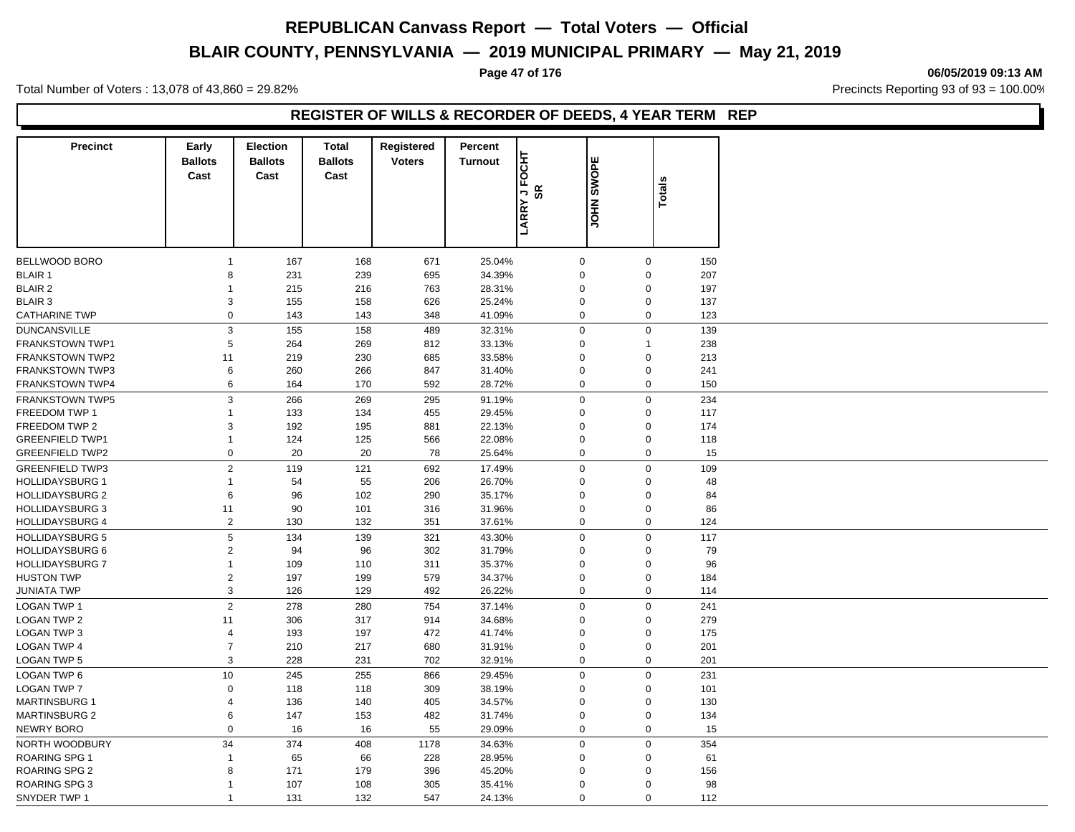# **BLAIR COUNTY, PENNSYLVANIA — 2019 MUNICIPAL PRIMARY — May 21, 2019**

**Page 47 of 176 06/05/2019 09:13 AM**

Total Number of Voters : 13,078 of 43,860 = 29.82% Precincts Reporting 93 of 93 = 100.00%

### **REGISTER OF WILLS & RECORDER OF DEEDS, 4 YEAR TERM REP**

| <b>Precinct</b>        | Early<br><b>Ballots</b><br>Cast | <b>Election</b><br><b>Ballots</b><br>Cast | Total<br><b>Ballots</b><br>Cast | Registered<br><b>Voters</b> | Percent<br><b>Turnout</b> | FOCHT<br>SR<br>$\overline{a}$ | ш<br><b>JOHN SWOP</b> | <b>Totals</b>    |     |
|------------------------|---------------------------------|-------------------------------------------|---------------------------------|-----------------------------|---------------------------|-------------------------------|-----------------------|------------------|-----|
|                        |                                 |                                           |                                 |                             |                           | <b>LARRY</b>                  |                       |                  |     |
| BELLWOOD BORO          | $\overline{1}$                  | 167                                       | 168                             | 671                         | 25.04%                    | $\mathbf 0$                   |                       | $\mathbf 0$      | 150 |
| <b>BLAIR 1</b>         | 8                               | 231                                       | 239                             | 695                         | 34.39%                    | $\mathbf 0$                   |                       | $\mathbf 0$      | 207 |
| <b>BLAIR 2</b>         | 1                               | 215                                       | 216                             | 763                         | 28.31%                    | $\mathbf 0$                   |                       | $\mathbf 0$      | 197 |
| <b>BLAIR 3</b>         | 3                               | 155                                       | 158                             | 626                         | 25.24%                    | 0                             |                       | $\Omega$         | 137 |
| <b>CATHARINE TWP</b>   | $\mathbf 0$                     | 143                                       | 143                             | 348                         | 41.09%                    | 0                             |                       | $\mathbf 0$      | 123 |
| <b>DUNCANSVILLE</b>    | $\mathsf 3$                     | 155                                       | 158                             | 489                         | 32.31%                    | $\mathsf{O}\xspace$           |                       | $\mathbf 0$      | 139 |
| <b>FRANKSTOWN TWP1</b> | 5                               | 264                                       | 269                             | 812                         | 33.13%                    | 0                             |                       | $\mathbf{1}$     | 238 |
| <b>FRANKSTOWN TWP2</b> | 11                              | 219                                       | 230                             | 685                         | 33.58%                    | 0                             |                       | $\mathbf 0$      | 213 |
| <b>FRANKSTOWN TWP3</b> | 6                               | 260                                       | 266                             | 847                         | 31.40%                    | 0                             |                       | $\mathbf{0}$     | 241 |
| FRANKSTOWN TWP4        | 6                               | 164                                       | 170                             | 592                         | 28.72%                    | $\mathbf 0$                   |                       | $\mathbf 0$      | 150 |
| FRANKSTOWN TWP5        | 3                               | 266                                       | 269                             | 295                         | 91.19%                    | $\mathbf 0$                   |                       | $\mathbf 0$      | 234 |
| FREEDOM TWP 1          | $\overline{1}$                  | 133                                       | 134                             | 455                         | 29.45%                    | 0                             |                       | $\mathbf 0$      | 117 |
| FREEDOM TWP 2          | 3                               | 192                                       | 195                             | 881                         | 22.13%                    | 0                             |                       | $\mathbf 0$      | 174 |
| <b>GREENFIELD TWP1</b> | 1                               | 124                                       | 125                             | 566                         | 22.08%                    | 0                             |                       | $\mathbf 0$      | 118 |
| <b>GREENFIELD TWP2</b> | 0                               | 20                                        | 20                              | 78                          | 25.64%                    | 0                             |                       | 0                | 15  |
| <b>GREENFIELD TWP3</b> | $\overline{2}$                  | 119                                       | 121                             | 692                         | 17.49%                    | $\mathbf{0}$                  |                       | $\mathbf 0$      | 109 |
| <b>HOLLIDAYSBURG 1</b> | $\mathbf{1}$                    | 54                                        | 55                              | 206                         | 26.70%                    | $\mathbf 0$                   |                       | $\mathbf 0$      | 48  |
| <b>HOLLIDAYSBURG 2</b> | 6                               | 96                                        | 102                             | 290                         | 35.17%                    | $\overline{0}$                |                       | $\Omega$         | 84  |
| <b>HOLLIDAYSBURG 3</b> | 11                              | 90                                        | 101                             | 316                         | 31.96%                    | 0                             |                       | $\mathbf 0$      | 86  |
| <b>HOLLIDAYSBURG 4</b> | $\sqrt{2}$                      | 130                                       | 132                             | 351                         | 37.61%                    | 0                             |                       | $\Omega$         | 124 |
| <b>HOLLIDAYSBURG 5</b> | $\mathbf 5$                     | 134                                       | 139                             | 321                         | 43.30%                    | $\mathbf 0$                   |                       | $\mathbf 0$      | 117 |
| <b>HOLLIDAYSBURG 6</b> | $\sqrt{2}$                      | 94                                        | 96                              | 302                         | 31.79%                    | 0                             |                       | $\mathbf 0$      | 79  |
| <b>HOLLIDAYSBURG 7</b> | $\overline{1}$                  | 109                                       | 110                             | 311                         | 35.37%                    | 0                             |                       | $\mathbf 0$      | 96  |
| <b>HUSTON TWP</b>      | $\sqrt{2}$                      | 197                                       | 199                             | 579                         | 34.37%                    | 0                             |                       | $\mathbf 0$      | 184 |
| JUNIATA TWP            | 3                               | 126                                       | 129                             | 492                         | 26.22%                    | $\mathbf 0$                   |                       | $\mathbf 0$      | 114 |
|                        | $\overline{2}$                  |                                           |                                 |                             |                           |                               |                       |                  |     |
| <b>LOGAN TWP 1</b>     |                                 | 278                                       | 280                             | 754                         | 37.14%                    | $\mathbf 0$                   |                       | $\mathbf 0$      | 241 |
| <b>LOGAN TWP 2</b>     | 11                              | 306                                       | 317                             | 914                         | 34.68%                    | 0                             |                       | $\mathbf 0$      | 279 |
| <b>LOGAN TWP 3</b>     | 4                               | 193                                       | 197                             | 472                         | 41.74%                    | $\mathbf 0$                   |                       | $\mathbf 0$      | 175 |
| <b>LOGAN TWP 4</b>     | $\overline{7}$                  | 210                                       | 217                             | 680                         | 31.91%                    | 0                             |                       | $\mathbf 0$      | 201 |
| <b>LOGAN TWP 5</b>     | $\mathsf 3$                     | 228                                       | 231                             | 702                         | 32.91%                    | 0                             |                       | $\mathbf 0$      | 201 |
| <b>LOGAN TWP 6</b>     | 10                              | 245                                       | 255                             | 866                         | 29.45%                    | $\mathbf 0$                   |                       | $\boldsymbol{0}$ | 231 |
| <b>LOGAN TWP 7</b>     | $\mathbf 0$                     | 118                                       | 118                             | 309                         | 38.19%                    | $\mathbf 0$                   |                       | $\Omega$         | 101 |
| <b>MARTINSBURG 1</b>   | $\overline{\mathbf{4}}$         | 136                                       | 140                             | 405                         | 34.57%                    | $\mathbf 0$                   |                       | $\Omega$         | 130 |
| <b>MARTINSBURG 2</b>   | 6                               | 147                                       | 153                             | 482                         | 31.74%                    | 0                             |                       | $\mathbf 0$      | 134 |
| <b>NEWRY BORO</b>      | $\mathbf 0$                     | 16                                        | 16                              | 55                          | 29.09%                    | $\mathbf 0$                   |                       | $\Omega$         | 15  |
| NORTH WOODBURY         | 34                              | 374                                       | 408                             | 1178                        | 34.63%                    | $\mathbf 0$                   |                       | $\mathbf 0$      | 354 |
| <b>ROARING SPG 1</b>   | $\mathbf{1}$                    | 65                                        | 66                              | 228                         | 28.95%                    | 0                             |                       | $\mathbf 0$      | 61  |
| <b>ROARING SPG 2</b>   | 8                               | 171                                       | 179                             | 396                         | 45.20%                    | 0                             |                       | $\mathbf 0$      | 156 |
| <b>ROARING SPG 3</b>   | $\mathbf{1}$                    | 107                                       | 108                             | 305                         | 35.41%                    | $\Omega$                      |                       | $\mathbf 0$      | 98  |
| SNYDER TWP 1           | $\mathbf{1}$                    | 131                                       | 132                             | 547                         | 24.13%                    | $\mathbf 0$                   |                       | $\mathbf 0$      | 112 |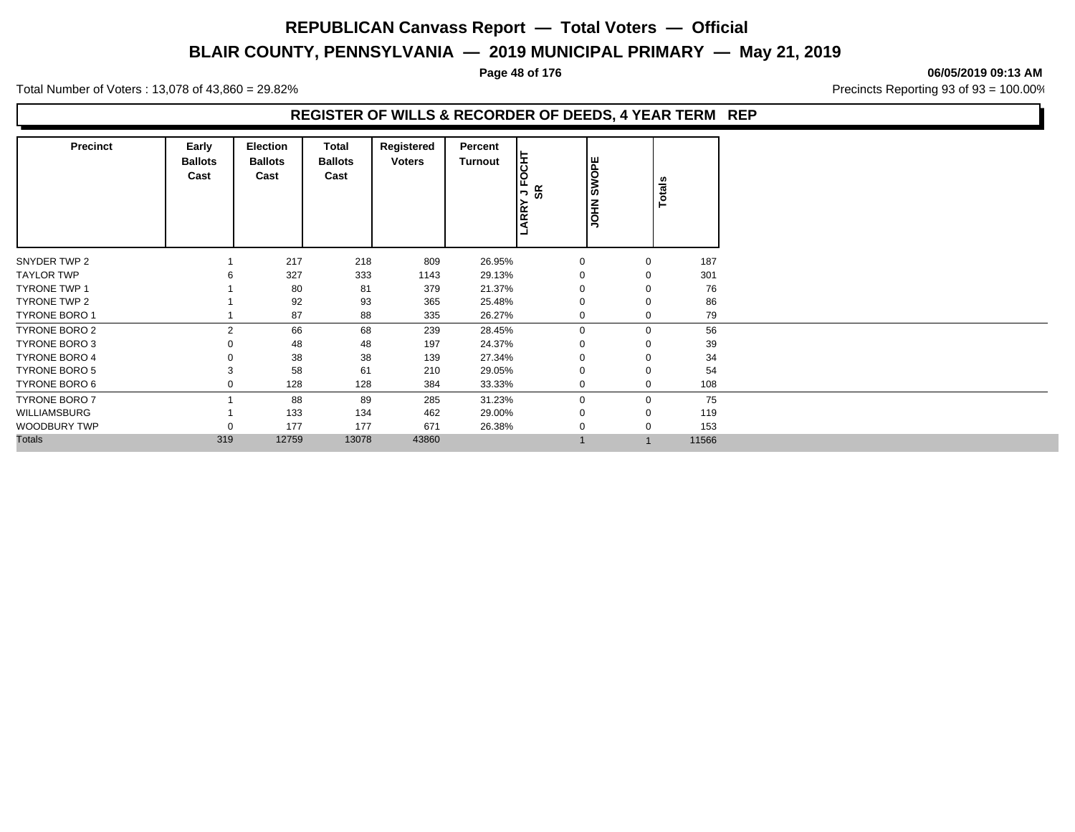# **BLAIR COUNTY, PENNSYLVANIA — 2019 MUNICIPAL PRIMARY — May 21, 2019**

#### **Page 48 of 176 06/05/2019 09:13 AM**

Total Number of Voters : 13,078 of 43,860 = 29.82% Precincts Reporting 93 of 93 = 100.00%

### **REGISTER OF WILLS & RECORDER OF DEEDS, 4 YEAR TERM REP**

| <b>Precinct</b>      | Early<br><b>Ballots</b><br>Cast | Election<br><b>Ballots</b><br>Cast | <b>Total</b><br><b>Ballots</b><br>Cast | Registered<br><b>Voters</b> | Percent<br><b>Turnout</b> | ᄫ<br>$\circ$<br>正<br>9g<br>$\overline{\phantom{a}}$<br>LARRY | <b>SWOPE</b><br><b>NHOL</b> | Totals |       |
|----------------------|---------------------------------|------------------------------------|----------------------------------------|-----------------------------|---------------------------|--------------------------------------------------------------|-----------------------------|--------|-------|
| SNYDER TWP 2         |                                 | 217                                | 218                                    | 809                         | 26.95%                    | $\mathbf 0$                                                  | $\mathbf 0$                 |        | 187   |
| <b>TAYLOR TWP</b>    |                                 | 327                                | 333                                    | 1143                        | 29.13%                    | 0                                                            | $\Omega$                    |        | 301   |
| <b>TYRONE TWP 1</b>  |                                 | 80                                 | 81                                     | 379                         | 21.37%                    | 0                                                            | $\Omega$                    |        | 76    |
| TYRONE TWP 2         |                                 | 92                                 | 93                                     | 365                         | 25.48%                    | $\Omega$                                                     | $\Omega$                    |        | 86    |
| <b>TYRONE BORO 1</b> |                                 | 87                                 | 88                                     | 335                         | 26.27%                    | $\mathbf 0$                                                  | $\mathbf 0$                 |        | 79    |
| <b>TYRONE BORO 2</b> | $\mathcal{P}$                   | 66                                 | 68                                     | 239                         | 28.45%                    | $\Omega$                                                     | $\Omega$                    |        | 56    |
| TYRONE BORO 3        |                                 | 48                                 | 48                                     | 197                         | 24.37%                    | 0                                                            |                             |        | 39    |
| <b>TYRONE BORO 4</b> |                                 | 38                                 | 38                                     | 139                         | 27.34%                    |                                                              | $\Omega$                    |        | 34    |
| <b>TYRONE BORO 5</b> | 3                               | 58                                 | 61                                     | 210                         | 29.05%                    | 0                                                            | $\Omega$                    |        | 54    |
| TYRONE BORO 6        | $\Omega$                        | 128                                | 128                                    | 384                         | 33.33%                    | 0                                                            | $\mathbf 0$                 |        | 108   |
| <b>TYRONE BORO 7</b> |                                 | 88                                 | 89                                     | 285                         | 31.23%                    | $\Omega$                                                     | $\Omega$                    |        | 75    |
| WILLIAMSBURG         |                                 | 133                                | 134                                    | 462                         | 29.00%                    |                                                              | $\Omega$                    |        | 119   |
| <b>WOODBURY TWP</b>  | $\Omega$                        | 177                                | 177                                    | 671                         | 26.38%                    |                                                              | $\Omega$                    |        | 153   |
| <b>Totals</b>        | 319                             | 12759                              | 13078                                  | 43860                       |                           |                                                              |                             |        | 11566 |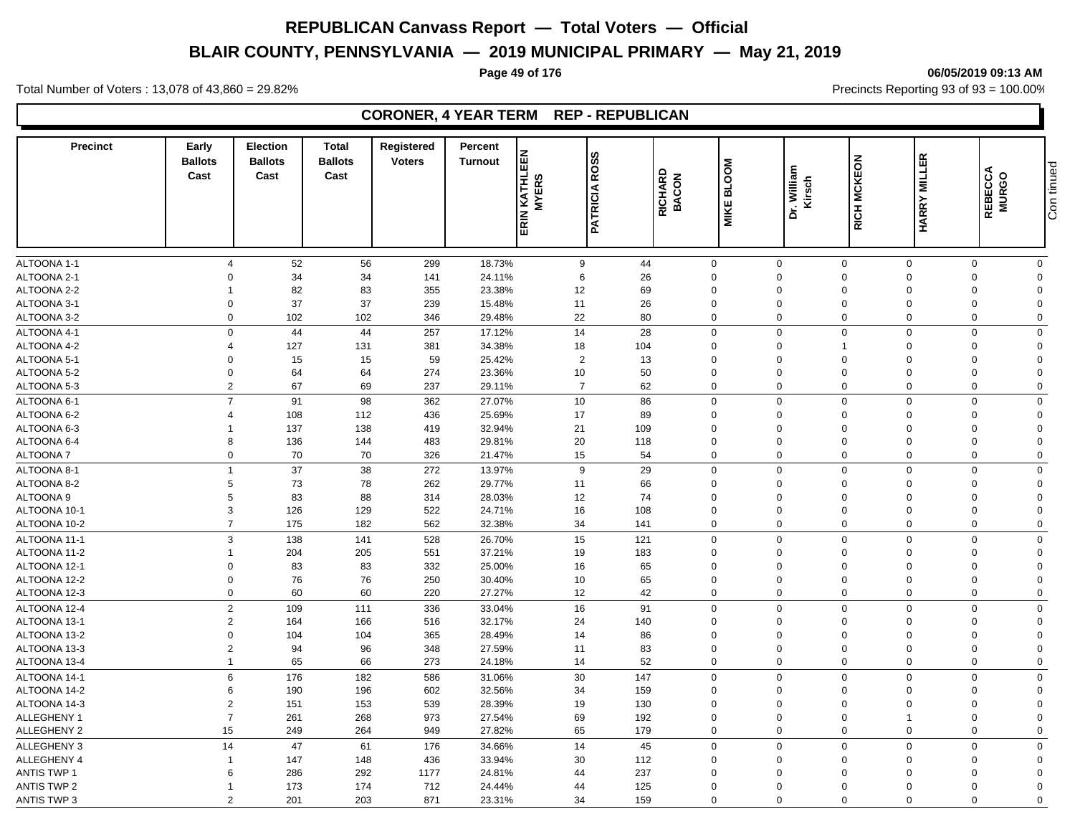# **BLAIR COUNTY, PENNSYLVANIA — 2019 MUNICIPAL PRIMARY — May 21, 2019**

**Page 49 of 176 06/05/2019 09:13 AM**

Total Number of Voters : 13,078 of 43,860 = 29.82% Precincts Reporting 93 of 93 = 100.00%

### **CORONER, 4 YEAR TERM REP - REPUBLICAN**

| <b>HARRY MILLER</b><br>RICH MCKEON<br><b>BLOOM</b><br>Dr. William<br>Kirsch<br>RICHARD<br>BACON<br>KATHLE<br><b>MYERS</b><br><b>PATRICIA</b><br><b>MIKE</b>                                                                          | Con tinued<br>REBECCA<br>MURGO                        |
|--------------------------------------------------------------------------------------------------------------------------------------------------------------------------------------------------------------------------------------|-------------------------------------------------------|
| ERIN                                                                                                                                                                                                                                 |                                                       |
|                                                                                                                                                                                                                                      |                                                       |
| ALTOONA 1-1<br>52<br>56<br>18.73%<br>9<br>44<br>299<br>$\mathbf 0$<br>$\mathbf 0$<br>$\mathbf 0$<br>$\mathbf 0$<br>$\overline{4}$                                                                                                    | $\mathbf 0$<br>$\mathbf 0$                            |
| ALTOONA 2-1<br>34<br>34<br>6<br>26<br>$\Omega$<br>141<br>24.11%<br>$\Omega$<br>$\Omega$<br>$\mathbf 0$<br>$\Omega$<br>ALTOONA 2-2<br>83<br>69<br>$\Omega$                                                                            | $\Omega$<br>$\Omega$                                  |
| 82<br>355<br>23.38%<br>12<br>$\mathbf{0}$<br>$\Omega$<br>$\Omega$<br>ALTOONA 3-1<br>37<br>37<br>26<br>239<br>15.48%<br>11<br>$\mathbf 0$<br>$\Omega$<br>$\mathbf 0$<br>0<br>$\Omega$                                                 | $\mathbf 0$<br>$\Omega$<br>$\mathbf 0$<br>$\Omega$    |
| 102<br>22<br>80<br>ALTOONA 3-2<br>$\Omega$<br>102<br>29.48%<br>$\overline{0}$<br>$\mathbf 0$<br>$\mathbf 0$<br>346<br>$\mathbf 0$                                                                                                    | $\mathbf 0$<br>$\Omega$                               |
|                                                                                                                                                                                                                                      |                                                       |
| ALTOONA 4-1<br>$\mathbf 0$<br>44<br>44<br>14<br>28<br>$\mathsf 0$<br>$\mathbf 0$<br>257<br>17.12%<br>$\mathbf 0$<br>$\mathbf 0$<br>ALTOONA 4-2<br>127<br>131<br>34.38%<br>$\Omega$<br>$\mathbf 0$<br>$\Omega$<br>4<br>$\overline{1}$ | $\mathbf 0$<br>$\mathbf 0$<br>$\mathbf 0$<br>$\Omega$ |
| 381<br>18<br>104<br>ALTOONA 5-1<br>$\overline{2}$<br>$\Omega$<br>$\Omega$<br>$\Omega$<br>$\Omega$                                                                                                                                    | $\mathbf 0$<br>$\Omega$                               |
| 15<br>15<br>59<br>25.42%<br>13<br>$\mathbf 0$<br>ALTOONA 5-2<br>$\Omega$<br>64<br>274<br>23.36%<br>10<br>50<br>$\mathbf 0$<br>64<br>$\mathbf 0$<br>0<br>$\Omega$                                                                     | $\mathbf 0$<br>$\mathbf 0$                            |
| $\overline{2}$<br>67<br>69<br>62<br>ALTOONA 5-3<br>237<br>29.11%<br>$\overline{7}$<br>$\mathbf 0$<br>$\Omega$<br>$\mathbf{0}$<br>$\Omega$                                                                                            | $\mathbf 0$<br>$\mathbf 0$                            |
| $\overline{7}$<br>91<br>98<br>10<br>86<br>$\mathbf 0$<br>$\mathbf 0$<br>$\mathbf 0$<br>$\Omega$                                                                                                                                      | $\mathbf 0$<br>$\mathbf 0$                            |
| ALTOONA 6-1<br>362<br>27.07%<br>25.69%<br>17<br>89<br>$\mathbf 0$<br>$\Omega$<br>$\mathbf{0}$<br>$\Omega$<br>4                                                                                                                       | $\mathbf 0$<br>$\Omega$                               |
| ALTOONA 6-2<br>108<br>112<br>436<br>138<br>ALTOONA 6-3<br>137<br>419<br>32.94%<br>21<br>109<br>$\mathbf 0$<br>$\mathbf 0$<br>0<br>$\Omega$                                                                                           | $\mathbf 0$<br>$\Omega$                               |
| ALTOONA 6-4<br>8<br>136<br>144<br>483<br>29.81%<br>20<br>118<br>$\overline{0}$<br>$\overline{0}$<br>$\mathbf 0$<br>$\Omega$                                                                                                          | $\mathbf 0$<br>$\mathbf 0$                            |
| 70<br>54<br><b>ALTOONA7</b><br>$\mathbf 0$<br>70<br>326<br>21.47%<br>15<br>$\mathbf 0$<br>$\Omega$<br>$\mathbf{0}$<br>$\Omega$                                                                                                       | $\mathbf 0$<br>$\mathbf 0$                            |
| $\mathbf 0$<br>$\Omega$<br>$\mathbf{0}$<br>$\Omega$<br>$\overline{1}$                                                                                                                                                                | $\mathbf 0$<br>$\mathbf 0$                            |
| ALTOONA 8-1<br>37<br>38<br>272<br>13.97%<br>9<br>29<br>ALTOONA 8-2<br>73<br>78<br>262<br>29.77%<br>11<br>66<br>$\mathbf 0$<br>5<br>$\mathbf 0$<br>0<br>$\Omega$                                                                      | $\mathbf 0$<br>$\Omega$                               |
| 88<br>ALTOONA <sub>9</sub><br>5<br>83<br>12<br>74<br>314<br>28.03%<br>$\mathbf 0$<br>$\Omega$<br>$\mathbf 0$<br>$\Omega$                                                                                                             | $\mathbf 0$<br>$\Omega$                               |
| 3<br>126<br>522<br>16<br>108<br>$\mathbf 0$<br>ALTOONA 10-1<br>129<br>24.71%<br>$\mathbf 0$<br>$\Omega$<br>$\Omega$                                                                                                                  | $\mathbf 0$<br>$\Omega$                               |
| $\overline{7}$<br>34<br>$\mathbf 0$<br>ALTOONA 10-2<br>175<br>182<br>562<br>32.38%<br>141<br>$\mathbf 0$<br>$\Omega$<br>$\mathbf 0$                                                                                                  | $\mathbf 0$<br>$\mathbf 0$                            |
| ALTOONA 11-1<br>3<br>138<br>141<br>528<br>26.70%<br>15<br>121<br>$\mathbf 0$<br>$\Omega$<br>$\mathbf 0$<br>$\Omega$                                                                                                                  | $\mathbf 0$<br>$\mathbf 0$                            |
| 37.21%<br>ALTOONA 11-2<br>204<br>205<br>551<br>19<br>183<br>$\overline{0}$<br>$\mathbf 0$<br>$\mathbf 0$<br>$\Omega$                                                                                                                 | $\mathbf 0$<br>$\mathbf 0$                            |
| ALTOONA 12-1<br>83<br>83<br>332<br>25.00%<br>16<br>65<br>$\mathbf 0$<br>$\mathbf 0$<br>$\mathbf 0$<br>0<br>$\Omega$                                                                                                                  | $\mathbf 0$<br>$\mathbf 0$                            |
| 76<br>76<br>30.40%<br>10<br>65<br>$\mathbf 0$<br>ALTOONA 12-2<br>$\Omega$<br>250<br>$\Omega$<br>$\Omega$<br>$\Omega$                                                                                                                 | $\mathbf 0$<br>$\Omega$                               |
| ALTOONA 12-3<br>$\mathbf 0$<br>60<br>60<br>220<br>27.27%<br>12<br>42<br>$\mathbf 0$<br>$\overline{0}$<br>$\mathbf 0$<br>$\Omega$                                                                                                     | $\mathbf 0$<br>$\mathbf 0$                            |
| $\overline{2}$<br>111<br>16<br>91<br>ALTOONA 12-4<br>109<br>336<br>$\mathbf 0$<br>$\Omega$<br>$\mathbf 0$<br>$\Omega$<br>33.04%                                                                                                      | $\mathbf 0$<br>$\Omega$                               |
| ALTOONA 13-1<br>$\overline{2}$<br>166<br>32.17%<br>24<br>140<br>164<br>516<br>$\mathbf 0$<br>$\Omega$<br>$\mathbf 0$<br>$\Omega$                                                                                                     | $\Omega$<br>$\Omega$                                  |
| ALTOONA 13-2<br>$\Omega$<br>28.49%<br>86<br>$\Omega$<br>104<br>104<br>365<br>14<br>$\Omega$<br>$\Omega$<br>$\Omega$                                                                                                                  | $\mathbf 0$<br>$\Omega$                               |
| ALTOONA 13-3<br>$\overline{2}$<br>96<br>27.59%<br>83<br>$\mathbf 0$<br>94<br>348<br>11<br>$\Omega$<br>$\Omega$<br>$\Omega$                                                                                                           | $\mathbf 0$<br>$\Omega$                               |
| 52<br>ALTOONA 13-4<br>65<br>66<br>273<br>24.18%<br>14<br>$\mathbf 0$<br>$\mathbf 0$<br>$\mathbf 0$<br>$\mathbf 0$<br>$\mathbf{1}$                                                                                                    | $\mathbf 0$<br>$\Omega$                               |
| ALTOONA 14-1<br>182<br>6<br>176<br>586<br>31.06%<br>30<br>147<br>$\mathbf 0$<br>$\mathbf 0$<br>$\mathbf 0$<br>$\Omega$                                                                                                               | $\mathbf 0$<br>$\mathbf 0$                            |
| ALTOONA 14-2<br>6<br>190<br>196<br>602<br>32.56%<br>34<br>159<br>$\mathbf 0$<br>0<br>$\mathbf 0$<br>$\Omega$                                                                                                                         | $\mathbf 0$<br>$\Omega$                               |
| ALTOONA 14-3<br>$\overline{2}$<br>151<br>153<br>539<br>28.39%<br>19<br>130<br>$\Omega$<br>$\Omega$<br>$\mathbf 0$<br>$\Omega$                                                                                                        | $\mathbf 0$<br>$\Omega$                               |
| ALLEGHENY 1<br>$\overline{7}$<br>261<br>268<br>973<br>27.54%<br>69<br>192<br>$\mathbf 0$<br>$\mathbf 0$<br>$\Omega$                                                                                                                  | $\mathbf 0$<br>$\Omega$                               |
| <b>ALLEGHENY 2</b><br>15<br>249<br>264<br>27.82%<br>65<br>179<br>$\mathbf 0$<br>949<br>$\mathbf 0$<br>$\mathbf 0$<br>$\Omega$                                                                                                        | $\mathbf 0$<br>$\mathbf 0$                            |
| <b>ALLEGHENY 3</b><br>14<br>47<br>61<br>14<br>45<br>$\mathbf 0$<br>176<br>34.66%<br>$\mathbf 0$<br>$\mathbf 0$<br>$\Omega$                                                                                                           | $\mathbf 0$<br>$\mathbf 0$                            |
| ALLEGHENY 4<br>147<br>148<br>436<br>33.94%<br>30<br>112<br>$\Omega$<br>$\mathbf 0$<br>$\Omega$<br>$\Omega$                                                                                                                           | $\mathbf 0$<br>$\Omega$                               |
| <b>ANTIS TWP 1</b><br>286<br>292<br>237<br>6<br>1177<br>24.81%<br>44<br>$\Omega$<br>$\mathbf 0$<br>$\Omega$<br>$\Omega$                                                                                                              | $\mathbf 0$<br>$\Omega$                               |
| 174<br><b>ANTIS TWP 2</b><br>173<br>712<br>24.44%<br>44<br>125<br>$\Omega$<br>$\Omega$<br>$\mathbf 0$<br>$\Omega$                                                                                                                    | $\mathbf 0$<br>$\Omega$                               |
| ANTIS TWP 3<br>$\mathfrak{p}$<br>201<br>203<br>871<br>23.31%<br>34<br>159<br>$\mathbf 0$<br>$\mathbf 0$<br>$\Omega$<br>$\Omega$                                                                                                      | $\mathbf 0$<br>$\Omega$                               |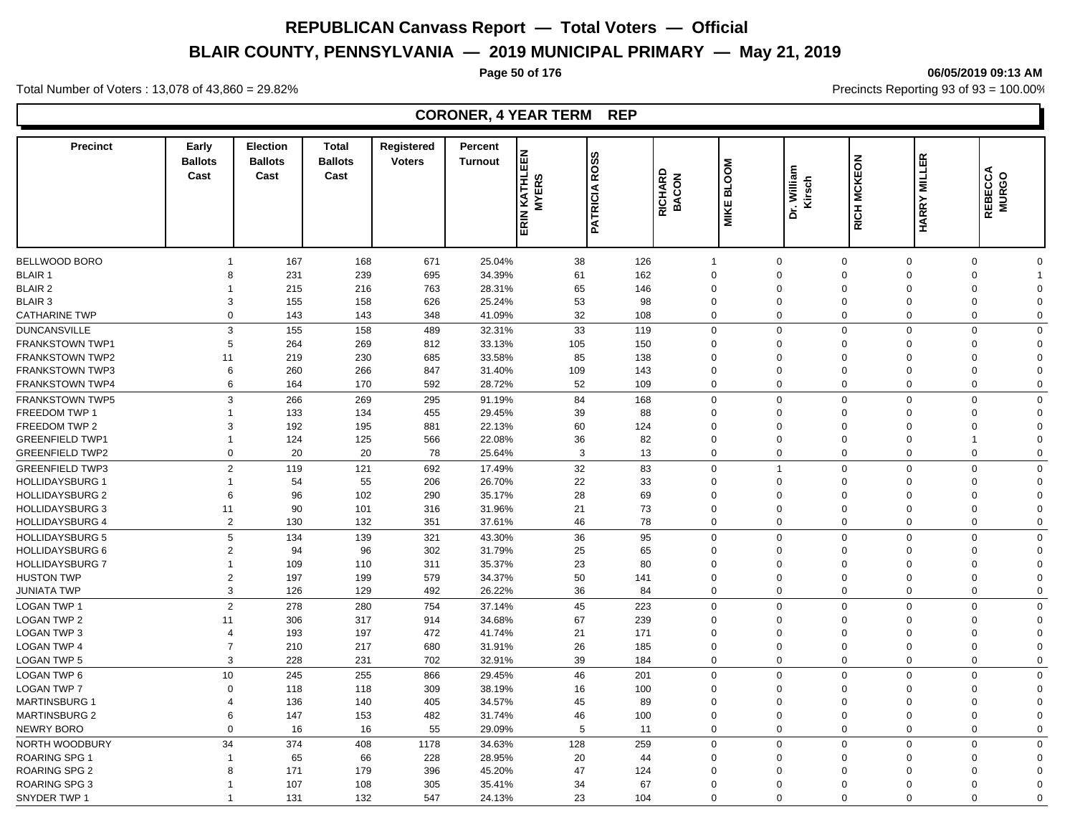# **BLAIR COUNTY, PENNSYLVANIA — 2019 MUNICIPAL PRIMARY — May 21, 2019**

#### **Page 50 of 176 06/05/2019 09:13 AM**

Total Number of Voters : 13,078 of 43,860 = 29.82% Precincts Reporting 93 of 93 = 100.00%

### **CORONER, 4 YEAR TERM REP**

| <b>Precinct</b>        | Early<br><b>Ballots</b><br>Cast | <b>Election</b><br><b>Ballots</b><br>Cast | <b>Total</b><br><b>Ballots</b><br>Cast | Registered<br><b>Voters</b> | Percent<br><b>Turnout</b> | EEN<br>KATHLI<br>ERS<br>ξ | ഗ<br>ROSS<br><b>PATRICIA</b> | RICHARD<br>BACON | <b>BLOOM</b> | Dr. William<br>Kirsch | RICH MCKEON | <b>HARRY MILLER</b> | REBECCA<br>MURGO |             |
|------------------------|---------------------------------|-------------------------------------------|----------------------------------------|-----------------------------|---------------------------|---------------------------|------------------------------|------------------|--------------|-----------------------|-------------|---------------------|------------------|-------------|
|                        |                                 |                                           |                                        |                             |                           | $\overline{\Xi}$          |                              |                  | MIKE         |                       |             |                     |                  |             |
| BELLWOOD BORO          |                                 | 167                                       | 168                                    | 671                         | 25.04%                    | 38                        | 126                          | $\overline{1}$   |              | $\mathbf 0$           | $\mathbf 0$ | $\mathbf 0$         | $\mathbf 0$      | $\Omega$    |
| <b>BLAIR 1</b>         | 8                               | 231                                       | 239                                    | 695                         | 34.39%                    | 61                        | 162                          |                  | $\Omega$     | $\Omega$              | $\mathbf 0$ | $\Omega$            | $\mathbf 0$      |             |
| <b>BLAIR 2</b>         |                                 | 215                                       | 216                                    | 763                         | 28.31%                    | 65                        | 146                          |                  | $\Omega$     | $\Omega$              | $\mathbf 0$ | $\Omega$            | $\Omega$         | $\Omega$    |
| <b>BLAIR 3</b>         | 3                               | 155                                       | 158                                    | 626                         | 25.24%                    | 53                        | 98                           |                  | $\Omega$     | $\Omega$              | $\mathbf 0$ | $\Omega$            | $\mathbf 0$      | $\Omega$    |
| <b>CATHARINE TWP</b>   | $\Omega$                        | 143                                       | 143                                    | 348                         | 41.09%                    | 32                        | 108                          |                  | $\mathbf 0$  | $\Omega$              | $\mathbf 0$ | $\mathbf 0$         | $\mathbf 0$      | $\mathbf 0$ |
| <b>DUNCANSVILLE</b>    | 3                               | 155                                       | 158                                    | 489                         | 32.31%                    | 33                        | 119                          |                  | $\Omega$     | $\Omega$              | $\mathbf 0$ | $\Omega$            | $\mathbf 0$      | $\Omega$    |
| <b>FRANKSTOWN TWP1</b> | 5                               | 264                                       | 269                                    | 812                         | 33.13%                    | 105                       | 150                          |                  | $\Omega$     | $\Omega$              | $\mathbf 0$ | $\Omega$            | $\Omega$         | $\Omega$    |
| <b>FRANKSTOWN TWP2</b> | 11                              | 219                                       | 230                                    | 685                         | 33.58%                    | 85                        | 138                          |                  | $\Omega$     | $\Omega$              | $\mathbf 0$ | $\Omega$            | $\Omega$         | $\Omega$    |
| <b>FRANKSTOWN TWP3</b> | 6                               | 260                                       | 266                                    | 847                         | 31.40%                    | 109                       | 143                          |                  | $\Omega$     | $\Omega$              | $\Omega$    | $\Omega$            | $\mathbf 0$      | $\Omega$    |
| <b>FRANKSTOWN TWP4</b> | 6                               | 164                                       | 170                                    | 592                         | 28.72%                    | 52                        | 109                          |                  | $\Omega$     | $\Omega$              | $\mathbf 0$ | $\Omega$            | $\mathbf 0$      | $\mathbf 0$ |
| <b>FRANKSTOWN TWP5</b> | 3                               | 266                                       | 269                                    | 295                         | 91.19%                    | 84                        | 168                          |                  | $\Omega$     | $\mathbf 0$           | $\mathbf 0$ | $\Omega$            | $\mathbf 0$      | $\Omega$    |
| FREEDOM TWP 1          |                                 | 133                                       | 134                                    | 455                         | 29.45%                    | 39                        | 88                           |                  | $\Omega$     | $\mathbf 0$           | $\mathbf 0$ | $\Omega$            | $\mathbf 0$      | $\Omega$    |
| FREEDOM TWP 2          | 3                               | 192                                       | 195                                    | 881                         | 22.13%                    | 60                        | 124                          |                  | $\Omega$     | $\Omega$              | $\mathbf 0$ | $\Omega$            | $\mathbf 0$      | $\Omega$    |
| <b>GREENFIELD TWP1</b> |                                 | 124                                       | 125                                    | 566                         | 22.08%                    | 36                        | 82                           |                  | $\mathbf 0$  | $\mathbf 0$           | $\mathbf 0$ | $\Omega$            | $\mathbf{1}$     | $\Omega$    |
| <b>GREENFIELD TWP2</b> | $\Omega$                        | 20                                        | 20                                     | 78                          | 25.64%                    | $\mathbf{3}$              | 13                           |                  | $\mathbf 0$  | $\mathbf 0$           | $\mathbf 0$ | $\Omega$            | $\mathbf 0$      | $\Omega$    |
|                        |                                 |                                           |                                        |                             |                           |                           |                              |                  |              |                       |             |                     |                  |             |
| <b>GREENFIELD TWP3</b> | $\overline{2}$                  | 119                                       | 121                                    | 692                         | 17.49%                    | 32                        | 83                           |                  | $\Omega$     | $\overline{1}$        | $\mathbf 0$ | $\Omega$            | $\Omega$         | $\Omega$    |
| <b>HOLLIDAYSBURG 1</b> |                                 | 54                                        | 55                                     | 206                         | 26.70%                    | 22                        | 33                           |                  | $\mathbf 0$  | $\mathbf 0$           | $\mathbf 0$ | $\Omega$            | $\mathbf 0$      | $\Omega$    |
| <b>HOLLIDAYSBURG 2</b> | 6                               | 96                                        | 102                                    | 290                         | 35.17%                    | 28                        | 69                           |                  | $\Omega$     | $\Omega$              | $\Omega$    | $\Omega$            | $\Omega$         | $\Omega$    |
| <b>HOLLIDAYSBURG 3</b> | 11                              | 90                                        | 101                                    | 316                         | 31.96%                    | 21                        | 73                           |                  | $\Omega$     | $\Omega$              | $\mathbf 0$ | $\Omega$            | $\mathbf 0$      | $\Omega$    |
| <b>HOLLIDAYSBURG 4</b> | $\overline{2}$                  | 130                                       | 132                                    | 351                         | 37.61%                    | 46                        | 78                           |                  | $\mathbf 0$  | $\mathbf 0$           | $\mathbf 0$ | $\Omega$            | $\Omega$         | $\Omega$    |
| <b>HOLLIDAYSBURG 5</b> | 5                               | 134                                       | 139                                    | 321                         | 43.30%                    | 36                        | 95                           |                  | $\Omega$     | $\Omega$              | $\mathbf 0$ | $\Omega$            | $\mathbf 0$      | $\mathbf 0$ |
| <b>HOLLIDAYSBURG 6</b> | $\overline{2}$                  | 94                                        | 96                                     | 302                         | 31.79%                    | 25                        | 65                           |                  | $\Omega$     | $\Omega$              | $\mathbf 0$ | $\Omega$            | $\mathbf 0$      | $\Omega$    |
| <b>HOLLIDAYSBURG 7</b> |                                 | 109                                       | 110                                    | 311                         | 35.37%                    | 23                        | 80                           |                  | $\Omega$     | $\Omega$              | $\mathbf 0$ | $\Omega$            | $\mathbf 0$      | $\Omega$    |
| <b>HUSTON TWP</b>      | $\overline{2}$                  | 197                                       | 199                                    | 579                         | 34.37%                    | 50                        | 141                          |                  | $\Omega$     | $\Omega$              | $\mathbf 0$ | $\Omega$            | $\mathbf 0$      | $\Omega$    |
| <b>JUNIATA TWP</b>     | 3                               | 126                                       | 129                                    | 492                         | 26.22%                    | 36                        | 84                           |                  | $\mathbf 0$  | $\mathbf 0$           | $\mathbf 0$ | $\mathbf 0$         | $\mathbf 0$      | $\mathbf 0$ |
| <b>LOGAN TWP 1</b>     | $\overline{2}$                  | 278                                       | 280                                    | 754                         | 37.14%                    | 45                        | 223                          |                  | $\Omega$     | $\Omega$              | $\mathbf 0$ | $\Omega$            | $\Omega$         | $\Omega$    |
| <b>LOGAN TWP 2</b>     | 11                              | 306                                       | 317                                    | 914                         | 34.68%                    | 67                        | 239                          |                  | $\Omega$     | $\Omega$              | $\mathbf 0$ | $\Omega$            | $\Omega$         | $\Omega$    |
| <b>LOGAN TWP 3</b>     | $\Delta$                        | 193                                       | 197                                    | 472                         | 41.74%                    | 21                        | 171                          |                  | $\Omega$     | $\Omega$              | $\mathbf 0$ | $\Omega$            | $\mathbf 0$      | $\Omega$    |
| <b>LOGAN TWP 4</b>     | 7                               | 210                                       | 217                                    | 680                         | 31.91%                    | 26                        | 185                          |                  | $\Omega$     | $\Omega$              | $\mathbf 0$ | $\Omega$            | $\mathbf 0$      | $\Omega$    |
| <b>LOGAN TWP 5</b>     | 3                               | 228                                       | 231                                    | 702                         | 32.91%                    | 39                        | 184                          |                  | $\mathbf 0$  | $\mathbf 0$           | $\mathbf 0$ | $\mathbf 0$         | $\mathbf 0$      | $\mathbf 0$ |
| <b>LOGAN TWP 6</b>     | 10                              | 245                                       | 255                                    | 866                         | 29.45%                    | 46                        | 201                          |                  | $\Omega$     | $\Omega$              | $\mathbf 0$ | $\mathbf 0$         | $\Omega$         | $\Omega$    |
| <b>LOGAN TWP 7</b>     | $\Omega$                        | 118                                       | 118                                    | 309                         | 38.19%                    | 16                        | 100                          |                  | $\Omega$     | $\Omega$              | $\mathbf 0$ | $\Omega$            | $\mathbf 0$      | $\Omega$    |
| <b>MARTINSBURG 1</b>   | $\overline{4}$                  | 136                                       | 140                                    | 405                         | 34.57%                    | 45                        | 89                           |                  | $\Omega$     | $\mathbf 0$           | $\mathbf 0$ | $\Omega$            | $\mathbf 0$      | $\Omega$    |
| <b>MARTINSBURG 2</b>   | 6                               | 147                                       | 153                                    | 482                         | 31.74%                    | 46                        | 100                          |                  | $\Omega$     | $\Omega$              | $\mathbf 0$ | $\Omega$            | $\mathbf 0$      | $\Omega$    |
| <b>NEWRY BORO</b>      | $\mathbf 0$                     | 16                                        | 16                                     | 55                          | 29.09%                    | 5                         | 11                           |                  | $\mathbf 0$  | $\mathbf 0$           | $\mathbf 0$ | $\Omega$            | $\mathbf 0$      | $\mathbf 0$ |
| NORTH WOODBURY         | 34                              | 374                                       | 408                                    | 1178                        | 34.63%                    | 128                       | 259                          |                  | $\mathbf 0$  | $\overline{0}$        | $\mathbf 0$ | $\Omega$            | $\mathbf 0$      | $\mathbf 0$ |
| <b>ROARING SPG 1</b>   |                                 | 65                                        | 66                                     | 228                         | 28.95%                    | 20                        | 44                           |                  | $\Omega$     | $\Omega$              | $\mathbf 0$ | $\Omega$            | $\Omega$         | $\Omega$    |
| <b>ROARING SPG 2</b>   | 8                               | 171                                       | 179                                    | 396                         | 45.20%                    | 47                        | 124                          |                  | $\Omega$     | $\Omega$              | $\Omega$    | $\Omega$            | $\Omega$         | $\Omega$    |
| ROARING SPG 3          |                                 | 107                                       | 108                                    | 305                         | 35.41%                    | 34                        | 67                           |                  | $\Omega$     | $\Omega$              | $\Omega$    | $\Omega$            | $\Omega$         | $\Omega$    |
| SNYDER TWP 1           |                                 | 131                                       | 132                                    | 547                         | 24.13%                    | 23                        | 104                          |                  | $\Omega$     | $\Omega$              | $\Omega$    | $\Omega$            | $\Omega$         | $\Omega$    |
|                        |                                 |                                           |                                        |                             |                           |                           |                              |                  |              |                       |             |                     |                  |             |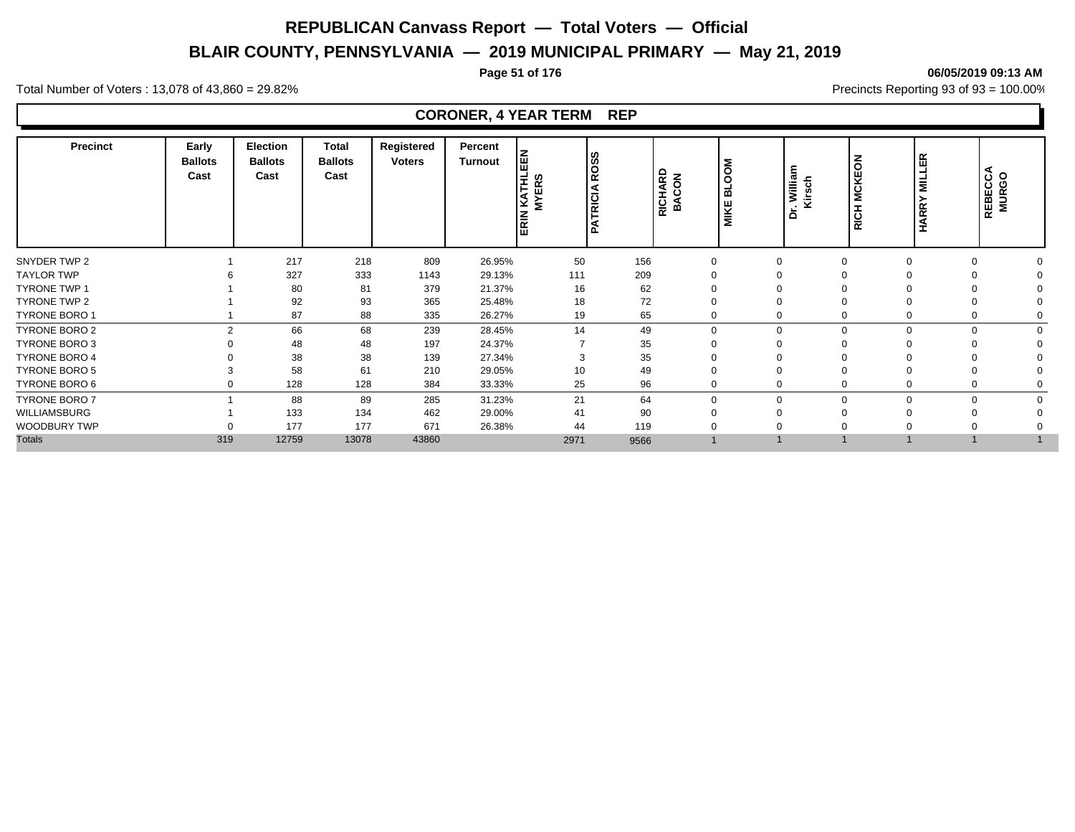# **BLAIR COUNTY, PENNSYLVANIA — 2019 MUNICIPAL PRIMARY — May 21, 2019**

#### **Page 51 of 176 06/05/2019 09:13 AM**

Total Number of Voters : 13,078 of 43,860 = 29.82% Precincts Reporting 93 of 93 = 100.00%

### **CORONER, 4 YEAR TERM REP**

| <b>Precinct</b>      | Early<br><b>Ballots</b><br>Cast | <b>Election</b><br><b>Ballots</b><br>Cast | <b>Total</b><br><b>Ballots</b><br>Cast | Registered<br><b>Voters</b> | Percent<br><b>Turnout</b> | EEN<br>KATHL<br><b>MYERS</b><br><b>RIN</b><br>面 | ပ္စြ<br>O<br>ıτ<br>TRICIA | RICHARD<br><b>BACON</b> | Σ<br><b>BLOOI</b><br>MIKE | William<br>∵ v<br>Kirsch<br>ة | $\overline{6}$<br><b>MCKE</b><br>RICH | ER<br>⊐<br>$\overline{\mathbf{z}}$<br><b>HARR</b> | REBECCA<br>MURGO        |
|----------------------|---------------------------------|-------------------------------------------|----------------------------------------|-----------------------------|---------------------------|-------------------------------------------------|---------------------------|-------------------------|---------------------------|-------------------------------|---------------------------------------|---------------------------------------------------|-------------------------|
| SNYDER TWP 2         |                                 | 217                                       | 218                                    | 809                         | 26.95%                    | 50                                              | 156                       | $\Omega$                |                           |                               | $\Omega$                              |                                                   | $\Omega$<br>$\Omega$    |
| <b>TAYLOR TWP</b>    |                                 | 327                                       | 333                                    | 1143                        | 29.13%                    | 111                                             | 209                       |                         |                           |                               |                                       |                                                   |                         |
| <b>TYRONE TWP 1</b>  |                                 | 80                                        | 81                                     | 379                         | 21.37%                    | 16                                              | 62                        |                         |                           |                               |                                       |                                                   |                         |
| <b>TYRONE TWP 2</b>  |                                 | 92                                        | 93                                     | 365                         | 25.48%                    | 18                                              | 72                        |                         |                           |                               |                                       |                                                   |                         |
| TYRONE BORO 1        |                                 | 87                                        | 88                                     | 335                         | 26.27%                    | 19                                              | 65                        |                         |                           |                               | $\Omega$                              |                                                   | 0                       |
| TYRONE BORO 2        | 2                               | 66                                        | 68                                     | 239                         | 28.45%                    | 14                                              | 49                        | $\Omega$                |                           | $\Omega$                      | $\Omega$                              | $\Omega$                                          | $\mathbf 0$<br>$\Omega$ |
| TYRONE BORO 3        |                                 | 48                                        | 48                                     | 197                         | 24.37%                    |                                                 | 35                        |                         |                           |                               |                                       |                                                   |                         |
| <b>TYRONE BORO 4</b> |                                 | 38                                        | 38                                     | 139                         | 27.34%                    | 3                                               | 35                        |                         |                           |                               |                                       |                                                   |                         |
| <b>TYRONE BORO 5</b> |                                 | 58                                        | 61                                     | 210                         | 29.05%                    | 10                                              | 49                        |                         |                           |                               |                                       |                                                   |                         |
| TYRONE BORO 6        |                                 | 128                                       | 128                                    | 384                         | 33.33%                    | 25                                              | 96                        |                         |                           |                               |                                       |                                                   | $\mathbf 0$             |
| <b>TYRONE BORO 7</b> |                                 | 88                                        | 89                                     | 285                         | 31.23%                    | 21                                              | 64                        | $\Omega$                |                           | $\Omega$                      | $\Omega$                              | $\Omega$                                          | $\Omega$<br>$\Omega$    |
| WILLIAMSBURG         |                                 | 133                                       | 134                                    | 462                         | 29.00%                    | 41                                              | 90                        |                         |                           |                               |                                       |                                                   | $\Omega$                |
| WOODBURY TWP         |                                 | 177                                       | 177                                    | 671                         | 26.38%                    | 44                                              | 119                       |                         |                           |                               |                                       |                                                   |                         |
| <b>Totals</b>        | 319                             | 12759                                     | 13078                                  | 43860                       |                           | 2971                                            | 9566                      |                         |                           |                               |                                       |                                                   |                         |
|                      |                                 |                                           |                                        |                             |                           |                                                 |                           |                         |                           |                               |                                       |                                                   |                         |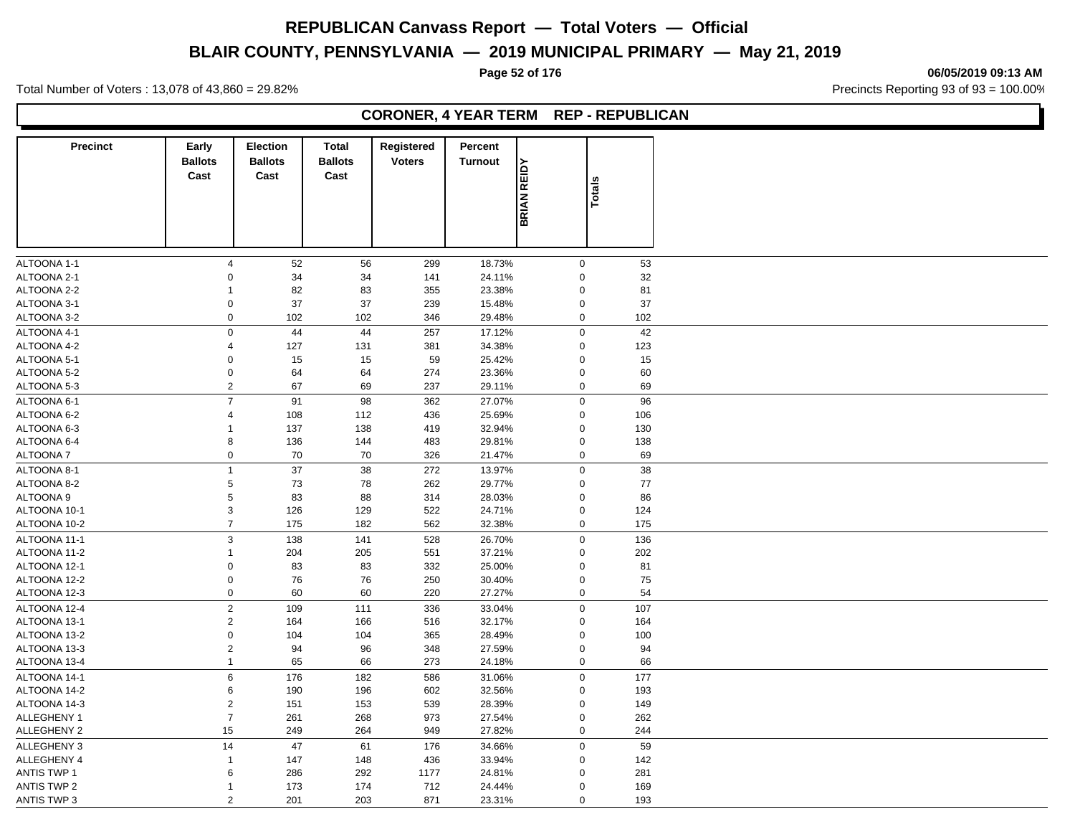# **BLAIR COUNTY, PENNSYLVANIA — 2019 MUNICIPAL PRIMARY — May 21, 2019**

**Page 52 of 176 06/05/2019 09:13 AM**

Total Number of Voters : 13,078 of 43,860 = 29.82% Precincts Reporting 93 of 93 = 100.00%

### **CORONER, 4 YEAR TERM REP - REPUBLICAN**

| <b>Precinct</b>            | Early<br><b>Ballots</b> | <b>Election</b><br><b>Ballots</b> | <b>Total</b><br><b>Ballots</b> | Registered<br><b>Voters</b> | Percent<br><b>Turnout</b> |                            |               |          |
|----------------------------|-------------------------|-----------------------------------|--------------------------------|-----------------------------|---------------------------|----------------------------|---------------|----------|
|                            | Cast                    | Cast                              | Cast                           |                             |                           | <b>BRIAN REIDY</b>         | <b>Totals</b> |          |
|                            |                         |                                   |                                |                             |                           |                            |               |          |
|                            |                         |                                   |                                |                             |                           |                            |               |          |
|                            |                         |                                   |                                |                             |                           |                            |               |          |
| ALTOONA 1-1<br>ALTOONA 2-1 | 4<br>$\Omega$           | 52<br>34                          | 56<br>34                       | 299<br>141                  | 18.73%<br>24.11%          | $\mathbf 0$<br>$\mathbf 0$ |               | 53<br>32 |
| ALTOONA 2-2                | $\mathbf{1}$            | 82                                | 83                             | 355                         | 23.38%                    | $\mathbf 0$                |               | 81       |
| ALTOONA 3-1                | $\Omega$                | 37                                | 37                             | 239                         | 15.48%                    | $\pmb{0}$                  |               | 37       |
|                            | $\mathbf 0$             |                                   | 102                            | 346                         | 29.48%                    | $\mathbf 0$                |               |          |
| ALTOONA 3-2                |                         | 102                               |                                |                             |                           |                            |               | 102      |
| ALTOONA 4-1                | $\mathbf 0$             | 44                                | 44                             | 257                         | 17.12%                    | $\mathbf 0$                |               | 42       |
| ALTOONA 4-2                | $\overline{4}$          | 127                               | 131                            | 381                         | 34.38%                    | $\mathbf 0$                |               | 123      |
| ALTOONA 5-1                | $\mathbf 0$             | 15                                | 15                             | 59                          | 25.42%                    | $\mathbf 0$                |               | 15       |
| ALTOONA 5-2                | $\boldsymbol{0}$        | 64                                | 64                             | 274                         | 23.36%                    | $\mathbf 0$                |               | 60       |
| ALTOONA 5-3                | $\overline{2}$          | 67                                | 69                             | 237                         | 29.11%                    | $\mathbf 0$                |               | 69       |
| ALTOONA 6-1                | $\overline{7}$          | 91                                | 98                             | 362                         | 27.07%                    | $\mathbf 0$                |               | 96       |
| ALTOONA 6-2                | $\overline{4}$          | 108                               | 112                            | 436                         | 25.69%                    | $\mathbf 0$                |               | 106      |
| ALTOONA 6-3                | $\mathbf{1}$            | 137                               | 138                            | 419                         | 32.94%                    | $\mathbf 0$                |               | 130      |
| ALTOONA 6-4                | 8                       | 136                               | 144                            | 483                         | 29.81%                    | $\mathbf 0$                |               | 138      |
| ALTOONA 7                  | $\pmb{0}$               | 70                                | 70                             | 326                         | 21.47%                    | $\mathbf 0$                |               | 69       |
| ALTOONA 8-1                | $\mathbf{1}$            | 37                                | 38                             | 272                         | 13.97%                    | $\mathbf 0$                |               | 38       |
|                            |                         |                                   |                                |                             |                           |                            |               |          |
| ALTOONA 8-2                | 5                       | 73                                | 78                             | 262                         | 29.77%                    | $\mathbf 0$                |               | 77       |
| ALTOONA 9                  | 5                       | 83                                | 88                             | 314                         | 28.03%                    | $\mathbf 0$                |               | 86       |
| ALTOONA 10-1               | $\mathsf 3$             | 126                               | 129                            | 522                         | 24.71%                    | $\mathbf 0$                |               | 124      |
| ALTOONA 10-2               | $\overline{7}$          | 175                               | 182                            | 562                         | 32.38%                    | $\mathbf 0$                |               | 175      |
| ALTOONA 11-1               | $\sqrt{3}$              | 138                               | 141                            | 528                         | 26.70%                    | $\mathbf 0$                |               | 136      |
| ALTOONA 11-2               | $\mathbf{1}$            | 204                               | 205                            | 551                         | 37.21%                    | $\mathbf 0$                |               | 202      |
| ALTOONA 12-1               | $\mathbf 0$             | 83                                | 83                             | 332                         | 25.00%                    | $\pmb{0}$                  |               | 81       |
| ALTOONA 12-2               | $\pmb{0}$               | 76                                | 76                             | 250                         | 30.40%                    | $\mathbf 0$                |               | 75       |
| ALTOONA 12-3               | $\boldsymbol{0}$        | 60                                | 60                             | 220                         | 27.27%                    | $\mathbf 0$                |               | 54       |
| ALTOONA 12-4               | $\boldsymbol{2}$        | 109                               | 111                            | 336                         | 33.04%                    | $\mathbf 0$                |               | 107      |
| ALTOONA 13-1               | $\sqrt{2}$              | 164                               | 166                            | 516                         | 32.17%                    | $\mathbf 0$                |               | 164      |
| ALTOONA 13-2               | $\mathbf 0$             | 104                               | 104                            |                             |                           | $\mathbf 0$                |               |          |
|                            |                         |                                   |                                | 365                         | 28.49%                    |                            |               | 100      |
| ALTOONA 13-3               | $\boldsymbol{2}$        | 94                                | 96                             | 348                         | 27.59%                    | $\pmb{0}$                  |               | 94       |
| ALTOONA 13-4               | $\mathbf{1}$            | 65                                | 66                             | 273                         | 24.18%                    | $\pmb{0}$                  |               | 66       |
| ALTOONA 14-1               | $\,6$                   | 176                               | 182                            | 586                         | 31.06%                    | $\mathbf 0$                |               | 177      |
| ALTOONA 14-2               | 6                       | 190                               | 196                            | 602                         | 32.56%                    | $\mathbf 0$                |               | 193      |
| ALTOONA 14-3               | $\overline{2}$          | 151                               | 153                            | 539                         | 28.39%                    | $\mathbf 0$                |               | 149      |
| ALLEGHENY 1                | $\overline{7}$          | 261                               | 268                            | 973                         | 27.54%                    | $\mathbf 0$                |               | 262      |
| ALLEGHENY 2                | 15                      | 249                               | 264                            | 949                         | 27.82%                    | $\mathbf 0$                |               | 244      |
| <b>ALLEGHENY 3</b>         | 14                      | 47                                | 61                             | 176                         | 34.66%                    | $\mathbf 0$                |               | 59       |
| <b>ALLEGHENY 4</b>         | $\mathbf{1}$            | 147                               | 148                            | 436                         | 33.94%                    | $\mathbf 0$                |               | 142      |
| <b>ANTIS TWP 1</b>         | 6                       | 286                               | 292                            | 1177                        | 24.81%                    | $\Omega$                   |               | 281      |
| <b>ANTIS TWP 2</b>         | $\mathbf 1$             | 173                               | 174                            | 712                         | 24.44%                    | $\mathbf 0$                |               | 169      |
| ANTIS TWP 3                | 2                       | 201                               | 203                            | 871                         | 23.31%                    | $\mathbf 0$                |               | 193      |
|                            |                         |                                   |                                |                             |                           |                            |               |          |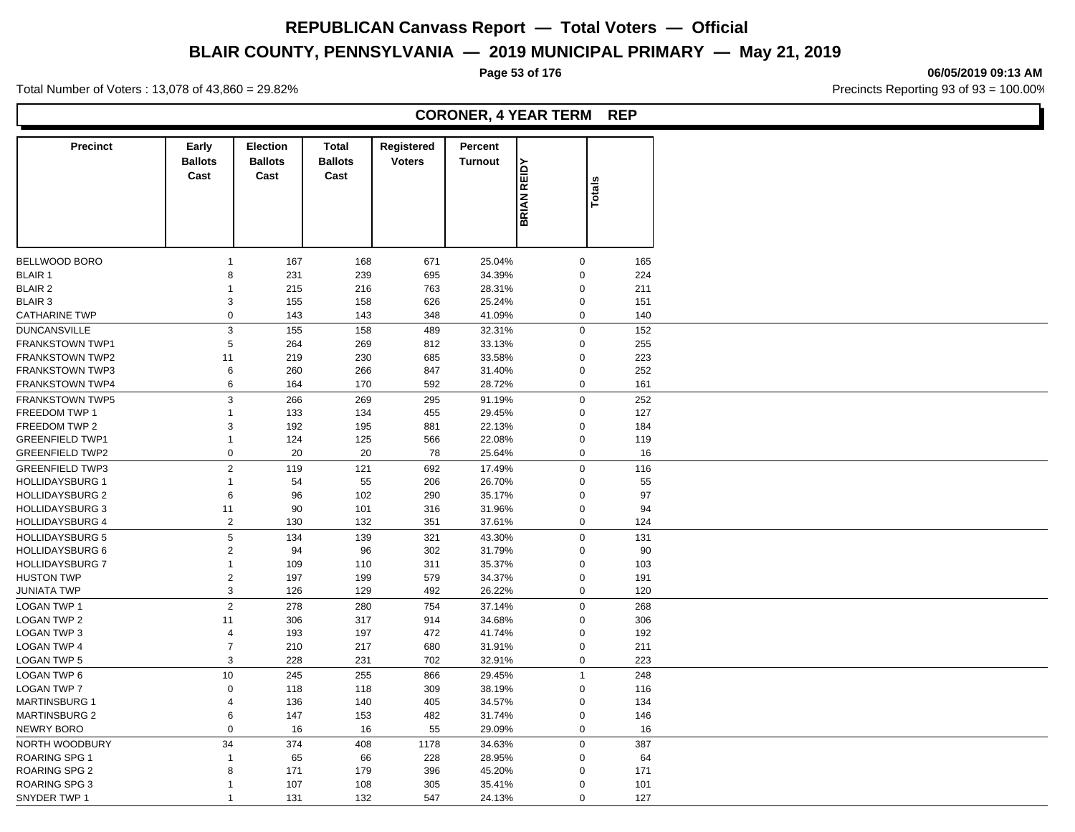# **BLAIR COUNTY, PENNSYLVANIA — 2019 MUNICIPAL PRIMARY — May 21, 2019**

#### **Page 53 of 176 06/05/2019 09:13 AM**

Total Number of Voters : 13,078 of 43,860 = 29.82% Precincts Reporting 93 of 93 = 100.00%

### **CORONER, 4 YEAR TERM REP**

| <b>Precinct</b>        | Early<br><b>Ballots</b><br>Cast | Election<br><b>Ballots</b><br>Cast | <b>Total</b><br><b>Ballots</b><br>Cast | Registered<br><b>Voters</b> | Percent<br><b>Turnout</b> |                    |                     |     |
|------------------------|---------------------------------|------------------------------------|----------------------------------------|-----------------------------|---------------------------|--------------------|---------------------|-----|
|                        |                                 |                                    |                                        |                             |                           | <b>BRIAN REIDY</b> | Totals              |     |
| <b>BELLWOOD BORO</b>   | -1                              | 167                                | 168                                    | 671                         | 25.04%                    |                    | $\pmb{0}$           | 165 |
| <b>BLAIR 1</b>         | 8                               | 231                                | 239                                    | 695                         | 34.39%                    |                    | $\mathbf 0$         | 224 |
| <b>BLAIR 2</b>         | $\mathbf{1}$                    | 215                                | 216                                    | 763                         | 28.31%                    |                    | $\mathbf 0$         | 211 |
| <b>BLAIR 3</b>         | 3                               | 155                                | 158                                    | 626                         | 25.24%                    |                    | $\pmb{0}$           | 151 |
| <b>CATHARINE TWP</b>   | $\mathbf{0}$                    | 143                                | 143                                    | 348                         | 41.09%                    |                    | $\mathbf 0$         | 140 |
| <b>DUNCANSVILLE</b>    | $\mathsf 3$                     | 155                                | 158                                    | 489                         | 32.31%                    |                    | $\mathbf 0$         | 152 |
| <b>FRANKSTOWN TWP1</b> | 5                               | 264                                | 269                                    | 812                         | 33.13%                    |                    | $\mathbf 0$         | 255 |
| <b>FRANKSTOWN TWP2</b> | 11                              | 219                                | 230                                    | 685                         | 33.58%                    |                    | $\mathbf 0$         | 223 |
| <b>FRANKSTOWN TWP3</b> |                                 |                                    | 266                                    |                             |                           |                    |                     |     |
|                        | 6                               | 260                                |                                        | 847                         | 31.40%                    |                    | $\mathbf 0$         | 252 |
| <b>FRANKSTOWN TWP4</b> | 6                               | 164                                | 170                                    | 592                         | 28.72%                    |                    | $\mathbf 0$         | 161 |
| <b>FRANKSTOWN TWP5</b> | 3                               | 266                                | 269                                    | 295                         | 91.19%                    |                    | 0                   | 252 |
| FREEDOM TWP 1          | $\mathbf{1}$                    | 133                                | 134                                    | 455                         | 29.45%                    |                    | $\mathbf 0$         | 127 |
| FREEDOM TWP 2          | 3                               | 192                                | 195                                    | 881                         | 22.13%                    |                    | $\mathbf 0$         | 184 |
| <b>GREENFIELD TWP1</b> | $\mathbf{1}$                    | 124                                | 125                                    | 566                         | 22.08%                    |                    | $\mathbf 0$         | 119 |
| <b>GREENFIELD TWP2</b> | $\boldsymbol{0}$                | 20                                 | 20                                     | 78                          | 25.64%                    |                    | 0                   | 16  |
| <b>GREENFIELD TWP3</b> | $\overline{2}$                  | 119                                | 121                                    | 692                         | 17.49%                    |                    | $\mathbf 0$         | 116 |
| <b>HOLLIDAYSBURG 1</b> | $\mathbf{1}$                    | 54                                 | 55                                     | 206                         | 26.70%                    |                    | $\mathbf 0$         | 55  |
| <b>HOLLIDAYSBURG 2</b> | 6                               | 96                                 | 102                                    | 290                         | 35.17%                    |                    | $\mathbf 0$         | 97  |
| <b>HOLLIDAYSBURG 3</b> | 11                              | 90                                 | 101                                    | 316                         | 31.96%                    |                    | $\mathbf 0$         | 94  |
| <b>HOLLIDAYSBURG 4</b> | $\sqrt{2}$                      | 130                                | 132                                    | 351                         | 37.61%                    |                    | 0                   | 124 |
|                        |                                 |                                    |                                        |                             |                           |                    |                     |     |
| <b>HOLLIDAYSBURG 5</b> | $\,$ 5 $\,$                     | 134                                | 139                                    | 321                         | 43.30%                    |                    | $\mathsf{O}\xspace$ | 131 |
| <b>HOLLIDAYSBURG 6</b> | $\sqrt{2}$                      | 94                                 | 96                                     | 302                         | 31.79%                    |                    | $\mathbf 0$         | 90  |
| <b>HOLLIDAYSBURG 7</b> | $\mathbf{1}$                    | 109                                | 110                                    | 311                         | 35.37%                    |                    | $\mathbf 0$         | 103 |
| <b>HUSTON TWP</b>      | $\overline{2}$                  | 197                                | 199                                    | 579                         | 34.37%                    |                    | $\mathsf{O}\xspace$ | 191 |
| <b>JUNIATA TWP</b>     | 3                               | 126                                | 129                                    | 492                         | 26.22%                    |                    | $\mathbf 0$         | 120 |
| <b>LOGAN TWP 1</b>     | $\overline{2}$                  | 278                                | 280                                    | 754                         | 37.14%                    |                    | $\mathbf 0$         | 268 |
| <b>LOGAN TWP 2</b>     | 11                              | 306                                | 317                                    | 914                         | 34.68%                    |                    | $\mathbf 0$         | 306 |
| <b>LOGAN TWP 3</b>     | $\overline{4}$                  | 193                                | 197                                    | 472                         | 41.74%                    |                    | $\mathbf 0$         | 192 |
| <b>LOGAN TWP 4</b>     | $\overline{7}$                  | 210                                | 217                                    | 680                         | 31.91%                    |                    | $\mathbf 0$         | 211 |
| <b>LOGAN TWP 5</b>     | 3                               | 228                                | 231                                    | 702                         | 32.91%                    |                    | $\mathbf 0$         | 223 |
| LOGAN TWP 6            | 10                              | 245                                | 255                                    | 866                         | 29.45%                    |                    | $\mathbf{1}$        | 248 |
| <b>LOGAN TWP 7</b>     | $\mathbf 0$                     | 118                                | 118                                    | 309                         | 38.19%                    |                    | $\mathbf 0$         | 116 |
| <b>MARTINSBURG 1</b>   | $\overline{4}$                  | 136                                | 140                                    |                             |                           |                    | $\mathbf 0$         | 134 |
|                        |                                 |                                    |                                        | 405                         | 34.57%                    |                    |                     |     |
| <b>MARTINSBURG 2</b>   | 6                               | 147                                | 153                                    | 482                         | 31.74%                    |                    | $\mathbf 0$         | 146 |
| NEWRY BORO             | $\mathbf 0$                     | 16                                 | 16                                     | 55                          | 29.09%                    |                    | $\mathbf 0$         | 16  |
| NORTH WOODBURY         | 34                              | 374                                | 408                                    | 1178                        | 34.63%                    |                    | $\pmb{0}$           | 387 |
| <b>ROARING SPG 1</b>   | $\mathbf{1}$                    | 65                                 | 66                                     | 228                         | 28.95%                    |                    | $\mathbf 0$         | 64  |
| <b>ROARING SPG 2</b>   | 8                               | 171                                | 179                                    | 396                         | 45.20%                    |                    | $\mathbf 0$         | 171 |
| ROARING SPG 3          | $\mathbf{1}$                    | 107                                | 108                                    | 305                         | 35.41%                    |                    | $\mathbf 0$         | 101 |
| SNYDER TWP 1           | $\overline{1}$                  | 131                                | 132                                    | 547                         | 24.13%                    |                    | $\Omega$            | 127 |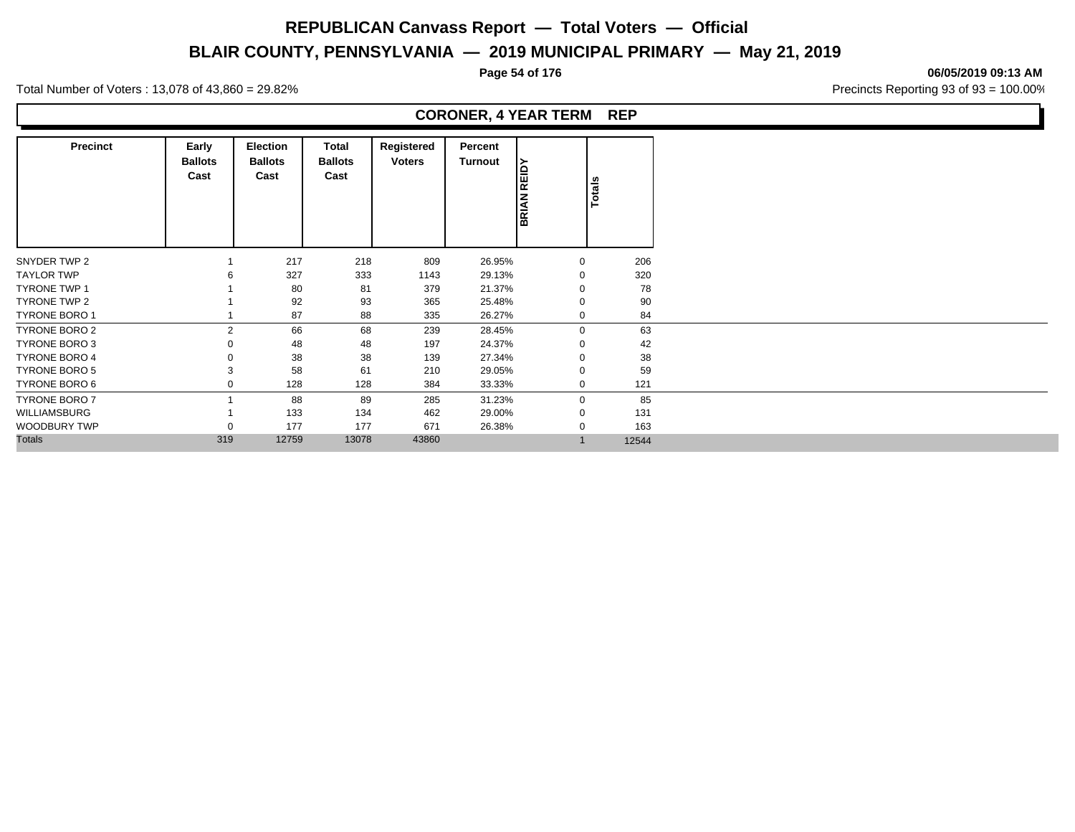# **BLAIR COUNTY, PENNSYLVANIA — 2019 MUNICIPAL PRIMARY — May 21, 2019**

**Page 54 of 176 06/05/2019 09:13 AM**

Total Number of Voters : 13,078 of 43,860 = 29.82% Precincts Reporting 93 of 93 = 100.00%

### **CORONER, 4 YEAR TERM REP**

| <b>Precinct</b>      | Early<br><b>Ballots</b><br>Cast | Election<br><b>Ballots</b><br>Cast | Total<br><b>Ballots</b><br>Cast | Registered<br><b>Voters</b> | Percent<br><b>Turnout</b> | REIDY<br><b>BRIAN</b> | Totals |
|----------------------|---------------------------------|------------------------------------|---------------------------------|-----------------------------|---------------------------|-----------------------|--------|
| SNYDER TWP 2         |                                 | 217                                | 218                             | 809                         | 26.95%                    | 0                     | 206    |
| <b>TAYLOR TWP</b>    |                                 | 327                                | 333                             | 1143                        | 29.13%                    | 0                     | 320    |
| <b>TYRONE TWP 1</b>  |                                 | 80                                 | 81                              | 379                         | 21.37%                    | $\Omega$              | 78     |
| TYRONE TWP 2         |                                 | 92                                 | 93                              | 365                         | 25.48%                    | $\Omega$              | 90     |
| <b>TYRONE BORO 1</b> |                                 | 87                                 | 88                              | 335                         | 26.27%                    | $\mathbf{0}$          | 84     |
| TYRONE BORO 2        | $\overline{2}$                  | 66                                 | 68                              | 239                         | 28.45%                    | $\mathbf{0}$          | 63     |
| TYRONE BORO 3        |                                 | 48                                 | 48                              | 197                         | 24.37%                    | $\mathbf 0$           | 42     |
| <b>TYRONE BORO 4</b> |                                 | 38                                 | 38                              | 139                         | 27.34%                    | $\Omega$              | 38     |
| TYRONE BORO 5        |                                 | 58                                 | 61                              | 210                         | 29.05%                    | $\Omega$              | 59     |
| TYRONE BORO 6        |                                 | 128                                | 128                             | 384                         | 33.33%                    | $\mathbf{0}$          | 121    |
| <b>TYRONE BORO 7</b> |                                 | 88                                 | 89                              | 285                         | 31.23%                    | $\mathbf 0$           | 85     |
| WILLIAMSBURG         |                                 | 133                                | 134                             | 462                         | 29.00%                    | $\mathbf{0}$          | 131    |
| WOODBURY TWP         |                                 | 177                                | 177                             | 671                         | 26.38%                    | 0                     | 163    |
| <b>Totals</b>        | 319                             | 12759                              | 13078                           | 43860                       |                           |                       | 12544  |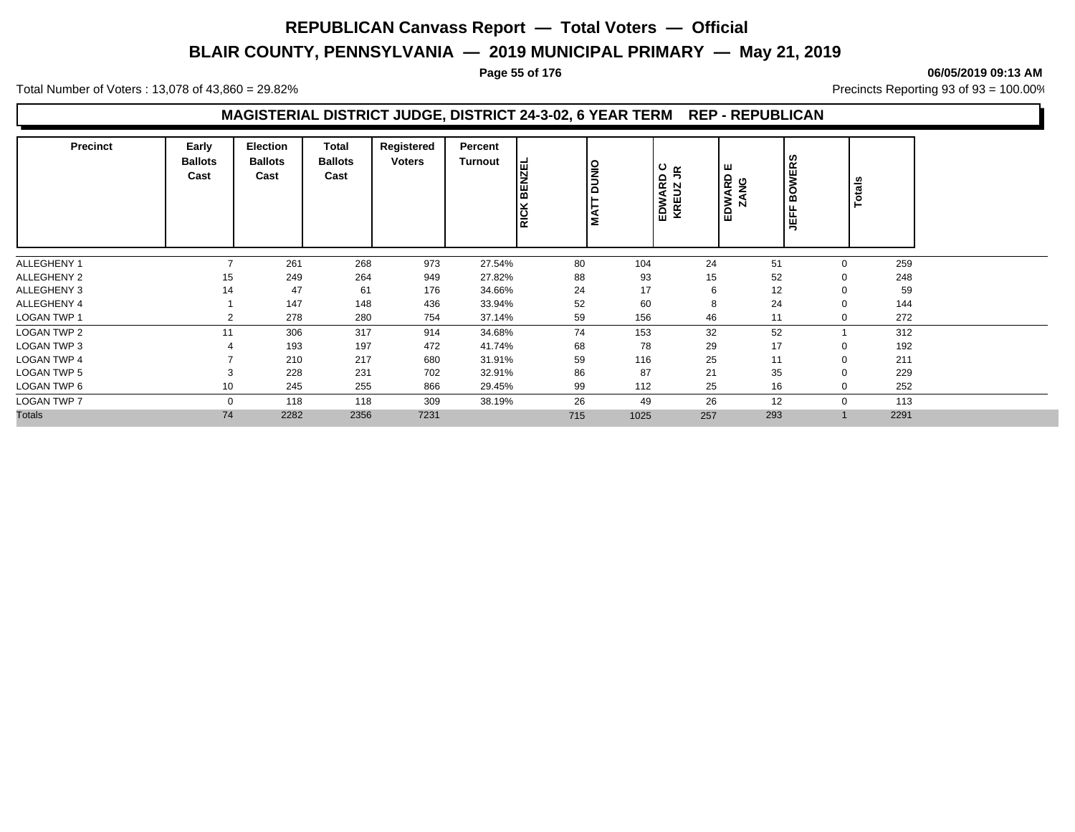# **BLAIR COUNTY, PENNSYLVANIA — 2019 MUNICIPAL PRIMARY — May 21, 2019**

#### **Page 55 of 176 06/05/2019 09:13 AM**

Total Number of Voters : 13,078 of 43,860 = 29.82% Precincts Reporting 93 of 93 = 100.00%

### **MAGISTERIAL DISTRICT JUDGE, DISTRICT 24-3-02, 6 YEAR TERM REP - REPUBLICAN**

| <b>Precinct</b>    | Early<br><b>Ballots</b><br>Cast | <b>Election</b><br><b>Ballots</b><br>Cast | Total<br><b>Ballots</b><br>Cast | Registered<br>Voters | Percent<br><b>Turnout</b> | <b>ZEL</b><br>z<br>BE<br><b>RICK</b> | <b>DUNIO</b><br>MAT | $\frac{0}{0}$ g<br>EDWARD<br>KREUZ JI | ш<br>EDWARD<br>ZANG | <b>BOWERS</b><br>肯 | <b>Totals</b> |
|--------------------|---------------------------------|-------------------------------------------|---------------------------------|----------------------|---------------------------|--------------------------------------|---------------------|---------------------------------------|---------------------|--------------------|---------------|
| ALLEGHENY 1        | $\overline{ }$                  | 261                                       | 268                             | 973                  | 27.54%                    | 80                                   | 104                 | 24                                    | 51                  | $\mathbf 0$        | 259           |
| ALLEGHENY 2        | 15                              | 249                                       | 264                             | 949                  | 27.82%                    | 88                                   | 93                  | 15                                    | 52                  | $\Omega$           | 248           |
| ALLEGHENY 3        | 14                              | 47                                        | 61                              | 176                  | 34.66%                    | 24                                   | 17                  | 6                                     | 12                  | $\Omega$           | 59            |
| ALLEGHENY 4        |                                 | 147                                       | 148                             | 436                  | 33.94%                    | 52                                   | 60                  | 8                                     | 24                  | $\Omega$           | 144           |
| <b>LOGAN TWP 1</b> | $\overline{2}$                  | 278                                       | 280                             | 754                  | 37.14%                    | 59                                   | 156                 | 46                                    | 11                  | $\mathbf 0$        | 272           |
| <b>LOGAN TWP 2</b> | 11                              | 306                                       | 317                             | 914                  | 34.68%                    | 74                                   | 153                 | 32                                    | 52                  |                    | 312           |
| <b>LOGAN TWP 3</b> |                                 | 193                                       | 197                             | 472                  | 41.74%                    | 68                                   | 78                  | 29                                    | 17                  | $\mathbf 0$        | 192           |
| <b>LOGAN TWP 4</b> |                                 | 210                                       | 217                             | 680                  | 31.91%                    | 59                                   | 116                 | 25                                    | 11                  | $\mathbf 0$        | 211           |
| <b>LOGAN TWP 5</b> | 3                               | 228                                       | 231                             | 702                  | 32.91%                    | 86                                   | 87                  | 21                                    | 35                  | $\Omega$           | 229           |
| LOGAN TWP 6        | 10                              | 245                                       | 255                             | 866                  | 29.45%                    | 99                                   | 112                 | 25                                    | 16                  | $\Omega$           | 252           |
| <b>LOGAN TWP 7</b> | 0                               | 118                                       | 118                             | 309                  | 38.19%                    | 26                                   | 49                  | 26                                    | 12                  | $\mathbf 0$        | 113           |
| <b>Totals</b>      | 74                              | 2282                                      | 2356                            | 7231                 |                           | 715                                  | 1025                | 257                                   | 293                 |                    | 2291          |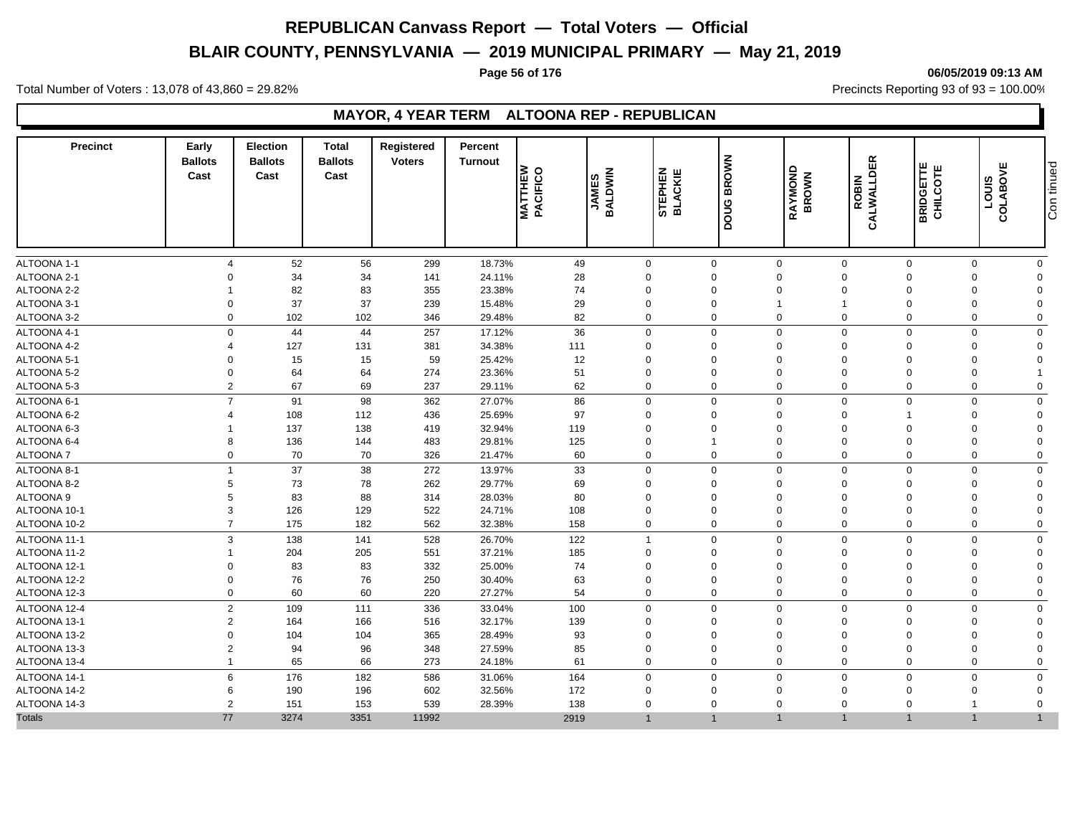# **BLAIR COUNTY, PENNSYLVANIA — 2019 MUNICIPAL PRIMARY — May 21, 2019**

### **Page 56 of 176 06/05/2019 09:13 AM**

Total Number of Voters : 13,078 of 43,860 = 29.82% Precincts Reporting 93 of 93 = 100.00%

### **MAYOR, 4 YEAR TERM ALTOONA REP - REPUBLICAN**

| <b>Precinct</b> | Early<br><b>Ballots</b><br>Cast | <b>Election</b><br><b>Ballots</b><br>Cast | <b>Total</b><br><b>Ballots</b><br>Cast | <b>Registered</b><br><b>Voters</b> | <b>Percent</b><br><b>Turnout</b> | <b>MATTHEW</b><br>PACIFICO | BALDWIN<br><b>JAMES</b> | STEPHEN<br>BLACKIE | <b>BROWN</b><br>poug | RAYMOND<br>BROWN    | CALWALLDER<br><b>ROBIN</b> | <b>BRIDGETTE</b><br>CHILCOTE | щ<br>COLABOV<br><b>LOUIS</b> | tinued<br>Con 1 |
|-----------------|---------------------------------|-------------------------------------------|----------------------------------------|------------------------------------|----------------------------------|----------------------------|-------------------------|--------------------|----------------------|---------------------|----------------------------|------------------------------|------------------------------|-----------------|
| ALTOONA 1-1     | $\boldsymbol{\Delta}$           | 52                                        | 56                                     | 299                                | 18.73%                           | 49                         | $\mathbf 0$             |                    | $\mathbf 0$          | $\mathbf 0$         | $\mathbf 0$                | $\mathbf 0$                  | $\mathbf 0$                  | $\mathbf 0$     |
| ALTOONA 2-1     | ∩                               | 34                                        | 34                                     | 141                                | 24.11%                           | 28                         | $\Omega$                |                    | $\Omega$             | $\Omega$            | $\Omega$                   | $\Omega$                     | $\Omega$                     | $\mathbf 0$     |
| ALTOONA 2-2     |                                 | 82                                        | 83                                     | 355                                | 23.38%                           | 74                         | $\Omega$                |                    | $\Omega$             | $\mathbf 0$         | $\Omega$                   | $\Omega$                     |                              | $\mathbf 0$     |
| ALTOONA 3-1     | $\Omega$                        | 37                                        | 37                                     | 239                                | 15.48%                           | 29                         | $\Omega$                |                    | $\Omega$             |                     | 1                          | $\Omega$                     |                              | $\mathbf 0$     |
| ALTOONA 3-2     | $\Omega$                        | 102                                       | 102                                    | 346                                | 29.48%                           | 82                         | $\Omega$                |                    | $\mathbf 0$          | $\mathbf 0$         | $\Omega$                   | $\Omega$                     | $\Omega$                     | $\mathbf 0$     |
| ALTOONA 4-1     | $\Omega$                        | 44                                        | 44                                     | 257                                | 17.12%                           | 36                         | $\Omega$                |                    | $\Omega$             | $\mathbf{0}$        | $\Omega$                   | $\Omega$                     | $\Omega$                     | $\mathbf 0$     |
| ALTOONA 4-2     |                                 | 127                                       | 131                                    | 381                                | 34.38%                           | 111                        | $\Omega$                |                    | $\Omega$             | $\mathbf 0$         | $\Omega$                   | $\Omega$                     | $\Omega$                     | $\mathbf 0$     |
| ALTOONA 5-1     | $\Omega$                        | 15                                        | 15                                     | 59                                 | 25.42%                           | 12                         | $\Omega$                |                    | $\Omega$             | $\overline{0}$      | $\Omega$                   | $\Omega$                     |                              | $\Omega$        |
| ALTOONA 5-2     | $\mathbf 0$                     | 64                                        | 64                                     | 274                                | 23.36%                           | 51                         | $\Omega$                |                    | $\Omega$             | $\mathbf 0$         | $\Omega$                   | $\Omega$                     | $\Omega$                     |                 |
| ALTOONA 5-3     | $\overline{2}$                  | 67                                        | 69                                     | 237                                | 29.11%                           | 62                         | $\Omega$                |                    | $\mathbf 0$          | $\mathbf 0$         | $\mathbf 0$                | $\Omega$                     | $\Omega$                     | $\mathbf 0$     |
| ALTOONA 6-1     | $\overline{7}$                  | 91                                        | 98                                     | 362                                | 27.07%                           | 86                         | $\mathbf 0$             |                    | $\mathbf 0$          | $\mathsf{O}\xspace$ | $\mathbf 0$                | $\mathbf 0$                  | $\mathbf 0$                  | $\mathbf 0$     |
| ALTOONA 6-2     |                                 | 108                                       | 112                                    | 436                                | 25.69%                           | 97                         | $\Omega$                |                    | $\Omega$             | $\overline{0}$      | $\Omega$                   |                              | $\Omega$                     | $\mathbf 0$     |
| ALTOONA 6-3     |                                 | 137                                       | 138                                    | 419                                | 32.94%                           | 119                        | $\Omega$                |                    | $\Omega$             | $\Omega$            | $\Omega$                   | $\Omega$                     |                              | $\mathbf 0$     |
| ALTOONA 6-4     | 8                               | 136                                       | 144                                    | 483                                | 29.81%                           | 125                        | $\Omega$                |                    | $\mathbf{1}$         | 0                   | $\mathbf 0$                | $\mathbf 0$                  | $\Omega$                     | $\mathbf 0$     |
| <b>ALTOONA7</b> | $\mathbf 0$                     | 70                                        | 70                                     | 326                                | 21.47%                           | 60                         | $\Omega$                |                    | $\Omega$             | $\mathbf 0$         | $\Omega$                   | $\Omega$                     | $\Omega$                     | $\Omega$        |
| ALTOONA 8-1     | $\overline{1}$                  | 37                                        | 38                                     | 272                                | 13.97%                           | 33                         | $\mathbf 0$             |                    | $\mathbf 0$          | $\mathbf 0$         | $\mathbf 0$                | $\Omega$                     | $\mathbf 0$                  | $\mathbf 0$     |
| ALTOONA 8-2     | 5                               | 73                                        | 78                                     | 262                                | 29.77%                           | 69                         | $\Omega$                |                    | $\Omega$             | $\Omega$            | $\Omega$                   | $\Omega$                     | $\Omega$                     | $\Omega$        |
| ALTOONA 9       |                                 | 83<br>5                                   | 88                                     | 314                                | 28.03%                           | 80                         | $\Omega$                |                    | $\Omega$             | $\mathbf 0$         | $\Omega$                   | $\Omega$                     | $\Omega$                     | $\mathbf 0$     |
| ALTOONA 10-1    | 3                               | 126                                       | 129                                    | 522                                | 24.71%                           | 108                        | $\Omega$                |                    | $\Omega$             | $\Omega$            | $\Omega$                   | $\Omega$                     |                              | $\Omega$        |
| ALTOONA 10-2    | $\overline{7}$                  | 175                                       | 182                                    | 562                                | 32.38%                           | 158                        | $\mathbf 0$             |                    | $\mathbf 0$          | 0                   | $\mathbf 0$                | $\mathbf 0$                  | $\mathbf 0$                  | $\mathbf 0$     |
| ALTOONA 11-1    | 3                               | 138                                       | 141                                    | 528                                | 26.70%                           | 122                        | 1                       |                    | $\Omega$             | $\mathbf 0$         | $\Omega$                   | $\Omega$                     | $\Omega$                     | $\mathbf 0$     |
| ALTOONA 11-2    | -1                              | 204                                       | 205                                    | 551                                | 37.21%                           | 185                        | $\Omega$                |                    | $\mathbf 0$          | $\mathbf 0$         | $\mathbf 0$                | $\Omega$                     | $\Omega$                     | $\mathbf 0$     |
| ALTOONA 12-1    | $\Omega$                        | 83                                        | 83                                     | 332                                | 25.00%                           | 74                         | $\Omega$                |                    | $\Omega$             | $\mathbf 0$         | $\Omega$                   | $\Omega$                     |                              | $\mathbf 0$     |
| ALTOONA 12-2    | $\Omega$                        | 76                                        | 76                                     | 250                                | 30.40%                           | 63                         | $\Omega$                |                    | $\Omega$             | $\mathbf 0$         | $\Omega$                   | $\Omega$                     | $\Omega$                     | $\Omega$        |
| ALTOONA 12-3    | $\Omega$                        | 60                                        | 60                                     | 220                                | 27.27%                           | 54                         | $\Omega$                |                    | $\Omega$             | $\mathbf 0$         | $\Omega$                   | $\Omega$                     | $\Omega$                     | $\mathbf 0$     |
| ALTOONA 12-4    |                                 | $\overline{2}$<br>109                     | 111                                    | 336                                | 33.04%                           | 100                        | $\mathbf 0$             |                    | $\mathbf 0$          | $\mathbf 0$         | 0                          | $\mathbf 0$                  | $\mathbf 0$                  | $\mathbf 0$     |
| ALTOONA 13-1    | $\overline{2}$                  | 164                                       | 166                                    | 516                                | 32.17%                           | 139                        | $\Omega$                |                    | $\Omega$             | $\Omega$            | $\Omega$                   | $\Omega$                     | $\Omega$                     | $\mathbf 0$     |
| ALTOONA 13-2    | $\Omega$                        | 104                                       | 104                                    | 365                                | 28.49%                           | 93                         | $\Omega$                |                    | $\Omega$             | $\Omega$            | $\Omega$                   | $\Omega$                     |                              | $\Omega$        |
| ALTOONA 13-3    | $\overline{2}$                  | 94                                        | 96                                     | 348                                | 27.59%                           | 85                         | $\Omega$                |                    | $\Omega$             | $\Omega$            | $\Omega$                   | $\Omega$                     | $\Omega$                     | $\Omega$        |
| ALTOONA 13-4    | $\overline{1}$                  | 65                                        | 66                                     | 273                                | 24.18%                           | 61                         | $\Omega$                |                    | $\mathbf 0$          | $\mathbf 0$         | $\Omega$                   | $\Omega$                     | $\Omega$                     | $\Omega$        |
| ALTOONA 14-1    | 6                               | 176                                       | 182                                    | 586                                | 31.06%                           | 164                        | $\mathbf 0$             |                    | $\mathbf 0$          | $\mathbf 0$         | $\Omega$                   | $\Omega$                     | $\Omega$                     | $\mathbf 0$     |
| ALTOONA 14-2    | 6                               | 190                                       | 196                                    | 602                                | 32.56%                           | 172                        | $\Omega$                |                    | $\Omega$             | $\mathbf 0$         | $\Omega$                   | $\Omega$                     | $\Omega$                     | $\Omega$        |
| ALTOONA 14-3    | $\overline{2}$                  | 151                                       | 153                                    | 539                                | 28.39%                           | 138                        | $\Omega$                |                    | $\Omega$             | $\Omega$            | $\Omega$                   | $\Omega$                     |                              | $\mathbf 0$     |
| <b>Totals</b>   | 77                              | 3274                                      | 3351                                   | 11992                              |                                  | 2919                       |                         |                    | $\overline{1}$       |                     |                            |                              |                              |                 |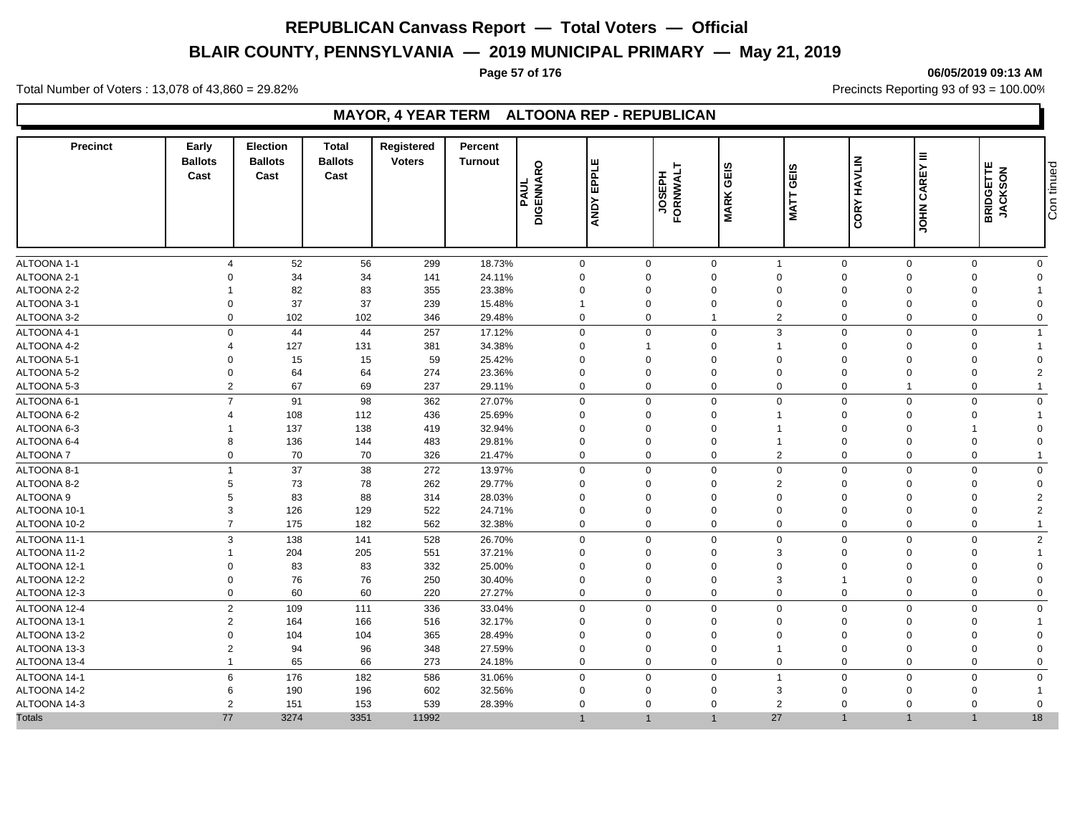# **BLAIR COUNTY, PENNSYLVANIA — 2019 MUNICIPAL PRIMARY — May 21, 2019**

# **Page 57 of 176 06/05/2019 09:13 AM**

Total Number of Voters : 13,078 of 43,860 = 29.82% Precincts Reporting 93 of 93 = 100.00%

### **MAYOR, 4 YEAR TERM ALTOONA REP - REPUBLICAN**

| <b>Precinct</b>  | Early<br><b>Ballots</b><br>Cast | <b>Election</b><br><b>Ballots</b><br>Cast | <b>Total</b><br><b>Ballots</b><br>Cast | Registered<br><b>Voters</b> | <b>Percent</b><br><b>Turnout</b><br>PAUL | EPPLE<br><b>DIGENNARO</b><br><b>ANDY</b> | <b>JOSEPH</b><br>FORNWALT | GEIS<br><b>MARK</b> | GEIS<br><b>NATT</b> | HAVLIN<br>CORY | $\equiv$<br>CAREY<br><b>NHOT</b> | <b>BRIDGETTE</b><br>JACKSON | Con tinued     |
|------------------|---------------------------------|-------------------------------------------|----------------------------------------|-----------------------------|------------------------------------------|------------------------------------------|---------------------------|---------------------|---------------------|----------------|----------------------------------|-----------------------------|----------------|
| ALTOONA 1-1      | $\Delta$                        | 52                                        | 56                                     | 299                         | 18.73%                                   | $\mathbf 0$                              | $\Omega$                  | $\mathbf 0$         | $\overline{1}$      | $\mathbf 0$    | $\mathbf 0$                      | $\mathbf 0$                 | $\Omega$       |
| ALTOONA 2-1      | $\Omega$                        | 34                                        | 34                                     | 141                         | 24.11%                                   | $\mathbf 0$                              | $\Omega$                  | $\mathbf 0$         | $\mathbf 0$         | $\mathbf 0$    | $\Omega$                         | $\Omega$                    | $\Omega$       |
| ALTOONA 2-2      |                                 | 82                                        | 83                                     | 355                         | 23.38%                                   | $\mathbf 0$                              | $\Omega$                  | $\mathbf 0$         | $\mathbf 0$         | $\mathbf 0$    | $\Omega$                         | $\Omega$                    |                |
| ALTOONA 3-1      | $\Omega$                        | 37                                        | 37                                     | 239                         | 15.48%                                   | -1                                       | $\Omega$                  | $\Omega$            | $\Omega$            | $\mathbf 0$    | $\Omega$                         | $\Omega$                    | U              |
| ALTOONA 3-2      | $\mathbf 0$                     | 102                                       | 102                                    | 346                         | 29.48%                                   | $\mathbf 0$                              | $\mathbf 0$               | $\mathbf 1$         | $\overline{2}$      | $\mathbf 0$    | 0                                | $\mathbf 0$                 | $\Omega$       |
| ALTOONA 4-1      | $\mathbf 0$                     | 44                                        | 44                                     | 257                         | 17.12%                                   | $\mathbf 0$                              | $\mathbf 0$               | $\mathbf 0$         | 3                   | $\mathbf 0$    | $\mathbf 0$                      | $\Omega$                    | 1              |
| ALTOONA 4-2      | $\overline{4}$                  | 127                                       | 131                                    | 381                         | 34.38%                                   | $\mathbf 0$                              |                           | $\mathbf{0}$        |                     | $\mathbf 0$    | 0                                | $\Omega$                    |                |
| ALTOONA 5-1      | $\Omega$                        | 15                                        | 15                                     | 59                          | 25.42%                                   | $\Omega$                                 |                           | $\Omega$            | $\Omega$            | $\Omega$       | $\Omega$                         | $\Omega$                    | O              |
| ALTOONA 5-2      | $\mathbf 0$                     | 64                                        | 64                                     | 274                         | 23.36%                                   | $\mathbf 0$                              | $\Omega$                  | $\Omega$            | $\mathbf 0$         | $\mathbf 0$    | $\mathbf 0$                      | $\Omega$                    | $\overline{2}$ |
| ALTOONA 5-3      | $\overline{2}$                  | 67                                        | 69                                     | 237                         | 29.11%                                   | $\mathbf 0$                              | $\Omega$                  | $\mathbf 0$         | $\Omega$            | $\mathbf 0$    |                                  | $\Omega$                    |                |
| ALTOONA 6-1      | $\overline{7}$                  | 91                                        | 98                                     | 362                         | 27.07%                                   | $\mathbf 0$                              | $\mathbf 0$               | $\mathbf 0$         | $\Omega$            | $\mathbf 0$    | $\mathbf 0$                      | $\Omega$                    | $\mathbf 0$    |
| ALTOONA 6-2      |                                 | 108                                       | 112                                    | 436                         | 25.69%                                   | $\Omega$                                 | $\Omega$                  | $\Omega$            |                     | $\Omega$       | $\Omega$                         | $\Omega$                    |                |
| ALTOONA 6-3      |                                 | 137                                       | 138                                    | 419                         | 32.94%                                   | $\mathbf 0$                              | $\Omega$                  | $\Omega$            |                     | $\mathbf 0$    | $\mathbf 0$                      |                             | $\Omega$       |
| ALTOONA 6-4      | 8                               | 136                                       | 144                                    | 483                         | 29.81%                                   | $\mathbf 0$                              | $\Omega$                  | $\Omega$            |                     | $\mathbf 0$    | $\Omega$                         | $\Omega$                    | $\Omega$       |
| <b>ALTOONA7</b>  | $\mathbf 0$                     | 70                                        | 70                                     | 326                         | 21.47%                                   | $\mathbf 0$                              | $\Omega$                  | $\mathbf 0$         | $\overline{2}$      | $\Omega$       | $\Omega$                         | $\Omega$                    |                |
| ALTOONA 8-1      |                                 | 37                                        | 38                                     | 272                         | 13.97%                                   | $\mathbf 0$                              | $\mathbf 0$               | $\overline{0}$      | $\mathbf 0$         | $\mathbf 0$    | $\mathbf 0$                      | $\mathbf 0$                 | $\mathbf{0}$   |
| ALTOONA 8-2      | 5                               | 73                                        | 78                                     | 262                         | 29.77%                                   | $\Omega$                                 | $\Omega$                  | $\mathbf 0$         | $\overline{2}$      | $\mathbf 0$    | $\mathbf 0$                      | $\Omega$                    | $\Omega$       |
| <b>ALTOONA 9</b> | 5                               | 83                                        | 88                                     | 314                         | 28.03%                                   | $\mathbf 0$                              | $\Omega$                  | $\mathbf{0}$        | $\Omega$            | $\Omega$       | $\Omega$                         | $\Omega$                    | $\overline{2}$ |
| ALTOONA 10-1     | 3                               | 126                                       | 129                                    | 522                         | 24.71%                                   | $\Omega$                                 | $\Omega$                  | $\Omega$            | $\Omega$            | $\Omega$       | $\Omega$                         | $\Omega$                    | 2              |
| ALTOONA 10-2     | $\overline{7}$                  | 175                                       | 182                                    | 562                         | 32.38%                                   | $\mathbf 0$                              | $\mathbf 0$               | $\mathbf 0$         | $\mathbf 0$         | $\mathbf 0$    | 0                                | $\mathbf 0$                 | 1              |
| ALTOONA 11-1     | 3                               | 138                                       | 141                                    | 528                         | 26.70%                                   | $\mathbf 0$                              | $\Omega$                  | $\mathbf 0$         | $\Omega$            | $\mathbf 0$    | $\mathbf 0$                      | $\Omega$                    | $\overline{2}$ |
| ALTOONA 11-2     |                                 | 204                                       | 205                                    | 551                         | 37.21%                                   | $\mathbf 0$                              | $\Omega$                  | $\mathbf{0}$        | 3                   | $\Omega$       | $\Omega$                         | $\Omega$                    |                |
| ALTOONA 12-1     | $\Omega$                        | 83                                        | 83                                     | 332                         | 25.00%                                   | $\mathbf 0$                              |                           | $\Omega$            | $\mathbf 0$         | $\mathbf 0$    | 0                                | $\mathsf{C}$                | $\Omega$       |
| ALTOONA 12-2     | $\mathbf 0$                     | 76                                        | 76                                     | 250                         | 30.40%                                   | $\mathbf 0$                              | $\Omega$                  | $\Omega$            | 3                   | $\overline{1}$ | $\mathbf 0$                      | $\Omega$                    | 0              |
| ALTOONA 12-3     | $\mathbf 0$                     | 60                                        | 60                                     | 220                         | 27.27%                                   | $\mathbf 0$                              | $\Omega$                  | $\mathbf{0}$        | $\Omega$            | $\mathbf 0$    | 0                                | $\Omega$                    | 0              |
| ALTOONA 12-4     | 2                               | 109                                       | 111                                    | 336                         | 33.04%                                   | $\mathbf 0$                              | $\Omega$                  | $\mathbf{0}$        | $\Omega$            | $\mathbf 0$    | $\mathbf 0$                      | $\Omega$                    | $\Omega$       |
| ALTOONA 13-1     | $\overline{2}$                  | 164                                       | 166                                    | 516                         | 32.17%                                   | $\mathbf 0$                              | $\Omega$                  | $\mathbf 0$         | $\Omega$            | $\mathbf 0$    | 0                                | $\Omega$                    |                |
| ALTOONA 13-2     | $\Omega$                        | 104                                       | 104                                    | 365                         | 28.49%                                   | $\mathbf 0$                              |                           | $\Omega$            | $\Omega$            | $\mathbf 0$    | $\Omega$                         | $\Omega$                    | 0              |
| ALTOONA 13-3     | $\overline{2}$                  | 94                                        | 96                                     | 348                         | 27.59%                                   | $\mathbf 0$                              | $\Omega$                  | $\Omega$            |                     | $\overline{0}$ | $\Omega$                         | $\Omega$                    | U              |
| ALTOONA 13-4     | 1                               | 65                                        | 66                                     | 273                         | 24.18%                                   | $\mathbf 0$                              | $\Omega$                  | $\mathbf 0$         | $\mathbf 0$         | $\mathbf 0$    | 0                                | $\Omega$                    | $\Omega$       |
| ALTOONA 14-1     | 6                               | 176                                       | 182                                    | 586                         | 31.06%                                   | $\mathbf 0$                              | $\mathbf 0$               | $\mathbf 0$         |                     | $\mathbf 0$    | $\mathbf 0$                      | $\Omega$                    | $\Omega$       |
| ALTOONA 14-2     | 6                               | 190                                       | 196                                    | 602                         | 32.56%                                   | $\Omega$                                 | $\Omega$                  | $\Omega$            | 3                   | $\mathbf 0$    | $\Omega$                         | $\Omega$                    |                |
| ALTOONA 14-3     | 2                               | 151                                       | 153                                    | 539                         | 28.39%                                   | $\Omega$                                 | $\Omega$                  | $\Omega$            | $\overline{2}$      | $\Omega$       | $\Omega$                         | $\Omega$                    | $\Omega$       |
| <b>Totals</b>    | 77                              | 3274                                      | 3351                                   | 11992                       |                                          |                                          |                           |                     | 27                  | $\mathbf{1}$   | $\mathbf 1$                      |                             | 18             |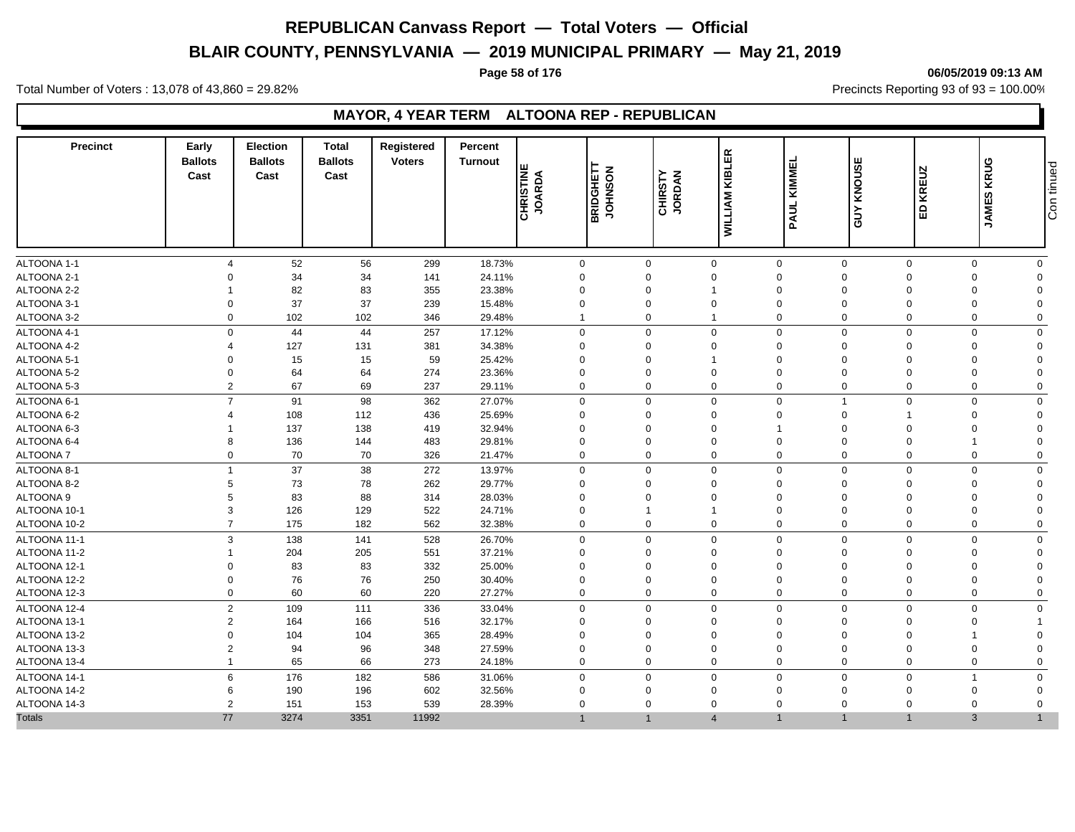# **BLAIR COUNTY, PENNSYLVANIA — 2019 MUNICIPAL PRIMARY — May 21, 2019**

### **Page 58 of 176 06/05/2019 09:13 AM**

Total Number of Voters : 13,078 of 43,860 = 29.82% Precincts Reporting 93 of 93 = 100.00%

### **MAYOR, 4 YEAR TERM ALTOONA REP - REPUBLICAN**

| <b>Precinct</b>  | Early<br><b>Ballots</b><br>Cast | <b>Election</b><br><b>Ballots</b><br>Cast | <b>Total</b><br><b>Ballots</b><br>Cast | Registered<br><b>Voters</b> | <b>Percent</b><br>Turnout | <b>CHRISTINE</b><br>JOARDA | BRIDGHETT<br><b>NOSNHOL</b> | <b>CHIRSTY</b><br>JORDAN | <b>WILLIAM KIBLER</b> | KIMMEL<br>PAUL | KNOUSE<br>YUP  | <b>KREUZ</b><br>品 | <b>JAMES KRUG</b> | Con tinued  |
|------------------|---------------------------------|-------------------------------------------|----------------------------------------|-----------------------------|---------------------------|----------------------------|-----------------------------|--------------------------|-----------------------|----------------|----------------|-------------------|-------------------|-------------|
| ALTOONA 1-1      | $\boldsymbol{\varDelta}$        | 52                                        | 56                                     | 299                         | 18.73%                    | $\mathbf 0$                |                             | 0                        | $\mathbf 0$           | $\mathbf 0$    | $\mathbf 0$    | $\mathbf 0$       | $\Omega$          | $\mathbf 0$ |
| ALTOONA 2-1      | $\Omega$                        | 34                                        | 34                                     | 141                         | 24.11%                    | $\Omega$                   |                             | $\Omega$                 | $\Omega$              | $\Omega$       | $\Omega$       | $\Omega$          | $\Omega$          | $\Omega$    |
| ALTOONA 2-2      |                                 | 82                                        | 83                                     | 355                         | 23.38%                    | $\Omega$                   |                             | $\Omega$                 | -1                    | $\mathbf 0$    | $\Omega$       | $\Omega$          |                   | $\Omega$    |
| ALTOONA 3-1      | $\Omega$                        | 37                                        | 37                                     | 239                         | 15.48%                    | $\Omega$                   |                             | $\Omega$                 | $\Omega$              | $\Omega$       | $\Omega$       | $\Omega$          |                   | $\Omega$    |
| ALTOONA 3-2      | $\mathbf 0$                     | 102                                       | 102                                    | 346                         | 29.48%                    | $\mathbf{1}$               |                             | 0                        | $\overline{1}$        | $\mathbf 0$    | $\mathbf 0$    | $\mathbf 0$       | $\mathbf 0$       | $\mathbf 0$ |
| ALTOONA 4-1      | $\Omega$                        | 44                                        | 44                                     | 257                         | 17.12%                    | $\mathbf 0$                |                             | $\Omega$                 | $\Omega$              | $\Omega$       | $\mathbf 0$    | $\mathbf 0$       | $\Omega$          | $\mathbf 0$ |
| ALTOONA 4-2      | 4                               | 127                                       | 131                                    | 381                         | 34.38%                    | $\Omega$                   |                             | $\Omega$                 | $\Omega$              | $\mathbf 0$    | $\Omega$       | $\Omega$          | $\Omega$          | $\Omega$    |
| ALTOONA 5-1      | $\Omega$                        | 15                                        | 15                                     | 59                          | 25.42%                    | $\Omega$                   |                             | $\Omega$                 |                       | $\Omega$       | $\Omega$       | $\Omega$          |                   | $\Omega$    |
| ALTOONA 5-2      | $\mathbf 0$                     | 64                                        | 64                                     | 274                         | 23.36%                    | $\Omega$                   |                             | $\Omega$                 | $\Omega$              | $\mathbf 0$    | $\Omega$       | $\Omega$          |                   | $\Omega$    |
| ALTOONA 5-3      | $\overline{2}$                  | 67                                        | 69                                     | 237                         | 29.11%                    | $\mathbf 0$                |                             | $\Omega$                 | $\Omega$              | $\mathbf 0$    | $\mathbf 0$    | $\mathbf 0$       | $\Omega$          | $\Omega$    |
| ALTOONA 6-1      | $\overline{7}$                  | 91                                        | 98                                     | 362                         | 27.07%                    | $\mathbf 0$                |                             | $\Omega$                 | $\Omega$              | $\mathbf 0$    | $\overline{1}$ | $\mathbf 0$       | $\Omega$          | $\mathbf 0$ |
| ALTOONA 6-2      |                                 | 108                                       | 112                                    | 436                         | 25.69%                    | $\Omega$                   |                             | $\Omega$                 | $\Omega$              | $\Omega$       | $\Omega$       |                   | $\Omega$          | $\Omega$    |
| ALTOONA 6-3      |                                 | 137                                       | 138                                    | 419                         | 32.94%                    | $\Omega$                   |                             | $\Omega$                 | $\Omega$              | $\mathbf 1$    | $\Omega$       | $\Omega$          |                   | $\Omega$    |
| ALTOONA 6-4      | 8                               | 136                                       | 144                                    | 483                         | 29.81%                    | $\Omega$                   |                             | $\Omega$                 | $\Omega$              | $\mathbf 0$    | $\Omega$       | $\Omega$          |                   | $\Omega$    |
| <b>ALTOONA7</b>  | $\Omega$                        | 70                                        | 70                                     | 326                         | 21.47%                    | $\mathbf 0$                |                             | $\Omega$                 | $\Omega$              | $\Omega$       | $\Omega$       | $\Omega$          | $\Omega$          | $\Omega$    |
| ALTOONA 8-1      | $\overline{1}$                  | 37                                        | 38                                     | 272                         | 13.97%                    | $\mathbf 0$                |                             | $\mathbf 0$              | $\mathbf 0$           | $\mathbf 0$    | $\mathbf 0$    | $\mathbf 0$       | $\Omega$          | $\mathbf 0$ |
| ALTOONA 8-2      | 5                               | 73                                        | 78                                     | 262                         | 29.77%                    | $\Omega$                   |                             | $\Omega$                 | $\Omega$              | $\mathbf 0$    | $\Omega$       | $\Omega$          | $\Omega$          | $\Omega$    |
| <b>ALTOONA 9</b> | 5                               | 83                                        | 88                                     | 314                         | 28.03%                    | $\Omega$                   |                             | $\Omega$                 | $\Omega$              | $\mathbf 0$    | $\Omega$       | $\Omega$          | $\Omega$          | $\Omega$    |
| ALTOONA 10-1     | 3                               | 126                                       | 129                                    | 522                         | 24.71%                    | $\Omega$                   |                             |                          |                       | $\Omega$       | $\Omega$       | $\Omega$          |                   | $\Omega$    |
| ALTOONA 10-2     | $\overline{7}$                  | 175                                       | 182                                    | 562                         | 32.38%                    | $\mathbf 0$                |                             | 0                        | $\mathbf 0$           | $\mathbf 0$    | $\mathbf 0$    | $\mathbf 0$       | $\mathbf 0$       | $\Omega$    |
| ALTOONA 11-1     | 3                               | 138                                       | 141                                    | 528                         | 26.70%                    | $\Omega$                   |                             | $\Omega$                 | $\Omega$              | $\Omega$       | $\mathbf 0$    | $\Omega$          | $\Omega$          | $\Omega$    |
| ALTOONA 11-2     |                                 | 204                                       | 205                                    | 551                         | 37.21%                    | $\Omega$                   |                             | $\Omega$                 | $\Omega$              | $\mathbf 0$    | $\Omega$       | $\Omega$          | $\Omega$          | $\Omega$    |
| ALTOONA 12-1     | $\Omega$                        | 83                                        | 83                                     | 332                         | 25.00%                    | $\Omega$                   |                             | $\Omega$                 | $\mathbf 0$           | $\Omega$       | $\Omega$       | $\mathbf 0$       |                   | $\Omega$    |
| ALTOONA 12-2     | $\Omega$                        | 76                                        | 76                                     | 250                         | 30.40%                    | $\Omega$                   |                             | $\Omega$                 | $\Omega$              | $\mathbf 0$    | $\Omega$       | $\mathbf 0$       | $\Omega$          | $\Omega$    |
| ALTOONA 12-3     | $\Omega$                        | 60                                        | 60                                     | 220                         | 27.27%                    | $\mathbf 0$                |                             | $\Omega$                 | $\Omega$              | $\Omega$       | $\mathbf 0$    | $\mathbf 0$       | $\Omega$          | $\Omega$    |
| ALTOONA 12-4     | $\overline{2}$                  | 109                                       | 111                                    | 336                         | 33.04%                    | $\mathbf 0$                |                             | $\Omega$                 | $\Omega$              | $\Omega$       | $\mathbf 0$    | $\mathbf 0$       | $\Omega$          | $\Omega$    |
| ALTOONA 13-1     | $\overline{2}$                  | 164                                       | 166                                    | 516                         | 32.17%                    | $\Omega$                   |                             | $\Omega$                 | $\mathbf 0$           | $\mathbf 0$    | $\mathbf 0$    | $\mathbf 0$       |                   |             |
| ALTOONA 13-2     | $\Omega$                        | 104                                       | 104                                    | 365                         | 28.49%                    | $\Omega$                   |                             | $\Omega$                 | $\Omega$              | $\mathbf 0$    | $\Omega$       | $\Omega$          |                   | $\Omega$    |
| ALTOONA 13-3     | 2                               | 94                                        | 96                                     | 348                         | 27.59%                    | $\Omega$                   |                             | $\Omega$                 | $\Omega$              | $\Omega$       | $\Omega$       | $\Omega$          |                   | $\Omega$    |
| ALTOONA 13-4     | $\mathbf{1}$                    | 65                                        | 66                                     | 273                         | 24.18%                    | $\mathbf 0$                |                             | $\Omega$                 | $\mathbf 0$           | $\mathbf 0$    | $\Omega$       | $\mathbf 0$       | $\Omega$          | $\mathbf 0$ |
| ALTOONA 14-1     | 6                               | 176                                       | 182                                    | 586                         | 31.06%                    | $\mathbf 0$                |                             | $\Omega$                 | $\mathbf 0$           | $\mathbf 0$    | $\mathbf 0$    | $\mathsf 0$       |                   | $\Omega$    |
| ALTOONA 14-2     | 6                               | 190                                       | 196                                    | 602                         | 32.56%                    | $\Omega$                   |                             | $\Omega$                 | $\Omega$              | $\Omega$       | $\Omega$       | $\Omega$          |                   | $\Omega$    |
| ALTOONA 14-3     | 2                               | 151                                       | 153                                    | 539                         | 28.39%                    | $\Omega$                   |                             | $\Omega$                 | $\Omega$              | $\Omega$       | $\Omega$       | $\Omega$          | $\Omega$          | $\Omega$    |
| <b>Totals</b>    | 77                              | 3274                                      | 3351                                   | 11992                       |                           | $\mathbf{1}$               |                             |                          | $\Delta$              |                |                |                   | 3                 |             |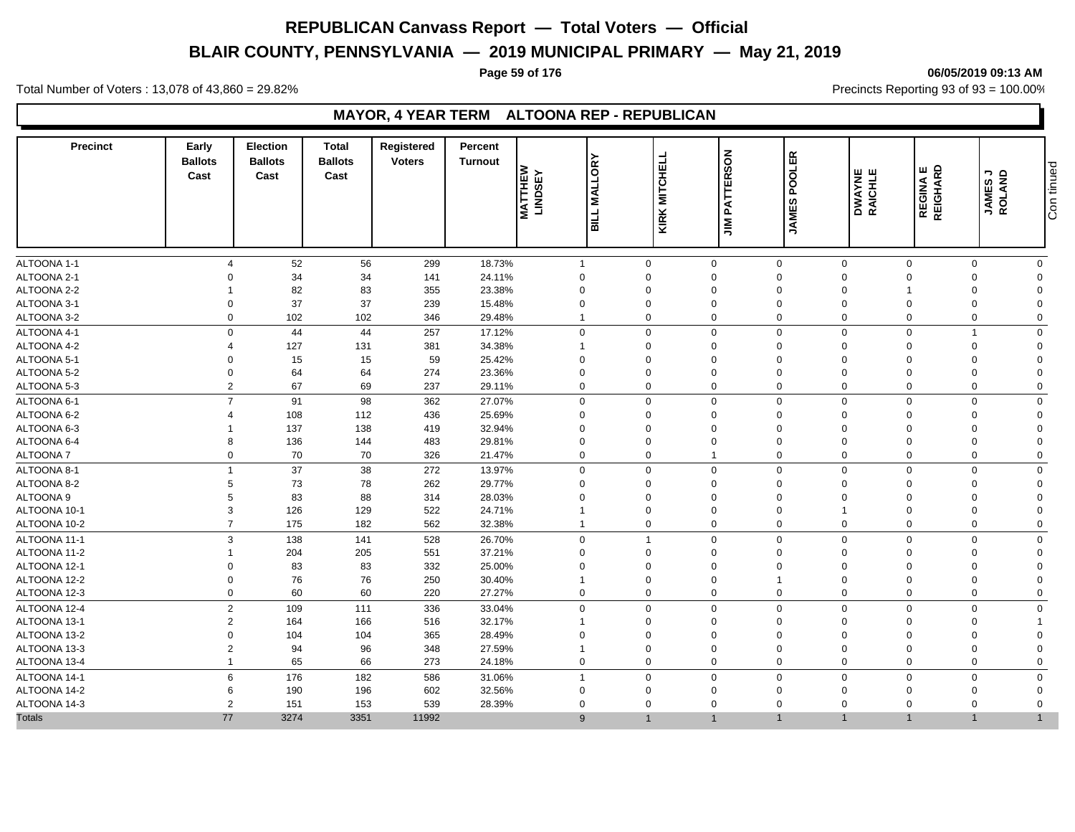# **BLAIR COUNTY, PENNSYLVANIA — 2019 MUNICIPAL PRIMARY — May 21, 2019**

### **Page 59 of 176 06/05/2019 09:13 AM**

Total Number of Voters : 13,078 of 43,860 = 29.82% Precincts Reporting 93 of 93 = 100.00%

### **MAYOR, 4 YEAR TERM ALTOONA REP - REPUBLICAN**

| <b>Precinct</b> | Early<br><b>Ballots</b><br>Cast | <b>Election</b><br><b>Ballots</b><br>Cast | <b>Total</b><br><b>Ballots</b><br>Cast | Registered<br><b>Voters</b> | Percent<br><b>Turnout</b> | <b>MALLORY</b><br><b>MATTHEW</b><br>LINDSEY<br><b>BILL</b> | KIRK MITCHELL  | <b>JIM PATTERSON</b> | <b>POOLER</b><br><b>JAMES</b> | DWAYNE<br>RAICHLE | REGINA E<br>REIGHARD | JAMESJ<br>ROLAND | Con tinued   |
|-----------------|---------------------------------|-------------------------------------------|----------------------------------------|-----------------------------|---------------------------|------------------------------------------------------------|----------------|----------------------|-------------------------------|-------------------|----------------------|------------------|--------------|
| ALTOONA 1-1     | 4                               | 52                                        | 56                                     | 299                         | 18.73%                    | $\mathbf{1}$                                               | $\mathbf 0$    | $\mathbf 0$          | $\mathbf 0$                   | $\mathbf 0$       | $\mathbf 0$          | $\mathbf 0$      | $\mathbf 0$  |
| ALTOONA 2-1     | $\Omega$                        | 34                                        | 34                                     | 141                         | 24.11%                    | $\mathbf 0$                                                | $\Omega$       | $\mathbf 0$          | $\Omega$                      | $\Omega$          | $\Omega$             | $\Omega$         | $\Omega$     |
| ALTOONA 2-2     |                                 | 82                                        | 83                                     | 355                         | 23.38%                    | $\mathbf 0$                                                | $\Omega$       | $\mathbf{0}$         | $\Omega$                      | $\Omega$          |                      | $\Omega$         | 0            |
| ALTOONA 3-1     | $\Omega$                        | 37                                        | 37                                     | 239                         | 15.48%                    | $\mathbf 0$                                                | $\Omega$       | $\Omega$             | $\Omega$                      | $\mathbf 0$       | 0                    | $\Omega$         | $\Omega$     |
| ALTOONA 3-2     |                                 | $\mathbf 0$<br>102                        | 102                                    | 346                         | 29.48%                    | $\mathbf{1}$                                               | $\mathbf 0$    | $\mathbf 0$          | $\mathbf 0$                   | $\mathbf 0$       | 0                    | $\mathbf 0$      | $\Omega$     |
| ALTOONA 4-1     |                                 | 44<br>$\mathbf 0$                         | 44                                     | 257                         | 17.12%                    | $\mathbf{0}$                                               | $\Omega$       | $\overline{0}$       | $\Omega$                      | $\mathbf 0$       | $\mathbf 0$          | $\overline{1}$   | $\mathbf{0}$ |
| ALTOONA 4-2     | 4                               | 127                                       | 131                                    | 381                         | 34.38%                    | -1                                                         | $\Omega$       | $\Omega$             | $\Omega$                      | $\mathbf 0$       | $\Omega$             | $\Omega$         | 0            |
| ALTOONA 5-1     | $\Omega$                        | 15                                        | 15                                     | 59                          | 25.42%                    | $\Omega$                                                   |                | $\Omega$             | $\Omega$                      | $\mathbf 0$       | $\mathbf 0$          | $\Omega$         | $\Omega$     |
| ALTOONA 5-2     | $\mathbf 0$                     | 64                                        | 64                                     | 274                         | 23.36%                    | $\mathbf 0$                                                | $\Omega$       | $\Omega$             | $\mathbf 0$                   | $\mathbf 0$       | $\mathbf 0$          | $\Omega$         | $\Omega$     |
| ALTOONA 5-3     |                                 | 2<br>67                                   | 69                                     | 237                         | 29.11%                    | $\mathbf 0$                                                | $\Omega$       | $\mathbf{0}$         | $\Omega$                      | $\mathbf 0$       | 0                    | $\Omega$         | $\Omega$     |
| ALTOONA 6-1     |                                 | $\overline{7}$<br>91                      | 98                                     | 362                         | 27.07%                    | $\mathbf 0$                                                | $\mathbf 0$    | $\mathbf 0$          | $\Omega$                      | $\mathbf 0$       | $\mathsf 0$          | $\mathbf 0$      | $\Omega$     |
| ALTOONA 6-2     |                                 | 108                                       | 112                                    | 436                         | 25.69%                    | $\Omega$                                                   | $\Omega$       | $\Omega$             | $\Omega$                      | $\mathbf 0$       | $\mathbf 0$          | $\Omega$         | 0            |
| ALTOONA 6-3     |                                 | 137                                       | 138                                    | 419                         | 32.94%                    | $\mathbf 0$                                                | $\Omega$       | $\Omega$             | $\mathbf 0$                   | $\mathbf 0$       | $\Omega$             | $\Omega$         | $\Omega$     |
| ALTOONA 6-4     | 8                               | 136                                       | 144                                    | 483                         | 29.81%                    | $\mathbf 0$                                                | $\Omega$       | $\Omega$             | $\Omega$                      | $\mathbf 0$       | 0                    | $\Omega$         | $\Omega$     |
| <b>ALTOONA7</b> | $\Omega$                        | 70                                        | 70                                     | 326                         | 21.47%                    | $\mathbf 0$                                                | $\Omega$       |                      | $\Omega$                      | $\mathbf 0$       | $\mathbf 0$          | $\Omega$         | $\Omega$     |
| ALTOONA 8-1     | 1                               | 37                                        | 38                                     | 272                         | 13.97%                    | $\mathbf 0$                                                | $\mathbf 0$    | $\mathbf 0$          | $\Omega$                      | $\mathbf 0$       | $\mathbf 0$          | $\mathbf 0$      | $\mathbf 0$  |
| ALTOONA 8-2     | 5                               | 73                                        | 78                                     | 262                         | 29.77%                    | $\Omega$                                                   | $\Omega$       | $\mathbf 0$          | $\Omega$                      | $\mathbf 0$       | $\Omega$             | $\Omega$         | $\Omega$     |
| ALTOONA 9       | 5                               | 83                                        | 88                                     | 314                         | 28.03%                    | $\mathbf 0$                                                | $\Omega$       | $\mathbf 0$          | $\mathbf 0$                   | $\mathbf 0$       | $\Omega$             | $\Omega$         | $\Omega$     |
| ALTOONA 10-1    | 3                               | 126                                       | 129                                    | 522                         | 24.71%                    | $\mathbf 1$                                                | $\Omega$       | $\Omega$             | $\Omega$                      |                   | $\Omega$             | $\Omega$         | O            |
| ALTOONA 10-2    | $\overline{7}$                  | 175                                       | 182                                    | 562                         | 32.38%                    | $\mathbf{1}$                                               | $\mathbf 0$    | $\mathbf 0$          | $\mathbf 0$                   | $\mathbf 0$       | 0                    | $\Omega$         | $\Omega$     |
| ALTOONA 11-1    |                                 | 3<br>138                                  | 141                                    | 528                         | 26.70%                    | $\mathbf 0$                                                | $\overline{1}$ | $\mathbf 0$          | $\Omega$                      | $\mathbf 0$       | $\mathbf 0$          | $\Omega$         | $\Omega$     |
| ALTOONA 11-2    |                                 | 204                                       | 205                                    | 551                         | 37.21%                    | $\mathbf 0$                                                | $\Omega$       | $\mathbf 0$          | $\Omega$                      | $\mathbf 0$       | 0                    | $\Omega$         | $\Omega$     |
| ALTOONA 12-1    | $\Omega$                        | 83                                        | 83                                     | 332                         | 25.00%                    | $\Omega$                                                   |                | $\Omega$             | $\Omega$                      | $\Omega$          | $\Omega$             | $\Omega$         | $\Omega$     |
| ALTOONA 12-2    | $\mathbf 0$                     | 76                                        | 76                                     | 250                         | 30.40%                    | 1                                                          | $\Omega$       | $\Omega$             |                               | $\mathbf 0$       | $\mathbf 0$          | $\Omega$         | $\Omega$     |
| ALTOONA 12-3    |                                 | 60<br>$\mathbf 0$                         | 60                                     | 220                         | 27.27%                    | $\mathbf 0$                                                | $\Omega$       | $\mathbf 0$          | $\Omega$                      | $\mathbf 0$       | 0                    | $\Omega$         | $\Omega$     |
| ALTOONA 12-4    |                                 | 2<br>109                                  | 111                                    | 336                         | 33.04%                    | $\mathbf 0$                                                | $\mathbf 0$    | 0                    | $\Omega$                      | $\mathbf 0$       | 0                    | $\Omega$         | $\Omega$     |
| ALTOONA 13-1    | $\overline{2}$                  | 164                                       | 166                                    | 516                         | 32.17%                    | $\mathbf 1$                                                | $\Omega$       | $\Omega$             | $\Omega$                      | $\mathbf 0$       | 0                    | $\Omega$         |              |
| ALTOONA 13-2    | $\Omega$                        | 104                                       | 104                                    | 365                         | 28.49%                    | $\mathbf 0$                                                | $\Omega$       | $\Omega$             | $\mathbf 0$                   | $\mathbf 0$       | $\mathbf 0$          | $\Omega$         | $\Omega$     |
| ALTOONA 13-3    | $\overline{2}$                  | 94                                        | 96                                     | 348                         | 27.59%                    | $\mathbf 1$                                                | $\Omega$       | $\Omega$             | $\Omega$                      | $\Omega$          | $\Omega$             | $\Omega$         | 0            |
| ALTOONA 13-4    | 1                               | 65                                        | 66                                     | 273                         | 24.18%                    | $\mathbf 0$                                                | $\Omega$       | $\mathbf 0$          | $\Omega$                      | $\mathbf 0$       | 0                    | $\Omega$         | $\Omega$     |
| ALTOONA 14-1    |                                 | 6<br>176                                  | 182                                    | 586                         | 31.06%                    | $\mathbf{1}$                                               | $\Omega$       | $\mathbf 0$          | $\Omega$                      | $\mathbf 0$       | $\mathbf 0$          | $\Omega$         | $\Omega$     |
| ALTOONA 14-2    | 6                               | 190                                       | 196                                    | 602                         | 32.56%                    | $\mathbf 0$                                                | $\Omega$       | $\Omega$             | $\mathbf 0$                   | $\overline{0}$    | $\Omega$             | $\Omega$         | $\Omega$     |
| ALTOONA 14-3    |                                 | $\overline{2}$<br>151                     | 153                                    | 539                         | 28.39%                    | $\Omega$                                                   | $\Omega$       | $\mathbf 0$          | $\Omega$                      | $\Omega$          | $\Omega$             | $\Omega$         | $\Omega$     |
| <b>Totals</b>   | 77                              | 3274                                      | 3351                                   | 11992                       |                           | 9                                                          | $\overline{1}$ |                      |                               | $\overline{1}$    |                      |                  |              |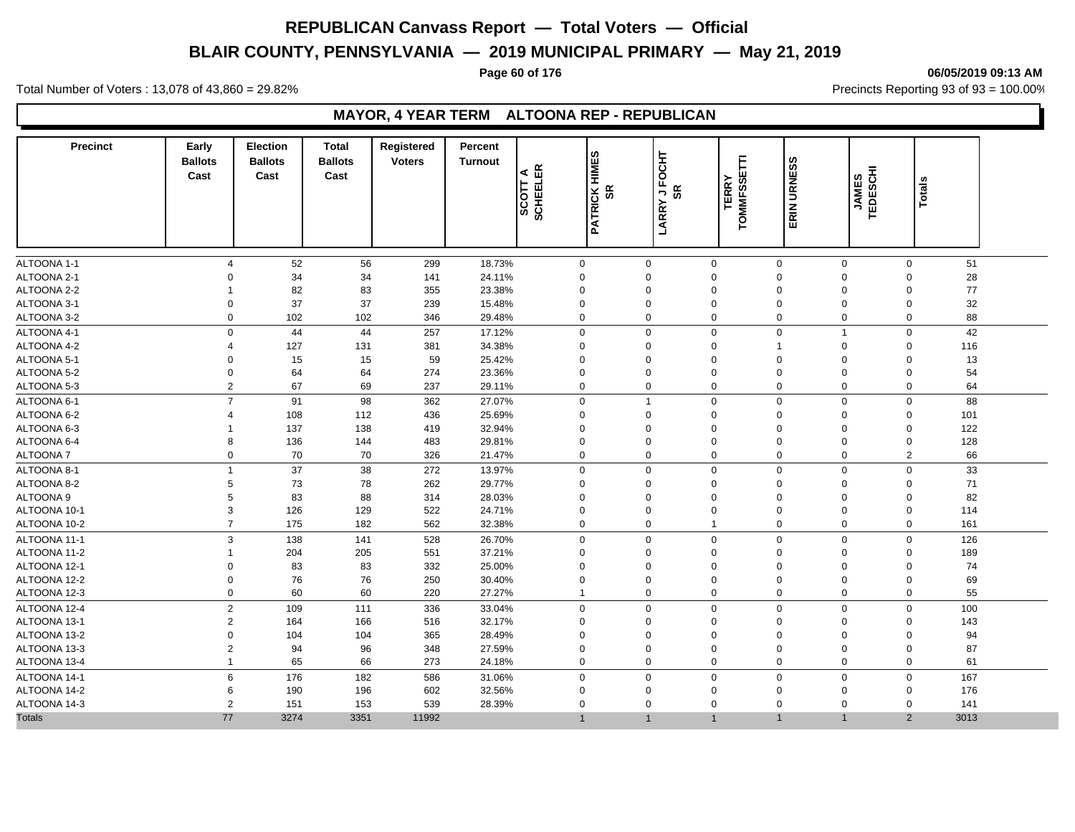# **BLAIR COUNTY, PENNSYLVANIA — 2019 MUNICIPAL PRIMARY — May 21, 2019**

#### **Page 60 of 176 06/05/2019 09:13 AM**

Total Number of Voters : 13,078 of 43,860 = 29.82% Precincts Reporting 93 of 93 = 100.00%

### **MAYOR, 4 YEAR TERM ALTOONA REP - REPUBLICAN**

| <b>Precinct</b> | Early<br><b>Ballots</b><br>Cast | <b>Election</b><br><b>Ballots</b><br>Cast | <b>Total</b><br><b>Ballots</b><br>Cast | Registered<br><b>Voters</b> | Percent<br><b>Turnout</b> | <b>PATRICK HIMES</b><br>SCOTT A<br>SCHEELER | ocнт<br>ũ,<br>SR<br>9S<br>Ļ<br>LARRY | <b>TOMMFSSETTI</b><br><b>TERRY</b> | ERIN URNESS                 | JAMES<br>TEDESCHI        | <b>Totals</b>  |      |  |
|-----------------|---------------------------------|-------------------------------------------|----------------------------------------|-----------------------------|---------------------------|---------------------------------------------|--------------------------------------|------------------------------------|-----------------------------|--------------------------|----------------|------|--|
| ALTOONA 1-1     | $\overline{\mathcal{A}}$        | 52                                        | 56                                     | 299                         | 18.73%                    | $\mathbf 0$                                 | $\mathbf 0$                          | $\mathbf 0$                        | $\mathbf 0$                 | $\mathbf 0$              | $\mathbf 0$    | 51   |  |
| ALTOONA 2-1     | $\Omega$                        | 34                                        | 34                                     | 141                         | 24.11%                    | $\Omega$                                    | $\Omega$                             | $\Omega$                           | $\mathbf 0$                 | $\Omega$                 | $\mathbf 0$    | 28   |  |
| ALTOONA 2-2     | -1                              | 82                                        | 83                                     | 355                         | 23.38%                    | $\mathbf 0$                                 | $\mathbf 0$                          | $\mathbf 0$                        | $\mathbf 0$                 | 0                        | $\mathbf 0$    | 77   |  |
| ALTOONA 3-1     | $\Omega$                        | 37                                        | 37                                     | 239                         | 15.48%                    | $\Omega$                                    | $\mathbf 0$                          | $\Omega$                           | $\mathbf 0$                 | $\Omega$                 | $\Omega$       | 32   |  |
| ALTOONA 3-2     | $\Omega$                        | 102                                       | 102                                    | 346                         | 29.48%                    | $\Omega$                                    | $\mathbf 0$                          | $\mathbf 0$                        | $\mathbf 0$                 | 0                        | $\mathbf{0}$   | 88   |  |
| ALTOONA 4-1     | $\mathbf{0}$                    | 44                                        | 44                                     | 257                         | 17.12%                    | $\mathbf 0$                                 | $\mathbf 0$                          | $\mathbf 0$                        | $\mathbf 0$                 | $\overline{1}$           | $\mathbf 0$    | 42   |  |
| ALTOONA 4-2     | $\overline{4}$                  | 127                                       | 131                                    | 381                         | 34.38%                    | $\Omega$                                    | $\mathbf 0$                          | $\mathbf 0$                        | $\overline{1}$              | 0                        | $\Omega$       | 116  |  |
| ALTOONA 5-1     | $\mathbf 0$                     | 15                                        | 15                                     | 59                          | 25.42%                    | $\Omega$                                    | $\mathbf 0$                          | $\mathbf 0$                        | $\mathbf 0$                 | $\mathbf 0$              | $\mathbf 0$    | 13   |  |
| ALTOONA 5-2     | $\mathbf 0$                     | 64                                        | 64                                     | 274                         | 23.36%                    | $\Omega$                                    | $\mathbf 0$                          | $\Omega$                           | $\mathbf 0$                 | $\Omega$                 | $\Omega$       | 54   |  |
| ALTOONA 5-3     | 2                               | 67                                        | 69                                     | 237                         | 29.11%                    | $\Omega$                                    | $\mathbf 0$                          | $\mathbf 0$                        | $\mathbf 0$                 | $\mathbf 0$              | $\Omega$       | 64   |  |
| ALTOONA 6-1     | $\overline{7}$                  | 91                                        | 98                                     | 362                         | 27.07%                    | $\mathbf 0$                                 | $\mathbf{1}$                         | $\mathbf 0$                        | $\mathbf 0$                 | 0                        | $\mathbf 0$    | 88   |  |
| ALTOONA 6-2     | $\overline{\mathcal{A}}$        | 108                                       | 112                                    | 436                         | 25.69%                    | $\Omega$                                    | $\mathbf 0$                          | $\Omega$                           | $\mathbf 0$                 | $\mathbf 0$              | $\mathbf 0$    | 101  |  |
| ALTOONA 6-3     | -1                              | 137                                       | 138                                    | 419                         | 32.94%                    | $\Omega$                                    | $\Omega$                             | $\Omega$                           | $\mathbf 0$                 | $\Omega$                 | $\mathbf 0$    | 122  |  |
| ALTOONA 6-4     | 8                               | 136                                       | 144                                    | 483                         | 29.81%                    | $\mathbf 0$                                 | $\mathbf 0$                          | $\mathbf 0$                        | $\mathbf 0$                 | 0                        | $\mathbf 0$    | 128  |  |
| <b>ALTOONA7</b> | $\mathbf 0$                     | 70                                        | 70                                     | 326                         | 21.47%                    | $\Omega$                                    | $\mathbf 0$                          | $\mathbf 0$                        | $\mathbf 0$                 | 0                        | $\overline{2}$ | 66   |  |
| ALTOONA 8-1     | $\mathbf{1}$                    | 37                                        | 38                                     | 272                         | 13.97%                    | $\Omega$                                    | $\mathbf 0$                          | $\Omega$                           | $\mathbf 0$                 | $\mathbf 0$              | $\mathbf 0$    | 33   |  |
| ALTOONA 8-2     | 5                               | 73                                        | 78                                     | 262                         | 29.77%                    | $\mathbf 0$                                 | $\mathbf 0$                          | $\Omega$                           | $\mathbf 0$                 | $\mathbf 0$              | $\Omega$       | 71   |  |
| ALTOONA 9       | 5                               | 83                                        | 88                                     | 314                         | 28.03%                    | $\Omega$                                    | $\mathbf 0$                          | $\mathbf 0$                        | $\mathbf 0$                 | $\Omega$                 | $\Omega$       | 82   |  |
| ALTOONA 10-1    | 3                               | 126                                       | 129                                    | 522                         | 24.71%                    | $\Omega$                                    | $\Omega$                             | $\Omega$                           | $\Omega$                    | $\Omega$                 | $\Omega$       | 114  |  |
| ALTOONA 10-2    | $\overline{7}$                  | 175                                       | 182                                    | 562                         | 32.38%                    | $\mathbf 0$                                 | 0                                    | $\mathbf{1}$                       | $\mathbf 0$                 | 0                        | 0              | 161  |  |
| ALTOONA 11-1    | 3                               | 138                                       | 141                                    | 528                         | 26.70%                    | $\mathbf 0$                                 | $\mathbf 0$                          | $\mathbf 0$                        | $\mathbf 0$                 | $\mathbf 0$              | $\mathbf 0$    | 126  |  |
| ALTOONA 11-2    | 1                               | 204                                       | 205                                    | 551                         | 37.21%                    | $\Omega$                                    | $\mathbf 0$                          | $\Omega$                           | $\mathbf 0$                 | $\mathbf 0$              | $\Omega$       | 189  |  |
| ALTOONA 12-1    | $\mathbf 0$                     | 83                                        | 83                                     | 332                         | 25.00%                    | $\Omega$                                    | $\mathbf 0$                          | $\mathbf 0$                        | $\mathbf 0$                 | $\mathbf 0$              | $\mathbf 0$    | 74   |  |
| ALTOONA 12-2    | $\mathbf 0$                     | 76                                        | 76                                     | 250                         | 30.40%                    | $\Omega$                                    | $\Omega$                             | $\Omega$                           | $\mathbf 0$                 | $\Omega$                 | $\mathbf 0$    | 69   |  |
| ALTOONA 12-3    | $\mathbf 0$                     | 60                                        | 60                                     | 220                         | 27.27%                    | 1                                           | $\mathbf 0$                          | $\mathbf 0$                        | $\mathbf 0$                 | 0                        | 0              | 55   |  |
| ALTOONA 12-4    | $\overline{2}$                  | 109                                       | 111                                    | 336                         | 33.04%                    | $\mathbf 0$                                 | $\mathbf 0$                          | $\mathbf 0$                        | $\mathbf 0$                 | 0                        | $\mathbf 0$    | 100  |  |
| ALTOONA 13-1    | $\overline{2}$                  | 164                                       | 166                                    | 516                         | 32.17%                    | $\Omega$                                    | $\Omega$                             | $\Omega$                           | $\Omega$                    | $\Omega$                 | $\Omega$       | 143  |  |
| ALTOONA 13-2    | $\mathbf 0$                     | 104                                       | 104                                    | 365                         | 28.49%                    | $\mathbf 0$                                 | $\mathbf 0$                          | $\Omega$                           | $\mathbf 0$                 | 0                        | $\mathbf 0$    | 94   |  |
| ALTOONA 13-3    | 2                               | 94                                        | 96                                     | 348                         | 27.59%                    | $\Omega$                                    | $\mathbf 0$                          | $\mathbf 0$                        | $\mathbf 0$                 | 0                        | $\mathbf 0$    | 87   |  |
| ALTOONA 13-4    | $\mathbf{1}$                    | 65                                        | 66                                     | 273                         | 24.18%                    | $\Omega$                                    | $\Omega$                             | $\Omega$                           | $\Omega$                    | $\Omega$                 | $\mathbf{0}$   | 61   |  |
| ALTOONA 14-1    | 6                               | 176                                       | 182                                    | 586                         | 31.06%                    | $\mathbf 0$                                 | $\mathbf 0$                          | $\mathbf 0$                        | $\mathbf 0$                 | 0                        | $\mathbf 0$    | 167  |  |
| ALTOONA 14-2    | 6                               | 190                                       | 196                                    | 602                         | 32.56%                    | $\Omega$                                    | $\mathbf 0$                          | $\mathbf 0$                        | $\mathbf 0$                 | 0                        | $\mathbf 0$    | 176  |  |
| ALTOONA 14-3    | 2                               | 151                                       | 153                                    | 539                         | 28.39%                    | $\Omega$                                    | $\mathbf 0$                          | $\mathbf 0$                        | $\mathbf 0$<br>$\mathbf{1}$ | $\Omega$<br>$\mathbf{1}$ | $\Omega$       | 141  |  |
| Totals          | 77                              | 3274                                      | 3351                                   | 11992                       |                           | $\overline{1}$                              | $\overline{1}$                       | $\mathbf{1}$                       |                             |                          | $\overline{2}$ | 3013 |  |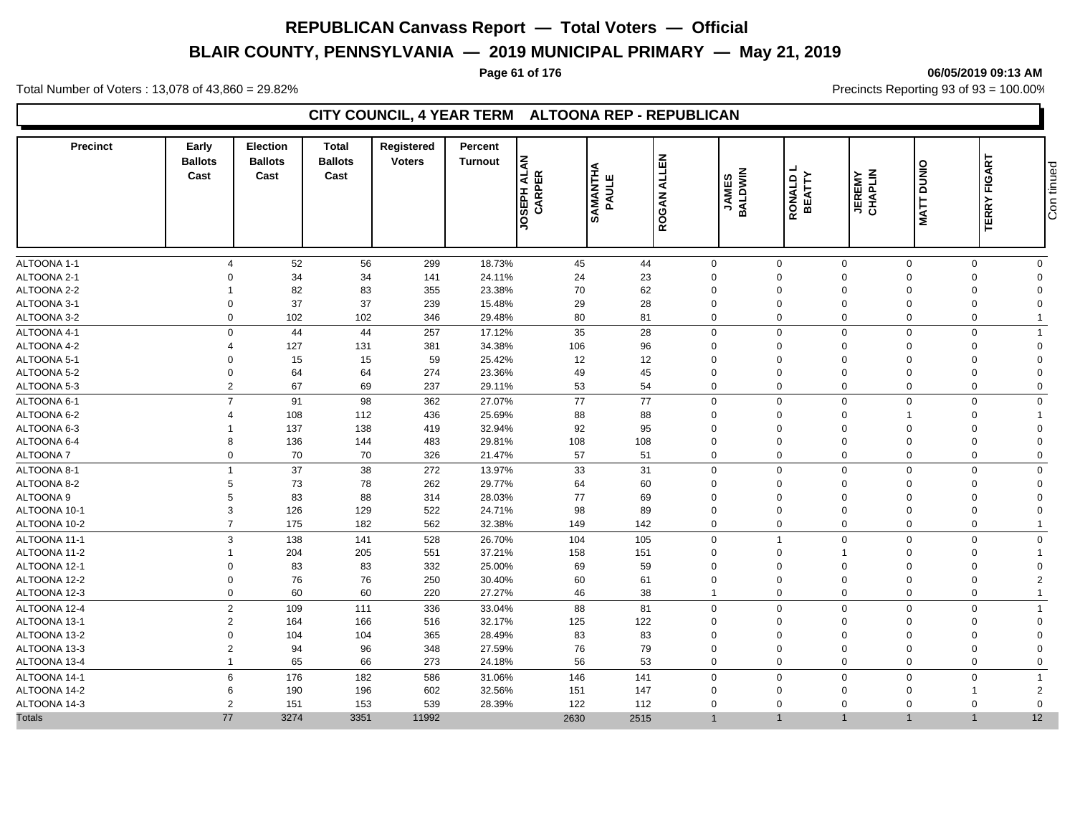# **BLAIR COUNTY, PENNSYLVANIA — 2019 MUNICIPAL PRIMARY — May 21, 2019**

### **Page 61 of 176 06/05/2019 09:13 AM**

Total Number of Voters : 13,078 of 43,860 = 29.82% Precincts Reporting 93 of 93 = 100.00%

### **CITY COUNCIL, 4 YEAR TERM ALTOONA REP - REPUBLICAN**

| <b>Precinct</b> | Early<br><b>Ballots</b><br>Cast | <b>Election</b><br><b>Ballots</b><br>Cast | <b>Total</b><br><b>Ballots</b><br>Cast | Registered<br><b>Voters</b> | Percent<br>Turnout | <b>UNTN H SOC</b><br>CARPER | <b>SAMANTHA</b><br>PAULE | <b>ALLEN</b><br><b>ROGAN</b> | <b>JAMES</b><br>BALDWIN | <b>RONALD I</b><br>BEATTY | <b>MATT DUNIO</b><br><b>JEREMY</b><br>CHAPLIN | <b>TERRY FIGART</b> | Con tinued     |
|-----------------|---------------------------------|-------------------------------------------|----------------------------------------|-----------------------------|--------------------|-----------------------------|--------------------------|------------------------------|-------------------------|---------------------------|-----------------------------------------------|---------------------|----------------|
| ALTOONA 1-1     | $\overline{4}$                  | 52                                        | 56                                     | 299                         | 18.73%             | 45                          | 44                       | $\mathbf 0$                  | $\mathsf 0$             | $\mathbf 0$               | $\mathbf 0$                                   | $\mathbf{0}$        | $\mathbf 0$    |
| ALTOONA 2-1     | $\Omega$                        | 34                                        | 34                                     | 141                         | 24.11%             | 24                          | 23                       | $\mathbf 0$                  | $\mathbf 0$             | $\Omega$                  | $\Omega$                                      | $\Omega$            | $\Omega$       |
| ALTOONA 2-2     |                                 | 82                                        | 83                                     | 355                         | 23.38%             | 70                          | 62                       | $\mathbf 0$                  | $\mathbf 0$             | $\overline{0}$            | $\Omega$                                      | $\Omega$            | $\Omega$       |
| ALTOONA 3-1     | $\Omega$                        | 37                                        | 37                                     | 239                         | 15.48%             | 29                          | 28                       | $\mathbf 0$                  | $\mathbf 0$             | $\overline{0}$            | $\Omega$                                      | $\Omega$            | $\Omega$       |
| ALTOONA 3-2     | $\Omega$                        | 102                                       | 102                                    | 346                         | 29.48%             | 80                          | 81                       | $\mathbf 0$                  | $\mathbf 0$             | $\mathbf 0$               | $\Omega$                                      | $\Omega$            | $\overline{1}$ |
| ALTOONA 4-1     | $\Omega$                        | 44                                        | 44                                     | 257                         | 17.12%             | 35                          | 28                       | $\mathbf 0$                  | $\mathbf 0$             | $\mathbf{0}$              | $\Omega$                                      | $\Omega$            | $\overline{1}$ |
| ALTOONA 4-2     | $\overline{\mathcal{A}}$        | 127                                       | 131                                    | 381                         | 34.38%             | 106                         | 96                       | $\mathbf 0$                  | $\mathbf 0$             | $\overline{0}$            | $\Omega$                                      | $\Omega$            | $\mathbf 0$    |
| ALTOONA 5-1     | $\Omega$                        | 15                                        | 15                                     | 59                          | 25.42%             | 12                          | 12                       | $\mathbf 0$                  | $\mathbf 0$             | $\overline{0}$            | $\Omega$                                      | $\Omega$            | $\Omega$       |
| ALTOONA 5-2     | $\Omega$                        | 64                                        | 64                                     | 274                         | 23.36%             | 49                          | 45                       | $\mathbf 0$                  | $\mathbf 0$             | $\Omega$                  | $\Omega$                                      | $\Omega$            | $\Omega$       |
| ALTOONA 5-3     | $\overline{2}$                  | 67                                        | 69                                     | 237                         | 29.11%             | 53                          | 54                       | $\mathbf 0$                  | $\mathbf 0$             | $\overline{0}$            | $\mathbf 0$                                   | $\Omega$            | $\mathbf 0$    |
| ALTOONA 6-1     | $\overline{7}$                  | 91                                        | 98                                     | 362                         | 27.07%             | 77                          | 77                       | $\mathbf 0$                  | $\mathbf 0$             | $\mathbf 0$               | $\Omega$                                      | $\Omega$            | $\mathbf 0$    |
| ALTOONA 6-2     | $\boldsymbol{\Delta}$           | 108                                       | 112                                    | 436                         | 25.69%             | 88                          | 88                       | $\Omega$                     | $\mathbf 0$             | $\overline{0}$            |                                               | $\Omega$            |                |
| ALTOONA 6-3     |                                 | 137                                       | 138                                    | 419                         | 32.94%             | 92                          | 95                       | $\mathbf 0$                  | $\mathbf 0$             | $\Omega$                  | $\Omega$                                      | $\Omega$            | $\Omega$       |
| ALTOONA 6-4     | 8                               | 136                                       | 144                                    | 483                         | 29.81%             | 108                         | 108                      | $\mathbf 0$                  | $\mathbf 0$             | $\overline{0}$            | $\Omega$                                      | $\Omega$            | $\Omega$       |
| <b>ALTOONA7</b> | $\mathbf 0$                     | 70                                        | 70                                     | 326                         | 21.47%             | 57                          | 51                       | $\mathbf 0$                  | $\mathbf 0$             | $\overline{0}$            | $\Omega$                                      | $\Omega$            | $\overline{0}$ |
| ALTOONA 8-1     | $\overline{1}$                  | 37                                        | 38                                     | 272                         | 13.97%             | 33                          | 31                       | $\mathbf 0$                  | $\mathbf 0$             | $\overline{0}$            | $\mathbf 0$                                   | $\Omega$            | $\mathbf 0$    |
| ALTOONA 8-2     | 5                               | 73                                        | 78                                     | 262                         | 29.77%             | 64                          | 60                       | $\mathbf 0$                  | $\mathbf 0$             | $\Omega$                  | $\Omega$                                      | $\Omega$            | $\Omega$       |
| ALTOONA 9       | 5                               | 83                                        | 88                                     | 314                         | 28.03%             | 77                          | 69                       | $\mathbf 0$                  | $\mathbf 0$             | $\Omega$                  | $\Omega$                                      | $\Omega$            | $\Omega$       |
| ALTOONA 10-1    | 3                               | 126                                       | 129                                    | 522                         | 24.71%             | 98                          | 89                       | $\mathbf 0$                  | $\mathbf 0$             | $\overline{0}$            | $\Omega$                                      | $\Omega$            | $\Omega$       |
| ALTOONA 10-2    | $\overline{7}$                  | 175                                       | 182                                    | 562                         | 32.38%             | 149                         | 142                      | $\mathbf 0$                  | $\mathbf 0$             | $\mathbf 0$               | $\mathbf 0$                                   | $\Omega$            | $\overline{1}$ |
| ALTOONA 11-1    | 3                               | 138                                       | 141                                    | 528                         | 26.70%             | 104                         | 105                      | $\mathbf 0$                  | $\overline{1}$          | $\mathbf{0}$              | $\Omega$                                      | $\Omega$            | $\Omega$       |
| ALTOONA 11-2    |                                 | 204                                       | 205                                    | 551                         | 37.21%             | 158                         | 151                      | $\mathbf 0$                  | $\mathsf 0$             | -1                        | $\Omega$                                      | $\Omega$            |                |
| ALTOONA 12-1    | $\Omega$                        | 83                                        | 83                                     | 332                         | 25.00%             | 69                          | 59                       | $\mathbf 0$                  | $\Omega$                | $\Omega$                  | $\Omega$                                      | $\Omega$            | $\Omega$       |
| ALTOONA 12-2    | $\Omega$                        | 76                                        | 76                                     | 250                         | 30.40%             | 60                          | 61                       | $\mathbf 0$                  | $\mathbf 0$             | $\Omega$                  | $\Omega$                                      | $\Omega$            | $\overline{2}$ |
| ALTOONA 12-3    | $\Omega$                        | 60                                        | 60                                     | 220                         | 27.27%             | 46                          | 38                       | $\overline{1}$               | $\mathbf 0$             | $\overline{0}$            | $\Omega$                                      | $\Omega$            | $\overline{1}$ |
| ALTOONA 12-4    | $\overline{2}$                  | 109                                       | 111                                    | 336                         | 33.04%             | 88                          | 81                       | $\mathbf 0$                  | $\mathbf 0$             | $\mathbf 0$               | $\mathbf 0$                                   | $\Omega$            | $\overline{1}$ |
| ALTOONA 13-1    | 2                               | 164                                       | 166                                    | 516                         | 32.17%             | 125                         | 122                      | $\mathbf 0$                  | $\mathbf 0$             | $\Omega$                  | $\Omega$                                      | $\Omega$            | $\Omega$       |
| ALTOONA 13-2    | $\Omega$                        | 104                                       | 104                                    | 365                         | 28.49%             | 83                          | 83                       | $\mathbf 0$                  | $\mathbf 0$             | $\Omega$                  | $\Omega$                                      | $\Omega$            | $\Omega$       |
| ALTOONA 13-3    | 2                               | 94                                        | 96                                     | 348                         | 27.59%             | 76                          | 79                       | $\mathbf 0$                  | $\mathbf 0$             | $\overline{0}$            | $\Omega$                                      | $\mathbf 0$         | $\Omega$       |
| ALTOONA 13-4    |                                 | 65                                        | 66                                     | 273                         | 24.18%             | 56                          | 53                       | $\Omega$                     | $\mathbf 0$             | $\Omega$                  | $\Omega$                                      | $\Omega$            | $\Omega$       |
| ALTOONA 14-1    | 6                               | 176                                       | 182                                    | 586                         | 31.06%             | 146                         | 141                      | $\mathbf 0$                  | $\mathbf 0$             | $\overline{0}$            | $\Omega$                                      | $\Omega$            | $\overline{1}$ |
| ALTOONA 14-2    | 6                               | 190                                       | 196                                    | 602                         | 32.56%             | 151                         | 147                      | $\mathbf 0$                  | $\mathbf 0$             | $\overline{0}$            | $\Omega$                                      |                     | $\overline{2}$ |
| ALTOONA 14-3    | 2                               | 151                                       | 153                                    | 539                         | 28.39%             | 122                         | 112                      | $\mathbf 0$                  | $\mathbf 0$             | $\Omega$                  | $\Omega$                                      | $\Omega$            | $\mathbf 0$    |
| Totals          | 77                              | 3274                                      | 3351                                   | 11992                       |                    | 2630                        | 2515                     | $\mathbf{1}$                 | $\mathbf{1}$            | $\overline{1}$            |                                               | $\mathbf{1}$        | 12             |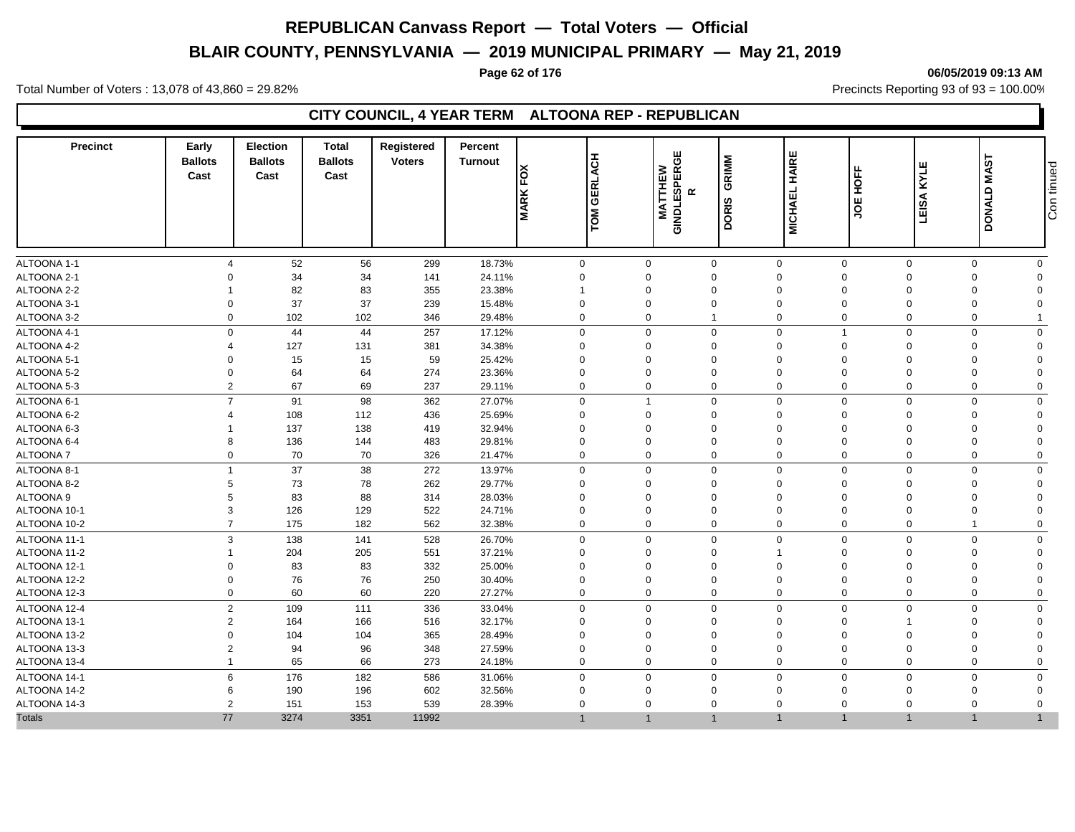# **BLAIR COUNTY, PENNSYLVANIA — 2019 MUNICIPAL PRIMARY — May 21, 2019**

### **Page 62 of 176 06/05/2019 09:13 AM**

Total Number of Voters : 13,078 of 43,860 = 29.82% Precincts Reporting 93 of 93 = 100.00%

### **CITY COUNCIL, 4 YEAR TERM ALTOONA REP - REPUBLICAN**

| <b>Precinct</b> | Early<br><b>Ballots</b><br>Cast | <b>Election</b><br><b>Ballots</b><br>Cast | <b>Total</b><br><b>Ballots</b><br>Cast | Registered<br><b>Voters</b> | Percent<br><b>Turnout</b> | $F\widetilde{O}X$<br><b>MARK</b> | TOM GERLACH                | <b>ERGE</b><br><b>MATTHEW</b><br>GINDLESPE<br>R | GRIMM<br><b>DORIS</b> | HAIRE<br><b>MICHAEL</b> | HOFF<br>ğ                     | KYLE<br>LEISA | DONALD MAST                | Con tinued |
|-----------------|---------------------------------|-------------------------------------------|----------------------------------------|-----------------------------|---------------------------|----------------------------------|----------------------------|-------------------------------------------------|-----------------------|-------------------------|-------------------------------|---------------|----------------------------|------------|
| ALTOONA 1-1     | $\boldsymbol{\Delta}$           | 52                                        | 56                                     | 299                         | 18.73%                    |                                  | $\mathbf 0$<br>$\mathbf 0$ |                                                 | 0                     | $\mathbf 0$             | $\mathbf 0$                   | $\mathbf 0$   | $\mathbf 0$<br>$\mathbf 0$ |            |
| ALTOONA 2-1     | $\Omega$                        | 34                                        | 34                                     | 141                         | 24.11%                    | $\mathbf 0$                      | $\Omega$                   |                                                 | $\Omega$              | $\mathbf 0$             | $\Omega$                      | $\Omega$      | $\mathbf 0$<br>$\Omega$    |            |
| ALTOONA 2-2     |                                 | 82                                        | 83                                     | 355                         | 23.38%                    | $\overline{\phantom{a}}$         | $\Omega$                   |                                                 | $\Omega$              | $\mathbf 0$             | $\Omega$                      | $\Omega$      | $\mathbf 0$<br>$\Omega$    |            |
| ALTOONA 3-1     | $\Omega$                        | 37                                        | 37                                     | 239                         | 15.48%                    | $\mathbf 0$                      | $\Omega$                   |                                                 | $\mathbf 0$           | $\mathbf 0$             | $\Omega$<br>$\Omega$          |               | $\Omega$                   |            |
| ALTOONA 3-2     | $\mathbf 0$                     | 102                                       | 102                                    | 346                         | 29.48%                    | $\mathbf 0$                      | $\mathbf 0$                |                                                 | $\mathbf{1}$          | $\mathbf 0$             | 0                             | $\mathbf 0$   | 0                          |            |
| ALTOONA 4-1     | $\mathbf 0$                     | 44                                        | 44                                     | 257                         | 17.12%                    | $\mathbf 0$                      | $\Omega$                   |                                                 | $\mathbf 0$           | $\mathbf 0$             | -1                            | $\Omega$      | $\mathbf 0$<br>$\Omega$    |            |
| ALTOONA 4-2     | $\overline{4}$                  | 127                                       | 131                                    | 381                         | 34.38%                    | $\mathbf 0$                      | $\mathbf 0$                |                                                 | 0                     | $\mathbf 0$             | $\Omega$                      | $\Omega$      | 0                          |            |
| ALTOONA 5-1     | $\Omega$                        | 15                                        | 15                                     | 59                          | 25.42%                    | $\Omega$                         | $\Omega$                   |                                                 | $\mathbf 0$           | $\mathbf 0$             | $\Omega$                      | $\Omega$      | $\Omega$<br>$\Omega$       |            |
| ALTOONA 5-2     | $\mathbf 0$                     | 64                                        | 64                                     | 274                         | 23.36%                    | $\mathbf 0$                      | $\Omega$                   |                                                 | $\Omega$              | $\mathbf 0$             | $\Omega$                      | $\Omega$      | $\Omega$<br>$\Omega$       |            |
| ALTOONA 5-3     | $\overline{2}$                  | 67                                        | 69                                     | 237                         | 29.11%                    | $\mathbf 0$                      | $\Omega$                   |                                                 | 0                     | $\mathbf 0$             | $\Omega$<br>$\Omega$          |               | $\mathbf 0$<br>$\Omega$    |            |
| ALTOONA 6-1     | $\overline{7}$                  | 91                                        | 98                                     | 362                         | 27.07%                    | $\mathbf 0$                      |                            |                                                 | $\mathbf 0$           | $\mathbf 0$             | $\mathbf 0$<br>$\overline{0}$ |               | $\mathbf 0$<br>$\Omega$    |            |
| ALTOONA 6-2     |                                 | 108                                       | 112                                    | 436                         | 25.69%                    | $\mathbf 0$                      | $\Omega$                   |                                                 | $\Omega$              | $\mathbf 0$             | $\Omega$                      | $\Omega$      | $\Omega$                   |            |
| ALTOONA 6-3     |                                 | 137                                       | 138                                    | 419                         | 32.94%                    | $\mathbf 0$                      | $\Omega$                   |                                                 | $\Omega$              | $\mathbf 0$             | $\Omega$                      | $\Omega$      | $\Omega$<br>$\Omega$       |            |
| ALTOONA 6-4     | 8                               | 136                                       | 144                                    | 483                         | 29.81%                    | $\mathbf 0$                      | $\Omega$                   |                                                 | $\mathbf 0$           | $\mathbf 0$             | $\Omega$<br>$\Omega$          |               | $\mathbf 0$<br>$\Omega$    |            |
| <b>ALTOONA7</b> | $\Omega$                        | 70                                        | 70                                     | 326                         | 21.47%                    | $\mathbf 0$                      | $\Omega$                   |                                                 | $\Omega$              | $\mathbf 0$             | $\Omega$<br>$\Omega$          |               | $\mathbf 0$<br>$\Omega$    |            |
| ALTOONA 8-1     | $\overline{1}$                  | 37                                        | 38                                     | 272                         | 13.97%                    | $\mathbf 0$                      | $\mathbf 0$                |                                                 | 0                     | $\mathbf 0$             | $\mathbf 0$                   | $\mathbf 0$   | $\mathbf 0$<br>$\Omega$    |            |
| ALTOONA 8-2     | 5                               | 73                                        | 78                                     | 262                         | 29.77%                    | $\mathbf 0$                      | $\Omega$                   |                                                 | $\Omega$              | $\mathbf 0$             | $\Omega$                      | $\Omega$      | $\Omega$<br>$\Omega$       |            |
| ALTOONA 9       | 5                               | 83                                        | 88                                     | 314                         | 28.03%                    | 0                                | $\Omega$                   |                                                 | $\Omega$              | $\mathbf 0$             | $\Omega$                      | $\Omega$      | $\mathbf 0$<br>$\Omega$    |            |
| ALTOONA 10-1    | 3                               | 126                                       | 129                                    | 522                         | 24.71%                    | $\Omega$                         | $\Omega$                   |                                                 | $\mathbf 0$           | $\mathbf 0$             | $\Omega$                      | $\Omega$      | $\Omega$<br>$\Omega$       |            |
| ALTOONA 10-2    | $\overline{7}$                  | 175                                       | 182                                    | 562                         | 32.38%                    | $\mathbf 0$                      | $\mathbf 0$                |                                                 | $\mathbf 0$           | $\mathbf 0$             | $\mathbf 0$                   | $\mathbf 0$   | $\overline{1}$<br>$\Omega$ |            |
| ALTOONA 11-1    | 3                               | 138                                       | 141                                    | 528                         | 26.70%                    | $\mathbf 0$                      | $\Omega$                   |                                                 | $\Omega$              | $\mathbf 0$             | $\Omega$                      | $\Omega$      | $\mathbf 0$<br>$\Omega$    |            |
| ALTOONA 11-2    | $\overline{1}$                  | 204                                       | 205                                    | 551                         | 37.21%                    | $\mathbf 0$                      | $\mathbf 0$                |                                                 | 0                     | $\mathbf{1}$            | $\Omega$                      | $\mathbf 0$   | 0<br>$\Omega$              |            |
| ALTOONA 12-1    | $\Omega$                        | 83                                        | 83                                     | 332                         | 25.00%                    | $\Omega$                         | $\Omega$                   |                                                 | $\mathbf 0$           | $\mathbf 0$             | $\Omega$                      | $\Omega$      | $\Omega$                   |            |
| ALTOONA 12-2    | $\mathbf 0$                     | 76                                        | 76                                     | 250                         | 30.40%                    | $\mathbf 0$                      | $\Omega$                   |                                                 | $\Omega$              | $\mathbf 0$             | $\Omega$<br>$\Omega$          |               | $\Omega$<br>$\Omega$       |            |
| ALTOONA 12-3    | $\overline{0}$                  | 60                                        | 60                                     | 220                         | 27.27%                    | $\mathbf 0$                      | $\Omega$                   |                                                 | 0                     | $\mathbf 0$             | $\Omega$<br>$\Omega$          |               | $\mathbf 0$<br>$\Omega$    |            |
| ALTOONA 12-4    | $\overline{2}$                  | 109                                       | 111                                    | 336                         | 33.04%                    | $\mathbf 0$                      | $\Omega$                   |                                                 | $\mathbf 0$           | $\mathbf 0$             | $\mathbf 0$<br>$\Omega$       |               | $\mathbf 0$<br>$\Omega$    |            |
| ALTOONA 13-1    | $\overline{2}$                  | 164                                       | 166                                    | 516                         | 32.17%                    | $\mathbf 0$                      | $\Omega$                   |                                                 | 0                     | $\mathbf 0$             | $\Omega$                      |               | $\Omega$                   |            |
| ALTOONA 13-2    | $\mathbf 0$                     | 104                                       | 104                                    | 365                         | 28.49%                    | $\mathbf 0$                      | $\mathbf 0$                |                                                 | $\Omega$              | $\mathbf 0$             | $\Omega$                      | $\Omega$      | $\Omega$<br>$\Omega$       |            |
| ALTOONA 13-3    | $\overline{2}$                  | 94                                        | 96                                     | 348                         | 27.59%                    | $\mathbf 0$                      | $\Omega$                   |                                                 | $\mathbf 0$           | $\mathbf 0$             | $\Omega$<br>$\Omega$          |               | $\mathbf 0$<br>$\Omega$    |            |
| ALTOONA 13-4    | $\overline{1}$                  | 65                                        | 66                                     | 273                         | 24.18%                    | $\mathbf 0$                      | $\Omega$                   |                                                 | $\Omega$              | $\mathbf 0$             | $\Omega$<br>$\Omega$          |               | $\mathbf 0$                |            |
| ALTOONA 14-1    | 6                               | 176                                       | 182                                    | 586                         | 31.06%                    | $\mathbf 0$                      | $\mathbf 0$                |                                                 | $\mathbf 0$           | $\mathbf 0$             | $\mathbf 0$                   | $\mathbf 0$   | $\mathbf 0$<br>$\Omega$    |            |
| ALTOONA 14-2    | 6                               | 190                                       | 196                                    | 602                         | 32.56%                    | $\mathbf 0$                      | $\mathbf 0$                |                                                 | $\mathbf 0$           | $\mathbf 0$             | $\Omega$<br>$\Omega$          |               | $\mathbf 0$<br>$\Omega$    |            |
| ALTOONA 14-3    | $\overline{2}$                  | 151                                       | 153                                    | 539                         | 28.39%                    | $\mathbf{0}$                     | $\Omega$                   |                                                 | $\Omega$              | $\mathbf 0$             | $\Omega$                      | $\Omega$      | $\mathbf 0$<br>$\Omega$    |            |
| <b>Totals</b>   | 77                              | 3274                                      | 3351                                   | 11992                       |                           | $\overline{1}$                   | $\mathbf{1}$               |                                                 | $\overline{1}$        | $\overline{1}$          | $\mathbf{1}$                  | $\mathbf{1}$  | $\overline{1}$             |            |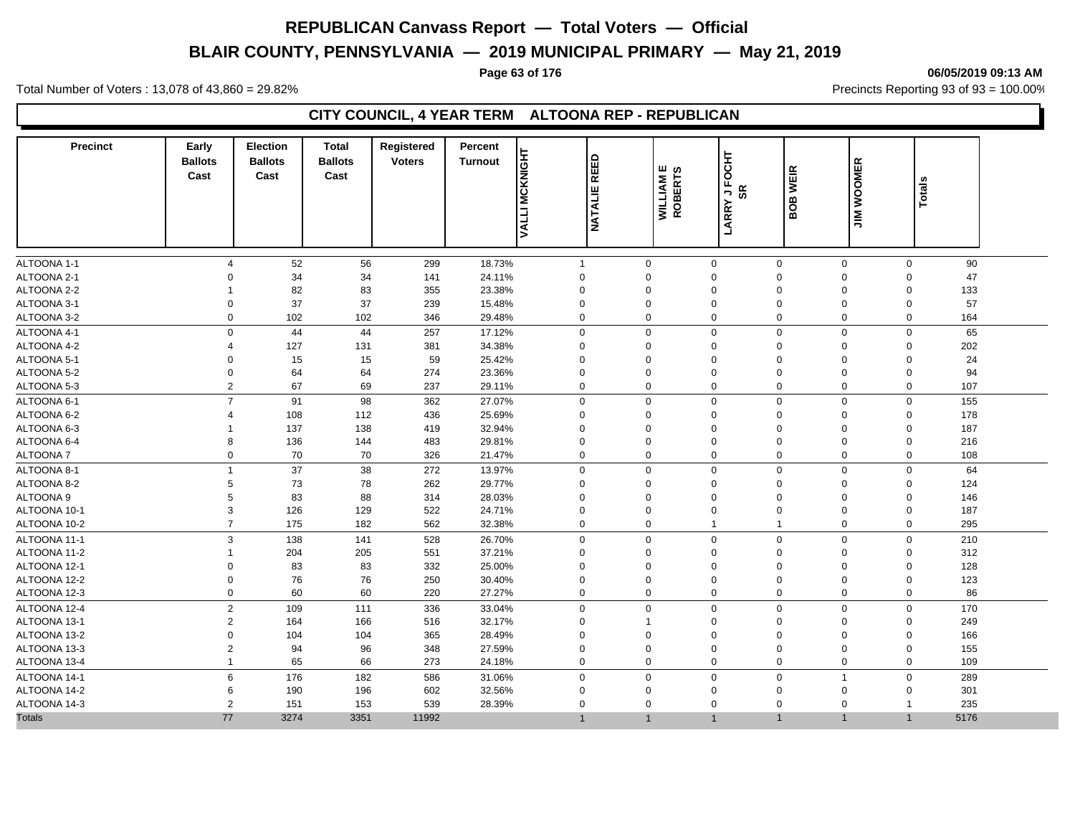# **BLAIR COUNTY, PENNSYLVANIA — 2019 MUNICIPAL PRIMARY — May 21, 2019**

#### **Page 63 of 176 06/05/2019 09:13 AM**

Total Number of Voters : 13,078 of 43,860 = 29.82% Precincts Reporting 93 of 93 = 100.00%

### **CITY COUNCIL, 4 YEAR TERM ALTOONA REP - REPUBLICAN**

| <b>Precinct</b> | Early<br><b>Ballots</b><br>Cast | <b>Election</b><br><b>Ballots</b><br>Cast | <b>Total</b><br><b>Ballots</b><br>Cast | Registered<br><b>Voters</b> | Percent<br><b>Turnout</b> | VALLI MCKNIGHT<br><b>REED</b><br><b>NATALIE</b> | ш<br><b>WILLIAM E</b><br>ROBERTS | <b>JFOCHT</b><br>SR<br>LARRY | <b>BOB WEIR</b> | <b>WOOMER</b><br>$\leq$ | <b>Totals</b> |      |  |
|-----------------|---------------------------------|-------------------------------------------|----------------------------------------|-----------------------------|---------------------------|-------------------------------------------------|----------------------------------|------------------------------|-----------------|-------------------------|---------------|------|--|
| ALTOONA 1-1     | $\Delta$                        | 52                                        | 56                                     | 299                         | 18.73%                    | $\overline{1}$                                  | $\mathbf 0$                      | $\mathbf 0$                  | $\mathbf 0$     | 0                       | $\mathbf 0$   | 90   |  |
| ALTOONA 2-1     | $\Omega$                        | 34                                        | 34                                     | 141                         | 24.11%                    | $\mathbf 0$                                     | 0                                | $\mathbf 0$                  | $\mathbf 0$     | $\mathbf 0$             | $\mathbf 0$   | 47   |  |
| ALTOONA 2-2     | -1                              | 82                                        | 83                                     | 355                         | 23.38%                    | $\mathbf 0$                                     | $\mathbf 0$                      | $\mathbf 0$                  | $\mathbf 0$     | 0                       | $\mathbf 0$   | 133  |  |
| ALTOONA 3-1     | $\Omega$                        | 37                                        | 37                                     | 239                         | 15.48%                    | $\Omega$                                        | $\Omega$                         | $\Omega$                     | $\mathbf 0$     | $\Omega$                | $\Omega$      | 57   |  |
| ALTOONA 3-2     | $\mathbf{0}$                    | 102                                       | 102                                    | 346                         | 29.48%                    | $\Omega$                                        | 0                                | $\mathbf 0$                  | $\mathbf 0$     | 0                       | $\mathbf{0}$  | 164  |  |
| ALTOONA 4-1     | $\Omega$                        | 44                                        | 44                                     | 257                         | 17.12%                    | $\mathbf 0$                                     | $\mathbf 0$                      | $\mathbf 0$                  | $\mathbf 0$     | $\mathbf 0$             | $\mathbf 0$   | 65   |  |
| ALTOONA 4-2     | 4                               | 127                                       | 131                                    | 381                         | 34.38%                    | $\mathbf 0$                                     | $\mathbf 0$                      | $\mathbf 0$                  | $\mathbf 0$     | 0                       | $\mathbf 0$   | 202  |  |
| ALTOONA 5-1     | $\Omega$                        | 15                                        | 15                                     | 59                          | 25.42%                    | $\Omega$                                        | $\mathbf 0$                      | $\Omega$                     | $\mathbf 0$     | $\mathbf 0$             | $\mathbf 0$   | 24   |  |
| ALTOONA 5-2     | $\Omega$                        | 64                                        | 64                                     | 274                         | 23.36%                    | $\Omega$                                        | $\Omega$                         | $\Omega$                     | $\mathbf 0$     | $\Omega$                | $\Omega$      | 94   |  |
| ALTOONA 5-3     | $\overline{2}$                  | 67                                        | 69                                     | 237                         | 29.11%                    | $\Omega$                                        | $\mathbf 0$                      | $\mathbf 0$                  | $\mathbf 0$     | 0                       | 0             | 107  |  |
| ALTOONA 6-1     | $\overline{7}$                  | 91                                        | 98                                     | 362                         | 27.07%                    | $\mathbf 0$                                     | $\mathbf 0$                      | $\mathbf 0$                  | $\mathbf 0$     | 0                       | $\mathbf 0$   | 155  |  |
| ALTOONA 6-2     | $\Delta$                        | 108                                       | 112                                    | 436                         | 25.69%                    | $\Omega$                                        | $\Omega$                         | $\Omega$                     | $\Omega$        | $\Omega$                | $\Omega$      | 178  |  |
| ALTOONA 6-3     | -1                              | 137                                       | 138                                    | 419                         | 32.94%                    | $\mathbf 0$                                     | $\mathbf 0$                      | $\Omega$                     | $\mathbf 0$     | $\mathbf 0$             | $\mathbf 0$   | 187  |  |
| ALTOONA 6-4     | 8                               | 136                                       | 144                                    | 483                         | 29.81%                    | $\Omega$                                        | $\mathbf 0$                      | 0                            | $\mathbf 0$     | 0                       | $\mathbf 0$   | 216  |  |
| <b>ALTOONA7</b> | 0                               | 70                                        | 70                                     | 326                         | 21.47%                    | $\Omega$                                        | 0                                | $\mathbf 0$                  | $\mathbf 0$     | 0                       | 0             | 108  |  |
| ALTOONA 8-1     | $\mathbf{1}$                    | 37                                        | 38                                     | 272                         | 13.97%                    | $\Omega$                                        | $\mathbf 0$                      | $\Omega$                     | $\mathbf 0$     | $\mathbf 0$             | $\mathbf 0$   | 64   |  |
| ALTOONA 8-2     | 5                               | 73                                        | 78                                     | 262                         | 29.77%                    | $\Omega$                                        | $\Omega$                         | $\Omega$                     | $\mathbf 0$     | $\Omega$                | $\Omega$      | 124  |  |
| ALTOONA 9       | 5                               | 83                                        | 88                                     | 314                         | 28.03%                    | $\mathbf 0$                                     | $\mathbf 0$                      | $\mathbf 0$                  | $\mathbf 0$     | $\Omega$                | $\mathbf 0$   | 146  |  |
| ALTOONA 10-1    | 3                               | 126                                       | 129                                    | 522                         | 24.71%                    | $\Omega$                                        | $\Omega$                         | $\Omega$                     | $\mathbf 0$     | $\Omega$                | $\Omega$      | 187  |  |
| ALTOONA 10-2    | $\overline{7}$                  | 175                                       | 182                                    | 562                         | 32.38%                    | $\Omega$                                        | 0                                | $\mathbf{1}$                 | $\overline{1}$  | $\mathbf 0$             | $\mathbf 0$   | 295  |  |
| ALTOONA 11-1    | 3                               | 138                                       | 141                                    | 528                         | 26.70%                    | $\mathbf 0$                                     | $\mathbf 0$                      | $\mathbf 0$                  | $\mathbf 0$     | 0                       | $\mathbf 0$   | 210  |  |
| ALTOONA 11-2    | $\mathbf{1}$                    | 204                                       | 205                                    | 551                         | 37.21%                    | 0                                               | 0                                | $\mathbf 0$                  | $\mathbf 0$     | 0                       | $\mathbf 0$   | 312  |  |
| ALTOONA 12-1    | $\Omega$                        | 83                                        | 83                                     | 332                         | 25.00%                    | $\Omega$                                        | $\mathbf 0$                      | $\Omega$                     | $\mathbf 0$     | $\Omega$                | $\mathbf 0$   | 128  |  |
| ALTOONA 12-2    | $\Omega$                        | 76                                        | 76                                     | 250                         | 30.40%                    | $\Omega$                                        | $\Omega$                         | $\Omega$                     | $\mathbf 0$     | $\mathbf 0$             | $\Omega$      | 123  |  |
| ALTOONA 12-3    | $\mathbf 0$                     | 60                                        | 60                                     | 220                         | 27.27%                    | $\Omega$                                        | $\mathbf 0$                      | $\mathbf 0$                  | $\mathbf 0$     | $\mathbf 0$             | $\mathbf 0$   | 86   |  |
| ALTOONA 12-4    | $\overline{2}$                  | 109                                       | 111                                    | 336                         | 33.04%                    | $\mathbf 0$                                     | $\mathbf 0$                      | $\mathbf 0$                  | $\mathbf 0$     | $\mathbf 0$             | $\mathbf 0$   | 170  |  |
| ALTOONA 13-1    | $\overline{2}$                  | 164                                       | 166                                    | 516                         | 32.17%                    | $\Omega$                                        |                                  | $\Omega$                     | $\mathbf 0$     | $\Omega$                | $\Omega$      | 249  |  |
| ALTOONA 13-2    | $\Omega$                        | 104                                       | 104                                    | 365                         | 28.49%                    | $\Omega$                                        | $\Omega$                         | $\Omega$                     | $\mathbf 0$     | $\Omega$                | $\Omega$      | 166  |  |
| ALTOONA 13-3    | $\overline{2}$                  | 94                                        | 96                                     | 348                         | 27.59%                    | $\mathbf 0$                                     | $\mathbf 0$                      | $\mathbf 0$                  | $\mathbf 0$     | $\mathbf 0$             | $\mathbf 0$   | 155  |  |
| ALTOONA 13-4    | $\mathbf{1}$                    | 65                                        | 66                                     | 273                         | 24.18%                    | $\Omega$                                        | $\Omega$                         | $\Omega$                     | $\mathbf 0$     | $\mathbf 0$             | $\mathbf{0}$  | 109  |  |
| ALTOONA 14-1    | 6                               | 176                                       | 182                                    | 586                         | 31.06%                    | $\mathbf 0$                                     | $\mathbf 0$                      | $\mathbf 0$                  | $\mathbf 0$     | $\overline{1}$          | 0             | 289  |  |
| ALTOONA 14-2    | 6                               | 190                                       | 196                                    | 602                         | 32.56%                    | $\Omega$                                        | $\mathbf 0$                      | $\mathbf 0$                  | $\mathbf 0$     | $\mathbf 0$             | $\mathbf 0$   | 301  |  |
| ALTOONA 14-3    | 2                               | 151                                       | 153                                    | 539                         | 28.39%                    | $\Omega$                                        | $\mathbf 0$                      | $\mathbf 0$                  | $\mathbf 0$     | $\Omega$                | -1            | 235  |  |
| <b>Totals</b>   | 77                              | 3274                                      | 3351                                   | 11992                       |                           |                                                 | $\overline{1}$                   | $\overline{1}$               | $\mathbf 1$     | $\mathbf{1}$            | $\mathbf{1}$  | 5176 |  |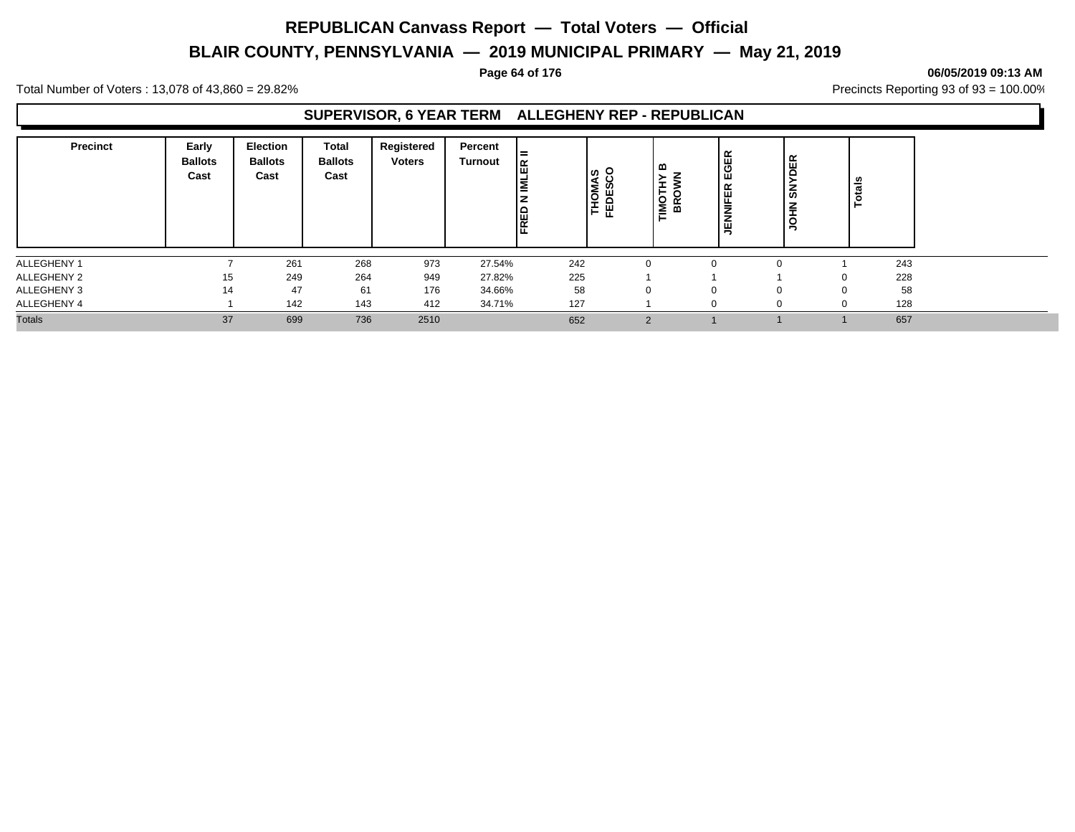# **BLAIR COUNTY, PENNSYLVANIA — 2019 MUNICIPAL PRIMARY — May 21, 2019**

#### **Page 64 of 176 06/05/2019 09:13 AM**

Total Number of Voters : 13,078 of 43,860 = 29.82% Precincts Reporting 93 of 93 = 100.00%

#### **SUPERVISOR, 6 YEAR TERM ALLEGHENY REP - REPUBLICAN**

| <b>Precinct</b> | Early<br><b>Ballots</b><br>Cast | <b>Election</b><br><b>Ballots</b><br>Cast | Total<br><b>Ballots</b><br>Cast | Registered<br><b>Voters</b> | Percent<br>Turnout | l =<br>圈<br>ا≊<br>FRED | THOMAS<br>FEDESCO | മ<br>╼<br>$\epsilon$<br>문 | EGER<br>≃<br>ш<br>=<br>–<br>ш | DER<br>$\overline{5}$<br>$rac{2}{5}$ | Ë<br>۴ |    |
|-----------------|---------------------------------|-------------------------------------------|---------------------------------|-----------------------------|--------------------|------------------------|-------------------|---------------------------|-------------------------------|--------------------------------------|--------|----|
| ALLEGHENY 1     |                                 | 261                                       | 268                             | 973                         | 27.54%             | 242                    |                   |                           |                               |                                      | 243    |    |
| ALLEGHENY 2     | 15                              | 249                                       | 264                             | 949                         | 27.82%             | 225                    |                   |                           |                               |                                      | 228    |    |
| ALLEGHENY 3     | 14                              | 47                                        | 61                              | 176                         | 34.66%             | 58                     | 0                 |                           |                               |                                      |        | 58 |
| ALLEGHENY 4     |                                 | 142                                       | 143                             | 412                         | 34.71%             | 127                    |                   |                           |                               |                                      | 128    |    |
| <b>Totals</b>   | 37                              | 699                                       | 736                             | 2510                        |                    | 652                    | $\Omega$          |                           |                               |                                      | 657    |    |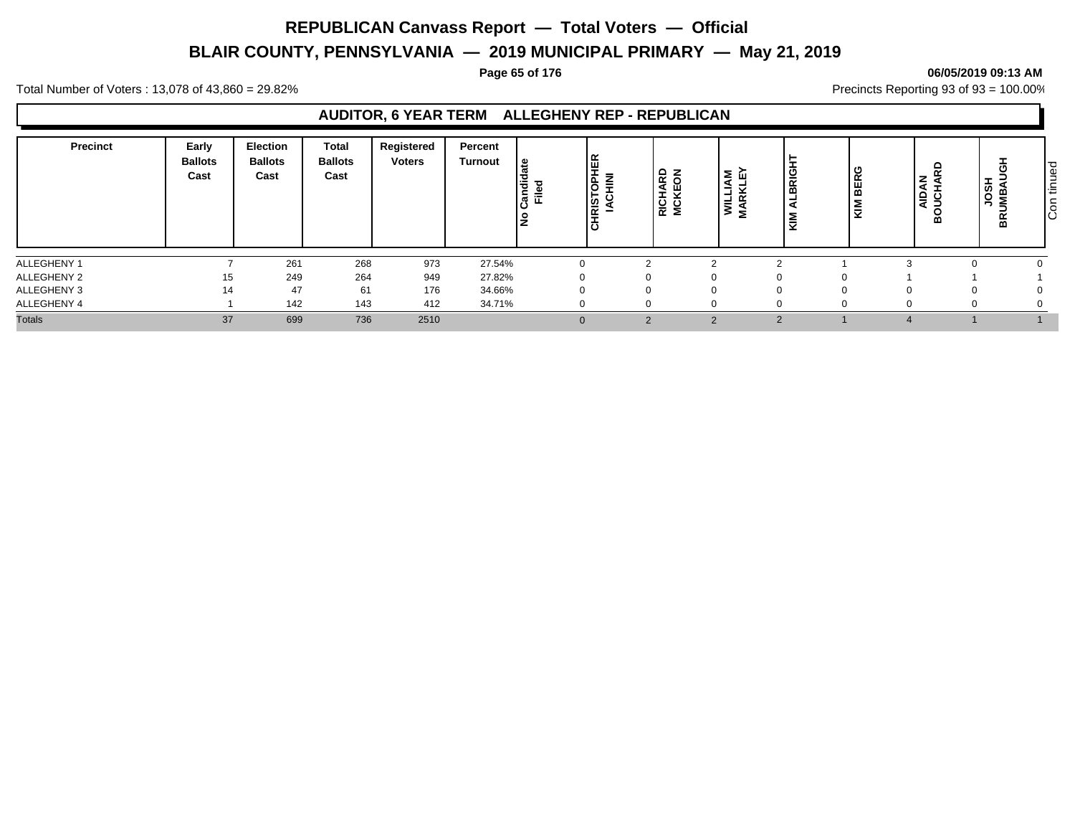# **BLAIR COUNTY, PENNSYLVANIA — 2019 MUNICIPAL PRIMARY — May 21, 2019**

#### **Page 65 of 176 06/05/2019 09:13 AM**

Total Number of Voters : 13,078 of 43,860 = 29.82% Precincts Reporting 93 of 93 = 100.00%

### **AUDITOR, 6 YEAR TERM ALLEGHENY REP - REPUBLICAN**

| <b>Precinct</b> | Early<br><b>Ballots</b><br>Cast | <b>Election</b><br><b>Ballots</b><br>Cast | <b>Total</b><br><b>Ballots</b><br>Cast | Registered<br><b>Voters</b> | <b>Percent</b><br><b>Turnout</b> | ூ<br>も<br>യ<br>.តូ ក្ន | ¦है।<br><b>INIH</b><br><b>HRISTOPH</b><br>اة | RICHARD<br>MCKEON | <b>WILLIAM<br/>MARKLEY</b><br>S | "<br>-<br>8Ř<br>≥<br>₹ | O<br>BER<br>₹ | z<br>ទី ខ្ញុំ<br>∍<br>≃ | <b>HSOL<br/>HSOL</b><br>HSOL | tinued<br>င် |
|-----------------|---------------------------------|-------------------------------------------|----------------------------------------|-----------------------------|----------------------------------|------------------------|----------------------------------------------|-------------------|---------------------------------|------------------------|---------------|-------------------------|------------------------------|--------------|
| ALLEGHENY 1     |                                 | 261                                       | 268                                    | 973                         | 27.54%                           |                        |                                              |                   |                                 |                        |               |                         |                              |              |
| ALLEGHENY 2     | 15                              | 249                                       | 264                                    | 949                         | 27.82%                           |                        |                                              |                   | 0                               |                        |               |                         |                              |              |
| ALLEGHENY 3     | 14                              | 47                                        | 61                                     | 176                         | 34.66%                           |                        |                                              |                   |                                 |                        |               |                         |                              |              |
| ALLEGHENY 4     |                                 | 142                                       | 143                                    | 412                         | 34.71%                           |                        |                                              |                   |                                 |                        |               |                         |                              |              |
| <b>Totals</b>   | 37                              | 699                                       | 736                                    | 2510                        |                                  |                        |                                              | $\Omega$          |                                 |                        |               |                         |                              |              |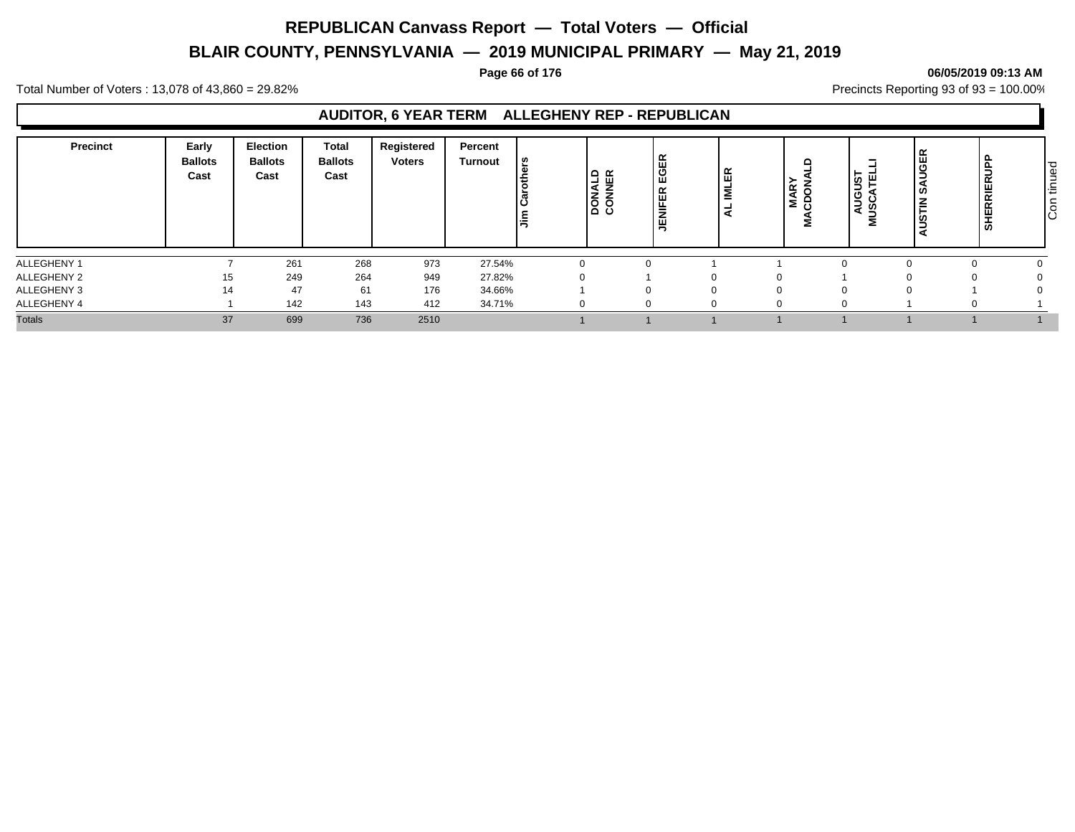# **BLAIR COUNTY, PENNSYLVANIA — 2019 MUNICIPAL PRIMARY — May 21, 2019**

#### **Page 66 of 176 06/05/2019 09:13 AM**

Total Number of Voters : 13,078 of 43,860 = 29.82% Precincts Reporting 93 of 93 = 100.00%

### **AUDITOR, 6 YEAR TERM ALLEGHENY REP - REPUBLICAN**

| Precinct      | Early<br><b>Ballots</b><br>Cast | <b>Election</b><br><b>Ballots</b><br>Cast | Total<br><b>Ballots</b><br>Cast | Registered<br><b>Voters</b> | Percent<br>Turnout | ဖ္<br>与  | 9 ដ<br>$\frac{1}{8}$ con | EGER<br>띥<br>$\bar{z}$<br>l 马 | 띥<br>ᄛ<br>- | ≏<br><b>MAR</b><br>cpor<br>2 | -<br>AUGUS <sup>-</sup><br>U)<br>∍ | <b>UGEI</b><br>¥ | <b>p</b><br><b>SHERRIERUP</b> | tinued<br>l อิ |
|---------------|---------------------------------|-------------------------------------------|---------------------------------|-----------------------------|--------------------|----------|--------------------------|-------------------------------|-------------|------------------------------|------------------------------------|------------------|-------------------------------|----------------|
| ALLEGHENY 1   |                                 | 261                                       | 268                             | 973                         | 27.54%             |          |                          |                               |             |                              |                                    |                  |                               |                |
| ALLEGHENY 2   | 15                              | 249                                       | 264                             | 949                         | 27.82%             | $\Omega$ |                          | 0                             |             |                              |                                    | 0                |                               |                |
| ALLEGHENY 3   | 14                              | 47                                        | 61                              | 176                         | 34.66%             |          |                          |                               |             |                              |                                    |                  |                               |                |
| ALLEGHENY 4   |                                 | 142                                       | 143                             | 412                         | 34.71%             | $\Omega$ |                          |                               | $\Omega$    |                              |                                    |                  |                               |                |
| <b>Totals</b> | 37                              | 699                                       | 736                             | 2510                        |                    |          |                          |                               |             |                              |                                    |                  |                               |                |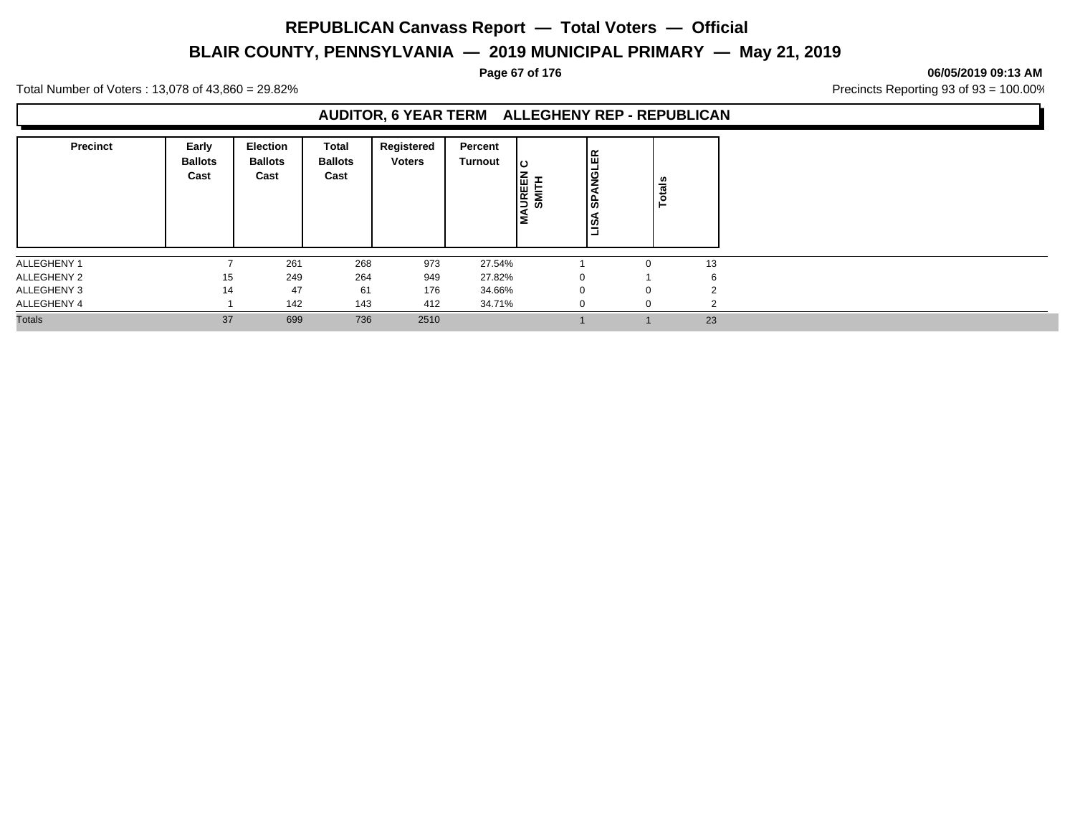# **BLAIR COUNTY, PENNSYLVANIA — 2019 MUNICIPAL PRIMARY — May 21, 2019**

#### **Page 67 of 176 06/05/2019 09:13 AM**

Total Number of Voters : 13,078 of 43,860 = 29.82% Precincts Reporting 93 of 93 = 100.00%

#### **AUDITOR, 6 YEAR TERM ALLEGHENY REP - REPUBLICAN**

| <b>Precinct</b> | Early<br><b>Ballots</b><br>Cast | <b>Election</b><br><b>Ballots</b><br>Cast | Total<br><b>Ballots</b><br>Cast | Registered<br><b>Voters</b> | Percent<br><b>Turnout</b> | ပ<br><b>MAUREEN</b><br>SMITH | 띥<br><b>SPANGL</b><br>lisA | Totals |             |
|-----------------|---------------------------------|-------------------------------------------|---------------------------------|-----------------------------|---------------------------|------------------------------|----------------------------|--------|-------------|
| ALLEGHENY 1     |                                 | 261                                       | 268                             | 973                         | 27.54%                    |                              |                            |        | 13          |
| ALLEGHENY 2     | 15                              | 249                                       | 264                             | 949                         | 27.82%                    | $\Omega$                     |                            |        | 6           |
| ALLEGHENY 3     | 14                              | 47                                        | 61                              | 176                         | 34.66%                    | $\Omega$                     |                            |        |             |
| ALLEGHENY 4     |                                 | 142                                       | 143                             | 412                         | 34.71%                    | $\Omega$                     | $\Omega$                   |        | $\sim$<br>∠ |
| <b>Totals</b>   | 37                              | 699                                       | 736                             | 2510                        |                           |                              |                            |        | 23          |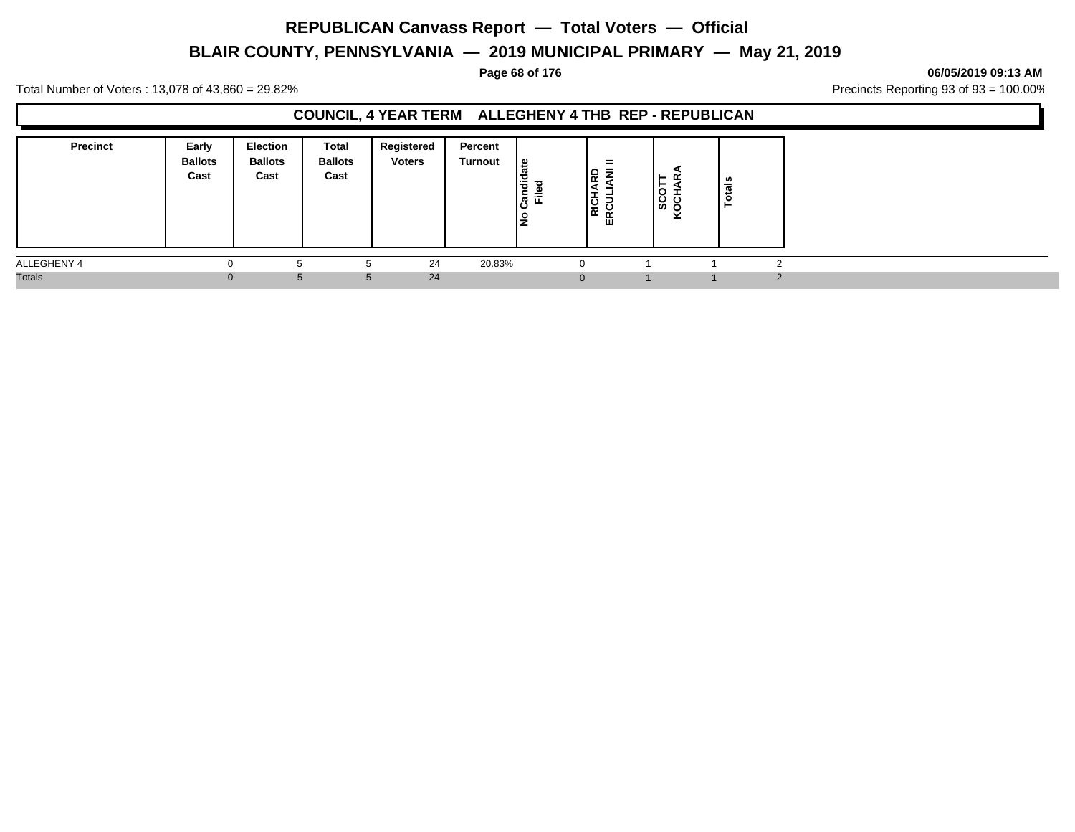# **BLAIR COUNTY, PENNSYLVANIA — 2019 MUNICIPAL PRIMARY — May 21, 2019**

**Page 68 of 176 06/05/2019 09:13 AM**

Total Number of Voters : 13,078 of 43,860 = 29.82% Precincts Reporting 93 of 93 = 100.00%

### **COUNCIL, 4 YEAR TERM ALLEGHENY 4 THB REP - REPUBLICAN**

| <b>Precinct</b> | Early<br><b>Ballots</b><br>Cast | Election<br><b>Ballots</b><br>Cast | Total<br><b>Ballots</b><br>Cast | Registered<br><b>Voters</b> | Percent<br>Turnout | ீ<br>ಕ<br>Ë<br>≐<br>ခြံ<br>≖<br>پ<br>∼ | $=$<br>=<br>ᇛ<br>읉<br>ERC | ►<br>O<br>်မှိ မြ | ∸ |          |
|-----------------|---------------------------------|------------------------------------|---------------------------------|-----------------------------|--------------------|----------------------------------------|---------------------------|-------------------|---|----------|
| ALLEGHENY 4     | υ                               | Ð                                  |                                 | 24                          | 20.83%             |                                        |                           |                   |   |          |
| <b>Totals</b>   | $\Omega$                        | 5                                  | 5                               | 24                          |                    | 0                                      |                           |                   |   | $\Omega$ |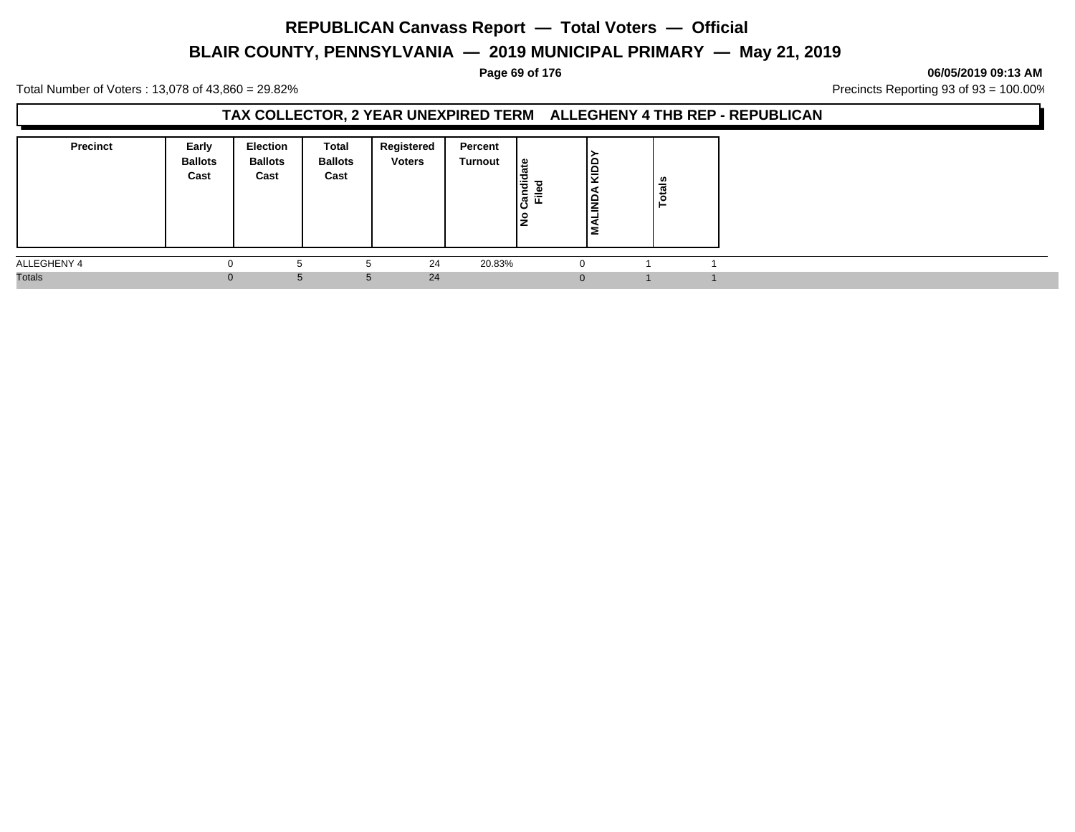# **BLAIR COUNTY, PENNSYLVANIA — 2019 MUNICIPAL PRIMARY — May 21, 2019**

**Page 69 of 176 06/05/2019 09:13 AM**

Total Number of Voters : 13,078 of 43,860 = 29.82% Precincts Reporting 93 of 93 = 100.00%

### **TAX COLLECTOR, 2 YEAR UNEXPIRED TERM ALLEGHENY 4 THB REP - REPUBLICAN**

| <b>Precinct</b> | Early<br><b>Ballots</b><br>Cast | <b>Election</b><br><b>Ballots</b><br>Cast | Total<br><b>Ballots</b><br>Cast | Registered<br><b>Voters</b> | Percent<br><b>Turnout</b> | ہ  <br>Candid<br>≔<br>匸<br>$\frac{1}{2}$ | l§<br>ΙW<br>≐ | <b>Totals</b> |  |
|-----------------|---------------------------------|-------------------------------------------|---------------------------------|-----------------------------|---------------------------|------------------------------------------|---------------|---------------|--|
| ALLEGHENY 4     | $\Omega$                        | h                                         |                                 | 24                          | 20.83%                    | $\Omega$                                 |               |               |  |
| <b>Totals</b>   | $\Omega$                        | 5                                         | $\mathbf{b}$                    | 24                          |                           | $\Omega$                                 |               |               |  |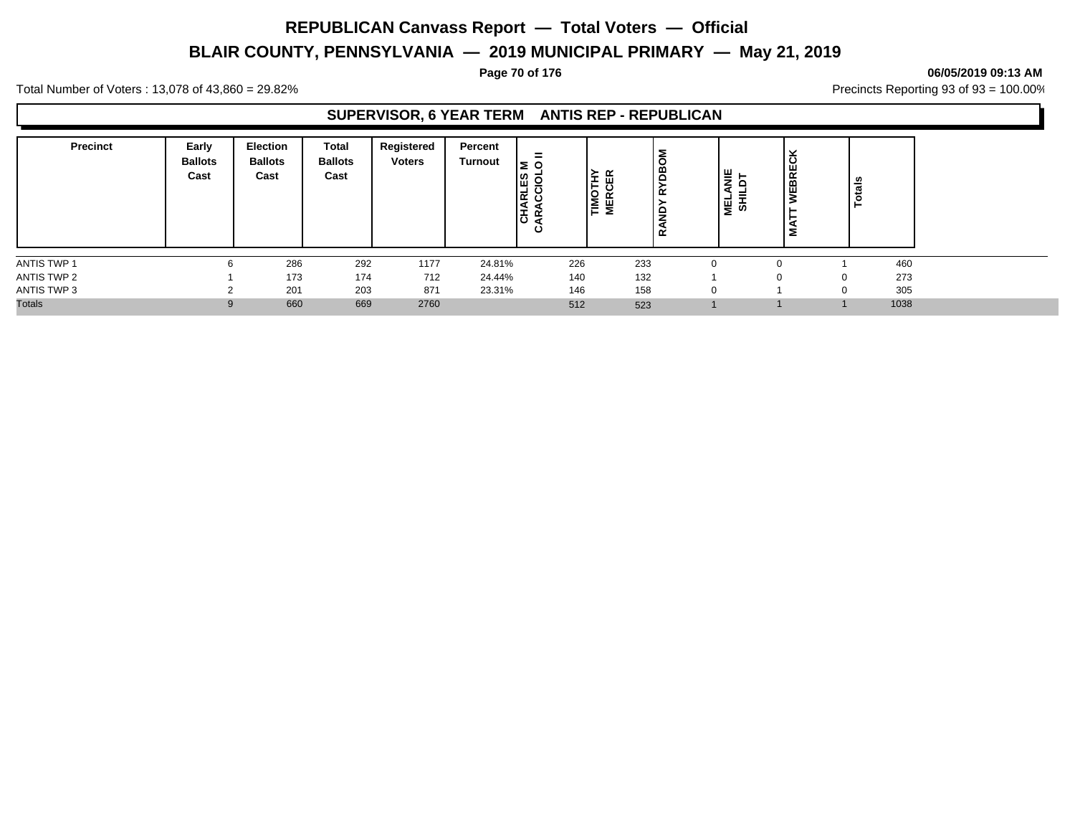# **BLAIR COUNTY, PENNSYLVANIA — 2019 MUNICIPAL PRIMARY — May 21, 2019**

#### **Page 70 of 176 06/05/2019 09:13 AM**

Total Number of Voters : 13,078 of 43,860 = 29.82% Precincts Reporting 93 of 93 = 100.00%

### **SUPERVISOR, 6 YEAR TERM ANTIS REP - REPUBLICAN**

| <b>Precinct</b> | Early<br><b>Ballots</b><br>Cast | <b>Election</b><br><b>Ballots</b><br>Cast | Total<br><b>Ballots</b><br>Cast | Registered<br><b>Voters</b> | Percent<br>Turnout | =<br>l≅ o<br>ΕS<br>⊇<br>Ξ<br><b>CHA</b><br>≃<br>ن |     | TIMOTHY<br>MERCER | Й<br>≃<br>₽<br>≃ | ≝<br>D<br>-<br>' ਛੂ ਅੋ | ပ<br>WEBRE<br>Σ | ៖<br>혼 |
|-----------------|---------------------------------|-------------------------------------------|---------------------------------|-----------------------------|--------------------|---------------------------------------------------|-----|-------------------|------------------|------------------------|-----------------|--------|
| ANTIS TWP 1     |                                 | 286                                       | 292                             | 1177                        | 24.81%             |                                                   | 226 | 233               |                  |                        |                 | 460    |
| ANTIS TWP 2     |                                 | 173                                       | 174                             | 712                         | 24.44%             |                                                   | 140 | 132               |                  |                        | $\Omega$        | 273    |
| ANTIS TWP 3     |                                 | 201                                       | 203                             | 871                         | 23.31%             |                                                   | 146 | 158               |                  |                        |                 | 305    |
| <b>Totals</b>   |                                 | 660                                       | 669                             | 2760                        |                    |                                                   | 512 | 523               |                  |                        |                 | 1038   |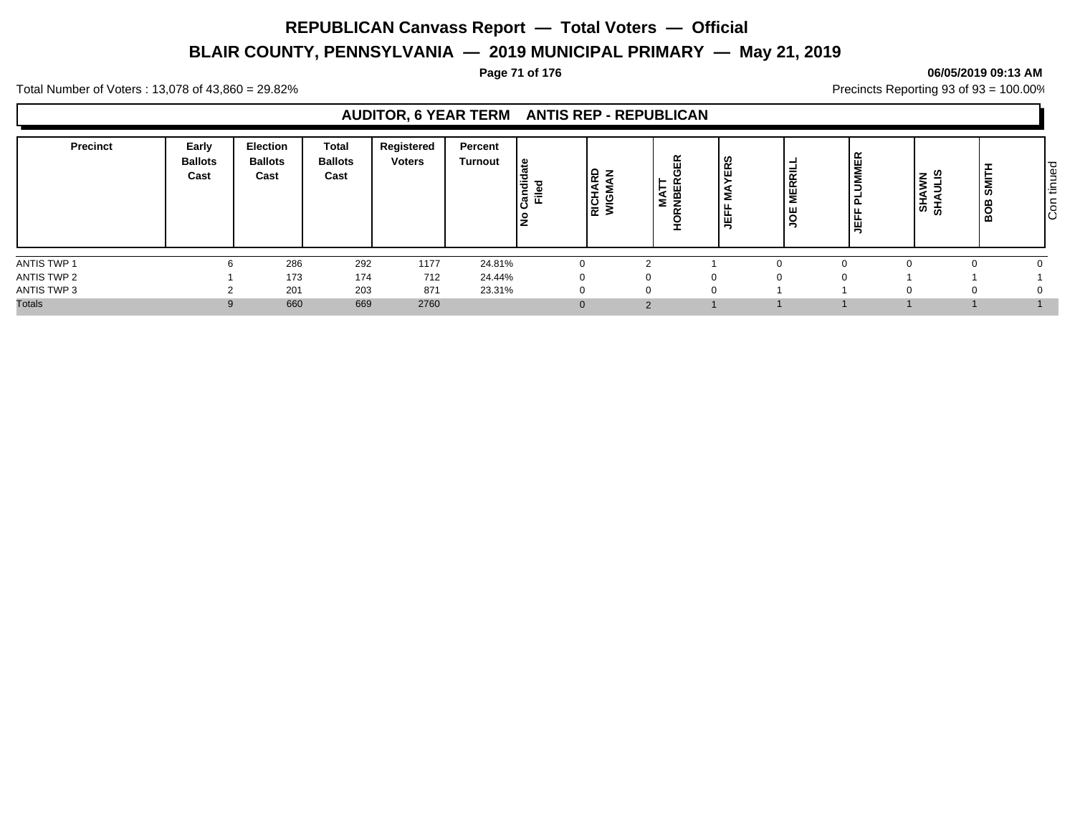# **BLAIR COUNTY, PENNSYLVANIA — 2019 MUNICIPAL PRIMARY — May 21, 2019**

#### **Page 71 of 176 06/05/2019 09:13 AM**

Total Number of Voters : 13,078 of 43,860 = 29.82% Precincts Reporting 93 of 93 = 100.00%

### **AUDITOR, 6 YEAR TERM ANTIS REP - REPUBLICAN**

| <b>Precinct</b> | Early<br><b>Ballots</b><br>Cast | <b>Election</b><br><b>Ballots</b><br>Cast | <b>Total</b><br><b>Ballots</b><br>Cast | Registered<br><b>Voters</b> | Percent<br><b>Turnout</b> | ீ<br>Candi<br>Filed | ם ו<br>-<br>$\propto$<br>RICH.<br>WIGN | 띥<br>≨ | ERS<br>ட<br>뚭<br>- | -<br><b>IERRIL</b><br>2<br>ő<br>- | <b>UMMER</b><br>÷<br>௨<br>÷<br>١Ë | ഇ<br>z<br>⋧<br>∍<br>SHAI<br>SHAI | SMI<br>BOB <sub>1</sub> | tinued<br>$\overline{c}$ |
|-----------------|---------------------------------|-------------------------------------------|----------------------------------------|-----------------------------|---------------------------|---------------------|----------------------------------------|--------|--------------------|-----------------------------------|-----------------------------------|----------------------------------|-------------------------|--------------------------|
| ANTIS TWP 1     |                                 | 286                                       | 292                                    | 1177                        | 24.81%                    |                     |                                        |        |                    |                                   |                                   |                                  |                         |                          |
| ANTIS TWP 2     |                                 | 173                                       | 174                                    | 712                         | 24.44%                    | 0                   |                                        |        | $\Omega$           |                                   |                                   |                                  |                         |                          |
| ANTIS TWP 3     |                                 | 201                                       | 203                                    | 871                         | 23.31%                    | 0                   |                                        |        | $\Omega$           |                                   |                                   | 0                                |                         |                          |
| <b>Totals</b>   |                                 | 660                                       | 669                                    | 2760                        |                           | $\Omega$            |                                        |        |                    |                                   |                                   |                                  |                         |                          |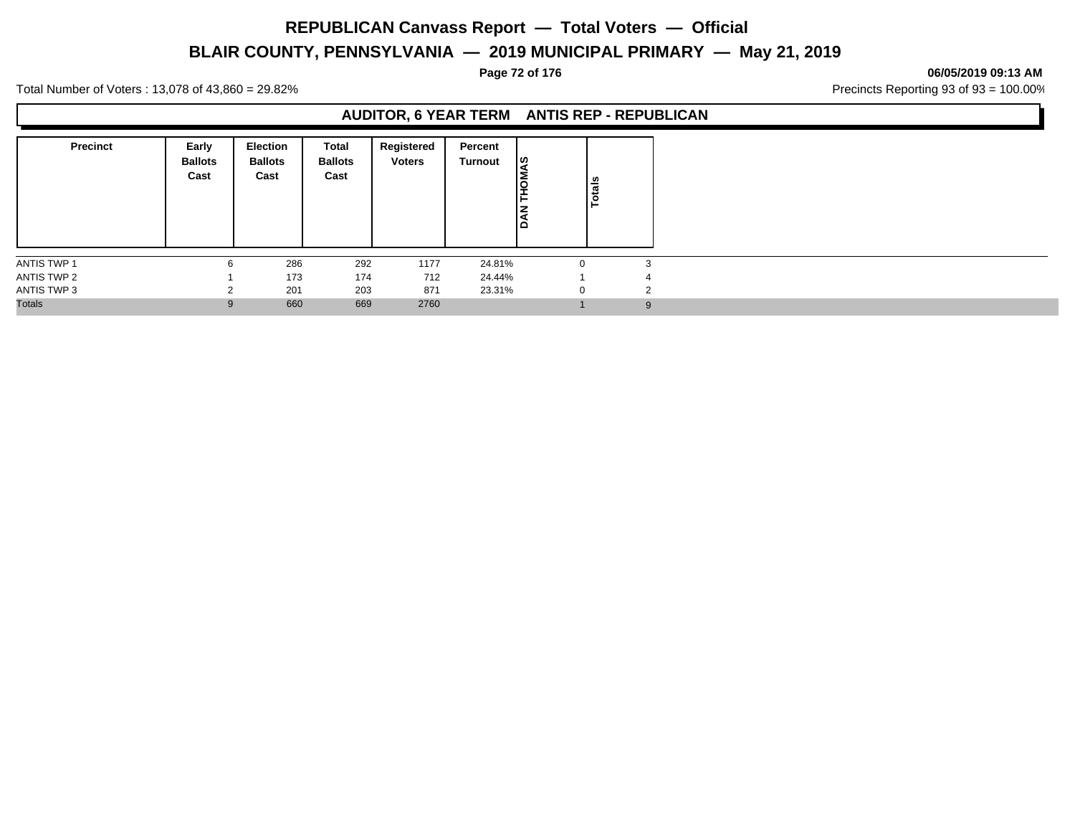# **BLAIR COUNTY, PENNSYLVANIA — 2019 MUNICIPAL PRIMARY — May 21, 2019**

**Page 72 of 176 06/05/2019 09:13 AM**

Total Number of Voters : 13,078 of 43,860 = 29.82% Precincts Reporting 93 of 93 = 100.00%

### **AUDITOR, 6 YEAR TERM ANTIS REP - REPUBLICAN**

| <b>Precinct</b>    | Early<br><b>Ballots</b><br>Cast | <b>Election</b><br><b>Ballots</b><br>Cast | Total<br><b>Ballots</b><br>Cast | Registered<br><b>Voters</b> | Percent<br>Turnout | ျဖာ<br><b>DHL</b><br><b>IAN</b> | Totals       |               |
|--------------------|---------------------------------|-------------------------------------------|---------------------------------|-----------------------------|--------------------|---------------------------------|--------------|---------------|
| <b>ANTIS TWP 1</b> | 6                               | 286                                       | 292                             | 1177                        | 24.81%             |                                 | $\Omega$     | 3             |
| ANTIS TWP 2        |                                 | 173                                       | 174                             | 712                         | 24.44%             |                                 |              | 4             |
| ANTIS TWP 3        | $\sim$                          | 201                                       | 203                             | 871                         | 23.31%             |                                 | $\mathbf{0}$ | $\mathcal{L}$ |
| <b>Totals</b>      | 9                               | 660                                       | 669                             | 2760                        |                    |                                 |              | 9             |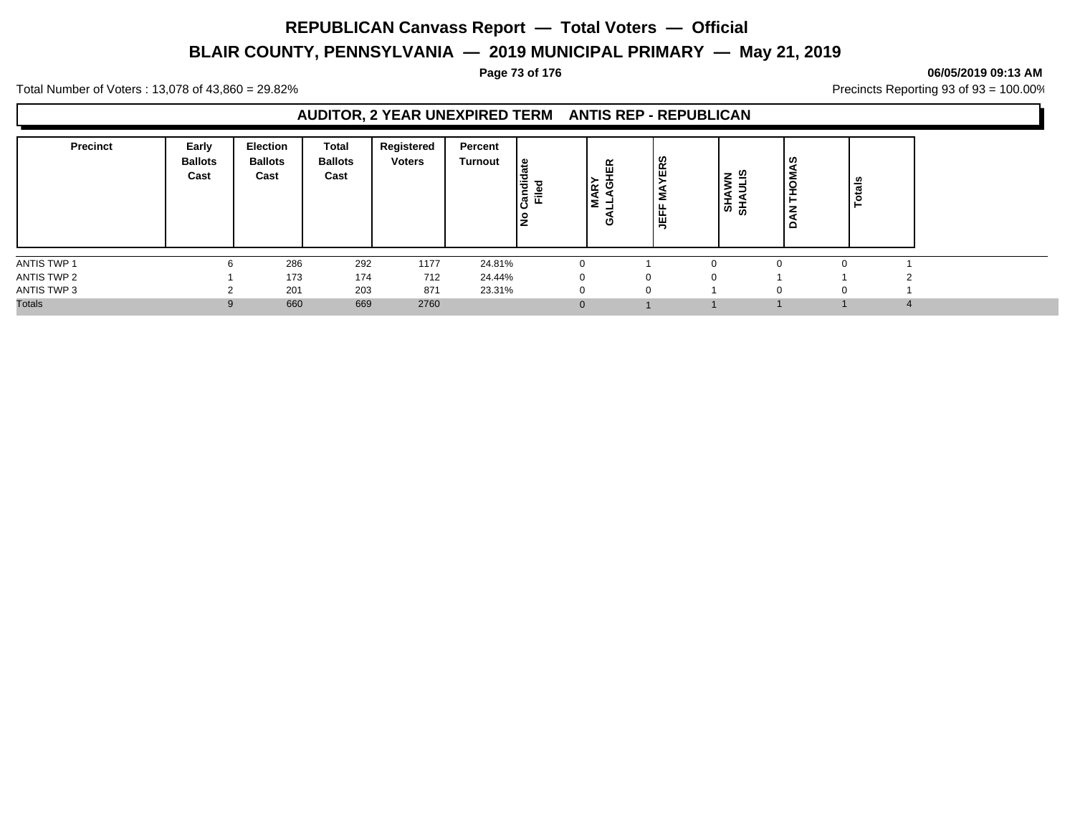# **BLAIR COUNTY, PENNSYLVANIA — 2019 MUNICIPAL PRIMARY — May 21, 2019**

### **Page 73 of 176 06/05/2019 09:13 AM**

Total Number of Voters : 13,078 of 43,860 = 29.82% Precincts Reporting 93 of 93 = 100.00%

### **AUDITOR, 2 YEAR UNEXPIRED TERM ANTIS REP - REPUBLICAN**

| <b>Precinct</b> | Early<br><b>Ballots</b><br>Cast | <b>Election</b><br><b>Ballots</b><br>Cast | <b>Total</b><br><b>Ballots</b><br>Cast | Registered<br><b>Voters</b> | Percent<br>Turnout | ی ا<br>Candi<br>ъ<br>운<br>Ş | fΕ<br>اچ<br>ຶ<br>lΣ<br>ט | ERS<br>Σ<br>JEFF | ー の<br>-<br>$\frac{1}{5}$ ಹೆ | ပ္စ<br><b>NO</b><br>ã<br>$\Omega$ | <b>otals</b> |
|-----------------|---------------------------------|-------------------------------------------|----------------------------------------|-----------------------------|--------------------|-----------------------------|--------------------------|------------------|------------------------------|-----------------------------------|--------------|
| ANTIS TWP 1     | 6                               | 286                                       | 292                                    | 1177                        | 24.81%             |                             |                          |                  |                              | $\Omega$                          |              |
| ANTIS TWP 2     |                                 | 173                                       | 174                                    | 712                         | 24.44%             |                             |                          |                  |                              |                                   |              |
| ANTIS TWP 3     |                                 | 201                                       | 203                                    | 871                         | 23.31%             |                             |                          |                  | $\Omega$                     | 0                                 |              |
| <b>Totals</b>   |                                 | 660                                       | 669                                    | 2760                        |                    | $\Omega$                    |                          |                  |                              |                                   |              |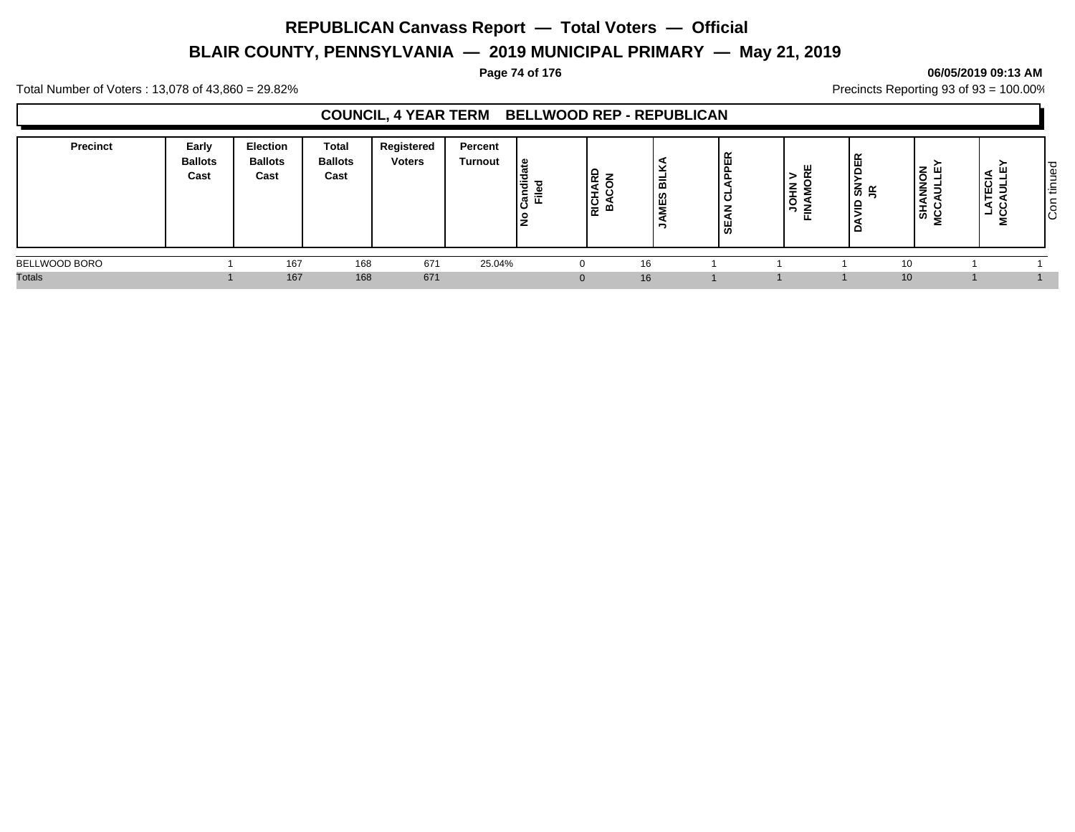# **BLAIR COUNTY, PENNSYLVANIA — 2019 MUNICIPAL PRIMARY — May 21, 2019**

### **Page 74 of 176 06/05/2019 09:13 AM**

Total Number of Voters : 13,078 of 43,860 = 29.82% Precincts Reporting 93 of 93 = 100.00%

### **COUNCIL, 4 YEAR TERM BELLWOOD REP - REPUBLICAN**

| <b>Precinct</b> | Early<br><b>Ballots</b><br>Cast | <b>Election</b><br><b>Ballots</b><br>Cast | Total<br><b>Ballots</b><br>Cast | Registered<br><b>Voters</b> | Percent<br>Turnout | ¦ ⊕<br>Candie<br>Filed<br>۰ | 윤<br>▝≖<br> 읉 | -<br>-<br>m<br>щ<br>- | 画<br>-<br>$\overline{\mathbf{o}}$<br>മ | $\sim$<br>⇒<br>≭<br>ັ<br>-<br>⋍<br>匸 | œ<br>$\tilde{\mathbf{r}}$<br>໌<br>$\mathbf{r}$ | NNON<br>VIII F<br><u>.</u><br>⋖<br>∸<br>ぁ<br>울 | -<br>- 2<br>- | ಾ<br>Φ<br>-<br>۰<br>$\sim$<br>造<br>∼<br>- S |
|-----------------|---------------------------------|-------------------------------------------|---------------------------------|-----------------------------|--------------------|-----------------------------|---------------|-----------------------|----------------------------------------|--------------------------------------|------------------------------------------------|------------------------------------------------|---------------|---------------------------------------------|
| BELLWOOD BORO   |                                 | 167                                       | 168                             | 671                         | 25.04%             |                             | $\Omega$      | 16                    |                                        |                                      |                                                | 10                                             |               |                                             |
| <b>Totals</b>   |                                 | 167                                       | 168                             | 671                         |                    |                             | $\Omega$      | 16                    |                                        |                                      |                                                | 10 <sup>1</sup>                                |               |                                             |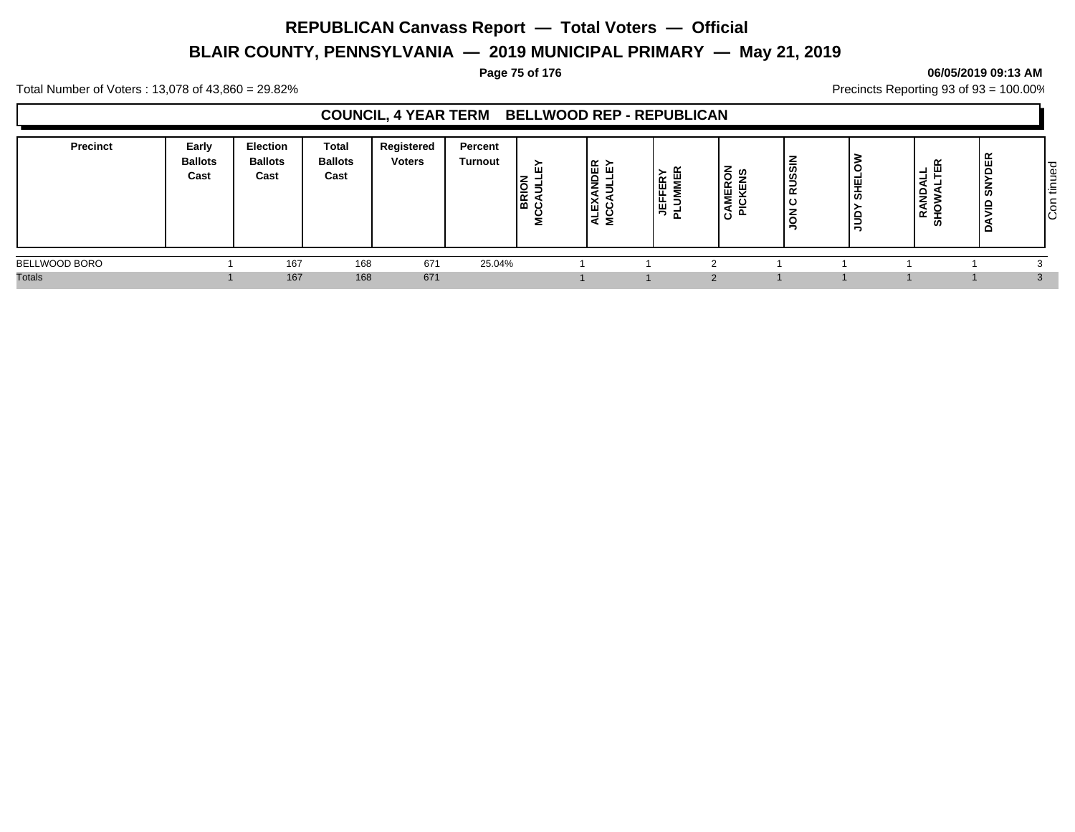# **BLAIR COUNTY, PENNSYLVANIA — 2019 MUNICIPAL PRIMARY — May 21, 2019**

### **Page 75 of 176 06/05/2019 09:13 AM**

Total Number of Voters : 13,078 of 43,860 = 29.82% Precincts Reporting 93 of 93 = 100.00%

### **COUNCIL, 4 YEAR TERM BELLWOOD REP - REPUBLICAN**

| <b>Precinct</b> | Early<br><b>Ballots</b><br>Cast | Election<br><b>Ballots</b><br>Cast | <b>Total</b><br><b>Ballots</b><br>Cast | Registered<br><b>Voters</b> | Percent<br>Turnout | ≻<br><b>BRIO</b><br>E<br><u>، ن</u> | ∣ ∝ ≻<br>-<br>∼<br>-<br>Ι∢Σ | $\alpha$<br>щ.<br>匸<br>-<br>щ | ర్ ల్ల<br><b>MER</b><br>. .<br>75 | –<br>RUSSIN<br>ں ا<br>▵ | ∼<br>∣⊑<br>あ<br>ــ | $\propto$<br>டய<br>-<br>₹<br><b>QNA</b><br>≃<br>ທ | $\alpha$<br>ш<br>z<br>ഗ<br>- | ס י<br>Φ<br>-<br>-<br><b>_</b><br>ا ≓<br>∼<br> g |
|-----------------|---------------------------------|------------------------------------|----------------------------------------|-----------------------------|--------------------|-------------------------------------|-----------------------------|-------------------------------|-----------------------------------|-------------------------|--------------------|---------------------------------------------------|------------------------------|--------------------------------------------------|
| BELLWOOD BORO   |                                 | 167                                | 168                                    | 671                         | 25.04%             |                                     |                             |                               |                                   |                         |                    |                                                   |                              |                                                  |
| <b>Totals</b>   |                                 | 167                                | 168                                    | 671                         |                    |                                     |                             |                               |                                   |                         |                    |                                                   |                              |                                                  |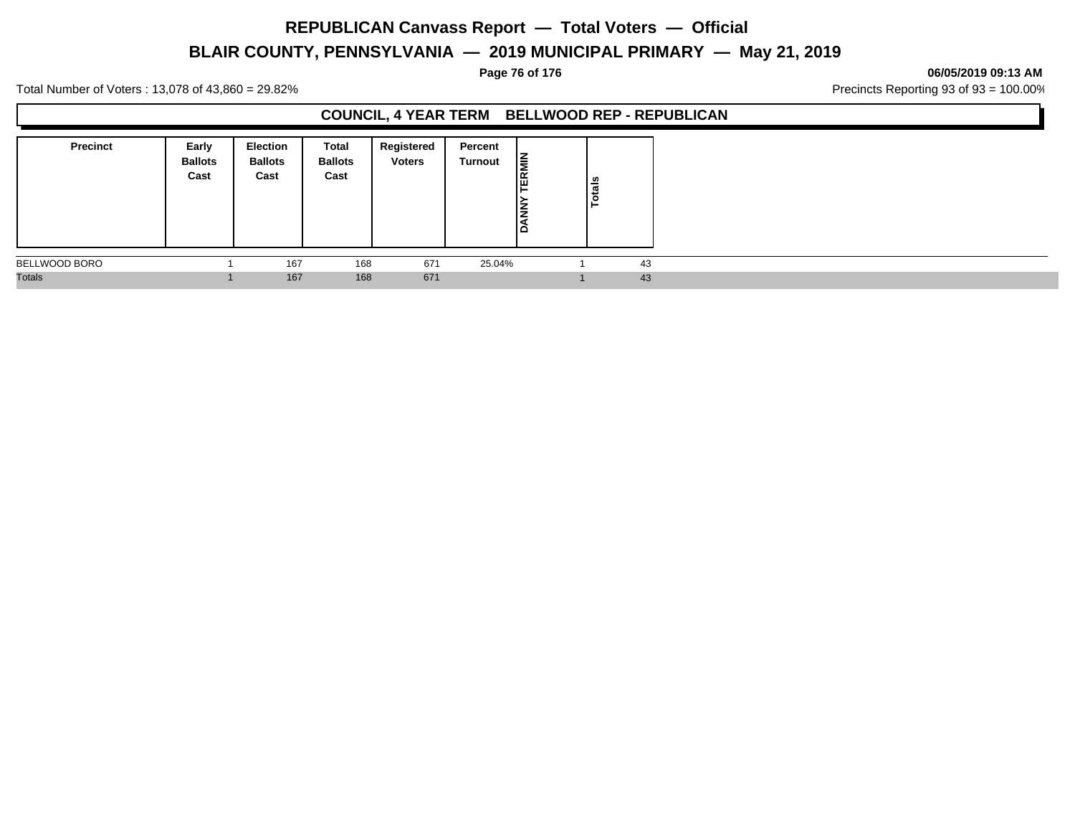# **BLAIR COUNTY, PENNSYLVANIA — 2019 MUNICIPAL PRIMARY — May 21, 2019**

### **Page 76 of 176 06/05/2019 09:13 AM**

Total Number of Voters : 13,078 of 43,860 = 29.82% Precincts Reporting 93 of 93 = 100.00%

### **COUNCIL, 4 YEAR TERM BELLWOOD REP - REPUBLICAN**

| <b>Precinct</b> | Early<br><b>Ballots</b><br>Cast | <b>Election</b><br><b>Ballots</b><br>Cast | Total<br><b>Ballots</b><br>Cast | Registered<br><b>Voters</b> | Percent<br>Turnout | İ<br>ļ٣<br>١⋛<br>ìã | Totals |  |
|-----------------|---------------------------------|-------------------------------------------|---------------------------------|-----------------------------|--------------------|---------------------|--------|--|
| BELLWOOD BORO   |                                 | 167                                       | 168                             | 671                         | 25.04%             |                     | 43     |  |
| <b>Totals</b>   |                                 | 167                                       | 168                             | 671                         |                    |                     | 43     |  |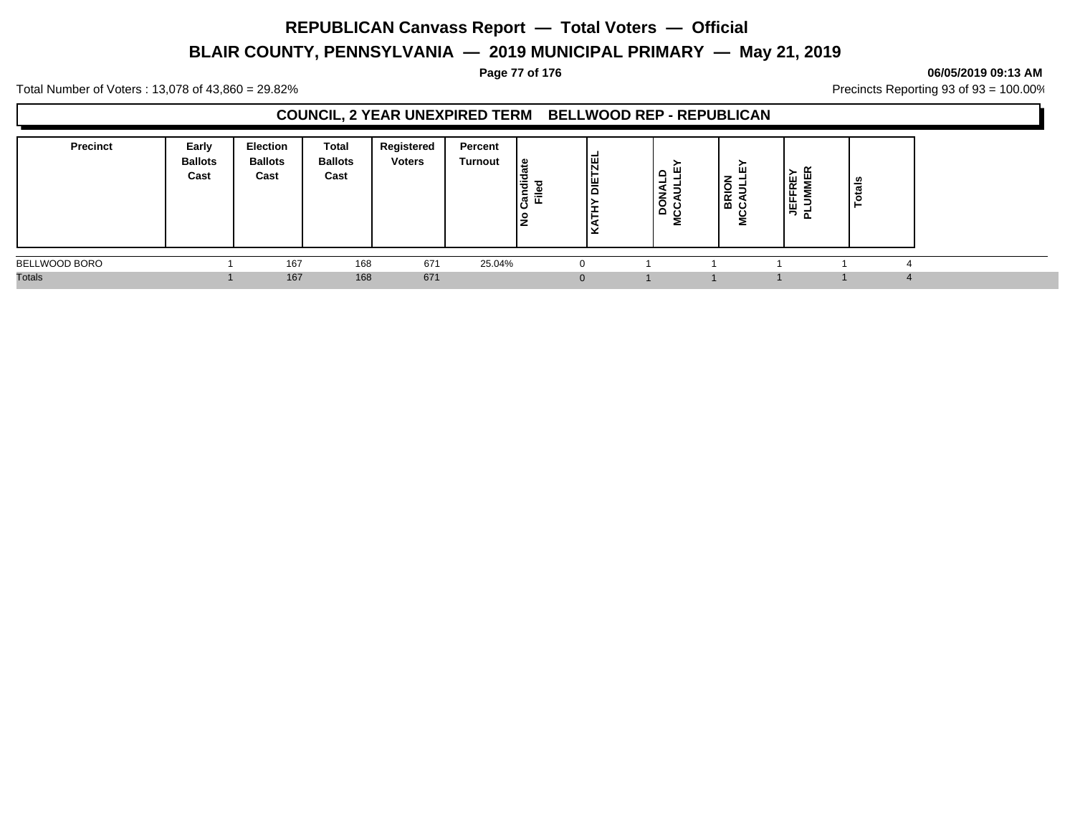# **BLAIR COUNTY, PENNSYLVANIA — 2019 MUNICIPAL PRIMARY — May 21, 2019**

### **Page 77 of 176 06/05/2019 09:13 AM**

Total Number of Voters : 13,078 of 43,860 = 29.82% Precincts Reporting 93 of 93 = 100.00%

### **COUNCIL, 2 YEAR UNEXPIRED TERM BELLWOOD REP - REPUBLICAN**

| <b>Precinct</b> | Early<br><b>Ballots</b><br>Cast | <b>Election</b><br><b>Ballots</b><br>Cast | <b>Total</b><br><b>Ballots</b><br>Cast | Registered<br><b>Voters</b> | Percent<br><b>Turnout</b> | ூ<br>ਚੋਂ<br>Ѣ<br>-<br>≓<br>►<br>ြီ<br>۽<br>∼ | 一<br>∣≝<br>$\Omega$ | $\circ$<br>≏ | ш<br>ັ<br>-<br>BR<br>ం | щ<br>FRE<br>내 등 눈 | tais<br>− |  |
|-----------------|---------------------------------|-------------------------------------------|----------------------------------------|-----------------------------|---------------------------|----------------------------------------------|---------------------|--------------|------------------------|-------------------|-----------|--|
| BELLWOOD BORO   |                                 | 167                                       | 168                                    | 671                         | 25.04%                    |                                              |                     |              |                        |                   |           |  |
| <b>Totals</b>   |                                 | 167                                       | 168                                    | 671                         |                           |                                              |                     |              |                        |                   |           |  |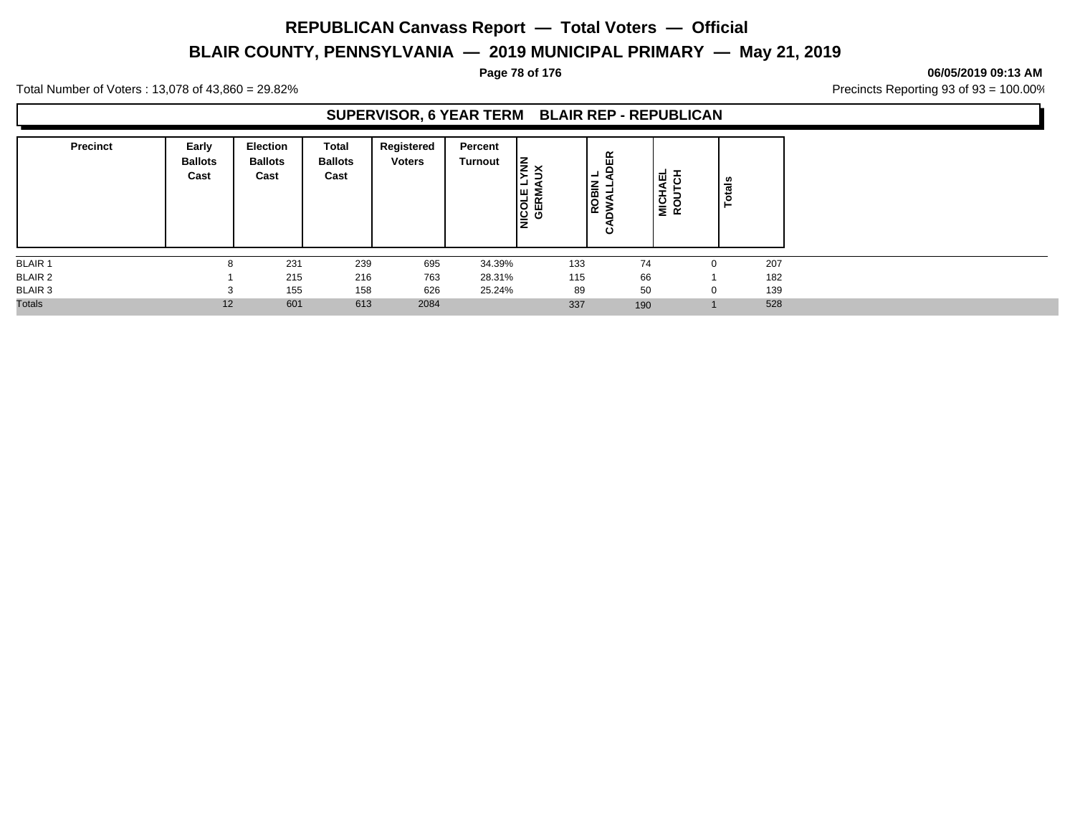# **BLAIR COUNTY, PENNSYLVANIA — 2019 MUNICIPAL PRIMARY — May 21, 2019**

### **Page 78 of 176 06/05/2019 09:13 AM**

Total Number of Voters : 13,078 of 43,860 = 29.82% Precincts Reporting 93 of 93 = 100.00%

### **SUPERVISOR, 6 YEAR TERM BLAIR REP - REPUBLICAN**

| <b>Precinct</b> | Early<br><b>Ballots</b><br>Cast | <b>Election</b><br><b>Ballots</b><br>Cast | Total<br><b>Ballots</b><br>Cast | Registered<br><b>Voters</b> | Percent<br>Turnout | $\vert \xi \rangle$<br>-<br><b>NICOLE</b><br>GERM |     | DER<br>ᆜ<br>-<br>ROBIN<br>ن | -<br>ш<br>$\overline{\mathbf{o}}$<br>я<br>NICH<br>ROUT |          | otals |
|-----------------|---------------------------------|-------------------------------------------|---------------------------------|-----------------------------|--------------------|---------------------------------------------------|-----|-----------------------------|--------------------------------------------------------|----------|-------|
| <b>BLAIR 1</b>  | 8                               | 231                                       | 239                             | 695                         | 34.39%             |                                                   | 133 |                             | 74                                                     | $\Omega$ | 207   |
| <b>BLAIR 2</b>  |                                 | 215                                       | 216                             | 763                         | 28.31%             |                                                   | 115 | 66                          |                                                        |          | 182   |
| BLAIR 3         | $\overline{ }$                  | 155                                       | 158                             | 626                         | 25.24%             |                                                   | 89  | 50                          |                                                        | $\Omega$ | 139   |
| <b>Totals</b>   | 12                              | 601                                       | 613                             | 2084                        |                    |                                                   | 337 | 190                         |                                                        |          | 528   |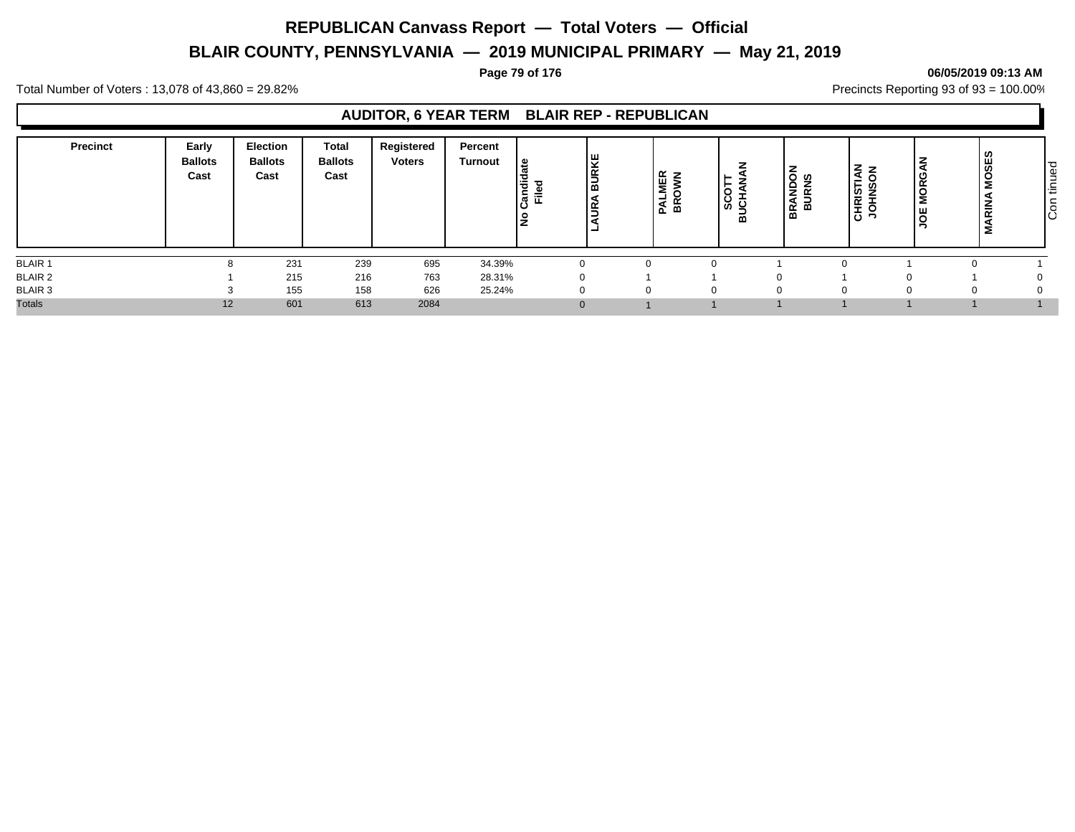# **BLAIR COUNTY, PENNSYLVANIA — 2019 MUNICIPAL PRIMARY — May 21, 2019**

### **Page 79 of 176 06/05/2019 09:13 AM**

Total Number of Voters : 13,078 of 43,860 = 29.82% Precincts Reporting 93 of 93 = 100.00%

### **AUDITOR, 6 YEAR TERM BLAIR REP - REPUBLICAN**

| Precinct       | Early<br><b>Ballots</b><br>Cast | <b>Election</b><br><b>Ballots</b><br>Cast | <b>Total</b><br><b>Ballots</b><br>Cast | Registered<br><b>Voters</b> | Percent<br><b>Turnout</b> | ್ತಿ<br>Candi<br>흕 | <b>BURKE</b><br> <br>।<br>। | ⊞ ≩<br>Σ<br>PAL<br>ᆱ | O<br>ن<br>ី ២<br>$\overline{m}$ | <u>ទី</u> ទ<br>e.<br><b>BURN</b><br>▵<br>⋖<br>œ<br>≃ | TIAN<br>⇁<br>CHRIS <sup>-</sup><br>$\circ$<br>$\overline{\phantom{0}}$ | MORG.<br>光<br>◡ | <b>MOSES</b><br><b>ARIN</b><br>Σ | tinued<br>$\sqrt{5}$ |
|----------------|---------------------------------|-------------------------------------------|----------------------------------------|-----------------------------|---------------------------|-------------------|-----------------------------|----------------------|---------------------------------|------------------------------------------------------|------------------------------------------------------------------------|-----------------|----------------------------------|----------------------|
| <b>BLAIR 1</b> | 8                               | 231                                       | 239                                    | 695                         | 34.39%                    |                   |                             |                      |                                 |                                                      |                                                                        |                 |                                  |                      |
| <b>BLAIR 2</b> |                                 | 215                                       | 216                                    | 763                         | 28.31%                    | <sup>0</sup>      |                             |                      |                                 |                                                      |                                                                        |                 |                                  |                      |
| <b>BLAIR 3</b> |                                 | 155                                       | 158                                    | 626                         | 25.24%                    |                   |                             | 0                    |                                 |                                                      |                                                                        |                 | 0                                |                      |
| <b>Totals</b>  | 12                              | 601                                       | 613                                    | 2084                        |                           | $\Omega$          |                             |                      |                                 |                                                      |                                                                        |                 |                                  |                      |

Con tinued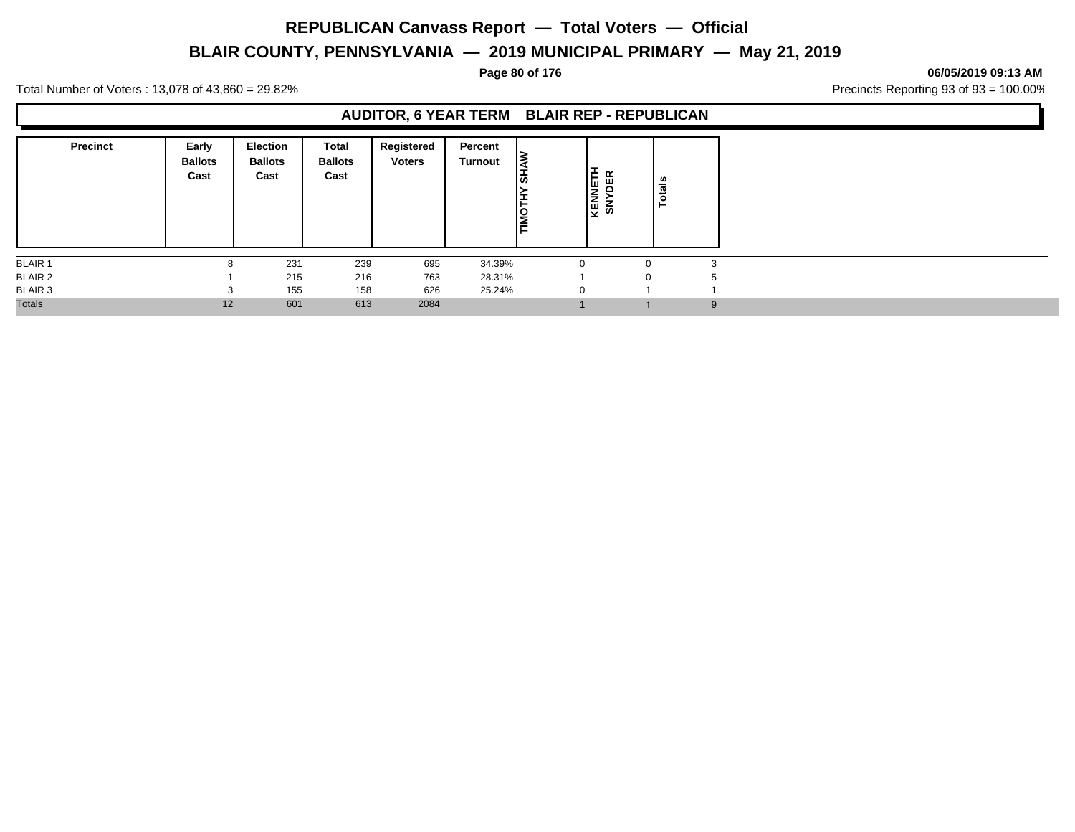# **BLAIR COUNTY, PENNSYLVANIA — 2019 MUNICIPAL PRIMARY — May 21, 2019**

### **Page 80 of 176 06/05/2019 09:13 AM**

Total Number of Voters : 13,078 of 43,860 = 29.82% Precincts Reporting 93 of 93 = 100.00%

### **AUDITOR, 6 YEAR TERM BLAIR REP - REPUBLICAN**

| <b>Precinct</b> | Early<br><b>Ballots</b><br>Cast | Election<br><b>Ballots</b><br>Cast | Total<br><b>Ballots</b><br>Cast | Registered<br><b>Voters</b> | Percent<br>Turnout | -<br>စ<br><b>TIMOTH</b> | KENNETH<br>SNYDER |             | tals<br>$\circ$<br>⊢ |              |
|-----------------|---------------------------------|------------------------------------|---------------------------------|-----------------------------|--------------------|-------------------------|-------------------|-------------|----------------------|--------------|
| <b>BLAIR 1</b>  | 8                               | 231                                | 239                             | 695                         | 34.39%             |                         | $\Omega$          | $\Omega$    |                      | $\sim$<br>J. |
| <b>BLAIR 2</b>  |                                 | 215                                | 216                             | 763                         | 28.31%             |                         |                   | $\mathbf 0$ |                      |              |
| <b>BLAIR 3</b>  | $\sim$                          | 155                                | 158                             | 626                         | 25.24%             |                         | $\Omega$          |             |                      |              |
| Totals          | 12                              | 601                                | 613                             | 2084                        |                    |                         |                   |             |                      | 9            |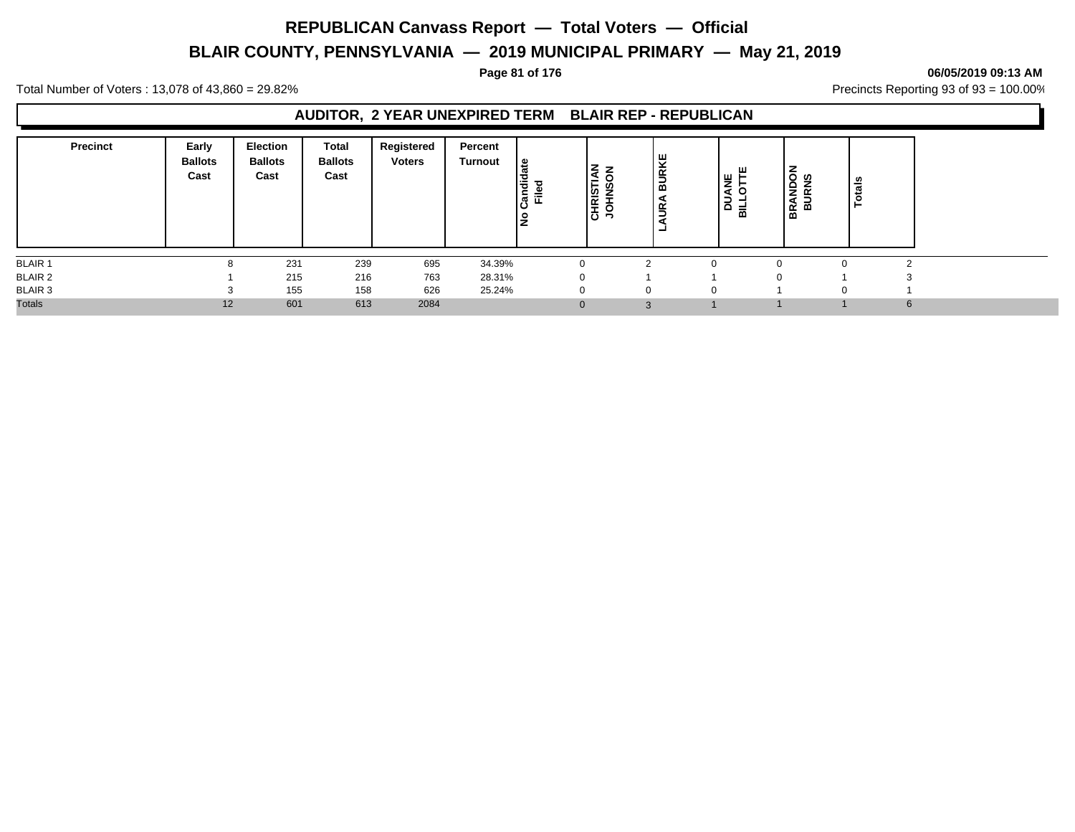# **BLAIR COUNTY, PENNSYLVANIA — 2019 MUNICIPAL PRIMARY — May 21, 2019**

### **Page 81 of 176 06/05/2019 09:13 AM**

Total Number of Voters : 13,078 of 43,860 = 29.82% Precincts Reporting 93 of 93 = 100.00%

### **AUDITOR, 2 YEAR UNEXPIRED TERM BLAIR REP - REPUBLICAN**

| <b>Precinct</b> | Early<br><b>Ballots</b><br>Cast | <b>Election</b><br><b>Ballots</b><br>Cast | <b>Total</b><br><b>Ballots</b><br>Cast | Registered<br><b>Voters</b> | Percent<br>Turnout | ہ ا<br>F<br>77<br>Ř.<br>Ĕ<br>ے<br>ح | ız<br>$\mathbf{z}$<br><b>CHRISTIA</b><br>U,<br><b>NHOL</b> | 보<br><b>BURI</b><br>⋖<br>ΞŘ<br>$\overline{\phantom{0}}$<br>- | ă<br>ď<br>∍<br>۵<br>룹 |          | <b>BRANDON</b><br>BURNS | tals<br>$\circ$ |
|-----------------|---------------------------------|-------------------------------------------|----------------------------------------|-----------------------------|--------------------|-------------------------------------|------------------------------------------------------------|--------------------------------------------------------------|-----------------------|----------|-------------------------|-----------------|
| <b>BLAIR 1</b>  |                                 | 231                                       | 239                                    | 695                         | 34.39%             |                                     |                                                            |                                                              |                       |          |                         |                 |
| <b>BLAIR 2</b>  |                                 | 215                                       | 216                                    | 763                         | 28.31%             |                                     |                                                            |                                                              |                       | $\Omega$ |                         |                 |
| BLAIR 3         |                                 | 155                                       | 158                                    | 626                         | 25.24%             |                                     | $\Omega$                                                   |                                                              |                       |          | O                       |                 |
| <b>Totals</b>   | 12                              | 601                                       | 613                                    | 2084                        |                    |                                     | $\Omega$                                                   | $\Omega$                                                     |                       |          |                         | 6               |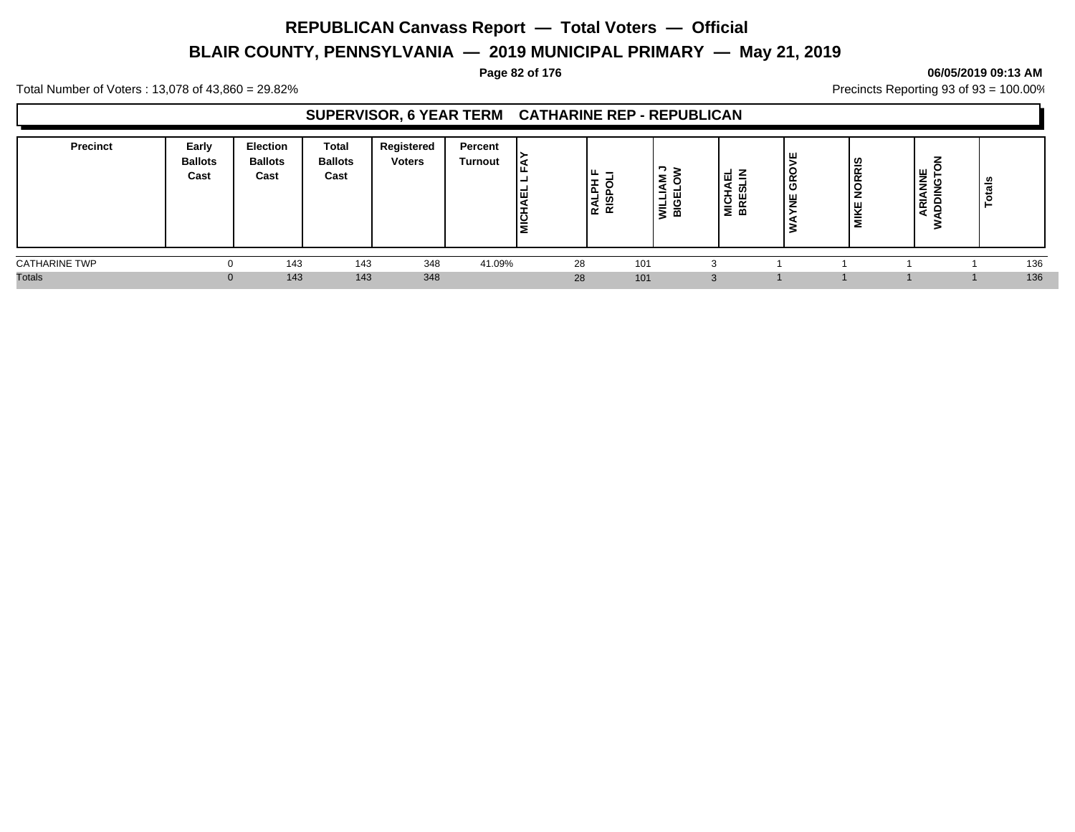# **BLAIR COUNTY, PENNSYLVANIA — 2019 MUNICIPAL PRIMARY — May 21, 2019**

### **Page 82 of 176 06/05/2019 09:13 AM**

Total Number of Voters : 13,078 of 43,860 = 29.82% Precincts Reporting 93 of 93 = 100.00%

### **SUPERVISOR, 6 YEAR TERM CATHARINE REP - REPUBLICAN**

| <b>Precinct</b>      | Early<br><b>Ballots</b><br>Cast | <b>Election</b><br><b>Ballots</b><br>Cast | <b>Total</b><br><b>Ballots</b><br>Cast | Registered<br><b>Voters</b> | Percent<br><b>Turnout</b> | 画<br>פֿ∣ | ╹╙<br>-<br>lŦ.<br>$-1$ $\alpha$<br>⊾ ⊠ ا | $\mathbf{z}$<br>-<br>ш.<br>┙<br>−<br>$\overline{\phantom{0}}$<br>≥ ख | -<br>-<br>ш<br>-<br>臣<br>-<br>ഋ<br>≊ ≥ | ۱ш<br>≃<br>ີ<br>۱ш<br>- | <b>NORRIS</b><br><b>MIKE</b> | $\frac{1}{2}$ $\frac{1}{2}$<br>≐<br>ч,<br>ᄒ<br>ă | ≗<br>$\mathbf{a}$<br>ت<br>-9<br>⊢ |  |
|----------------------|---------------------------------|-------------------------------------------|----------------------------------------|-----------------------------|---------------------------|----------|------------------------------------------|----------------------------------------------------------------------|----------------------------------------|-------------------------|------------------------------|--------------------------------------------------|-----------------------------------|--|
| <b>CATHARINE TWP</b> | $^{(1)}$                        | 143                                       | 143                                    | 348                         | 41.09%                    | 28       | 101                                      |                                                                      |                                        |                         |                              |                                                  | 136                               |  |
| <b>Totals</b>        | $\Omega$                        | 143                                       | 143                                    | 348                         |                           | 28       | 101                                      |                                                                      | 3                                      |                         |                              |                                                  | 136                               |  |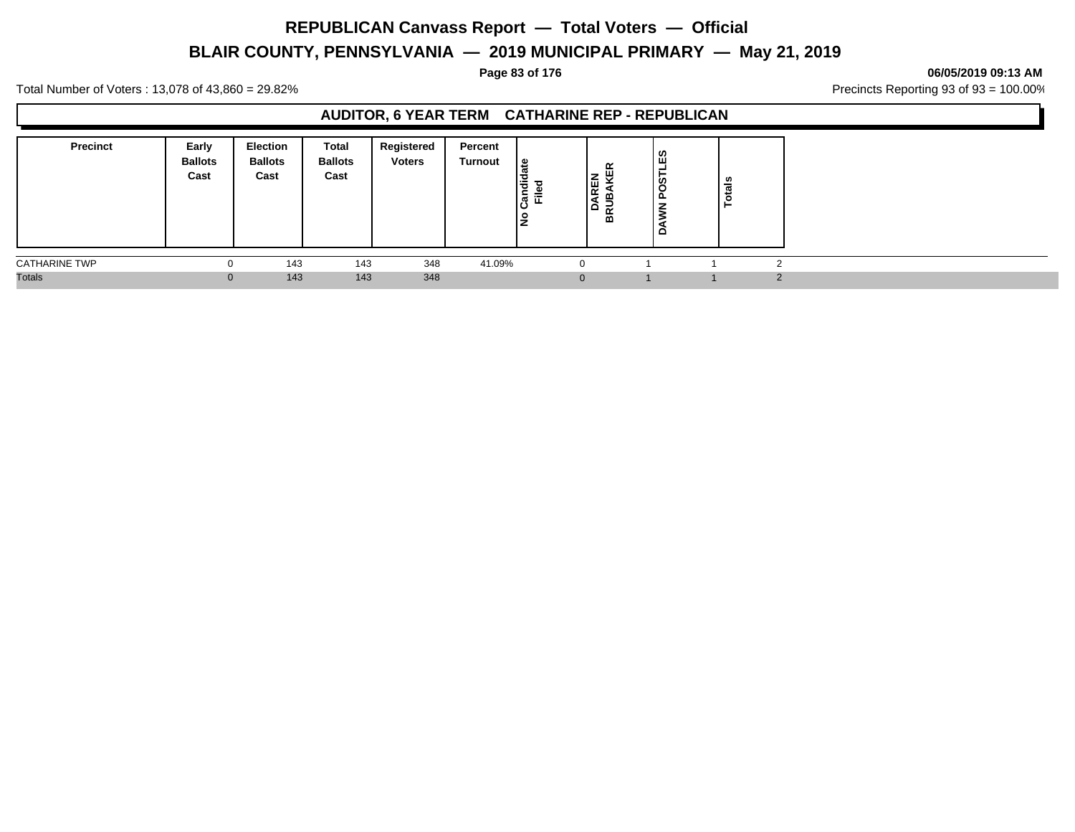# **BLAIR COUNTY, PENNSYLVANIA — 2019 MUNICIPAL PRIMARY — May 21, 2019**

### **Page 83 of 176 06/05/2019 09:13 AM**

Total Number of Voters : 13,078 of 43,860 = 29.82% Precincts Reporting 93 of 93 = 100.00%

### **AUDITOR, 6 YEAR TERM CATHARINE REP - REPUBLICAN**

| <b>Precinct</b>      | Early<br><b>Ballots</b><br>Cast | <b>Election</b><br><b>Ballots</b><br>Cast | Total<br><b>Ballots</b><br>Cast | Registered<br><b>Voters</b> | Percent<br>Turnout | ہ ا<br>Candid<br>$\overline{\phantom{a}}$<br>喸<br>۽ | ŒR<br>REN<br>≏<br>BR | Ø,<br>ш<br>ပ္လိ<br>- | ឹ<br>o |        |
|----------------------|---------------------------------|-------------------------------------------|---------------------------------|-----------------------------|--------------------|-----------------------------------------------------|----------------------|----------------------|--------|--------|
| <b>CATHARINE TWP</b> |                                 | 143                                       | 143                             | 348                         | 41.09%             |                                                     |                      |                      |        |        |
| <b>Totals</b>        | $\mathbf{0}$                    | 143                                       | 143                             | 348                         |                    | $\overline{0}$                                      |                      |                      |        | $\sim$ |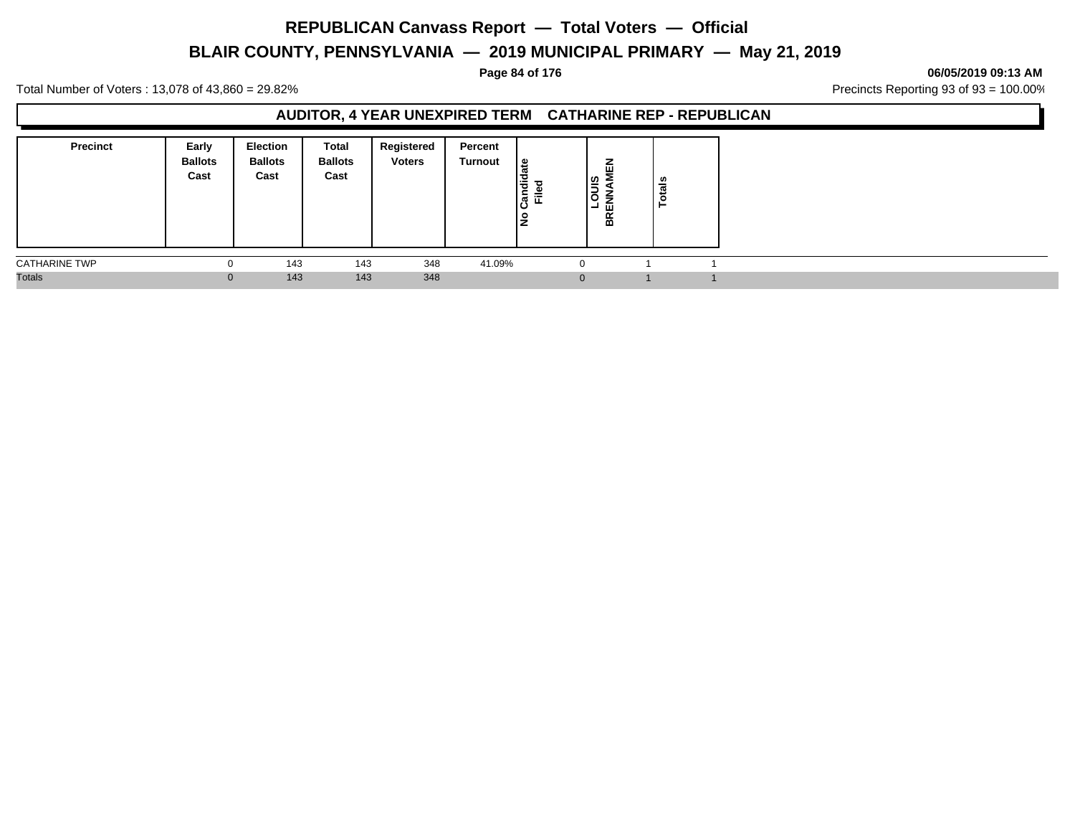# **BLAIR COUNTY, PENNSYLVANIA — 2019 MUNICIPAL PRIMARY — May 21, 2019**

### **Page 84 of 176 06/05/2019 09:13 AM**

Total Number of Voters : 13,078 of 43,860 = 29.82% Precincts Reporting 93 of 93 = 100.00%

### **AUDITOR, 4 YEAR UNEXPIRED TERM CATHARINE REP - REPUBLICAN**

| <b>Precinct</b>      | Early<br><b>Ballots</b><br>Cast | <b>Election</b><br><b>Ballots</b><br>Cast | Total<br><b>Ballots</b><br>Cast | Registered<br><b>Voters</b> | Percent<br>Turnout | ہ  <br>Candid<br>Candid<br>l是 | z<br>ш<br> ഇ<br>3<br>z<br>Ш<br>┙<br>BR | <b>otals</b> |  |
|----------------------|---------------------------------|-------------------------------------------|---------------------------------|-----------------------------|--------------------|-------------------------------|----------------------------------------|--------------|--|
| <b>CATHARINE TWP</b> |                                 | 143                                       | 143                             | 348                         | 41.09%             | - 0                           |                                        |              |  |
| <b>Totals</b>        | $\Omega$                        | 143                                       | 143                             | 348                         |                    | 0                             |                                        |              |  |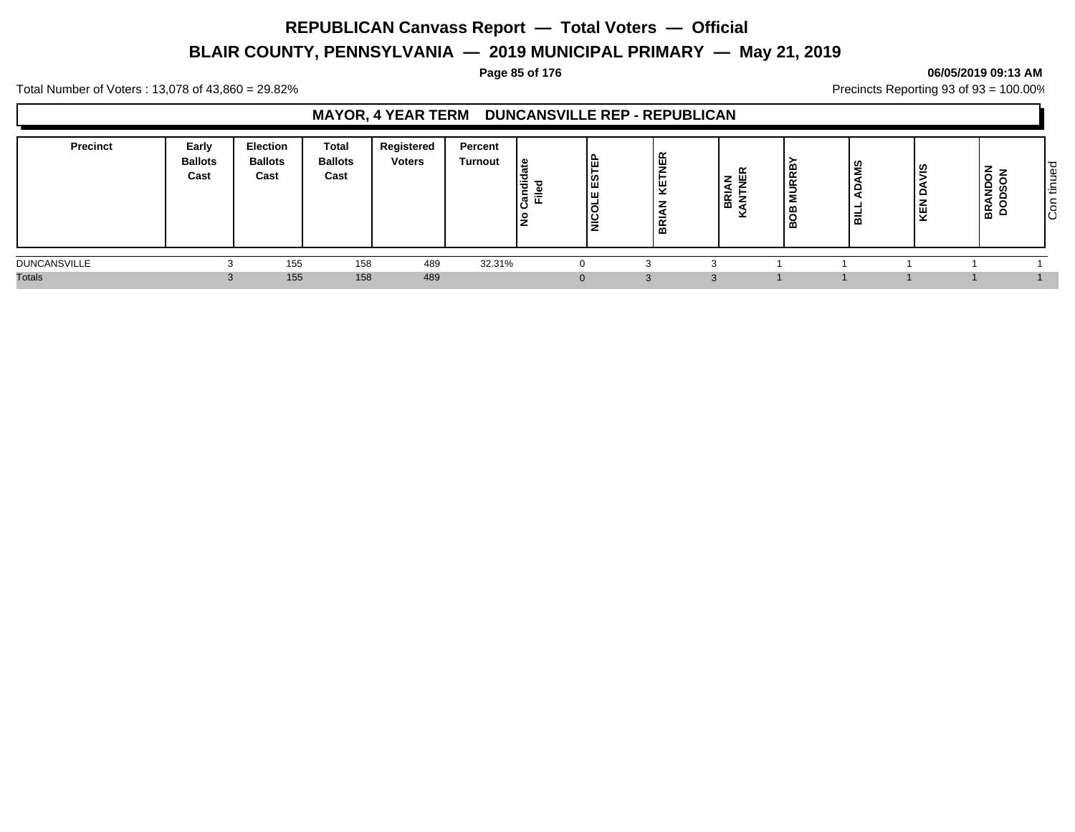# **BLAIR COUNTY, PENNSYLVANIA — 2019 MUNICIPAL PRIMARY — May 21, 2019**

### **Page 85 of 176 06/05/2019 09:13 AM**

Total Number of Voters : 13,078 of 43,860 = 29.82% Precincts Reporting 93 of 93 = 100.00%

### **MAYOR, 4 YEAR TERM DUNCANSVILLE REP - REPUBLICAN**

| <b>Precinct</b>     | Early<br><b>Ballots</b><br>Cast | <b>Election</b><br><b>Ballots</b><br>Cast | Total<br><b>Ballots</b><br>Cast | Registered<br><b>Voters</b> | Percent<br>Turnout | ் உ<br>Candid<br>Filed<br>o | 읎<br>ဖြ<br>Iш<br>lğ | 띥<br>⊎<br>-<br>-<br>-<br>$\propto$<br>⋒ | $\alpha$<br>RIA<br>മ<br>$\ddot{\phantom{1}}$ | ∣≃<br><b>IRR</b><br>മ<br>∣∞ | ဟ<br>-<br>m | SIN<br>KEN | z<br>ັ<br>Ιă<br>  සි | ס י<br>Φ<br>ے<br>$\sim$<br>ا ≓<br>∼<br>lē |
|---------------------|---------------------------------|-------------------------------------------|---------------------------------|-----------------------------|--------------------|-----------------------------|---------------------|-----------------------------------------|----------------------------------------------|-----------------------------|-------------|------------|----------------------|-------------------------------------------|
| <b>DUNCANSVILLE</b> |                                 | 155                                       | 158                             | 489                         | 32.31%             |                             |                     |                                         |                                              |                             |             |            |                      |                                           |
| <b>Totals</b>       |                                 | 155                                       | 158                             | 489                         |                    |                             | $\Omega$            | $\mathcal{A}$                           |                                              |                             |             |            |                      |                                           |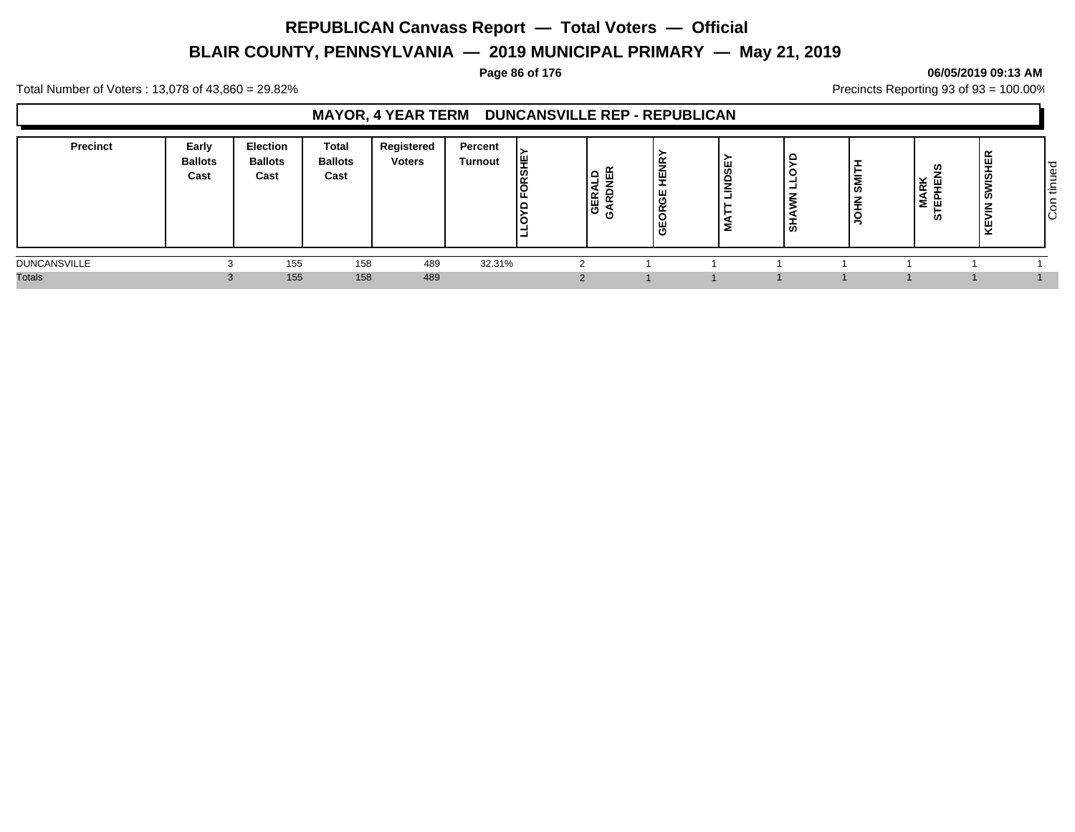# **BLAIR COUNTY, PENNSYLVANIA — 2019 MUNICIPAL PRIMARY — May 21, 2019**

### **Page 86 of 176 06/05/2019 09:13 AM**

Total Number of Voters : 13,078 of 43,860 = 29.82% Precincts Reporting 93 of 93 = 100.00%

### **MAYOR, 4 YEAR TERM DUNCANSVILLE REP - REPUBLICAN**

| <b>Precinct</b>     | Early<br><b>Ballots</b><br>Cast | <b>Election</b><br><b>Ballots</b><br>Cast | <b>Total</b><br><b>Ballots</b><br>Cast | Registered<br><b>Voters</b> | Percent<br><b>Turnout</b> | 쁮<br>U. | GER<br>SARD | 뿦<br>ш<br>"<br>$\sim$ | щ<br>ຑ<br>$\Omega$<br>-<br>-<br>- | ທ | l≅<br><b>NH</b> | RK<br>ш<br>-<br>⋛<br>ш.<br>U) | πč<br><b>ASH</b><br>-<br><b>SC</b><br>$\overline{\phantom{a}}$<br>=<br>붲 | tinued<br>-<br>$\overline{c}$ |
|---------------------|---------------------------------|-------------------------------------------|----------------------------------------|-----------------------------|---------------------------|---------|-------------|-----------------------|-----------------------------------|---|-----------------|-------------------------------|--------------------------------------------------------------------------|-------------------------------|
| <b>DUNCANSVILLE</b> |                                 | 155                                       | 158                                    | 489                         | 32.31%                    |         |             |                       |                                   |   |                 |                               |                                                                          |                               |
| <b>Totals</b>       |                                 | 155                                       | 158                                    | 489                         |                           |         |             |                       |                                   |   |                 |                               |                                                                          |                               |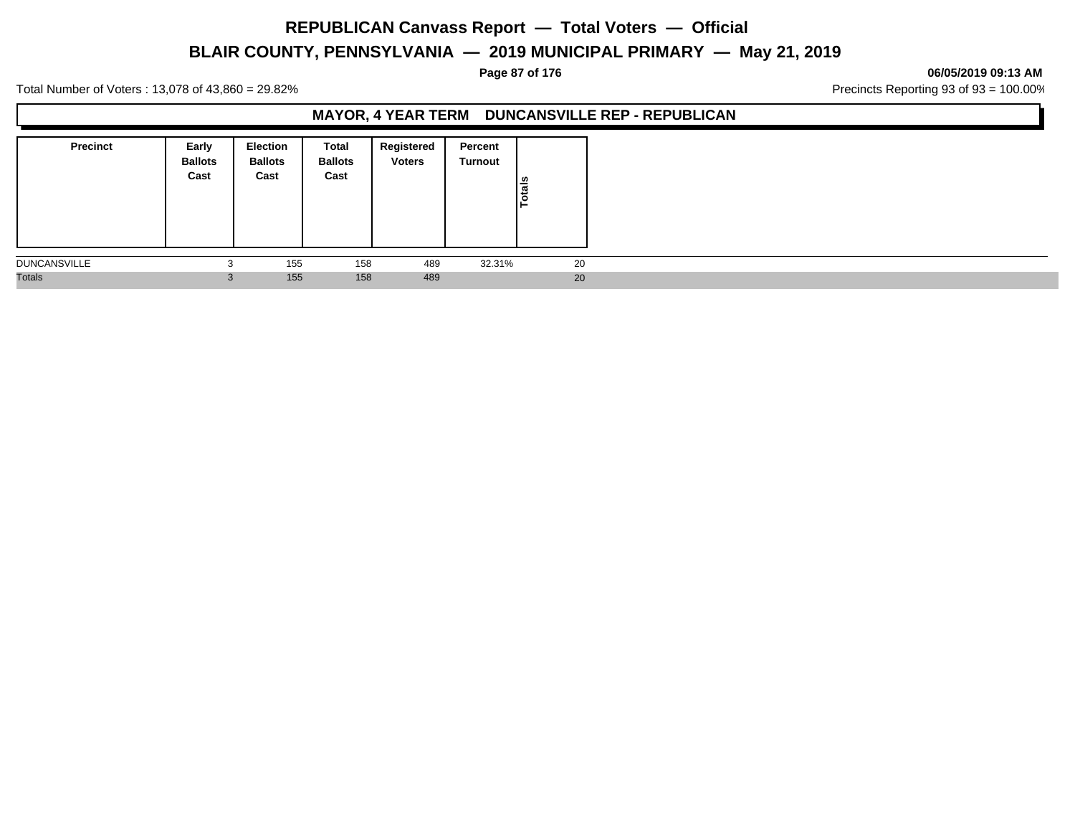# **BLAIR COUNTY, PENNSYLVANIA — 2019 MUNICIPAL PRIMARY — May 21, 2019**

### **Page 87 of 176 06/05/2019 09:13 AM**

Total Number of Voters : 13,078 of 43,860 = 29.82% Precincts Reporting 93 of 93 = 100.00%

### **MAYOR, 4 YEAR TERM DUNCANSVILLE REP - REPUBLICAN**

| <b>Precinct</b>     | Early<br><b>Ballots</b><br>Cast | <b>Election</b><br><b>Ballots</b><br>Cast | Total<br><b>Ballots</b><br>Cast | Registered<br><b>Voters</b> | Percent<br>Turnout | Totals |
|---------------------|---------------------------------|-------------------------------------------|---------------------------------|-----------------------------|--------------------|--------|
| <b>DUNCANSVILLE</b> | 3                               | 155                                       | 158                             | 489                         | 32.31%             | 20     |
| <b>Totals</b>       | ు                               | 155                                       | 158                             | 489                         |                    | 20     |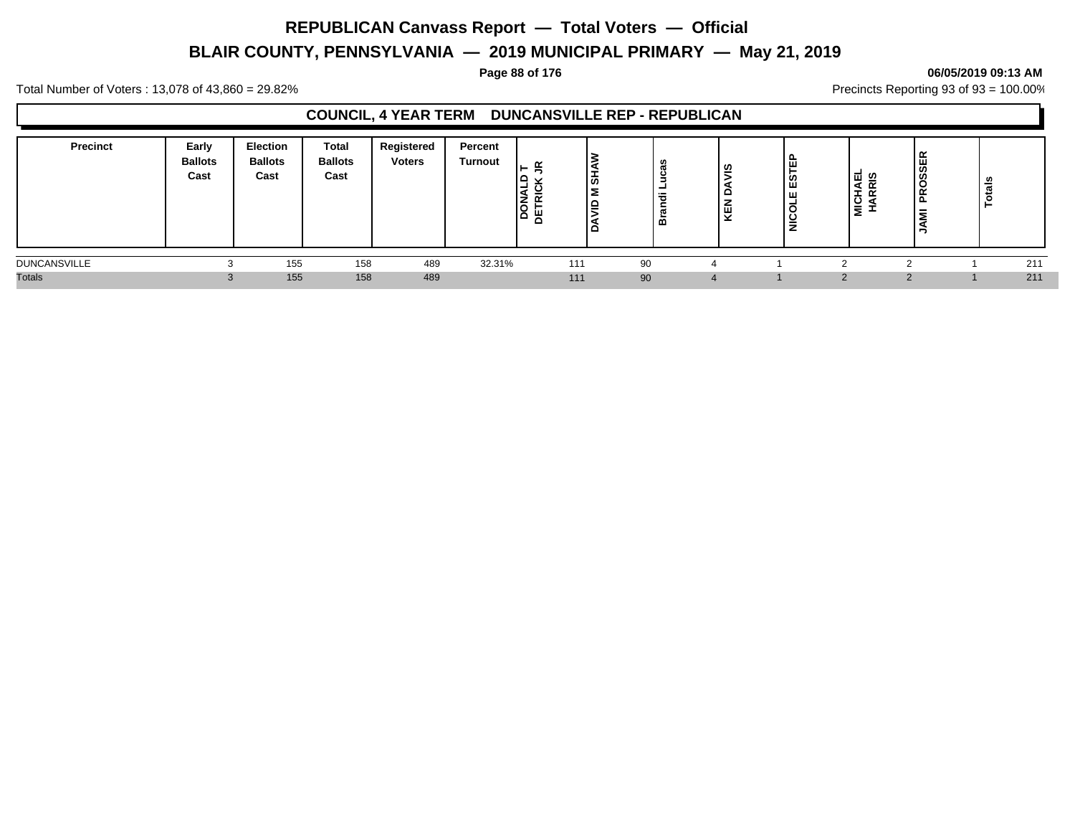# **BLAIR COUNTY, PENNSYLVANIA — 2019 MUNICIPAL PRIMARY — May 21, 2019**

### **Page 88 of 176 06/05/2019 09:13 AM**

Total Number of Voters : 13,078 of 43,860 = 29.82% Precincts Reporting 93 of 93 = 100.00%

### **COUNCIL, 4 YEAR TERM DUNCANSVILLE REP - REPUBLICAN**

| Precinct            | Early<br><b>Ballots</b><br>Cast | <b>Election</b><br><b>Ballots</b><br>Cast | <b>Total</b><br><b>Ballots</b><br>Cast | Registered<br><b>Voters</b> | Percent<br><b>Turnout</b> | -<br>ōa<br>٣ | ∣ऊ<br>Σ<br>_ء ا<br>1 O | w<br>-<br>气<br>o | ഇ<br>o<br>ш<br>ີ | 丗<br>ူ<br>ш<br>◡<br>- | ៲ਜ਼຺ଡ଼<br>$\epsilon$<br><b>.</b><br><b>NIN</b> | Ë<br>$\alpha$<br>௨<br>-<br>- | ៖<br>ಕ |
|---------------------|---------------------------------|-------------------------------------------|----------------------------------------|-----------------------------|---------------------------|--------------|------------------------|------------------|------------------|-----------------------|------------------------------------------------|------------------------------|--------|
| <b>DUNCANSVILLE</b> |                                 | 155                                       | 158                                    | 489                         | 32.31%                    | 111          |                        | 90               |                  |                       |                                                |                              | 211    |
| <b>Totals</b>       | 3                               | 155                                       | 158                                    | 489                         |                           | 111          |                        | 90               | $\overline{4}$   |                       |                                                |                              | 211    |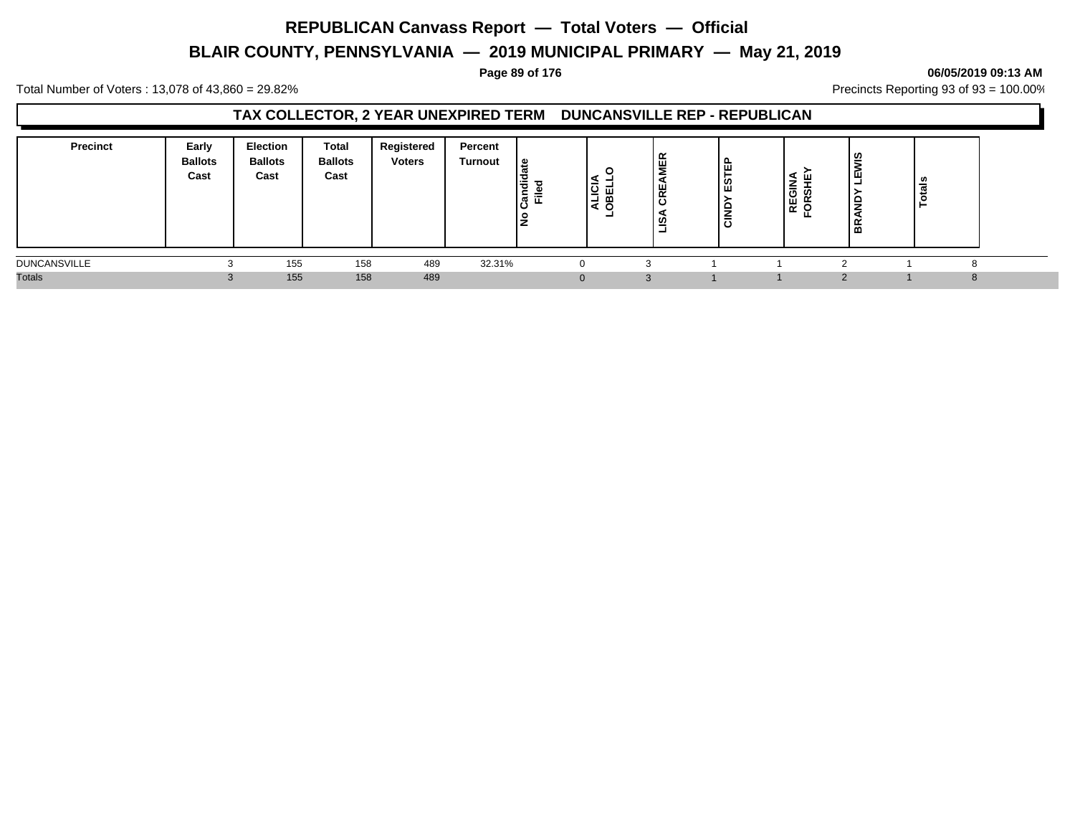# **BLAIR COUNTY, PENNSYLVANIA — 2019 MUNICIPAL PRIMARY — May 21, 2019**

### **Page 89 of 176 06/05/2019 09:13 AM**

Total Number of Voters : 13,078 of 43,860 = 29.82% Precincts Reporting 93 of 93 = 100.00%

### **TAX COLLECTOR, 2 YEAR UNEXPIRED TERM DUNCANSVILLE REP - REPUBLICAN**

| <b>Precinct</b>     | Early<br><b>Ballots</b><br>Cast | <b>Election</b><br><b>Ballots</b><br>Cast | <b>Total</b><br><b>Ballots</b><br>Cast | Registered<br><b>Voters</b> | Percent<br>Turnout | ூ<br><br>ᅙ<br>횫뿐 | -<br><u>്</u><br>œ<br>-<br>۰ | 띥<br>I¥<br>$\cdot$ | щ.<br>ш<br>u<br>ш<br>$\frac{1}{5}$ | -<br>REGIN<br><b>S</b><br>ັ | - |  |
|---------------------|---------------------------------|-------------------------------------------|----------------------------------------|-----------------------------|--------------------|------------------|------------------------------|--------------------|------------------------------------|-----------------------------|---|--|
| <b>DUNCANSVILLE</b> |                                 | 155                                       | 158                                    | 489                         | 32.31%             |                  |                              |                    |                                    |                             |   |  |
| <b>Totals</b>       |                                 | 155                                       | 158                                    | 489                         |                    |                  |                              | $\sim$             |                                    |                             |   |  |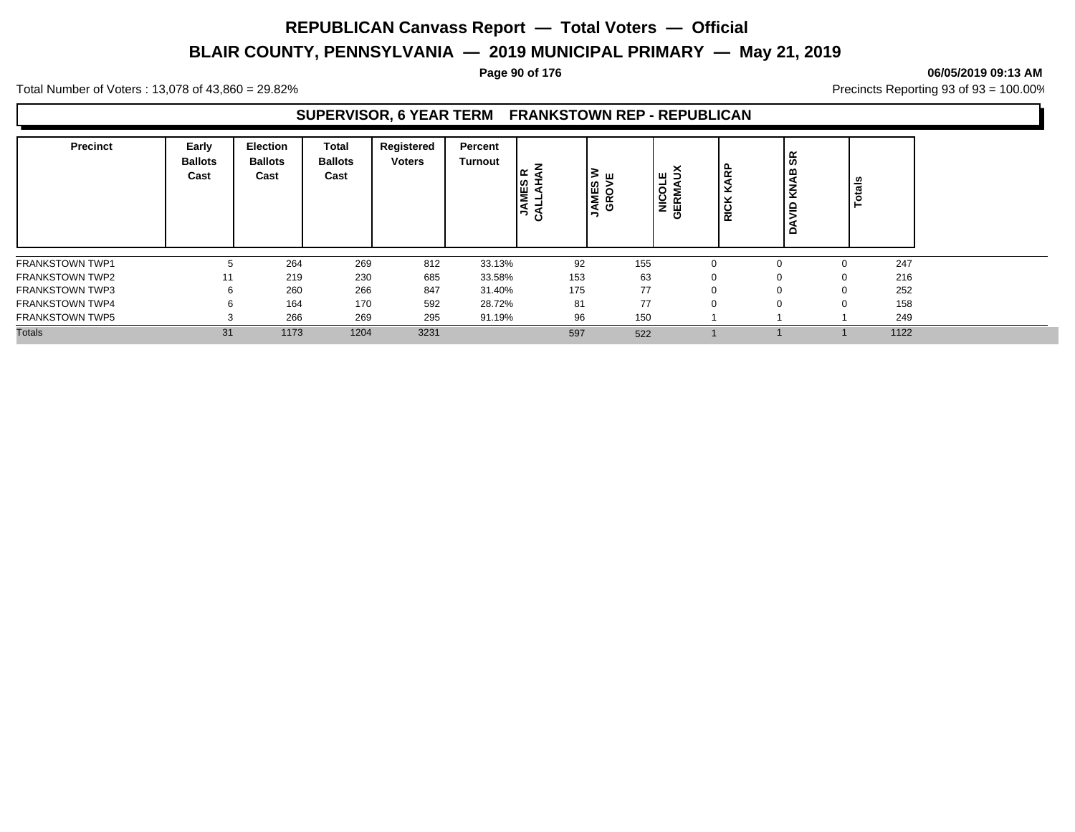# **BLAIR COUNTY, PENNSYLVANIA — 2019 MUNICIPAL PRIMARY — May 21, 2019**

### **Page 90 of 176 06/05/2019 09:13 AM**

Total Number of Voters : 13,078 of 43,860 = 29.82% Precincts Reporting 93 of 93 = 100.00%

### **SUPERVISOR, 6 YEAR TERM FRANKSTOWN REP - REPUBLICAN**

| Precinct               | Early<br><b>Ballots</b><br>Cast | <b>Election</b><br><b>Ballots</b><br>Cast | Total<br><b>Ballots</b><br>Cast | Registered<br><b>Voters</b> | Percent<br>Turnout | l≃<br><b>JAMES</b><br><u>ن</u> | ≥ ш<br><b>AMES</b><br>GROVI | ш<br>NICOI<br>GERMA | 운<br>×<br><b>RICI</b> | န္တ<br>٩<br>₹<br>≘ | <b>Totals</b> |  |
|------------------------|---------------------------------|-------------------------------------------|---------------------------------|-----------------------------|--------------------|--------------------------------|-----------------------------|---------------------|-----------------------|--------------------|---------------|--|
| <b>FRANKSTOWN TWP1</b> | 5                               | 264                                       | 269                             | 812                         | 33.13%             | 92                             | 155                         |                     |                       |                    | 247<br>0      |  |
| <b>FRANKSTOWN TWP2</b> | 11                              | 219                                       | 230                             | 685                         | 33.58%             | 153                            | 63                          |                     |                       | 0                  | 216           |  |
| <b>FRANKSTOWN TWP3</b> | 6                               | 260                                       | 266                             | 847                         | 31.40%             | 175                            | 77                          |                     |                       |                    | 252           |  |
| <b>FRANKSTOWN TWP4</b> | 6                               | 164                                       | 170                             | 592                         | 28.72%             | 81                             | 77                          |                     |                       |                    | 158           |  |
| <b>FRANKSTOWN TWP5</b> |                                 | 266                                       | 269                             | 295                         | 91.19%             | 96                             | 150                         |                     |                       |                    | 249           |  |
| <b>Totals</b>          | 31                              | 1173                                      | 1204                            | 3231                        |                    | 597                            | 522                         |                     |                       |                    | 1122          |  |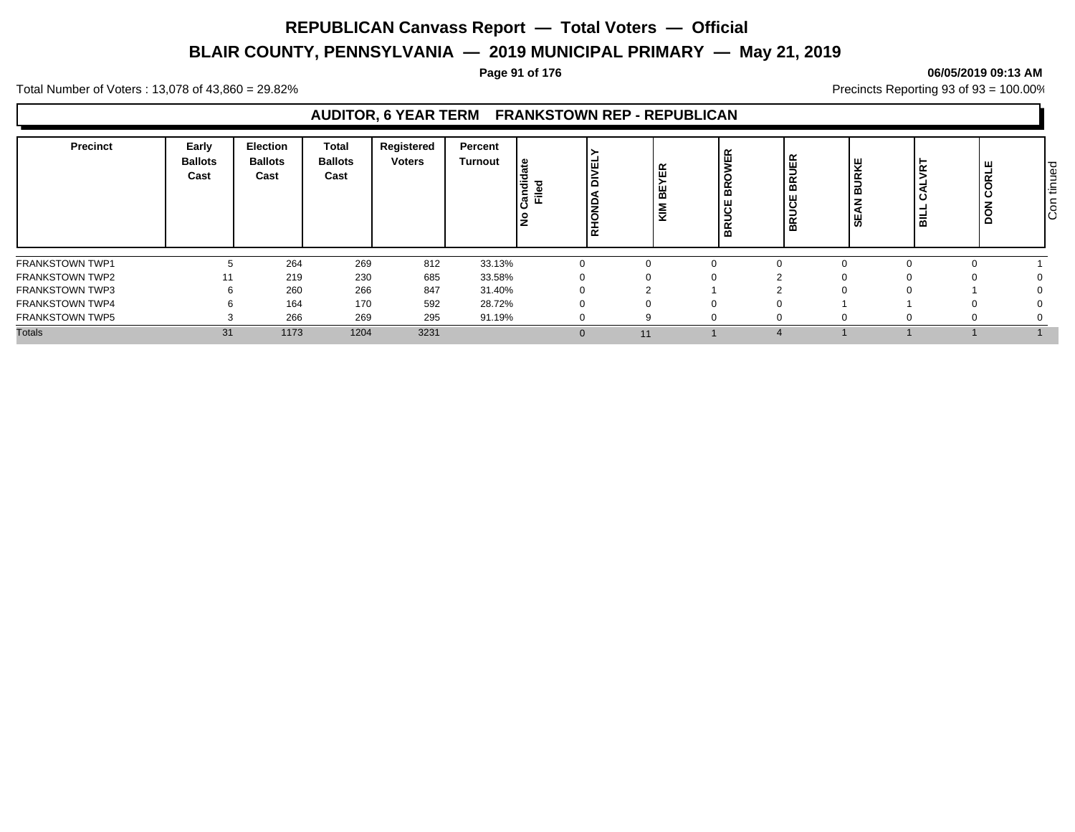# **BLAIR COUNTY, PENNSYLVANIA — 2019 MUNICIPAL PRIMARY — May 21, 2019**

### **Page 91 of 176 06/05/2019 09:13 AM**

Total Number of Voters : 13,078 of 43,860 = 29.82% Precincts Reporting 93 of 93 = 100.00%

### **AUDITOR, 6 YEAR TERM FRANKSTOWN REP - REPUBLICAN**

| Precinct               | Early<br><b>Ballots</b><br>Cast | <b>Election</b><br><b>Ballots</b><br>Cast | <b>Total</b><br><b>Ballots</b><br>Cast | Registered<br><b>Voters</b> | Percent<br><b>Turnout</b> | ு<br>I≝<br>۱ā<br>ے آ <del>ی</del> ۃ<br>آ<br>۾ ا<br>$\frac{1}{2}$<br><b>RHO</b> | 띥<br>볾<br>€ | <b>IER</b><br>$\alpha$<br>മ<br>ш<br><b>BR</b> | 씾<br>ັທ | 덦<br>ॱਛ | щ<br>ORL<br>$\epsilon$<br>ه ا | hued<br>੶ਜ਼<br>-<br>ခြ |
|------------------------|---------------------------------|-------------------------------------------|----------------------------------------|-----------------------------|---------------------------|--------------------------------------------------------------------------------|-------------|-----------------------------------------------|---------|---------|-------------------------------|------------------------|
| FRANKSTOWN TWP1        |                                 | 264                                       | 269                                    | 812                         | 33.13%                    |                                                                                | n           |                                               |         |         |                               |                        |
| <b>FRANKSTOWN TWP2</b> | 11                              | 219                                       | 230                                    | 685                         | 33.58%                    |                                                                                |             |                                               |         |         |                               |                        |
| <b>FRANKSTOWN TWP3</b> |                                 | 260                                       | 266                                    | 847                         | 31.40%                    |                                                                                |             |                                               |         |         |                               |                        |
| <b>FRANKSTOWN TWP4</b> |                                 | 164                                       | 170                                    | 592                         | 28.72%                    |                                                                                |             |                                               |         |         |                               |                        |
| <b>FRANKSTOWN TWP5</b> |                                 | 266                                       | 269                                    | 295                         | 91.19%                    |                                                                                |             |                                               |         |         |                               |                        |
| <b>Totals</b>          | 31                              | 1173                                      | 1204                                   | 3231                        |                           | $\mathbf{0}$                                                                   | 11          |                                               |         |         |                               |                        |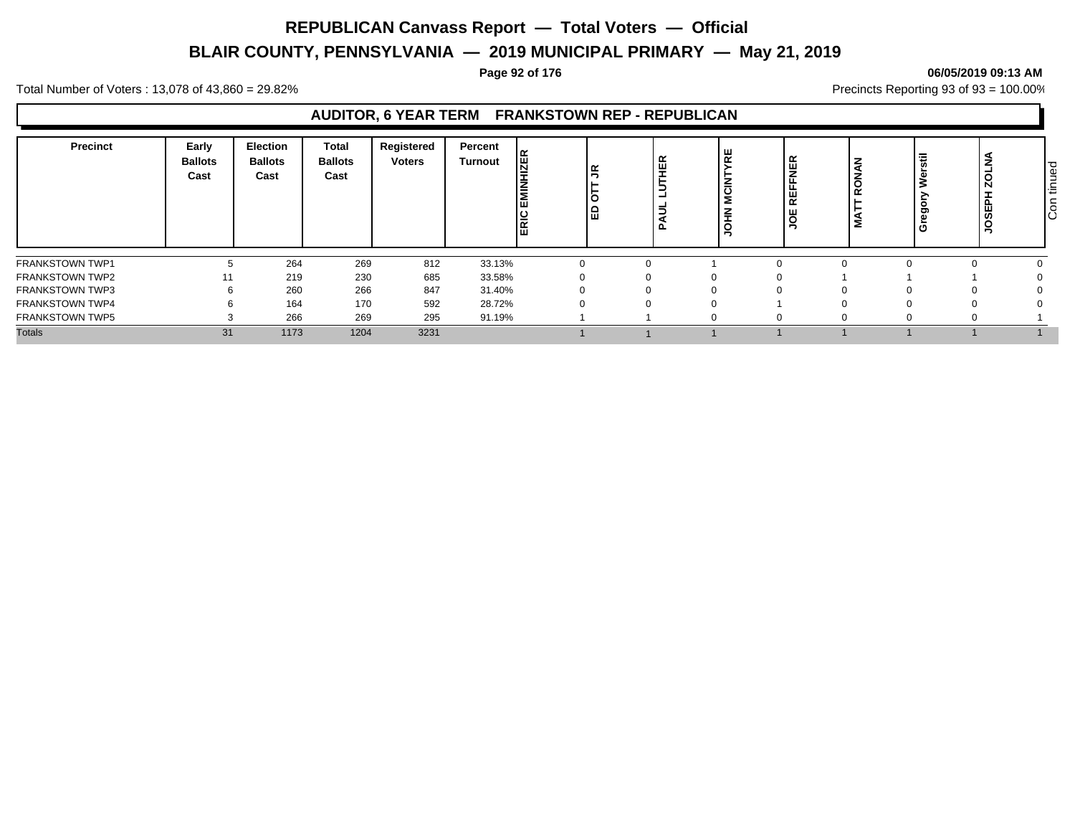# **BLAIR COUNTY, PENNSYLVANIA — 2019 MUNICIPAL PRIMARY — May 21, 2019**

### **Page 92 of 176 06/05/2019 09:13 AM**

Total Number of Voters : 13,078 of 43,860 = 29.82% Precincts Reporting 93 of 93 = 100.00%

### **AUDITOR, 6 YEAR TERM FRANKSTOWN REP - REPUBLICAN**

| <b>Precinct</b>        | Early<br><b>Ballots</b><br>Cast | <b>Election</b><br><b>Ballots</b><br>Cast | Total<br><b>Ballots</b><br>Cast | Registered<br><b>Voters</b> | Percent<br><b>Turnout</b> | <b>ZER</b><br>ERIC | lৼ<br>lö<br>1品 | 포<br>$\overline{\phantom{a}}$ | 분<br>-<br>ပ<br>Σ<br><b>THE</b> | ع ا<br>œ | $\tilde{\phantom{a}}$ | Ξ<br><b>U</b><br>$\circ$<br>ರಾ<br>ው<br>ò | ż<br>ZOL<br><b>JOSEPI</b> | tinued<br>$\overline{5}$ |
|------------------------|---------------------------------|-------------------------------------------|---------------------------------|-----------------------------|---------------------------|--------------------|----------------|-------------------------------|--------------------------------|----------|-----------------------|------------------------------------------|---------------------------|--------------------------|
| FRANKSTOWN TWP1        |                                 | 264                                       | 269                             | 812                         | 33.13%                    |                    |                |                               |                                |          |                       |                                          |                           |                          |
| <b>FRANKSTOWN TWP2</b> | 11                              | 219                                       | 230                             | 685                         | 33.58%                    |                    |                |                               |                                |          |                       |                                          |                           |                          |
| <b>FRANKSTOWN TWP3</b> | 6                               | 260                                       | 266                             | 847                         | 31.40%                    |                    |                |                               | 0                              |          |                       |                                          | 0                         |                          |
| <b>FRANKSTOWN TWP4</b> | n                               | 164                                       | 170                             | 592                         | 28.72%                    |                    |                |                               |                                |          |                       |                                          |                           |                          |
| <b>FRANKSTOWN TWP5</b> |                                 | 266                                       | 269                             | 295                         | 91.19%                    |                    |                |                               |                                |          |                       |                                          | $\Omega$                  |                          |
| <b>Totals</b>          | 31                              | 1173                                      | 1204                            | 3231                        |                           |                    |                |                               |                                |          |                       |                                          |                           |                          |

# Con tinued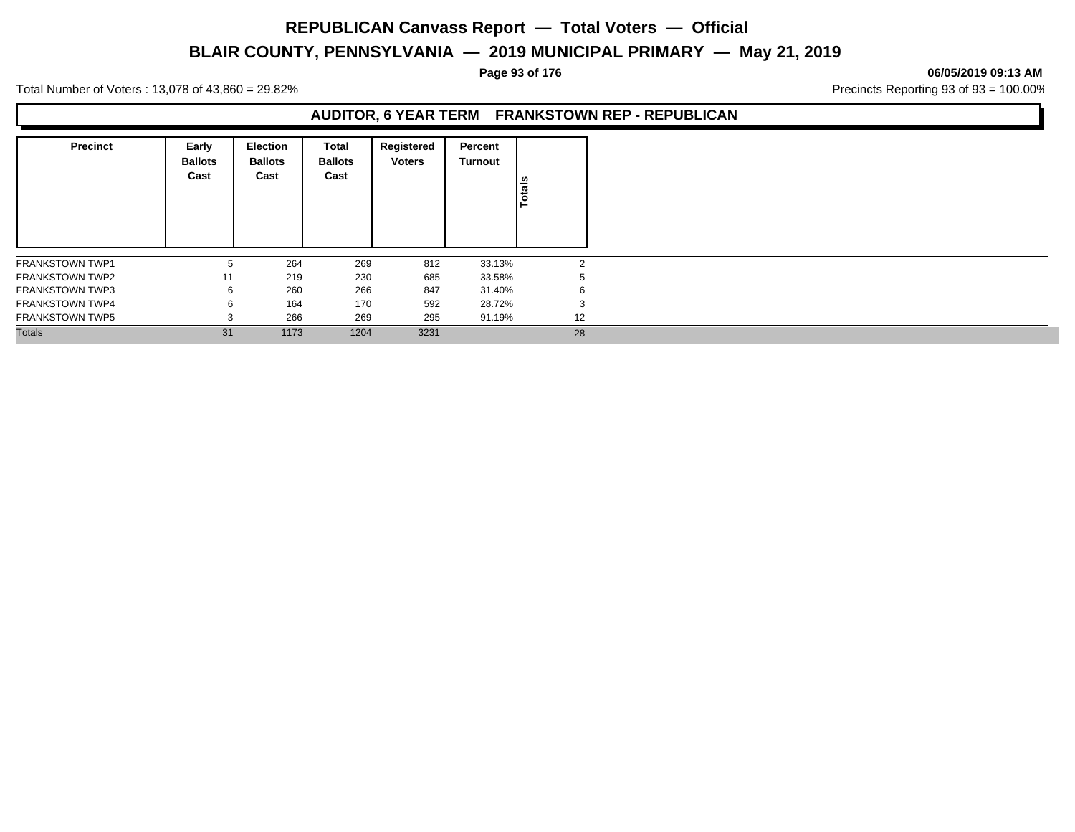# **BLAIR COUNTY, PENNSYLVANIA — 2019 MUNICIPAL PRIMARY — May 21, 2019**

### **Page 93 of 176 06/05/2019 09:13 AM**

Total Number of Voters : 13,078 of 43,860 = 29.82% Precincts Reporting 93 of 93 = 100.00%

### **AUDITOR, 6 YEAR TERM FRANKSTOWN REP - REPUBLICAN**

| <b>Precinct</b>        | Early<br><b>Ballots</b><br>Cast | Election<br><b>Ballots</b><br>Cast | Total<br><b>Ballots</b><br>Cast | Registered<br><b>Voters</b> | Percent<br>Turnout | Totals |
|------------------------|---------------------------------|------------------------------------|---------------------------------|-----------------------------|--------------------|--------|
| <b>FRANKSTOWN TWP1</b> | 5                               | 264                                | 269                             | 812                         | 33.13%             | 2      |
| <b>FRANKSTOWN TWP2</b> | 11                              | 219                                | 230                             | 685                         | 33.58%             |        |
| <b>FRANKSTOWN TWP3</b> | 6                               | 260                                | 266                             | 847                         | 31.40%             | 6      |
| <b>FRANKSTOWN TWP4</b> | 6                               | 164                                | 170                             | 592                         | 28.72%             | 3      |
| <b>FRANKSTOWN TWP5</b> | $\sim$                          | 266                                | 269                             | 295                         | 91.19%             | 12     |
| <b>Totals</b>          | 31                              | 1173                               | 1204                            | 3231                        |                    | 28     |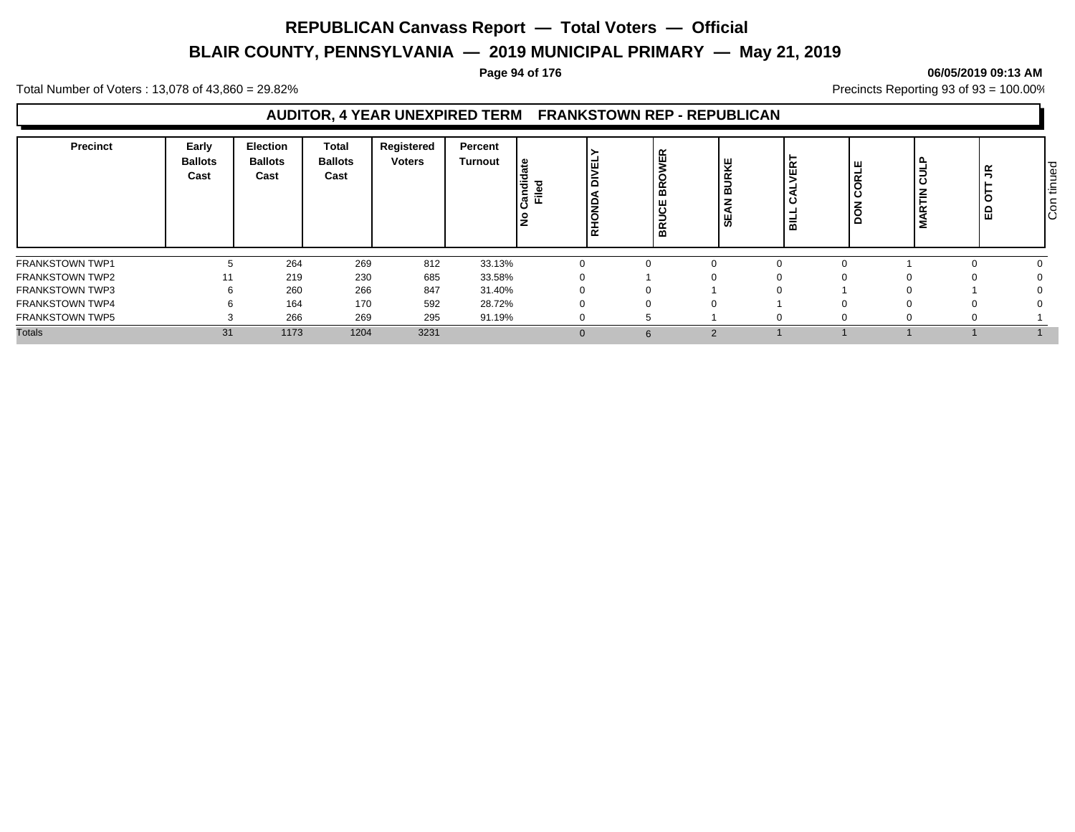# **BLAIR COUNTY, PENNSYLVANIA — 2019 MUNICIPAL PRIMARY — May 21, 2019**

### **Page 94 of 176 06/05/2019 09:13 AM**

Total Number of Voters : 13,078 of 43,860 = 29.82% Precincts Reporting 93 of 93 = 100.00%

### **AUDITOR, 4 YEAR UNEXPIRED TERM FRANKSTOWN REP - REPUBLICAN**

| Precinct               | Early<br><b>Ballots</b><br>Cast | <b>Election</b><br><b>Ballots</b><br>Cast | <b>Total</b><br><b>Ballots</b><br>Cast | Registered<br><b>Voters</b> | Percent<br>Turnout | . م<br>Candie<br>┲<br>Ele | <b>S</b><br>RHONDA | WER<br><b>BRO</b><br><b>BRUCE</b> | 쁒<br>$\propto$<br>∍<br>മ<br>ш<br>ຑ | œ<br>画<br>$\equiv$<br>⋒ | ш<br>혽 | Ε<br>ت<br>Ζ<br>œ<br>5 | $\tilde{z}$<br>Ö<br>읎 | tinued<br>$\overline{5}$ |
|------------------------|---------------------------------|-------------------------------------------|----------------------------------------|-----------------------------|--------------------|---------------------------|--------------------|-----------------------------------|------------------------------------|-------------------------|--------|-----------------------|-----------------------|--------------------------|
| FRANKSTOWN TWP1        |                                 | 264                                       | 269                                    | 812                         | 33.13%             |                           |                    |                                   |                                    |                         |        |                       |                       |                          |
| <b>FRANKSTOWN TWP2</b> | 11                              | 219                                       | 230                                    | 685                         | 33.58%             |                           |                    |                                   |                                    |                         |        |                       |                       |                          |
| <b>FRANKSTOWN TWP3</b> | 6                               | 260                                       | 266                                    | 847                         | 31.40%             |                           |                    |                                   |                                    |                         |        |                       |                       |                          |
| <b>FRANKSTOWN TWP4</b> | b                               | 164                                       | 170                                    | 592                         | 28.72%             |                           |                    |                                   |                                    |                         |        |                       |                       |                          |
| <b>FRANKSTOWN TWP5</b> |                                 | 266                                       | 269                                    | 295                         | 91.19%             | <sup>0</sup>              |                    |                                   |                                    |                         |        | 0                     |                       |                          |
| <b>Totals</b>          | 31                              | 1173                                      | 1204                                   | 3231                        |                    | $\Omega$                  |                    |                                   | 2                                  |                         |        |                       |                       |                          |

Con tinued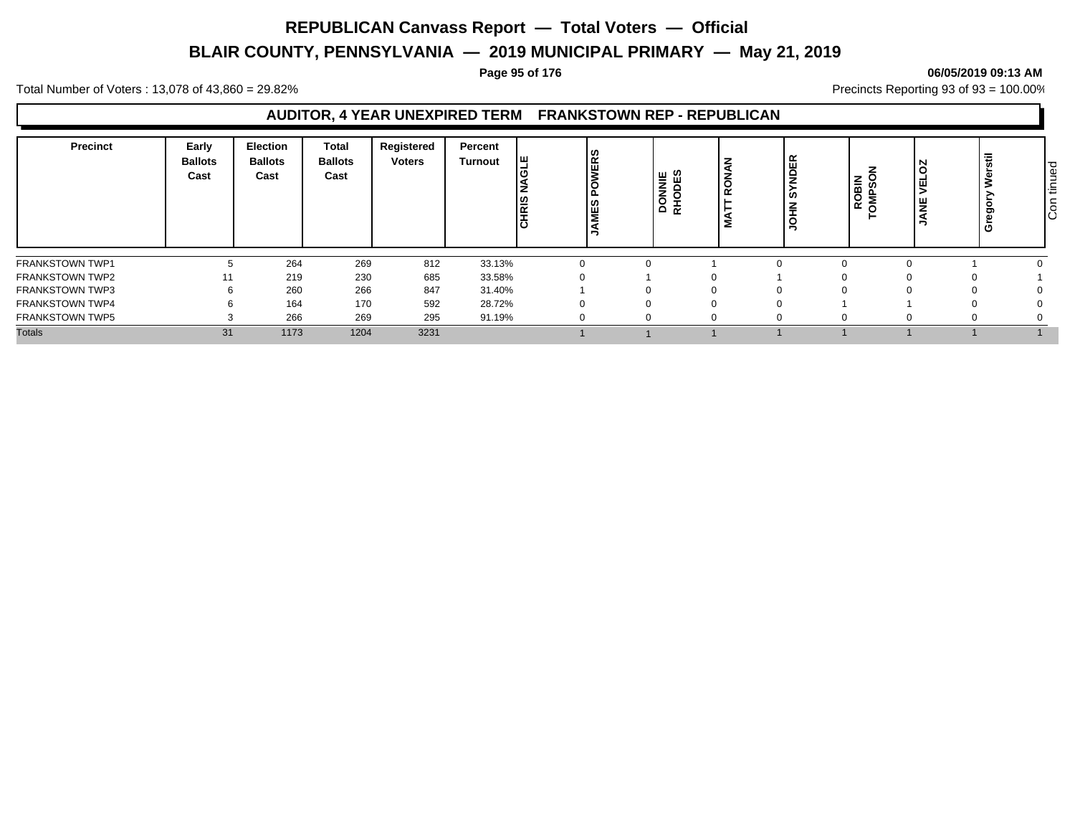# **BLAIR COUNTY, PENNSYLVANIA — 2019 MUNICIPAL PRIMARY — May 21, 2019**

### **Page 95 of 176 06/05/2019 09:13 AM**

Total Number of Voters : 13,078 of 43,860 = 29.82% Precincts Reporting 93 of 93 = 100.00%

### **AUDITOR, 4 YEAR UNEXPIRED TERM FRANKSTOWN REP - REPUBLICAN**

| Precinct               | Early<br><b>Ballots</b><br>Cast | <b>Election</b><br>Ballots<br>Cast | Total<br><b>Ballots</b><br>Cast | Registered<br><b>Voters</b> | Percent<br><b>Turnout</b> | <b>WERS</b><br>∣ш<br> ဥ<br><b>CHRIS</b><br><b>AMES</b> | <b>NNIE</b><br>ODES<br>8¥ | <b>VDER</b><br><b>آن</b> | <b>OSHNO</b><br><b>ROBIN</b><br>⊢ | N<br>핒<br>光 | $-$<br>≂<br>Ō. | ਠ<br>ğ<br>$\overline{\phantom{0}}$<br>造<br>ခြ |
|------------------------|---------------------------------|------------------------------------|---------------------------------|-----------------------------|---------------------------|--------------------------------------------------------|---------------------------|--------------------------|-----------------------------------|-------------|----------------|-----------------------------------------------|
| <b>FRANKSTOWN TWP1</b> |                                 | 264                                | 269                             | 812                         | 33.13%                    |                                                        |                           |                          |                                   |             |                |                                               |
| <b>FRANKSTOWN TWP2</b> |                                 | 219                                | 230                             | 685                         | 33.58%                    |                                                        |                           |                          |                                   |             |                |                                               |
| <b>FRANKSTOWN TWP3</b> |                                 | 260                                | 266                             | 847                         | 31.40%                    |                                                        | $\theta$                  |                          |                                   |             |                |                                               |
| <b>FRANKSTOWN TWP4</b> |                                 | 164                                | 170                             | 592                         | 28.72%                    |                                                        |                           |                          |                                   |             |                |                                               |
| <b>FRANKSTOWN TWP5</b> |                                 | 266                                | 269                             | 295                         | 91.19%                    |                                                        | 0                         |                          |                                   |             |                |                                               |
| <b>Totals</b>          | 31                              | 1173                               | 1204                            | 3231                        |                           |                                                        |                           |                          |                                   |             |                |                                               |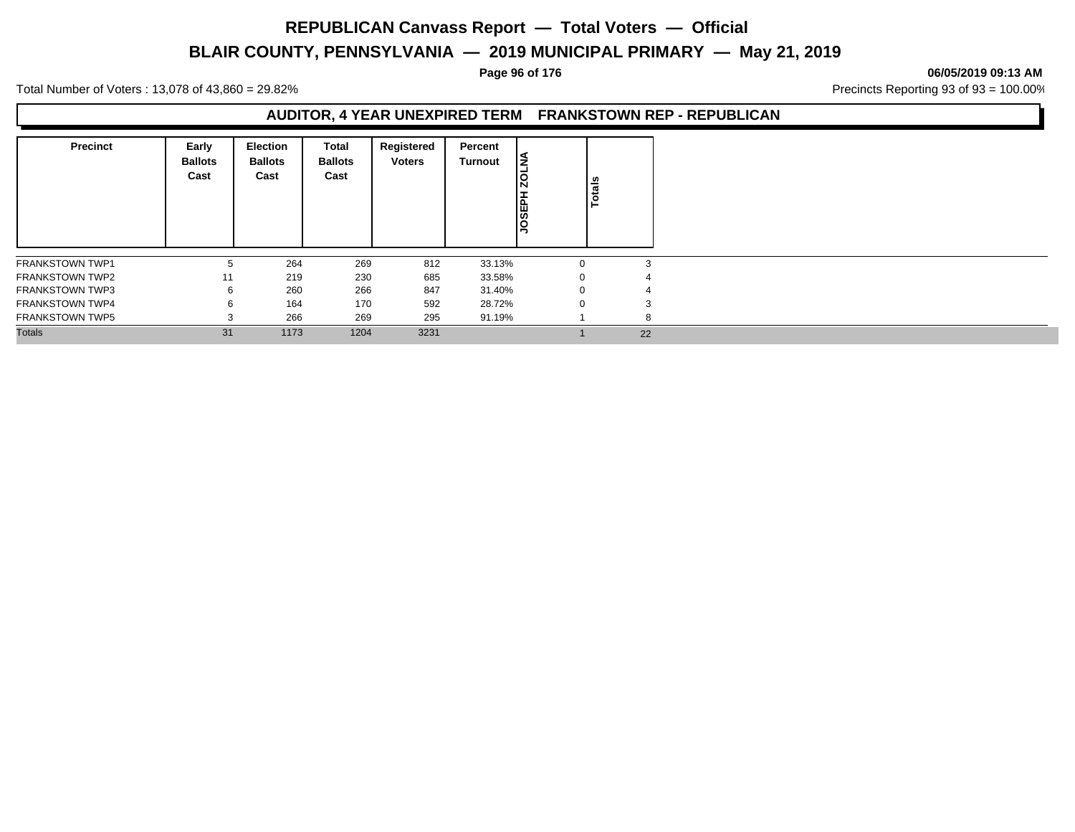# **BLAIR COUNTY, PENNSYLVANIA — 2019 MUNICIPAL PRIMARY — May 21, 2019**

### **Page 96 of 176 06/05/2019 09:13 AM**

Total Number of Voters : 13,078 of 43,860 = 29.82% Precincts Reporting 93 of 93 = 100.00%

### **AUDITOR, 4 YEAR UNEXPIRED TERM FRANKSTOWN REP - REPUBLICAN**

| <b>Precinct</b>        | Early<br><b>Ballots</b><br>Cast | <b>Election</b><br><b>Ballots</b><br>Cast | Total<br><b>Ballots</b><br>Cast | Registered<br><b>Voters</b> | Percent<br>Turnout | ∣≨<br><b>20L</b><br><b>HASSON</b> | <b>Totals</b> |
|------------------------|---------------------------------|-------------------------------------------|---------------------------------|-----------------------------|--------------------|-----------------------------------|---------------|
| <b>FRANKSTOWN TWP1</b> | 5                               | 264                                       | 269                             | 812                         | 33.13%             | $\Omega$                          | 3             |
| <b>FRANKSTOWN TWP2</b> | 11                              | 219                                       | 230                             | 685                         | 33.58%             | 0                                 |               |
| <b>FRANKSTOWN TWP3</b> | 6                               | 260                                       | 266                             | 847                         | 31.40%             | $\mathbf{0}$                      | 4             |
| <b>FRANKSTOWN TWP4</b> | 6                               | 164                                       | 170                             | 592                         | 28.72%             | $\Omega$                          | 3             |
| <b>FRANKSTOWN TWP5</b> | 3                               | 266                                       | 269                             | 295                         | 91.19%             |                                   | 8             |
| <b>Totals</b>          | 31                              | 1173                                      | 1204                            | 3231                        |                    |                                   | 22            |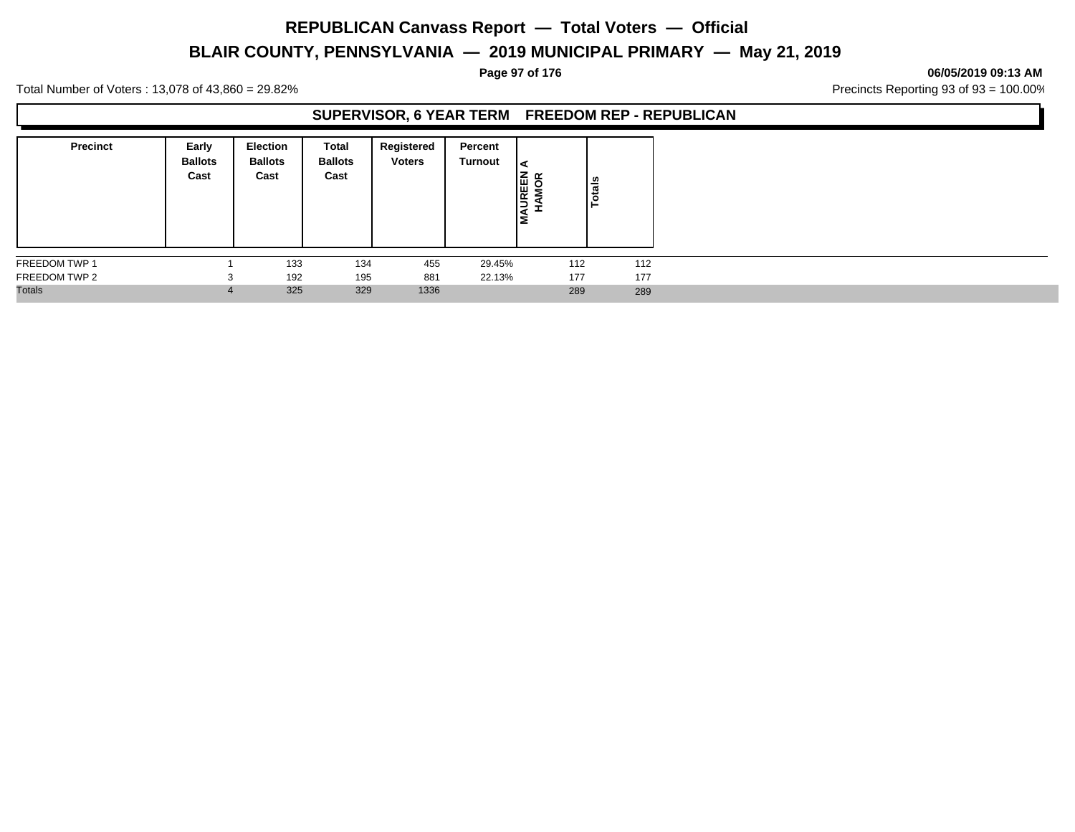# **BLAIR COUNTY, PENNSYLVANIA — 2019 MUNICIPAL PRIMARY — May 21, 2019**

### **Page 97 of 176 06/05/2019 09:13 AM**

Total Number of Voters : 13,078 of 43,860 = 29.82% Precincts Reporting 93 of 93 = 100.00%

### **SUPERVISOR, 6 YEAR TERM FREEDOM REP - REPUBLICAN**

| <b>Precinct</b> | Early<br><b>Ballots</b><br>Cast | Election<br><b>Ballots</b><br>Cast | Total<br><b>Ballots</b><br>Cast | Registered<br><b>Voters</b> | Percent<br>Turnout | <b>NONS</b><br>NOR<br>Nor<br>Ιš | Totals |
|-----------------|---------------------------------|------------------------------------|---------------------------------|-----------------------------|--------------------|---------------------------------|--------|
| FREEDOM TWP 1   |                                 | 133                                | 134                             | 455                         | 29.45%             | 112                             | 112    |
| FREEDOM TWP 2   |                                 | 192                                | 195                             | 881                         | 22.13%             | 177                             | 177    |
| <b>Totals</b>   |                                 | 325                                | 329                             | 1336                        |                    | 289                             | 289    |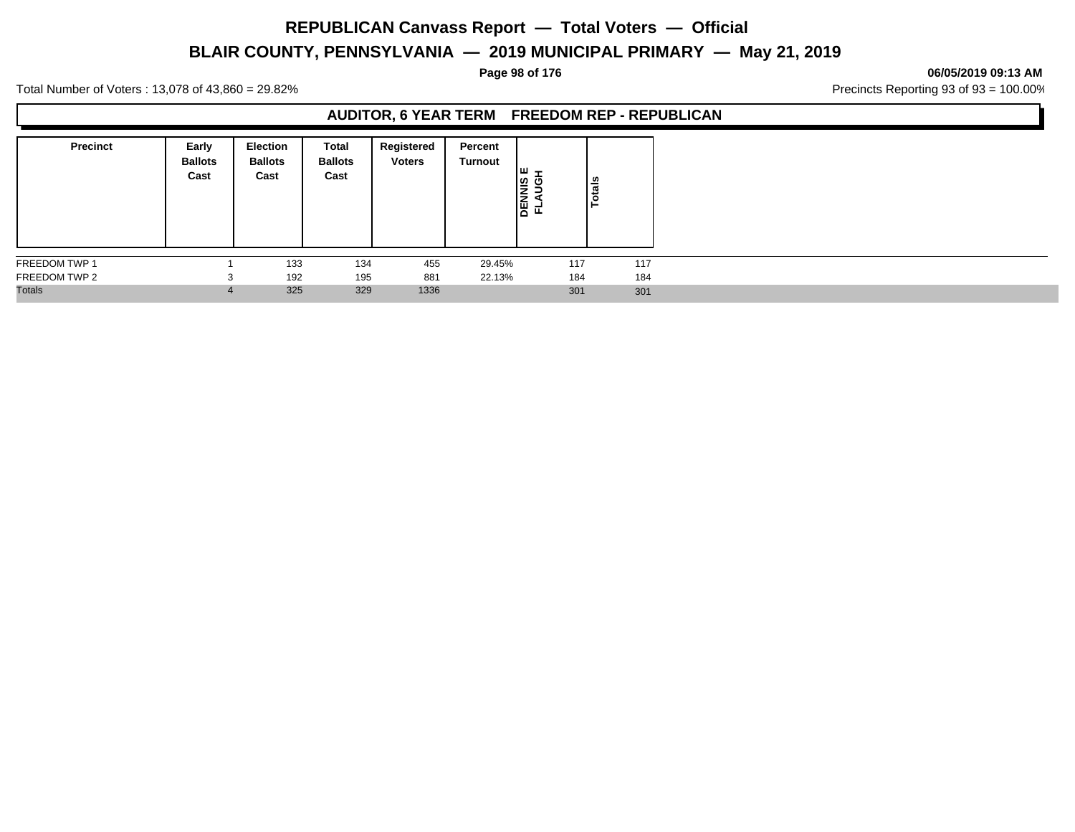# **BLAIR COUNTY, PENNSYLVANIA — 2019 MUNICIPAL PRIMARY — May 21, 2019**

### **Page 98 of 176 06/05/2019 09:13 AM**

Total Number of Voters : 13,078 of 43,860 = 29.82% Precincts Reporting 93 of 93 = 100.00%

### **AUDITOR, 6 YEAR TERM FREEDOM REP - REPUBLICAN**

| <b>Precinct</b> | Early<br><b>Ballots</b><br>Cast | Election<br><b>Ballots</b><br>Cast | <b>Total</b><br><b>Ballots</b><br>Cast | Registered<br><b>Voters</b> | Percent<br>Turnout | <b>LU</b> –<br><b>DENNIS<br/>FLAUGI</b> | otals |
|-----------------|---------------------------------|------------------------------------|----------------------------------------|-----------------------------|--------------------|-----------------------------------------|-------|
| FREEDOM TWP 1   |                                 | 133                                | 134                                    | 455                         | 29.45%             | 117                                     | 117   |
| FREEDOM TWP 2   |                                 | 192                                | 195                                    | 881                         | 22.13%             | 184                                     | 184   |
| <b>Totals</b>   |                                 | 325                                | 329                                    | 1336                        |                    | 301                                     | 301   |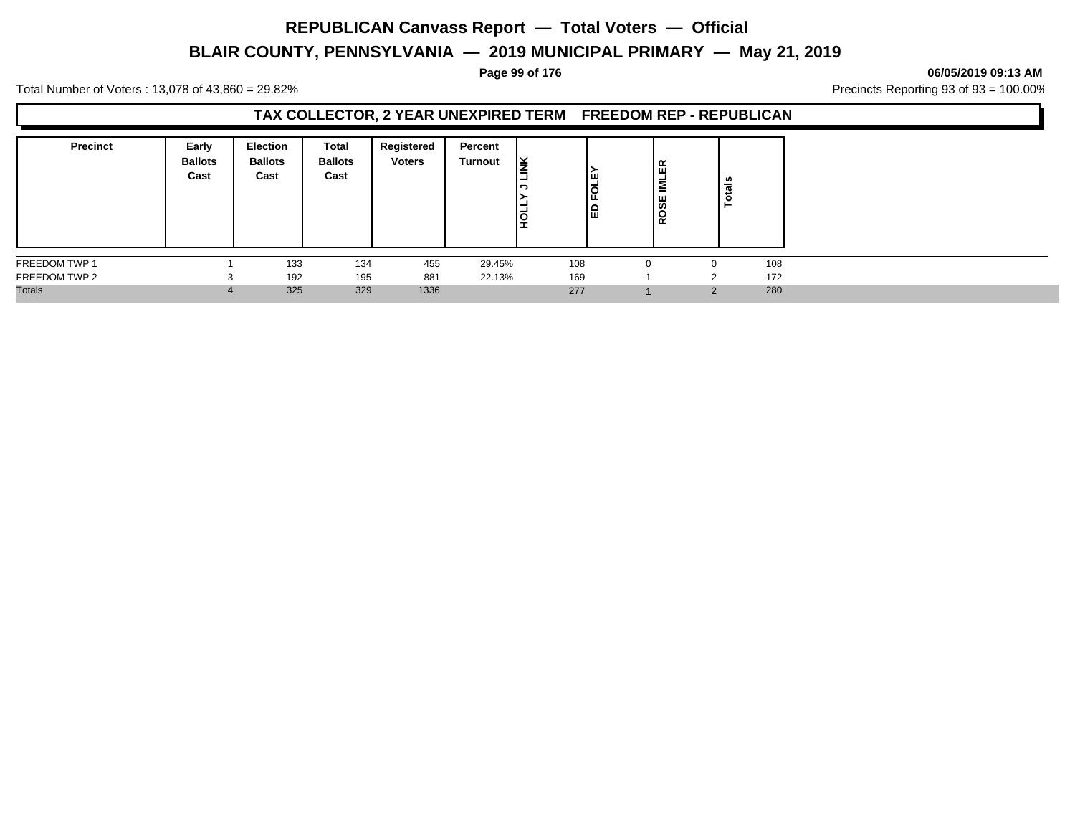# **BLAIR COUNTY, PENNSYLVANIA — 2019 MUNICIPAL PRIMARY — May 21, 2019**

### **Page 99 of 176 06/05/2019 09:13 AM**

Total Number of Voters : 13,078 of 43,860 = 29.82% Precincts Reporting 93 of 93 = 100.00%

### **TAX COLLECTOR, 2 YEAR UNEXPIRED TERM FREEDOM REP - REPUBLICAN**

| <b>Precinct</b> | Early<br><b>Ballots</b><br>Cast | <b>Election</b><br><b>Ballots</b><br>Cast | Total<br><b>Ballots</b><br>Cast | Registered<br><b>Voters</b> | Percent<br>Turnout | l¥<br>lğ | Iш<br>$\circ$<br>1品 | 면<br>Ξ<br>ROSE | als<br>ت<br>c |     |
|-----------------|---------------------------------|-------------------------------------------|---------------------------------|-----------------------------|--------------------|----------|---------------------|----------------|---------------|-----|
| FREEDOM TWP 1   |                                 | 133                                       | 134                             | 455                         | 29.45%             | 108      |                     |                |               | 108 |
| FREEDOM TWP 2   |                                 | 192                                       | 195                             | 881                         | 22.13%             | 169      |                     |                | C             | 172 |
| <b>Totals</b>   |                                 | 325                                       | 329                             | 1336                        |                    | 277      |                     |                | $\Omega$      | 280 |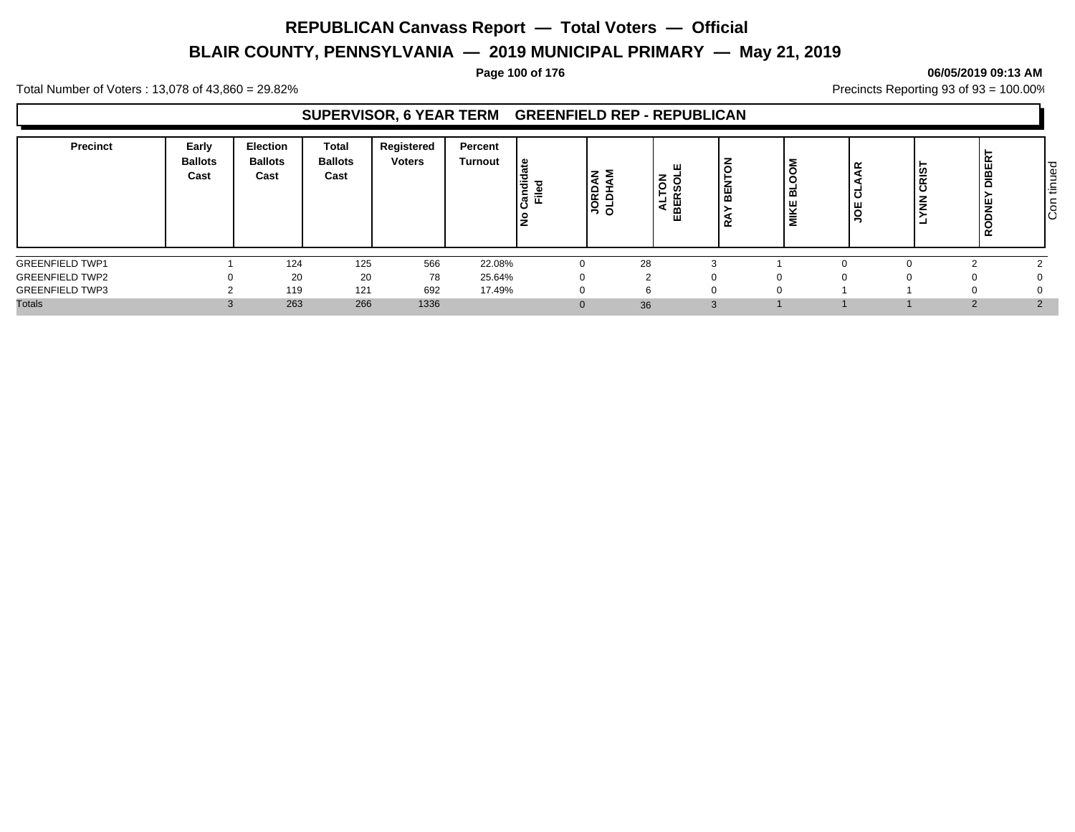# **BLAIR COUNTY, PENNSYLVANIA — 2019 MUNICIPAL PRIMARY — May 21, 2019**

### **Page 100 of 176 06/05/2019 09:13 AM**

Total Number of Voters : 13,078 of 43,860 = 29.82% Precincts Reporting 93 of 93 = 100.00%

### **SUPERVISOR, 6 YEAR TERM GREENFIELD REP - REPUBLICAN**

| Precinct               | Early<br><b>Ballots</b><br>Cast | <b>Election</b><br><b>Ballots</b><br>Cast | <b>Total</b><br><b>Ballots</b><br>Cast | Registered<br><b>Voters</b> | Percent<br><b>Turnout</b> | ூ<br>$\equiv$<br>Candi<br>Filed | zΣ<br>$\frac{1}{2}$ | z | C<br>뿖<br>œ | ய<br>ш<br>- | ≃<br>$\overline{\phantom{a}}$<br>-C<br>ш<br>. o<br>- | CRIS <sup>-</sup><br>z<br>- | <b>DIBER</b><br><b>RODNE</b> | tinued<br>$\overline{5}$ |
|------------------------|---------------------------------|-------------------------------------------|----------------------------------------|-----------------------------|---------------------------|---------------------------------|---------------------|---|-------------|-------------|------------------------------------------------------|-----------------------------|------------------------------|--------------------------|
| <b>GREENFIELD TWP1</b> |                                 | 124                                       | 125                                    | 566                         | 22.08%                    | $\Omega$                        | 28                  |   | $\sim$      |             |                                                      |                             | $\sim$                       |                          |
| <b>GREENFIELD TWP2</b> | 0                               | 20                                        | 20                                     | 78                          | 25.64%                    | $\Omega$                        |                     |   | 0           |             |                                                      |                             |                              |                          |
| <b>GREENFIELD TWP3</b> |                                 | 119                                       | 121                                    | 692                         | 17.49%                    | $\Omega$                        |                     |   | $\Omega$    |             |                                                      |                             |                              |                          |
| <b>Totals</b>          | $\sim$<br>$\cdot$               | 263                                       | 266                                    | 1336                        |                           | $\Omega$                        | 36                  |   | 3           |             |                                                      |                             | $\Omega$                     | $\Omega$                 |

Con tinued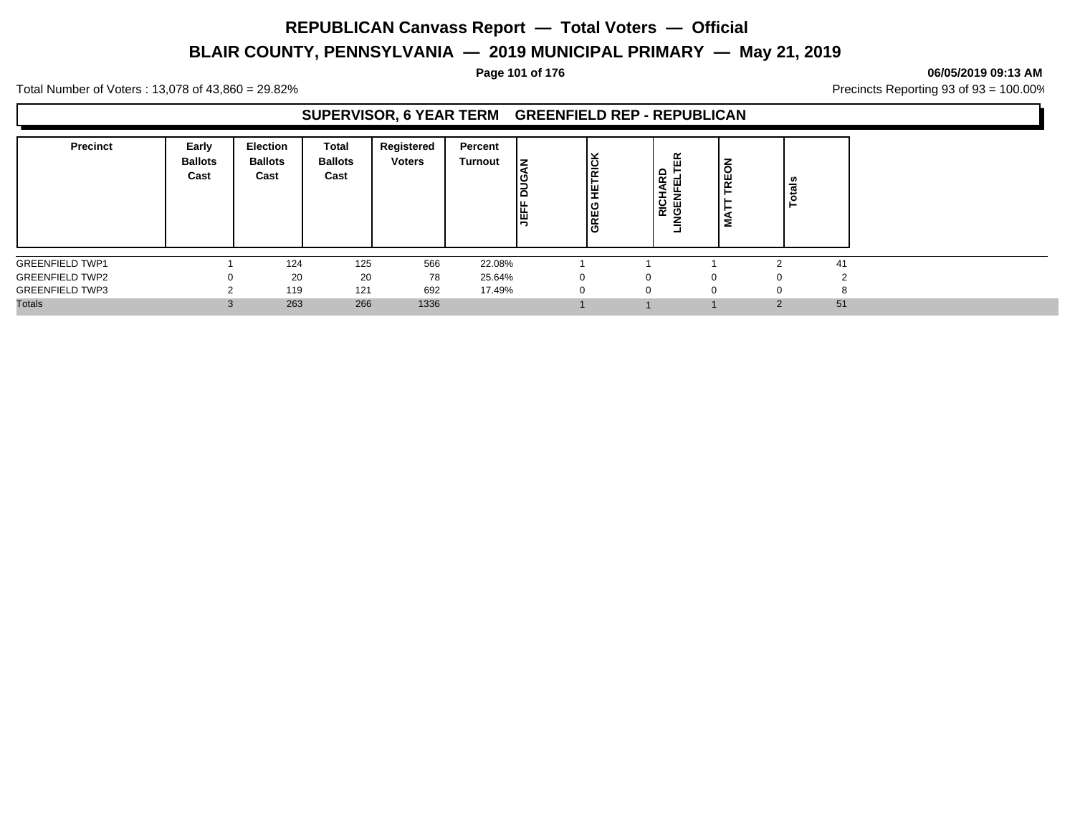# **BLAIR COUNTY, PENNSYLVANIA — 2019 MUNICIPAL PRIMARY — May 21, 2019**

Total Number of Voters : 13,078 of 43,860 = 29.82% Precincts Reporting 93 of 93 = 100.00%

### **SUPERVISOR, 6 YEAR TERM GREENFIELD REP - REPUBLICAN**

| <b>Precinct</b>        | Early<br><b>Ballots</b><br>Cast | <b>Election</b><br><b>Ballots</b><br>Cast | Total<br><b>Ballots</b><br>Cast | Registered<br><b>Voters</b> | Percent<br><b>Turnout</b> | Ιz<br>Ιa<br><b>JEFF</b> | <b>ETRICK</b><br><b>GREG</b> | ≃<br>ш<br>$\Omega$<br>$\propto$<br>面<br>⋖<br>RICH <sub>A</sub> | $\overline{6}$<br>阻<br>ь<br>Σ |   | tals<br>$\circ$ |
|------------------------|---------------------------------|-------------------------------------------|---------------------------------|-----------------------------|---------------------------|-------------------------|------------------------------|----------------------------------------------------------------|-------------------------------|---|-----------------|
| <b>GREENFIELD TWP1</b> |                                 | 124                                       | 125                             | 566                         | 22.08%                    |                         |                              |                                                                |                               | ◠ | 41              |
| <b>GREENFIELD TWP2</b> |                                 | 20                                        | 20                              | 78                          | 25.64%                    |                         | $\Omega$                     |                                                                | $\Omega$                      |   |                 |
| <b>GREENFIELD TWP3</b> |                                 | 119                                       | 121                             | 692                         | 17.49%                    |                         | 0                            | O                                                              | $\Omega$                      |   |                 |
| <b>Totals</b>          |                                 | 263                                       | 266                             | 1336                        |                           |                         |                              |                                                                |                               | ◠ | 51              |

**Page 101 of 176 06/05/2019 09:13 AM**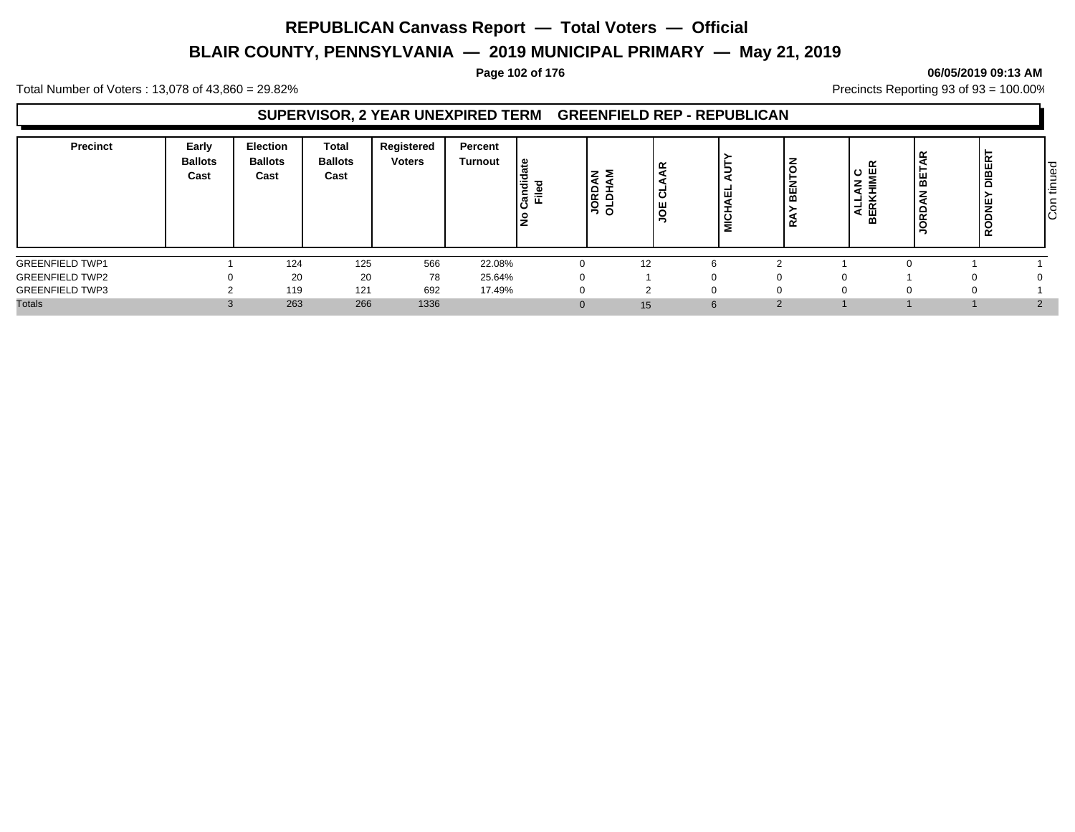# **BLAIR COUNTY, PENNSYLVANIA — 2019 MUNICIPAL PRIMARY — May 21, 2019**

### **Page 102 of 176 06/05/2019 09:13 AM**

Total Number of Voters : 13,078 of 43,860 = 29.82% Precincts Reporting 93 of 93 = 100.00%

### **SUPERVISOR, 2 YEAR UNEXPIRED TERM GREENFIELD REP - REPUBLICAN**

| <b>Precinct</b>        | Early<br><b>Ballots</b><br>Cast | <b>Election</b><br><b>Ballots</b><br>Cast | <b>Total</b><br><b>Ballots</b><br>Cast | Registered<br><b>Voters</b> | Percent<br>Turnout | ್ತಿ<br>Candi<br>Filed | z<br><b>HU DI</b><br>ORD | ≃<br>-<br>ی ،<br>щ<br>$\overline{ }$<br>- | ш<br>с<br>- | 띪<br>œ | ≃<br>z<br>$\overline{\phantom{0}}$<br>۰<br>$\ddot{\phantom{1}}$<br>-<br>$\alpha$<br>₹<br>ш<br>$\overline{m}$ | m<br>≂ | <b>DIBER</b><br><b>RODNE</b> | tinued<br>$\sqrt{5}$ |
|------------------------|---------------------------------|-------------------------------------------|----------------------------------------|-----------------------------|--------------------|-----------------------|--------------------------|-------------------------------------------|-------------|--------|--------------------------------------------------------------------------------------------------------------|--------|------------------------------|----------------------|
| <b>GREENFIELD TWP1</b> |                                 | 124                                       | 125                                    | 566                         | 22.08%             | $\Omega$              | 12                       |                                           | $\sim$<br>h |        |                                                                                                              |        |                              |                      |
| <b>GREENFIELD TWP2</b> | $\Omega$                        | 20                                        | 20                                     | 78                          | 25.64%             | $\Omega$              |                          |                                           | 0           |        |                                                                                                              |        |                              |                      |
| <b>GREENFIELD TWP3</b> | ◠                               | 119                                       | 121                                    | 692                         | 17.49%             | <sup>0</sup>          |                          |                                           | $\Omega$    |        |                                                                                                              |        | 0                            |                      |
| <b>Totals</b>          | $\Omega$<br>C.                  | 263                                       | 266                                    | 1336                        |                    | $\Omega$              | 15                       |                                           | 6           | $\sim$ |                                                                                                              |        |                              | $\Omega$             |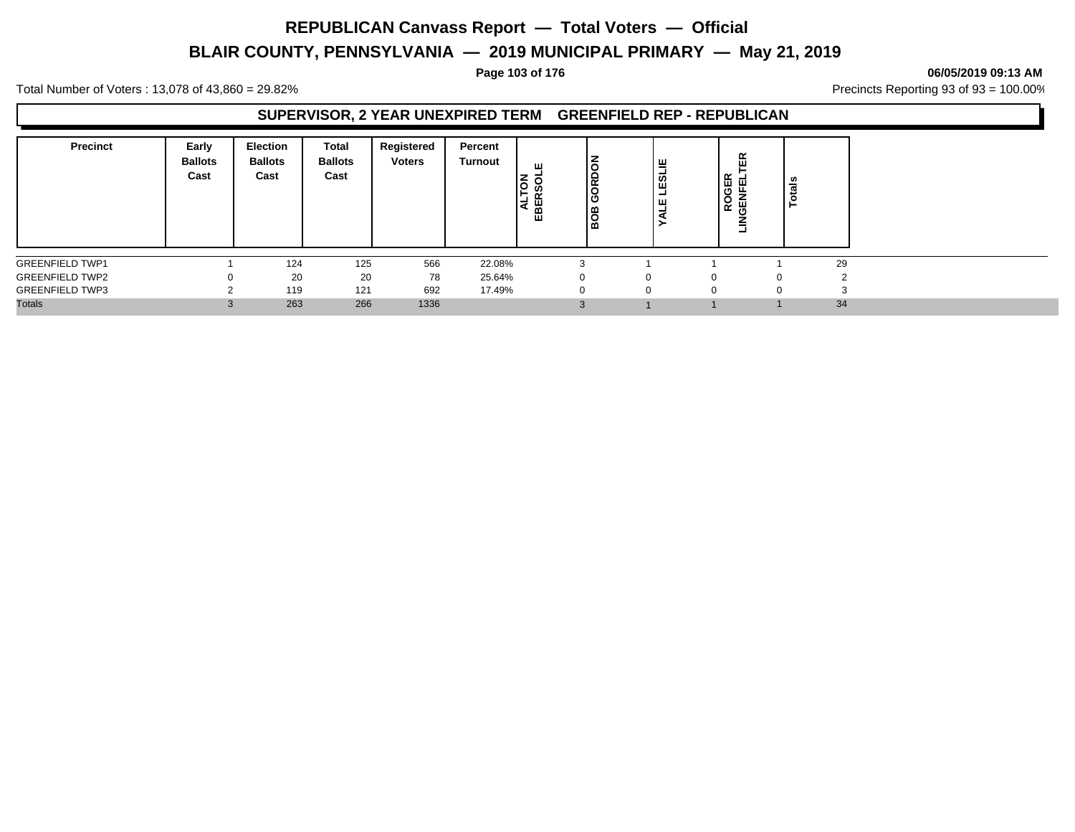# **BLAIR COUNTY, PENNSYLVANIA — 2019 MUNICIPAL PRIMARY — May 21, 2019**

### **Page 103 of 176 06/05/2019 09:13 AM**

Total Number of Voters : 13,078 of 43,860 = 29.82% Precincts Reporting 93 of 93 = 100.00%

### **SUPERVISOR, 2 YEAR UNEXPIRED TERM GREENFIELD REP - REPUBLICAN**

| <b>Precinct</b>        | Early<br><b>Ballots</b><br>Cast | Election<br><b>Ballots</b><br>Cast | Total<br><b>Ballots</b><br>Cast | Registered<br><b>Voters</b> | Percent<br><b>Turnout</b> | ш<br>ഗ<br>-<br>EBEI<br>a | <b>GRD</b><br>BOB | ╩<br>ESL<br>ــ<br>щ<br>۰<br>⋖ |          | 띥<br>6<br>또<br>도<br>屶<br>O<br>ត្ត<br>≃<br>Ξ | <b>Totals</b> |
|------------------------|---------------------------------|------------------------------------|---------------------------------|-----------------------------|---------------------------|--------------------------|-------------------|-------------------------------|----------|---------------------------------------------|---------------|
| <b>GREENFIELD TWP1</b> |                                 | 124                                | 125                             | 566                         | 22.08%                    |                          | $\sim$<br>- 3     |                               |          |                                             | 29            |
| <b>GREENFIELD TWP2</b> |                                 | 20                                 | 20                              | 78                          | 25.64%                    |                          | $\Omega$          |                               | $\Omega$ | 0                                           |               |
| <b>GREENFIELD TWP3</b> |                                 | 119                                | 121                             | 692                         | 17.49%                    |                          | 0                 | 0                             | $\Omega$ |                                             |               |
| <b>Totals</b>          |                                 | 263                                | 266                             | 1336                        |                           |                          | 3                 |                               |          |                                             | 34            |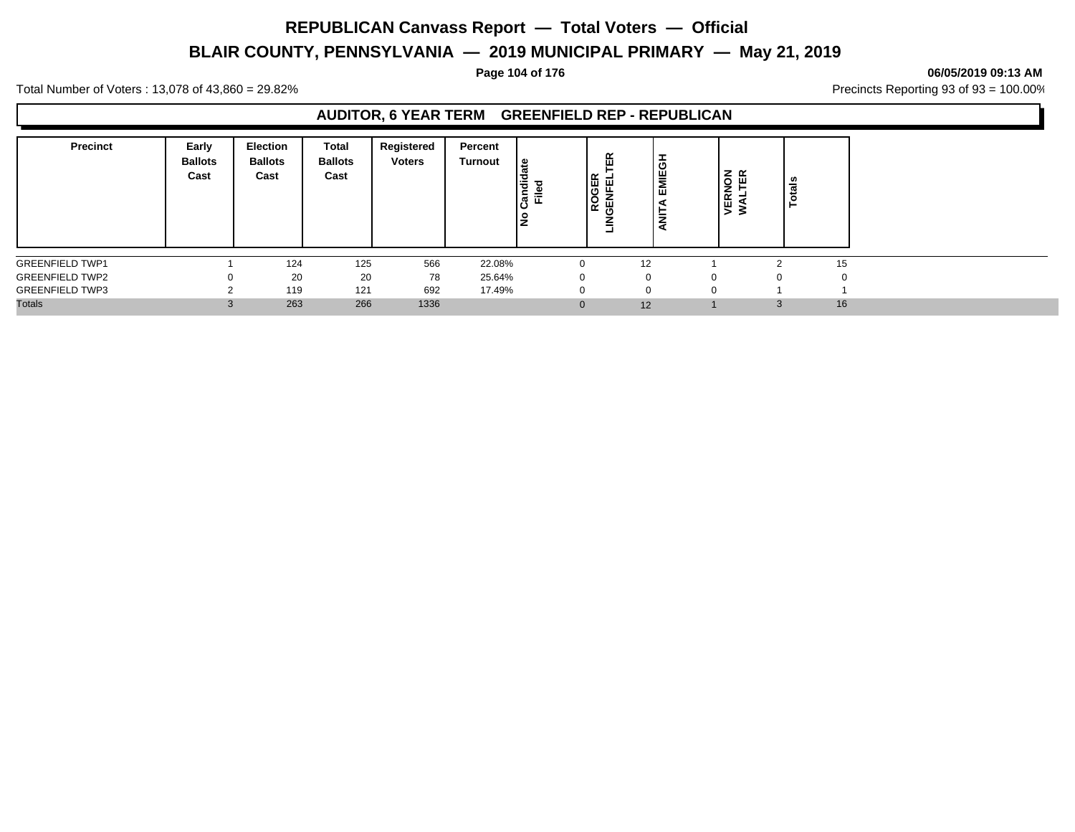# **BLAIR COUNTY, PENNSYLVANIA — 2019 MUNICIPAL PRIMARY — May 21, 2019**

### **Page 104 of 176 06/05/2019 09:13 AM**

Total Number of Voters : 13,078 of 43,860 = 29.82% Precincts Reporting 93 of 93 = 100.00%

### **AUDITOR, 6 YEAR TERM GREENFIELD REP - REPUBLICAN**

| <b>Precinct</b>        | Early<br><b>Ballots</b><br>Cast | <b>Election</b><br><b>Ballots</b><br>Cast | Total<br><b>Ballots</b><br>Cast | Registered<br><b>Voters</b> | Percent<br><b>Turnout</b> | ∣ ഇ<br>Candid<br>Ē<br>$\frac{9}{2}$ | ER<br>ROGER<br>щ<br>号<br>LINGEN | <b>EMIEGH</b><br>-<br>ą |          | NON<br>TER<br>œ<br>ш<br>⋝ | ូខ<br>ಕ |
|------------------------|---------------------------------|-------------------------------------------|---------------------------------|-----------------------------|---------------------------|-------------------------------------|---------------------------------|-------------------------|----------|---------------------------|---------|
| <b>GREENFIELD TWP1</b> |                                 | 124                                       | 125                             | 566                         | 22.08%                    |                                     |                                 | 12                      |          |                           | 15      |
| <b>GREENFIELD TWP2</b> | 0                               | 20                                        | 20                              | 78                          | 25.64%                    |                                     | $\Omega$                        |                         | $\Omega$ |                           |         |
| <b>GREENFIELD TWP3</b> | ີ                               | 119                                       | 121                             | 692                         | 17.49%                    |                                     | $\Omega$                        |                         | $\Omega$ |                           |         |
| <b>Totals</b>          | $\Omega$                        | 263                                       | 266                             | 1336                        |                           |                                     |                                 | 12                      |          |                           | 16      |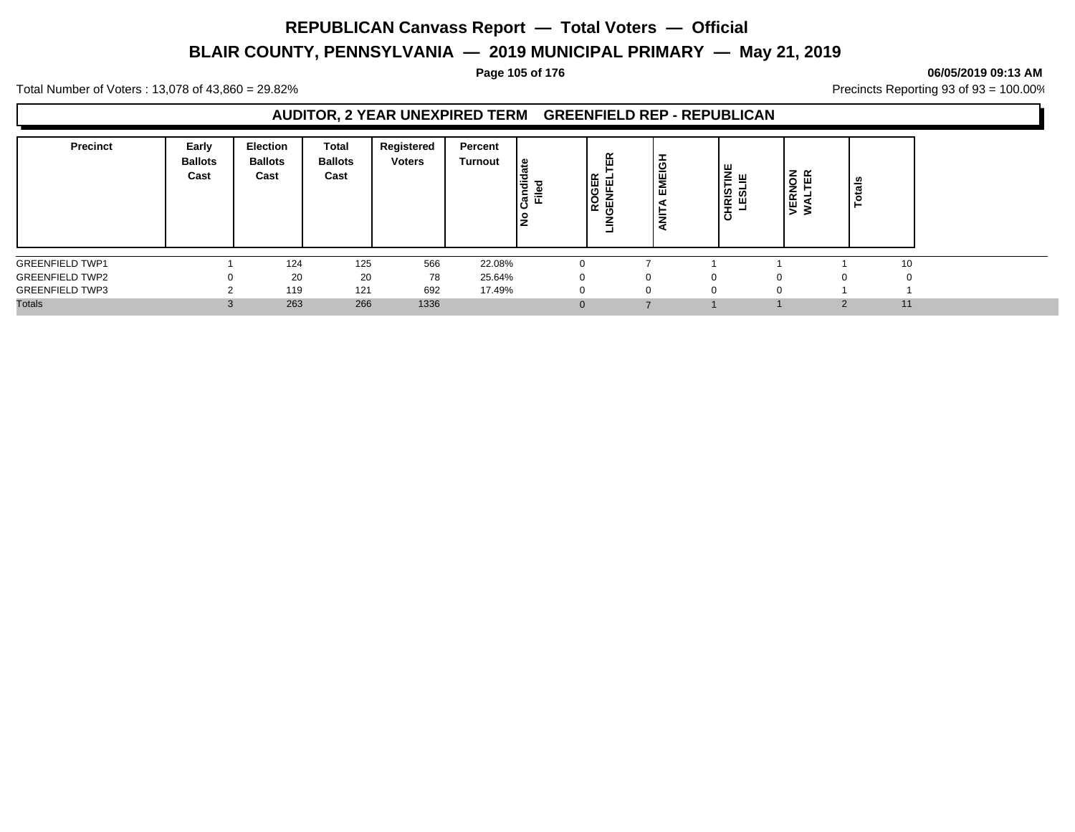# **BLAIR COUNTY, PENNSYLVANIA — 2019 MUNICIPAL PRIMARY — May 21, 2019**

### **Page 105 of 176 06/05/2019 09:13 AM**

Total Number of Voters : 13,078 of 43,860 = 29.82% Precincts Reporting 93 of 93 = 100.00%

### **AUDITOR, 2 YEAR UNEXPIRED TERM GREENFIELD REP - REPUBLICAN**

| <b>Precinct</b>        | Early<br><b>Ballots</b><br>Cast | Election<br><b>Ballots</b><br>Cast | <b>Total</b><br><b>Ballots</b><br>Cast | Registered<br><b>Voters</b> | Percent<br><b>Turnout</b> | ூ<br>÷<br>᠊ᠣ<br>c<br>÷<br>᠗<br>ட<br>š | 띥<br><b>GER</b><br>ш<br>≒<br>ူဥ<br>û⊌<br>≐<br>۰ | <b>MEIGH</b><br>ш<br>∸<br>z | <b>HRISTINE</b><br>LESLIE<br><b>.</b><br>ပ | <b>ERNOI</b><br>$\geq$ | z ∝<br>ш | त्त<br>تت |
|------------------------|---------------------------------|------------------------------------|----------------------------------------|-----------------------------|---------------------------|---------------------------------------|-------------------------------------------------|-----------------------------|--------------------------------------------|------------------------|----------|-----------|
| <b>GREENFIELD TWP1</b> |                                 | 124                                | 125                                    | 566                         | 22.08%                    |                                       |                                                 |                             |                                            |                        |          | 10        |
| <b>GREENFIELD TWP2</b> |                                 | 20                                 | 20                                     | 78                          | 25.64%                    |                                       |                                                 |                             | 0                                          |                        |          |           |
| <b>GREENFIELD TWP3</b> |                                 | 119                                | 121                                    | 692                         | 17.49%                    |                                       |                                                 |                             | 0                                          |                        |          |           |
| <b>Totals</b>          |                                 | 263                                | 266                                    | 1336                        |                           |                                       | $\Omega$                                        |                             |                                            |                        | $\Omega$ | 11        |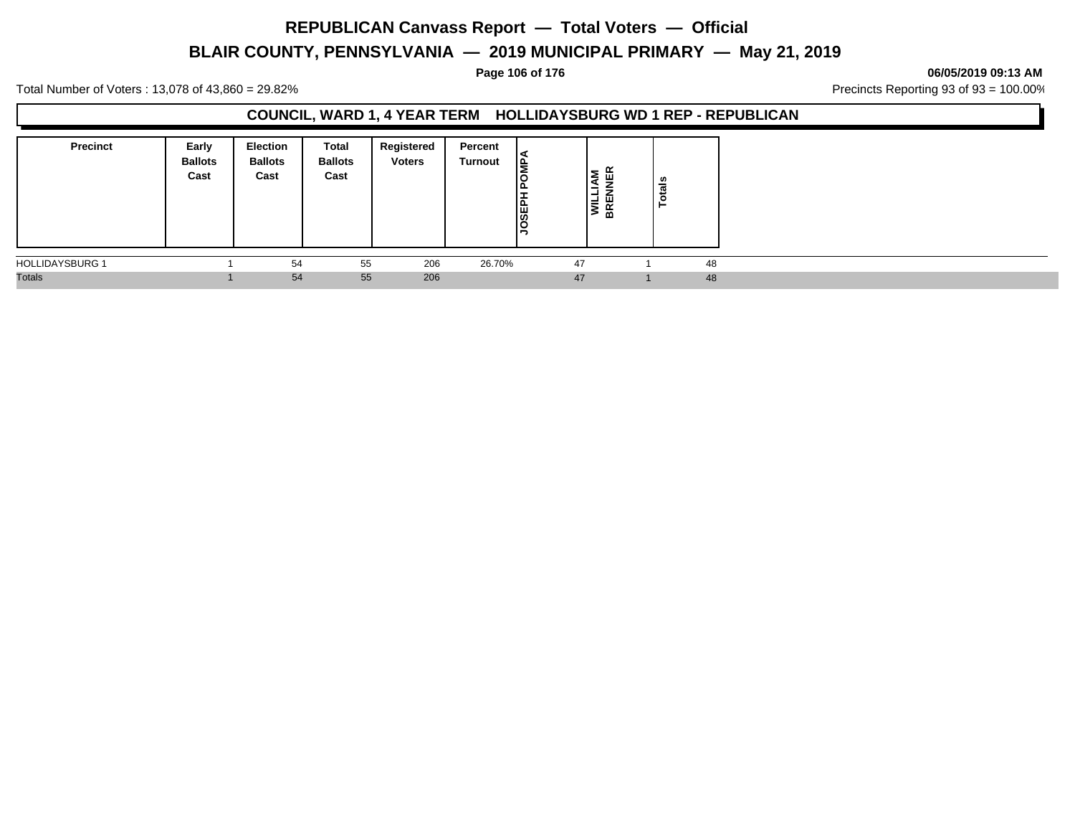# **BLAIR COUNTY, PENNSYLVANIA — 2019 MUNICIPAL PRIMARY — May 21, 2019**

### **Page 106 of 176 06/05/2019 09:13 AM**

Total Number of Voters : 13,078 of 43,860 = 29.82% Precincts Reporting 93 of 93 = 100.00%

### **COUNCIL, WARD 1, 4 YEAR TERM HOLLIDAYSBURG WD 1 REP - REPUBLICAN**

| <b>Precinct</b>        | Early<br><b>Ballots</b><br>Cast | <b>Election</b><br><b>Ballots</b><br>Cast | Total<br><b>Ballots</b><br>Cast | Registered<br><b>Voters</b> | Percent<br><b>Turnout</b> | ١È<br>௩<br><b>JOSEPH</b> | ≃<br>l٤<br>ய<br>≊<br>-<br>-<br>ш<br>ξ<br>BR | $\frac{2}{10}$<br>c |  |
|------------------------|---------------------------------|-------------------------------------------|---------------------------------|-----------------------------|---------------------------|--------------------------|---------------------------------------------|---------------------|--|
| <b>HOLLIDAYSBURG 1</b> |                                 | 54                                        | 55                              | 206                         | 26.70%                    | 47                       |                                             | 48                  |  |
| <b>Totals</b>          |                                 | 54                                        | 55                              | 206                         |                           | 47                       |                                             | 48                  |  |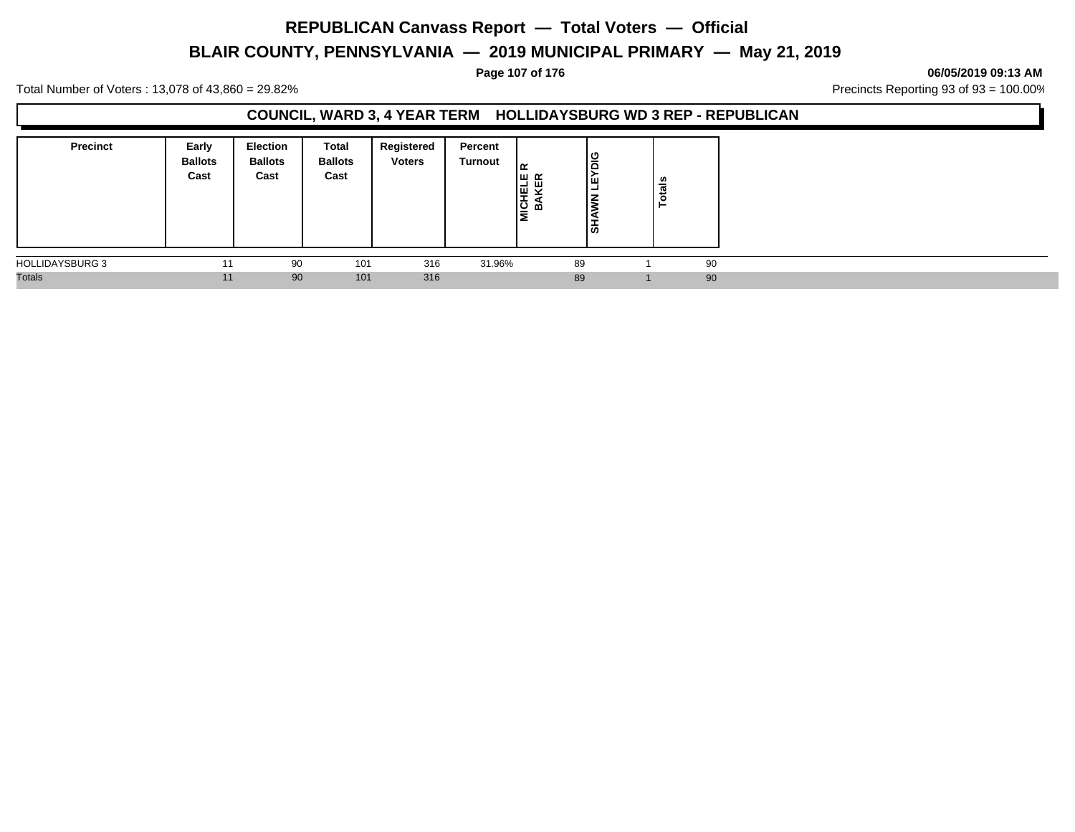# **BLAIR COUNTY, PENNSYLVANIA — 2019 MUNICIPAL PRIMARY — May 21, 2019**

### **Page 107 of 176 06/05/2019 09:13 AM**

Total Number of Voters : 13,078 of 43,860 = 29.82% Precincts Reporting 93 of 93 = 100.00%

### **COUNCIL, WARD 3, 4 YEAR TERM HOLLIDAYSBURG WD 3 REP - REPUBLICAN**

| <b>Precinct</b>        | Early<br><b>Ballots</b><br>Cast | <b>Election</b><br><b>Ballots</b><br>Cast | Total<br><b>Ballots</b><br>Cast | Registered<br><b>Voters</b> | Percent<br>Turnout | امد<br>MICHELE<br>BAKER | lឌ<br>-<br>၊ ဖ | <b>Totals</b> |
|------------------------|---------------------------------|-------------------------------------------|---------------------------------|-----------------------------|--------------------|-------------------------|----------------|---------------|
| <b>HOLLIDAYSBURG 3</b> | 11                              | 90                                        | 101                             | 316                         | 31.96%             |                         | 89             | 90            |
| <b>Totals</b>          | 11                              | 90                                        | 101                             | 316                         |                    |                         | 89             | 90            |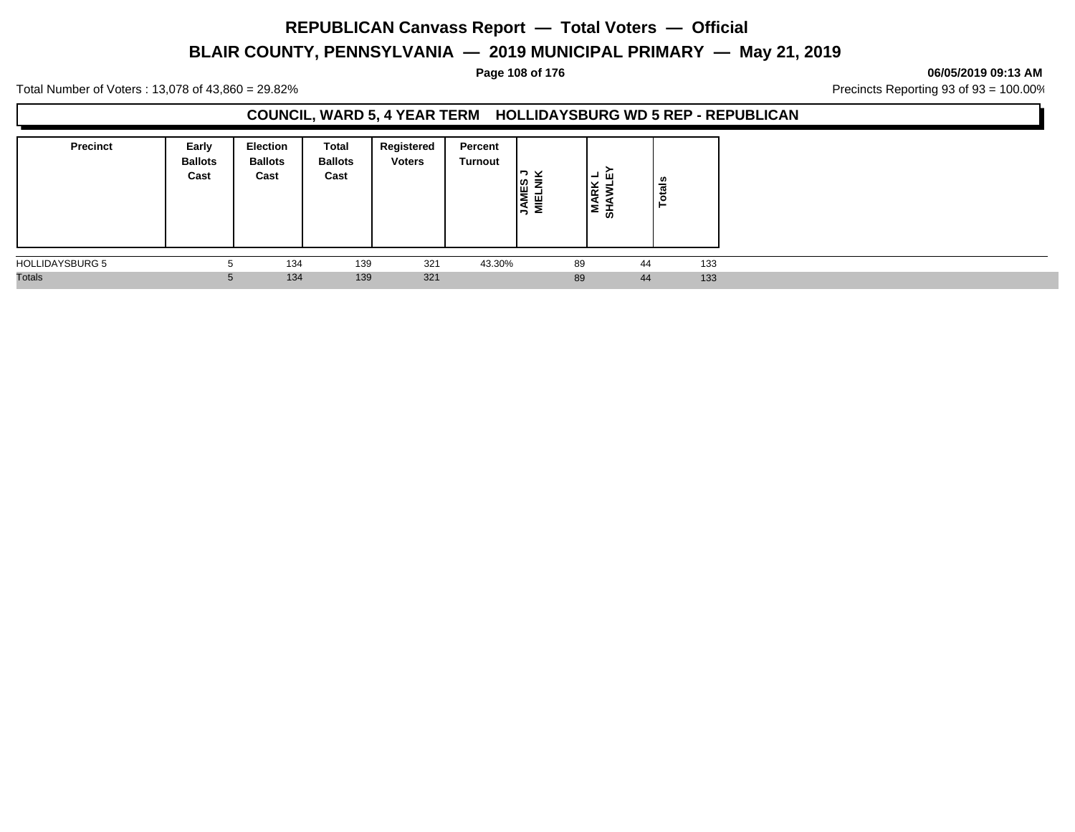# **BLAIR COUNTY, PENNSYLVANIA — 2019 MUNICIPAL PRIMARY — May 21, 2019**

### **Page 108 of 176 06/05/2019 09:13 AM**

Total Number of Voters : 13,078 of 43,860 = 29.82% Precincts Reporting 93 of 93 = 100.00%

### **COUNCIL, WARD 5, 4 YEAR TERM HOLLIDAYSBURG WD 5 REP - REPUBLICAN**

| <b>Precinct</b>        | Early<br><b>Ballots</b><br>Cast | <b>Election</b><br><b>Ballots</b><br>Cast | Total<br><b>Ballots</b><br>Cast | Registered<br><b>Voters</b> | Percent<br>Turnout | ⊻<br><b>NES</b><br>≂<br>픻<br>-5 |    | ்ப<br>-<br>∣≋ ≊<br>Σ<br>ੌ | <b>otals</b><br>- |     |
|------------------------|---------------------------------|-------------------------------------------|---------------------------------|-----------------------------|--------------------|---------------------------------|----|---------------------------|-------------------|-----|
| <b>HOLLIDAYSBURG 5</b> | b                               | 134                                       | 139                             | 321                         | 43.30%             |                                 | 89 | 44                        |                   | 133 |
| <b>Totals</b>          | 5                               | 134                                       | 139                             | 321                         |                    |                                 | 89 | 44                        |                   | 133 |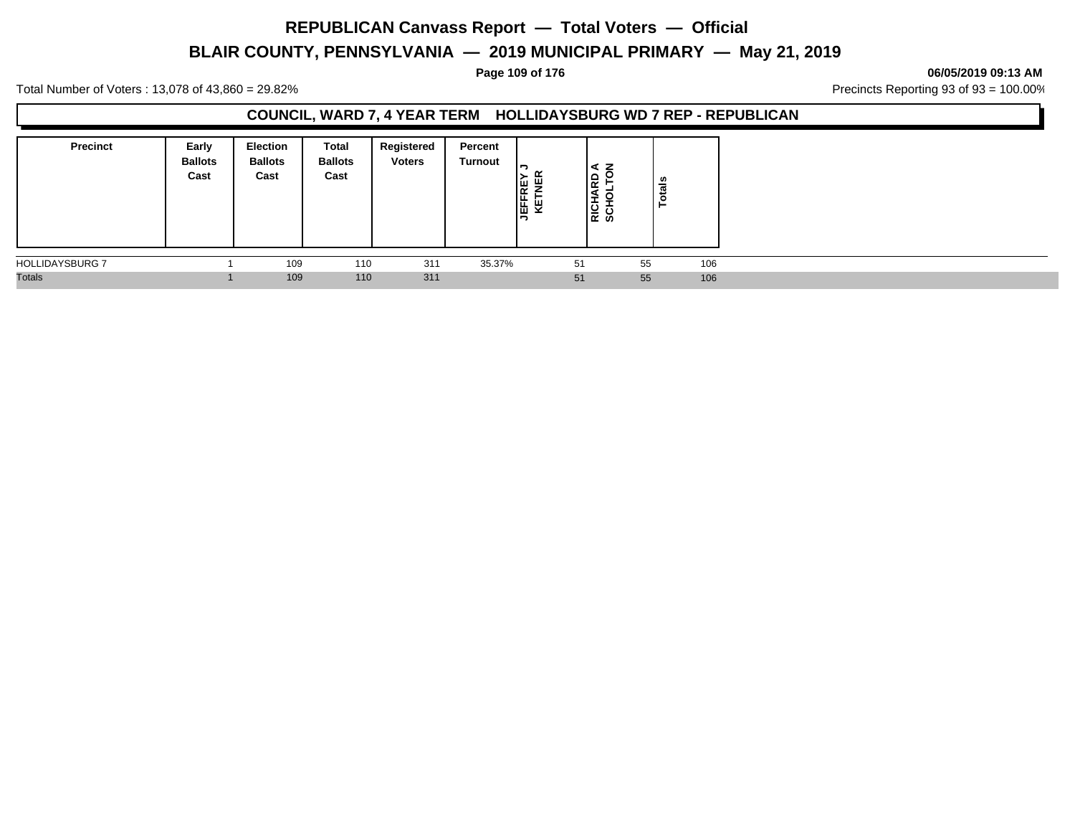# **BLAIR COUNTY, PENNSYLVANIA — 2019 MUNICIPAL PRIMARY — May 21, 2019**

#### **Page 109 of 176 06/05/2019 09:13 AM**

Total Number of Voters : 13,078 of 43,860 = 29.82% Precincts Reporting 93 of 93 = 100.00%

#### **COUNCIL, WARD 7, 4 YEAR TERM HOLLIDAYSBURG WD 7 REP - REPUBLICAN**

| <b>Precinct</b>        | Early<br><b>Ballots</b><br>Cast | <b>Election</b><br><b>Ballots</b><br>Cast | Total<br><b>Ballots</b><br>Cast | Registered<br><b>Voters</b> | Percent<br>Turnout | 쁰<br>JEFFRE<br>۳ |    | z<br>∣⋖<br>1윤<br>-<br>ខ្ពុ ដូ | ័ត<br>تت<br>c<br>- |  |
|------------------------|---------------------------------|-------------------------------------------|---------------------------------|-----------------------------|--------------------|------------------|----|-------------------------------|--------------------|--|
| <b>HOLLIDAYSBURG 7</b> |                                 | 109                                       | 110                             | 311                         | 35.37%             |                  | 51 | 55                            | 106                |  |
| <b>Totals</b>          |                                 | 109                                       | 110                             | 311                         |                    |                  | 51 | 55                            | 106                |  |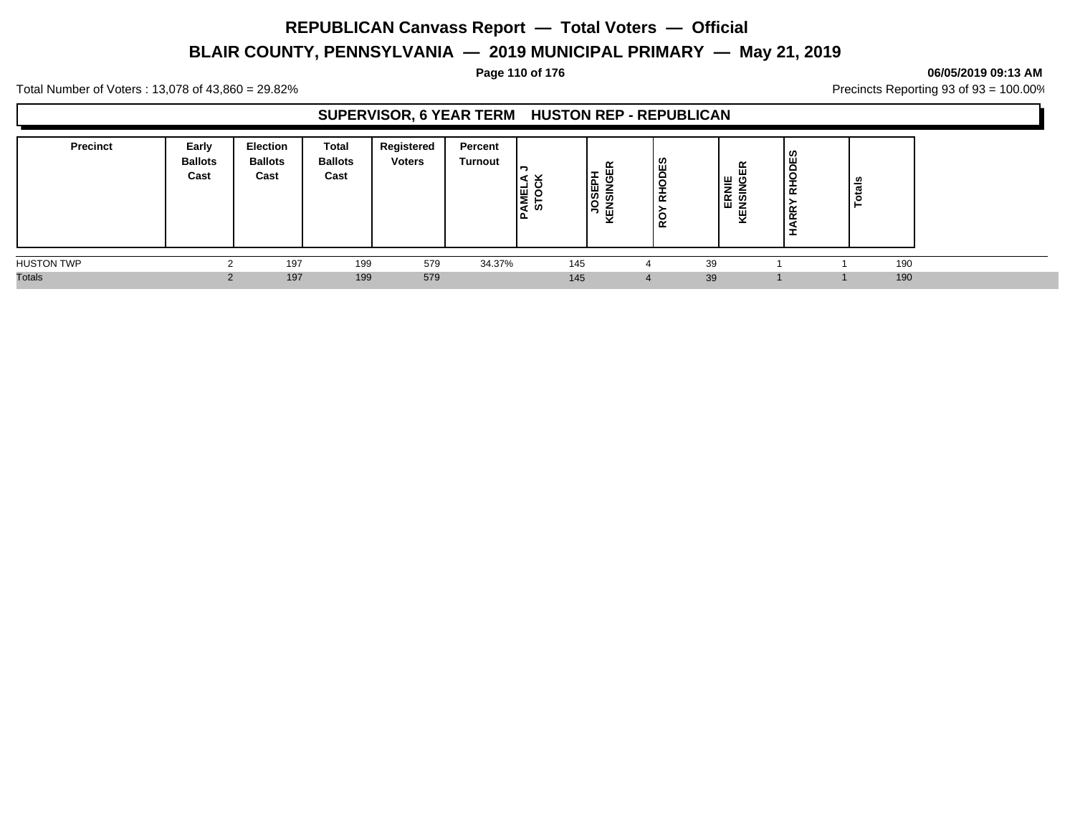# **BLAIR COUNTY, PENNSYLVANIA — 2019 MUNICIPAL PRIMARY — May 21, 2019**

**Page 110 of 176 06/05/2019 09:13 AM**

Total Number of Voters : 13,078 of 43,860 = 29.82% Precincts Reporting 93 of 93 = 100.00%

### **SUPERVISOR, 6 YEAR TERM HUSTON REP - REPUBLICAN**

| <b>Precinct</b>   | Early<br><b>Ballots</b><br>Cast | Election<br><b>Ballots</b><br>Cast | Total<br><b>Ballots</b><br>Cast | Registered<br><b>Voters</b> | Percent<br>Turnout | <b>PAMEL</b><br>Ø | ≃<br>ш<br>$\sim$<br>-<br><b>JOSEPI</b><br>듮<br>-<br>KEN | ODES<br>I<br>$\overline{\alpha}$<br>O<br>$\alpha$ | 띥<br>  ≝ g<br>⋍<br>⊯ ສ<br>ш<br><b>z</b><br>뀢 | S.<br><b>FODE</b><br>-<br>$\propto$<br>$\alpha$ | ឹ<br>ت<br>ᅙ |  |
|-------------------|---------------------------------|------------------------------------|---------------------------------|-----------------------------|--------------------|-------------------|---------------------------------------------------------|---------------------------------------------------|----------------------------------------------|-------------------------------------------------|-------------|--|
| <b>HUSTON TWP</b> |                                 | 197                                | 199                             | 579                         | 34.37%             | 145               |                                                         |                                                   | 39                                           |                                                 | 190         |  |
| <b>Totals</b>     |                                 | 197                                | 199                             | 579                         |                    | 145               |                                                         |                                                   | 39                                           |                                                 | 190         |  |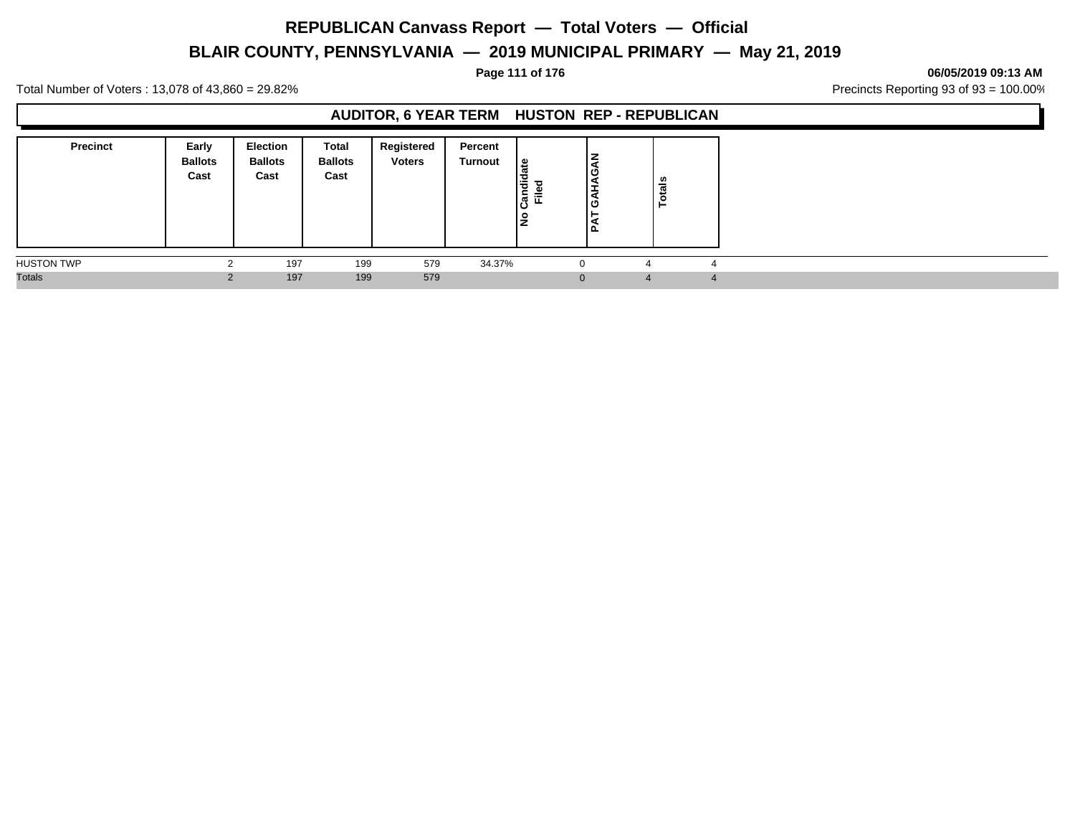# **BLAIR COUNTY, PENNSYLVANIA — 2019 MUNICIPAL PRIMARY — May 21, 2019**

#### **Page 111 of 176 06/05/2019 09:13 AM**

Total Number of Voters : 13,078 of 43,860 = 29.82% Precincts Reporting 93 of 93 = 100.00%

### **AUDITOR, 6 YEAR TERM HUSTON REP - REPUBLICAN**

| <b>Precinct</b>   | Early<br><b>Ballots</b><br>Cast | Election<br><b>Ballots</b><br>Cast | Total<br><b>Ballots</b><br>Cast | Registered<br><b>Voters</b> | Percent<br>Turnout | ூ<br>Candid<br>$=$<br>ட<br>٩ | ⇁<br>╘<br>ق ا<br>₽<br>ق ا<br>-<br>۵. | Totals |            |
|-------------------|---------------------------------|------------------------------------|---------------------------------|-----------------------------|--------------------|------------------------------|--------------------------------------|--------|------------|
| <b>HUSTON TWP</b> |                                 | 197                                | 199                             | 579                         | 34.37%             |                              | $\Omega$<br>∼                        |        |            |
| <b>Totals</b>     |                                 | 197                                | 199                             | 579                         |                    |                              | $\Omega$<br>$\overline{a}$           |        | $\sqrt{ }$ |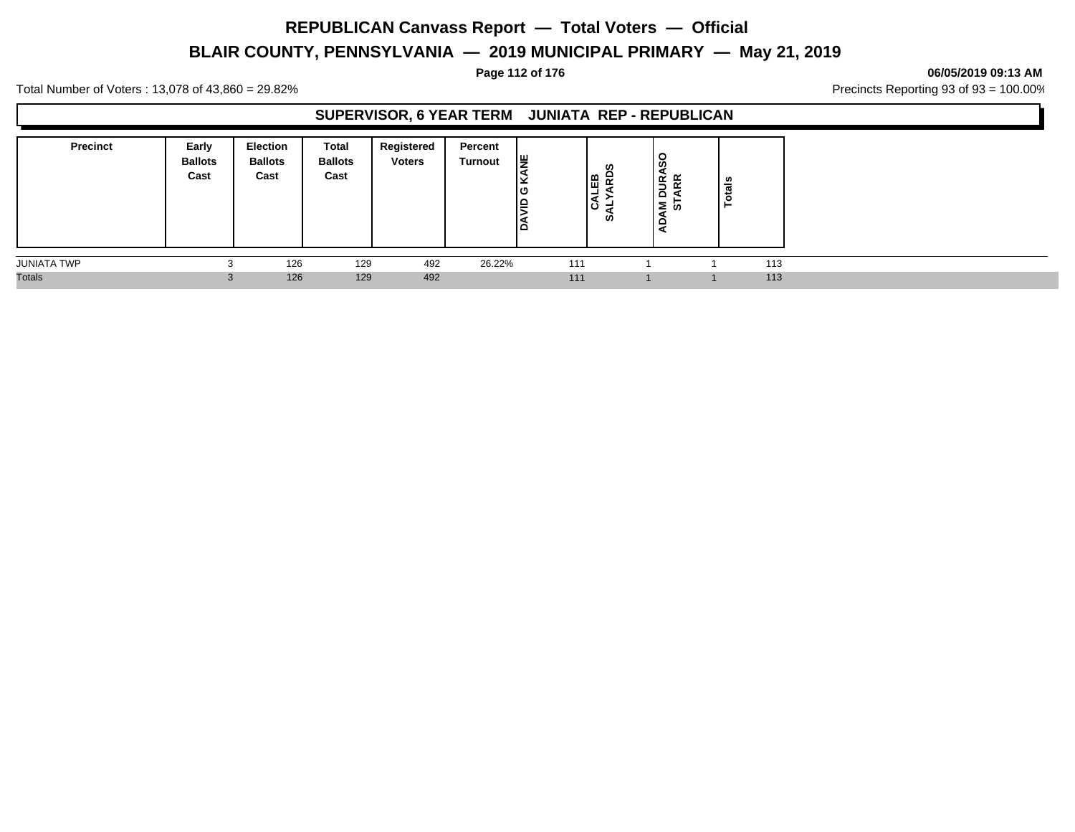# **BLAIR COUNTY, PENNSYLVANIA — 2019 MUNICIPAL PRIMARY — May 21, 2019**

**Page 112 of 176 06/05/2019 09:13 AM**

Total Number of Voters : 13,078 of 43,860 = 29.82% Precincts Reporting 93 of 93 = 100.00%

#### **SUPERVISOR, 6 YEAR TERM JUNIATA REP - REPUBLICAN**

| <b>Precinct</b>    | Early<br><b>Ballots</b><br>Cast | Election<br><b>Ballots</b><br>Cast | Total<br><b>Ballots</b><br>Cast | Registered<br><b>Voters</b> | Percent<br>Turnout | ١¥<br>л.<br>ن ا<br>lş<br>∣ല | ဖာ<br>١₩<br>ن ا<br><b>SO</b> | ഗ<br>≃<br>$\leq$<br>~<br>۔<br>$\Omega$<br>Σ ທ | als<br>ت<br>c<br>- |     |
|--------------------|---------------------------------|------------------------------------|---------------------------------|-----------------------------|--------------------|-----------------------------|------------------------------|-----------------------------------------------|--------------------|-----|
| <b>JUNIATA TWP</b> |                                 | 126                                | 129                             | 492                         | 26.22%             | 111                         |                              |                                               |                    | 113 |
| <b>Totals</b>      |                                 | 126                                | 129                             | 492                         |                    | 111                         |                              |                                               | 1                  | 113 |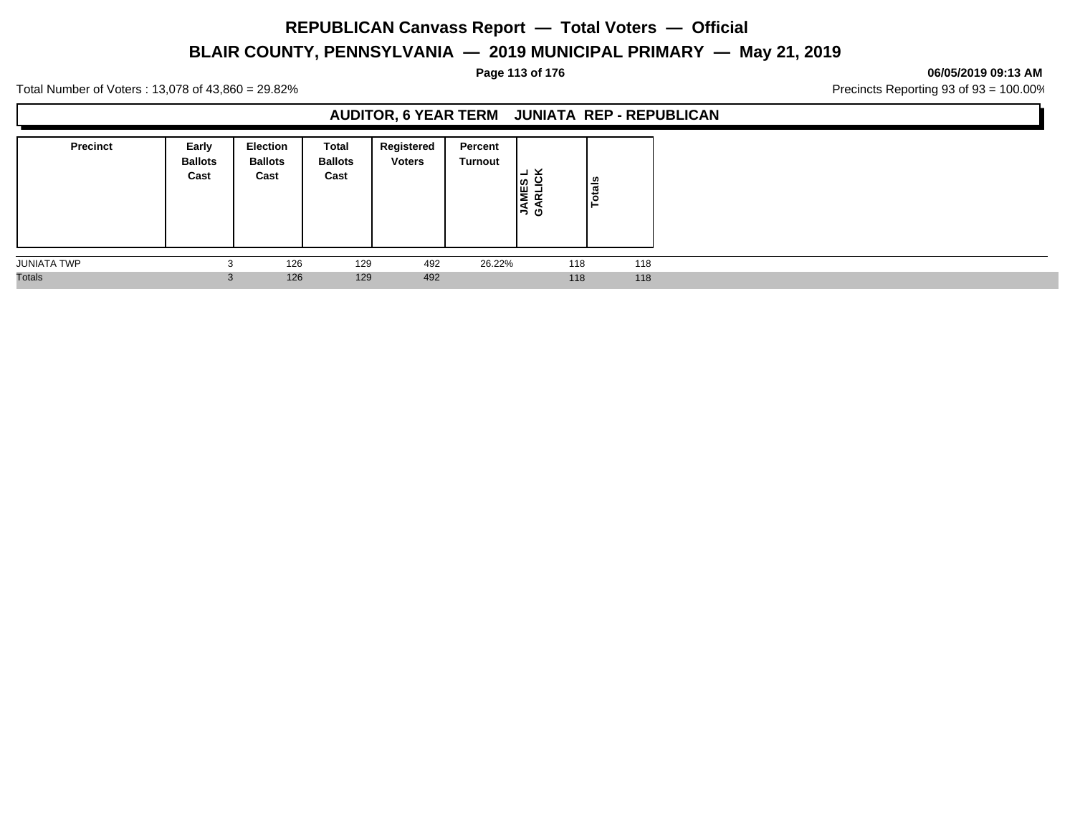# **BLAIR COUNTY, PENNSYLVANIA — 2019 MUNICIPAL PRIMARY — May 21, 2019**

**Page 113 of 176 06/05/2019 09:13 AM**

Total Number of Voters : 13,078 of 43,860 = 29.82% Precincts Reporting 93 of 93 = 100.00%

#### **AUDITOR, 6 YEAR TERM JUNIATA REP - REPUBLICAN**

| <b>Precinct</b>    | Early<br><b>Ballots</b><br>Cast | Election<br><b>Ballots</b><br>Cast | <b>Total</b><br><b>Ballots</b><br>Cast | Registered<br><b>Voters</b> | Percent<br>Turnout | צ ∟<br>⊣<br><b>JAMES</b><br>GARLIC | tais<br>$\bullet$ |
|--------------------|---------------------------------|------------------------------------|----------------------------------------|-----------------------------|--------------------|------------------------------------|-------------------|
| <b>JUNIATA TWP</b> | $\sim$                          | 126                                | 129                                    | 492                         | 26.22%             | 118                                | 118               |
| <b>Totals</b>      |                                 | 126                                | 129                                    | 492                         |                    | 118                                | 118               |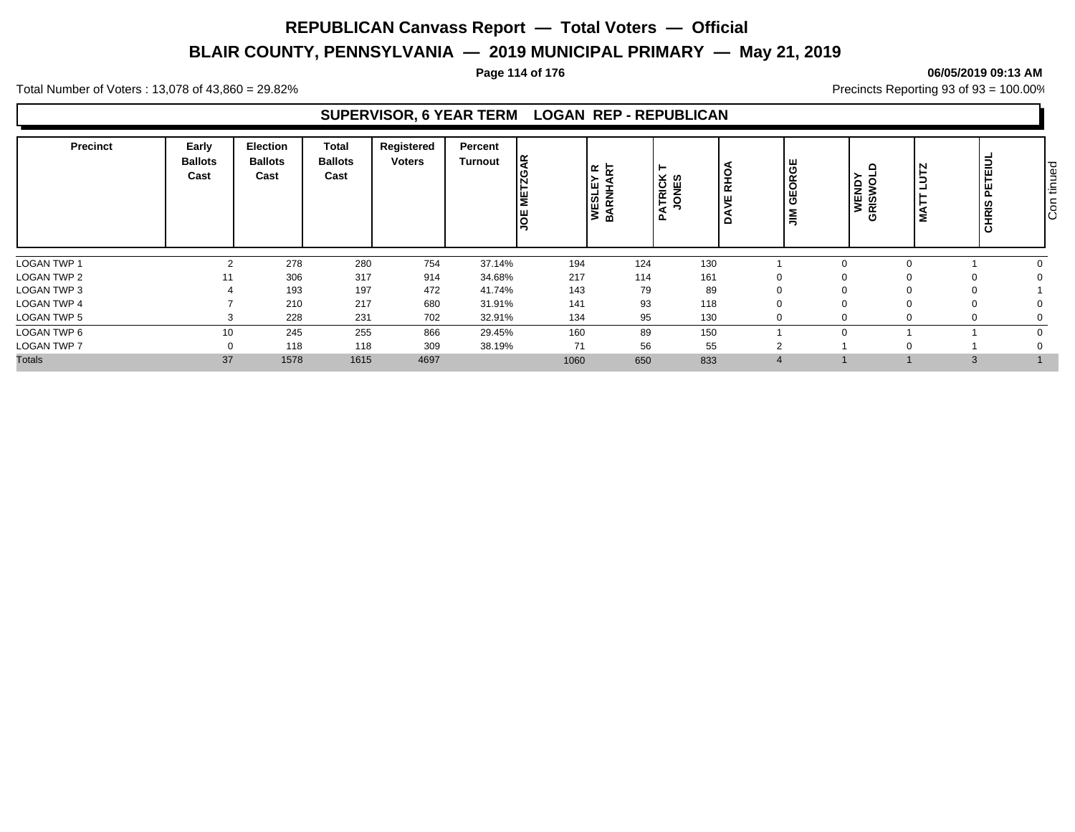# **BLAIR COUNTY, PENNSYLVANIA — 2019 MUNICIPAL PRIMARY — May 21, 2019**

#### **Page 114 of 176 06/05/2019 09:13 AM**

Total Number of Voters : 13,078 of 43,860 = 29.82% Precincts Reporting 93 of 93 = 100.00%

#### **SUPERVISOR, 6 YEAR TERM LOGAN REP - REPUBLICAN**

| Precinct           | Early<br><b>Ballots</b><br>Cast | Election<br><b>Ballots</b><br>Cast | <b>Total</b><br><b>Ballots</b><br>Cast | Registered<br><b>Voters</b> | Percent<br>Turnout | lg.<br>METZG.<br><b>JOE</b> | ᅂ<br>혽<br>⊣<br>w<br>y≝<br>Ba | ►<br>ATRICK<br>JONES | RHO.<br>ш<br>$\Omega$ | GEORGE<br>$\sum_{i=1}^{n}$ | $\Omega$<br><b>WENDY</b><br>GRISWO | N<br>∍<br>ᆜ<br>ä<br>s | TEIJ<br>붙<br><b>CHRIS</b> | Con tinued |
|--------------------|---------------------------------|------------------------------------|----------------------------------------|-----------------------------|--------------------|-----------------------------|------------------------------|----------------------|-----------------------|----------------------------|------------------------------------|-----------------------|---------------------------|------------|
| LOGAN TWP 1        | $\overline{2}$                  | 278                                | 280                                    | 754                         | 37.14%             | 194                         | 124                          | 130                  |                       |                            | $\Omega$                           |                       |                           |            |
| <b>LOGAN TWP 2</b> | 11                              | 306                                | 317                                    | 914                         | 34.68%             | 217                         | 114                          | 161                  | $\Omega$              |                            |                                    | 0                     |                           |            |
| LOGAN TWP 3        |                                 | 193                                | 197                                    | 472                         | 41.74%             | 143                         | 79                           | 89                   | $\Omega$              |                            |                                    |                       |                           |            |
| LOGAN TWP 4        |                                 | 210                                | 217                                    | 680                         | 31.91%             | 141                         | 93                           | 118                  | $\Omega$              |                            |                                    |                       |                           |            |
| LOGAN TWP 5        | 3                               | 228                                | 231                                    | 702                         | 32.91%             | 134                         | 95                           | 130                  | $\Omega$              |                            |                                    | 0                     |                           |            |
| LOGAN TWP 6        | 10                              | 245                                | 255                                    | 866                         | 29.45%             | 160                         | 89                           | 150                  |                       |                            |                                    |                       |                           |            |
| <b>LOGAN TWP 7</b> | υ                               | 118                                | 118                                    | 309                         | 38.19%             | 71                          | 56                           | 55                   | $\sim$                |                            |                                    |                       |                           |            |
| <b>Totals</b>      | 37                              | 1578                               | 1615                                   | 4697                        |                    | 1060                        | 650                          | 833                  | $\overline{4}$        |                            |                                    | $\mathbf{3}$          |                           |            |

# Con tinued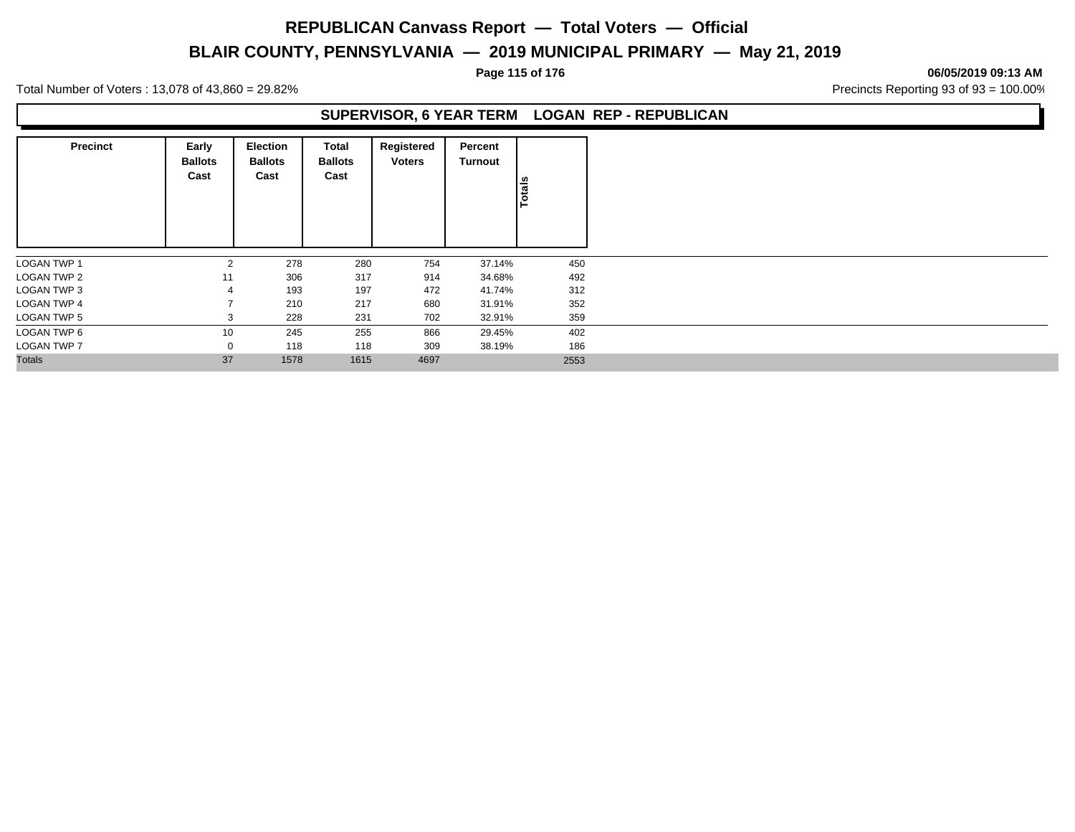# **BLAIR COUNTY, PENNSYLVANIA — 2019 MUNICIPAL PRIMARY — May 21, 2019**

**Page 115 of 176 06/05/2019 09:13 AM**

Total Number of Voters : 13,078 of 43,860 = 29.82% Precincts Reporting 93 of 93 = 100.00%

#### **SUPERVISOR, 6 YEAR TERM LOGAN REP - REPUBLICAN**

| <b>Precinct</b>    | Early<br><b>Ballots</b><br>Cast | Election<br><b>Ballots</b><br>Cast | Total<br><b>Ballots</b><br>Cast | Registered<br><b>Voters</b> | Percent<br>Turnout | <b>Totals</b> |
|--------------------|---------------------------------|------------------------------------|---------------------------------|-----------------------------|--------------------|---------------|
| <b>LOGAN TWP 1</b> | 2                               | 278                                | 280                             | 754                         | 37.14%             | 450           |
| <b>LOGAN TWP 2</b> | 11                              | 306                                | 317                             | 914                         | 34.68%             | 492           |
| LOGAN TWP 3        | 4                               | 193                                | 197                             | 472                         | 41.74%             | 312           |
| <b>LOGAN TWP 4</b> |                                 | 210                                | 217                             | 680                         | 31.91%             | 352           |
| <b>LOGAN TWP 5</b> | 3                               | 228                                | 231                             | 702                         | 32.91%             | 359           |
| LOGAN TWP 6        | 10                              | 245                                | 255                             | 866                         | 29.45%             | 402           |
| <b>LOGAN TWP 7</b> | 0                               | 118                                | 118                             | 309                         | 38.19%             | 186           |
| <b>Totals</b>      | 37                              | 1578                               | 1615                            | 4697                        |                    | 2553          |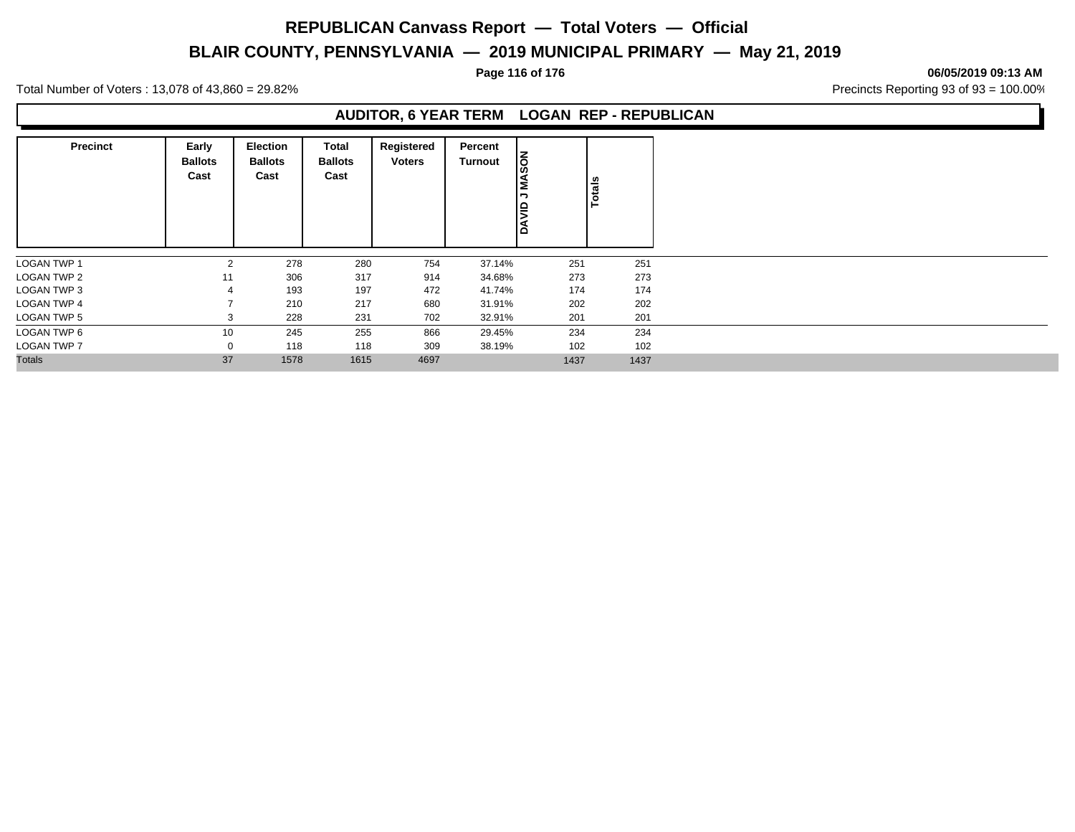# **BLAIR COUNTY, PENNSYLVANIA — 2019 MUNICIPAL PRIMARY — May 21, 2019**

**Page 116 of 176 06/05/2019 09:13 AM**

Total Number of Voters : 13,078 of 43,860 = 29.82% Precincts Reporting 93 of 93 = 100.00%

#### **AUDITOR, 6 YEAR TERM LOGAN REP - REPUBLICAN**

| <b>Precinct</b>    | Early<br><b>Ballots</b><br>Cast | <b>Election</b><br><b>Ballots</b><br>Cast | <b>Total</b><br><b>Ballots</b><br>Cast | Registered<br><b>Voters</b> | Percent<br>Turnout | <b>MASON</b><br>¬<br><b>ONAD</b> | Totals |
|--------------------|---------------------------------|-------------------------------------------|----------------------------------------|-----------------------------|--------------------|----------------------------------|--------|
| <b>LOGAN TWP 1</b> | $\overline{2}$                  | 278                                       | 280                                    | 754                         | 37.14%             | 251                              | 251    |
| LOGAN TWP 2        | 11                              | 306                                       | 317                                    | 914                         | 34.68%             | 273                              | 273    |
| LOGAN TWP 3        | 4                               | 193                                       | 197                                    | 472                         | 41.74%             | 174                              | 174    |
| <b>LOGAN TWP 4</b> |                                 | 210                                       | 217                                    | 680                         | 31.91%             | 202                              | 202    |
| <b>LOGAN TWP 5</b> | 3                               | 228                                       | 231                                    | 702                         | 32.91%             | 201                              | 201    |
| LOGAN TWP 6        | 10                              | 245                                       | 255                                    | 866                         | 29.45%             | 234                              | 234    |
| <b>LOGAN TWP 7</b> | 0                               | 118                                       | 118                                    | 309                         | 38.19%             | 102                              | 102    |
| <b>Totals</b>      | 37                              | 1578                                      | 1615                                   | 4697                        |                    | 1437                             | 1437   |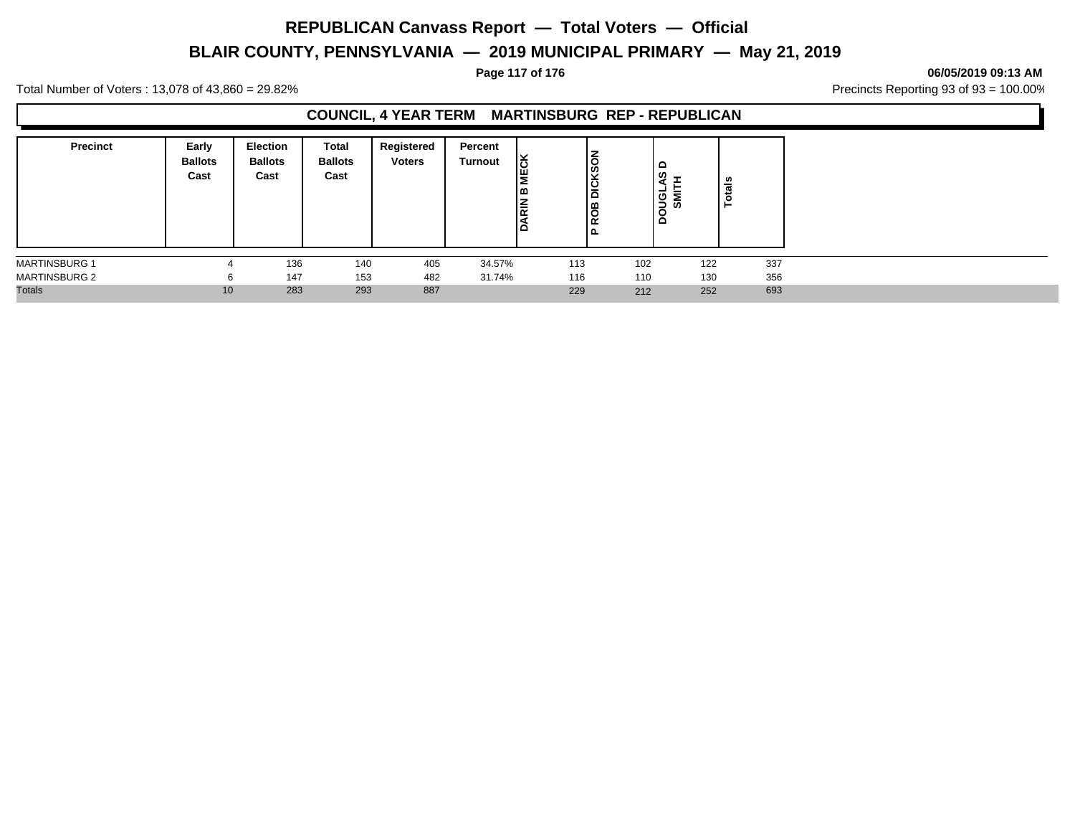# **BLAIR COUNTY, PENNSYLVANIA — 2019 MUNICIPAL PRIMARY — May 21, 2019**

#### **Page 117 of 176 06/05/2019 09:13 AM**

Total Number of Voters : 13,078 of 43,860 = 29.82% Precincts Reporting 93 of 93 = 100.00%

### **COUNCIL, 4 YEAR TERM MARTINSBURG REP - REPUBLICAN**

| <b>Precinct</b>      | Early<br><b>Ballots</b><br>Cast | Election<br><b>Ballots</b><br>Cast | Total<br><b>Ballots</b><br>Cast | Registered<br><b>Voters</b> | Percent<br>Turnout | <b>MECK</b><br>۱œ<br><b>DARIN</b> | DICKSON<br>18<br>K<br>ם ו | $\circ$<br>ທ<br><b>Sonce</b><br>ぁ | ៖<br>c<br>► |
|----------------------|---------------------------------|------------------------------------|---------------------------------|-----------------------------|--------------------|-----------------------------------|---------------------------|-----------------------------------|-------------|
| <b>MARTINSBURG 1</b> |                                 | 136                                | 140                             | 405                         | 34.57%             | 113                               | 102                       | 122                               | 337         |
| <b>MARTINSBURG 2</b> | 6                               | 147                                | 153                             | 482                         | 31.74%             | 116                               | 110                       | 130                               | 356         |
| <b>Totals</b>        | 10                              | 283                                | 293                             | 887                         |                    | 229                               | 212                       | 252                               | 693         |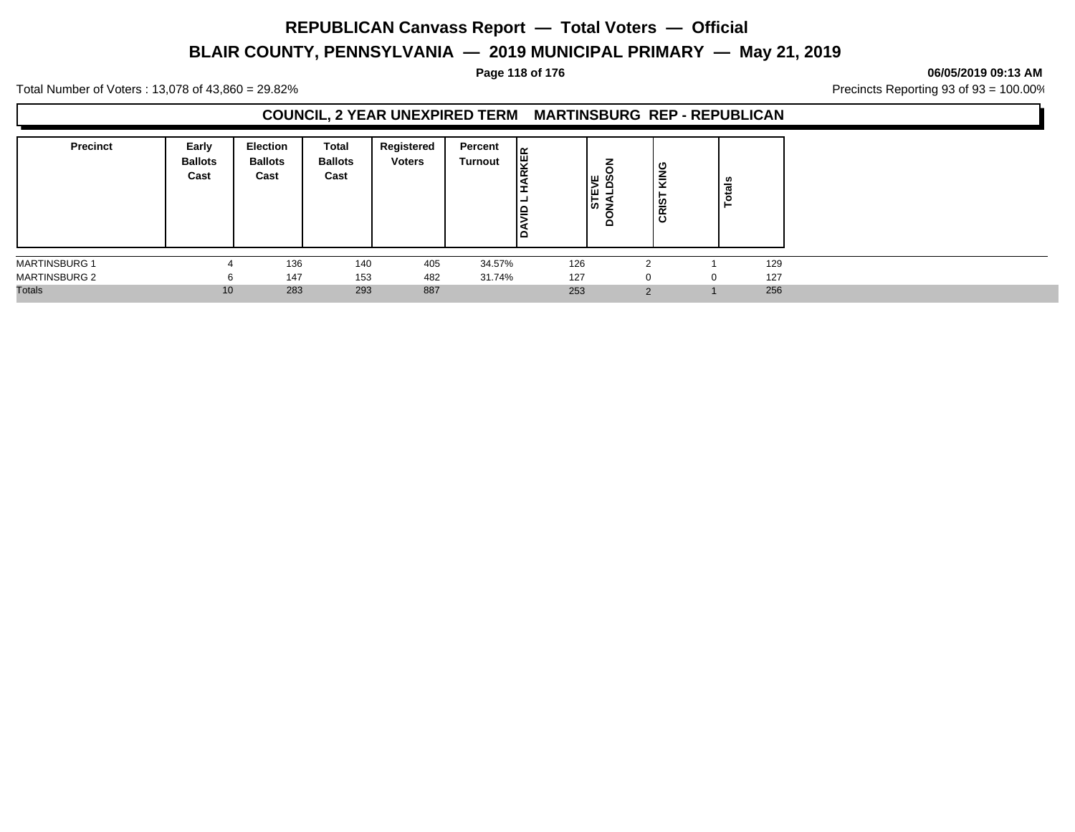# **BLAIR COUNTY, PENNSYLVANIA — 2019 MUNICIPAL PRIMARY — May 21, 2019**

#### **Page 118 of 176 06/05/2019 09:13 AM**

Total Number of Voters : 13,078 of 43,860 = 29.82% Precincts Reporting 93 of 93 = 100.00%

#### **COUNCIL, 2 YEAR UNEXPIRED TERM MARTINSBURG REP - REPUBLICAN**

| <b>Precinct</b>      | Early<br><b>Ballots</b><br>Cast | Election<br><b>Ballots</b><br>Cast | Total<br><b>Ballots</b><br>Cast | Registered<br><b>Voters</b> | Percent<br>Turnout | <b>IRKER</b><br>١Ŧ<br><b>-</b><br>-<br>l≘<br>آ≤ | ∣ ш ഗ<br><b>STE</b><br>z<br>≏ | KING<br>CRIS  | als<br>تب<br>c |     |
|----------------------|---------------------------------|------------------------------------|---------------------------------|-----------------------------|--------------------|-------------------------------------------------|-------------------------------|---------------|----------------|-----|
| <b>MARTINSBURG 1</b> |                                 | 136                                | 140                             | 405                         | 34.57%             | 126                                             |                               | $\sim$        |                | 129 |
| <b>MARTINSBURG 2</b> | 6                               | 147                                | 153                             | 482                         | 31.74%             | 127                                             |                               | <sup>0</sup>  |                | 127 |
| <b>Totals</b>        | 10                              | 283                                | 293                             | 887                         |                    | 253                                             |                               | $\Omega$<br>∠ |                | 256 |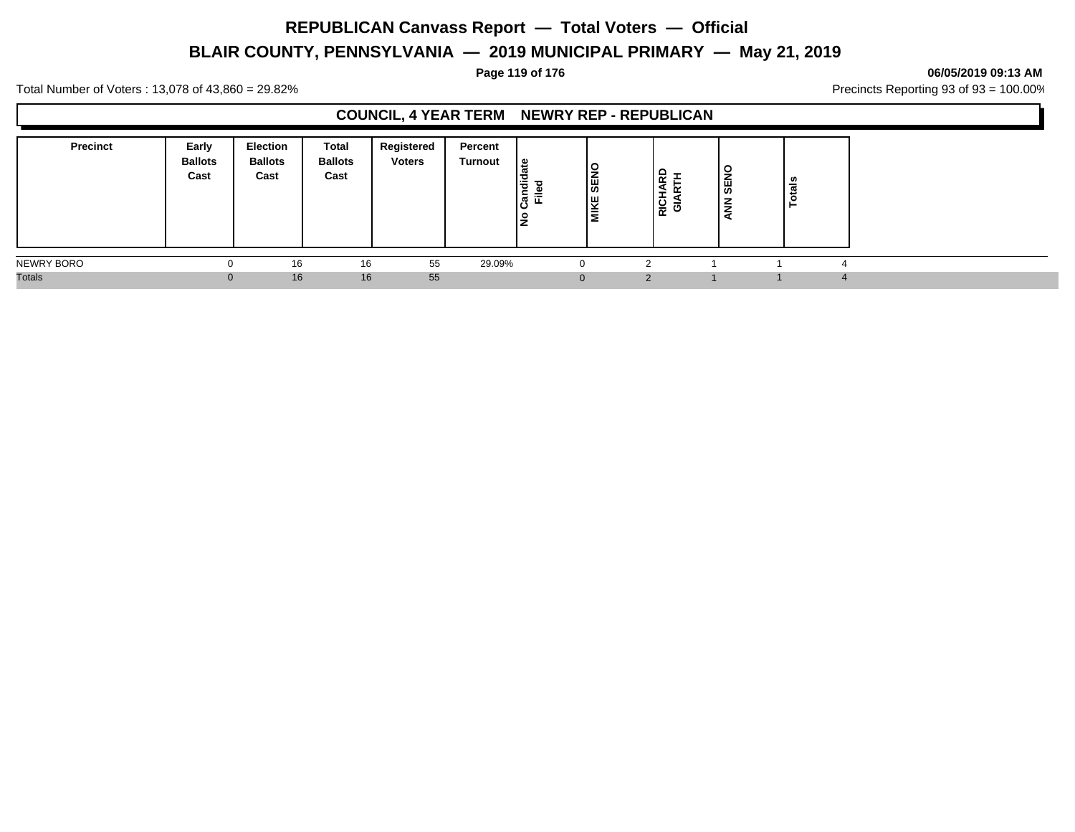# **BLAIR COUNTY, PENNSYLVANIA — 2019 MUNICIPAL PRIMARY — May 21, 2019**

#### **Page 119 of 176 06/05/2019 09:13 AM**

Total Number of Voters : 13,078 of 43,860 = 29.82% Precincts Reporting 93 of 93 = 100.00%

### **COUNCIL, 4 YEAR TERM NEWRY REP - REPUBLICAN**

| <b>Precinct</b> | Early<br><b>Ballots</b><br>Cast | <b>Election</b><br><b>Ballots</b><br>Cast | Total<br><b>Ballots</b><br>Cast | Registered<br><b>Voters</b> | Percent<br>Turnout | ہ ا<br>Candi<br>≈<br>ட<br><u>ੁ</u><br>- | <b>SEND</b><br>I۳<br>⊫<br>- | ட<br><b>RICI</b><br>O | l S<br>╺<br>¦¥<br>$\overline{z}$ | tals<br>ᅙ |  |
|-----------------|---------------------------------|-------------------------------------------|---------------------------------|-----------------------------|--------------------|-----------------------------------------|-----------------------------|-----------------------|----------------------------------|-----------|--|
| NEWRY BORO      |                                 | 16                                        | 16                              | 55                          | 29.09%             |                                         |                             |                       |                                  |           |  |
| <b>Totals</b>   | $\Omega$                        | 16                                        | 16                              | 55                          |                    | $\Omega$                                |                             |                       |                                  |           |  |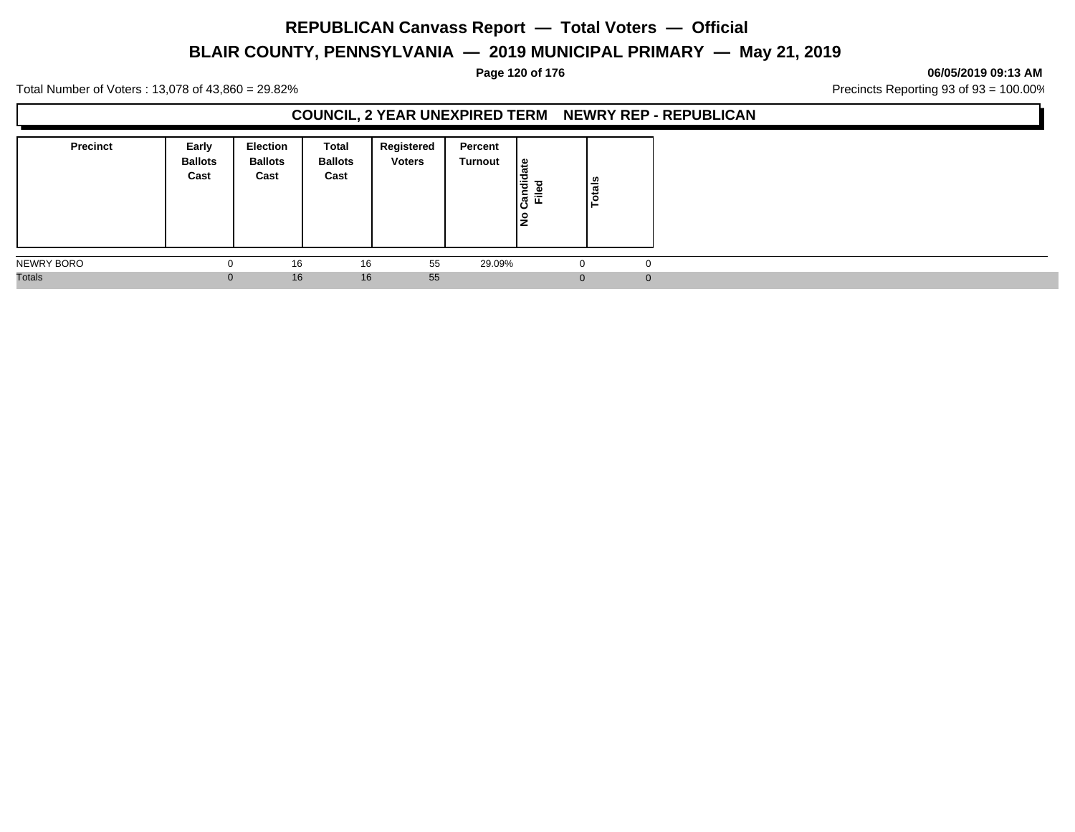# **BLAIR COUNTY, PENNSYLVANIA — 2019 MUNICIPAL PRIMARY — May 21, 2019**

#### **Page 120 of 176 06/05/2019 09:13 AM**

Total Number of Voters : 13,078 of 43,860 = 29.82% Precincts Reporting 93 of 93 = 100.00%

#### **COUNCIL, 2 YEAR UNEXPIRED TERM NEWRY REP - REPUBLICAN**

| <b>Precinct</b> | Early<br><b>Ballots</b><br>Cast | <b>Election</b><br><b>Ballots</b><br>Cast | Total<br><b>Ballots</b><br>Cast | Registered<br><b>Voters</b> | Percent<br>Turnout | ہ  <br>Candida<br>$=$<br>щ<br>١ş | Totals   |  |
|-----------------|---------------------------------|-------------------------------------------|---------------------------------|-----------------------------|--------------------|----------------------------------|----------|--|
| NEWRY BORO      | $\Omega$                        | 16                                        | 16                              | 55                          | 29.09%             | $\Omega$                         | 0        |  |
| <b>Totals</b>   | $\overline{0}$                  | 16                                        | 16                              | 55                          |                    | $\Omega$                         | $\Omega$ |  |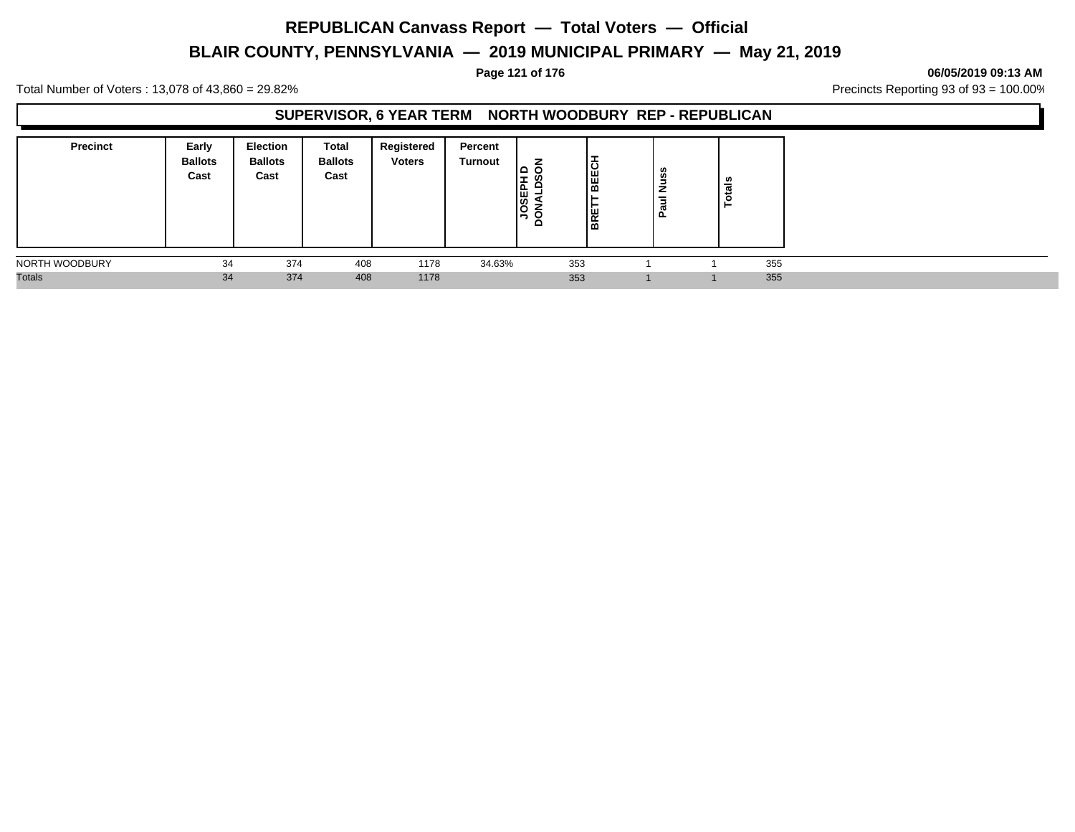# **BLAIR COUNTY, PENNSYLVANIA — 2019 MUNICIPAL PRIMARY — May 21, 2019**

#### **Page 121 of 176 06/05/2019 09:13 AM**

Total Number of Voters : 13,078 of 43,860 = 29.82% Precincts Reporting 93 of 93 = 100.00%

#### **SUPERVISOR, 6 YEAR TERM NORTH WOODBURY REP - REPUBLICAN**

| <b>Precinct</b> | Early<br><b>Ballots</b><br>Cast | <b>Election</b><br><b>Ballots</b><br>Cast | Total<br><b>Ballots</b><br>Cast | Registered<br><b>Voters</b> | Percent<br>Turnout | <b>SSEP</b><br>≏ | BEECI<br><b>BRE</b> | San<br>N<br>$\boldsymbol{\sigma}$<br>௨ | ័ត  |
|-----------------|---------------------------------|-------------------------------------------|---------------------------------|-----------------------------|--------------------|------------------|---------------------|----------------------------------------|-----|
| NORTH WOODBURY  | 34                              | 374                                       | 408                             | 1178                        | 34.63%             |                  | 353                 |                                        | 355 |
| <b>Totals</b>   | 34                              | 374                                       | 408                             | 1178                        |                    |                  | 353                 |                                        | 355 |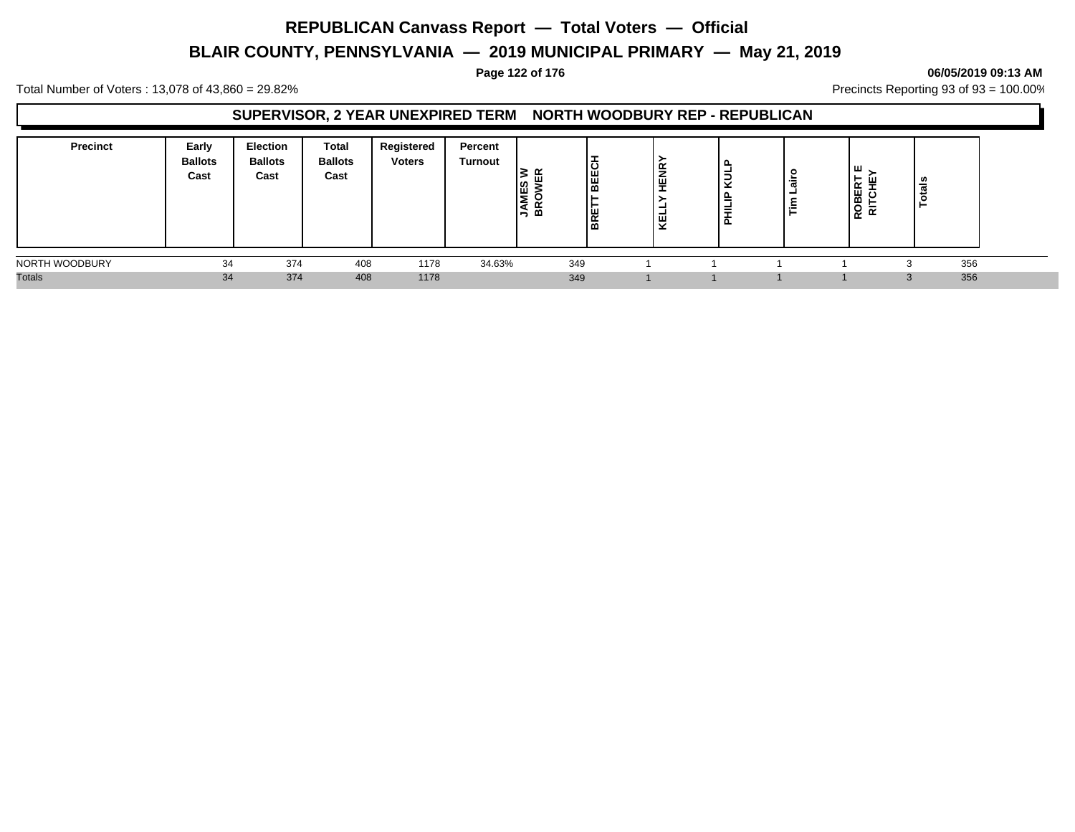# **BLAIR COUNTY, PENNSYLVANIA — 2019 MUNICIPAL PRIMARY — May 21, 2019**

#### **Page 122 of 176 06/05/2019 09:13 AM**

Total Number of Voters : 13,078 of 43,860 = 29.82% Precincts Reporting 93 of 93 = 100.00%

#### **SUPERVISOR, 2 YEAR UNEXPIRED TERM NORTH WOODBURY REP - REPUBLICAN**

| <b>Precinct</b> | Early<br><b>Ballots</b><br>Cast | <b>Election</b><br><b>Ballots</b><br>Cast | Total<br><b>Ballots</b><br>Cast | Registered<br><b>Voters</b> | Percent<br>Turnout | <b>JAMES</b><br>BROWE | BEEC<br>BRE | ≅<br>ш<br><u>. на т</u><br>-<br>ш<br>$\overline{\phantom{0}}$<br>- 22 | ∍<br>ີ<br>-<br>≡ | airo<br>ᆜ<br>$\tilde{\mathbf{r}}$ | ш<br>$\tilde{ }$<br>шδ<br>≃<br>5s<br>$\sim$ | u<br>ಕ<br>► |  |
|-----------------|---------------------------------|-------------------------------------------|---------------------------------|-----------------------------|--------------------|-----------------------|-------------|-----------------------------------------------------------------------|------------------|-----------------------------------|---------------------------------------------|-------------|--|
| NORTH WOODBURY  | 34                              | 374                                       | 408                             | 1178                        | 34.63%             | 349                   |             |                                                                       |                  |                                   |                                             | 356         |  |
| <b>Totals</b>   | 34                              | 374                                       | 408                             | 1178                        |                    | 349                   |             |                                                                       |                  |                                   |                                             | 356         |  |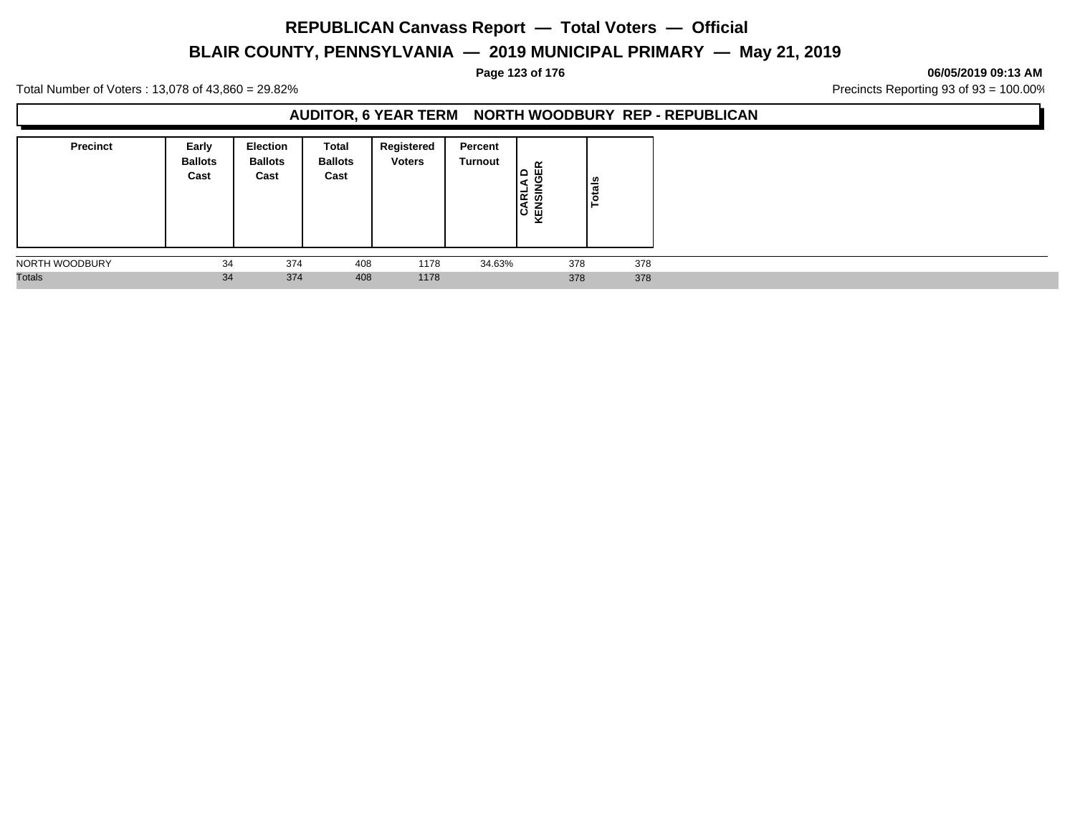# **BLAIR COUNTY, PENNSYLVANIA — 2019 MUNICIPAL PRIMARY — May 21, 2019**

**Page 123 of 176 06/05/2019 09:13 AM**

Total Number of Voters : 13,078 of 43,860 = 29.82% Precincts Reporting 93 of 93 = 100.00%

#### **AUDITOR, 6 YEAR TERM NORTH WOODBURY REP - REPUBLICAN**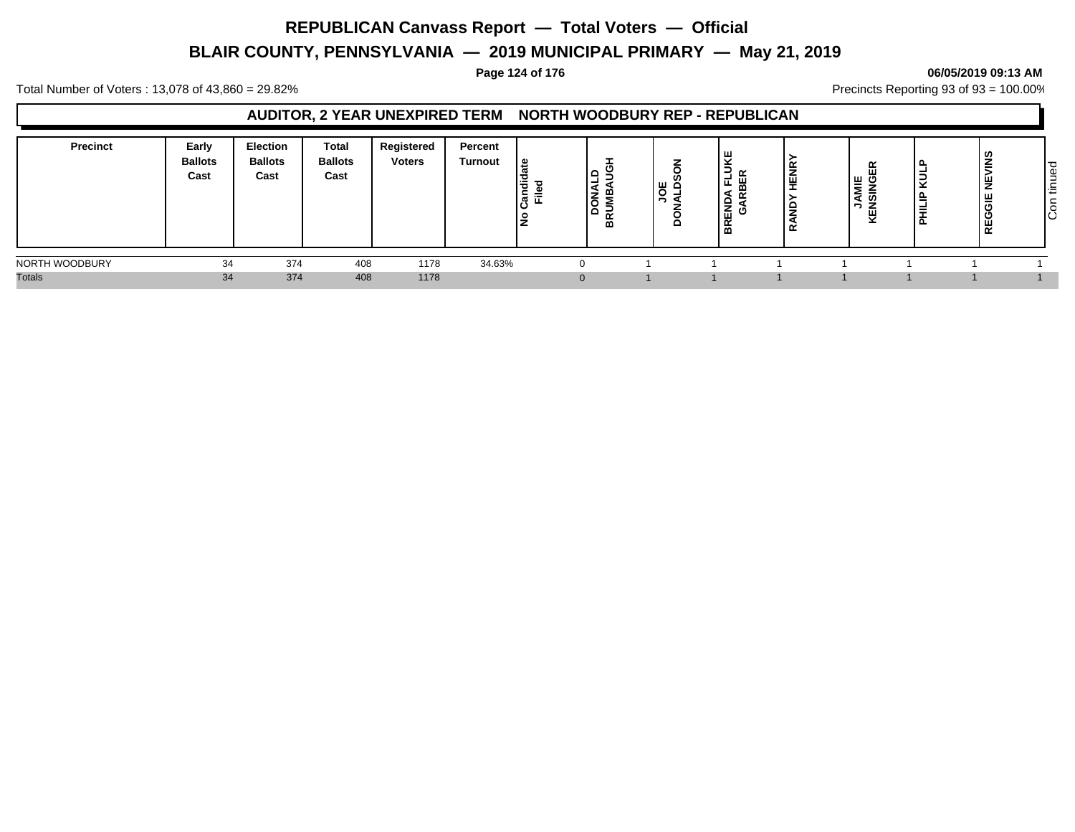# **BLAIR COUNTY, PENNSYLVANIA — 2019 MUNICIPAL PRIMARY — May 21, 2019**

#### **Page 124 of 176 06/05/2019 09:13 AM**

Total Number of Voters : 13,078 of 43,860 = 29.82% Precincts Reporting 93 of 93 = 100.00%

#### **AUDITOR, 2 YEAR UNEXPIRED TERM NORTH WOODBURY REP - REPUBLICAN**

| <b>Precinct</b> | Early<br><b>Ballots</b><br>Cast | <b>Election</b><br><b>Ballots</b><br>Cast | Total<br><b>Ballots</b><br>Cast | Registered<br><b>Voters</b> | Percent<br><b>Turnout</b> | ூ<br>Candie<br>Filed<br>o | -<br>۱z<br>ه ۱<br>≃ | ш<br>O<br>▭ | ⊃<br>-<br>ய<br>◀<br><br>≏<br>∣ ਛੋਂ ਰੋ<br>$\sim$<br>. മ | ≃<br>⇁<br>I⊕<br>₩<br>≃ | 띥<br>WΙE<br>ு<br>▴<br>-<br>ທ<br>-<br>-<br>ê<br><b>x</b> | き<br>ш.<br>-<br>⋍<br>- | $\ddot{\tilde{\mathbf{z}}}$<br>z<br>ш<br>$\overline{\phantom{0}}$<br>$\propto$ | ס ו<br>Φ<br>-<br>ے<br>$\sim$<br>造<br>∼<br>$\circ$<br>וטו |
|-----------------|---------------------------------|-------------------------------------------|---------------------------------|-----------------------------|---------------------------|---------------------------|---------------------|-------------|--------------------------------------------------------|------------------------|---------------------------------------------------------|------------------------|--------------------------------------------------------------------------------|----------------------------------------------------------|
| NORTH WOODBURY  | 34                              | 374                                       | 408                             | 1178                        | 34.63%                    |                           |                     |             |                                                        |                        |                                                         |                        |                                                                                |                                                          |
| <b>Totals</b>   | 34                              | 374                                       | 408                             | 1178                        |                           |                           | $\Omega$            |             |                                                        |                        |                                                         |                        |                                                                                |                                                          |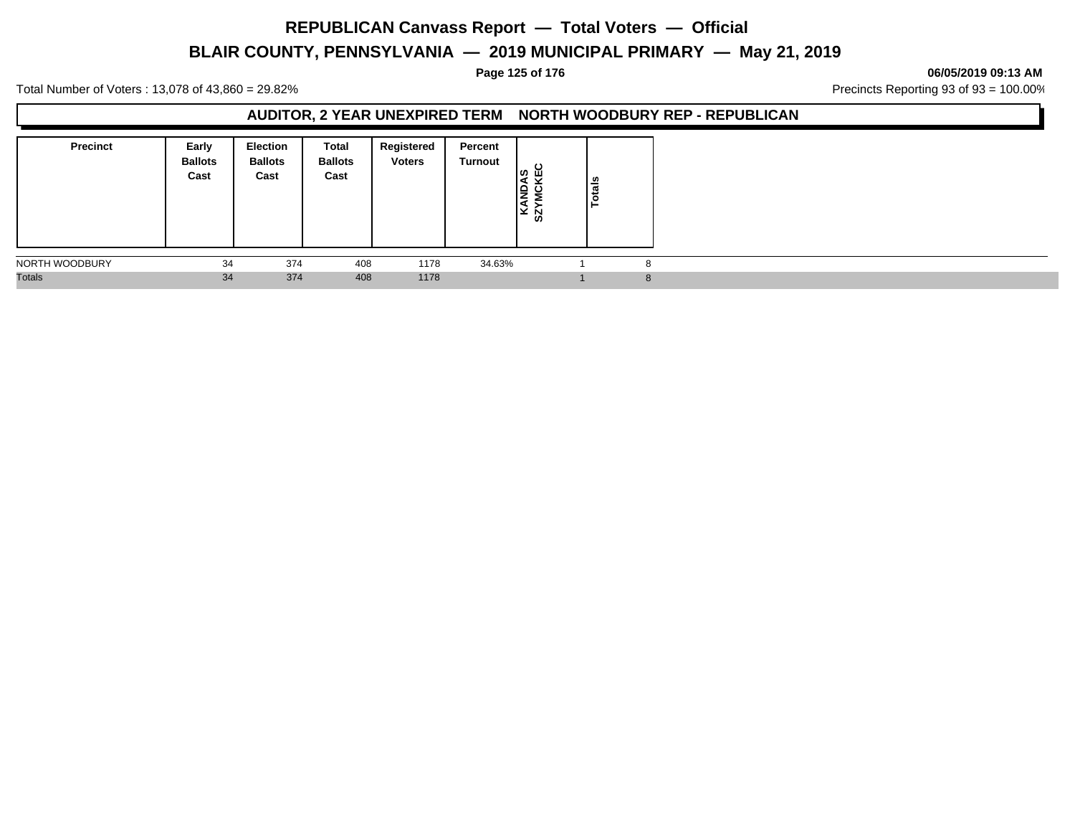# **BLAIR COUNTY, PENNSYLVANIA — 2019 MUNICIPAL PRIMARY — May 21, 2019**

#### **Page 125 of 176 06/05/2019 09:13 AM**

Total Number of Voters : 13,078 of 43,860 = 29.82% Precincts Reporting 93 of 93 = 100.00%

#### **AUDITOR, 2 YEAR UNEXPIRED TERM NORTH WOODBURY REP - REPUBLICAN**

| <b>Precinct</b> | Early<br><b>Ballots</b><br>Cast | <b>Election</b><br><b>Ballots</b><br>Cast | Total<br><b>Ballots</b><br>Cast | Registered<br><b>Voters</b> | Percent<br>Turnout | ပ<br>၊ ဖာ<br>ய<br>KANDA<br>്പ<br>ທ | tals<br>o. |  |
|-----------------|---------------------------------|-------------------------------------------|---------------------------------|-----------------------------|--------------------|------------------------------------|------------|--|
| NORTH WOODBURY  | 34                              | 374                                       | 408                             | 1178                        | 34.63%             |                                    |            |  |
| <b>Totals</b>   | 34                              | 374                                       | 408                             | 1178                        |                    |                                    |            |  |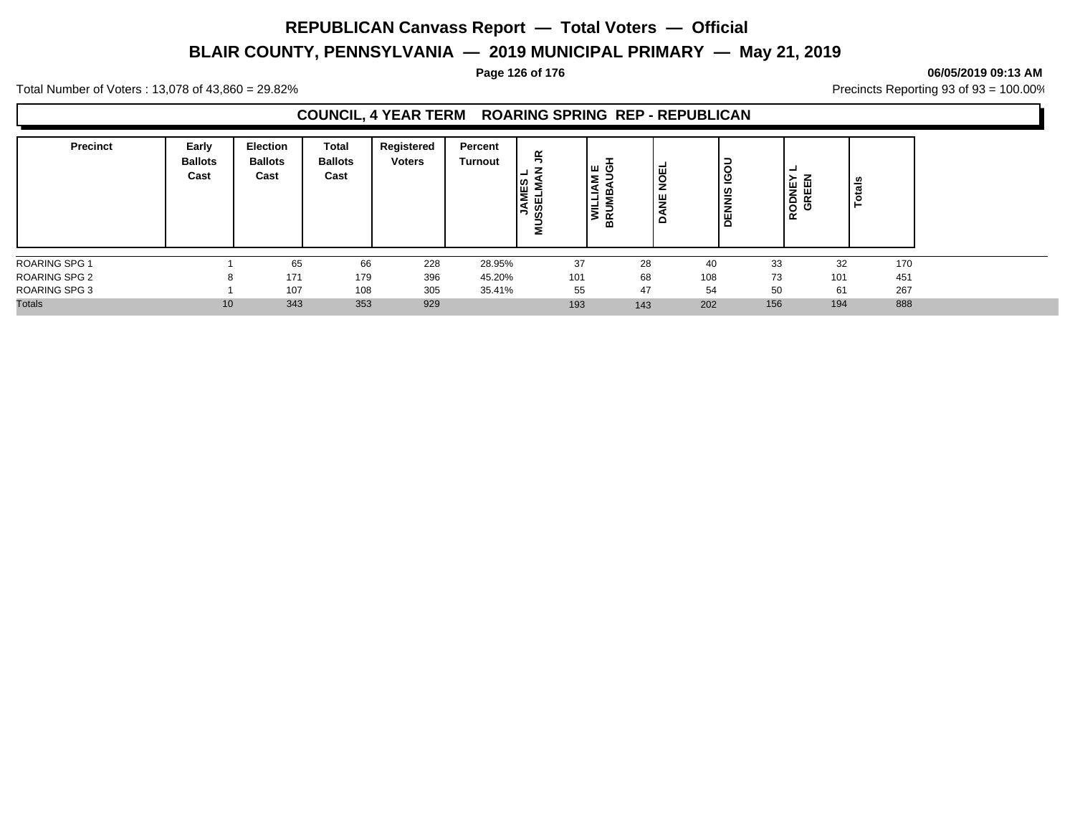# **BLAIR COUNTY, PENNSYLVANIA — 2019 MUNICIPAL PRIMARY — May 21, 2019**

#### **Page 126 of 176 06/05/2019 09:13 AM**

Total Number of Voters : 13,078 of 43,860 = 29.82% Precincts Reporting 93 of 93 = 100.00%

#### **COUNCIL, 4 YEAR TERM ROARING SPRING REP - REPUBLICAN**

| <b>Precinct</b>      | Early<br><b>Ballots</b><br>Cast | <b>Election</b><br><b>Ballots</b><br>Cast | Total<br><b>Ballots</b><br>Cast | Registered<br><b>Voters</b> | Percent<br><b>Turnout</b> | $\leq$<br><b>JAMES</b><br>ш<br>S<br>ທ<br>⋍ | ט שן<br>Σ<br>١٩<br>Σ<br>NILI<br>N<br>Ξ<br>BR | IBO<br>I<br>光<br>o | -<br>O<br>ပ<br>-<br>$\frac{6}{5}$<br>-<br>ш<br>Δ | -<br>RODNEY<br>GREEN | tals |
|----------------------|---------------------------------|-------------------------------------------|---------------------------------|-----------------------------|---------------------------|--------------------------------------------|----------------------------------------------|--------------------|--------------------------------------------------|----------------------|------|
| <b>ROARING SPG 1</b> |                                 | 65                                        | 66                              | 228                         | 28.95%                    | 37                                         | 28                                           | 40                 | 33                                               | 32                   | 170  |
| <b>ROARING SPG 2</b> |                                 | 171                                       | 179                             | 396                         | 45.20%                    | 101                                        | 68                                           | 108                | 73                                               | 101                  | 451  |
| <b>ROARING SPG 3</b> |                                 | 107                                       | 108                             | 305                         | 35.41%                    | 55                                         | 47                                           | 54                 | 50                                               | 61                   | 267  |
| <b>Totals</b>        | 10                              | 343                                       | 353                             | 929                         |                           | 193                                        | 143                                          | 202                | 156                                              | 194                  | 888  |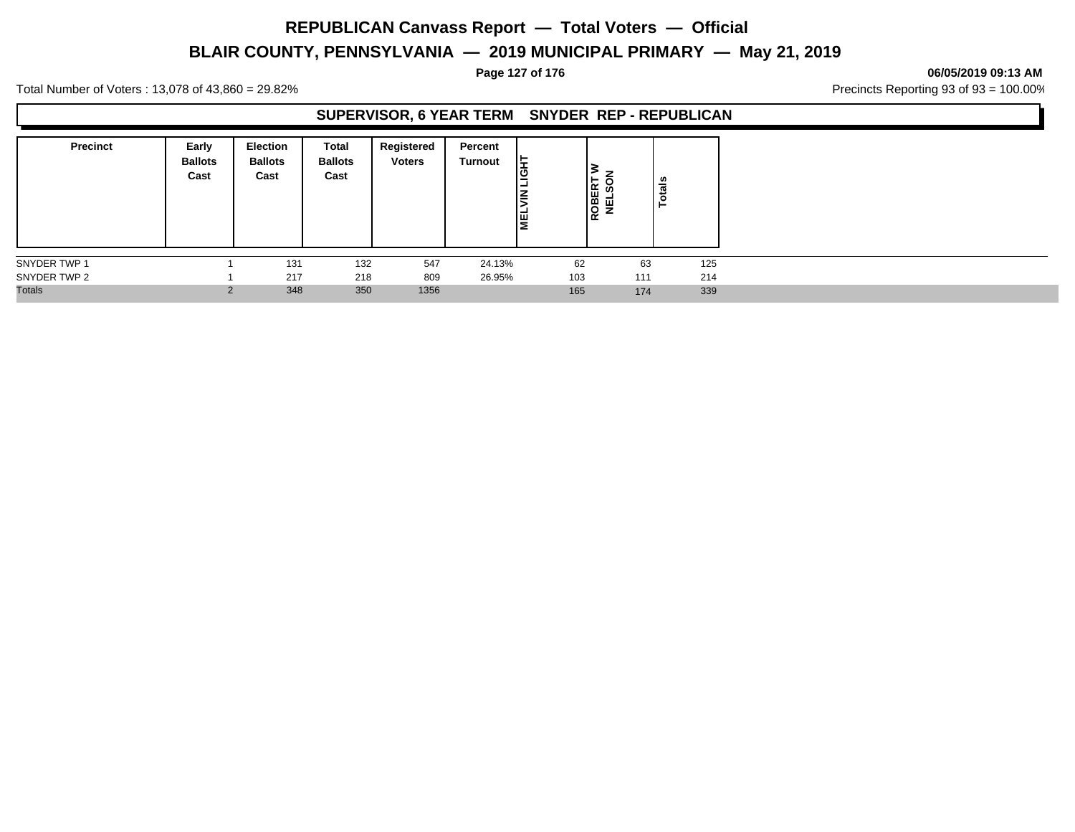# **BLAIR COUNTY, PENNSYLVANIA — 2019 MUNICIPAL PRIMARY — May 21, 2019**

**Page 127 of 176 06/05/2019 09:13 AM**

Total Number of Voters : 13,078 of 43,860 = 29.82% Precincts Reporting 93 of 93 = 100.00%

#### **SUPERVISOR, 6 YEAR TERM SNYDER REP - REPUBLICAN**

| <b>Precinct</b> | Early<br><b>Ballots</b><br>Cast | <b>Election</b><br><b>Ballots</b><br>Cast | Total<br><b>Ballots</b><br>Cast | Registered<br><b>Voters</b> | Percent<br>Turnout | $\frac{1}{9}$<br>Ιš<br><b>NEL</b> | ROBERT<br>NELSON | ៖<br>ت<br>$\circ$<br>Ĥ |     |
|-----------------|---------------------------------|-------------------------------------------|---------------------------------|-----------------------------|--------------------|-----------------------------------|------------------|------------------------|-----|
| SNYDER TWP 1    |                                 | 131                                       | 132                             | 547                         | 24.13%             | 62                                | 63               |                        | 125 |
| SNYDER TWP 2    |                                 | 217                                       | 218                             | 809                         | 26.95%             | 103                               | 111              |                        | 214 |
| <b>Totals</b>   |                                 | 348                                       | 350                             | 1356                        |                    | 165                               | 174              |                        | 339 |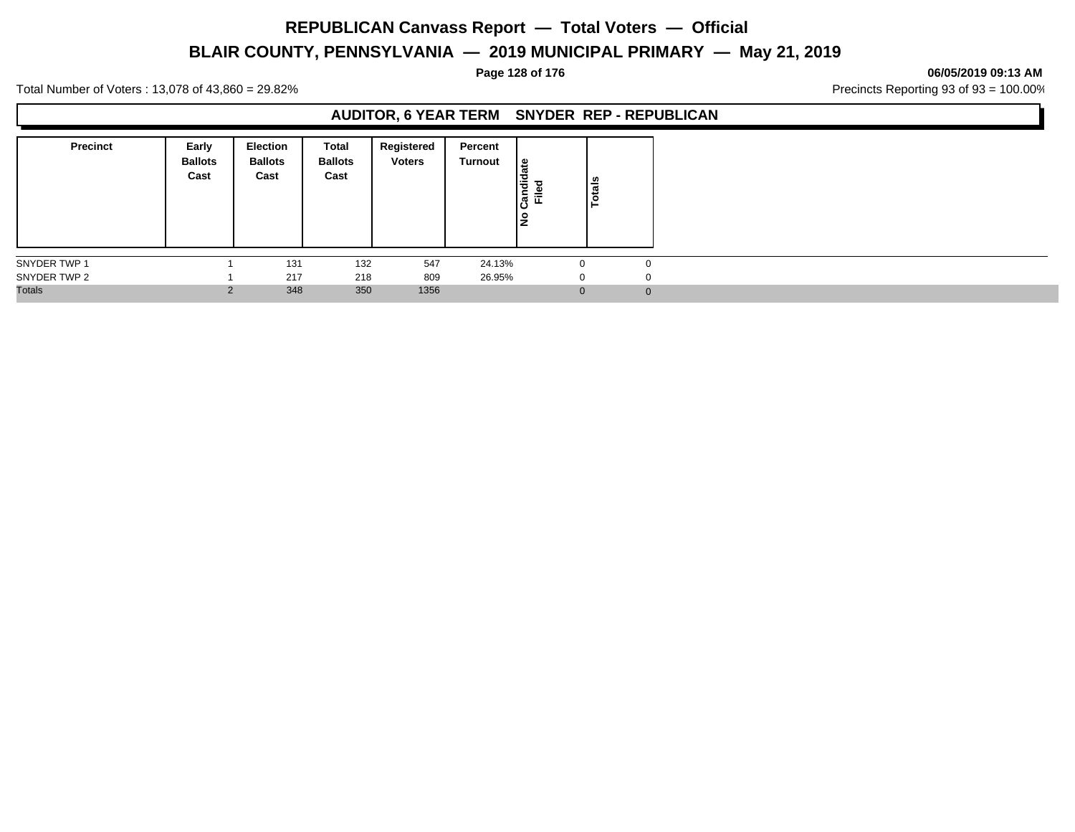# **BLAIR COUNTY, PENNSYLVANIA — 2019 MUNICIPAL PRIMARY — May 21, 2019**

**Page 128 of 176 06/05/2019 09:13 AM**

Total Number of Voters : 13,078 of 43,860 = 29.82% Precincts Reporting 93 of 93 = 100.00%

### **AUDITOR, 6 YEAR TERM SNYDER REP - REPUBLICAN**

| <b>Precinct</b> | Early<br><b>Ballots</b><br>Cast | <b>Election</b><br><b>Ballots</b><br>Cast | Total<br><b>Ballots</b><br>Cast | Registered<br><b>Voters</b> | Percent<br>Turnout | ீ<br>Candid<br>-01<br>Ē<br>١s | Totals       |
|-----------------|---------------------------------|-------------------------------------------|---------------------------------|-----------------------------|--------------------|-------------------------------|--------------|
| SNYDER TWP 1    |                                 | 131                                       | 132                             | 547                         | 24.13%             | $\Omega$                      | $\Omega$     |
| SNYDER TWP 2    |                                 | 217                                       | 218                             | 809                         | 26.95%             | $\mathbf{0}$                  | $\Omega$     |
| <b>Totals</b>   |                                 | 348                                       | 350                             | 1356                        |                    | $\overline{0}$                | $\mathbf{0}$ |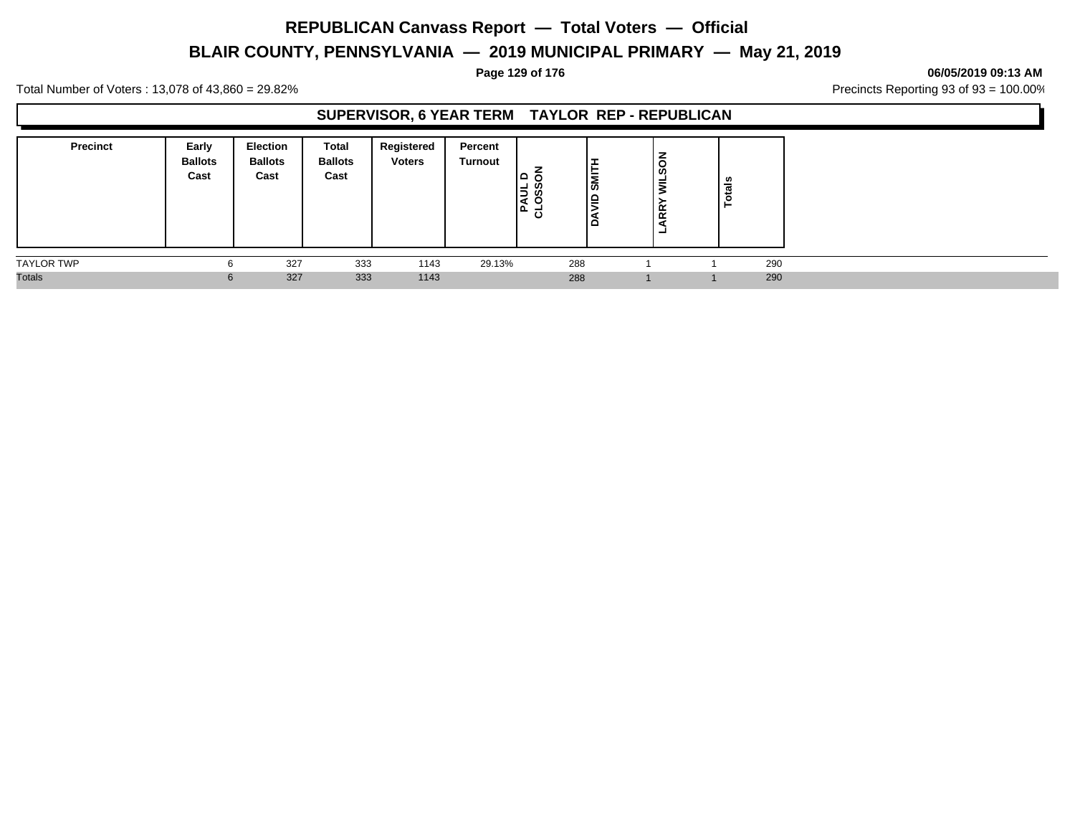# **BLAIR COUNTY, PENNSYLVANIA — 2019 MUNICIPAL PRIMARY — May 21, 2019**

#### **Page 129 of 176 06/05/2019 09:13 AM**

Total Number of Voters : 13,078 of 43,860 = 29.82% Precincts Reporting 93 of 93 = 100.00%

### **SUPERVISOR, 6 YEAR TERM TAYLOR REP - REPUBLICAN**

| <b>Precinct</b>   | Early<br><b>Ballots</b><br>Cast | <b>Election</b><br><b>Ballots</b><br>Cast | Total<br><b>Ballots</b><br>Cast | Registered<br><b>Voters</b> | Percent<br>Turnout | ▭<br>u<br>la<br>K<br>. ه ۱<br>ပ | ⊢<br>∣≘<br>▫ | $\overline{\text{so}}$<br>$\vec{z}$<br><b>RR</b> | . ഗ<br>ਨੌ |     |
|-------------------|---------------------------------|-------------------------------------------|---------------------------------|-----------------------------|--------------------|---------------------------------|--------------|--------------------------------------------------|-----------|-----|
| <b>TAYLOR TWP</b> | 6                               | 327                                       | 333                             | 1143                        | 29.13%             | 288                             |              |                                                  |           | 290 |
| <b>Totals</b>     | 6                               | 327                                       | 333                             | 1143                        |                    | 288                             |              |                                                  |           | 290 |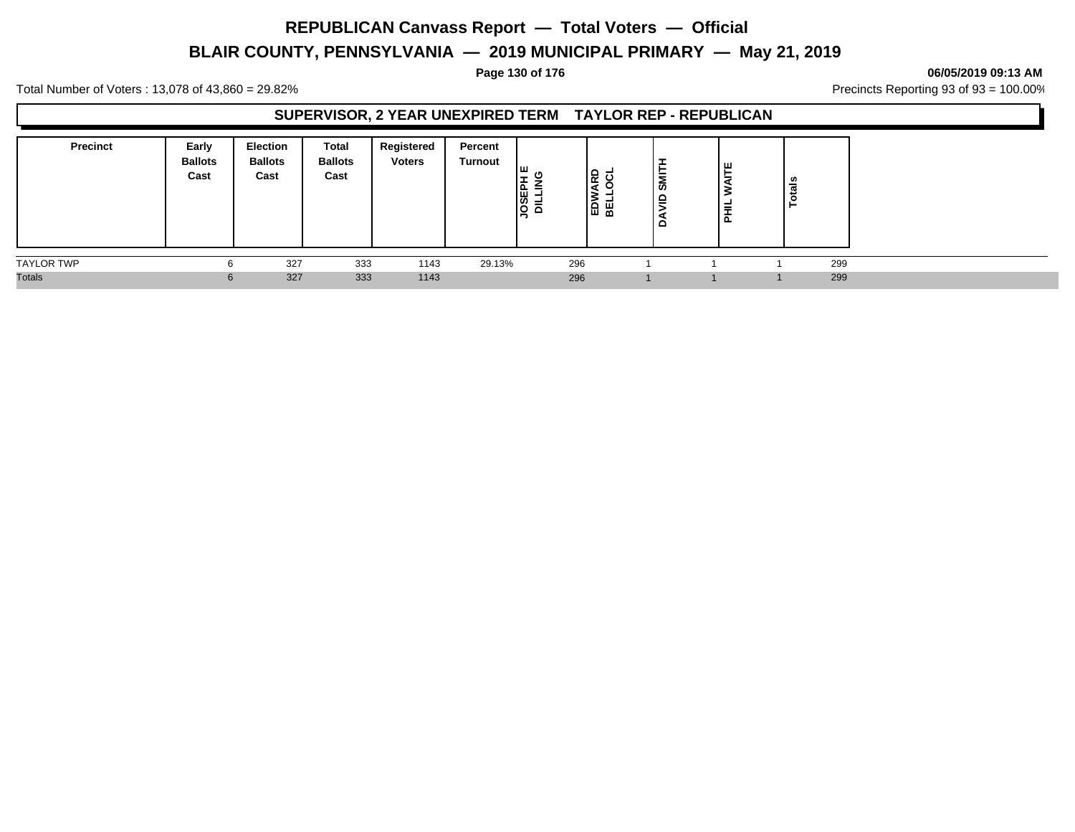# **BLAIR COUNTY, PENNSYLVANIA — 2019 MUNICIPAL PRIMARY — May 21, 2019**

**Page 130 of 176 06/05/2019 09:13 AM**

Total Number of Voters : 13,078 of 43,860 = 29.82% Precincts Reporting 93 of 93 = 100.00%

#### **SUPERVISOR, 2 YEAR UNEXPIRED TERM TAYLOR REP - REPUBLICAN**

| <b>Precinct</b>   | Early<br><b>Ballots</b><br>Cast | <b>Election</b><br><b>Ballots</b><br>Cast | Total<br><b>Ballots</b><br>Cast | Registered<br><b>Voters</b> | Percent<br>Turnout | Гш<br>-<br><b>NITTIR</b><br>HEBE | <u>ခြ</u><br>19 A | -<br>►<br>SMI<br>$\epsilon$<br>ă | ш<br>►<br>-<br>-<br>⋷<br>ᄒ | tais<br>$\circ$<br>- |  |
|-------------------|---------------------------------|-------------------------------------------|---------------------------------|-----------------------------|--------------------|----------------------------------|-------------------|----------------------------------|----------------------------|----------------------|--|
| <b>TAYLOR TWP</b> | n                               | 327                                       | 333                             | 1143                        | 29.13%             | 296                              |                   |                                  |                            | 299                  |  |
| <b>Totals</b>     | 6                               | 327                                       | 333                             | 1143                        |                    | 296                              |                   |                                  |                            | 299                  |  |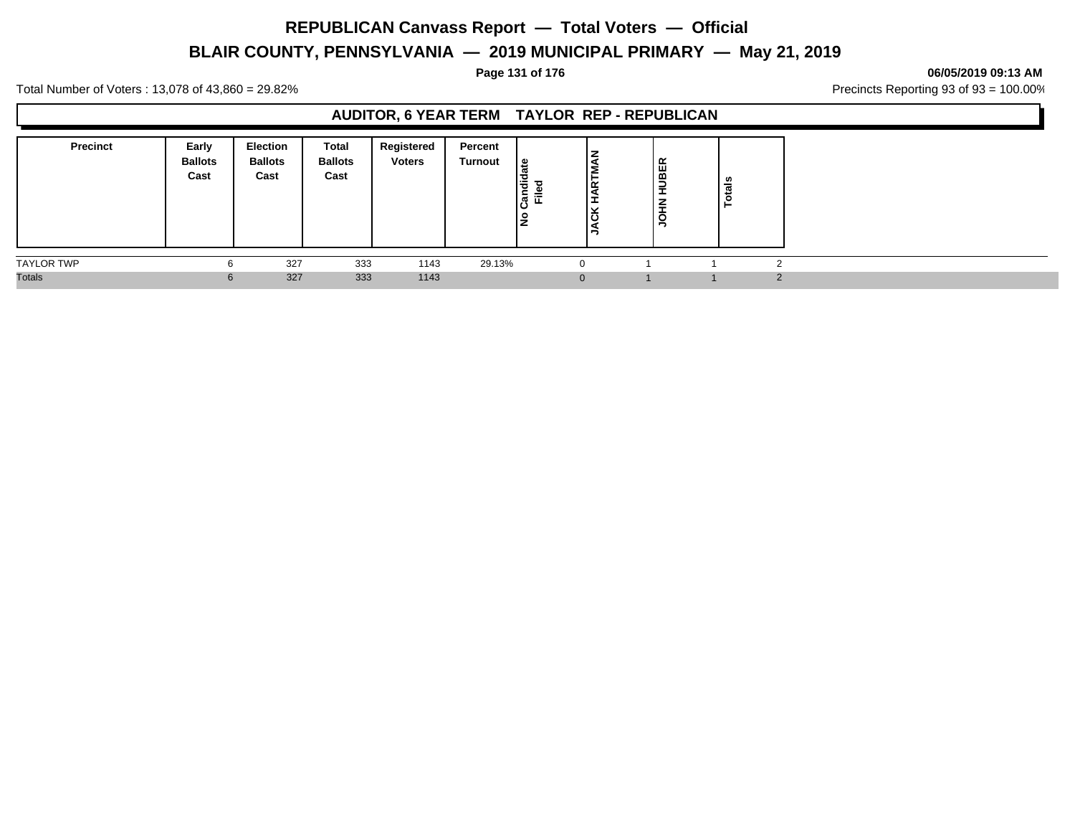# **BLAIR COUNTY, PENNSYLVANIA — 2019 MUNICIPAL PRIMARY — May 21, 2019**

#### **Page 131 of 176 06/05/2019 09:13 AM**

Total Number of Voters : 13,078 of 43,860 = 29.82% Precincts Reporting 93 of 93 = 100.00%

### **AUDITOR, 6 YEAR TERM TAYLOR REP - REPUBLICAN**

| <b>Precinct</b>   | Early<br><b>Ballots</b><br>Cast | Election<br><b>Ballots</b><br>Cast | Total<br><b>Ballots</b><br>Cast | Registered<br><b>Voters</b> | Percent<br>Turnout | ہ ا<br>F<br>᠇<br>έ<br>≈<br>ျပဳ<br>ட<br>٠<br>∠ | z<br>RT<br>س<br>. .<br>ີ<br>. .<br>10 | ≃<br>HUBEI<br>$\sum_{i=1}^{n}$<br>$\frac{1}{2}$ | ៖<br>ь |  |
|-------------------|---------------------------------|------------------------------------|---------------------------------|-----------------------------|--------------------|-----------------------------------------------|---------------------------------------|-------------------------------------------------|--------|--|
| <b>TAYLOR TWP</b> | n                               | 327                                | 333                             | 1143                        | 29.13%             |                                               |                                       |                                                 |        |  |
| <b>Totals</b>     | $\mathbf{p}$                    | 327                                | 333                             | 1143                        |                    |                                               | $\Omega$                              |                                                 |        |  |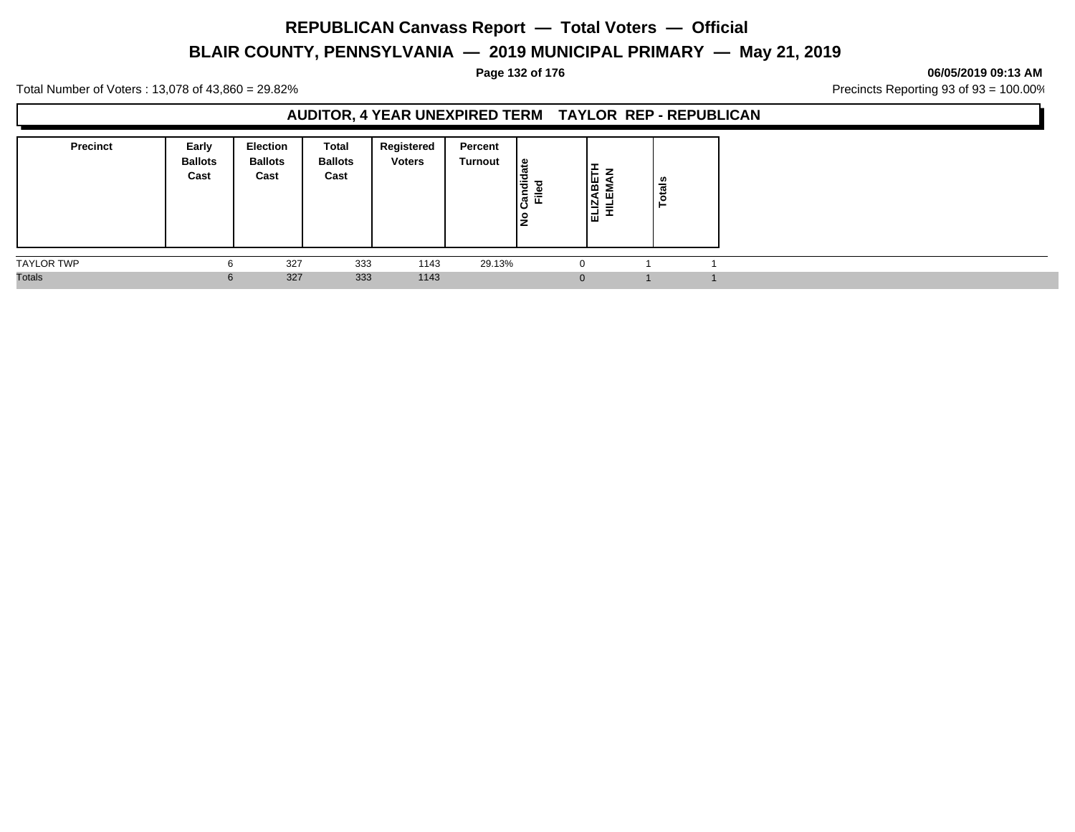# **BLAIR COUNTY, PENNSYLVANIA — 2019 MUNICIPAL PRIMARY — May 21, 2019**

#### **Page 132 of 176 06/05/2019 09:13 AM**

Total Number of Voters : 13,078 of 43,860 = 29.82% Precincts Reporting 93 of 93 = 100.00%

#### **AUDITOR, 4 YEAR UNEXPIRED TERM TAYLOR REP - REPUBLICAN**

| <b>Precinct</b>   | Early<br><b>Ballots</b><br>Cast | <b>Election</b><br><b>Ballots</b><br>Cast | Total<br><b>Ballots</b><br>Cast | Registered<br><b>Voters</b> | Percent<br>Turnout | ہ ا<br>Candid<br>Filed<br>٩ | ⊢<br><b>ABE</b><br>EMA<br>ELIZ<br>≡ | tais |  |
|-------------------|---------------------------------|-------------------------------------------|---------------------------------|-----------------------------|--------------------|-----------------------------|-------------------------------------|------|--|
| <b>TAYLOR TWP</b> | 6                               | 327                                       | 333                             | 1143                        | 29.13%             | $\Omega$                    |                                     |      |  |
| <b>Totals</b>     | 6                               | 327                                       | 333                             | 1143                        |                    | $\overline{0}$              |                                     |      |  |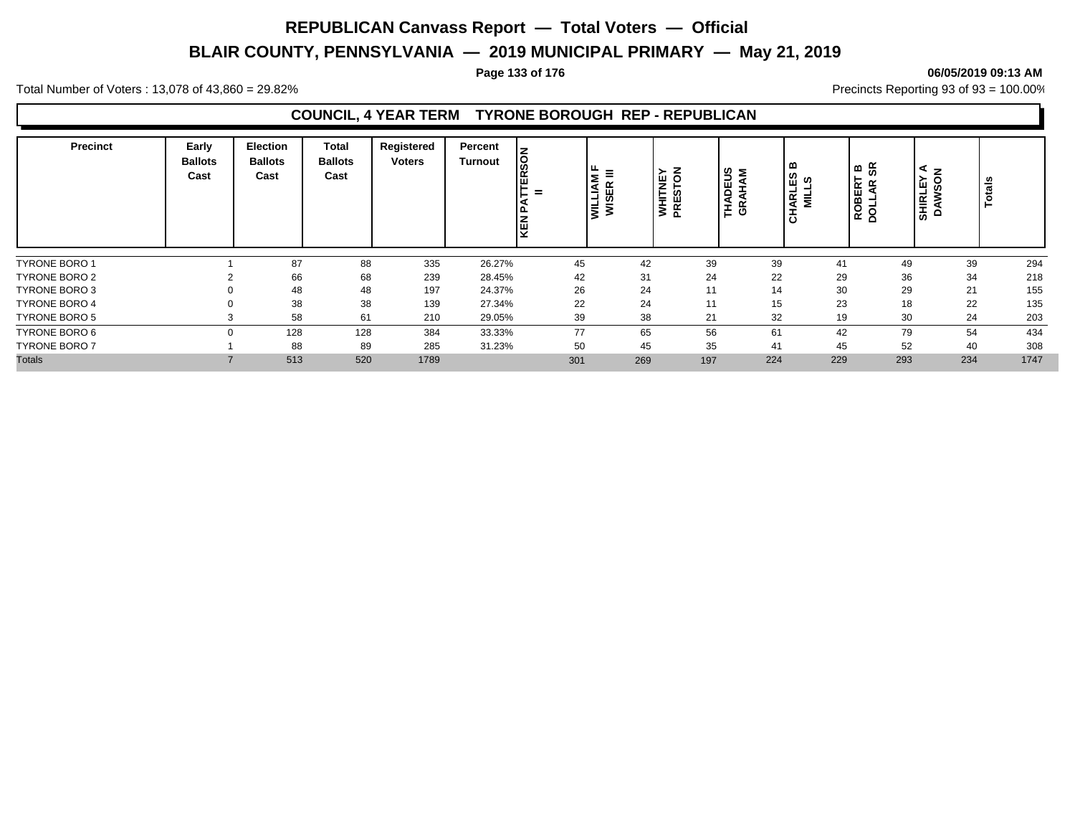# **BLAIR COUNTY, PENNSYLVANIA — 2019 MUNICIPAL PRIMARY — May 21, 2019**

#### **Page 133 of 176 06/05/2019 09:13 AM**

Total Number of Voters : 13,078 of 43,860 = 29.82% Precincts Reporting 93 of 93 = 100.00%

#### **COUNCIL, 4 YEAR TERM TYRONE BOROUGH REP - REPUBLICAN**

| <b>Precinct</b>      | Early<br><b>Ballots</b><br>Cast | <b>Election</b><br><b>Ballots</b><br>Cast | Total<br><b>Ballots</b><br>Cast | Registered<br><b>Voters</b> | Percent<br><b>Turnout</b> | <b>Sol</b><br>$\alpha$<br>ш<br>$=$<br>ξŪ | $\mu_{\mu} \equiv 1$<br>ξ<br>岛<br>—<br>┙<br>ø<br>∣≧ ≋ | 공 전<br>뿔<br>E.<br><b>NHI</b><br>PRES | <b>DEUS</b><br>RHAM<br><b>NHT</b><br>සි | ▫<br>ທ<br>ဖာ<br>ш<br>ᆜ<br>IARL<br>$\overline{\mathbf{z}}$ | စ &<br>ROBERT<br>DOLLAR \$ | z<br>≻<br>$\circ$<br><b>SHIRLE</b><br><b>SC</b><br>><br>≏ | ឹ<br>Tot |
|----------------------|---------------------------------|-------------------------------------------|---------------------------------|-----------------------------|---------------------------|------------------------------------------|-------------------------------------------------------|--------------------------------------|-----------------------------------------|-----------------------------------------------------------|----------------------------|-----------------------------------------------------------|----------|
| <b>TYRONE BORO 1</b> |                                 | 87                                        | 88                              | 335                         | 26.27%                    | 45                                       | 42                                                    | 39                                   | 39                                      | 41                                                        | 49                         | 39                                                        | 294      |
| TYRONE BORO 2        |                                 | 66                                        | 68                              | 239                         | 28.45%                    | 42                                       | 31                                                    | 24                                   | 22                                      | 29                                                        | 36                         | 34                                                        | 218      |
| <b>TYRONE BORO 3</b> | $\Omega$                        | 48                                        | 48                              | 197                         | 24.37%                    | 26                                       | 24                                                    | 11                                   | 14                                      | 30                                                        | 29                         | 21                                                        | 155      |
| <b>TYRONE BORO 4</b> |                                 | 38                                        | 38                              | 139                         | 27.34%                    | 22                                       | 24                                                    | 11                                   | 15                                      | 23                                                        | 18                         | 22                                                        | 135      |
| <b>TYRONE BORO 5</b> | C.                              | 58                                        | 61                              | 210                         | 29.05%                    | 39                                       | 38                                                    | 21                                   | 32                                      | 19                                                        | 30                         | 24                                                        | 203      |
| TYRONE BORO 6        | $\Omega$                        | 128                                       | 128                             | 384                         | 33.33%                    | 77                                       | 65                                                    | 56                                   | 61                                      | 42                                                        | 79                         | 54                                                        | 434      |
| <b>TYRONE BORO 7</b> |                                 | 88                                        | 89                              | 285                         | 31.23%                    | 50                                       | 45                                                    | 35                                   | 41                                      | 45                                                        | 52                         | 40                                                        | 308      |
| <b>Totals</b>        |                                 | 513                                       | 520                             | 1789                        |                           | 301                                      | 269                                                   | 197                                  | 224                                     | 229                                                       | 293                        | 234                                                       | 1747     |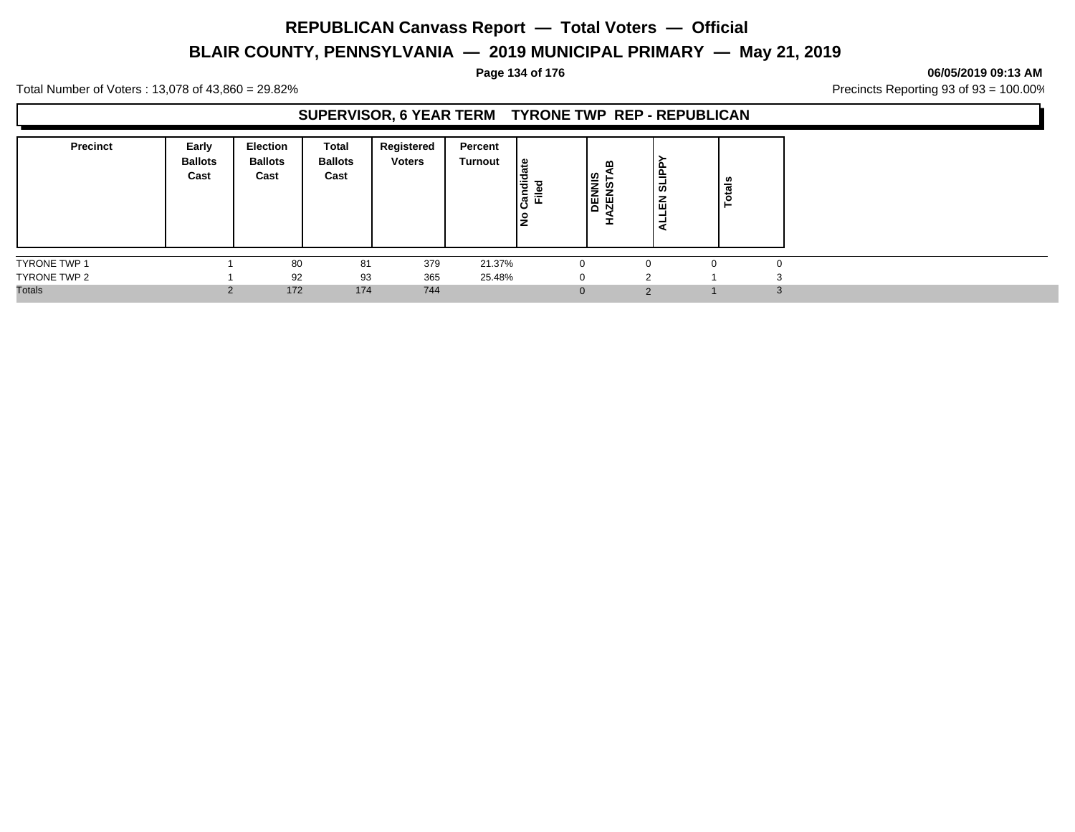# **BLAIR COUNTY, PENNSYLVANIA — 2019 MUNICIPAL PRIMARY — May 21, 2019**

#### **Page 134 of 176 06/05/2019 09:13 AM**

Total Number of Voters : 13,078 of 43,860 = 29.82% Precincts Reporting 93 of 93 = 100.00%

#### **SUPERVISOR, 6 YEAR TERM TYRONE TWP REP - REPUBLICAN**

| <b>Precinct</b>     | Early<br><b>Ballots</b><br>Cast | <b>Election</b><br><b>Ballots</b><br>Cast | Total<br><b>Ballots</b><br>Cast | Registered<br><b>Voters</b> | Percent<br>Turnout | ی  <br>Candi<br>┲<br>Ē<br>۱£ | ≃<br><b>DENNIS</b><br>ഴ<br>胃<br>⋖<br>I | o<br>흑<br>ದ<br>몺<br>۰<br>- | ឹ<br>تسعد<br>⊢ |  |
|---------------------|---------------------------------|-------------------------------------------|---------------------------------|-----------------------------|--------------------|------------------------------|----------------------------------------|----------------------------|----------------|--|
| <b>TYRONE TWP 1</b> |                                 | 80                                        | 81                              | 379                         | 21.37%             |                              |                                        |                            | $\Omega$       |  |
| TYRONE TWP 2        |                                 | 92                                        | 93                              | 365                         | 25.48%             |                              |                                        |                            |                |  |
| <b>Totals</b>       |                                 | 172                                       | 174                             | 744                         |                    | $\Omega$                     |                                        | $\Omega$                   |                |  |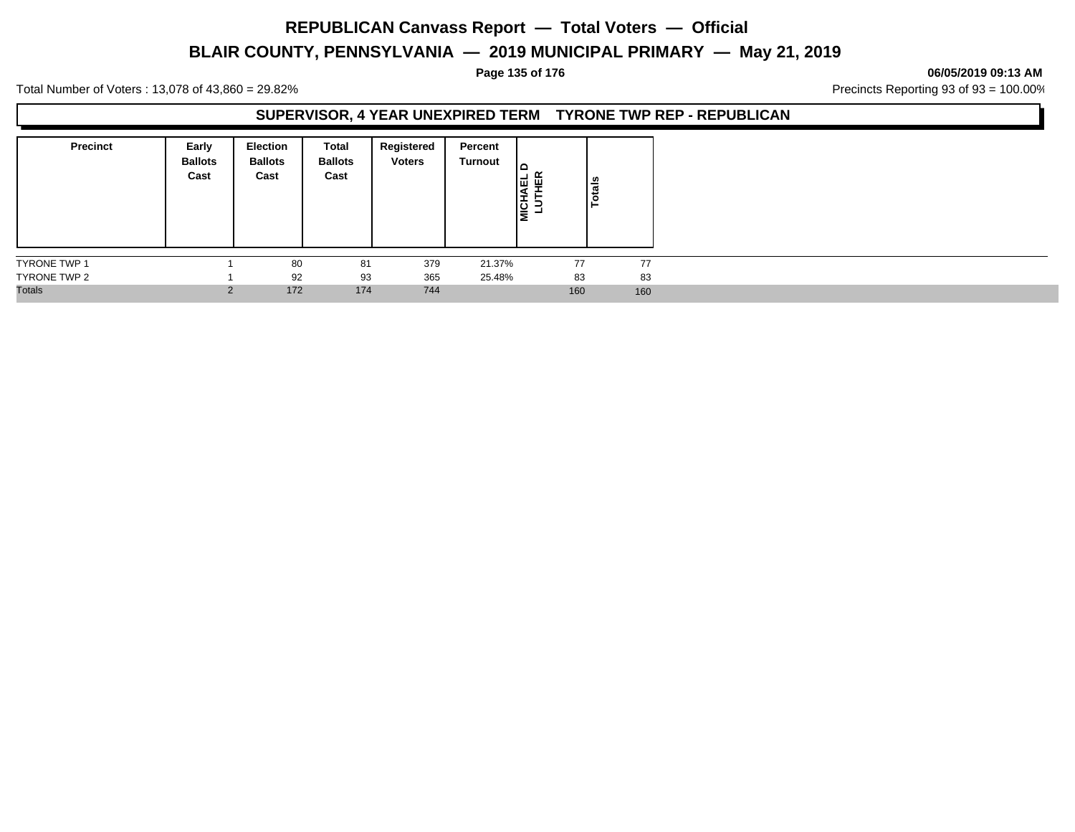# **BLAIR COUNTY, PENNSYLVANIA — 2019 MUNICIPAL PRIMARY — May 21, 2019**

#### **Page 135 of 176 06/05/2019 09:13 AM**

Total Number of Voters : 13,078 of 43,860 = 29.82% Precincts Reporting 93 of 93 = 100.00%

#### **SUPERVISOR, 4 YEAR UNEXPIRED TERM TYRONE TWP REP - REPUBLICAN**

| <b>Precinct</b> | Early<br><b>Ballots</b><br>Cast | Election<br><b>Ballots</b><br>Cast | Total<br><b>Ballots</b><br>Cast | Registered<br><b>Voters</b> | Percent<br>Turnout | ∣ല<br>떝<br>١ų<br><b>MICHA</b> | Totals |
|-----------------|---------------------------------|------------------------------------|---------------------------------|-----------------------------|--------------------|-------------------------------|--------|
| TYRONE TWP 1    |                                 | 80                                 | 81                              | 379                         | 21.37%             | 77                            | 77     |
| TYRONE TWP 2    |                                 | 92                                 | 93                              | 365                         | 25.48%             | 83                            | 83     |
| <b>Totals</b>   | 2                               | 172                                | 174                             | 744                         |                    | 160                           | 160    |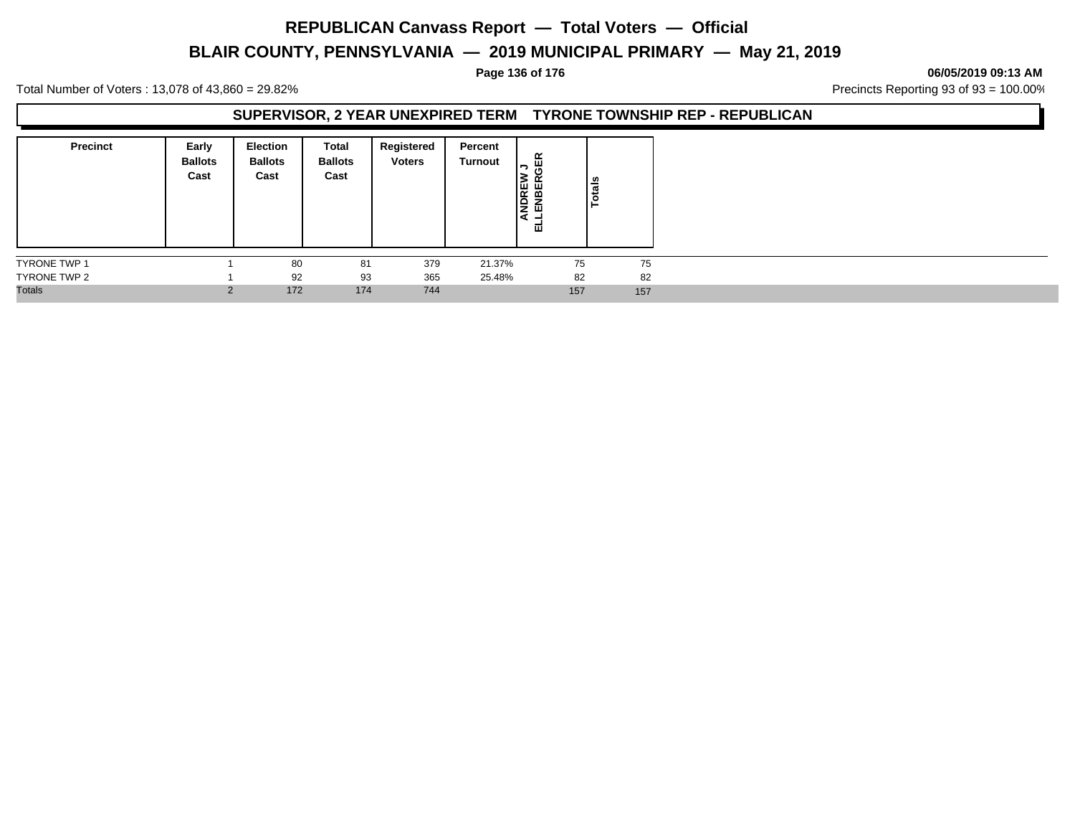# **BLAIR COUNTY, PENNSYLVANIA — 2019 MUNICIPAL PRIMARY — May 21, 2019**

#### **Page 136 of 176 06/05/2019 09:13 AM**

Total Number of Voters : 13,078 of 43,860 = 29.82% Precincts Reporting 93 of 93 = 100.00%

#### **SUPERVISOR, 2 YEAR UNEXPIRED TERM TYRONE TOWNSHIP REP - REPUBLICAN**

| <b>Precinct</b>     | Early<br><b>Ballots</b><br>Cast | <b>Election</b><br><b>Ballots</b><br>Cast | Total<br><b>Ballots</b><br>Cast | Registered<br><b>Voters</b> | Percent<br>Turnout | 띥<br>っ<br>ANDREW<br>LENBER<br>ᇳ | otals |
|---------------------|---------------------------------|-------------------------------------------|---------------------------------|-----------------------------|--------------------|---------------------------------|-------|
| <b>TYRONE TWP 1</b> |                                 | 80                                        | 81                              | 379                         | 21.37%             | 75                              | 75    |
| TYRONE TWP 2        |                                 | 92                                        | 93                              | 365                         | 25.48%             | 82                              | 82    |
| <b>Totals</b>       | $\Omega$                        | 172                                       | 174                             | 744                         |                    | 157                             | 157   |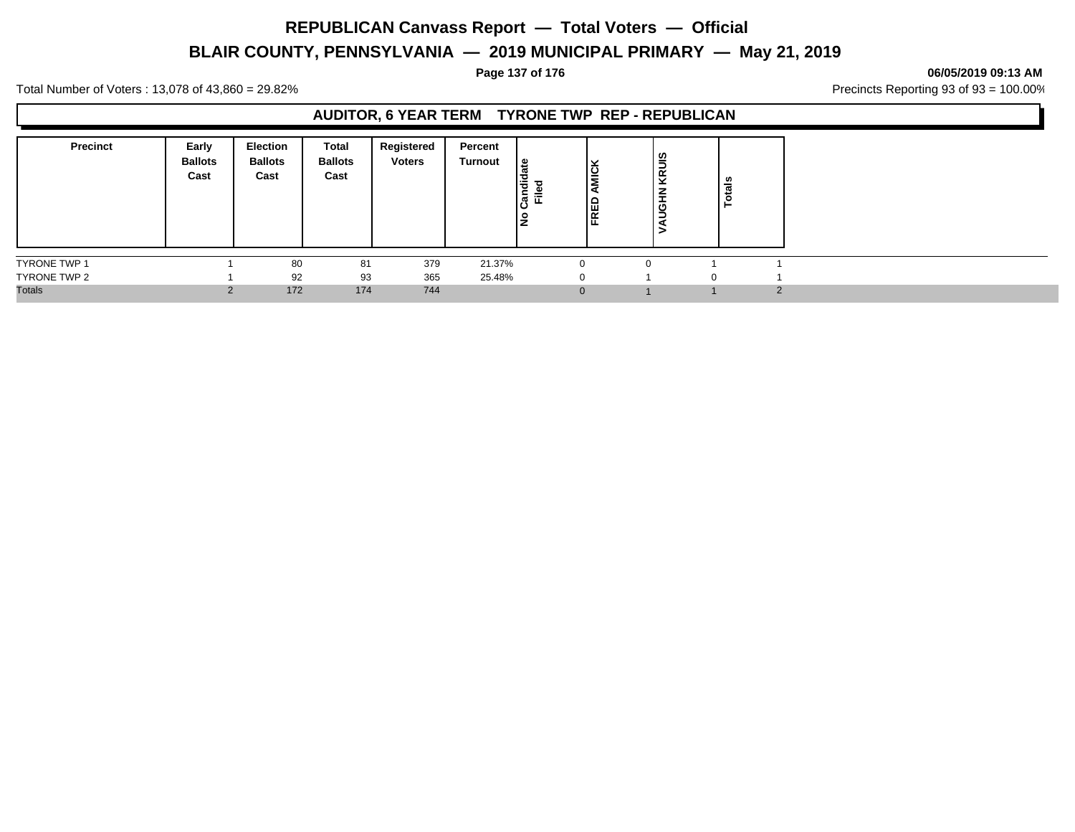# **BLAIR COUNTY, PENNSYLVANIA — 2019 MUNICIPAL PRIMARY — May 21, 2019**

#### **Page 137 of 176 06/05/2019 09:13 AM**

Total Number of Voters : 13,078 of 43,860 = 29.82% Precincts Reporting 93 of 93 = 100.00%

#### **AUDITOR, 6 YEAR TERM TYRONE TWP REP - REPUBLICAN**

| <b>Precinct</b> | Early<br><b>Ballots</b><br>Cast | <b>Election</b><br><b>Ballots</b><br>Cast | Total<br><b>Ballots</b><br>Cast | Registered<br>Voters | Percent<br>Turnout | ی  <br>Candid<br>Ē<br>$\frac{1}{2}$ | ⊻<br><b>NIC</b><br>ER<br>ER | KRUIS<br><b>H</b> BO | n<br>ਛ<br>تنعد |   |
|-----------------|---------------------------------|-------------------------------------------|---------------------------------|----------------------|--------------------|-------------------------------------|-----------------------------|----------------------|----------------|---|
| TYRONE TWP 1    |                                 | 80                                        | 81                              | 379                  | 21.37%             | $\Omega$                            |                             |                      |                |   |
| TYRONE TWP 2    |                                 | 92                                        | 93                              | 365                  | 25.48%             | $\Omega$                            |                             |                      |                |   |
| <b>Totals</b>   |                                 | 172                                       | 174                             | 744                  |                    | $\mathbf{0}$                        |                             |                      |                | റ |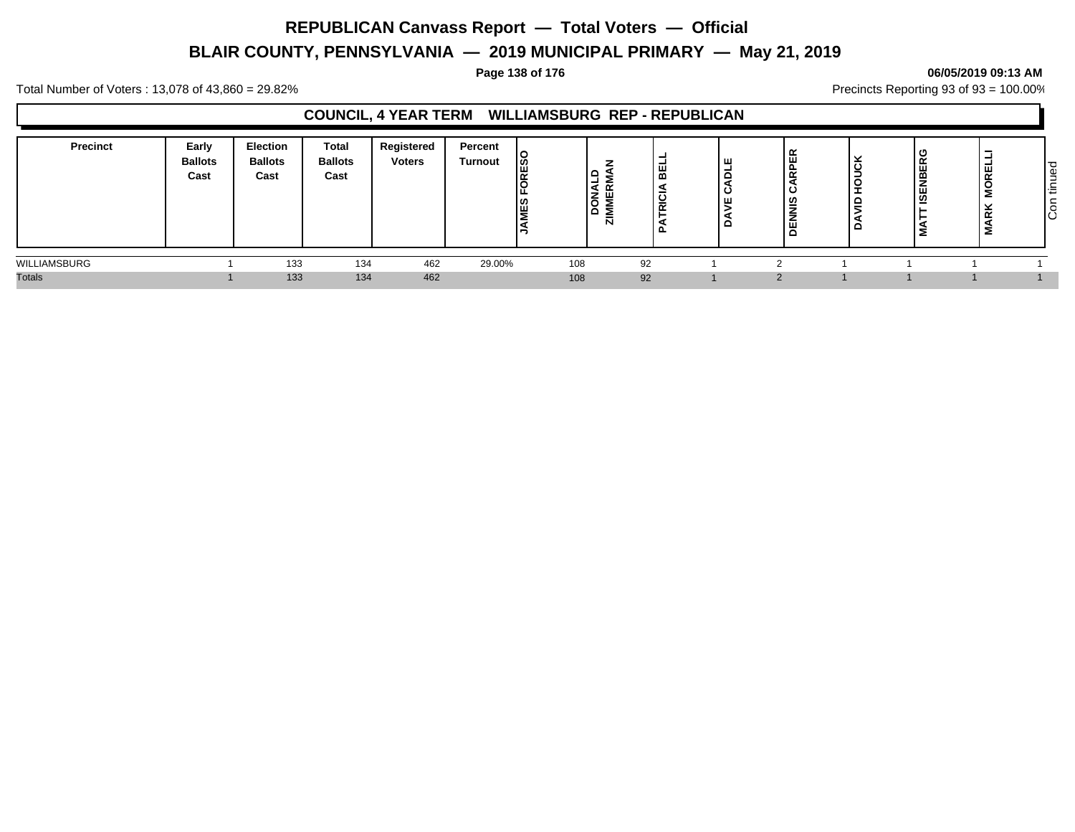# **BLAIR COUNTY, PENNSYLVANIA — 2019 MUNICIPAL PRIMARY — May 21, 2019**

#### **Page 138 of 176 06/05/2019 09:13 AM**

Total Number of Voters : 13,078 of 43,860 = 29.82% Precincts Reporting 93 of 93 = 100.00%

### **COUNCIL, 4 YEAR TERM WILLIAMSBURG REP - REPUBLICAN**

| Precinct      | Early<br><b>Ballots</b><br>Cast | <b>Election</b><br><b>Ballots</b><br>Cast | <b>Total</b><br><b>Ballots</b><br>Cast | Registered<br><b>Voters</b> | Percent<br><b>Turnout</b> | ၊္တ<br>ш<br>ΙC<br><b>S</b> E | ٠<br>$\sim$<br>- 14<br>۱õ<br>۱ō<br>-<br>N | $\alpha$<br>-<br>$\bullet$<br>-<br>$\tilde{\phantom{a}}$ | ш<br>-<br>Ō<br>ပ<br>ш<br>o | ≃<br>ш<br>$\overline{\phantom{a}}$<br><u>ש</u><br>ш | Ë<br>-<br>⋍ | $\sim$<br>$\cdots$<br>щ<br>--<br>ஜ<br>÷<br>验 | -<br>-<br><b>MOREL</b><br>×.<br>$\propto$<br>Σ | tinued<br>$\overline{\phantom{0}}$<br>ြင် |
|---------------|---------------------------------|-------------------------------------------|----------------------------------------|-----------------------------|---------------------------|------------------------------|-------------------------------------------|----------------------------------------------------------|----------------------------|-----------------------------------------------------|-------------|----------------------------------------------|------------------------------------------------|-------------------------------------------|
| WILLIAMSBURG  |                                 | 133                                       | 134                                    | 462                         | 29.00%                    | 108                          |                                           | 92                                                       |                            |                                                     |             |                                              |                                                |                                           |
| <b>Totals</b> |                                 | 133                                       | 134                                    | 462                         |                           | 108                          |                                           | 92                                                       |                            |                                                     |             |                                              |                                                |                                           |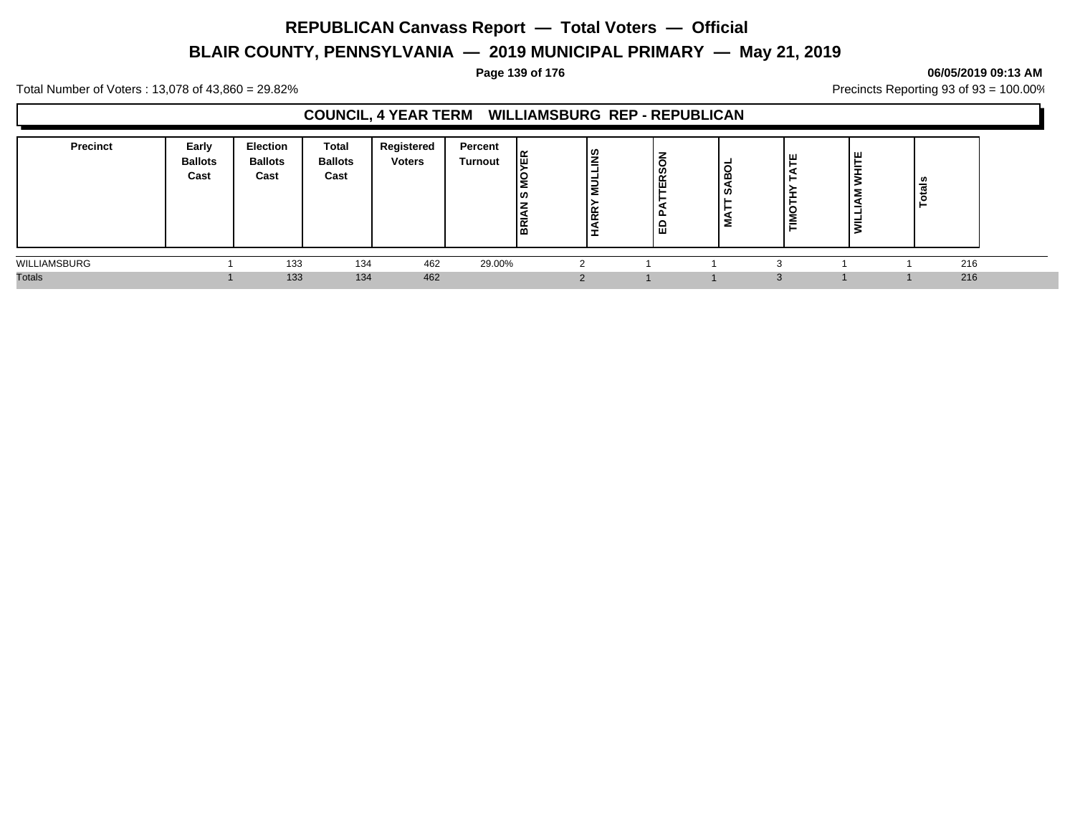# **BLAIR COUNTY, PENNSYLVANIA — 2019 MUNICIPAL PRIMARY — May 21, 2019**

#### **Page 139 of 176 06/05/2019 09:13 AM**

Total Number of Voters : 13,078 of 43,860 = 29.82% Precincts Reporting 93 of 93 = 100.00%

#### **COUNCIL, 4 YEAR TERM WILLIAMSBURG REP - REPUBLICAN**

| <b>Precinct</b> | Early<br><b>Ballots</b><br>Cast | <b>Election</b><br><b>Ballots</b><br>Cast | <b>Total</b><br><b>Ballots</b><br>Cast | Registered<br><b>Voters</b> | Percent<br>Turnout | 띥<br>ທ<br><b>RE</b> | l≌<br><b>N</b><br><b>ARR</b><br>- | ∼<br>ERS<br>ட<br>「量 | ω<br>Σ | TATE<br>▸<br>TIMOTH | ш<br>$\overline{\phantom{a}}$ | $\overline{a}$<br>− |  |
|-----------------|---------------------------------|-------------------------------------------|----------------------------------------|-----------------------------|--------------------|---------------------|-----------------------------------|---------------------|--------|---------------------|-------------------------------|---------------------|--|
| WILLIAMSBURG    |                                 | 133                                       | 134                                    | 462                         | 29.00%             |                     |                                   |                     |        |                     |                               | 216                 |  |
| <b>Totals</b>   |                                 | 133                                       | 134                                    | 462                         |                    |                     |                                   |                     |        |                     |                               | 216                 |  |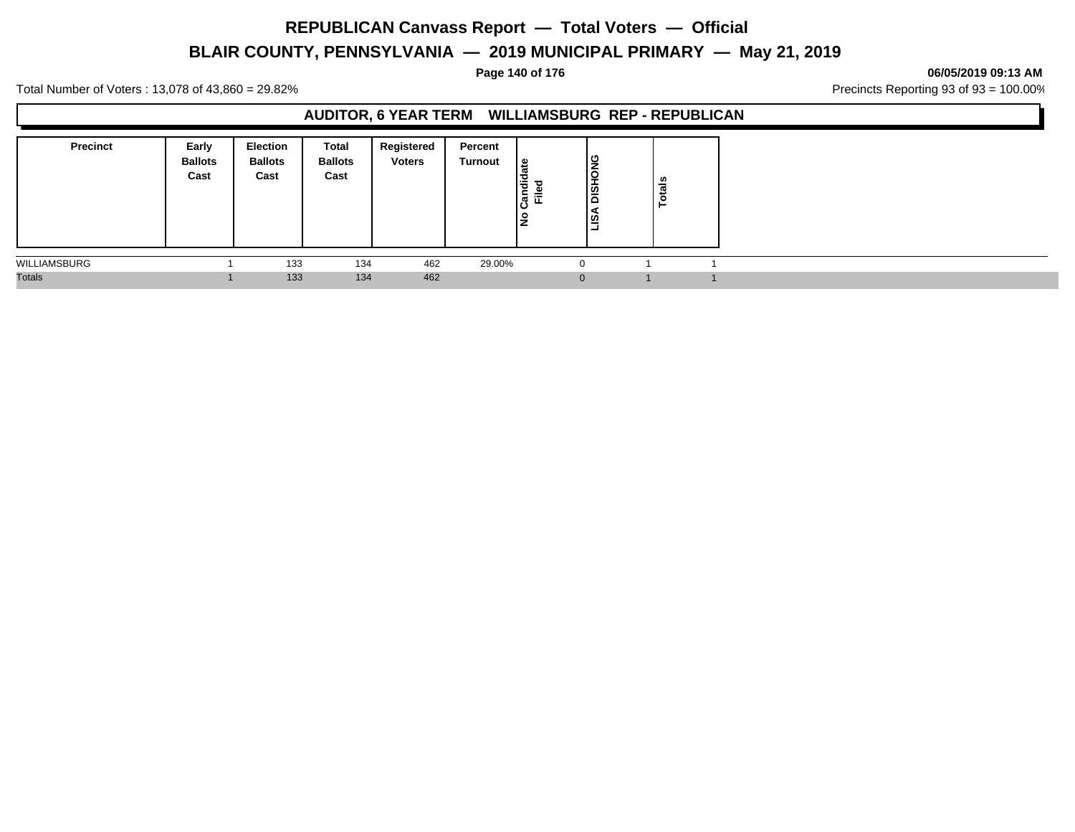# **BLAIR COUNTY, PENNSYLVANIA — 2019 MUNICIPAL PRIMARY — May 21, 2019**

#### **Page 140 of 176 06/05/2019 09:13 AM**

Total Number of Voters : 13,078 of 43,860 = 29.82% Precincts Reporting 93 of 93 = 100.00%

#### **AUDITOR, 6 YEAR TERM WILLIAMSBURG REP - REPUBLICAN**

| <b>Precinct</b> | Early<br><b>Ballots</b><br>Cast | <b>Election</b><br><b>Ballots</b><br>Cast | Total<br><b>Ballots</b><br>Cast | Registered<br><b>Voters</b> | Percent<br>Turnout | ی  <br>Candi<br>≔<br>ш<br>١£ | DISHONG<br>ls. | <b>Totals</b> |  |
|-----------------|---------------------------------|-------------------------------------------|---------------------------------|-----------------------------|--------------------|------------------------------|----------------|---------------|--|
| WILLIAMSBURG    |                                 | 133                                       | 134                             | 462                         | 29.00%             |                              | $\Omega$       |               |  |
| <b>Totals</b>   |                                 | 133                                       | 134                             | 462                         |                    |                              | $\Omega$       |               |  |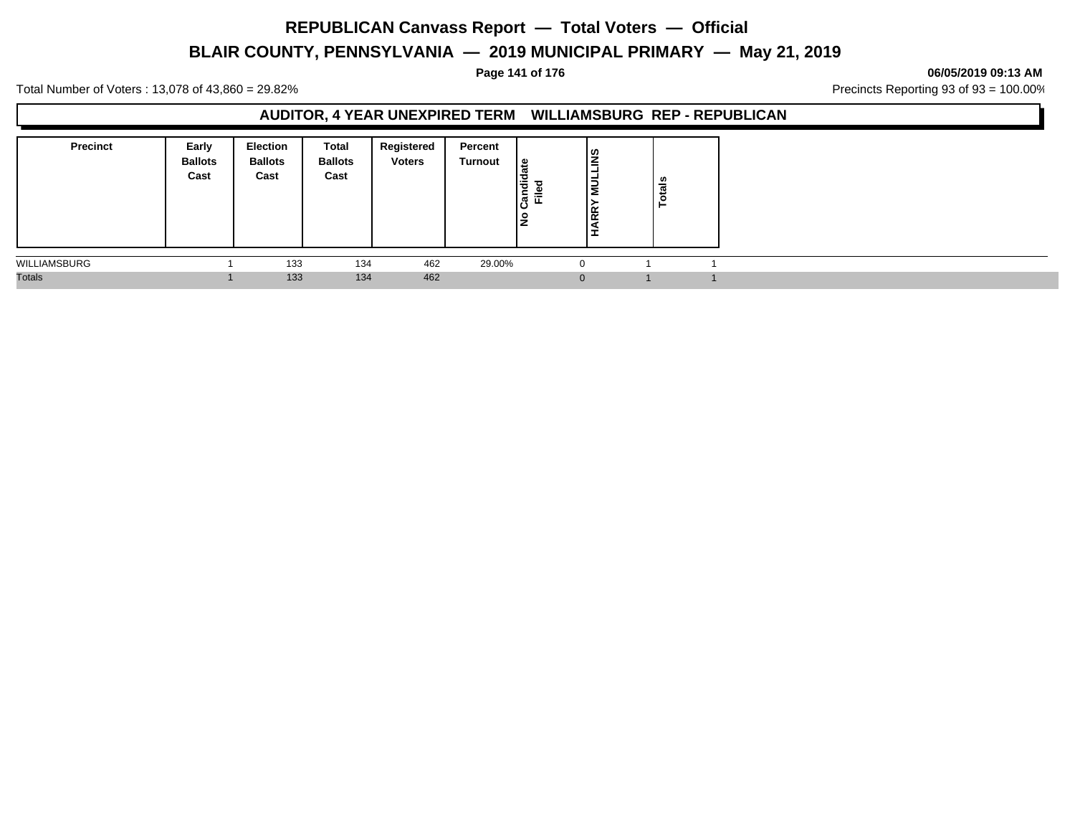# **BLAIR COUNTY, PENNSYLVANIA — 2019 MUNICIPAL PRIMARY — May 21, 2019**

#### **Page 141 of 176 06/05/2019 09:13 AM**

Total Number of Voters : 13,078 of 43,860 = 29.82% Precincts Reporting 93 of 93 = 100.00%

#### **AUDITOR, 4 YEAR UNEXPIRED TERM WILLIAMSBURG REP - REPUBLICAN**

| <b>Precinct</b> | Early<br><b>Ballots</b><br>Cast | <b>Election</b><br><b>Ballots</b><br>Cast | Total<br><b>Ballots</b><br>Cast | Registered<br><b>Voters</b> | Percent<br>Turnout | ہ  <br>Candid<br>≔<br>щ<br>١ş | ا≅<br>−<br>∍<br>Ξ<br><b>R</b> | ៖<br>تت<br>$\mathbf{O}$ |  |
|-----------------|---------------------------------|-------------------------------------------|---------------------------------|-----------------------------|--------------------|-------------------------------|-------------------------------|-------------------------|--|
| WILLIAMSBURG    |                                 | 133                                       | 134                             | 462                         | 29.00%             | -0                            |                               |                         |  |
| <b>Totals</b>   |                                 | 133                                       | 134                             | 462                         |                    |                               | $\Omega$                      |                         |  |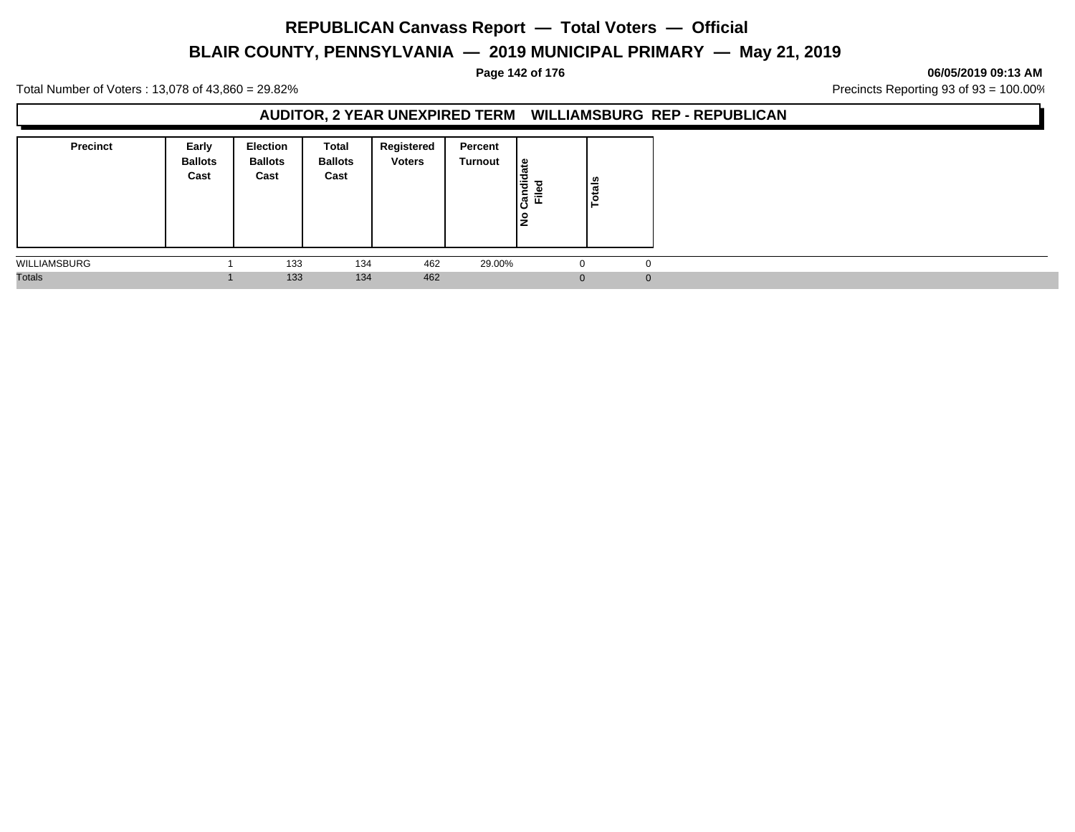# **BLAIR COUNTY, PENNSYLVANIA — 2019 MUNICIPAL PRIMARY — May 21, 2019**

#### **Page 142 of 176 06/05/2019 09:13 AM**

Total Number of Voters : 13,078 of 43,860 = 29.82% Precincts Reporting 93 of 93 = 100.00%

#### **AUDITOR, 2 YEAR UNEXPIRED TERM WILLIAMSBURG REP - REPUBLICAN**

| <b>Precinct</b> | Early<br><b>Ballots</b><br>Cast | <b>Election</b><br><b>Ballots</b><br>Cast | Total<br><b>Ballots</b><br>Cast | Registered<br><b>Voters</b> | Percent<br>Turnout | ீ<br>Candid<br>ு<br>≔<br>ш<br>١z | <b>Totals</b> |  |
|-----------------|---------------------------------|-------------------------------------------|---------------------------------|-----------------------------|--------------------|----------------------------------|---------------|--|
| WILLIAMSBURG    |                                 | 133                                       | 134                             | 462                         | 29.00%             | U                                |               |  |
| <b>Totals</b>   |                                 | 133                                       | 134                             | 462                         |                    | $\Omega$                         |               |  |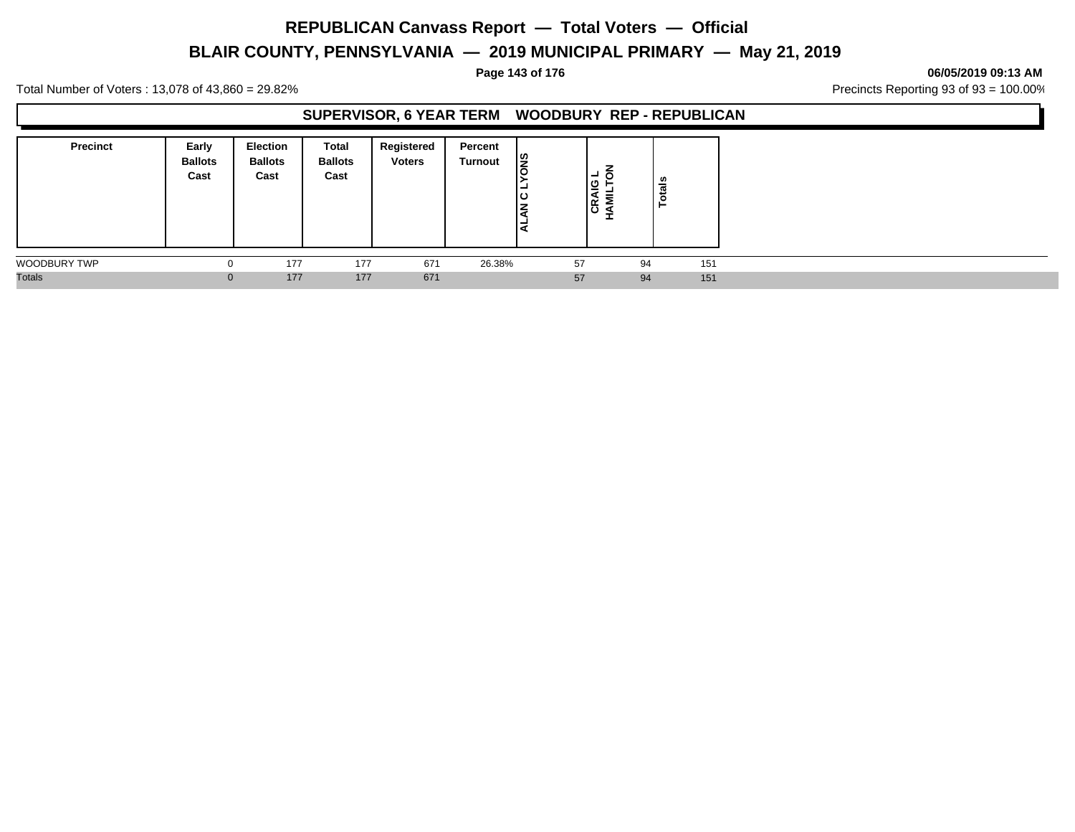# **BLAIR COUNTY, PENNSYLVANIA — 2019 MUNICIPAL PRIMARY — May 21, 2019**

#### **Page 143 of 176 06/05/2019 09:13 AM**

Total Number of Voters : 13,078 of 43,860 = 29.82% Precincts Reporting 93 of 93 = 100.00%

#### **SUPERVISOR, 6 YEAR TERM WOODBURY REP - REPUBLICAN**

| <b>Precinct</b> | Early<br><b>Ballots</b><br>Cast | <b>Election</b><br><b>Ballots</b><br>Cast | Total<br><b>Ballots</b><br>Cast | Registered<br><b>Voters</b> | Percent<br>Turnout | l≌<br>-<br>ιပ<br>⇁<br>-<br>∍י | -<br> ഇ<br>=<br>∼<br>ခြ | ៖  |     |
|-----------------|---------------------------------|-------------------------------------------|---------------------------------|-----------------------------|--------------------|-------------------------------|-------------------------|----|-----|
| WOODBURY TWP    |                                 | 177                                       | 177                             | 671                         | 26.38%             | 57                            |                         | 94 | 151 |
| <b>Totals</b>   | $\Omega$                        | 177                                       | 177                             | 671                         |                    | 57                            |                         | 94 | 151 |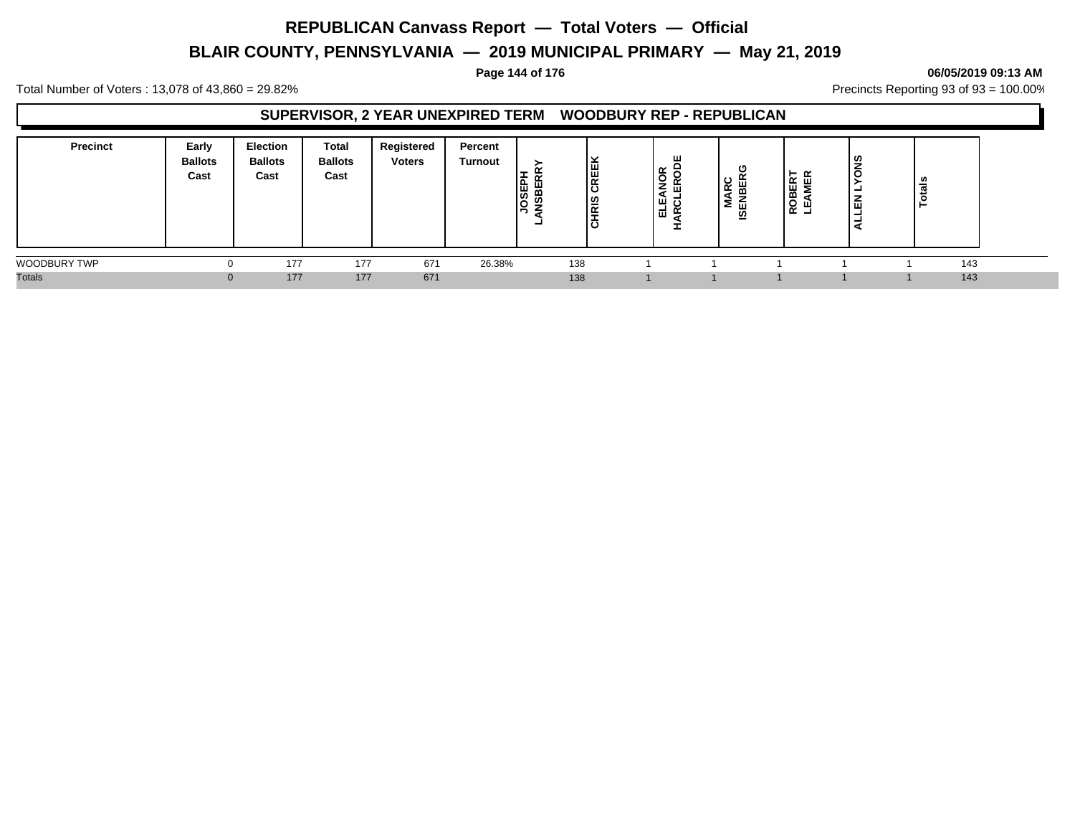# **BLAIR COUNTY, PENNSYLVANIA — 2019 MUNICIPAL PRIMARY — May 21, 2019**

#### **Page 144 of 176 06/05/2019 09:13 AM**

Total Number of Voters : 13,078 of 43,860 = 29.82% Precincts Reporting 93 of 93 = 100.00%

#### **SUPERVISOR, 2 YEAR UNEXPIRED TERM WOODBURY REP - REPUBLICAN**

| <b>Precinct</b>     | Early<br><b>Ballots</b><br>Cast | <b>Election</b><br><b>Ballots</b><br>Cast | Total<br><b>Ballots</b><br>Cast | Registered<br><b>Voters</b> | Percent<br><b>Turnout</b> | JOSEPI<br>NSBER | CREEK<br>l≌<br>lठ | ш<br>õ<br>.<br>щ<br>2<br>파 | U<br>-4<br>œ<br>--<br>₽<br>≨<br>面<br>- | -<br>ROBER <sup>-</sup><br>ш | ທ<br>$\circ$<br>-<br>画<br>- | <b>tals</b><br>⊢ |
|---------------------|---------------------------------|-------------------------------------------|---------------------------------|-----------------------------|---------------------------|-----------------|-------------------|----------------------------|----------------------------------------|------------------------------|-----------------------------|------------------|
| <b>WOODBURY TWP</b> |                                 | 177                                       | 177                             | 671                         | 26.38%                    | 138             |                   |                            |                                        |                              |                             | 143              |
| <b>Totals</b>       |                                 | 177                                       | 177                             | 671                         |                           | 138             |                   |                            |                                        |                              |                             | 143              |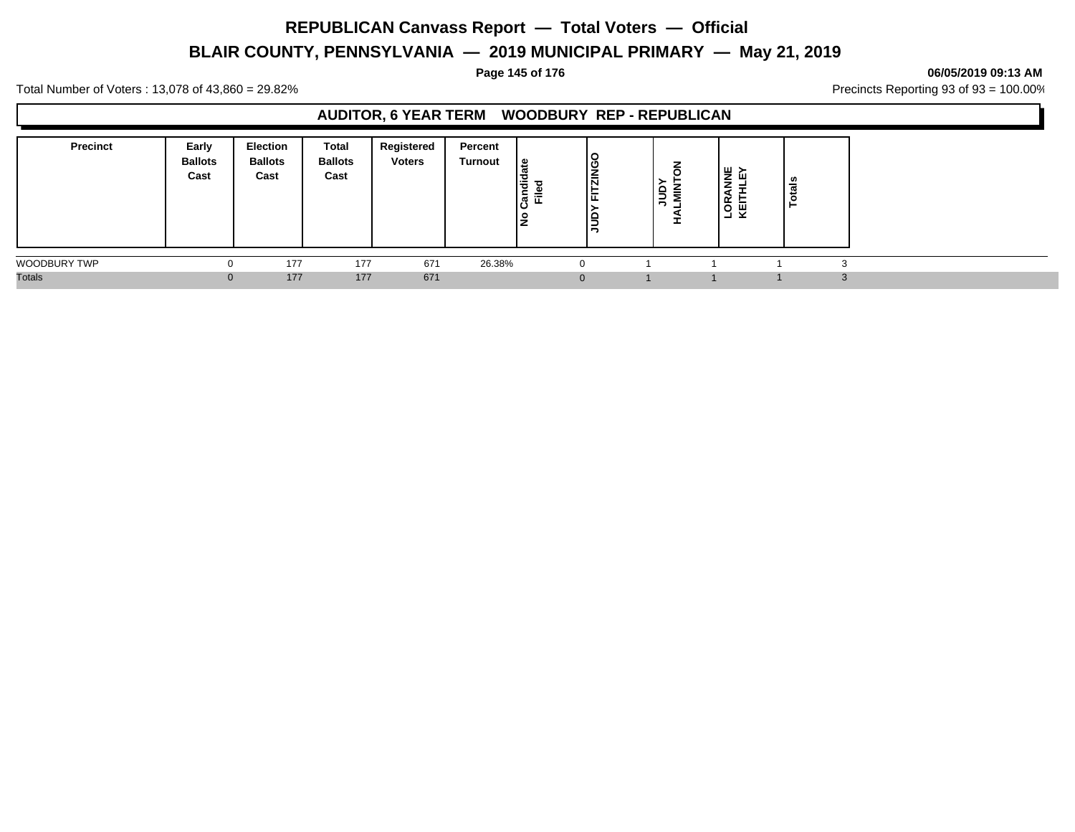# **BLAIR COUNTY, PENNSYLVANIA — 2019 MUNICIPAL PRIMARY — May 21, 2019**

**Page 145 of 176 06/05/2019 09:13 AM**

Total Number of Voters : 13,078 of 43,860 = 29.82% Precincts Reporting 93 of 93 = 100.00%

### **AUDITOR, 6 YEAR TERM WOODBURY REP - REPUBLICAN**

| <b>Precinct</b> | Early<br><b>Ballots</b><br>Cast | <b>Election</b><br><b>Ballots</b><br>Cast | Total<br><b>Ballots</b><br>Cast | Registered<br><b>Voters</b> | Percent<br>Turnout | ூ<br>idic<br>Ѣ<br>≓<br>ြွပြီ<br>щ<br>Ρs | טו<br>ر) ا<br>١Ŕ<br><b>.</b><br>щ. | "e<br>- 2<br>- | ш<br>-<br>≃<br>ᅙᅖ<br>⊻<br>- | tais<br>$\circ$<br>− |
|-----------------|---------------------------------|-------------------------------------------|---------------------------------|-----------------------------|--------------------|-----------------------------------------|------------------------------------|----------------|-----------------------------|----------------------|
| WOODBURY TWP    | υ                               | 177                                       | 177                             | 671                         | 26.38%             |                                         |                                    |                |                             |                      |
| <b>Totals</b>   | $\mathbf{0}$                    | 177                                       | 177                             | 671                         |                    |                                         | 0                                  |                |                             | 3                    |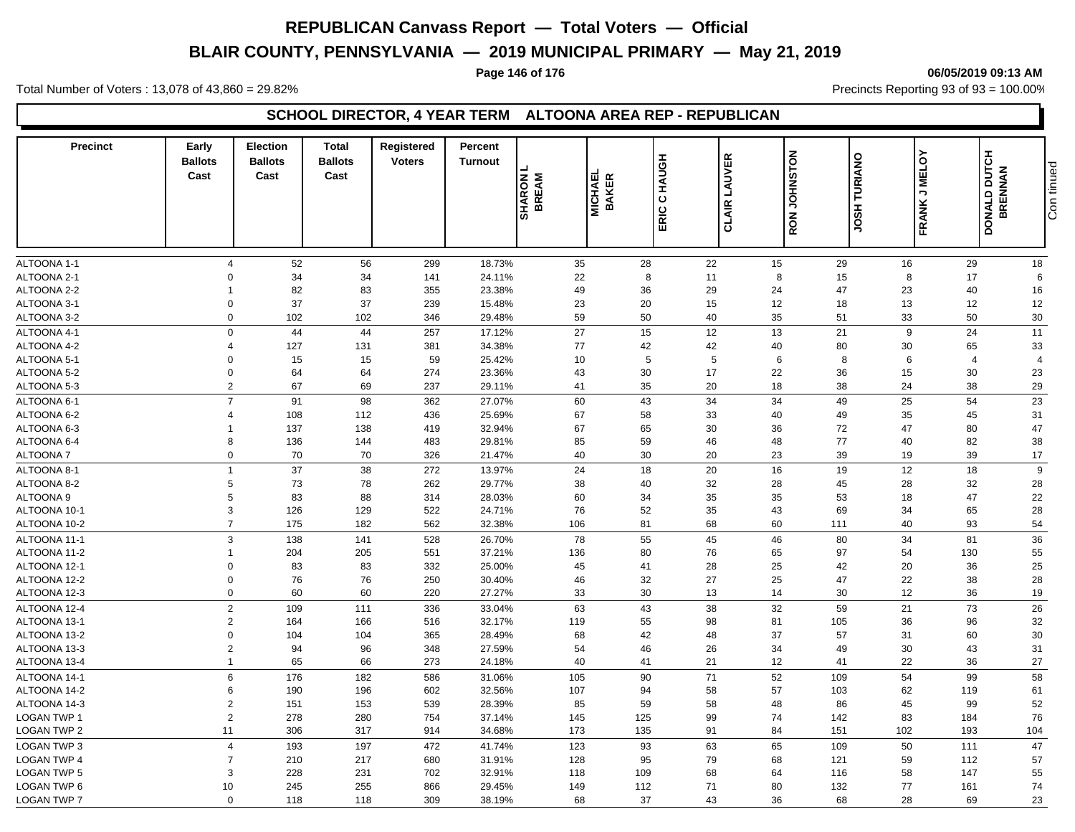# **BLAIR COUNTY, PENNSYLVANIA — 2019 MUNICIPAL PRIMARY — May 21, 2019**

### **Page 146 of 176 06/05/2019 09:13 AM**

Total Number of Voters : 13,078 of 43,860 = 29.82% Precincts Reporting 93 of 93 = 100.00%

### **SCHOOL DIRECTOR, 4 YEAR TERM ALTOONA AREA REP - REPUBLICAN**

| <b>Precinct</b>                | Early<br><b>Ballots</b><br>Cast | <b>Election</b><br><b>Ballots</b><br>Cast | <b>Total</b><br><b>Ballots</b><br>Cast | Registered<br><b>Voters</b> | Percent<br><b>Turnout</b> | <b>SHARON</b><br><b>BREAM</b> | <b>MICHAEL</b><br><b>BAKER</b> | C HAUGH<br>ERIC | LAUVER<br><b>CLAIR</b> | <b>NOLISNHOL</b><br>HSOL<br>RON | ò<br>TURIANO<br>FRANK J MEL | DONALD DUTCH   | Con tinued<br><b>BRENNAN</b> |
|--------------------------------|---------------------------------|-------------------------------------------|----------------------------------------|-----------------------------|---------------------------|-------------------------------|--------------------------------|-----------------|------------------------|---------------------------------|-----------------------------|----------------|------------------------------|
|                                |                                 |                                           |                                        |                             |                           |                               |                                |                 |                        |                                 |                             |                |                              |
| ALTOONA 1-1                    |                                 | $\overline{4}$                            | 56                                     | 299                         | 18.73%                    | 35                            | 28                             | 22              | 15                     | 29                              | 16                          | 29             | 18                           |
| ALTOONA 2-1                    |                                 | 52<br>$\Omega$<br>34                      | 34                                     | 141                         | 24.11%                    | 22                            | 8                              | 11              | 8                      | 15                              | 8                           | 17             | 6                            |
| ALTOONA 2-2                    | $\overline{1}$                  | 82                                        | 83                                     | 355                         | 23.38%                    | 49                            | 36                             | 29              | 24                     | 47                              | 23                          | 40             | 16                           |
| ALTOONA 3-1                    |                                 | 37<br>$\Omega$                            | 37                                     | 239                         | 15.48%                    | 23                            | 20                             | 15              | 12                     | 18                              | 13                          | 12             | 12                           |
| ALTOONA 3-2                    |                                 | $\Omega$<br>102                           | 102                                    | 346                         | 29.48%                    | 59                            | 50                             | 40              | 35                     | 51                              | 33                          | 50             | 30                           |
| ALTOONA 4-1                    |                                 | $\Omega$<br>44                            | 44                                     | 257                         |                           | 27                            | 15                             | 12              | 13                     | 21                              | 9                           | 24             | 11                           |
| ALTOONA 4-2                    |                                 | $\overline{4}$<br>127                     | 131                                    | 381                         | 17.12%<br>34.38%          | 77                            | 42                             | 42              | 40                     | 80                              | 30                          | 65             | 33                           |
| ALTOONA 5-1                    |                                 | $\Omega$<br>15                            | 15                                     | 59                          | 25.42%                    | 10                            | 5                              | 5               | 6                      | 8                               | 6                           | $\overline{4}$ | $\overline{4}$               |
|                                |                                 | $\Omega$                                  | 64                                     | 274                         |                           | 43                            | 30                             | 17              | 22                     | 36                              | 15                          | 30             | 23                           |
| ALTOONA 5-2<br>ALTOONA 5-3     |                                 | 64<br>$\overline{2}$<br>67                | 69                                     | 237                         | 23.36%<br>29.11%          | 41                            | 35                             | 20              | 18                     | 38                              | 24                          | 38             | 29                           |
|                                |                                 | $\overline{7}$                            |                                        |                             |                           |                               |                                |                 |                        |                                 |                             |                |                              |
| ALTOONA 6-1                    |                                 | 91                                        | 98                                     | 362                         | 27.07%                    | 60                            | 43                             | 34              | 34                     | 49                              | 25                          | 54             | 23                           |
| ALTOONA 6-2                    |                                 | 108<br>$\overline{4}$                     | 112                                    | 436                         | 25.69%                    | 67                            | 58                             | 33              | 40                     | 49                              | 35                          | 45             | 31                           |
| ALTOONA 6-3                    | -1                              | 137<br>8                                  | 138                                    | 419                         | 32.94%                    | 67                            | 65                             | 30              | 36                     | 72                              | 47                          | 80             | 47                           |
| ALTOONA 6-4<br><b>ALTOONA7</b> |                                 | 136<br>$\mathbf 0$<br>70                  | 144<br>70                              | 483<br>326                  | 29.81%<br>21.47%          | 85<br>40                      | 59<br>30                       | 46<br>20        | 48<br>23               | 77<br>39                        | 40<br>19                    | 82<br>39       | 38<br>17                     |
|                                |                                 |                                           |                                        |                             |                           |                               |                                |                 |                        |                                 |                             |                |                              |
| ALTOONA 8-1                    | $\mathbf{1}$                    | 37                                        | 38                                     | 272                         | 13.97%                    | 24                            | 18                             | 20              | 16                     | 19                              | 12                          | 18             | 9                            |
| ALTOONA 8-2                    |                                 | 5<br>73                                   | 78                                     | 262                         | 29.77%                    | 38                            | 40                             | 32              | 28                     | 45                              | 28                          | 32             | 28                           |
| ALTOONA 9                      |                                 | 83<br>5                                   | 88                                     | 314                         | 28.03%                    | 60                            | 34                             | 35              | 35                     | 53                              | 18                          | 47             | 22                           |
| ALTOONA 10-1                   |                                 | 3<br>126                                  | 129                                    | 522                         | 24.71%                    | 76                            | 52                             | 35              | 43                     | 69                              | 34                          | 65             | 28                           |
| ALTOONA 10-2                   |                                 | $\overline{7}$<br>175                     | 182                                    | 562                         | 32.38%                    | 106                           | 81                             | 68              | 60                     | 111                             | 40                          | 93             | 54                           |
| ALTOONA 11-1                   |                                 | 3<br>138                                  | 141                                    | 528                         | 26.70%                    | 78                            | 55                             | 45              | 46                     | 80                              | 34                          | 81             | 36                           |
| ALTOONA 11-2                   | $\overline{1}$                  | 204                                       | 205                                    | 551                         | 37.21%                    | 136                           | 80                             | 76              | 65                     | 97                              | 54                          | 130            | 55                           |
| ALTOONA 12-1                   |                                 | $\Omega$<br>83                            | 83                                     | 332                         | 25.00%                    | 45                            | 41                             | 28              | 25                     | 42                              | 20                          | 36             | 25                           |
| ALTOONA 12-2                   |                                 | $\mathbf 0$<br>76                         | 76                                     | 250                         | 30.40%                    | 46                            | 32                             | 27              | 25                     | 47                              | 22                          | 38             | 28                           |
| ALTOONA 12-3                   |                                 | $\Omega$<br>60                            | 60                                     | 220                         | 27.27%                    | 33                            | 30                             | 13              | 14                     | 30                              | 12                          | 36             | 19                           |
| ALTOONA 12-4                   |                                 | 2<br>109                                  | 111                                    | 336                         | 33.04%                    | 63                            | 43                             | 38              | 32                     | 59                              | 21                          | 73             | 26                           |
| ALTOONA 13-1                   |                                 | $\overline{2}$<br>164                     | 166                                    | 516                         | 32.17%                    | 119                           | 55                             | 98              | 81                     | 105                             | 36                          | 96             | 32                           |
| ALTOONA 13-2                   |                                 | $\mathbf 0$<br>104                        | 104                                    | 365                         | 28.49%                    | 68                            | 42                             | 48              | 37                     | 57                              | 31                          | 60             | 30                           |
| ALTOONA 13-3                   |                                 | $\overline{2}$<br>94                      | 96                                     | 348                         | 27.59%                    | 54                            | 46                             | 26              | 34                     | 49                              | 30                          | 43             | 31                           |
| ALTOONA 13-4                   |                                 | 65<br>$\mathbf{1}$                        | 66                                     | 273                         | 24.18%                    | 40                            | 41                             | 21              | 12                     | 41                              | 22                          | 36             | 27                           |
| ALTOONA 14-1                   |                                 | 6<br>176                                  | 182                                    | 586                         | 31.06%                    | 105                           | 90                             | 71              | 52                     | 109                             | 54                          | 99             | 58                           |
| ALTOONA 14-2                   |                                 | 6<br>190                                  | 196                                    | 602                         | 32.56%                    | 107                           | 94                             | 58              | 57                     | 103                             | 62                          | 119            | 61                           |
| ALTOONA 14-3                   |                                 | $\overline{2}$<br>151                     | 153                                    | 539                         | 28.39%                    | 85                            | 59                             | 58              | 48                     | 86                              | 45                          | 99             | 52                           |
| LOGAN TWP 1                    |                                 | $\overline{2}$<br>278                     | 280                                    | 754                         | 37.14%                    | 145                           | 125                            | 99              | 74                     | 142                             | 83                          | 184            | 76                           |
| LOGAN TWP 2                    | 11                              | 306                                       | 317                                    | 914                         | 34.68%                    | 173                           | 135                            | 91              | 84                     | 151                             | 102                         | 193            | 104                          |
| LOGAN TWP 3                    |                                 | 193<br>$\overline{4}$                     | 197                                    | 472                         | 41.74%                    | 123                           | 93                             | 63              | 65                     | 109                             | 50                          | 111            | 47                           |
| <b>LOGAN TWP 4</b>             |                                 | $\overline{7}$<br>210                     | 217                                    | 680                         | 31.91%                    | 128                           | 95                             | 79              | 68                     | 121                             | 59                          | 112            | 57                           |
| <b>LOGAN TWP 5</b>             |                                 | 3<br>228                                  | 231                                    | 702                         | 32.91%                    | 118                           | 109                            | 68              | 64                     | 116                             | 58                          | 147            | 55                           |
| LOGAN TWP 6                    | 10                              | 245                                       | 255                                    | 866                         | 29.45%                    | 149                           | 112                            | 71              | 80                     | 132                             | 77                          | 161            | 74                           |
| <b>LOGAN TWP 7</b>             |                                 | $\Omega$<br>118                           | 118                                    | 309                         | 38.19%                    | 68                            | 37                             | 43              | 36                     | 68                              | 28                          | 69             | 23                           |
|                                |                                 |                                           |                                        |                             |                           |                               |                                |                 |                        |                                 |                             |                |                              |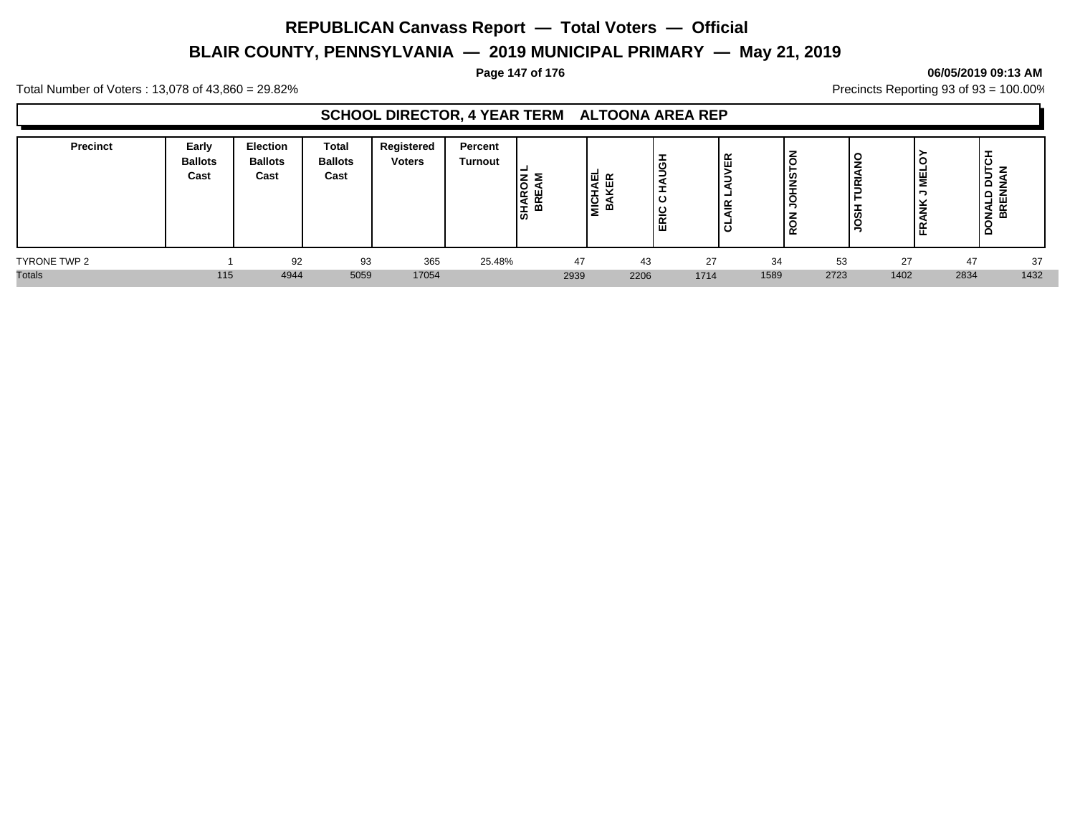# **BLAIR COUNTY, PENNSYLVANIA — 2019 MUNICIPAL PRIMARY — May 21, 2019**

#### **Page 147 of 176 06/05/2019 09:13 AM**

Total Number of Voters : 13,078 of 43,860 = 29.82% Precincts Reporting 93 of 93 = 100.00%

### **SCHOOL DIRECTOR, 4 YEAR TERM ALTOONA AREA REP**

| <b>Precinct</b> | Early<br><b>Ballots</b><br>Cast | <b>Election</b><br><b>Ballots</b><br>Cast | <b>Total</b><br><b>Ballots</b><br>Cast | Registered<br><b>Voters</b> | Percent<br><b>Turnout</b> | ≃<br>$\propto$<br>◂<br>÷ | <b>MICHA</b><br>BAK<br>മ | ╼<br>-<br>-<br>$\sim$<br>ш | VER<br>∍<br>-<br>≝<br>ಠ | ١⋜<br>SNHO<br>Ιœ |      | ັ<br>∣≃ |      | ⊢<br>-<br>∍<br>$\circ$<br><b>NALD</b><br>BREN<br>≏ |
|-----------------|---------------------------------|-------------------------------------------|----------------------------------------|-----------------------------|---------------------------|--------------------------|--------------------------|----------------------------|-------------------------|------------------|------|---------|------|----------------------------------------------------|
| TYRONE TWP 2    |                                 | 92                                        | 93                                     | 365                         | 25.48%                    |                          | 47                       | 43                         | 27                      | 34               | 53   | 27      | 47   | 37                                                 |
| <b>Totals</b>   | 115                             | 4944                                      | 5059                                   | 17054                       |                           | 2939                     |                          | 2206                       | 1714                    | 1589             | 2723 | 1402    | 2834 | 1432                                               |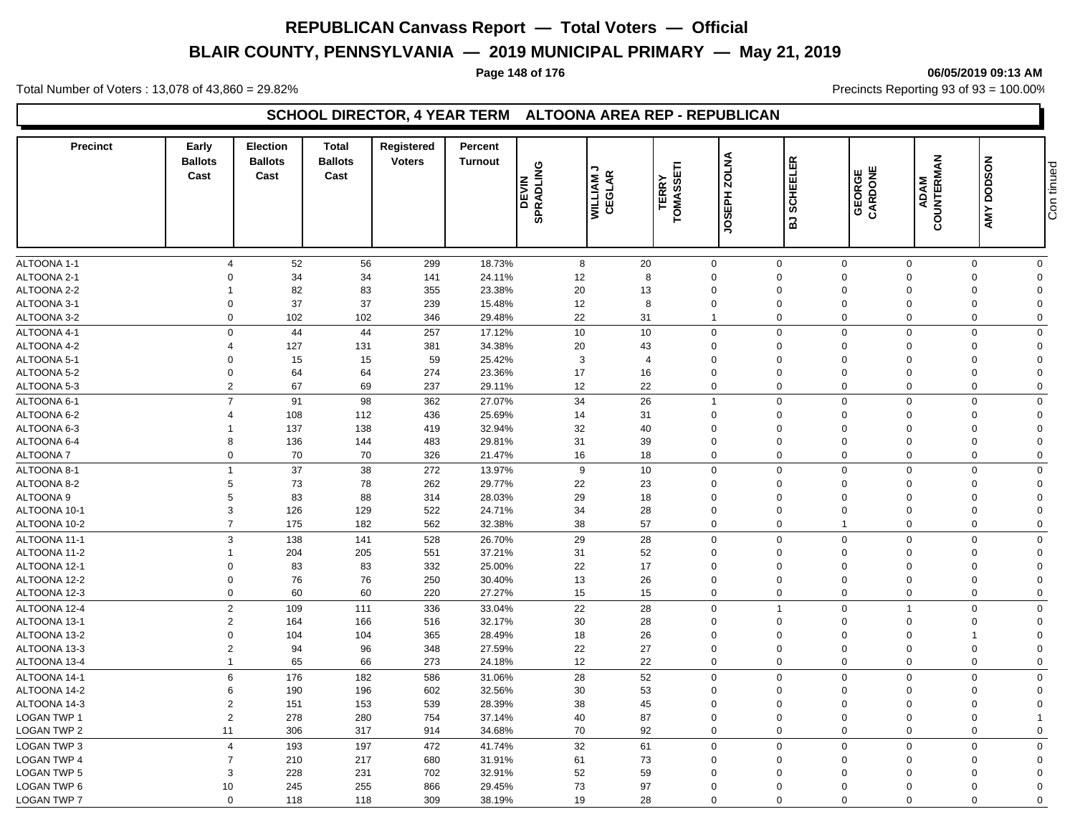# **BLAIR COUNTY, PENNSYLVANIA — 2019 MUNICIPAL PRIMARY — May 21, 2019**

#### **Page 148 of 176 06/05/2019 09:13 AM**

Total Number of Voters : 13,078 of 43,860 = 29.82% Precincts Reporting 93 of 93 = 100.00%

### **SCHOOL DIRECTOR, 4 YEAR TERM ALTOONA AREA REP - REPUBLICAN**

| Precinct           | Early<br><b>Ballots</b><br>Cast | <b>Election</b><br><b>Ballots</b><br>Cast | <b>Total</b><br><b>Ballots</b><br>Cast | Registered<br><b>Voters</b> | Percent<br><b>Turnout</b> | <b>SPRADLING</b><br><b>DEVIN</b> | ¬<br><b>WILLIAM J<br/>CEGLAR</b> | 旵<br><b>TERRY</b><br><b>TOMASS</b> | JOSEPH ZOLNA   | 띥<br>SCHEEL<br>$\overline{a}$ | GEORGE<br>CARDONE | COUNTERMAN<br><b>ADAM</b> | <b>DODSON</b><br>AMY       | Con tinued |
|--------------------|---------------------------------|-------------------------------------------|----------------------------------------|-----------------------------|---------------------------|----------------------------------|----------------------------------|------------------------------------|----------------|-------------------------------|-------------------|---------------------------|----------------------------|------------|
|                    |                                 |                                           |                                        |                             |                           |                                  |                                  |                                    |                |                               |                   |                           |                            |            |
| <b>ALTOONA 1-1</b> | $\overline{4}$                  | 52                                        | 56                                     | 299                         | 18.73%                    | 8                                | 20                               | $\mathbf 0$                        |                | $\mathbf 0$<br>$\mathbf 0$    | $\mathbf 0$       |                           | $\mathbf 0$<br>$\mathbf 0$ |            |
| ALTOONA 2-1        | $\Omega$                        | 34                                        | 34                                     | 141                         | 24.11%                    | 12                               | 8                                | $\mathbf 0$                        |                | $\mathbf 0$<br>$\mathbf 0$    | $\mathbf 0$       |                           | $\mathbf 0$<br>$\Omega$    |            |
| ALTOONA 2-2        | 1                               | 82                                        | 83                                     | 355                         | 23.38%                    | 20                               | 13                               | $\Omega$                           |                | $\Omega$<br>$\Omega$          | $\Omega$          |                           | $\mathbf 0$<br>$\Omega$    |            |
| ALTOONA 3-1        | 0                               | 37                                        | 37                                     | 239                         | 15.48%                    | 12                               | 8                                | 0                                  |                | $\mathbf 0$<br>$\Omega$       | $\mathbf 0$       |                           | $\mathbf 0$<br>$\Omega$    |            |
| ALTOONA 3-2        | $\mathbf 0$                     | 102                                       | 102                                    | 346                         | 29.48%                    | 22                               | 31                               | $\overline{1}$                     |                | $\mathbf 0$<br>$\mathbf 0$    | $\mathbf 0$       |                           | $\mathbf 0$<br>$\mathbf 0$ |            |
| ALTOONA 4-1        | $\mathsf{O}$                    | 44                                        | 44                                     | 257                         | 17.12%                    | 10                               | 10                               | $\mathbf 0$                        |                | $\mathbf 0$<br>$\Omega$       | $\mathbf 0$       |                           | $\mathbf 0$<br>$\Omega$    |            |
| ALTOONA 4-2        | $\overline{4}$                  | 127                                       | 131                                    | 381                         | 34.38%                    | 20                               | 43                               | 0                                  |                | $\Omega$<br>$\Omega$          | $\Omega$          |                           | $\mathbf 0$<br>$\Omega$    |            |
| ALTOONA 5-1        | $\Omega$                        | 15                                        | 15                                     | 59                          | 25.42%                    | 3                                | $\overline{4}$                   | $\mathbf 0$                        |                | $\Omega$<br>$\Omega$          | $\Omega$          |                           | 0<br>$\Omega$              |            |
| ALTOONA 5-2        | $\Omega$                        | 64                                        | 64                                     | 274                         | 23.36%                    | 17                               | 16                               | $\Omega$                           |                | $\Omega$<br>$\Omega$          | $\Omega$          |                           | $\Omega$<br>$\Omega$       |            |
| ALTOONA 5-3        | $\overline{2}$                  | 67                                        | 69                                     | 237                         | 29.11%                    | 12                               | 22                               | $\mathbf 0$                        | $\mathbf 0$    | $\Omega$                      | $\Omega$          |                           | $\mathbf 0$<br>$\Omega$    |            |
| ALTOONA 6-1        | $\overline{7}$                  | 91                                        | 98                                     | 362                         | 27.07%                    | 34                               | 26                               | $\overline{1}$                     |                | $\mathsf 0$<br>$\mathbf 0$    | $\mathbf 0$       |                           | $\mathbf 0$<br>$\Omega$    |            |
| ALTOONA 6-2        | $\overline{4}$                  | 108                                       | 112                                    | 436                         | 25.69%                    | 14                               | 31                               | $\mathbf 0$                        |                | $\mathbf 0$<br>$\mathbf 0$    | $\mathbf 0$       |                           | $\mathbf 0$<br>$\Omega$    |            |
| ALTOONA 6-3        | 1                               | 137                                       | 138                                    | 419                         | 32.94%                    | 32                               | 40                               | 0                                  |                | $\mathbf 0$<br>$\Omega$       | $\Omega$          |                           | 0<br>$\Omega$              |            |
| ALTOONA 6-4        | 8                               | 136                                       | 144                                    | 483                         | 29.81%                    | 31                               | 39                               | $\mathbf 0$                        |                | $\mathbf 0$<br>$\mathbf 0$    | $\mathbf 0$       |                           | $\mathbf 0$<br>$\Omega$    |            |
| <b>ALTOONA7</b>    | $\mathbf 0$                     | 70                                        | 70                                     | 326                         | 21.47%                    | 16                               | 18                               | 0                                  |                | $\mathbf 0$<br>$\Omega$       | $\Omega$          |                           | 0<br>$\Omega$              |            |
| ALTOONA 8-1        | $\mathbf{1}$                    | 37                                        | 38                                     | 272                         | 13.97%                    | 9                                | 10                               | $\mathbf 0$                        |                | $\Omega$<br>$\Omega$          | $\Omega$          |                           | $\mathbf 0$<br>$\mathbf 0$ |            |
| ALTOONA 8-2        | 5                               | 73                                        | 78                                     | 262                         | 29.77%                    | 22                               | 23                               | $\mathbf 0$                        |                | $\mathbf 0$<br>$\Omega$       | $\mathbf 0$       |                           | $\mathbf 0$<br>$\Omega$    |            |
| <b>ALTOONA 9</b>   | 5                               | 83                                        | 88                                     | 314                         | 28.03%                    | 29                               | 18                               | $\Omega$                           |                | $\Omega$<br>$\Omega$          | $\Omega$          |                           | $\mathbf 0$<br>$\Omega$    |            |
| ALTOONA 10-1       | 3                               | 126                                       | 129                                    | 522                         | 24.71%                    | 34                               | 28                               | $\mathbf 0$                        |                | $\mathbf 0$<br>$\Omega$       | $\Omega$          |                           | $\mathbf 0$<br>$\Omega$    |            |
| ALTOONA 10-2       | $\overline{7}$                  | 175                                       | 182                                    | 562                         | 32.38%                    | 38                               | 57                               | $\mathbf 0$                        |                | $\mathbf 0$<br>$\overline{1}$ | $\mathbf 0$       |                           | $\mathbf 0$<br>$\mathbf 0$ |            |
| ALTOONA 11-1       | 3                               | 138                                       | 141                                    | 528                         | 26.70%                    | 29                               | 28                               | $\mathbf 0$                        |                | $\mathbf 0$<br>$\mathbf 0$    | $\mathbf 0$       |                           | $\mathbf 0$<br>$\mathbf 0$ |            |
| ALTOONA 11-2       | 1                               | 204                                       | 205                                    | 551                         | 37.21%                    | 31                               | 52                               | $\mathbf 0$                        |                | $\Omega$<br>$\Omega$          | $\Omega$          |                           | 0<br>$\Omega$              |            |
| ALTOONA 12-1       | $\mathbf 0$                     | 83                                        | 83                                     | 332                         | 25.00%                    | 22                               | 17                               | $\mathbf 0$                        |                | $\mathbf 0$<br>$\Omega$       | $\Omega$          |                           | $\mathbf 0$<br>$\Omega$    |            |
| ALTOONA 12-2       | $\Omega$                        | 76                                        | 76                                     | 250                         | 30.40%                    | 13                               | 26                               | $\mathbf 0$                        |                | $\Omega$<br>$\Omega$          | $\Omega$          |                           | $\mathbf 0$<br>$\Omega$    |            |
| ALTOONA 12-3       | $\mathbf 0$                     | 60                                        | 60                                     | 220                         | 27.27%                    | 15                               | 15                               | $\mathbf 0$                        |                | $\mathbf 0$<br>$\mathbf 0$    | $\mathbf 0$       |                           | $\mathbf 0$<br>$\mathbf 0$ |            |
| ALTOONA 12-4       | $\overline{c}$                  | 109                                       | 111                                    | 336                         | 33.04%                    | 22                               | 28                               | $\mathbf 0$                        | $\overline{1}$ | $\Omega$                      | $\overline{1}$    |                           | $\mathbf 0$<br>$\Omega$    |            |
| ALTOONA 13-1       | $\overline{2}$                  | 164                                       | 166                                    | 516                         | 32.17%                    | 30                               | 28                               | $\Omega$                           |                | $\Omega$<br>$\Omega$          | $\Omega$          |                           | 0<br>$\Omega$              |            |
| ALTOONA 13-2       | $\Omega$                        | 104                                       | 104                                    | 365                         | 28.49%                    | 18                               | 26                               | 0                                  |                | $\Omega$<br>$\Omega$          | $\Omega$          | $\mathbf 1$               | $\Omega$                   |            |
| ALTOONA 13-3       | $\overline{2}$                  | 94                                        | 96                                     | 348                         | 27.59%                    | 22                               | 27                               | $\mathbf 0$                        |                | $\mathbf 0$<br>$\Omega$       | $\mathbf 0$       |                           | $\mathbf 0$<br>$\Omega$    |            |
| ALTOONA 13-4       | $\mathbf{1}$                    | 65                                        | 66                                     | 273                         | 24.18%                    | 12                               | 22                               | $\mathbf 0$                        |                | $\Omega$<br>$\Omega$          | $\Omega$          |                           | $\mathbf 0$<br>$\Omega$    |            |
|                    |                                 |                                           |                                        |                             |                           |                                  |                                  |                                    |                |                               |                   |                           |                            |            |
| ALTOONA 14-1       | 6                               | 176                                       | 182                                    | 586                         | 31.06%                    | 28                               | 52                               | $\mathbf 0$                        |                | $\Omega$<br>$\Omega$          | $\Omega$          |                           | $\mathbf 0$<br>$\Omega$    |            |
| ALTOONA 14-2       | 6                               | 190                                       | 196                                    | 602                         | 32.56%                    | 30                               | 53                               | $\mathbf 0$                        |                | $\mathbf 0$<br>$\Omega$       | $\mathbf 0$       |                           | $\mathbf 0$<br>$\Omega$    |            |
| ALTOONA 14-3       | $\overline{2}$                  | 151                                       | 153                                    | 539                         | 28.39%                    | 38                               | 45                               | $\Omega$                           |                | $\Omega$<br>$\Omega$          | $\Omega$          |                           | $\mathbf 0$<br>$\Omega$    |            |
| <b>LOGAN TWP 1</b> | $\overline{2}$                  | 278                                       | 280                                    | 754                         | 37.14%                    | 40                               | 87                               | 0                                  |                | $\mathbf 0$<br>$\Omega$       | $\Omega$          |                           | $\mathbf 0$                |            |
| LOGAN TWP 2        | 11                              | 306                                       | 317                                    | 914                         | 34.68%                    | 70                               | 92                               | $\mathbf 0$                        |                | $\mathbf 0$<br>$\mathbf 0$    | $\mathbf 0$       |                           | $\mathbf 0$<br>$\mathbf 0$ |            |
| LOGAN TWP 3        | $\overline{4}$                  | 193                                       | 197                                    | 472                         | 41.74%                    | 32                               | 61                               | $\mathbf 0$                        |                | $\mathbf 0$<br>$\Omega$       | $\Omega$          |                           | $\mathbf 0$<br>$\mathbf 0$ |            |
| <b>LOGAN TWP 4</b> | $\overline{7}$                  | 210                                       | 217                                    | 680                         | 31.91%                    | 61                               | 73                               | 0                                  |                | $\Omega$<br>$\Omega$          | $\mathbf 0$       |                           | 0<br>$\Omega$              |            |
| LOGAN TWP 5        | 3                               | 228                                       | 231                                    | 702                         | 32.91%                    | 52                               | 59                               | 0                                  |                | $\mathbf 0$<br>$\Omega$       | $\mathbf 0$       |                           | 0<br>$\Omega$              |            |
| LOGAN TWP 6        | 10                              | 245                                       | 255                                    | 866                         | 29.45%                    | 73                               | 97                               | $\Omega$                           |                | $\Omega$<br>$\Omega$          | $\Omega$          |                           | $\mathbf 0$<br>$\Omega$    |            |
| <b>LOGAN TWP 7</b> | $\mathbf 0$                     | 118                                       | 118                                    | 309                         | 38.19%                    | 19                               | 28                               | $\mathbf 0$                        |                | $\Omega$<br>$\Omega$          | $\Omega$          |                           | $\mathbf 0$<br>$\Omega$    |            |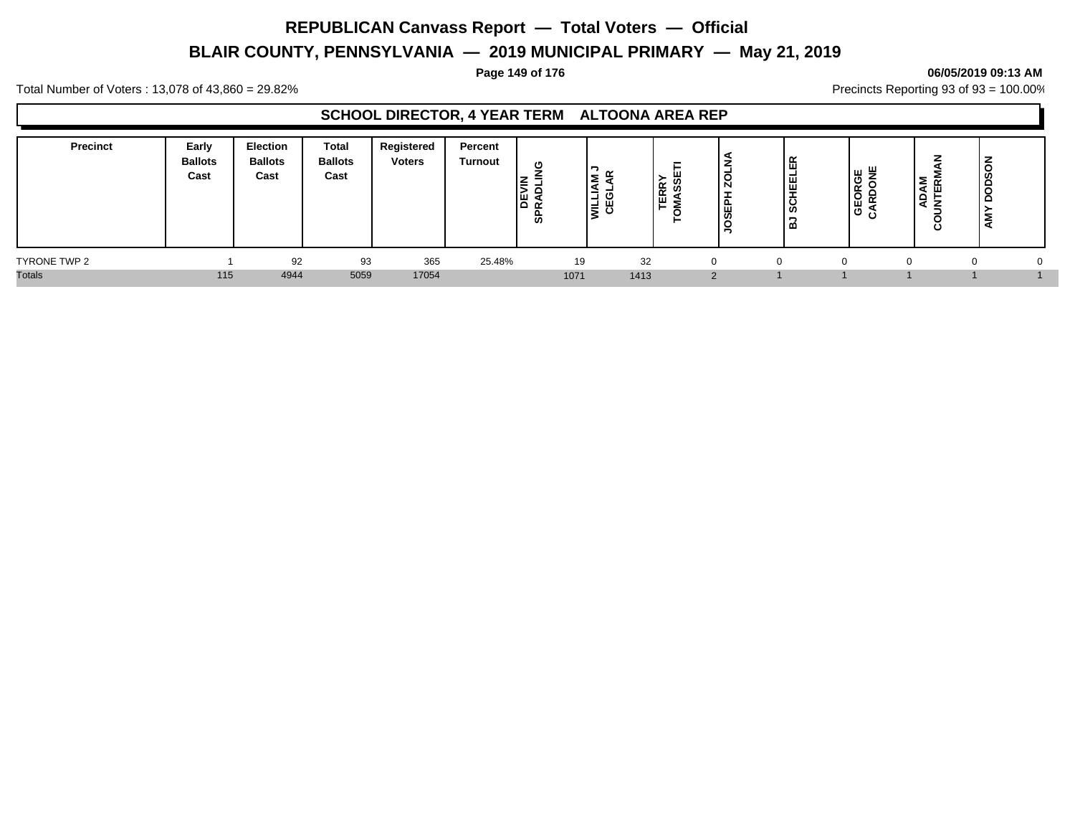# **BLAIR COUNTY, PENNSYLVANIA — 2019 MUNICIPAL PRIMARY — May 21, 2019**

#### **Page 149 of 176 06/05/2019 09:13 AM**

Total Number of Voters : 13,078 of 43,860 = 29.82% Precincts Reporting 93 of 93 = 100.00%

### **SCHOOL DIRECTOR, 4 YEAR TERM ALTOONA AREA REP**

| <b>Precinct</b> | Early<br><b>Ballots</b><br>Cast | <b>Election</b><br><b>Ballots</b><br>Cast | Total<br><b>Ballots</b><br>Cast | Registered<br><b>Voters</b> | Percent<br><b>Turnout</b> | O<br>l≧ ∃<br>$\geq$<br>≏<br>İΕ<br>╺<br>≃<br>。 | ⋖<br>-<br>υ<br>-<br>1월 없 | <b>RR</b><br>ш | w<br>Ñ<br><u>н.</u><br>面<br>க<br>∼ | ER<br>單<br>-<br>၊ ပ<br>Ō,<br>œ | ாய <sup>ய</sup><br>ပ<br>GEOR<br>CARDO | ь.<br>$\propto$<br>2<br>ш<br>∽<br>- | z<br>$\frac{1}{2}$<br>Ξ |  |
|-----------------|---------------------------------|-------------------------------------------|---------------------------------|-----------------------------|---------------------------|-----------------------------------------------|--------------------------|----------------|------------------------------------|--------------------------------|---------------------------------------|-------------------------------------|-------------------------|--|
| TYRONE TWP 2    |                                 | 92                                        | 93                              | 365                         | 25.48%                    | 19                                            | 32                       | $\Omega$       |                                    |                                |                                       |                                     |                         |  |
| <b>Totals</b>   | 115                             | 4944                                      | 5059                            | 17054                       |                           | 1071                                          | 1413                     | 2              |                                    |                                |                                       |                                     |                         |  |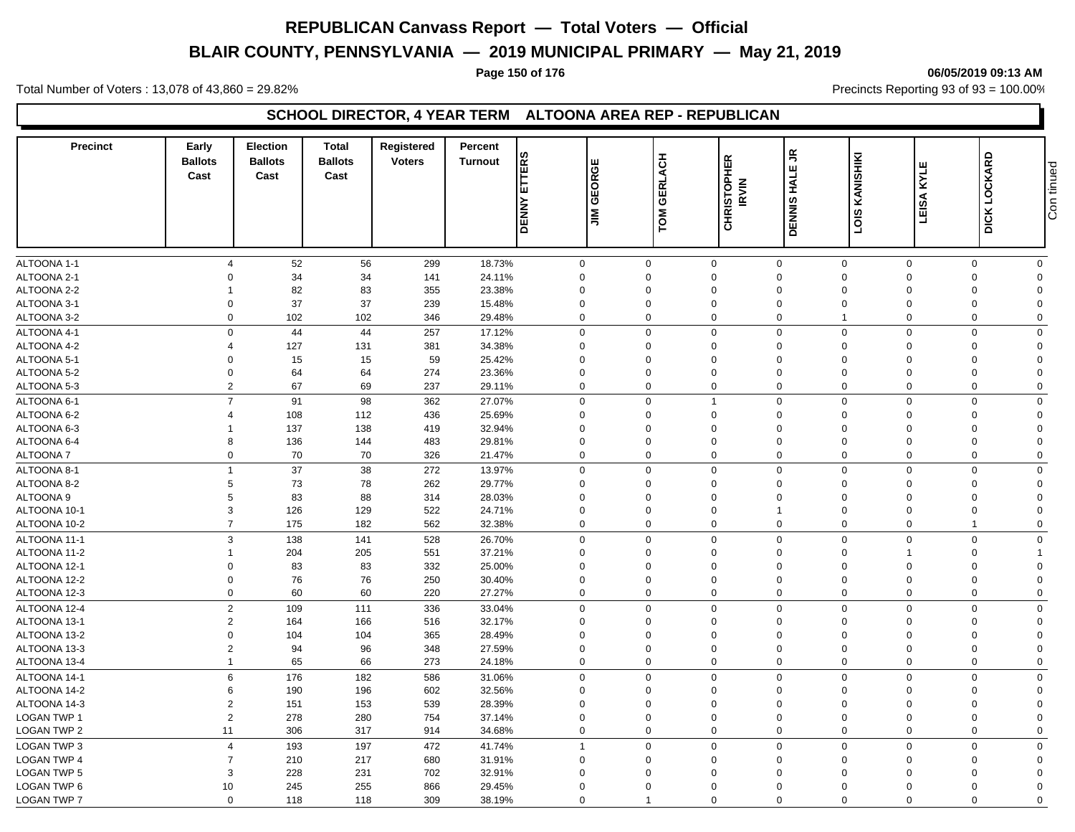# **BLAIR COUNTY, PENNSYLVANIA — 2019 MUNICIPAL PRIMARY — May 21, 2019**

#### **Page 150 of 176 06/05/2019 09:13 AM**

Total Number of Voters : 13,078 of 43,860 = 29.82% Precincts Reporting 93 of 93 = 100.00%

### **SCHOOL DIRECTOR, 4 YEAR TERM ALTOONA AREA REP - REPUBLICAN**

| <b>Precinct</b>    | Early<br><b>Ballots</b><br>Cast | <b>Election</b><br><b>Ballots</b><br>Cast | <b>Total</b><br><b>Ballots</b><br>Cast | Registered<br><b>Voters</b> | Percent<br><b>Turnout</b> |                     | ш<br>EORGI                 | ERLACH          |                             | 5<br>ш<br><b>TAH</b> |                | KYLE        |                     |             |
|--------------------|---------------------------------|-------------------------------------------|----------------------------------------|-----------------------------|---------------------------|---------------------|----------------------------|-----------------|-----------------------------|----------------------|----------------|-------------|---------------------|-------------|
|                    |                                 |                                           |                                        |                             |                           | <b>DENNY ETTERS</b> | ত<br>$\sum_{i=1}^{\infty}$ | ত<br><b>TOM</b> | <b>CHRISTOPHER</b><br>IRVIN | <b>DENNIS</b>        | LOIS KANISHIKI | LEISA       | <b>DICK LOCKARD</b> | Con tinued  |
| ALTOONA 1-1        | $\overline{4}$                  | 52                                        | 56                                     | 299                         | 18.73%                    |                     | $\mathbf 0$                | $\mathbf 0$     | $\mathsf 0$                 | $\mathbf 0$          | $\mathbf 0$    | $\mathbf 0$ | $\mathbf 0$         | $\mathbf 0$ |
| ALTOONA 2-1        | $\Omega$                        | 34                                        | 34                                     | 141                         | 24.11%                    |                     | $\mathbf 0$                | $\mathbf 0$     | $\mathbf 0$                 | $\mathbf 0$          | $\mathbf 0$    | $\mathbf 0$ | $\mathbf 0$         | $\Omega$    |
| ALTOONA 2-2        | 1                               | 82                                        | 83                                     | 355                         | 23.38%                    |                     | $\mathbf 0$                | $\Omega$        | $\Omega$                    | $\Omega$             | $\Omega$       | $\Omega$    | 0                   | $\Omega$    |
| ALTOONA 3-1        | $\mathbf 0$                     | 37                                        | 37                                     | 239                         | 15.48%                    |                     | $\mathbf 0$                | $\mathbf 0$     | $\mathbf 0$                 | $\mathbf 0$          | $\Omega$       | $\mathbf 0$ | 0                   | $\Omega$    |
| ALTOONA 3-2        | $\Omega$                        | 102                                       | 102                                    | 346                         | 29.48%                    |                     | $\mathbf 0$                | $\Omega$        | $\mathbf 0$                 | $\mathbf 0$          |                | $\Omega$    | $\mathbf 0$         | $\Omega$    |
| ALTOONA 4-1        | $\mathsf{O}$                    | 44                                        | 44                                     | 257                         | 17.12%                    |                     | $\mathbf 0$                | $\Omega$        | $\mathbf 0$                 | $\mathsf 0$          | $\Omega$       | $\Omega$    | $\mathbf 0$         | $\Omega$    |
| ALTOONA 4-2        | $\overline{4}$                  | 127                                       | 131                                    | 381                         | 34.38%                    |                     | $\mathbf 0$                | $\Omega$        | $\Omega$                    | $\Omega$             | $\Omega$       | $\Omega$    | $\mathbf 0$         | $\Omega$    |
| ALTOONA 5-1        | $\Omega$                        | 15                                        | 15                                     | 59                          | 25.42%                    |                     | $\mathbf 0$                | $\Omega$        | $\mathbf 0$                 | $\Omega$             | $\Omega$       | $\Omega$    | $\mathbf 0$         | $\Omega$    |
| ALTOONA 5-2        | $\Omega$                        | 64                                        | 64                                     | 274                         | 23.36%                    |                     | $\mathbf 0$                | $\Omega$        | $\Omega$                    | $\Omega$             | $\Omega$       | $\Omega$    | $\Omega$            | $\Omega$    |
| ALTOONA 5-3        | $\overline{2}$                  | 67                                        | 69                                     | 237                         | 29.11%                    |                     | $\mathbf 0$                | $\Omega$        | $\mathbf 0$                 | $\mathbf 0$          | $\Omega$       | $\Omega$    | $\mathbf 0$         | $\Omega$    |
| ALTOONA 6-1        | $\overline{7}$                  | 91                                        | 98                                     | 362                         | 27.07%                    |                     | $\mathbf 0$                | $\Omega$        | $\overline{1}$              | $\mathsf 0$          | $\mathbf 0$    | $\Omega$    | $\mathbf 0$         | $\Omega$    |
| ALTOONA 6-2        | $\overline{4}$                  | 108                                       | 112                                    | 436                         | 25.69%                    |                     | $\mathbf 0$                | $\mathbf 0$     | $\mathbf 0$                 | $\mathbf 0$          | $\mathbf 0$    | $\mathbf 0$ | $\mathbf 0$         | $\Omega$    |
| ALTOONA 6-3        | 1                               | 137                                       | 138                                    | 419                         | 32.94%                    |                     | $\mathbf 0$                | $\Omega$        | $\mathbf 0$                 | $\Omega$             | $\Omega$       | $\Omega$    | $\mathbf 0$         | $\Omega$    |
| ALTOONA 6-4        | 8                               | 136                                       | 144                                    | 483                         | 29.81%                    |                     | $\mathbf 0$                | $\Omega$        | 0                           | $\Omega$             | $\Omega$       | $\mathbf 0$ | $\mathbf 0$         | $\Omega$    |
| <b>ALTOONA7</b>    | 0                               | 70                                        | 70                                     | 326                         | 21.47%                    |                     | $\mathbf 0$                | $\Omega$        | 0                           | $\mathbf 0$          | $\mathbf 0$    | $\mathbf 0$ | $\mathbf 0$         | $\Omega$    |
| ALTOONA 8-1        | $\mathbf{1}$                    | 37                                        | 38                                     | 272                         | 13.97%                    |                     | $\mathbf 0$                | $\mathbf 0$     | $\mathbf 0$                 | $\mathbf 0$          | $\Omega$       | $\mathbf 0$ | $\mathbf 0$         | $\Omega$    |
| ALTOONA 8-2        | 5                               | $73\,$                                    | 78                                     | 262                         | 29.77%                    |                     | $\mathsf 0$                | $\Omega$        | $\Omega$                    | $\mathbf 0$          | $\Omega$       | $\Omega$    | 0                   | $\Omega$    |
| ALTOONA 9          | 5                               | 83                                        | 88                                     | 314                         | 28.03%                    |                     | $\mathbf 0$                | $\Omega$        | $\Omega$                    | $\Omega$             | $\Omega$       | $\Omega$    | $\mathbf 0$         | $\Omega$    |
| ALTOONA 10-1       | 3                               | 126                                       | 129                                    | 522                         | 24.71%                    |                     | $\mathbf 0$                | $\mathbf 0$     | $\mathbf 0$                 | $\mathbf{1}$         | $\mathbf 0$    | $\mathbf 0$ | $\mathbf 0$         | $\Omega$    |
| ALTOONA 10-2       | $\overline{7}$                  | 175                                       | 182                                    | 562                         | 32.38%                    |                     | $\mathbf 0$                | $\Omega$        | $\mathbf 0$                 | $\mathbf 0$          | $\mathbf 0$    | $\Omega$    | $\overline{1}$      | $\Omega$    |
| ALTOONA 11-1       | 3                               | 138                                       | 141                                    | 528                         | 26.70%                    |                     | $\mathbf 0$                | $\Omega$        | 0                           | $\mathbf 0$          | $\Omega$       | $\Omega$    | 0                   | $\mathbf 0$ |
| ALTOONA 11-2       | $\mathbf{1}$                    | 204                                       | 205                                    | 551                         | 37.21%                    |                     | $\mathbf 0$                | 0               | $\mathbf 0$                 | $\mathbf 0$          | $\Omega$       | 1           | $\mathbf 0$         |             |
| ALTOONA 12-1       | $\mathbf 0$                     | 83                                        | 83                                     | 332                         | 25.00%                    |                     | $\mathsf 0$                | $\mathbf 0$     | $\mathbf 0$                 | $\mathbf 0$          | $\mathbf 0$    | $\mathbf 0$ | 0                   | $\mathbf 0$ |
| ALTOONA 12-2       | $\Omega$                        | 76                                        | 76                                     | 250                         | 30.40%                    |                     | $\mathbf 0$                | $\Omega$        | $\mathbf 0$                 | $\Omega$             | $\Omega$       | $\mathbf 0$ | 0                   | $\Omega$    |
| ALTOONA 12-3       | $\mathbf 0$                     | 60                                        | 60                                     | 220                         | 27.27%                    |                     | $\mathbf 0$                | $\overline{0}$  | $\mathbf 0$                 | $\mathbf 0$          | $\mathbf 0$    | $\mathbf 0$ | $\mathbf 0$         | $\mathbf 0$ |
| ALTOONA 12-4       | $\overline{2}$                  | 109                                       | 111                                    | 336                         | 33.04%                    |                     | $\mathbf 0$                | $\Omega$        | $\mathbf 0$                 | $\mathbf 0$          | $\Omega$       | $\Omega$    | $\mathbf 0$         | $\mathbf 0$ |
| ALTOONA 13-1       | $\overline{2}$                  | 164                                       | 166                                    | 516                         | 32.17%                    |                     | $\mathbf 0$                | $\Omega$        | $\mathbf 0$                 | $\Omega$             | $\Omega$       | $\Omega$    | $\mathbf 0$         | $\Omega$    |
| ALTOONA 13-2       | $\Omega$                        | 104                                       | 104                                    | 365                         | 28.49%                    |                     | $\mathbf 0$                | $\Omega$        | $\Omega$                    | $\Omega$             | $\Omega$       | $\Omega$    | $\mathbf 0$         | $\Omega$    |
| ALTOONA 13-3       | $\overline{2}$                  | 94                                        | 96                                     | 348                         | 27.59%                    |                     | $\mathbf 0$                | $\mathbf 0$     | 0                           | $\mathbf 0$          | $\mathbf 0$    | $\mathbf 0$ | $\mathbf 0$         | $\Omega$    |
| ALTOONA 13-4       | $\mathbf{1}$                    | 65                                        | 66                                     | 273                         | 24.18%                    |                     | $\mathbf 0$                | $\Omega$        | $\mathbf 0$                 | $\mathbf 0$          | $\Omega$       | $\Omega$    | $\mathbf 0$         | $\Omega$    |
| ALTOONA 14-1       | 6                               | 176                                       | 182                                    | 586                         | 31.06%                    |                     | $\mathbf 0$                | $\Omega$        | $\mathbf 0$                 | $\mathbf 0$          | $\Omega$       | $\Omega$    | $\mathbf 0$         | $\Omega$    |
| ALTOONA 14-2       | 6                               | 190                                       | 196                                    | 602                         | 32.56%                    |                     | $\mathbf 0$                | $\Omega$        | $\Omega$                    | $\Omega$             | $\Omega$       | $\Omega$    | $\mathbf 0$         | $\Omega$    |
| ALTOONA 14-3       | $\overline{2}$                  | 151                                       | 153                                    | 539                         | 28.39%                    |                     | $\mathbf 0$                | $\Omega$        | $\mathbf 0$                 | $\Omega$             | $\Omega$       | $\Omega$    | $\mathbf 0$         | $\Omega$    |
| <b>LOGAN TWP 1</b> | $\overline{c}$                  | 278                                       | 280                                    | 754                         | 37.14%                    |                     | $\mathbf 0$                | $\Omega$        | $\Omega$                    | $\Omega$             | $\Omega$       | $\Omega$    | $\mathbf 0$         | $\Omega$    |
| LOGAN TWP 2        | 11                              | 306                                       | 317                                    | 914                         | 34.68%                    |                     | $\mathbf 0$                | $\Omega$        | $\mathbf 0$                 | $\mathbf 0$          | $\Omega$       | $\Omega$    | $\mathbf 0$         | $\Omega$    |
| <b>LOGAN TWP 3</b> | $\overline{4}$                  | 193                                       | 197                                    | 472                         | 41.74%                    | $\mathbf{1}$        |                            | $\Omega$        | $\mathbf 0$                 | $\mathbf 0$          | $\mathbf 0$    | $\Omega$    | $\mathbf 0$         | $\Omega$    |
| <b>LOGAN TWP 4</b> | $\overline{7}$                  | 210                                       | 217                                    | 680                         | 31.91%                    |                     | $\mathbf 0$                | $\mathbf 0$     | $\mathbf 0$                 | $\mathbf 0$          | $\mathbf 0$    | $\mathbf 0$ | $\mathbf 0$         | $\Omega$    |
| <b>LOGAN TWP 5</b> | 3                               | 228                                       | 231                                    | 702                         | 32.91%                    |                     | $\mathbf 0$                | $\Omega$        | $\Omega$                    | $\Omega$             | $\Omega$       | $\Omega$    | $\mathbf 0$         | $\Omega$    |
| LOGAN TWP 6        | 10                              | 245                                       | 255                                    | 866                         | 29.45%                    |                     | $\mathbf 0$                | $\mathbf 0$     | $\Omega$                    | $\Omega$             | $\Omega$       | $\Omega$    | $\mathbf 0$         | $\Omega$    |
| <b>LOGAN TWP 7</b> | $\mathbf{0}$                    | 118                                       | 118                                    | 309                         | 38.19%                    |                     | $\mathbf 0$                | $\overline{1}$  | $\mathbf 0$                 | $\mathbf 0$          | $\Omega$       | $\Omega$    | $\mathbf 0$         | $\mathbf 0$ |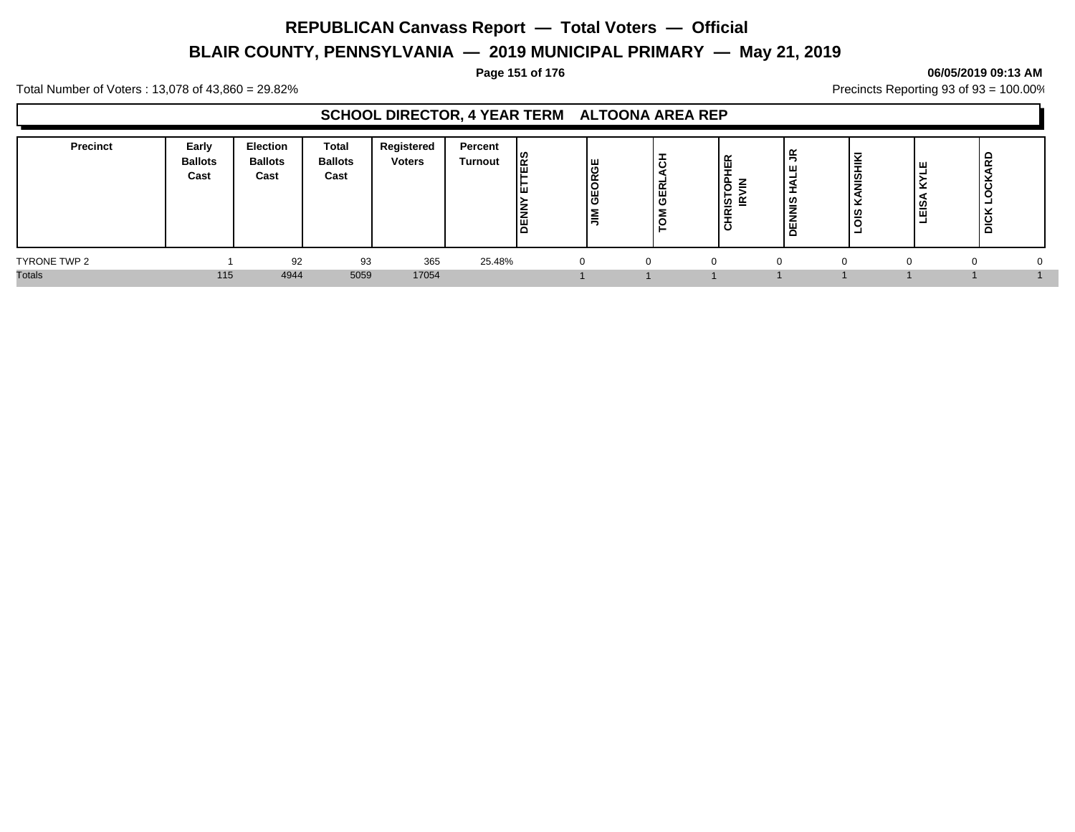# **BLAIR COUNTY, PENNSYLVANIA — 2019 MUNICIPAL PRIMARY — May 21, 2019**

#### **Page 151 of 176 06/05/2019 09:13 AM**

Total Number of Voters : 13,078 of 43,860 = 29.82% Precincts Reporting 93 of 93 = 100.00%

### **SCHOOL DIRECTOR, 4 YEAR TERM ALTOONA AREA REP**

| Precinct      | Early<br><b>Ballots</b><br>Cast | <b>Election</b><br><b>Ballots</b><br>Cast | Total<br><b>Ballots</b><br>Cast | Registered<br><b>Voters</b> | Percent<br><b>Turnout</b> | נט ו<br>∣∝<br>ă | GEORGE<br>l≣ | lö<br><b>GERL</b><br>lΣ | $\overline{\phantom{a}}$<br>ட<br>ш<br>ш.<br>$\overline{\phantom{a}}$<br>∼<br>'ত ∈<br>$\overline{\phantom{a}}$ | ≃<br>∣≌<br>- | ີ<br>-<br>-<br>႞ၜၟ<br><u>  ഗ</u> | $\check{}$<br>-<br>Εg<br>- | 윤<br><b>OCK</b><br>-<br>DICK |  |
|---------------|---------------------------------|-------------------------------------------|---------------------------------|-----------------------------|---------------------------|-----------------|--------------|-------------------------|---------------------------------------------------------------------------------------------------------------|--------------|----------------------------------|----------------------------|------------------------------|--|
| TYRONE TWP 2  |                                 | 92                                        | 93                              | 365                         | 25.48%                    |                 |              |                         | $\Omega$                                                                                                      |              |                                  |                            |                              |  |
| <b>Totals</b> | 115                             | 4944                                      | 5059                            | 17054                       |                           |                 |              |                         |                                                                                                               |              |                                  |                            |                              |  |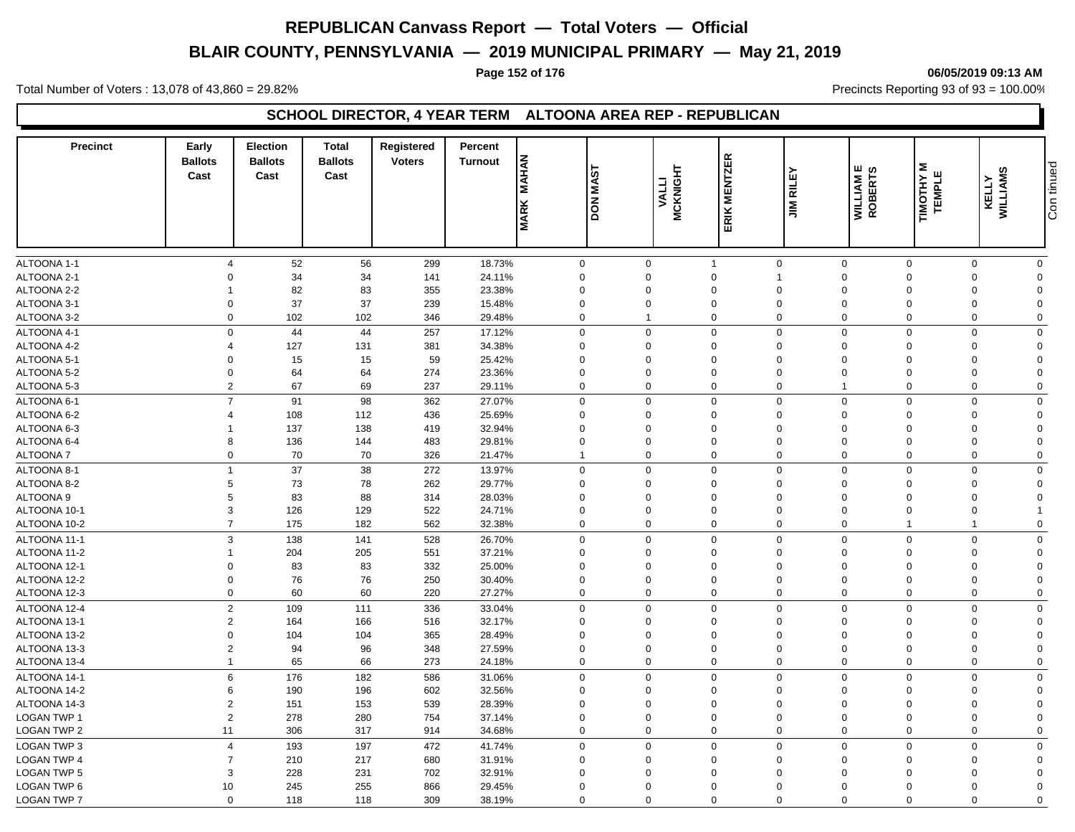# **BLAIR COUNTY, PENNSYLVANIA — 2019 MUNICIPAL PRIMARY — May 21, 2019**

#### **Page 152 of 176 06/05/2019 09:13 AM**

Total Number of Voters : 13,078 of 43,860 = 29.82% Precincts Reporting 93 of 93 = 100.00%

### **SCHOOL DIRECTOR, 4 YEAR TERM ALTOONA AREA REP - REPUBLICAN**

| <b>Precinct</b>            | Early<br><b>Ballots</b><br>Cast | <b>Election</b><br><b>Ballots</b><br>Cast | <b>Total</b><br><b>Ballots</b><br>Cast | Registered<br><b>Voters</b> | Percent<br><b>Turnout</b> | <b>MAHAN</b><br><b>MARK</b> | '⊽<br><b>AM NOQ</b> | <b>MCKNIGHT</b><br><b>VALLI</b> | ERIK MENTZER   | ᇟ<br>晨<br>$\sum_{i=1}^{n}$ | யம<br><b>WILLIAM<br/>ROBERTS</b> | Σ<br><b>TEMPLE</b><br>TIMOTHY | ဖာ<br>WILLIAMS<br>KELLY    | Con tinued |
|----------------------------|---------------------------------|-------------------------------------------|----------------------------------------|-----------------------------|---------------------------|-----------------------------|---------------------|---------------------------------|----------------|----------------------------|----------------------------------|-------------------------------|----------------------------|------------|
| ALTOONA 1-1                | $\overline{4}$                  | 52                                        | 56                                     | 299                         | 18.73%                    | $\mathbf 0$                 | $\mathbf 0$         |                                 | $\mathbf{1}$   | $\mathbf 0$                | $\mathbf 0$                      | $\mathbf 0$                   | $\mathbf 0$<br>$\mathbf 0$ |            |
| ALTOONA 2-1                | $\Omega$                        | 34                                        | 34                                     | 141                         | 24.11%                    | $\mathbf 0$                 | $\Omega$            |                                 | $\mathbf 0$    | 1                          | $\Omega$                         | $\mathbf 0$                   | $\mathbf 0$<br>$\Omega$    |            |
| ALTOONA 2-2                | -1                              | 82                                        | 83                                     | 355                         | 23.38%                    | $\Omega$                    | $\Omega$            |                                 | $\Omega$       | 0                          | $\Omega$                         | $\Omega$                      | $\mathbf 0$<br>$\Omega$    |            |
| ALTOONA 3-1                | $\mathbf 0$                     | 37                                        | 37                                     | 239                         | 15.48%                    | $\mathbf 0$                 | $\Omega$            |                                 | $\mathbf 0$    | $\mathbf 0$                | $\Omega$                         | $\mathbf 0$                   | $\mathbf 0$<br>$\Omega$    |            |
| ALTOONA 3-2                | $\overline{0}$                  | 102                                       | 102                                    | 346                         | 29.48%                    | $\mathbf 0$                 | 1                   |                                 | $\mathbf 0$    | 0                          | $\mathbf 0$                      | $\mathbf 0$                   | $\pmb{0}$<br>$\mathbf 0$   |            |
| ALTOONA 4-1                | $\mathbf 0$                     | 44                                        | 44                                     | 257                         | 17.12%                    | $\mathbf 0$                 | $\mathbf 0$         |                                 | $\mathbf 0$    | $\mathbf 0$                | $\mathbf 0$                      | $\mathbf 0$                   | $\mathbf 0$<br>$\mathbf 0$ |            |
| ALTOONA 4-2                | $\overline{4}$                  | 127                                       | 131                                    | 381                         | 34.38%                    | $\mathbf 0$                 | $\Omega$            |                                 | $\mathbf 0$    | 0                          | $\Omega$                         | $\mathbf 0$                   | $\mathbf 0$<br>$\Omega$    |            |
| ALTOONA 5-1                | $\mathbf 0$                     | 15                                        | 15                                     | 59                          | 25.42%                    | $\mathbf 0$                 | $\Omega$            |                                 | $\mathbf 0$    | $\mathbf 0$                | $\mathbf 0$                      | $\mathbf 0$                   | $\mathbf 0$<br>$\Omega$    |            |
|                            | $\mathbf 0$                     | 64                                        | 64                                     | 274                         | 23.36%                    | $\Omega$                    | $\Omega$            |                                 | $\Omega$       | $\Omega$                   | $\Omega$                         | $\mathbf 0$                   | $\mathbf 0$<br>$\Omega$    |            |
| ALTOONA 5-2<br>ALTOONA 5-3 | $\overline{2}$                  | 67                                        | 69                                     | 237                         | 29.11%                    | $\mathbf 0$                 | $\Omega$            |                                 | $\mathbf 0$    | $\mathbf 0$                | $\overline{1}$                   | $\mathbf 0$                   | $\mathbf 0$<br>0           |            |
|                            | $\overline{7}$                  |                                           |                                        |                             |                           |                             |                     |                                 |                |                            |                                  |                               |                            |            |
| ALTOONA 6-1                |                                 | 91                                        | 98                                     | 362                         | 27.07%                    | $\mathbf 0$                 | $\Omega$            |                                 | $\mathbf 0$    | $\mathbf 0$                | $\Omega$                         | $\Omega$                      | $\Omega$<br>$\mathbf 0$    |            |
| ALTOONA 6-2                | 4                               | 108                                       | 112                                    | 436                         | 25.69%                    | $\mathbf 0$                 | $\mathbf 0$         |                                 | $\mathbf 0$    | $\mathbf 0$                | $\mathbf 0$                      | $\Omega$                      | $\Omega$<br>$\mathbf 0$    |            |
| ALTOONA 6-3                |                                 | 137                                       | 138                                    | 419                         | 32.94%                    | $\Omega$                    | $\Omega$            |                                 | $\mathbf 0$    | $\Omega$                   | $\Omega$                         | $\Omega$                      | $\mathbf 0$<br>$\Omega$    |            |
| ALTOONA 6-4                | 8                               | 136                                       | 144                                    | 483                         | 29.81%                    | $\mathbf 0$                 | $\Omega$            |                                 | $\mathbf 0$    | $\mathbf 0$                | $\mathbf 0$                      | $\mathbf 0$                   | $\mathbf 0$<br>$\Omega$    |            |
| <b>ALTOONA7</b>            | $\mathbf 0$                     | 70                                        | 70                                     | 326                         | 21.47%                    | $\mathbf{1}$                | $\mathbf 0$         |                                 | $\mathbf 0$    | $\mathbf 0$                | $\Omega$                         | $\mathbf 0$                   | $\mathbf 0$<br>$\mathbf 0$ |            |
| ALTOONA 8-1                | $\mathbf{1}$                    | 37                                        | 38                                     | 272                         | 13.97%                    | $\mathbf 0$                 | $\Omega$            |                                 | $\mathbf 0$    | $\mathbf 0$                | $\mathbf 0$                      | $\Omega$                      | $\Omega$<br>$\mathbf 0$    |            |
| ALTOONA 8-2                | 5                               | 73                                        | 78                                     | 262                         | 29.77%                    | $\mathbf 0$                 | $\Omega$            |                                 | $\mathbf 0$    | $\mathbf 0$                | $\Omega$                         | $\Omega$                      | $\mathbf 0$<br>$\Omega$    |            |
| ALTOONA 9                  | 5                               | 83                                        | 88                                     | 314                         | 28.03%                    | $\mathbf 0$                 | $\mathbf 0$         |                                 | $\mathbf 0$    | 0                          | $\mathbf 0$                      | $\mathbf 0$                   | $\mathbf 0$<br>$\Omega$    |            |
| ALTOONA 10-1               | 3                               | 126                                       | 129                                    | 522                         | 24.71%                    | $\mathbf 0$                 | $\Omega$            |                                 | $\mathbf 0$    | $\mathbf 0$                | $\Omega$                         | $\Omega$                      | $\Omega$<br>$\overline{1}$ |            |
| ALTOONA 10-2               | $\overline{7}$                  | 175                                       | 182                                    | 562                         | 32.38%                    | $\mathbf 0$                 | $\Omega$            |                                 | $\mathbf 0$    | $\mathbf 0$                | $\mathbf 0$                      | $\mathbf{1}$                  | $\mathbf 0$<br>-1          |            |
| ALTOONA 11-1               | 3                               | 138                                       | 141                                    | 528                         | 26.70%                    | $\mathbf 0$                 | $\mathbf 0$         |                                 | $\mathbf 0$    | $\mathbf 0$                | $\Omega$                         | $\mathbf 0$                   | $\mathbf 0$<br>$\mathbf 0$ |            |
| ALTOONA 11-2               | $\overline{1}$                  | 204                                       | 205                                    | 551                         | 37.21%                    | $\Omega$                    | $\Omega$            |                                 | $\mathbf 0$    | 0                          | $\Omega$                         | $\Omega$                      | $\mathbf 0$<br>$\Omega$    |            |
| ALTOONA 12-1               | $\mathbf 0$                     | 83                                        | 83                                     | 332                         | 25.00%                    | $\mathbf 0$                 | $\Omega$            |                                 | $\mathbf 0$    | 0                          | $\Omega$                         | $\mathbf 0$                   | $\mathbf 0$<br>$\Omega$    |            |
| ALTOONA 12-2               | $\mathbf 0$                     | 76                                        | 76                                     | 250                         | 30.40%                    | $\mathbf 0$                 | $\mathbf 0$         |                                 | $\mathbf 0$    | $\mathbf 0$                | $\mathbf 0$                      | $\mathbf 0$                   | $\mathbf 0$<br>$\Omega$    |            |
| ALTOONA 12-3               | $\mathbf 0$                     | 60                                        | 60                                     | 220                         | 27.27%                    | $\mathbf 0$                 | $\Omega$            |                                 | $\mathbf 0$    | $\mathbf 0$                | $\mathbf 0$                      | $\Omega$                      | $\mathbf 0$<br>$\Omega$    |            |
| ALTOONA 12-4               | $\overline{2}$                  | 109                                       | 111                                    | 336                         | 33.04%                    | $\mathbf 0$                 | $\mathbf 0$         |                                 | $\mathbf 0$    | $\mathbf 0$                | $\Omega$                         | $\mathbf 0$                   | $\mathbf 0$<br>$\mathbf 0$ |            |
| ALTOONA 13-1               | $\overline{2}$                  | 164                                       | 166                                    | 516                         | 32.17%                    | $\mathbf 0$                 | $\Omega$            |                                 | $\mathbf 0$    | $\mathbf 0$                | $\mathbf 0$                      | $\mathbf 0$                   | $\mathbf 0$<br>$\Omega$    |            |
| ALTOONA 13-2               | $\mathbf 0$                     | 104                                       | 104                                    | 365                         | 28.49%                    | $\mathbf 0$                 | $\mathbf 0$         |                                 | $\mathbf 0$    | $\mathbf 0$                | $\mathbf 0$                      | $\mathbf 0$                   | $\mathbf 0$<br>$\Omega$    |            |
| ALTOONA 13-3               | $\overline{2}$                  | 94                                        | 96                                     | 348                         | 27.59%                    | $\mathbf 0$                 | $\Omega$            |                                 | $\mathbf 0$    | $\mathbf 0$                | $\mathbf 0$                      | $\mathbf 0$                   | $\mathbf 0$<br>$\Omega$    |            |
| ALTOONA 13-4               | $\overline{1}$                  | 65                                        | 66                                     | 273                         | 24.18%                    | $\mathbf 0$                 | $\Omega$            |                                 | $\mathbf 0$    | $\mathbf 0$                | $\mathbf 0$                      | $\Omega$                      | $\mathbf 0$<br>$\Omega$    |            |
| ALTOONA 14-1               | 6                               | 176                                       | 182                                    | 586                         | 31.06%                    | $\mathbf 0$                 | $\Omega$            |                                 | $\mathbf 0$    | $\mathbf 0$                | $\mathbf 0$                      | $\Omega$                      | $\mathbf 0$<br>$\mathbf 0$ |            |
| ALTOONA 14-2               | 6                               | 190                                       | 196                                    | 602                         | 32.56%                    | $\Omega$                    | $\Omega$            |                                 | $\mathbf 0$    | $\Omega$                   | $\Omega$                         | $\Omega$                      | $\mathbf 0$<br>$\Omega$    |            |
| ALTOONA 14-3               | $\overline{2}$                  | 151                                       | 153                                    | 539                         | 28.39%                    | $\mathbf 0$                 | $\Omega$            |                                 | $\overline{0}$ | $\mathbf 0$                | $\mathbf 0$                      | $\mathbf 0$                   | $\mathbf 0$<br>$\Omega$    |            |
| <b>LOGAN TWP 1</b>         | $\overline{2}$                  | 278                                       | 280                                    | 754                         | 37.14%                    | $\Omega$                    | $\mathbf 0$         |                                 | $\mathbf 0$    | $\Omega$                   | $\Omega$                         | $\mathbf 0$                   | $\mathbf 0$<br>$\Omega$    |            |
| <b>LOGAN TWP 2</b>         | 11                              | 306                                       | 317                                    | 914                         | 34.68%                    | $\mathbf 0$                 | $\mathbf 0$         |                                 | $\mathbf 0$    | $\mathbf 0$                | $\Omega$                         | $\Omega$                      | $\mathbf 0$<br>$\mathbf 0$ |            |
| <b>LOGAN TWP 3</b>         | $\overline{4}$                  | 193                                       | 197                                    | 472                         | 41.74%                    | $\mathbf 0$                 | $\mathbf 0$         |                                 | $\mathbf 0$    | $\mathbf 0$                | $\mathbf 0$                      | $\mathbf 0$                   | $\mathbf 0$<br>$\mathbf 0$ |            |
| <b>LOGAN TWP 4</b>         | $\overline{7}$                  | 210                                       | 217                                    | 680                         | 31.91%                    | $\mathbf 0$                 | $\Omega$            |                                 | $\mathbf 0$    | 0                          | $\mathbf 0$                      | $\Omega$                      | $\Omega$<br>$\mathbf 0$    |            |
| <b>LOGAN TWP 5</b>         | 3                               | 228                                       | 231                                    | 702                         | 32.91%                    | $\Omega$                    | $\Omega$            |                                 | $\mathbf 0$    | $\Omega$                   | $\Omega$                         | $\Omega$                      | $\mathbf 0$<br>$\Omega$    |            |
| LOGAN TWP 6                | 10                              | 245                                       | 255                                    | 866                         | 29.45%                    | $\Omega$                    | $\Omega$            |                                 | $\mathbf 0$    | 0                          | $\Omega$                         | $\Omega$                      | $\mathbf 0$<br>$\Omega$    |            |
| <b>LOGAN TWP 7</b>         | $\mathbf 0$                     |                                           | 118                                    |                             | 38.19%                    | $\mathbf 0$                 | $\Omega$            |                                 | $\mathbf 0$    | $\mathbf 0$                | $\mathbf 0$                      | $\Omega$                      | $\mathbf 0$<br>$\Omega$    |            |
|                            |                                 | 118                                       |                                        | 309                         |                           |                             |                     |                                 |                |                            |                                  |                               |                            |            |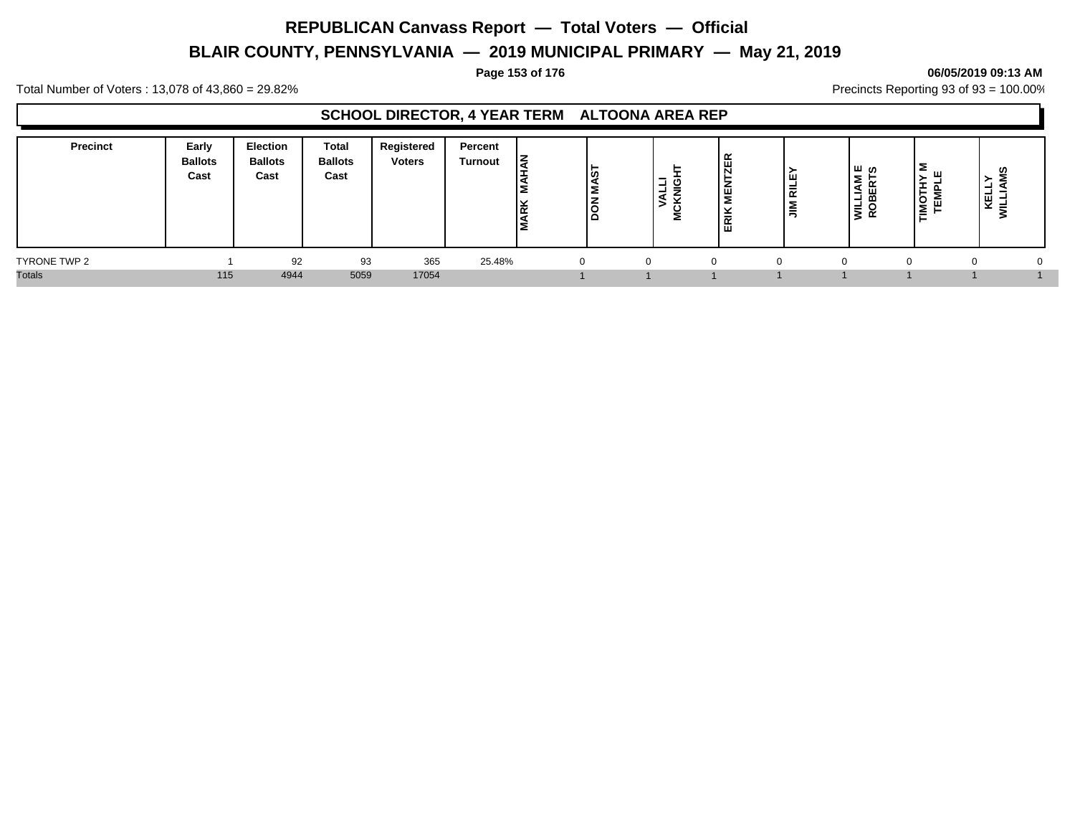# **BLAIR COUNTY, PENNSYLVANIA — 2019 MUNICIPAL PRIMARY — May 21, 2019**

#### **Page 153 of 176 06/05/2019 09:13 AM**

Total Number of Voters : 13,078 of 43,860 = 29.82% Precincts Reporting 93 of 93 = 100.00%

### **SCHOOL DIRECTOR, 4 YEAR TERM ALTOONA AREA REP**

| <b>Precinct</b> | Early<br><b>Ballots</b><br>Cast | <b>Election</b><br><b>Ballots</b><br>Cast | <b>Total</b><br><b>Ballots</b><br>Cast | Registered<br><b>Voters</b> | Percent<br><b>Turnout</b> | ΙZ<br><b>RK</b> | <b>MAS</b><br>∣हू | -<br>-<br>- | $\propto$<br>画<br>ш<br>ີ<br>-<br>$\tilde{\phantom{a}}$<br>齿 | ∣ ш<br>∣ਛ<br>- | ്ധ<br><b>WILLIAM</b><br>ROBERT: | Σ<br>ш<br>ᆂ<br>п.<br><b>TOMI</b><br>-<br>靣<br>┕ | ഗ<br>-<br>┙<br>⊎<br>-<br>−<br>х. |  |
|-----------------|---------------------------------|-------------------------------------------|----------------------------------------|-----------------------------|---------------------------|-----------------|-------------------|-------------|-------------------------------------------------------------|----------------|---------------------------------|-------------------------------------------------|----------------------------------|--|
| TYRONE TWP 2    |                                 | 92                                        | 93                                     | 365                         | 25.48%                    |                 |                   |             | $\Omega$                                                    |                | $\cap$                          | $^{\prime}$                                     |                                  |  |
| <b>Totals</b>   | 115                             | 4944                                      | 5059                                   | 17054                       |                           |                 |                   |             |                                                             |                |                                 |                                                 |                                  |  |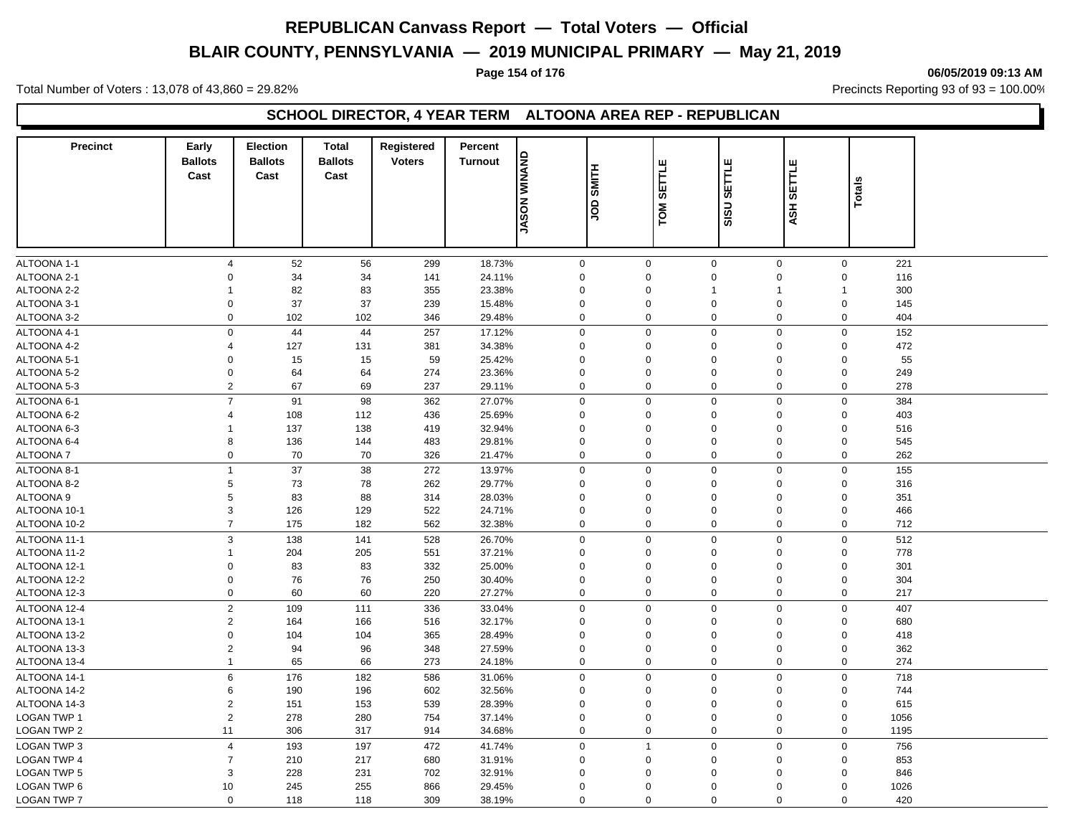# **BLAIR COUNTY, PENNSYLVANIA — 2019 MUNICIPAL PRIMARY — May 21, 2019**

#### **Page 154 of 176 06/05/2019 09:13 AM**

Total Number of Voters : 13,078 of 43,860 = 29.82% Precincts Reporting 93 of 93 = 100.00%

### **SCHOOL DIRECTOR, 4 YEAR TERM ALTOONA AREA REP - REPUBLICAN**

| <b>Precinct</b>    | Early<br><b>Ballots</b><br>Cast | <b>Election</b><br><b>Ballots</b><br>Cast | <b>Total</b><br><b>Ballots</b><br>Cast | Registered<br><b>Voters</b> | Percent<br><b>Turnout</b> | <b>ANANIW</b><br><b>NOSAL</b> | <b>SMITH</b><br>gor | SETTLE<br>TOM | <b>SETTLE</b><br>SU        | SETTLE<br>ASH | Totals |  |
|--------------------|---------------------------------|-------------------------------------------|----------------------------------------|-----------------------------|---------------------------|-------------------------------|---------------------|---------------|----------------------------|---------------|--------|--|
|                    |                                 |                                           |                                        |                             |                           |                               |                     |               | ᇮ                          |               |        |  |
|                    |                                 |                                           |                                        |                             |                           |                               |                     |               |                            |               |        |  |
| ALTOONA 1-1        | $\overline{4}$                  | 52                                        | 56                                     | 299                         | 18.73%                    | $\mathbf 0$                   | $\mathbf 0$         |               | $\mathbf 0$<br>$\mathbf 0$ | $\mathbf 0$   | 221    |  |
| ALTOONA 2-1        | $\Omega$                        | 34                                        | 34                                     | 141                         | 24.11%                    | 0                             | $\Omega$            |               | $\mathbf 0$<br>$\mathbf 0$ | $\Omega$      | 116    |  |
| ALTOONA 2-2        | $\mathbf{1}$                    | 82                                        | 83                                     | 355                         | 23.38%                    | $\mathbf 0$                   | $\mathbf 0$         | $\mathbf 1$   | $\overline{1}$             |               | 300    |  |
| ALTOONA 3-1        | 0                               | 37                                        | 37                                     | 239                         | 15.48%                    | $\mathbf 0$                   | $\mathbf 0$         | 0             | $\pmb{0}$                  | $\Omega$      | 145    |  |
| ALTOONA 3-2        | $\Omega$                        | 102                                       | 102                                    | 346                         | 29.48%                    | 0                             | $\mathbf 0$         |               | $\mathbf 0$<br>$\mathbf 0$ | $\mathbf 0$   | 404    |  |
| ALTOONA 4-1        | $\mathbf 0$                     | 44                                        | 44                                     | 257                         | 17.12%                    | $\mathbf 0$                   | $\Omega$            |               | $\mathbf 0$<br>$\mathbf 0$ | $\mathbf 0$   | 152    |  |
| ALTOONA 4-2        | $\overline{4}$                  | 127                                       | 131                                    | 381                         | 34.38%                    | $\mathbf 0$                   | $\Omega$            |               | $\mathbf 0$<br>$\mathbf 0$ | $\Omega$      | 472    |  |
| ALTOONA 5-1        | $\mathbf 0$                     | 15                                        | 15                                     | 59                          | 25.42%                    | $\mathbf 0$                   | $\mathbf 0$         |               | 0<br>$\mathbf 0$           | $\Omega$      | 55     |  |
| ALTOONA 5-2        | $\Omega$                        | 64                                        | 64                                     | 274                         | 23.36%                    | $\Omega$                      | $\Omega$            |               | 0<br>$\mathbf 0$           | $\Omega$      | 249    |  |
| ALTOONA 5-3        | $\overline{2}$                  | 67                                        | 69                                     | 237                         | 29.11%                    | 0                             | $\Omega$            |               | $\mathbf 0$<br>$\mathbf 0$ | $\mathbf 0$   | 278    |  |
| ALTOONA 6-1        | $\overline{7}$                  | 91                                        | 98                                     | 362                         | 27.07%                    | $\mathbf 0$                   | $\mathbf 0$         | $\mathbf 0$   | $\mathbf 0$                | $\Omega$      | 384    |  |
| ALTOONA 6-2        | $\overline{4}$                  | 108                                       | 112                                    | 436                         | 25.69%                    | $\mathbf 0$                   | $\mathbf 0$         |               | $\mathbf 0$<br>$\mathbf 0$ | $\Omega$      | 403    |  |
| ALTOONA 6-3        | $\mathbf 1$                     | 137                                       | 138                                    | 419                         | 32.94%                    | $\mathbf 0$                   | $\mathbf 0$         | $\mathbf 0$   | $\mathbf 0$                | $\Omega$      | 516    |  |
| ALTOONA 6-4        | 8                               | 136                                       | 144                                    | 483                         | 29.81%                    | $\Omega$                      | $\Omega$            | $\Omega$      | $\mathbf 0$                | $\Omega$      | 545    |  |
| ALTOONA 7          | $\mathbf 0$                     | 70                                        | 70                                     | 326                         | 21.47%                    | $\mathbf 0$                   | $\mathbf 0$         |               | $\mathbf 0$<br>$\mathbf 0$ | $\mathbf 0$   | 262    |  |
| ALTOONA 8-1        | $\overline{1}$                  | 37                                        | 38                                     | 272                         | 13.97%                    | $\mathbf{0}$                  | $\mathbf 0$         |               | $\mathbf 0$<br>$\mathbf 0$ | $\mathbf 0$   | 155    |  |
| ALTOONA 8-2        | 5                               | 73                                        | 78                                     | 262                         | 29.77%                    | 0                             | $\mathbf 0$         |               | $\mathbf 0$<br>$\mathbf 0$ | $\Omega$      | 316    |  |
| ALTOONA 9          | 5                               | 83                                        | 88                                     | 314                         | 28.03%                    | $\Omega$                      | $\Omega$            |               | 0<br>$\mathbf 0$           | $\Omega$      | 351    |  |
| ALTOONA 10-1       | 3                               | 126                                       | 129                                    | 522                         | 24.71%                    | $\mathbf 0$                   | $\Omega$            |               | 0<br>$\mathbf 0$           | $\Omega$      | 466    |  |
| ALTOONA 10-2       | $\overline{7}$                  | 175                                       | 182                                    | 562                         | 32.38%                    | 0                             | $\mathbf 0$         |               | $\mathbf 0$<br>$\mathbf 0$ | $\mathbf 0$   | 712    |  |
| ALTOONA 11-1       | $\ensuremath{\mathsf{3}}$       | 138                                       | 141                                    | 528                         | 26.70%                    | $\mathbf 0$                   | $\mathbf 0$         | $\mathsf 0$   | $\mathbf 0$                | $\mathbf 0$   | 512    |  |
| ALTOONA 11-2       | $\mathbf{1}$                    | 204                                       | 205                                    | 551                         | 37.21%                    | 0                             | $\mathbf 0$         |               | $\mathbf 0$<br>$\mathbf 0$ | $\Omega$      | 778    |  |
| ALTOONA 12-1       | $\mathbf 0$                     | 83                                        | 83                                     | 332                         | 25.00%                    | $\mathbf 0$                   | $\Omega$            |               | 0<br>$\mathbf 0$           | $\Omega$      | 301    |  |
| ALTOONA 12-2       | $\mathsf 0$                     | 76                                        | 76                                     | 250                         | 30.40%                    | 0                             | $\mathbf 0$         |               | 0<br>$\mathbf 0$           | $\Omega$      | 304    |  |
| ALTOONA 12-3       | $\mathbf 0$                     | 60                                        | 60                                     | 220                         | 27.27%                    | $\mathbf 0$                   | $\mathbf 0$         |               | $\mathbf 0$<br>$\mathbf 0$ | $\mathbf 0$   | 217    |  |
| ALTOONA 12-4       | $\overline{2}$                  | 109                                       | 111                                    | 336                         | 33.04%                    | 0                             | $\mathbf 0$         |               | $\mathbf 0$<br>$\mathbf 0$ | $\mathbf 0$   | 407    |  |
| ALTOONA 13-1       | $\overline{2}$                  | 164                                       | 166                                    | 516                         | 32.17%                    | $\mathbf 0$                   | $\mathbf 0$         |               | $\mathbf 0$<br>$\mathbf 0$ | $\mathbf 0$   | 680    |  |
| ALTOONA 13-2       | $\mathbf 0$                     | 104                                       | 104                                    | 365                         | 28.49%                    | 0                             | $\mathbf 0$         | $\mathbf 0$   | $\mathbf 0$                | $\Omega$      | 418    |  |
| ALTOONA 13-3       | $\overline{2}$                  | 94                                        | 96                                     | 348                         | 27.59%                    | $\mathbf 0$                   | $\mathbf 0$         |               | $\mathbf 0$<br>$\mathbf 0$ | $\Omega$      | 362    |  |
| ALTOONA 13-4       | $\mathbf{1}$                    | 65                                        | 66                                     | 273                         | 24.18%                    | $\mathbf 0$                   | $\mathbf 0$         |               | $\mathbf 0$<br>$\mathbf 0$ | $\mathbf 0$   | 274    |  |
| ALTOONA 14-1       | 6                               | 176                                       | 182                                    | 586                         | 31.06%                    | 0                             | $\mathbf 0$         |               | $\mathbf 0$<br>$\mathbf 0$ | $\mathbf 0$   | 718    |  |
| ALTOONA 14-2       | 6                               | 190                                       | 196                                    | 602                         | 32.56%                    | $\mathbf 0$                   | $\Omega$            |               | $\mathbf 0$<br>$\mathbf 0$ | $\Omega$      | 744    |  |
| ALTOONA 14-3       | $\overline{2}$                  | 151                                       | 153                                    | 539                         | 28.39%                    | $\mathbf 0$                   | $\mathbf 0$         |               | $\mathbf 0$<br>$\mathbf 0$ | $\Omega$      | 615    |  |
| <b>LOGAN TWP 1</b> | $\overline{2}$                  | 278                                       | 280                                    | 754                         | 37.14%                    | 0                             | $\mathbf 0$         |               | $\mathbf 0$<br>$\mathbf 0$ | $\mathbf 0$   | 1056   |  |
| <b>LOGAN TWP 2</b> | 11                              | 306                                       | 317                                    | 914                         | 34.68%                    | 0                             | $\Omega$            |               | $\mathbf 0$<br>$\mathbf 0$ | $\mathbf 0$   | 1195   |  |
| <b>LOGAN TWP 3</b> | $\overline{4}$                  | 193                                       | 197                                    | 472                         | 41.74%                    | 0                             | $\overline{1}$      |               | $\mathbf 0$<br>$\mathbf 0$ | $\Omega$      | 756    |  |
| <b>LOGAN TWP 4</b> | $\overline{7}$                  | 210                                       | 217                                    | 680                         | 31.91%                    | $\Omega$                      | $\Omega$            | $\Omega$      | $\mathbf 0$                | $\Omega$      | 853    |  |
| <b>LOGAN TWP 5</b> | 3                               | 228                                       | 231                                    | 702                         | 32.91%                    | $\Omega$                      | $\Omega$            | 0             | $\mathbf 0$                | $\Omega$      | 846    |  |
| LOGAN TWP 6        | 10                              | 245                                       | 255                                    | 866                         | 29.45%                    | $\Omega$                      | $\mathbf 0$         |               | 0<br>$\mathbf 0$           | $\Omega$      | 1026   |  |
| <b>LOGAN TWP 7</b> | $\mathbf 0$                     | 118                                       | 118                                    | 309                         | 38.19%                    | 0                             | $\Omega$            |               | $\mathbf 0$<br>$\mathbf 0$ | $\mathbf 0$   | 420    |  |
|                    |                                 |                                           |                                        |                             |                           |                               |                     |               |                            |               |        |  |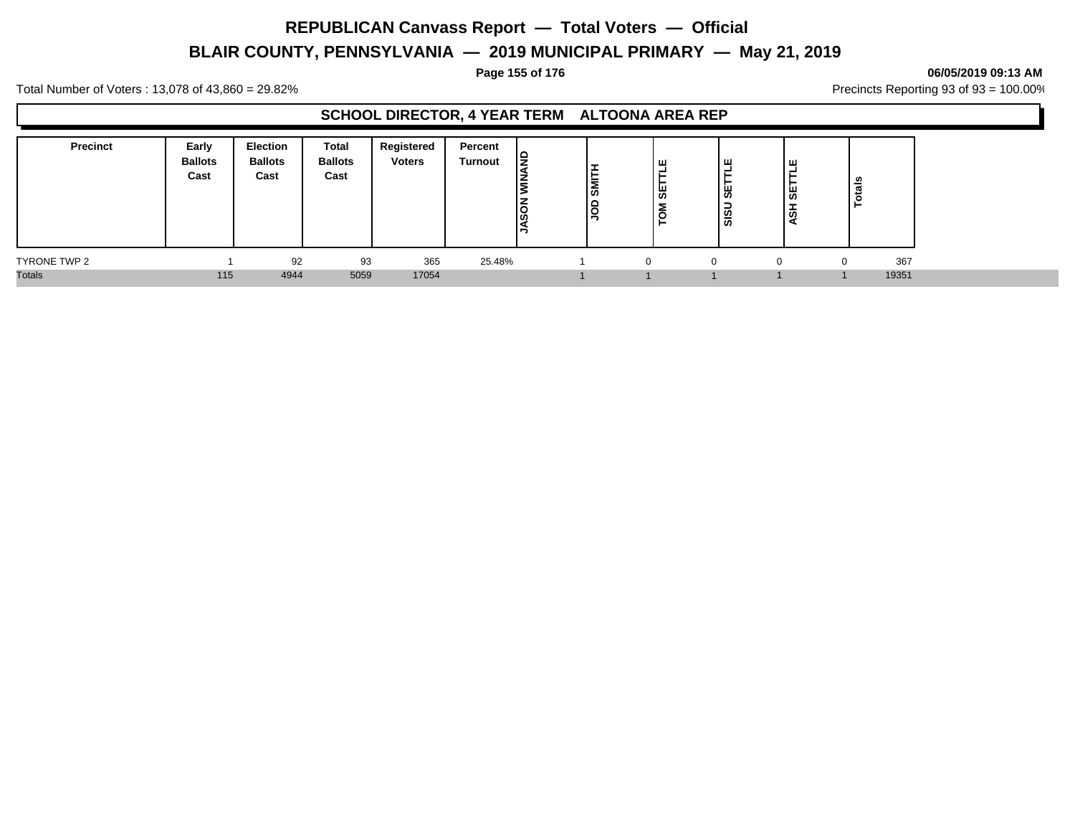# **BLAIR COUNTY, PENNSYLVANIA — 2019 MUNICIPAL PRIMARY — May 21, 2019**

#### **Page 155 of 176 06/05/2019 09:13 AM**

Total Number of Voters : 13,078 of 43,860 = 29.82% Precincts Reporting 93 of 93 = 100.00%

### **SCHOOL DIRECTOR, 4 YEAR TERM ALTOONA AREA REP**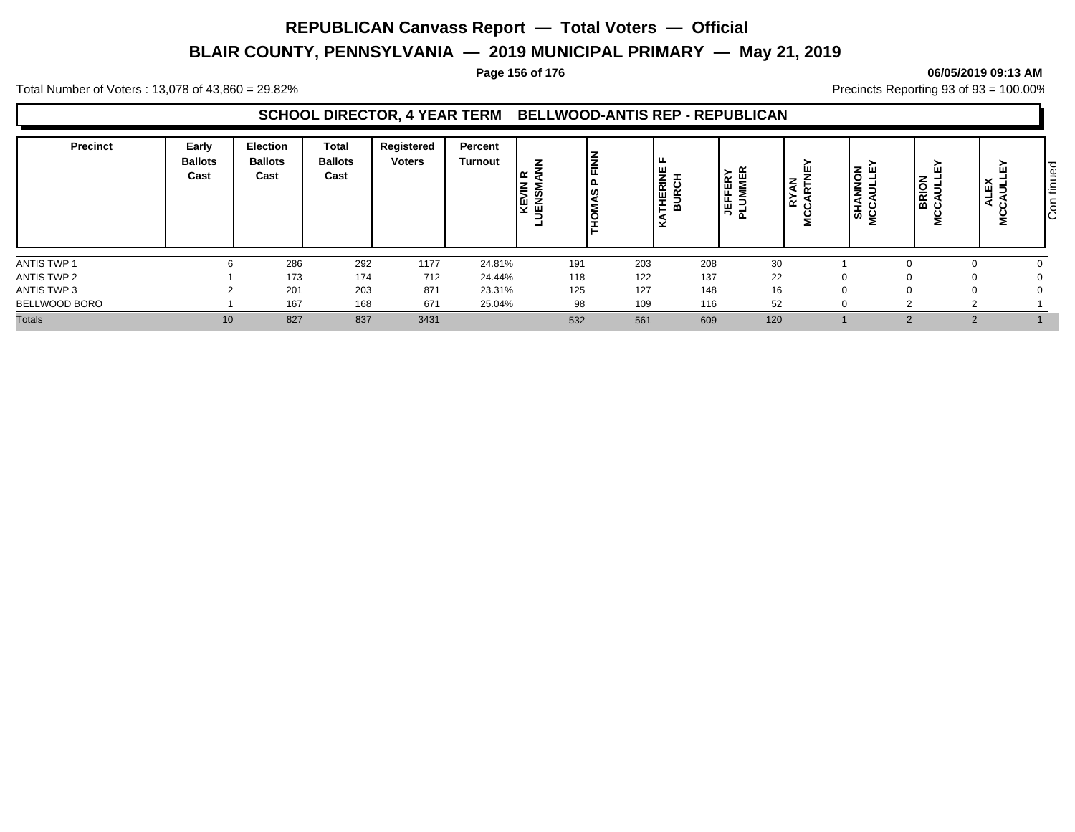# **BLAIR COUNTY, PENNSYLVANIA — 2019 MUNICIPAL PRIMARY — May 21, 2019**

#### **Page 156 of 176 06/05/2019 09:13 AM**

Total Number of Voters : 13,078 of 43,860 = 29.82% Precincts Reporting 93 of 93 = 100.00%

### **SCHOOL DIRECTOR, 4 YEAR TERM BELLWOOD-ANTIS REP - REPUBLICAN**

| <b>Precinct</b> | Early<br><b>Ballots</b><br>Cast | <b>Election</b><br><b>Ballots</b><br>Cast | Total<br><b>Ballots</b><br>Cast | Registered<br><b>Voters</b> | Percent<br><b>Turnout</b> | z<br>NIN<br>١ř | <b>FINN</b> | ட<br>RINE<br>SCH<br>뽑<br>⋒<br>× | TERY<br><b>MER</b><br>茑<br><u>. на против на пример</u><br>ᅺ | ш<br>$\boldsymbol{\xi}$<br>$\approx$ $\approx$<br>2 | ➤<br><b>SHANNON</b><br>ICCAULLEY<br>ပ<br>을 | ш<br><b>BRION</b><br>CAULL<br>ž | ш<br>$\times$<br>ш<br>∍<br>-<br>$\cdot$ | pen<br>$\overline{\phantom{0}}$<br>造<br>ŏ<br>ΙŌ |
|-----------------|---------------------------------|-------------------------------------------|---------------------------------|-----------------------------|---------------------------|----------------|-------------|---------------------------------|--------------------------------------------------------------|-----------------------------------------------------|--------------------------------------------|---------------------------------|-----------------------------------------|-------------------------------------------------|
| ANTIS TWP 1     |                                 | 286                                       | 292                             | 1177                        | 24.81%                    | 191            | 203         | 208                             | 30                                                           |                                                     |                                            |                                 |                                         |                                                 |
| ANTIS TWP 2     |                                 | 173                                       | 174                             | 712                         | 24.44%                    | 118            | 122         | 137                             | 22                                                           |                                                     |                                            |                                 |                                         |                                                 |
| ANTIS TWP 3     |                                 | 201                                       | 203                             | 871                         | 23.31%                    | 125            | 127         | 148                             | 16                                                           |                                                     |                                            |                                 |                                         |                                                 |
| BELLWOOD BORO   |                                 | 167                                       | 168                             | 671                         | 25.04%                    | 98             | 109         | 116                             | 52                                                           |                                                     |                                            |                                 |                                         |                                                 |
| <b>Totals</b>   | 10                              | 827                                       | 837                             | 3431                        |                           | 532            | 561         | 609                             | 120                                                          |                                                     |                                            |                                 |                                         |                                                 |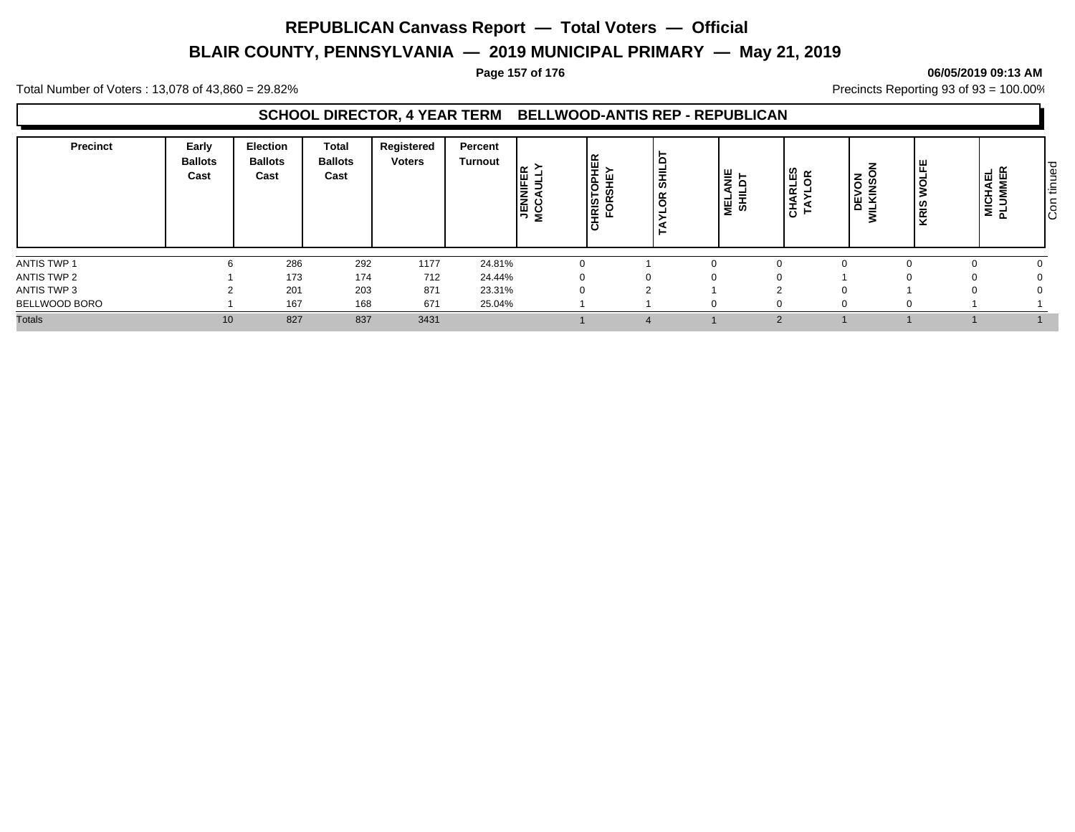# **BLAIR COUNTY, PENNSYLVANIA — 2019 MUNICIPAL PRIMARY — May 21, 2019**

#### **Page 157 of 176 06/05/2019 09:13 AM**

Total Number of Voters : 13,078 of 43,860 = 29.82% Precincts Reporting 93 of 93 = 100.00%

### **SCHOOL DIRECTOR, 4 YEAR TERM BELLWOOD-ANTIS REP - REPUBLICAN**

| <b>Precinct</b> | Early<br><b>Ballots</b><br>Cast | <b>Election</b><br><b>Ballots</b><br>Cast | <b>Total</b><br><b>Ballots</b><br>Cast | Registered<br><b>Voters</b> | Percent<br><b>Turnout</b> | 坣<br>$\alpha$<br><b>JENNIF</b><br>MCCAU<br><b>RIS</b><br>- | $\frac{1}{3}$<br>g | MELANIE<br>SHILDT | CHARLES<br>TAYLOR | –<br>DEVON<br>ILKINSOI<br>$\equiv$<br>5 | <b>WOLFE</b><br>KRIS | ⊿ ו<br>피<br>ய<br>MICHAI<br>PLUMM | ued<br>$\overline{\phantom{0}}$<br>造<br>င်္င |
|-----------------|---------------------------------|-------------------------------------------|----------------------------------------|-----------------------------|---------------------------|------------------------------------------------------------|--------------------|-------------------|-------------------|-----------------------------------------|----------------------|----------------------------------|----------------------------------------------|
| ANTIS TWP 1     |                                 | 286                                       | 292                                    | 1177                        | 24.81%                    |                                                            |                    |                   |                   |                                         |                      |                                  |                                              |
| ANTIS TWP 2     |                                 | 173                                       | 174                                    | 712                         | 24.44%                    |                                                            |                    |                   |                   |                                         |                      |                                  |                                              |
| ANTIS TWP 3     |                                 | 201                                       | 203                                    | 871                         | 23.31%                    |                                                            |                    |                   |                   |                                         |                      |                                  |                                              |
| BELLWOOD BORO   |                                 | 167                                       | 168                                    | 671                         | 25.04%                    |                                                            |                    |                   |                   |                                         |                      |                                  |                                              |
| <b>Totals</b>   | 10                              | 827                                       | 837                                    | 3431                        |                           |                                                            |                    |                   |                   |                                         |                      |                                  |                                              |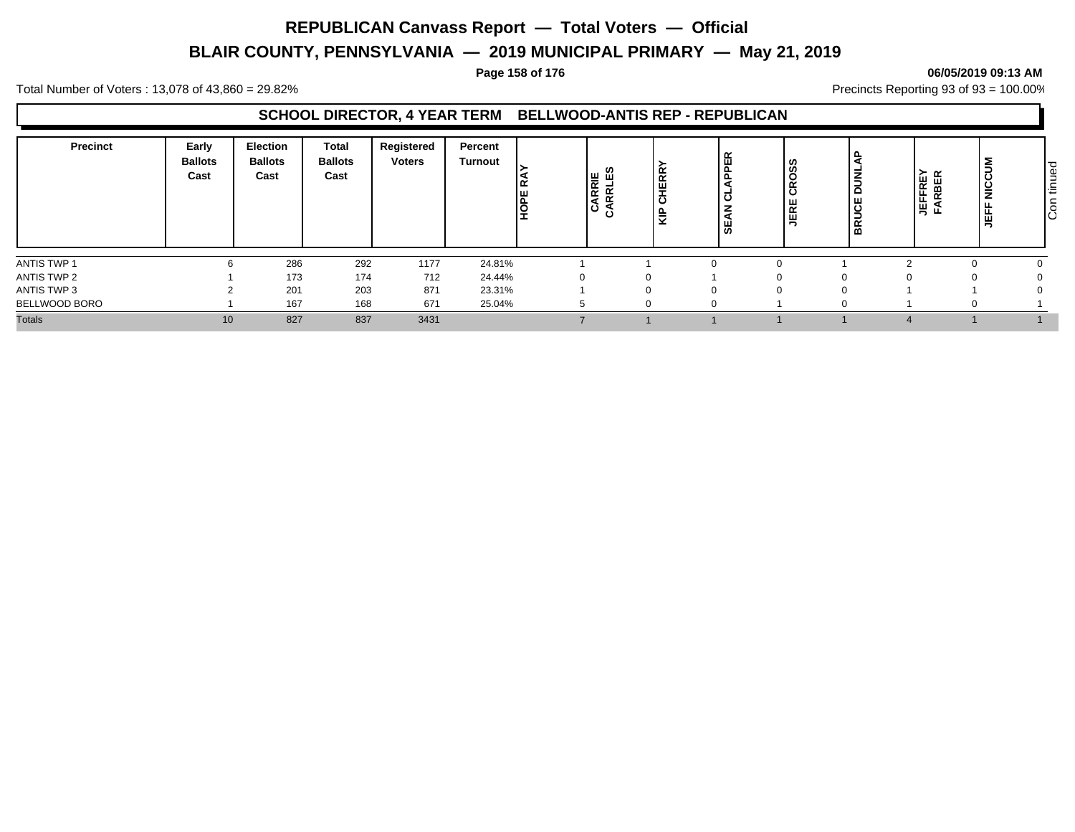# **BLAIR COUNTY, PENNSYLVANIA — 2019 MUNICIPAL PRIMARY — May 21, 2019**

#### **Page 158 of 176 06/05/2019 09:13 AM**

Total Number of Voters : 13,078 of 43,860 = 29.82% Precincts Reporting 93 of 93 = 100.00%

### **SCHOOL DIRECTOR, 4 YEAR TERM BELLWOOD-ANTIS REP - REPUBLICAN**

| <b>Precinct</b> | Early<br><b>Ballots</b><br>Cast | Election<br><b>Ballots</b><br>Cast | <b>Total</b><br><b>Ballots</b><br>Cast | Registered<br><b>Voters</b> | Percent<br>Turnout | ے ا<br><b>HOFE</b> | CARRIE<br>CARRLES | <b>IERR</b><br><b>.</b><br>ပ<br>읖 | <b>APPER</b><br>ಕ<br>SEAN | CROSS<br>JERE | 웅<br><b>NIC</b><br><b>BRUCE</b> | ≃<br>Œ<br>ட<br>уů | Ξ<br>щ | ∣ o<br>Ξ<br>≔<br>$\epsilon$<br>ΙÖ |
|-----------------|---------------------------------|------------------------------------|----------------------------------------|-----------------------------|--------------------|--------------------|-------------------|-----------------------------------|---------------------------|---------------|---------------------------------|-------------------|--------|-----------------------------------|
| ANTIS TWP 1     |                                 | 286                                | 292                                    | 1177                        | 24.81%             |                    |                   |                                   |                           |               |                                 |                   |        |                                   |
| ANTIS TWP 2     |                                 | 173                                | 174                                    | 712                         | 24.44%             |                    |                   |                                   |                           | $\Omega$      | $\Omega$                        |                   |        |                                   |
| ANTIS TWP 3     |                                 | 201                                | 203                                    | 871                         | 23.31%             |                    |                   |                                   |                           |               |                                 |                   |        |                                   |
| BELLWOOD BORO   |                                 | 167                                | 168                                    | 671                         | 25.04%             |                    |                   |                                   |                           |               |                                 |                   |        |                                   |
| <b>Totals</b>   | 10 <sup>1</sup>                 | 827                                | 837                                    | 3431                        |                    |                    |                   |                                   |                           |               |                                 |                   |        |                                   |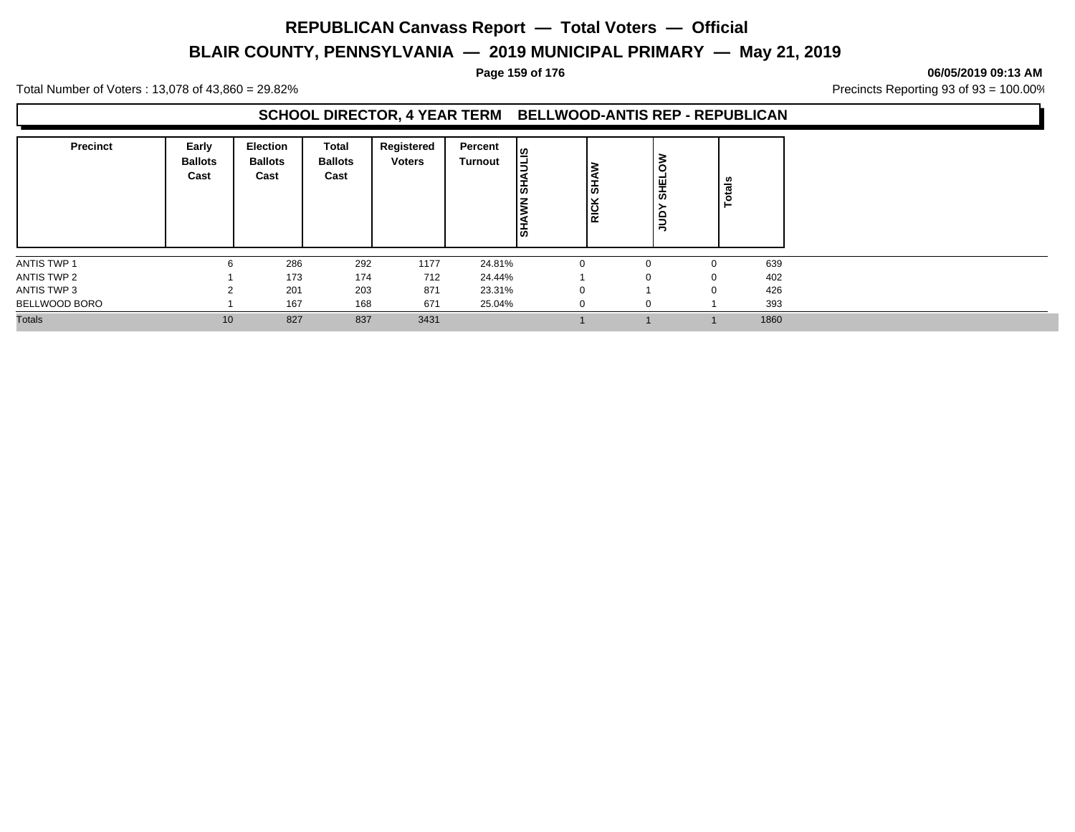# **BLAIR COUNTY, PENNSYLVANIA — 2019 MUNICIPAL PRIMARY — May 21, 2019**

#### **Page 159 of 176 06/05/2019 09:13 AM**

Total Number of Voters : 13,078 of 43,860 = 29.82% Precincts Reporting 93 of 93 = 100.00%

### **SCHOOL DIRECTOR, 4 YEAR TERM BELLWOOD-ANTIS REP - REPUBLICAN**

| <b>Precinct</b> | Early<br><b>Ballots</b><br>Cast | <b>Election</b><br><b>Ballots</b><br>Cast | Total<br><b>Ballots</b><br>Cast | Registered<br><b>Voters</b> | Percent<br><b>Turnout</b> | ia<br>S<br> 풊<br>ξ<br>Ist | ۱ō<br>$\overline{R}$ | <b>SHELOW</b><br>guu | ៖<br>÷<br>┕ |      |
|-----------------|---------------------------------|-------------------------------------------|---------------------------------|-----------------------------|---------------------------|---------------------------|----------------------|----------------------|-------------|------|
| ANTIS TWP 1     | 6                               | 286                                       | 292                             | 1177                        | 24.81%                    |                           |                      |                      | $\mathbf 0$ | 639  |
| ANTIS TWP 2     |                                 | 173                                       | 174                             | 712                         | 24.44%                    |                           |                      |                      | $\mathbf 0$ | 402  |
| ANTIS TWP 3     |                                 | 201                                       | 203                             | 871                         | 23.31%                    |                           | $\Omega$             |                      | 0           | 426  |
| BELLWOOD BORO   |                                 | 167                                       | 168                             | 671                         | 25.04%                    |                           |                      |                      |             | 393  |
| <b>Totals</b>   | 10                              | 827                                       | 837                             | 3431                        |                           |                           |                      |                      |             | 1860 |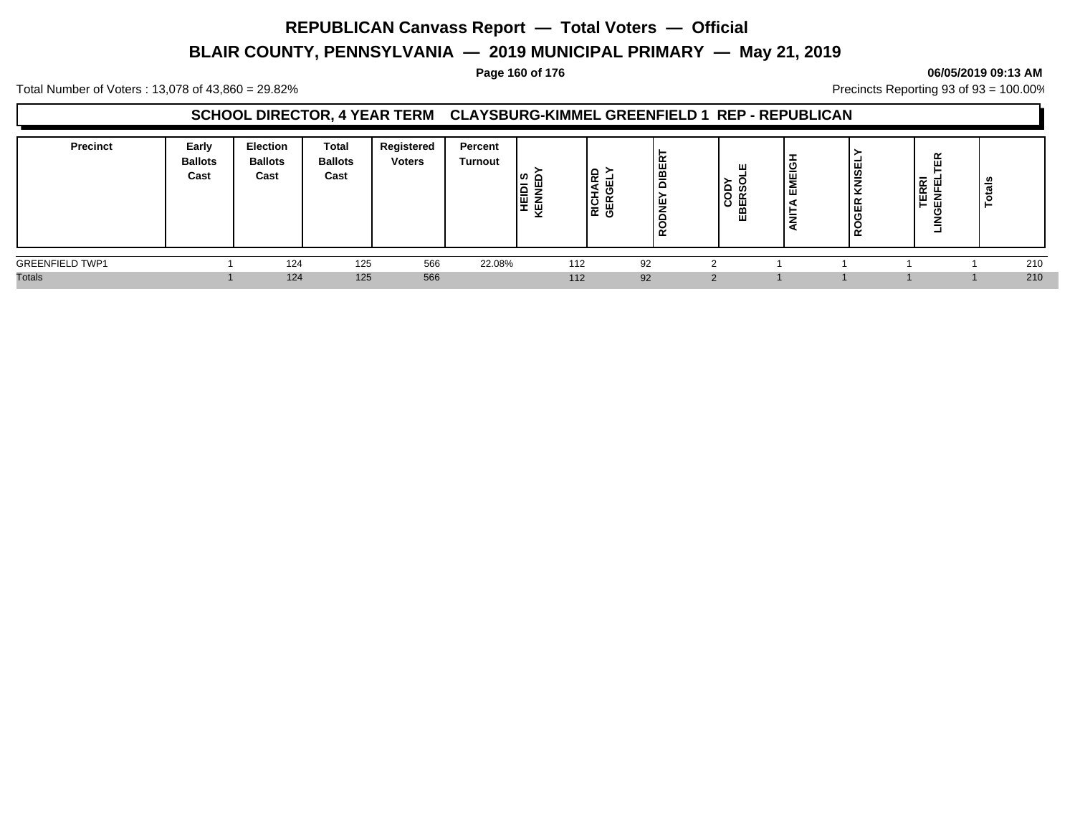# **BLAIR COUNTY, PENNSYLVANIA — 2019 MUNICIPAL PRIMARY — May 21, 2019**

#### **Page 160 of 176 06/05/2019 09:13 AM**

Total Number of Voters : 13,078 of 43,860 = 29.82% Precincts Reporting 93 of 93 = 100.00%

### **SCHOOL DIRECTOR, 4 YEAR TERM CLAYSBURG-KIMMEL GREENFIELD 1 REP - REPUBLICAN**

| Precinct               | Early<br><b>Ballots</b><br>Cast | <b>Election</b><br><b>Ballots</b><br>Cast | <b>Total</b><br><b>Ballots</b><br>Cast | Registered<br><b>Voters</b> | Percent<br><b>Turnout</b> | <b>HEIDI<br/>KENNEI</b> | lg<br>K<br>RICHA<br>GERG | <b>Jiel</b><br>پ<br>œ | ш<br>COD<br>EBERS | ີ<br>-<br>靊<br>ш | <b>CNISE</b><br>≃<br>18<br>$\alpha$ | $\sim$ $\sim$<br><b>RE</b><br>UFEL<br>$\sim$ $\sim$<br><br>- | ≝   |
|------------------------|---------------------------------|-------------------------------------------|----------------------------------------|-----------------------------|---------------------------|-------------------------|--------------------------|-----------------------|-------------------|------------------|-------------------------------------|--------------------------------------------------------------|-----|
| <b>GREENFIELD TWP1</b> |                                 | 124                                       | 125                                    | 566                         | 22.08%                    | 112                     | 92                       |                       | $\sim$            |                  |                                     |                                                              | 210 |
| <b>Totals</b>          |                                 | 124                                       | 125                                    | 566                         |                           | 112                     | 92                       |                       | $\Omega$          |                  |                                     |                                                              | 210 |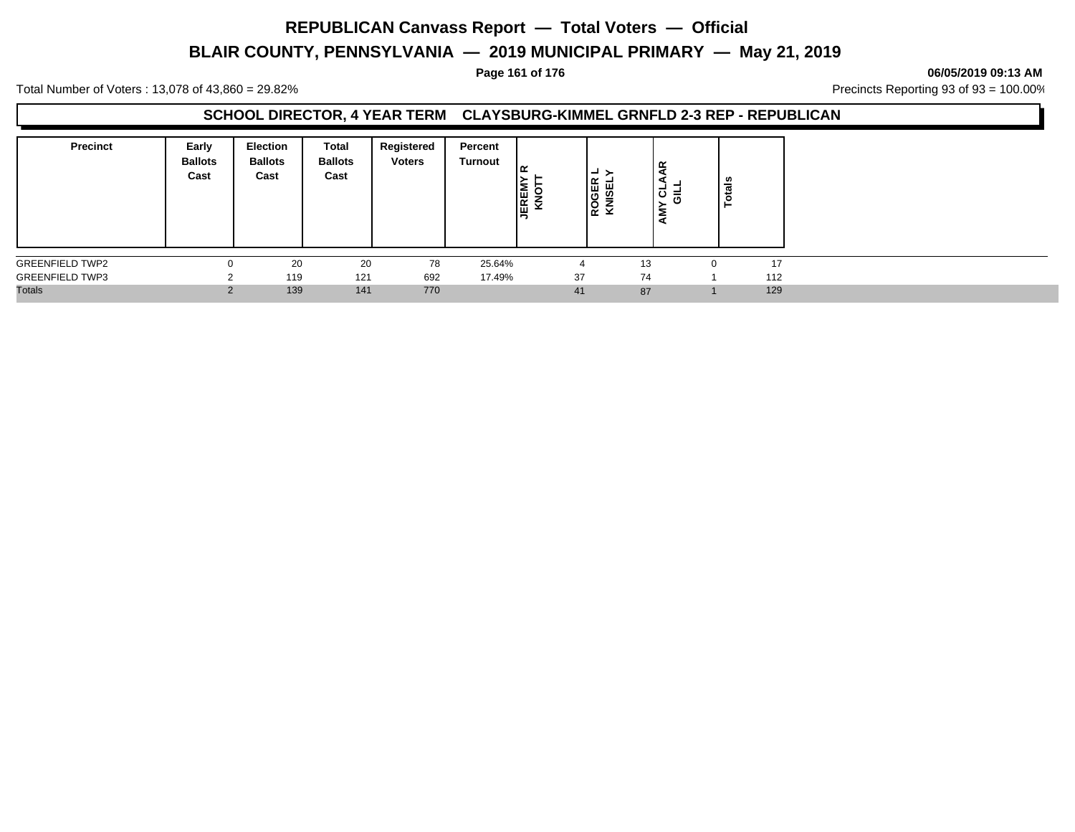# **BLAIR COUNTY, PENNSYLVANIA — 2019 MUNICIPAL PRIMARY — May 21, 2019**

#### **Page 161 of 176 06/05/2019 09:13 AM**

Total Number of Voters : 13,078 of 43,860 = 29.82% Precincts Reporting 93 of 93 = 100.00%

#### **SCHOOL DIRECTOR, 4 YEAR TERM CLAYSBURG-KIMMEL GRNFLD 2-3 REP - REPUBLICAN**

| <b>Precinct</b>        | Early<br><b>Ballots</b><br>Cast | <b>Election</b><br><b>Ballots</b><br>Cast | Total<br><b>Ballots</b><br>Cast | Registered<br><b>Voters</b> | Percent<br>Turnout | ' ≃<br><b>JEREM</b><br>$\checkmark$ | ≻<br>┙<br>ROGER<br>KNISEL | 욵<br>-<br>∣੦ ≓਼<br>ξ | ≝   |
|------------------------|---------------------------------|-------------------------------------------|---------------------------------|-----------------------------|--------------------|-------------------------------------|---------------------------|----------------------|-----|
| <b>GREENFIELD TWP2</b> |                                 | 20                                        | 20                              | 78                          | 25.64%             |                                     | 13                        |                      | 17  |
| <b>GREENFIELD TWP3</b> |                                 | 119                                       | 121                             | 692                         | 17.49%             | 37                                  | 74                        |                      | 112 |
| <b>Totals</b>          |                                 | 139                                       | 141                             | 770                         |                    | 41                                  | 87                        |                      | 129 |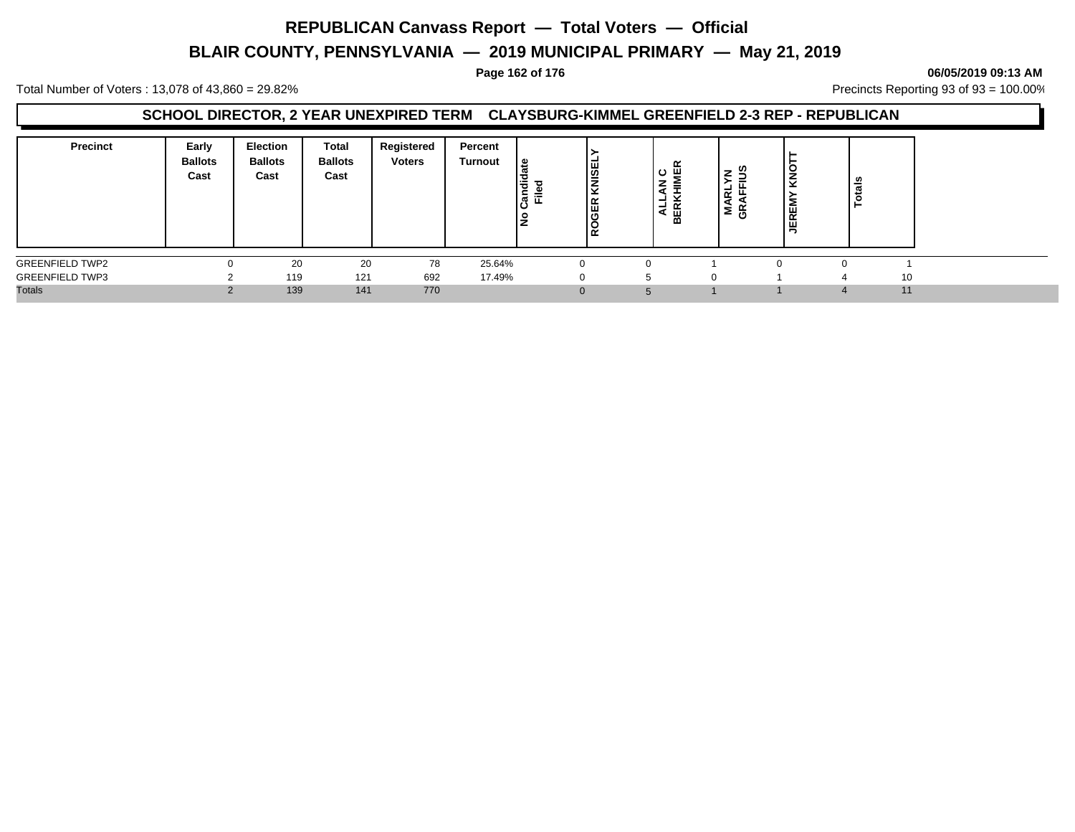# **BLAIR COUNTY, PENNSYLVANIA — 2019 MUNICIPAL PRIMARY — May 21, 2019**

#### **Page 162 of 176 06/05/2019 09:13 AM**

Total Number of Voters : 13,078 of 43,860 = 29.82% Precincts Reporting 93 of 93 = 100.00%

### **SCHOOL DIRECTOR, 2 YEAR UNEXPIRED TERM CLAYSBURG-KIMMEL GREENFIELD 2-3 REP - REPUBLICAN**

| <b>Precinct</b>        | Early<br><b>Ballots</b><br>Cast | <b>Election</b><br><b>Ballots</b><br>Cast | <b>Total</b><br><b>Ballots</b><br>Cast | Registered<br><b>Voters</b> | Percent<br>Turnout | 1 ي<br>Candic<br>Ѣ<br>⋍<br>ட<br>٠<br>∠ | <b>NISEL</b><br>≂<br> 뜺<br>ے ا | $\sim$<br>ပ<br>-<br>ᆜ<br>ட<br>⋖<br>മ | -<br>-<br>-<br>$\propto$<br>≅ ⊕ັ | š<br>JEREI | ਛ |    |
|------------------------|---------------------------------|-------------------------------------------|----------------------------------------|-----------------------------|--------------------|----------------------------------------|--------------------------------|--------------------------------------|----------------------------------|------------|---|----|
| <b>GREENFIELD TWP2</b> |                                 | 20                                        | 20                                     | 78                          | 25.64%             |                                        |                                |                                      |                                  | ∩          |   |    |
| <b>GREENFIELD TWP3</b> |                                 | 119                                       | 121                                    | 692                         | 17.49%             |                                        |                                |                                      |                                  |            |   | 10 |
| <b>Totals</b>          |                                 | 139                                       | 141                                    | 770                         |                    |                                        | $\Omega$                       |                                      |                                  |            |   | 11 |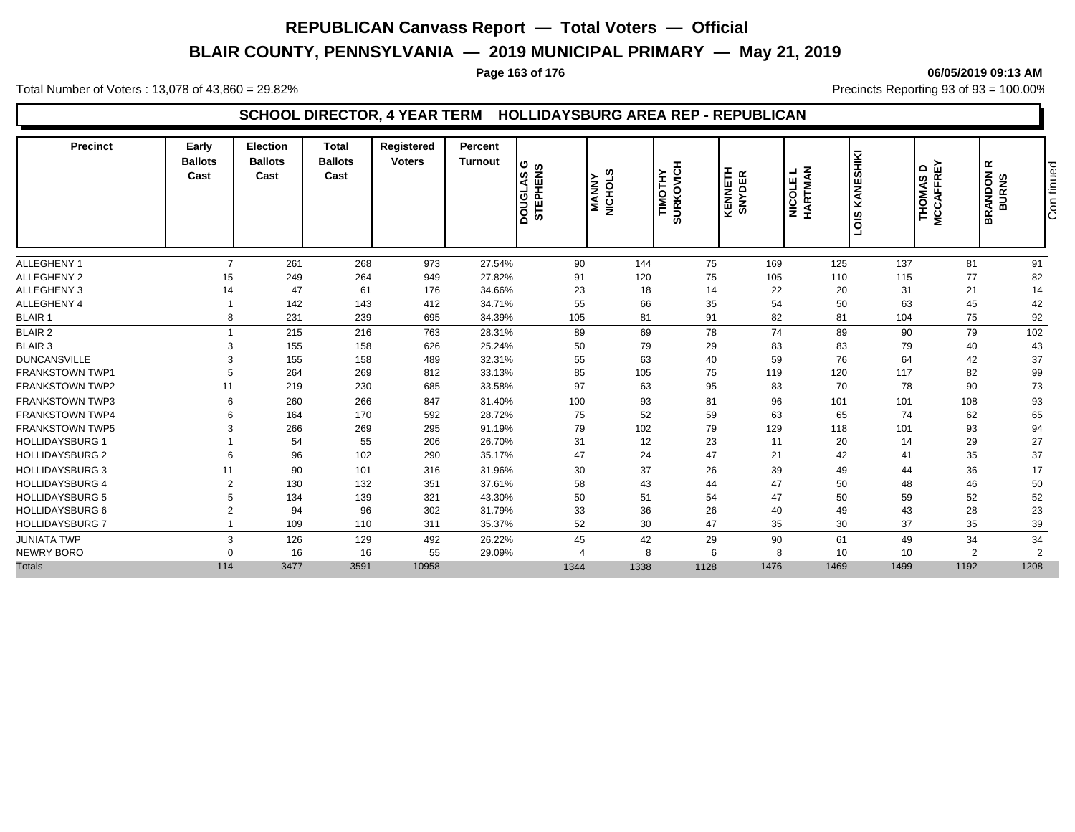# **BLAIR COUNTY, PENNSYLVANIA — 2019 MUNICIPAL PRIMARY — May 21, 2019**

#### **Page 163 of 176 06/05/2019 09:13 AM**

Total Number of Voters : 13,078 of 43,860 = 29.82% Precincts Reporting 93 of 93 = 100.00%

### **SCHOOL DIRECTOR, 4 YEAR TERM HOLLIDAYSBURG AREA REP - REPUBLICAN**

| 81<br>91<br>$\overline{7}$<br>261<br>268<br>973<br>27.54%<br>90<br>144<br>75<br>169<br>125<br>137<br>75<br>264<br>949<br>120<br>105<br>115<br>77<br>82<br>15<br>249<br>27.82%<br>91<br>110<br>23<br>18<br>14<br>22<br>20<br>47<br>61<br>176<br>34.66%<br>31<br>21<br>14<br>14<br>35<br>142<br>143<br>412<br>55<br>66<br>54<br>50<br>42<br>34.71%<br>63<br>45<br>91<br>239<br>105<br>81<br>82<br>81<br>92<br>231<br>695<br>34.39%<br>104<br>75<br>8<br>69<br>78<br>74<br>89<br>102<br>215<br>216<br>763<br>89<br>90<br>79<br>28.31%<br>155<br>626<br>50<br>79<br>29<br>83<br>83<br>79<br>43<br>158<br>25.24%<br>40<br>З<br>55<br>59<br>155<br>158<br>489<br>32.31%<br>63<br>40<br>76<br>64<br>37<br>42<br>85<br>75<br>99<br>264<br>269<br>812<br>105<br>119<br>120<br>117<br>82<br>33.13%<br>95<br>63<br>83<br>11<br>219<br>230<br>685<br>97<br>70<br>78<br>90<br>73<br>33.58%<br>100<br>93<br>81<br>96<br>93<br>6<br>260<br>266<br>847<br>101<br>108<br>31.40%<br>101<br>52<br>59<br>592<br>75<br>63<br>65<br>74<br>62<br>65<br>164<br>170<br>28.72%<br>6<br>79<br>129<br>79<br>102<br>93<br>94<br>266<br>269<br>295<br>118<br>101<br>91.19%<br>З<br>12<br>23<br>27<br>55<br>206<br>26.70%<br>31<br>11<br>20<br>29<br>54<br>14<br>47<br>24<br>47<br>37<br><b>HOLLIDAYSBURG 2</b><br>96<br>102<br>21<br>42<br>35<br>6<br>290<br>35.17%<br>41<br>30<br>37<br>26<br>39<br>36<br>17<br>11<br>90<br>101<br>316<br>31.96%<br>49<br>44<br>43<br>132<br>58<br>44<br>47<br>50<br>50<br>$\overline{2}$<br>130<br>351<br>37.61%<br>48<br>46<br>51<br>47<br>50<br>54<br>50<br>59<br>52<br>52<br>5<br>134<br>139<br>321<br>43.30%<br>33<br>36<br>26<br>43<br>23<br>$\overline{2}$<br>94<br>96<br>302<br>31.79%<br>40<br>49<br>28<br>30<br>47<br>35<br>52<br>30<br>37<br>35<br>39<br>109<br>110<br>311<br>35.37%<br>126<br>129<br>26.22%<br>45<br>42<br>29<br>90<br>61<br>49<br>34<br>34<br>3<br>492<br>55<br>$\overline{2}$<br>16<br>16<br>29.09%<br>6<br>10<br>10<br>2<br>8<br>8<br>$\Omega$<br>$\boldsymbol{\varDelta}$<br>1476<br>1192<br>1208<br>114<br>3477<br>3591<br>10958<br>1128<br>1469<br>1499<br>1344<br>1338 | <b>Precinct</b>        | Early<br><b>Ballots</b><br>Cast | Election<br><b>Ballots</b><br>Cast | <b>Total</b><br><b>Ballots</b><br>Cast | Registered<br><b>Voters</b> | <b>Percent</b><br><b>Turnout</b> | DOUGLAS G<br>STEPHENS | ဖာ<br><b>MANNY</b><br>NICHOL: | TIMOTHY<br>SURKOVICH | KENNETH<br>SNYDER | NICOLE L<br>HARTMAN | KANESHIKI<br>SIOT | <b>MCCAFFREY</b><br>$\mathbf{\Omega}$<br><b>THOMAS</b> | $\simeq$<br>Con tinued<br>BRANDON<br>BURNS |
|--------------------------------------------------------------------------------------------------------------------------------------------------------------------------------------------------------------------------------------------------------------------------------------------------------------------------------------------------------------------------------------------------------------------------------------------------------------------------------------------------------------------------------------------------------------------------------------------------------------------------------------------------------------------------------------------------------------------------------------------------------------------------------------------------------------------------------------------------------------------------------------------------------------------------------------------------------------------------------------------------------------------------------------------------------------------------------------------------------------------------------------------------------------------------------------------------------------------------------------------------------------------------------------------------------------------------------------------------------------------------------------------------------------------------------------------------------------------------------------------------------------------------------------------------------------------------------------------------------------------------------------------------------------------------------------------------------------------------------------------------------------------------------------------------------------------------------------------------------------------------------------------------------------------------------------------------------------------------------------------------------------------------------------------------------------------------------------------------------------|------------------------|---------------------------------|------------------------------------|----------------------------------------|-----------------------------|----------------------------------|-----------------------|-------------------------------|----------------------|-------------------|---------------------|-------------------|--------------------------------------------------------|--------------------------------------------|
|                                                                                                                                                                                                                                                                                                                                                                                                                                                                                                                                                                                                                                                                                                                                                                                                                                                                                                                                                                                                                                                                                                                                                                                                                                                                                                                                                                                                                                                                                                                                                                                                                                                                                                                                                                                                                                                                                                                                                                                                                                                                                                              | ALLEGHENY 1            |                                 |                                    |                                        |                             |                                  |                       |                               |                      |                   |                     |                   |                                                        |                                            |
|                                                                                                                                                                                                                                                                                                                                                                                                                                                                                                                                                                                                                                                                                                                                                                                                                                                                                                                                                                                                                                                                                                                                                                                                                                                                                                                                                                                                                                                                                                                                                                                                                                                                                                                                                                                                                                                                                                                                                                                                                                                                                                              | <b>ALLEGHENY 2</b>     |                                 |                                    |                                        |                             |                                  |                       |                               |                      |                   |                     |                   |                                                        |                                            |
|                                                                                                                                                                                                                                                                                                                                                                                                                                                                                                                                                                                                                                                                                                                                                                                                                                                                                                                                                                                                                                                                                                                                                                                                                                                                                                                                                                                                                                                                                                                                                                                                                                                                                                                                                                                                                                                                                                                                                                                                                                                                                                              | ALLEGHENY 3            |                                 |                                    |                                        |                             |                                  |                       |                               |                      |                   |                     |                   |                                                        |                                            |
|                                                                                                                                                                                                                                                                                                                                                                                                                                                                                                                                                                                                                                                                                                                                                                                                                                                                                                                                                                                                                                                                                                                                                                                                                                                                                                                                                                                                                                                                                                                                                                                                                                                                                                                                                                                                                                                                                                                                                                                                                                                                                                              | ALLEGHENY 4            |                                 |                                    |                                        |                             |                                  |                       |                               |                      |                   |                     |                   |                                                        |                                            |
|                                                                                                                                                                                                                                                                                                                                                                                                                                                                                                                                                                                                                                                                                                                                                                                                                                                                                                                                                                                                                                                                                                                                                                                                                                                                                                                                                                                                                                                                                                                                                                                                                                                                                                                                                                                                                                                                                                                                                                                                                                                                                                              | <b>BLAIR 1</b>         |                                 |                                    |                                        |                             |                                  |                       |                               |                      |                   |                     |                   |                                                        |                                            |
|                                                                                                                                                                                                                                                                                                                                                                                                                                                                                                                                                                                                                                                                                                                                                                                                                                                                                                                                                                                                                                                                                                                                                                                                                                                                                                                                                                                                                                                                                                                                                                                                                                                                                                                                                                                                                                                                                                                                                                                                                                                                                                              | <b>BLAIR 2</b>         |                                 |                                    |                                        |                             |                                  |                       |                               |                      |                   |                     |                   |                                                        |                                            |
|                                                                                                                                                                                                                                                                                                                                                                                                                                                                                                                                                                                                                                                                                                                                                                                                                                                                                                                                                                                                                                                                                                                                                                                                                                                                                                                                                                                                                                                                                                                                                                                                                                                                                                                                                                                                                                                                                                                                                                                                                                                                                                              | <b>BLAIR 3</b>         |                                 |                                    |                                        |                             |                                  |                       |                               |                      |                   |                     |                   |                                                        |                                            |
|                                                                                                                                                                                                                                                                                                                                                                                                                                                                                                                                                                                                                                                                                                                                                                                                                                                                                                                                                                                                                                                                                                                                                                                                                                                                                                                                                                                                                                                                                                                                                                                                                                                                                                                                                                                                                                                                                                                                                                                                                                                                                                              | <b>DUNCANSVILLE</b>    |                                 |                                    |                                        |                             |                                  |                       |                               |                      |                   |                     |                   |                                                        |                                            |
|                                                                                                                                                                                                                                                                                                                                                                                                                                                                                                                                                                                                                                                                                                                                                                                                                                                                                                                                                                                                                                                                                                                                                                                                                                                                                                                                                                                                                                                                                                                                                                                                                                                                                                                                                                                                                                                                                                                                                                                                                                                                                                              | <b>FRANKSTOWN TWP1</b> |                                 |                                    |                                        |                             |                                  |                       |                               |                      |                   |                     |                   |                                                        |                                            |
|                                                                                                                                                                                                                                                                                                                                                                                                                                                                                                                                                                                                                                                                                                                                                                                                                                                                                                                                                                                                                                                                                                                                                                                                                                                                                                                                                                                                                                                                                                                                                                                                                                                                                                                                                                                                                                                                                                                                                                                                                                                                                                              | <b>FRANKSTOWN TWP2</b> |                                 |                                    |                                        |                             |                                  |                       |                               |                      |                   |                     |                   |                                                        |                                            |
|                                                                                                                                                                                                                                                                                                                                                                                                                                                                                                                                                                                                                                                                                                                                                                                                                                                                                                                                                                                                                                                                                                                                                                                                                                                                                                                                                                                                                                                                                                                                                                                                                                                                                                                                                                                                                                                                                                                                                                                                                                                                                                              | <b>FRANKSTOWN TWP3</b> |                                 |                                    |                                        |                             |                                  |                       |                               |                      |                   |                     |                   |                                                        |                                            |
|                                                                                                                                                                                                                                                                                                                                                                                                                                                                                                                                                                                                                                                                                                                                                                                                                                                                                                                                                                                                                                                                                                                                                                                                                                                                                                                                                                                                                                                                                                                                                                                                                                                                                                                                                                                                                                                                                                                                                                                                                                                                                                              | <b>FRANKSTOWN TWP4</b> |                                 |                                    |                                        |                             |                                  |                       |                               |                      |                   |                     |                   |                                                        |                                            |
|                                                                                                                                                                                                                                                                                                                                                                                                                                                                                                                                                                                                                                                                                                                                                                                                                                                                                                                                                                                                                                                                                                                                                                                                                                                                                                                                                                                                                                                                                                                                                                                                                                                                                                                                                                                                                                                                                                                                                                                                                                                                                                              | <b>FRANKSTOWN TWP5</b> |                                 |                                    |                                        |                             |                                  |                       |                               |                      |                   |                     |                   |                                                        |                                            |
|                                                                                                                                                                                                                                                                                                                                                                                                                                                                                                                                                                                                                                                                                                                                                                                                                                                                                                                                                                                                                                                                                                                                                                                                                                                                                                                                                                                                                                                                                                                                                                                                                                                                                                                                                                                                                                                                                                                                                                                                                                                                                                              | <b>HOLLIDAYSBURG 1</b> |                                 |                                    |                                        |                             |                                  |                       |                               |                      |                   |                     |                   |                                                        |                                            |
|                                                                                                                                                                                                                                                                                                                                                                                                                                                                                                                                                                                                                                                                                                                                                                                                                                                                                                                                                                                                                                                                                                                                                                                                                                                                                                                                                                                                                                                                                                                                                                                                                                                                                                                                                                                                                                                                                                                                                                                                                                                                                                              |                        |                                 |                                    |                                        |                             |                                  |                       |                               |                      |                   |                     |                   |                                                        |                                            |
|                                                                                                                                                                                                                                                                                                                                                                                                                                                                                                                                                                                                                                                                                                                                                                                                                                                                                                                                                                                                                                                                                                                                                                                                                                                                                                                                                                                                                                                                                                                                                                                                                                                                                                                                                                                                                                                                                                                                                                                                                                                                                                              | <b>HOLLIDAYSBURG 3</b> |                                 |                                    |                                        |                             |                                  |                       |                               |                      |                   |                     |                   |                                                        |                                            |
|                                                                                                                                                                                                                                                                                                                                                                                                                                                                                                                                                                                                                                                                                                                                                                                                                                                                                                                                                                                                                                                                                                                                                                                                                                                                                                                                                                                                                                                                                                                                                                                                                                                                                                                                                                                                                                                                                                                                                                                                                                                                                                              | <b>HOLLIDAYSBURG 4</b> |                                 |                                    |                                        |                             |                                  |                       |                               |                      |                   |                     |                   |                                                        |                                            |
|                                                                                                                                                                                                                                                                                                                                                                                                                                                                                                                                                                                                                                                                                                                                                                                                                                                                                                                                                                                                                                                                                                                                                                                                                                                                                                                                                                                                                                                                                                                                                                                                                                                                                                                                                                                                                                                                                                                                                                                                                                                                                                              | <b>HOLLIDAYSBURG 5</b> |                                 |                                    |                                        |                             |                                  |                       |                               |                      |                   |                     |                   |                                                        |                                            |
|                                                                                                                                                                                                                                                                                                                                                                                                                                                                                                                                                                                                                                                                                                                                                                                                                                                                                                                                                                                                                                                                                                                                                                                                                                                                                                                                                                                                                                                                                                                                                                                                                                                                                                                                                                                                                                                                                                                                                                                                                                                                                                              | <b>HOLLIDAYSBURG 6</b> |                                 |                                    |                                        |                             |                                  |                       |                               |                      |                   |                     |                   |                                                        |                                            |
|                                                                                                                                                                                                                                                                                                                                                                                                                                                                                                                                                                                                                                                                                                                                                                                                                                                                                                                                                                                                                                                                                                                                                                                                                                                                                                                                                                                                                                                                                                                                                                                                                                                                                                                                                                                                                                                                                                                                                                                                                                                                                                              | <b>HOLLIDAYSBURG 7</b> |                                 |                                    |                                        |                             |                                  |                       |                               |                      |                   |                     |                   |                                                        |                                            |
|                                                                                                                                                                                                                                                                                                                                                                                                                                                                                                                                                                                                                                                                                                                                                                                                                                                                                                                                                                                                                                                                                                                                                                                                                                                                                                                                                                                                                                                                                                                                                                                                                                                                                                                                                                                                                                                                                                                                                                                                                                                                                                              | <b>JUNIATA TWP</b>     |                                 |                                    |                                        |                             |                                  |                       |                               |                      |                   |                     |                   |                                                        |                                            |
|                                                                                                                                                                                                                                                                                                                                                                                                                                                                                                                                                                                                                                                                                                                                                                                                                                                                                                                                                                                                                                                                                                                                                                                                                                                                                                                                                                                                                                                                                                                                                                                                                                                                                                                                                                                                                                                                                                                                                                                                                                                                                                              | NEWRY BORO             |                                 |                                    |                                        |                             |                                  |                       |                               |                      |                   |                     |                   |                                                        |                                            |
|                                                                                                                                                                                                                                                                                                                                                                                                                                                                                                                                                                                                                                                                                                                                                                                                                                                                                                                                                                                                                                                                                                                                                                                                                                                                                                                                                                                                                                                                                                                                                                                                                                                                                                                                                                                                                                                                                                                                                                                                                                                                                                              | <b>Totals</b>          |                                 |                                    |                                        |                             |                                  |                       |                               |                      |                   |                     |                   |                                                        |                                            |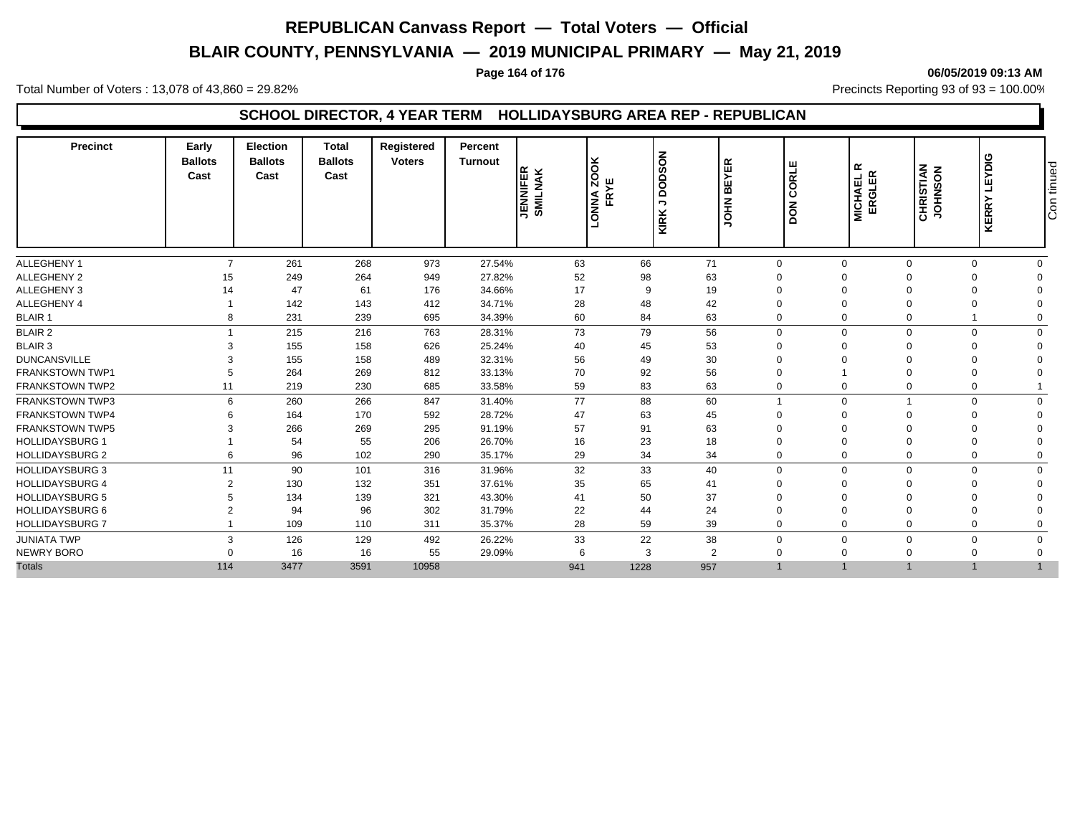# **BLAIR COUNTY, PENNSYLVANIA — 2019 MUNICIPAL PRIMARY — May 21, 2019**

#### **Page 164 of 176 06/05/2019 09:13 AM**

Total Number of Voters : 13,078 of 43,860 = 29.82% Precincts Reporting 93 of 93 = 100.00%

### **SCHOOL DIRECTOR, 4 YEAR TERM HOLLIDAYSBURG AREA REP - REPUBLICAN**

| 71<br>$\overline{7}$<br>261<br>268<br>973<br>27.54%<br>63<br>66<br>$\mathbf 0$<br>$\Omega$<br>$\Omega$<br>$\Omega$<br>52<br>63<br>15<br>249<br>264<br>949<br>27.82%<br>98<br>$\Omega$<br>47<br>17<br>19<br>61<br>176<br>34.66%<br>9<br>$\Omega$<br>14<br>142<br>143<br>28<br>42<br>412<br>34.71%<br>48<br>$\Omega$<br>231<br>63<br>239<br>695<br>34.39%<br>60<br>84<br>$\mathbf 0$<br>$\mathbf 0$<br>8<br>$\Omega$<br>79<br>56<br>215<br>216<br>763<br>73<br>$\mathbf 0$<br>$\mathbf 0$<br>28.31%<br>$\Omega$<br>155<br>158<br>25.24%<br>626<br>40<br>45<br>53<br>$\Omega$<br>155<br>158<br>32.31%<br>56<br>30<br>489<br>49<br>$\Omega$<br>56<br>264<br>269<br>33.13%<br>70<br>92<br>812<br>$\Omega$<br>63<br>219<br>230<br>685<br>33.58%<br>59<br>83<br>$\mathbf 0$<br>11<br>77<br>6<br>260<br>266<br>31.40%<br>88<br>60<br>$\Omega$<br>847<br>$\Omega$<br>170<br>47<br>45<br>164<br>592<br>28.72%<br>63<br>$\Omega$<br>57<br>63<br>266<br>269<br>295<br>91.19%<br>91<br>$\Omega$<br>23<br>54<br>55<br>206<br>26.70%<br>16<br>18<br>$\Omega$<br>96<br>35.17%<br>34<br>34<br>6<br>102<br>290<br>29<br>$\mathbf 0$<br>$\mathbf 0$<br>90<br>33<br>11<br>101<br>31.96%<br>32<br>40<br>$\mathbf 0$<br>316<br>$\Omega$<br>$\Omega$<br>$\Omega$<br>132<br>$\mathcal{P}$<br>130<br>351<br>37.61%<br>35<br>65<br>41<br>$\Omega$<br>$\Omega$<br>134<br>139<br>43.30%<br>41<br>50<br>37<br>321<br>$\Omega$<br>24<br>94<br>96<br>302<br>31.79%<br>22<br>44<br>$\overline{2}$<br>$\Omega$<br>109<br>28<br>59<br>39<br>110<br>311<br>35.37%<br>$\Omega$<br>$\Omega$<br>$\Omega$<br>3<br>126<br>129<br>33<br>22<br>38<br>26.22%<br>492<br>$\mathbf{0}$<br>$\Omega$<br>$\Omega$<br>16<br>55<br>3<br>2<br>16<br>29.09%<br>6<br>$\Omega$<br>$\Omega$<br>$\cap$<br>114 | <b>Precinct</b>        | Early<br><b>Ballots</b><br>Cast | <b>Election</b><br><b>Ballots</b><br>Cast | <b>Total</b><br><b>Ballots</b><br>Cast | Registered<br><b>Voters</b> | Percent<br><b>Turnout</b> | <b>JENNIFER</b><br>SMILNAK | <b>ZOOK</b><br>FRYE<br><b>ANNO</b> | <b>NOSOU</b><br>$\overline{\phantom{a}}$<br>KIRK | <b>BEYER</b><br><b>NHOL</b> | ORLE<br>Ō<br>$\overline{6}$<br>Ā | $\propto$<br><b>MICHAEL F<br/>ERGLER</b> | <b>CHRISTIAN</b><br>JOHNSON | LEYDIG<br><b>KERRY</b> | Con tinued |
|------------------------------------------------------------------------------------------------------------------------------------------------------------------------------------------------------------------------------------------------------------------------------------------------------------------------------------------------------------------------------------------------------------------------------------------------------------------------------------------------------------------------------------------------------------------------------------------------------------------------------------------------------------------------------------------------------------------------------------------------------------------------------------------------------------------------------------------------------------------------------------------------------------------------------------------------------------------------------------------------------------------------------------------------------------------------------------------------------------------------------------------------------------------------------------------------------------------------------------------------------------------------------------------------------------------------------------------------------------------------------------------------------------------------------------------------------------------------------------------------------------------------------------------------------------------------------------------------------------------------------------------------------------------------------------------------------------------------------------------------------|------------------------|---------------------------------|-------------------------------------------|----------------------------------------|-----------------------------|---------------------------|----------------------------|------------------------------------|--------------------------------------------------|-----------------------------|----------------------------------|------------------------------------------|-----------------------------|------------------------|------------|
|                                                                                                                                                                                                                                                                                                                                                                                                                                                                                                                                                                                                                                                                                                                                                                                                                                                                                                                                                                                                                                                                                                                                                                                                                                                                                                                                                                                                                                                                                                                                                                                                                                                                                                                                                      | <b>ALLEGHENY 1</b>     |                                 |                                           |                                        |                             |                           |                            |                                    |                                                  |                             |                                  |                                          |                             | $\Omega$               |            |
|                                                                                                                                                                                                                                                                                                                                                                                                                                                                                                                                                                                                                                                                                                                                                                                                                                                                                                                                                                                                                                                                                                                                                                                                                                                                                                                                                                                                                                                                                                                                                                                                                                                                                                                                                      | ALLEGHENY 2            |                                 |                                           |                                        |                             |                           |                            |                                    |                                                  |                             |                                  |                                          |                             |                        |            |
|                                                                                                                                                                                                                                                                                                                                                                                                                                                                                                                                                                                                                                                                                                                                                                                                                                                                                                                                                                                                                                                                                                                                                                                                                                                                                                                                                                                                                                                                                                                                                                                                                                                                                                                                                      | ALLEGHENY 3            |                                 |                                           |                                        |                             |                           |                            |                                    |                                                  |                             |                                  |                                          |                             |                        |            |
|                                                                                                                                                                                                                                                                                                                                                                                                                                                                                                                                                                                                                                                                                                                                                                                                                                                                                                                                                                                                                                                                                                                                                                                                                                                                                                                                                                                                                                                                                                                                                                                                                                                                                                                                                      | ALLEGHENY 4            |                                 |                                           |                                        |                             |                           |                            |                                    |                                                  |                             |                                  |                                          |                             |                        |            |
|                                                                                                                                                                                                                                                                                                                                                                                                                                                                                                                                                                                                                                                                                                                                                                                                                                                                                                                                                                                                                                                                                                                                                                                                                                                                                                                                                                                                                                                                                                                                                                                                                                                                                                                                                      | <b>BLAIR 1</b>         |                                 |                                           |                                        |                             |                           |                            |                                    |                                                  |                             |                                  |                                          |                             |                        |            |
|                                                                                                                                                                                                                                                                                                                                                                                                                                                                                                                                                                                                                                                                                                                                                                                                                                                                                                                                                                                                                                                                                                                                                                                                                                                                                                                                                                                                                                                                                                                                                                                                                                                                                                                                                      | <b>BLAIR 2</b>         |                                 |                                           |                                        |                             |                           |                            |                                    |                                                  |                             |                                  |                                          |                             | $\Omega$               |            |
|                                                                                                                                                                                                                                                                                                                                                                                                                                                                                                                                                                                                                                                                                                                                                                                                                                                                                                                                                                                                                                                                                                                                                                                                                                                                                                                                                                                                                                                                                                                                                                                                                                                                                                                                                      | BLAIR 3                |                                 |                                           |                                        |                             |                           |                            |                                    |                                                  |                             |                                  |                                          |                             |                        |            |
|                                                                                                                                                                                                                                                                                                                                                                                                                                                                                                                                                                                                                                                                                                                                                                                                                                                                                                                                                                                                                                                                                                                                                                                                                                                                                                                                                                                                                                                                                                                                                                                                                                                                                                                                                      | <b>DUNCANSVILLE</b>    |                                 |                                           |                                        |                             |                           |                            |                                    |                                                  |                             |                                  |                                          |                             |                        |            |
|                                                                                                                                                                                                                                                                                                                                                                                                                                                                                                                                                                                                                                                                                                                                                                                                                                                                                                                                                                                                                                                                                                                                                                                                                                                                                                                                                                                                                                                                                                                                                                                                                                                                                                                                                      | <b>FRANKSTOWN TWP1</b> |                                 |                                           |                                        |                             |                           |                            |                                    |                                                  |                             |                                  |                                          |                             |                        |            |
|                                                                                                                                                                                                                                                                                                                                                                                                                                                                                                                                                                                                                                                                                                                                                                                                                                                                                                                                                                                                                                                                                                                                                                                                                                                                                                                                                                                                                                                                                                                                                                                                                                                                                                                                                      | <b>FRANKSTOWN TWP2</b> |                                 |                                           |                                        |                             |                           |                            |                                    |                                                  |                             |                                  |                                          |                             |                        |            |
|                                                                                                                                                                                                                                                                                                                                                                                                                                                                                                                                                                                                                                                                                                                                                                                                                                                                                                                                                                                                                                                                                                                                                                                                                                                                                                                                                                                                                                                                                                                                                                                                                                                                                                                                                      | <b>FRANKSTOWN TWP3</b> |                                 |                                           |                                        |                             |                           |                            |                                    |                                                  |                             |                                  |                                          |                             | $\Omega$               |            |
|                                                                                                                                                                                                                                                                                                                                                                                                                                                                                                                                                                                                                                                                                                                                                                                                                                                                                                                                                                                                                                                                                                                                                                                                                                                                                                                                                                                                                                                                                                                                                                                                                                                                                                                                                      | <b>FRANKSTOWN TWP4</b> |                                 |                                           |                                        |                             |                           |                            |                                    |                                                  |                             |                                  |                                          |                             |                        |            |
|                                                                                                                                                                                                                                                                                                                                                                                                                                                                                                                                                                                                                                                                                                                                                                                                                                                                                                                                                                                                                                                                                                                                                                                                                                                                                                                                                                                                                                                                                                                                                                                                                                                                                                                                                      | <b>FRANKSTOWN TWP5</b> |                                 |                                           |                                        |                             |                           |                            |                                    |                                                  |                             |                                  |                                          |                             |                        |            |
|                                                                                                                                                                                                                                                                                                                                                                                                                                                                                                                                                                                                                                                                                                                                                                                                                                                                                                                                                                                                                                                                                                                                                                                                                                                                                                                                                                                                                                                                                                                                                                                                                                                                                                                                                      | <b>HOLLIDAYSBURG 1</b> |                                 |                                           |                                        |                             |                           |                            |                                    |                                                  |                             |                                  |                                          |                             |                        |            |
|                                                                                                                                                                                                                                                                                                                                                                                                                                                                                                                                                                                                                                                                                                                                                                                                                                                                                                                                                                                                                                                                                                                                                                                                                                                                                                                                                                                                                                                                                                                                                                                                                                                                                                                                                      | <b>HOLLIDAYSBURG 2</b> |                                 |                                           |                                        |                             |                           |                            |                                    |                                                  |                             |                                  |                                          |                             |                        |            |
|                                                                                                                                                                                                                                                                                                                                                                                                                                                                                                                                                                                                                                                                                                                                                                                                                                                                                                                                                                                                                                                                                                                                                                                                                                                                                                                                                                                                                                                                                                                                                                                                                                                                                                                                                      | <b>HOLLIDAYSBURG 3</b> |                                 |                                           |                                        |                             |                           |                            |                                    |                                                  |                             |                                  |                                          |                             | $\Omega$               |            |
|                                                                                                                                                                                                                                                                                                                                                                                                                                                                                                                                                                                                                                                                                                                                                                                                                                                                                                                                                                                                                                                                                                                                                                                                                                                                                                                                                                                                                                                                                                                                                                                                                                                                                                                                                      | <b>HOLLIDAYSBURG 4</b> |                                 |                                           |                                        |                             |                           |                            |                                    |                                                  |                             |                                  |                                          |                             |                        |            |
|                                                                                                                                                                                                                                                                                                                                                                                                                                                                                                                                                                                                                                                                                                                                                                                                                                                                                                                                                                                                                                                                                                                                                                                                                                                                                                                                                                                                                                                                                                                                                                                                                                                                                                                                                      | <b>HOLLIDAYSBURG 5</b> |                                 |                                           |                                        |                             |                           |                            |                                    |                                                  |                             |                                  |                                          |                             |                        |            |
|                                                                                                                                                                                                                                                                                                                                                                                                                                                                                                                                                                                                                                                                                                                                                                                                                                                                                                                                                                                                                                                                                                                                                                                                                                                                                                                                                                                                                                                                                                                                                                                                                                                                                                                                                      | <b>HOLLIDAYSBURG 6</b> |                                 |                                           |                                        |                             |                           |                            |                                    |                                                  |                             |                                  |                                          |                             |                        |            |
|                                                                                                                                                                                                                                                                                                                                                                                                                                                                                                                                                                                                                                                                                                                                                                                                                                                                                                                                                                                                                                                                                                                                                                                                                                                                                                                                                                                                                                                                                                                                                                                                                                                                                                                                                      | <b>HOLLIDAYSBURG 7</b> |                                 |                                           |                                        |                             |                           |                            |                                    |                                                  |                             |                                  |                                          |                             |                        |            |
|                                                                                                                                                                                                                                                                                                                                                                                                                                                                                                                                                                                                                                                                                                                                                                                                                                                                                                                                                                                                                                                                                                                                                                                                                                                                                                                                                                                                                                                                                                                                                                                                                                                                                                                                                      | <b>JUNIATA TWP</b>     |                                 |                                           |                                        |                             |                           |                            |                                    |                                                  |                             |                                  |                                          |                             |                        |            |
|                                                                                                                                                                                                                                                                                                                                                                                                                                                                                                                                                                                                                                                                                                                                                                                                                                                                                                                                                                                                                                                                                                                                                                                                                                                                                                                                                                                                                                                                                                                                                                                                                                                                                                                                                      | NEWRY BORO             |                                 |                                           |                                        |                             |                           |                            |                                    |                                                  |                             |                                  |                                          |                             |                        |            |
|                                                                                                                                                                                                                                                                                                                                                                                                                                                                                                                                                                                                                                                                                                                                                                                                                                                                                                                                                                                                                                                                                                                                                                                                                                                                                                                                                                                                                                                                                                                                                                                                                                                                                                                                                      | <b>Totals</b>          |                                 | 3477                                      | 3591                                   | 10958                       |                           | 941                        | 1228                               | 957                                              |                             |                                  |                                          |                             |                        |            |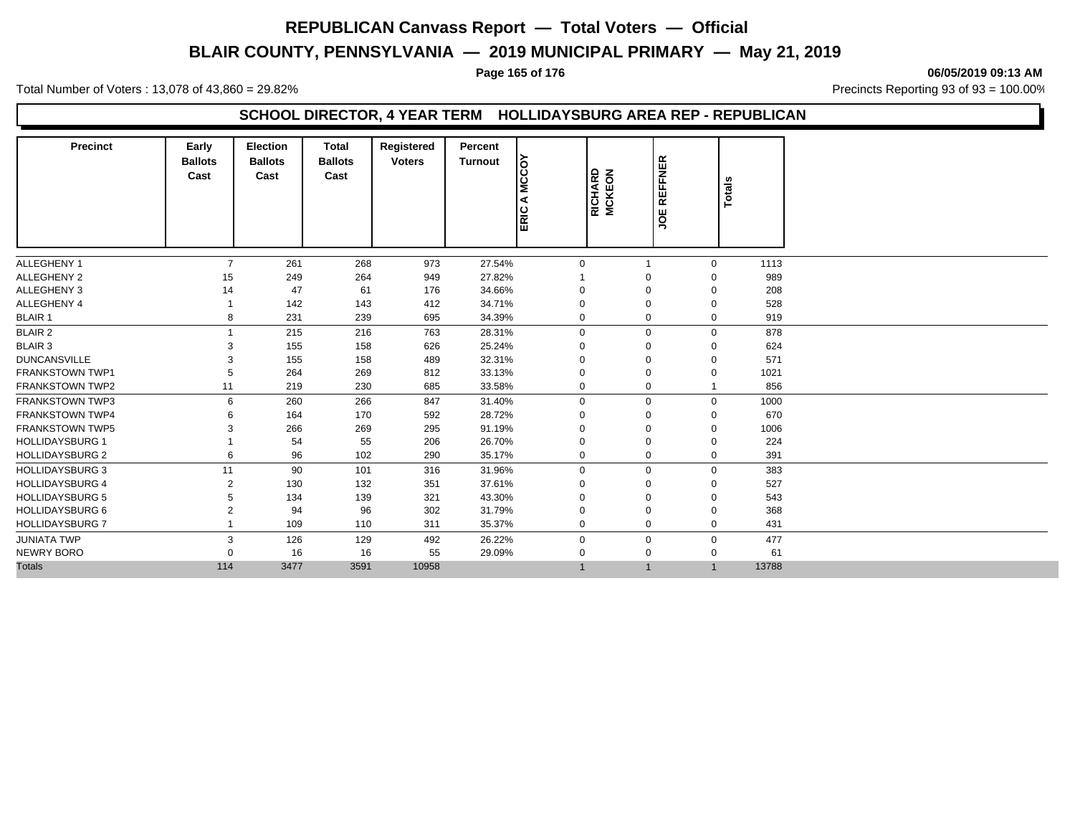# **BLAIR COUNTY, PENNSYLVANIA — 2019 MUNICIPAL PRIMARY — May 21, 2019**

#### **Page 165 of 176 06/05/2019 09:13 AM**

Total Number of Voters : 13,078 of 43,860 = 29.82% Precincts Reporting 93 of 93 = 100.00%

### **SCHOOL DIRECTOR, 4 YEAR TERM HOLLIDAYSBURG AREA REP - REPUBLICAN**

| <b>Precinct</b>        | Early<br><b>Ballots</b><br>Cast | Election<br><b>Ballots</b><br>Cast | <b>Total</b><br><b>Ballots</b><br>Cast | Registered<br><b>Voters</b> | Percent<br><b>Turnout</b> | ခြ<br><b>NC</b><br>⋖<br><b>ERIC</b> | RICHARD<br>MCKEON | <b>JOE REFFNER</b> | <b>Totals</b> |       |
|------------------------|---------------------------------|------------------------------------|----------------------------------------|-----------------------------|---------------------------|-------------------------------------|-------------------|--------------------|---------------|-------|
| ALLEGHENY 1            | $\overline{7}$                  | 261                                | 268                                    | 973                         | 27.54%                    | $\mathbf 0$                         |                   |                    | $\Omega$      | 1113  |
| ALLEGHENY 2            | 15                              | 249                                | 264                                    | 949                         | 27.82%                    |                                     | $\Omega$          |                    |               | 989   |
| ALLEGHENY 3            | 14                              | 47                                 | 61                                     | 176                         | 34.66%                    | $\mathbf 0$                         | $\mathbf 0$       |                    | 0             | 208   |
| ALLEGHENY 4            |                                 | 142                                | 143                                    | 412                         | 34.71%                    | 0                                   | $\Omega$          |                    | O             | 528   |
| <b>BLAIR 1</b>         | 8                               | 231                                | 239                                    | 695                         | 34.39%                    | $\mathbf 0$                         | $\mathbf 0$       |                    | $\Omega$      | 919   |
| <b>BLAIR 2</b>         |                                 | 215                                | 216                                    | 763                         | 28.31%                    | $\mathbf 0$                         | $\mathbf 0$       |                    | $\Omega$      | 878   |
| <b>BLAIR 3</b>         |                                 | 155                                | 158                                    | 626                         | 25.24%                    | $\mathbf 0$                         | $\Omega$          |                    | 0             | 624   |
| <b>DUNCANSVILLE</b>    |                                 | 155                                | 158                                    | 489                         | 32.31%                    | $\mathbf 0$                         | $\Omega$          |                    | O             | 571   |
| <b>FRANKSTOWN TWP1</b> |                                 | 264                                | 269                                    | 812                         | 33.13%                    | $\mathbf 0$                         | $\Omega$          |                    |               | 1021  |
| <b>FRANKSTOWN TWP2</b> | 11                              | 219                                | 230                                    | 685                         | 33.58%                    | $\mathbf 0$                         | $\mathbf 0$       |                    |               | 856   |
| <b>FRANKSTOWN TWP3</b> | 6                               | 260                                | 266                                    | 847                         | 31.40%                    | $\mathbf 0$                         | $\Omega$          |                    | $\Omega$      | 1000  |
| <b>FRANKSTOWN TWP4</b> |                                 | 164                                | 170                                    | 592                         | 28.72%                    | $\mathbf 0$                         | $\mathbf 0$       |                    | $\Omega$      | 670   |
| <b>FRANKSTOWN TWP5</b> |                                 | 266                                | 269                                    | 295                         | 91.19%                    | $\mathbf 0$                         | $\Omega$          |                    | $\Omega$      | 1006  |
| <b>HOLLIDAYSBURG 1</b> |                                 | 54                                 | 55                                     | 206                         | 26.70%                    | 0                                   | $\Omega$          |                    | 0             | 224   |
| <b>HOLLIDAYSBURG 2</b> | 6                               | 96                                 | 102                                    | 290                         | 35.17%                    | $\mathbf 0$                         | $\Omega$          |                    | 0             | 391   |
| <b>HOLLIDAYSBURG 3</b> | 11                              | 90                                 | 101                                    | 316                         | 31.96%                    | $\mathbf 0$                         | $\mathbf 0$       |                    | $\Omega$      | 383   |
| <b>HOLLIDAYSBURG 4</b> | 2                               | 130                                | 132                                    | 351                         | 37.61%                    | $\Omega$                            | $\Omega$          |                    |               | 527   |
| <b>HOLLIDAYSBURG 5</b> |                                 | 134                                | 139                                    | 321                         | 43.30%                    | 0                                   | $\Omega$          |                    | 0             | 543   |
| <b>HOLLIDAYSBURG 6</b> |                                 | 94                                 | 96                                     | 302                         | 31.79%                    | 0                                   | $\Omega$          |                    | 0             | 368   |
| <b>HOLLIDAYSBURG 7</b> |                                 | 109                                | 110                                    | 311                         | 35.37%                    | $\mathbf 0$                         | $\mathbf 0$       |                    | $\Omega$      | 431   |
| <b>JUNIATA TWP</b>     | 3                               | 126                                | 129                                    | 492                         | 26.22%                    | $\mathbf 0$                         | $\mathbf 0$       |                    | 0             | 477   |
| <b>NEWRY BORO</b>      |                                 | 16                                 | 16                                     | 55                          | 29.09%                    | 0                                   | $\Omega$          |                    | 0             | 61    |
| <b>Totals</b>          | 114                             | 3477                               | 3591                                   | 10958                       |                           | $\mathbf{1}$                        | $\mathbf 1$       |                    | $\mathbf{1}$  | 13788 |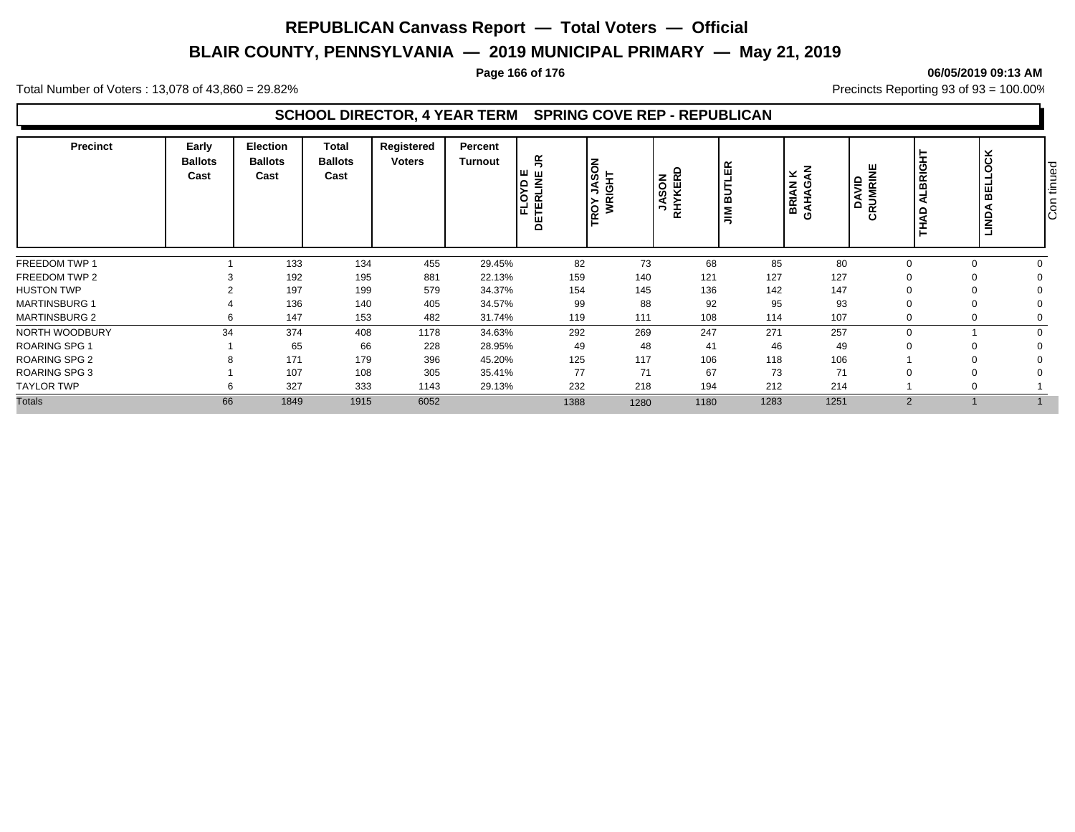# **BLAIR COUNTY, PENNSYLVANIA — 2019 MUNICIPAL PRIMARY — May 21, 2019**

#### **Page 166 of 176 06/05/2019 09:13 AM**

Total Number of Voters : 13,078 of 43,860 = 29.82% Precincts Reporting 93 of 93 = 100.00%

| <b>Precinct</b>      | Early<br><b>Ballots</b><br>Cast | <b>Election</b><br><b>Ballots</b><br>Cast | Total<br><b>Ballots</b><br>Cast | Registered<br><b>Voters</b> | Percent<br><b>Turnout</b> | 5<br>∣шш<br>–<br><u>ig .</u><br>띥<br>1四 戸<br>C | $\frac{1}{2}$<br>ပ<br>っ<br>ROY<br>WR | SON<br>KERD<br><b>SAN</b><br>RHY | ≃<br>ш<br>ന<br>Σ<br>≂ | $\times$ $\xi$<br>BRIAN<br>GAHAGA | UMRINE<br>DAVID<br>ۊ | <b>ALBRIGHT</b><br>å | ⊻<br>∣ 0<br>띪<br><b>NONT</b> | tinued<br>$\overline{\text{Con}}$ |
|----------------------|---------------------------------|-------------------------------------------|---------------------------------|-----------------------------|---------------------------|------------------------------------------------|--------------------------------------|----------------------------------|-----------------------|-----------------------------------|----------------------|----------------------|------------------------------|-----------------------------------|
| FREEDOM TWP 1        |                                 | 133                                       | 134                             | 455                         | 29.45%                    | 82                                             | 73                                   | 68                               | 85                    | 80                                |                      |                      |                              |                                   |
| FREEDOM TWP 2        |                                 | 192                                       | 195                             | 881                         | 22.13%                    | 159                                            | 140                                  | 121                              | 127                   | 127                               |                      |                      |                              |                                   |
| <b>HUSTON TWP</b>    |                                 | 197                                       | 199                             | 579                         | 34.37%                    | 154                                            | 145                                  | 136                              | 142                   | 147                               |                      |                      |                              |                                   |
| <b>MARTINSBURG 1</b> |                                 | 136                                       | 140                             | 405                         | 34.57%                    | 99                                             | 88                                   | 92                               | 95                    | 93                                |                      |                      |                              |                                   |
| <b>MARTINSBURG 2</b> |                                 | 147                                       | 153                             | 482                         | 31.74%                    | 119                                            | 111                                  | 108                              | 114                   | 107                               |                      |                      |                              |                                   |
| NORTH WOODBURY       | 34                              | 374                                       | 408                             | 1178                        | 34.63%                    | 292                                            | 269                                  | 247                              | 271                   | 257                               |                      |                      |                              |                                   |
| <b>ROARING SPG 1</b> |                                 | 65                                        | 66                              | 228                         | 28.95%                    | 49                                             | 48                                   | 41                               | 46                    | 49                                |                      |                      |                              |                                   |
| <b>ROARING SPG 2</b> |                                 | 171                                       | 179                             | 396                         | 45.20%                    | 125                                            | 117                                  | 106                              | 118                   | 106                               |                      |                      |                              |                                   |
| <b>ROARING SPG 3</b> |                                 | 107                                       | 108                             | 305                         | 35.41%                    | 77                                             | 71                                   | 67                               | 73                    | 71                                |                      |                      |                              |                                   |
| <b>TAYLOR TWP</b>    |                                 | 327                                       | 333                             | 1143                        | 29.13%                    | 232                                            | 218                                  | 194                              | 212                   | 214                               |                      |                      |                              |                                   |
| <b>Totals</b>        | 66                              | 1849                                      | 1915                            | 6052                        |                           | 1388                                           | 1280                                 | 1180                             | 1283                  | 1251                              | $\Omega$             |                      |                              |                                   |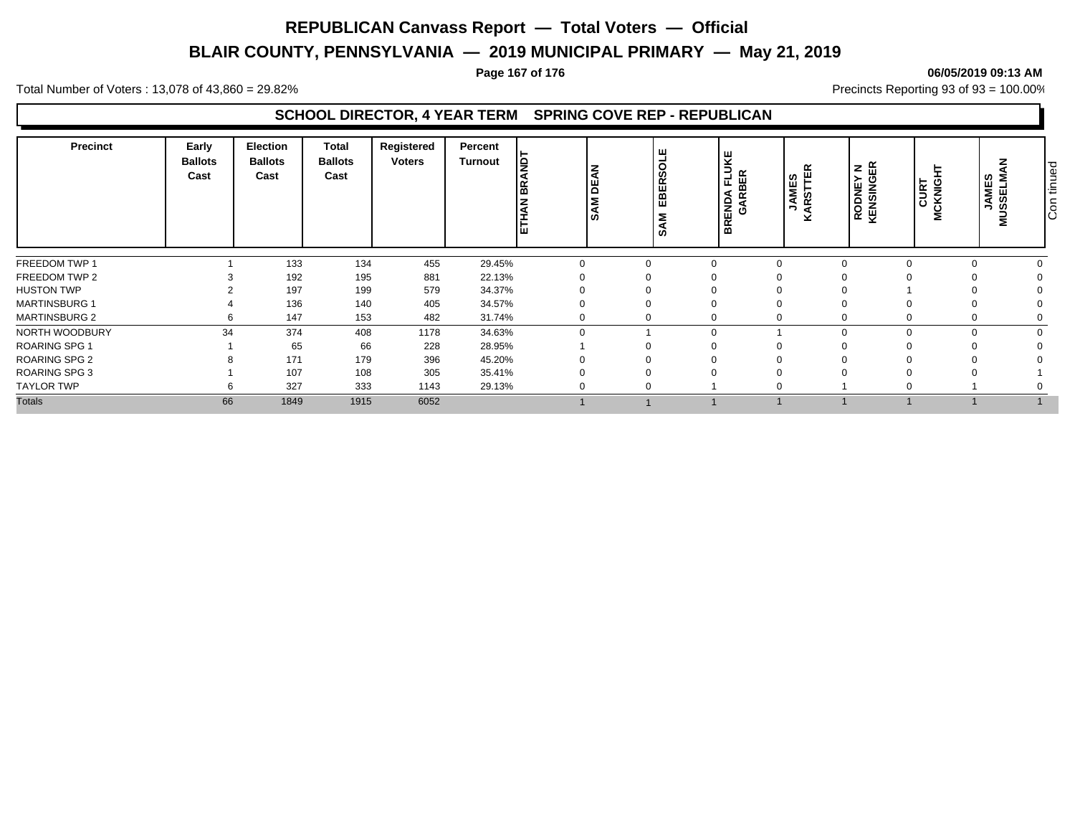# **BLAIR COUNTY, PENNSYLVANIA — 2019 MUNICIPAL PRIMARY — May 21, 2019**

#### **Page 167 of 176 06/05/2019 09:13 AM**

Total Number of Voters : 13,078 of 43,860 = 29.82% Precincts Reporting 93 of 93 = 100.00%

| <b>Precinct</b>      | Early<br><b>Ballots</b><br>Cast | <b>Election</b><br><b>Ballots</b><br>Cast | Total<br><b>Ballots</b><br>Cast | Registered<br><b>Voters</b> | Percent<br><b>Turnout</b> | Jغ<br>Į<br>١¥<br>lg<br><b>M</b><br><b>ETHAN</b><br>၊ ဟ | ш<br>ಕ<br>ø,<br>$\propto$<br>国田<br>Σ<br><b>SO</b> | 보<br>∍<br>군<br>ENDA<br>GARE<br>$\alpha$ | <b>BER</b> | $\alpha$<br>ш<br>JAMES<br>GRITE<br>× | <b>RODNEY N<br/>KENSINGER</b> | <b>CURT</b><br>MCKNIGH | <b>JAMES</b><br>SSELMA<br>∍<br>Σ | tinued<br>$\overline{G}$ |
|----------------------|---------------------------------|-------------------------------------------|---------------------------------|-----------------------------|---------------------------|--------------------------------------------------------|---------------------------------------------------|-----------------------------------------|------------|--------------------------------------|-------------------------------|------------------------|----------------------------------|--------------------------|
| FREEDOM TWP 1        |                                 | 133                                       | 134                             | 455                         | 29.45%                    |                                                        | $\Omega$                                          |                                         |            |                                      |                               |                        |                                  |                          |
| FREEDOM TWP 2        |                                 | 192                                       | 195                             | 881                         | 22.13%                    |                                                        |                                                   |                                         |            |                                      |                               |                        |                                  |                          |
| <b>HUSTON TWP</b>    |                                 | 197                                       | 199                             | 579                         | 34.37%                    |                                                        |                                                   |                                         |            |                                      |                               |                        |                                  |                          |
| <b>MARTINSBURG 1</b> |                                 | 136                                       | 140                             | 405                         | 34.57%                    |                                                        |                                                   |                                         |            |                                      |                               |                        |                                  |                          |
| <b>MARTINSBURG 2</b> |                                 | 147                                       | 153                             | 482                         | 31.74%                    |                                                        | 0                                                 |                                         |            |                                      |                               |                        |                                  |                          |
| NORTH WOODBURY       | 34                              | 374                                       | 408                             | 1178                        | 34.63%                    | $\Omega$                                               |                                                   |                                         |            |                                      |                               |                        |                                  |                          |
| <b>ROARING SPG 1</b> |                                 | 65                                        | 66                              | 228                         | 28.95%                    |                                                        |                                                   |                                         |            |                                      |                               |                        |                                  |                          |
| <b>ROARING SPG 2</b> |                                 | 171                                       | 179                             | 396                         | 45.20%                    |                                                        |                                                   |                                         |            |                                      |                               |                        |                                  |                          |
| <b>ROARING SPG 3</b> |                                 | 107                                       | 108                             | 305                         | 35.41%                    |                                                        |                                                   |                                         |            |                                      |                               |                        |                                  |                          |
| <b>TAYLOR TWP</b>    |                                 | 327                                       | 333                             | 1143                        | 29.13%                    |                                                        | 0                                                 |                                         |            |                                      |                               |                        |                                  |                          |
| <b>Totals</b>        | 66                              | 1849                                      | 1915                            | 6052                        |                           |                                                        |                                                   |                                         |            |                                      |                               |                        |                                  |                          |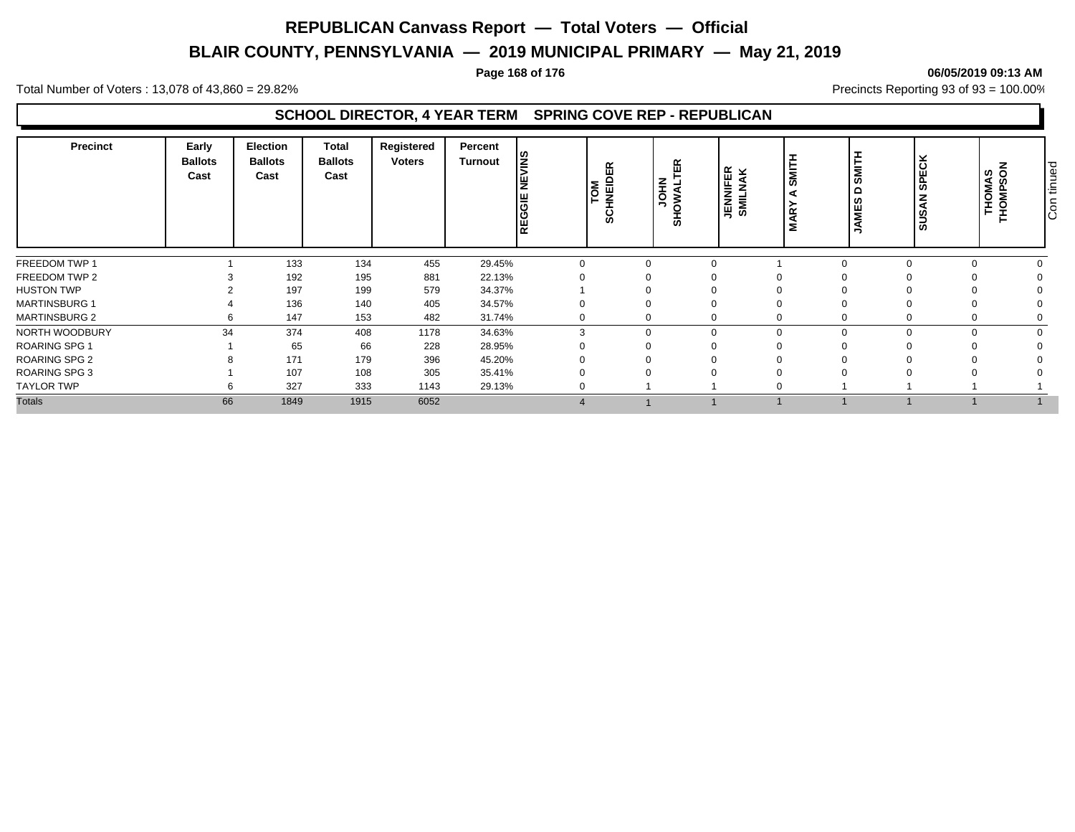# **BLAIR COUNTY, PENNSYLVANIA — 2019 MUNICIPAL PRIMARY — May 21, 2019**

#### **Page 168 of 176 06/05/2019 09:13 AM**

Total Number of Voters : 13,078 of 43,860 = 29.82% Precincts Reporting 93 of 93 = 100.00%

| <b>Precinct</b>      | Early<br><b>Ballots</b><br>Cast | Election<br><b>Ballots</b><br>Cast | <b>Total</b><br><b>Ballots</b><br>Cast | Registered<br><b>Voters</b> | Percent<br><b>Turnout</b> | l≌<br>δ<br>Iz<br>REGGIE | 띥<br>CHNEIDI<br>ø, | 띥<br><b>LIVANO</b><br>풊 | SMIT<br>∣ ∝ ⊻<br>∣⊞ ≩<br><b>JENNIFI</b><br>SMILNA<br>⋖<br>$\alpha$ | <b>I</b><br>⋚ | <b>SPECK</b><br><b>SUSAN</b> | z<br>THOMAS<br>THOMPSON | tinued<br>$\overline{5}$ |
|----------------------|---------------------------------|------------------------------------|----------------------------------------|-----------------------------|---------------------------|-------------------------|--------------------|-------------------------|--------------------------------------------------------------------|---------------|------------------------------|-------------------------|--------------------------|
| FREEDOM TWP 1        |                                 | 133                                | 134                                    | 455                         | 29.45%                    |                         | $\Omega$           |                         |                                                                    |               |                              |                         |                          |
| FREEDOM TWP 2        |                                 | 192                                | 195                                    | 881                         | 22.13%                    |                         |                    |                         |                                                                    |               |                              |                         |                          |
| <b>HUSTON TWP</b>    |                                 | 197                                | 199                                    | 579                         | 34.37%                    |                         |                    |                         |                                                                    |               |                              |                         |                          |
| <b>MARTINSBURG 1</b> |                                 | 136                                | 140                                    | 405                         | 34.57%                    |                         |                    |                         |                                                                    |               |                              |                         |                          |
| <b>MARTINSBURG 2</b> |                                 | 147                                | 153                                    | 482                         | 31.74%                    |                         | $\mathbf 0$        |                         |                                                                    |               |                              |                         |                          |
| NORTH WOODBURY       | 34                              | 374                                | 408                                    | 1178                        | 34.63%                    |                         | $\mathbf 0$        |                         |                                                                    |               |                              |                         |                          |
| <b>ROARING SPG 1</b> |                                 | 65                                 | 66                                     | 228                         | 28.95%                    |                         |                    |                         |                                                                    |               |                              |                         |                          |
| <b>ROARING SPG 2</b> |                                 | 171                                | 179                                    | 396                         | 45.20%                    |                         |                    |                         |                                                                    |               |                              |                         |                          |
| ROARING SPG 3        |                                 | 107                                | 108                                    | 305                         | 35.41%                    |                         |                    |                         |                                                                    |               |                              |                         |                          |
| <b>TAYLOR TWP</b>    |                                 | 327                                | 333                                    | 1143                        | 29.13%                    |                         |                    |                         |                                                                    |               |                              |                         |                          |
| <b>Totals</b>        | 66                              | 1849                               | 1915                                   | 6052                        |                           |                         |                    |                         |                                                                    |               |                              |                         |                          |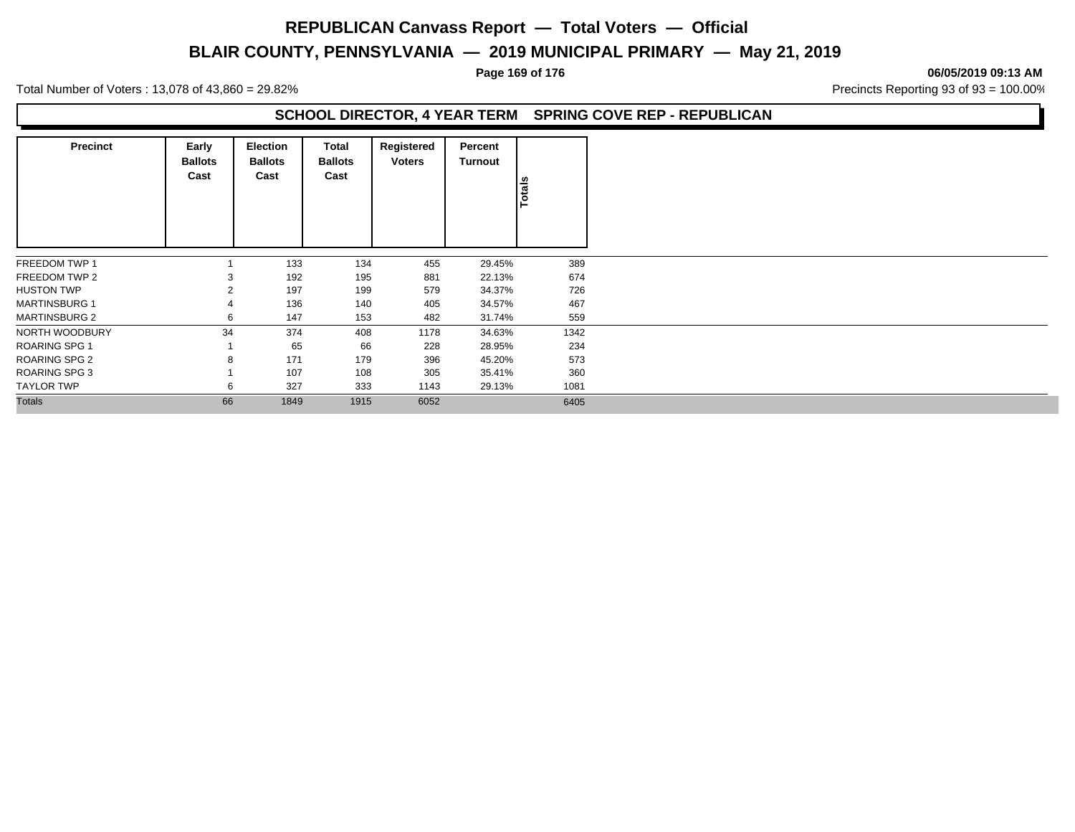# **BLAIR COUNTY, PENNSYLVANIA — 2019 MUNICIPAL PRIMARY — May 21, 2019**

**Page 169 of 176 06/05/2019 09:13 AM**

Total Number of Voters : 13,078 of 43,860 = 29.82% Precincts Reporting 93 of 93 = 100.00%

| Precinct             | Early<br><b>Ballots</b><br>Cast | <b>Election</b><br><b>Ballots</b><br>Cast | Total<br><b>Ballots</b><br>Cast | Registered<br><b>Voters</b> | Percent<br>Turnout | Totals |
|----------------------|---------------------------------|-------------------------------------------|---------------------------------|-----------------------------|--------------------|--------|
|                      |                                 |                                           |                                 |                             |                    |        |
| FREEDOM TWP 1        |                                 | 133                                       | 134                             | 455                         | 29.45%             | 389    |
| FREEDOM TWP 2        | 3                               | 192                                       | 195                             | 881                         | 22.13%             | 674    |
| <b>HUSTON TWP</b>    | $\overline{2}$                  | 197                                       | 199                             | 579                         | 34.37%             | 726    |
| <b>MARTINSBURG 1</b> | 4                               | 136                                       | 140                             | 405                         | 34.57%             | 467    |
| <b>MARTINSBURG 2</b> | 6                               | 147                                       | 153                             | 482                         | 31.74%             | 559    |
| NORTH WOODBURY       | 34                              | 374                                       | 408                             | 1178                        | 34.63%             | 1342   |
| <b>ROARING SPG 1</b> |                                 | 65                                        | 66                              | 228                         | 28.95%             | 234    |
| <b>ROARING SPG 2</b> | 8                               | 171                                       | 179                             | 396                         | 45.20%             | 573    |
| <b>ROARING SPG 3</b> |                                 | 107                                       | 108                             | 305                         | 35.41%             | 360    |
| TAYLOR TWP           | 6                               | 327                                       | 333                             | 1143                        | 29.13%             | 1081   |
| <b>Totals</b>        | 66                              | 1849                                      | 1915                            | 6052                        |                    | 6405   |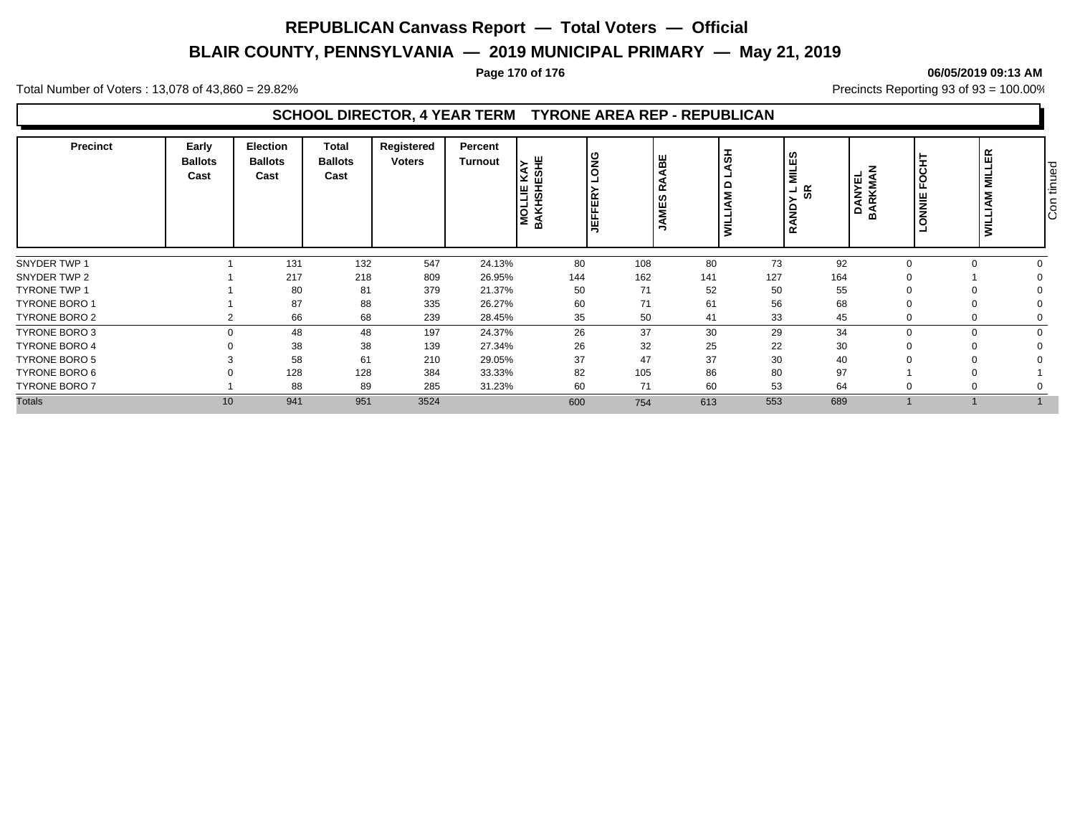# **BLAIR COUNTY, PENNSYLVANIA — 2019 MUNICIPAL PRIMARY — May 21, 2019**

#### **Page 170 of 176 06/05/2019 09:13 AM**

Total Number of Voters : 13,078 of 43,860 = 29.82% Precincts Reporting 93 of 93 = 100.00%

### **SCHOOL DIRECTOR, 4 YEAR TERM TYRONE AREA REP - REPUBLICAN**

| <b>Precinct</b>      | Early<br><b>Ballots</b><br>Cast | <b>Election</b><br><b>Ballots</b><br>Cast | <b>Total</b><br><b>Ballots</b><br>Cast | Registered<br><b>Voters</b> | Percent<br><b>Turnout</b> | 쁮<br>ທ<br>MOLLIE<br>BAKHSHI | <b>SNG</b><br><b>JEFFER</b> | ᆂ<br>볾<br>$\overline{a}$<br>≏<br>$\alpha$<br>ဖာ<br>뿔<br>Ξ. |     | ဟ<br>ம<br>$\overline{\mathbf{z}}$<br>. జ<br>≏<br>z<br>œ | <b>DANYEL<br/>BARKMAN</b> | FOCH<br>ONNIE | 문<br>⊐<br>$\vert$ $\vert$<br><b>NVIT</b><br><b>S</b> | tinued<br>Con |
|----------------------|---------------------------------|-------------------------------------------|----------------------------------------|-----------------------------|---------------------------|-----------------------------|-----------------------------|------------------------------------------------------------|-----|---------------------------------------------------------|---------------------------|---------------|------------------------------------------------------|---------------|
| SNYDER TWP 1         |                                 | 131                                       | 132                                    | 547                         | 24.13%                    | 80                          | 108                         | 80                                                         | 73  | 92                                                      |                           |               |                                                      |               |
| SNYDER TWP 2         |                                 | 217                                       | 218                                    | 809                         | 26.95%                    | 144                         | 162                         | 141                                                        | 127 | 164                                                     |                           |               |                                                      |               |
| <b>TYRONE TWP 1</b>  |                                 | 80                                        | 81                                     | 379                         | 21.37%                    | 50                          | 71                          | 52                                                         | 50  | 55                                                      |                           |               |                                                      |               |
| <b>TYRONE BORO 1</b> |                                 | 87                                        | 88                                     | 335                         | 26.27%                    | 60                          | 71                          | 61                                                         | 56  | 68                                                      |                           |               |                                                      |               |
| TYRONE BORO 2        |                                 | 66                                        | 68                                     | 239                         | 28.45%                    | 35                          | 50                          | 41                                                         | 33  | 45                                                      |                           |               |                                                      |               |
| TYRONE BORO 3        |                                 | 48                                        | 48                                     | 197                         | 24.37%                    | 26                          | 37                          | 30                                                         | 29  | 34                                                      |                           |               |                                                      |               |
| <b>TYRONE BORO 4</b> |                                 | 38                                        | 38                                     | 139                         | 27.34%                    | 26                          | 32                          | 25                                                         | 22  | 30                                                      |                           |               |                                                      |               |
| TYRONE BORO 5        |                                 | 58                                        | 61                                     | 210                         | 29.05%                    | 37                          | 47                          | 37                                                         | 30  | 40                                                      |                           |               |                                                      |               |
| TYRONE BORO 6        |                                 | 128                                       | 128                                    | 384                         | 33.33%                    | 82                          | 105                         | 86                                                         | 80  | 97                                                      |                           |               |                                                      |               |
| <b>TYRONE BORO 7</b> |                                 | 88                                        | 89                                     | 285                         | 31.23%                    | 60                          | 71                          | 60                                                         | 53  | 64                                                      |                           |               |                                                      |               |
| <b>Totals</b>        | 10                              | 941                                       | 951                                    | 3524                        |                           | 600                         | 754                         | 613                                                        | 553 | 689                                                     |                           |               |                                                      |               |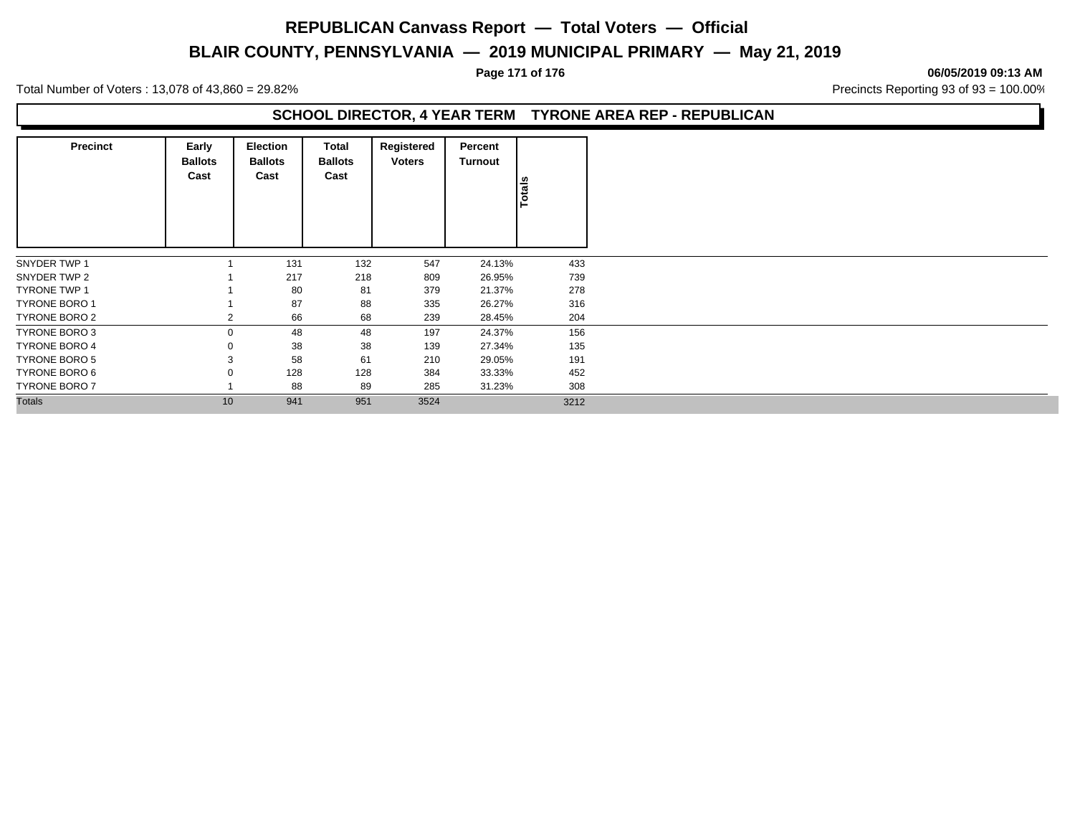# **BLAIR COUNTY, PENNSYLVANIA — 2019 MUNICIPAL PRIMARY — May 21, 2019**

#### **Page 171 of 176 06/05/2019 09:13 AM**

Total Number of Voters : 13,078 of 43,860 = 29.82% Precincts Reporting 93 of 93 = 100.00%

### **SCHOOL DIRECTOR, 4 YEAR TERM TYRONE AREA REP - REPUBLICAN**

| <b>Precinct</b>      | Early<br><b>Ballots</b><br>Cast | <b>Election</b><br><b>Ballots</b><br>Cast | Total<br><b>Ballots</b><br>Cast | Registered<br><b>Voters</b> | Percent<br>Turnout | Totals |
|----------------------|---------------------------------|-------------------------------------------|---------------------------------|-----------------------------|--------------------|--------|
|                      |                                 |                                           |                                 |                             |                    |        |
| SNYDER TWP 1         |                                 | 131                                       | 132                             | 547                         | 24.13%             | 433    |
| SNYDER TWP 2         |                                 | 217                                       | 218                             | 809                         | 26.95%             | 739    |
| <b>TYRONE TWP 1</b>  |                                 | 80                                        | 81                              | 379                         | 21.37%             | 278    |
| <b>TYRONE BORO 1</b> |                                 | 87                                        | 88                              | 335                         | 26.27%             | 316    |
| TYRONE BORO 2        | $\overline{2}$                  | 66                                        | 68                              | 239                         | 28.45%             | 204    |
| <b>TYRONE BORO 3</b> |                                 | 48                                        | 48                              | 197                         | 24.37%             | 156    |
| <b>TYRONE BORO 4</b> |                                 | 38                                        | 38                              | 139                         | 27.34%             | 135    |
| TYRONE BORO 5        |                                 | 58                                        | 61                              | 210                         | 29.05%             | 191    |
| TYRONE BORO 6        |                                 | 128                                       | 128                             | 384                         | 33.33%             | 452    |
| <b>TYRONE BORO 7</b> |                                 | 88                                        | 89                              | 285                         | 31.23%             | 308    |
| <b>Totals</b>        | 10                              | 941                                       | 951                             | 3524                        |                    | 3212   |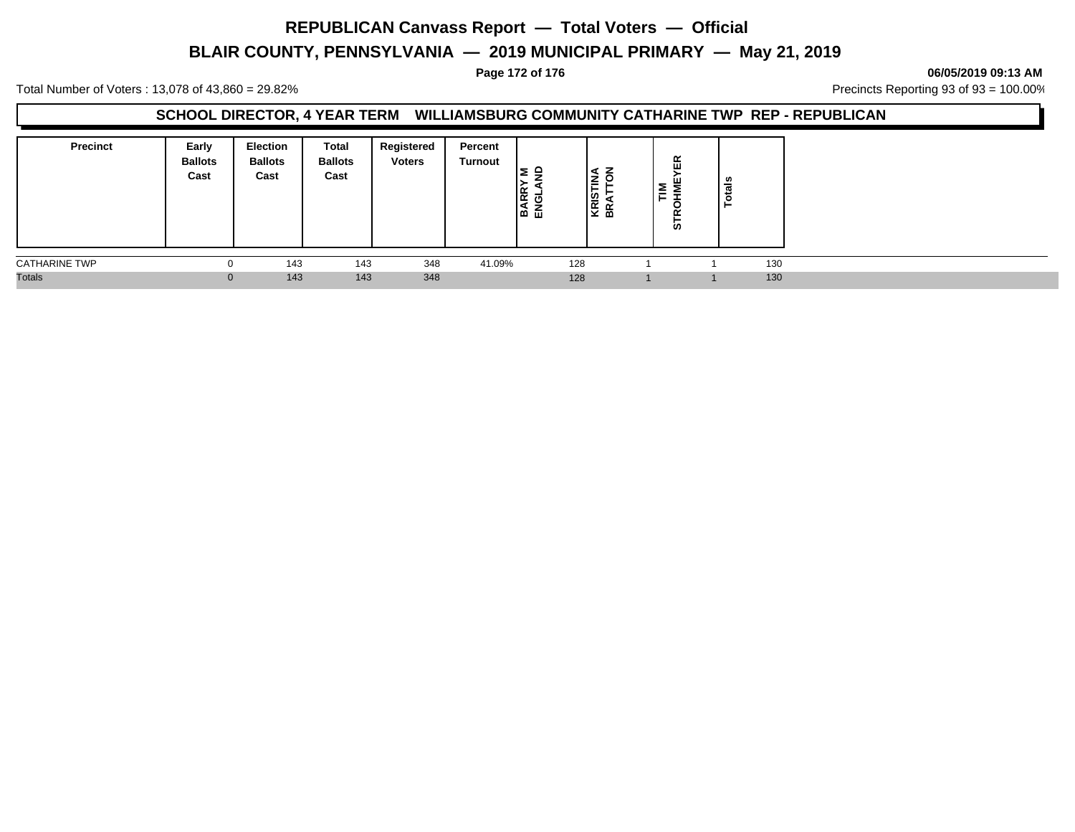# **BLAIR COUNTY, PENNSYLVANIA — 2019 MUNICIPAL PRIMARY — May 21, 2019**

#### **Page 172 of 176 06/05/2019 09:13 AM**

Total Number of Voters : 13,078 of 43,860 = 29.82% Precincts Reporting 93 of 93 = 100.00%

### **SCHOOL DIRECTOR, 4 YEAR TERM WILLIAMSBURG COMMUNITY CATHARINE TWP REP - REPUBLICAN**

| <b>Precinct</b>      | Early<br><b>Ballots</b><br>Cast | Election<br><b>Ballots</b><br>Cast | <b>Total</b><br><b>Ballots</b><br>Cast | Registered<br><b>Voters</b> | Percent<br><b>Turnout</b> | $\blacksquare$<br>≃<br>$\alpha$<br>O<br>نَ هَ ا | ≨<br><b>KRIS</b><br>BRAT | 岛<br>≧<br>⊢<br>ທ | ៖ |     |  |
|----------------------|---------------------------------|------------------------------------|----------------------------------------|-----------------------------|---------------------------|-------------------------------------------------|--------------------------|------------------|---|-----|--|
| <b>CATHARINE TWP</b> | O                               | 143                                | 143                                    | 348                         | 41.09%                    | 128                                             |                          |                  |   | 130 |  |
| <b>Totals</b>        | 0                               | 143                                | 143                                    | 348                         |                           | 128                                             |                          |                  |   | 130 |  |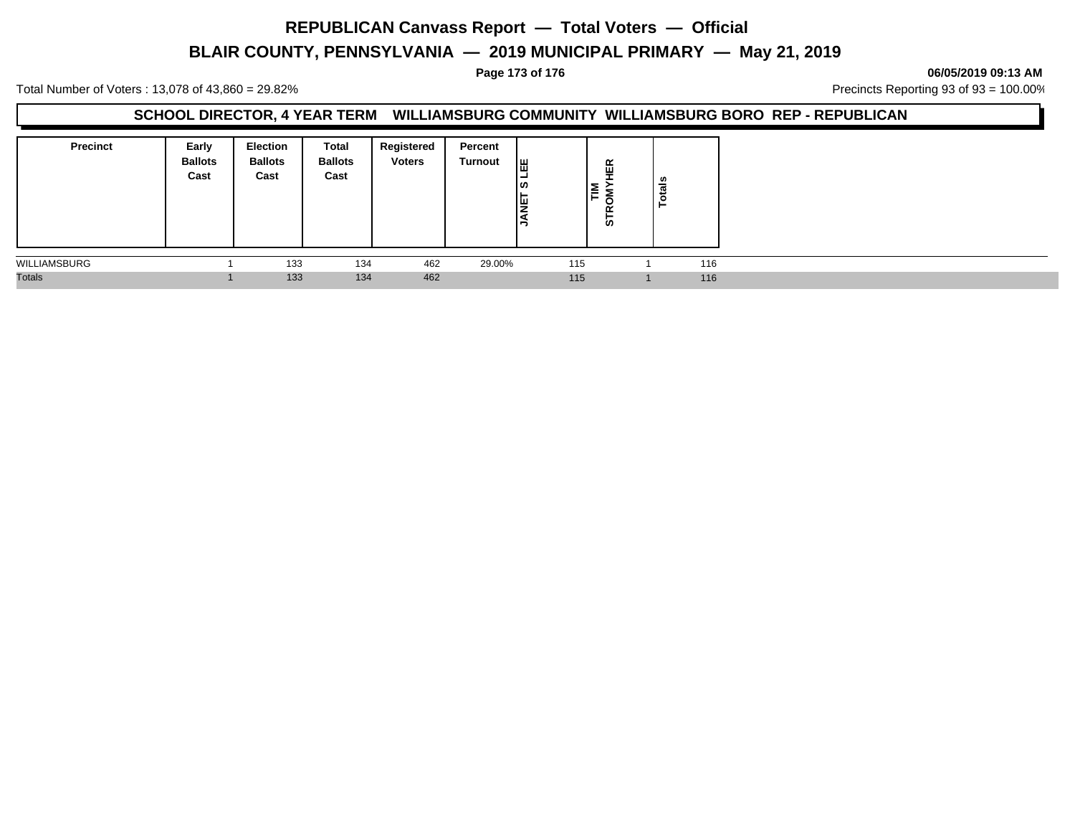# **BLAIR COUNTY, PENNSYLVANIA — 2019 MUNICIPAL PRIMARY — May 21, 2019**

**Page 173 of 176 06/05/2019 09:13 AM**

Total Number of Voters : 13,078 of 43,860 = 29.82% Precincts Reporting 93 of 93 = 100.00%

#### **SCHOOL DIRECTOR, 4 YEAR TERM WILLIAMSBURG COMMUNITY WILLIAMSBURG BORO REP - REPUBLICAN**

| <b>Precinct</b> | Early<br><b>Ballots</b><br>Cast | <b>Election</b><br><b>Ballots</b><br>Cast | Total<br><b>Ballots</b><br>Cast | Registered<br><b>Voters</b> | Percent<br>Turnout | ᄈ<br>-<br> ဟ<br>1H.<br>١¥<br>∍ | ίĘΚ<br>Ē<br>õ<br>œ<br>5 | otals<br>╺ |  |
|-----------------|---------------------------------|-------------------------------------------|---------------------------------|-----------------------------|--------------------|--------------------------------|-------------------------|------------|--|
| WILLIAMSBURG    |                                 | 133                                       | 134                             | 462                         | 29.00%             | 115                            |                         | 116        |  |
| <b>Totals</b>   |                                 | 133                                       | 134                             | 462                         |                    | 115                            |                         | 116        |  |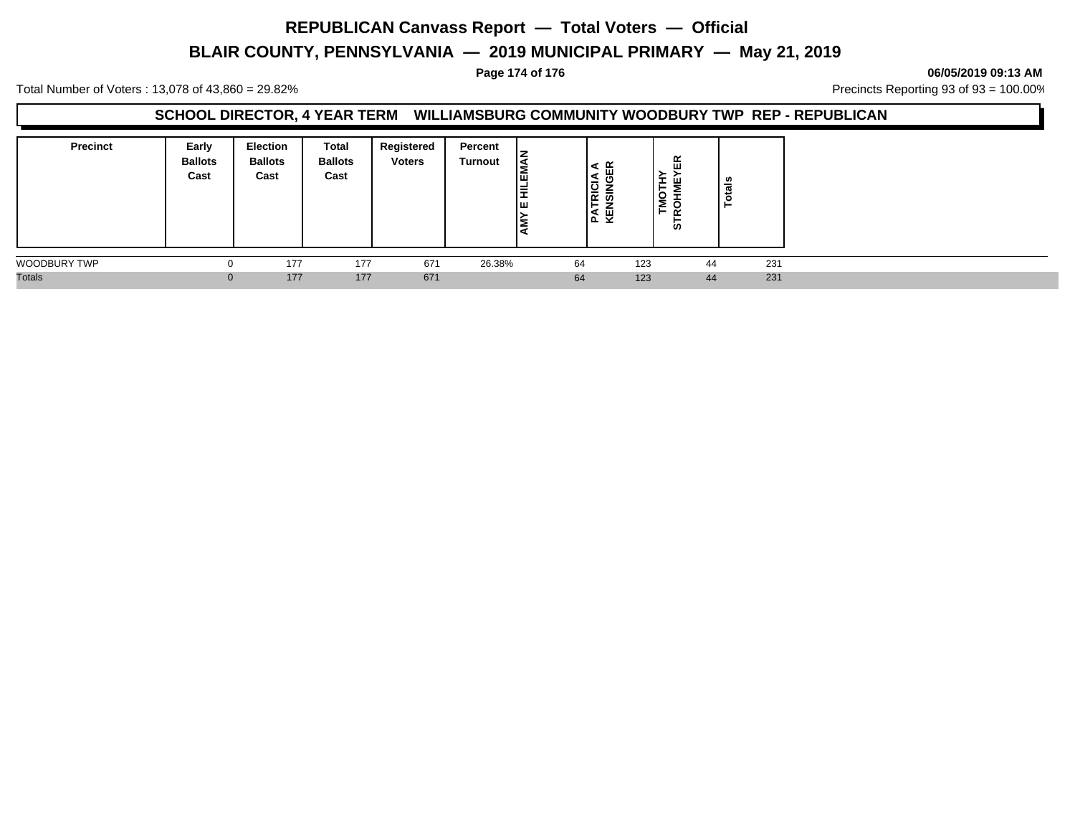# **BLAIR COUNTY, PENNSYLVANIA — 2019 MUNICIPAL PRIMARY — May 21, 2019**

#### **Page 174 of 176 06/05/2019 09:13 AM**

Total Number of Voters : 13,078 of 43,860 = 29.82% Precincts Reporting 93 of 93 = 100.00%

#### **SCHOOL DIRECTOR, 4 YEAR TERM WILLIAMSBURG COMMUNITY WOODBURY TWP REP - REPUBLICAN**

| <b>Precinct</b> | Early<br><b>Ballots</b><br>Cast | <b>Election</b><br><b>Ballots</b><br>Cast | Total<br><b>Ballots</b><br>Cast | Registered<br><b>Voters</b> | Percent<br><b>Turnout</b> | Ιā<br>ш<br>E<br>Iш | ≃<br>æт<br>đ<br>$\frac{1}{10}$ is a set<br>종 전 | I<br>ய<br>⊢<br>$\circ$<br>، ≥<br>⊢<br>ഗ | v,<br>- |     |
|-----------------|---------------------------------|-------------------------------------------|---------------------------------|-----------------------------|---------------------------|--------------------|------------------------------------------------|-----------------------------------------|---------|-----|
| WOODBURY TWP    | 0                               | 177                                       | 177                             | 671                         | 26.38%                    | 64                 | 123                                            |                                         | 44      | 231 |
| <b>Totals</b>   | $\Omega$                        | 177                                       | 177                             | 671                         |                           | 64                 | 123                                            |                                         | 44      | 231 |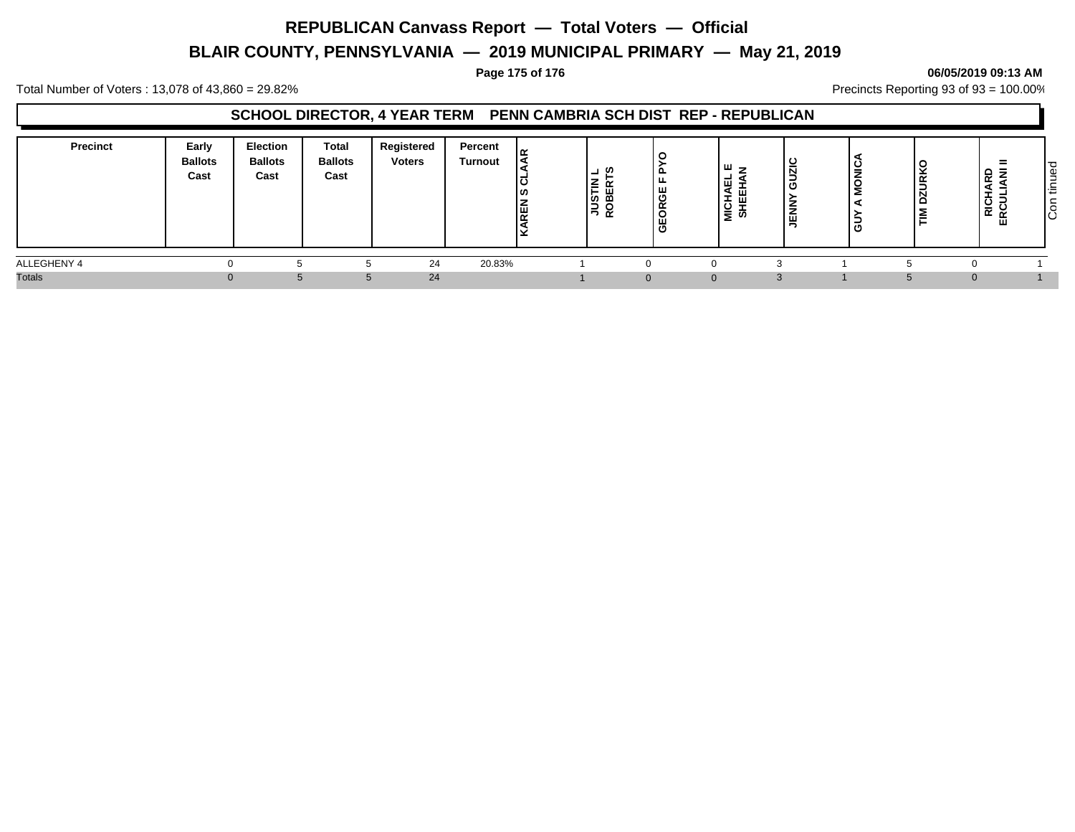# **BLAIR COUNTY, PENNSYLVANIA — 2019 MUNICIPAL PRIMARY — May 21, 2019**

#### **Page 175 of 176 06/05/2019 09:13 AM**

Total Number of Voters : 13,078 of 43,860 = 29.82% Precincts Reporting 93 of 93 = 100.00%

### **SCHOOL DIRECTOR, 4 YEAR TERM PENN CAMBRIA SCH DIST REP - REPUBLICAN**

| <b>Precinct</b> | Early<br><b>Ballots</b><br>Cast | Election<br><b>Ballots</b><br>Cast | <b>Total</b><br><b>Ballots</b><br>Cast | Registered<br><b>Voters</b> | Percent<br>Turnout | ۱ می<br>L<br>၊ ဟ<br>-<br>똍 | -<br>z<br>ŠΕ<br>$\alpha$ | ∸<br>ö<br>$\propto$<br>щ | ш<br>ш<br>-<br>$rac{1}{2}$<br>ഗ | ပ<br>Ñ<br>o<br>$\overline{\phantom{a}}$<br>ш | ∼<br>∍<br>C | <b>URK</b><br>۳<br>≧ | =<br>윤 홎<br>RCUI<br>ш | l TO<br>tinue<br>-<br>- Š |
|-----------------|---------------------------------|------------------------------------|----------------------------------------|-----------------------------|--------------------|----------------------------|--------------------------|--------------------------|---------------------------------|----------------------------------------------|-------------|----------------------|-----------------------|---------------------------|
| ALLEGHENY 4     |                                 |                                    |                                        | 24                          | 20.83%             |                            |                          |                          |                                 |                                              |             |                      |                       |                           |
| <b>Totals</b>   | 0                               |                                    |                                        | 24                          |                    |                            |                          |                          | $\Omega$                        |                                              |             |                      | $\Omega$              |                           |